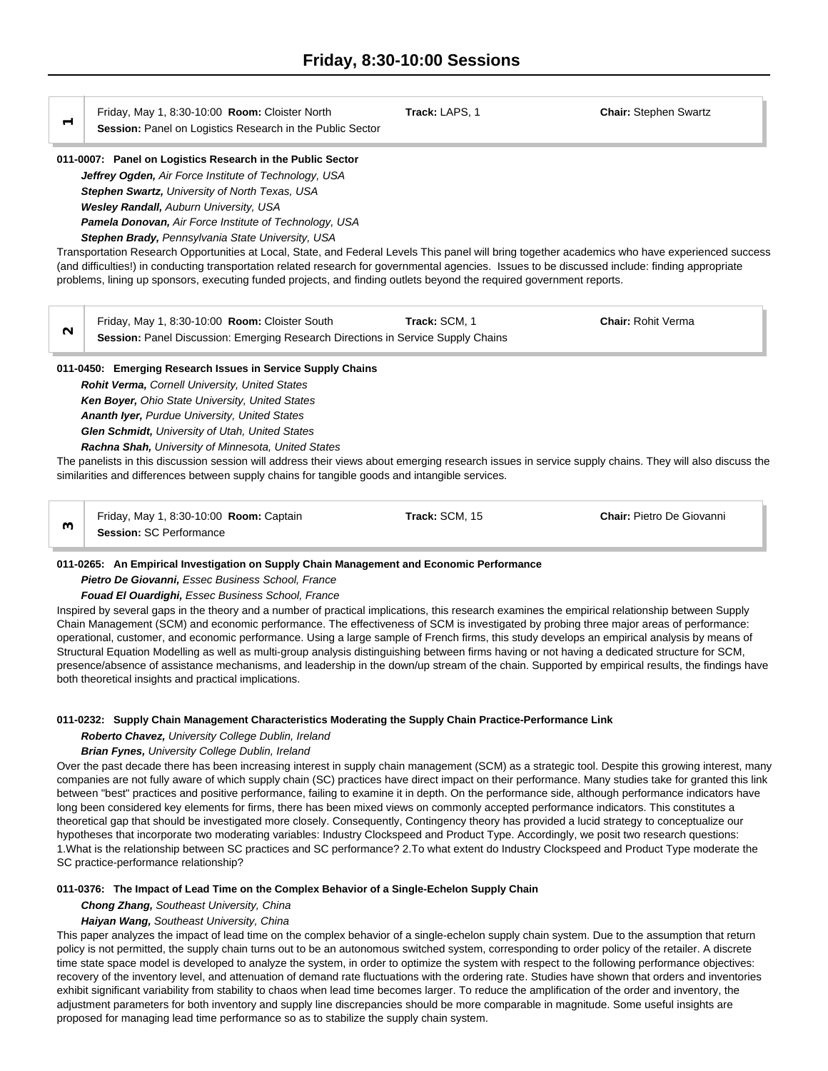Friday, May 1, 8:30-10:00 **Room:** Cloister North **Track:** LAPS, 1 **Chair:** Stephen Swartz

**Session: Panel on Logistics Research in the Public Sector** 

# **011-0007: Panel on Logistics Research in the Public Sector**

*Jeffrey Ogden, Air Force Institute of Technology, USA Stephen Swartz, University of North Texas, USA Wesley Randall, Auburn University, USA Pamela Donovan, Air Force Institute of Technology, USA*

*Stephen Brady, Pennsylvania State University, USA*

Transportation Research Opportunities at Local, State, and Federal Levels This panel will bring together academics who have experienced success (and difficulties!) in conducting transportation related research for governmental agencies. Issues to be discussed include: finding appropriate problems, lining up sponsors, executing funded projects, and finding outlets beyond the required government reports.

Friday, May 1, 8:30-10:00 **Room:** Cloister South **Track:** SCM, 1 **Chair: Chair:** Rohit Verma<br>**2Session:** Panel Discussion: Emerging Research Directions in Service Supply Chains

# **011-0450: Emerging Research Issues in Service Supply Chains**

*Rohit Verma, Cornell University, United States Ken Boyer, Ohio State University, United States Ananth Iyer, Purdue University, United States Glen Schmidt, University of Utah, United States*

*Rachna Shah, University of Minnesota, United States*

The panelists in this discussion session will address their views about emerging research issues in service supply chains. They will also discuss the similarities and differences between supply chains for tangible goods and intangible services.

Friday, May 1, 8:30-10:00 **Room:** Captain **Track:** SCM, 15 **Chair:** Pietro De Giovanni **3Session:** SC Performance

# **011-0265: An Empirical Investigation on Supply Chain Management and Economic Performance**

*Pietro De Giovanni, Essec Business School, France*

*Fouad El Ouardighi, Essec Business School, France*

Inspired by several gaps in the theory and a number of practical implications, this research examines the empirical relationship between Supply Chain Management (SCM) and economic performance. The effectiveness of SCM is investigated by probing three major areas of performance: operational, customer, and economic performance. Using a large sample of French firms, this study develops an empirical analysis by means of Structural Equation Modelling as well as multi-group analysis distinguishing between firms having or not having a dedicated structure for SCM, presence/absence of assistance mechanisms, and leadership in the down/up stream of the chain. Supported by empirical results, the findings have both theoretical insights and practical implications.

# **011-0232: Supply Chain Management Characteristics Moderating the Supply Chain Practice-Performance Link**

# *Roberto Chavez, University College Dublin, Ireland*

# *Brian Fynes, University College Dublin, Ireland*

Over the past decade there has been increasing interest in supply chain management (SCM) as a strategic tool. Despite this growing interest, many companies are not fully aware of which supply chain (SC) practices have direct impact on their performance. Many studies take for granted this link between "best" practices and positive performance, failing to examine it in depth. On the performance side, although performance indicators have long been considered key elements for firms, there has been mixed views on commonly accepted performance indicators. This constitutes a theoretical gap that should be investigated more closely. Consequently, Contingency theory has provided a lucid strategy to conceptualize our hypotheses that incorporate two moderating variables: Industry Clockspeed and Product Type. Accordingly, we posit two research questions: 1.What is the relationship between SC practices and SC performance? 2.To what extent do Industry Clockspeed and Product Type moderate the SC practice-performance relationship?

# **011-0376: The Impact of Lead Time on the Complex Behavior of a Single-Echelon Supply Chain**

*Chong Zhang, Southeast University, China*

# *Haiyan Wang, Southeast University, China*

This paper analyzes the impact of lead time on the complex behavior of a single-echelon supply chain system. Due to the assumption that return policy is not permitted, the supply chain turns out to be an autonomous switched system, corresponding to order policy of the retailer. A discrete time state space model is developed to analyze the system, in order to optimize the system with respect to the following performance objectives: recovery of the inventory level, and attenuation of demand rate fluctuations with the ordering rate. Studies have shown that orders and inventories exhibit significant variability from stability to chaos when lead time becomes larger. To reduce the amplification of the order and inventory, the adjustment parameters for both inventory and supply line discrepancies should be more comparable in magnitude. Some useful insights are proposed for managing lead time performance so as to stabilize the supply chain system.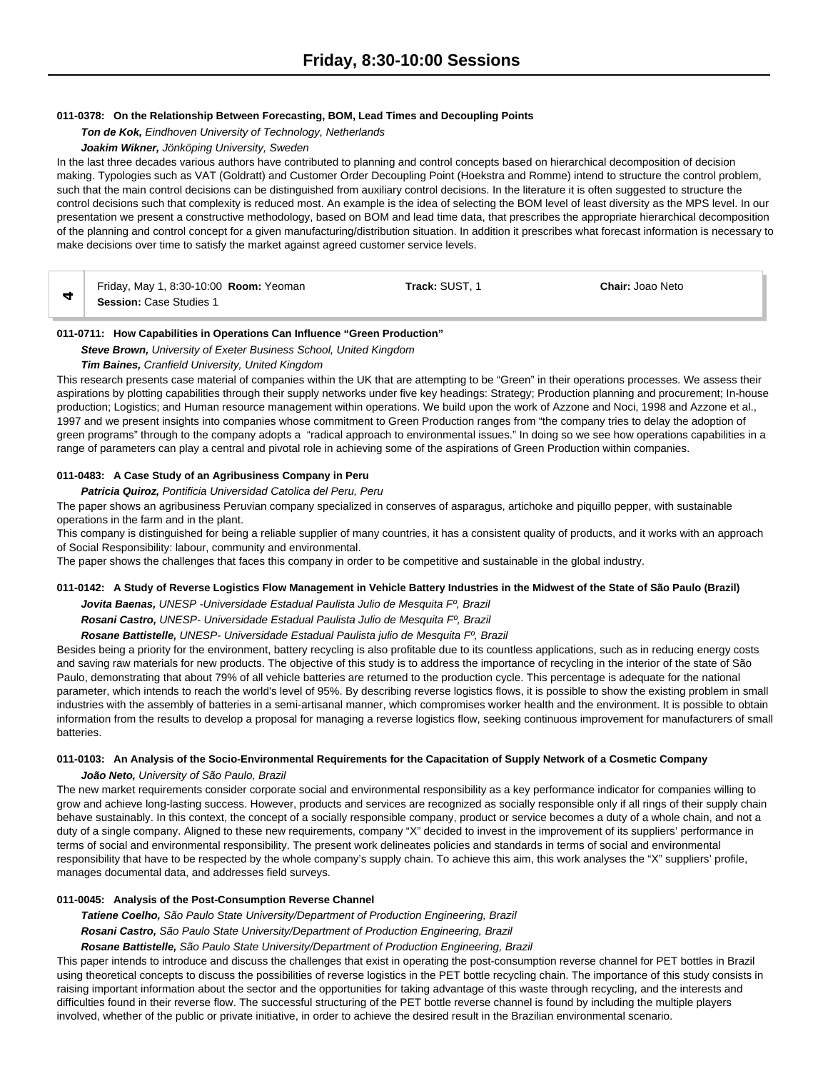#### **011-0378: On the Relationship Between Forecasting, BOM, Lead Times and Decoupling Points**

*Ton de Kok, Eindhoven University of Technology, Netherlands*

# *Joakim Wikner, Jönköping University, Sweden*

In the last three decades various authors have contributed to planning and control concepts based on hierarchical decomposition of decision making. Typologies such as VAT (Goldratt) and Customer Order Decoupling Point (Hoekstra and Romme) intend to structure the control problem, such that the main control decisions can be distinguished from auxiliary control decisions. In the literature it is often suggested to structure the control decisions such that complexity is reduced most. An example is the idea of selecting the BOM level of least diversity as the MPS level. In our presentation we present a constructive methodology, based on BOM and lead time data, that prescribes the appropriate hierarchical decomposition of the planning and control concept for a given manufacturing/distribution situation. In addition it prescribes what forecast information is necessary to make decisions over time to satisfy the market against agreed customer service levels.

| Friday, May 1, 8:30-10:00 <b>Room:</b> Yeoman | Track: SUST. | <b>Chair: Joao Neto</b> |
|-----------------------------------------------|--------------|-------------------------|
| <b>Session: Case Studies 1</b>                |              |                         |

#### **011-0711: How Capabilities in Operations Can Influence "Green Production"**

*Steve Brown, University of Exeter Business School, United Kingdom*

#### *Tim Baines, Cranfield University, United Kingdom*

This research presents case material of companies within the UK that are attempting to be "Green" in their operations processes. We assess their aspirations by plotting capabilities through their supply networks under five key headings: Strategy; Production planning and procurement; In-house production; Logistics; and Human resource management within operations. We build upon the work of Azzone and Noci, 1998 and Azzone et al., 1997 and we present insights into companies whose commitment to Green Production ranges from "the company tries to delay the adoption of green programs" through to the company adopts a "radical approach to environmental issues." In doing so we see how operations capabilities in a range of parameters can play a central and pivotal role in achieving some of the aspirations of Green Production within companies.

## **011-0483: A Case Study of an Agribusiness Company in Peru**

*Patricia Quiroz, Pontificia Universidad Catolica del Peru, Peru*

The paper shows an agribusiness Peruvian company specialized in conserves of asparagus, artichoke and piquillo pepper, with sustainable operations in the farm and in the plant.

This company is distinguished for being a reliable supplier of many countries, it has a consistent quality of products, and it works with an approach of Social Responsibility: labour, community and environmental.

The paper shows the challenges that faces this company in order to be competitive and sustainable in the global industry.

#### **011-0142: A Study of Reverse Logistics Flow Management in Vehicle Battery Industries in the Midwest of the State of São Paulo (Brazil)**

*Jovita Baenas, UNESP -Universidade Estadual Paulista Julio de Mesquita Fº, Brazil*

*Rosani Castro, UNESP- Universidade Estadual Paulista Julio de Mesquita Fº, Brazil*

*Rosane Battistelle, UNESP- Universidade Estadual Paulista julio de Mesquita Fº, Brazil*

Besides being a priority for the environment, battery recycling is also profitable due to its countless applications, such as in reducing energy costs and saving raw materials for new products. The objective of this study is to address the importance of recycling in the interior of the state of São Paulo, demonstrating that about 79% of all vehicle batteries are returned to the production cycle. This percentage is adequate for the national parameter, which intends to reach the world's level of 95%. By describing reverse logistics flows, it is possible to show the existing problem in small industries with the assembly of batteries in a semi-artisanal manner, which compromises worker health and the environment. It is possible to obtain information from the results to develop a proposal for managing a reverse logistics flow, seeking continuous improvement for manufacturers of small batteries.

#### **011-0103: An Analysis of the Socio-Environmental Requirements for the Capacitation of Supply Network of a Cosmetic Company**

*João Neto, University of São Paulo, Brazil*

The new market requirements consider corporate social and environmental responsibility as a key performance indicator for companies willing to grow and achieve long-lasting success. However, products and services are recognized as socially responsible only if all rings of their supply chain behave sustainably. In this context, the concept of a socially responsible company, product or service becomes a duty of a whole chain, and not a duty of a single company. Aligned to these new requirements, company "X" decided to invest in the improvement of its suppliers' performance in terms of social and environmental responsibility. The present work delineates policies and standards in terms of social and environmental responsibility that have to be respected by the whole company's supply chain. To achieve this aim, this work analyses the "X" suppliers' profile, manages documental data, and addresses field surveys.

## **011-0045: Analysis of the Post-Consumption Reverse Channel**

*Tatiene Coelho, São Paulo State University/Department of Production Engineering, Brazil Rosani Castro, São Paulo State University/Department of Production Engineering, Brazil Rosane Battistelle, São Paulo State University/Department of Production Engineering, Brazil*

This paper intends to introduce and discuss the challenges that exist in operating the post-consumption reverse channel for PET bottles in Brazil using theoretical concepts to discuss the possibilities of reverse logistics in the PET bottle recycling chain. The importance of this study consists in raising important information about the sector and the opportunities for taking advantage of this waste through recycling, and the interests and difficulties found in their reverse flow. The successful structuring of the PET bottle reverse channel is found by including the multiple players involved, whether of the public or private initiative, in order to achieve the desired result in the Brazilian environmental scenario.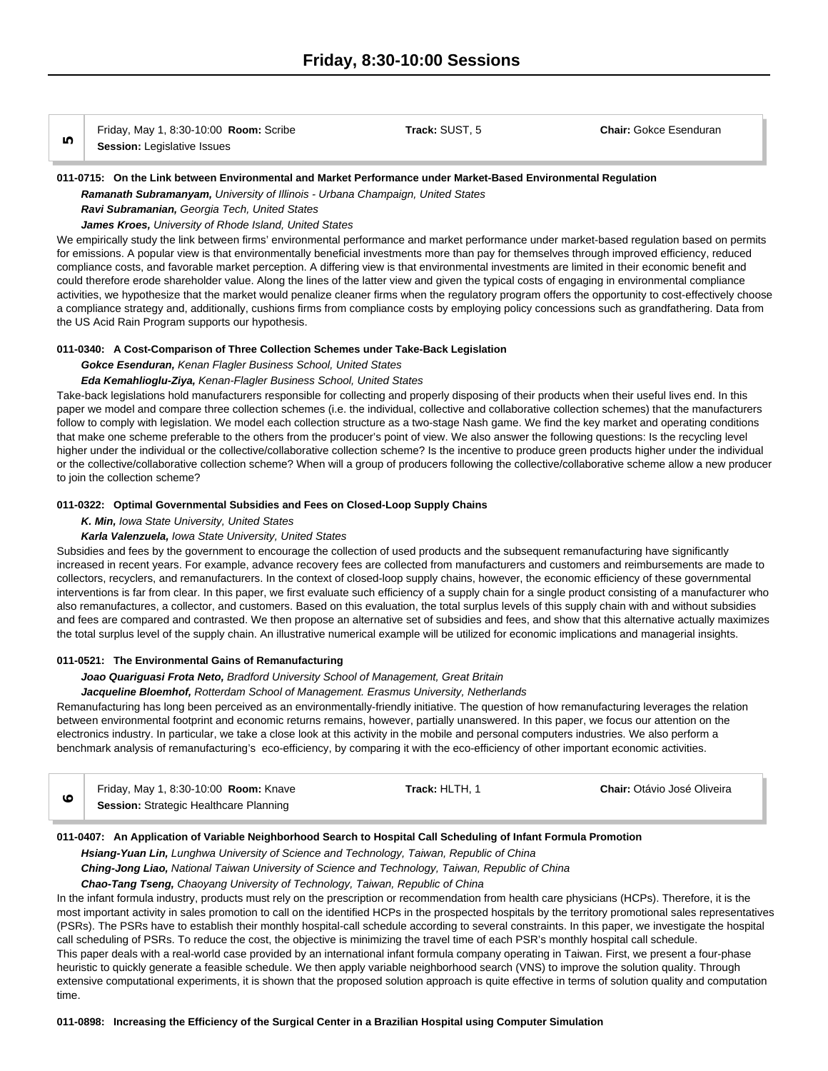|   | Friday, May 1, 8:30-10:00 Room: Scribe | Track: SUST. 5 | <b>Chair: Gokce Esenduran</b> |
|---|----------------------------------------|----------------|-------------------------------|
| ഥ | <b>Session: Legislative Issues</b>     |                |                               |

#### **011-0715: On the Link between Environmental and Market Performance under Market-Based Environmental Regulation**

*Ramanath Subramanyam, University of Illinois - Urbana Champaign, United States*

*Ravi Subramanian, Georgia Tech, United States*

*James Kroes, University of Rhode Island, United States*

We empirically study the link between firms' environmental performance and market performance under market-based regulation based on permits for emissions. A popular view is that environmentally beneficial investments more than pay for themselves through improved efficiency, reduced compliance costs, and favorable market perception. A differing view is that environmental investments are limited in their economic benefit and could therefore erode shareholder value. Along the lines of the latter view and given the typical costs of engaging in environmental compliance activities, we hypothesize that the market would penalize cleaner firms when the regulatory program offers the opportunity to cost-effectively choose a compliance strategy and, additionally, cushions firms from compliance costs by employing policy concessions such as grandfathering. Data from the US Acid Rain Program supports our hypothesis.

#### **011-0340: A Cost-Comparison of Three Collection Schemes under Take-Back Legislation**

#### *Gokce Esenduran, Kenan Flagler Business School, United States*

#### *Eda Kemahlioglu-Ziya, Kenan-Flagler Business School, United States*

Take-back legislations hold manufacturers responsible for collecting and properly disposing of their products when their useful lives end. In this paper we model and compare three collection schemes (i.e. the individual, collective and collaborative collection schemes) that the manufacturers follow to comply with legislation. We model each collection structure as a two-stage Nash game. We find the key market and operating conditions that make one scheme preferable to the others from the producer's point of view. We also answer the following questions: Is the recycling level higher under the individual or the collective/collaborative collection scheme? Is the incentive to produce green products higher under the individual or the collective/collaborative collection scheme? When will a group of producers following the collective/collaborative scheme allow a new producer to join the collection scheme?

#### **011-0322: Optimal Governmental Subsidies and Fees on Closed-Loop Supply Chains**

#### *K. Min, Iowa State University, United States*

#### *Karla Valenzuela, Iowa State University, United States*

Subsidies and fees by the government to encourage the collection of used products and the subsequent remanufacturing have significantly increased in recent years. For example, advance recovery fees are collected from manufacturers and customers and reimbursements are made to collectors, recyclers, and remanufacturers. In the context of closed-loop supply chains, however, the economic efficiency of these governmental interventions is far from clear. In this paper, we first evaluate such efficiency of a supply chain for a single product consisting of a manufacturer who also remanufactures, a collector, and customers. Based on this evaluation, the total surplus levels of this supply chain with and without subsidies and fees are compared and contrasted. We then propose an alternative set of subsidies and fees, and show that this alternative actually maximizes the total surplus level of the supply chain. An illustrative numerical example will be utilized for economic implications and managerial insights.

#### **011-0521: The Environmental Gains of Remanufacturing**

#### *Joao Quariguasi Frota Neto, Bradford University School of Management, Great Britain*

#### *Jacqueline Bloemhof, Rotterdam School of Management. Erasmus University, Netherlands*

Remanufacturing has long been perceived as an environmentally-friendly initiative. The question of how remanufacturing leverages the relation between environmental footprint and economic returns remains, however, partially unanswered. In this paper, we focus our attention on the electronics industry. In particular, we take a close look at this activity in the mobile and personal computers industries. We also perform a benchmark analysis of remanufacturing's eco-efficiency, by comparing it with the eco-efficiency of other important economic activities.

| Friday, May 1, 8:30-10:00 Room: Knave  | Track: HLTH. 1 | <b>Chair: Otávio José Oliveira</b> |
|----------------------------------------|----------------|------------------------------------|
| Session: Strategic Healthcare Planning |                |                                    |

#### **011-0407: An Application of Variable Neighborhood Search to Hospital Call Scheduling of Infant Formula Promotion**

*Hsiang-Yuan Lin, Lunghwa University of Science and Technology, Taiwan, Republic of China*

*Ching-Jong Liao, National Taiwan University of Science and Technology, Taiwan, Republic of China*

*Chao-Tang Tseng, Chaoyang University of Technology, Taiwan, Republic of China*

In the infant formula industry, products must rely on the prescription or recommendation from health care physicians (HCPs). Therefore, it is the most important activity in sales promotion to call on the identified HCPs in the prospected hospitals by the territory promotional sales representatives (PSRs). The PSRs have to establish their monthly hospital-call schedule according to several constraints. In this paper, we investigate the hospital call scheduling of PSRs. To reduce the cost, the objective is minimizing the travel time of each PSR's monthly hospital call schedule. This paper deals with a real-world case provided by an international infant formula company operating in Taiwan. First, we present a four-phase heuristic to quickly generate a feasible schedule. We then apply variable neighborhood search (VNS) to improve the solution quality. Through extensive computational experiments, it is shown that the proposed solution approach is quite effective in terms of solution quality and computation time.

**011-0898: Increasing the Efficiency of the Surgical Center in a Brazilian Hospital using Computer Simulation**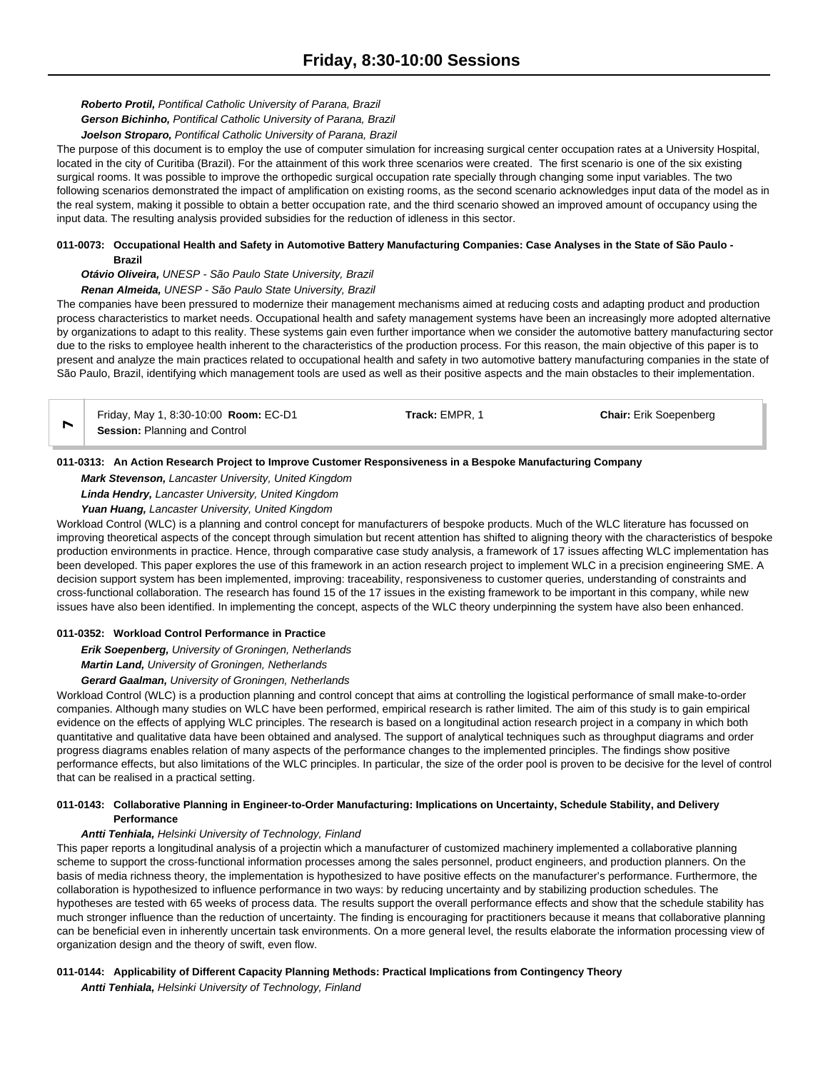# *Roberto Protil, Pontifical Catholic University of Parana, Brazil*

*Gerson Bichinho, Pontifical Catholic University of Parana, Brazil*

#### *Joelson Stroparo, Pontifical Catholic University of Parana, Brazil*

The purpose of this document is to employ the use of computer simulation for increasing surgical center occupation rates at a University Hospital, located in the city of Curitiba (Brazil). For the attainment of this work three scenarios were created. The first scenario is one of the six existing surgical rooms. It was possible to improve the orthopedic surgical occupation rate specially through changing some input variables. The two following scenarios demonstrated the impact of amplification on existing rooms, as the second scenario acknowledges input data of the model as in the real system, making it possible to obtain a better occupation rate, and the third scenario showed an improved amount of occupancy using the input data. The resulting analysis provided subsidies for the reduction of idleness in this sector.

#### **011-0073: Occupational Health and Safety in Automotive Battery Manufacturing Companies: Case Analyses in the State of São Paulo - Brazil**

#### *Otávio Oliveira, UNESP - São Paulo State University, Brazil*

#### *Renan Almeida, UNESP - São Paulo State University, Brazil*

The companies have been pressured to modernize their management mechanisms aimed at reducing costs and adapting product and production process characteristics to market needs. Occupational health and safety management systems have been an increasingly more adopted alternative by organizations to adapt to this reality. These systems gain even further importance when we consider the automotive battery manufacturing sector due to the risks to employee health inherent to the characteristics of the production process. For this reason, the main objective of this paper is to present and analyze the main practices related to occupational health and safety in two automotive battery manufacturing companies in the state of São Paulo, Brazil, identifying which management tools are used as well as their positive aspects and the main obstacles to their implementation.

Friday, May 1, 8:30-10:00 **Room:** EC-D1 **Track:** EMPR, 1 **Chair:** Erik Soepenberg **7Session:** Planning and Control

# **011-0313: An Action Research Project to Improve Customer Responsiveness in a Bespoke Manufacturing Company**

*Mark Stevenson, Lancaster University, United Kingdom*

*Linda Hendry, Lancaster University, United Kingdom*

*Yuan Huang, Lancaster University, United Kingdom*

Workload Control (WLC) is a planning and control concept for manufacturers of bespoke products. Much of the WLC literature has focussed on improving theoretical aspects of the concept through simulation but recent attention has shifted to aligning theory with the characteristics of bespoke production environments in practice. Hence, through comparative case study analysis, a framework of 17 issues affecting WLC implementation has been developed. This paper explores the use of this framework in an action research project to implement WLC in a precision engineering SME. A decision support system has been implemented, improving: traceability, responsiveness to customer queries, understanding of constraints and cross-functional collaboration. The research has found 15 of the 17 issues in the existing framework to be important in this company, while new issues have also been identified. In implementing the concept, aspects of the WLC theory underpinning the system have also been enhanced.

## **011-0352: Workload Control Performance in Practice**

*Erik Soepenberg, University of Groningen, Netherlands*

*Martin Land, University of Groningen, Netherlands*

#### *Gerard Gaalman, University of Groningen, Netherlands*

Workload Control (WLC) is a production planning and control concept that aims at controlling the logistical performance of small make-to-order companies. Although many studies on WLC have been performed, empirical research is rather limited. The aim of this study is to gain empirical evidence on the effects of applying WLC principles. The research is based on a longitudinal action research project in a company in which both quantitative and qualitative data have been obtained and analysed. The support of analytical techniques such as throughput diagrams and order progress diagrams enables relation of many aspects of the performance changes to the implemented principles. The findings show positive performance effects, but also limitations of the WLC principles. In particular, the size of the order pool is proven to be decisive for the level of control that can be realised in a practical setting.

# **011-0143: Collaborative Planning in Engineer-to-Order Manufacturing: Implications on Uncertainty, Schedule Stability, and Delivery Performance**

## *Antti Tenhiala, Helsinki University of Technology, Finland*

This paper reports a longitudinal analysis of a projectin which a manufacturer of customized machinery implemented a collaborative planning scheme to support the cross-functional information processes among the sales personnel, product engineers, and production planners. On the basis of media richness theory, the implementation is hypothesized to have positive effects on the manufacturer's performance. Furthermore, the collaboration is hypothesized to influence performance in two ways: by reducing uncertainty and by stabilizing production schedules. The hypotheses are tested with 65 weeks of process data. The results support the overall performance effects and show that the schedule stability has much stronger influence than the reduction of uncertainty. The finding is encouraging for practitioners because it means that collaborative planning can be beneficial even in inherently uncertain task environments. On a more general level, the results elaborate the information processing view of organization design and the theory of swift, even flow.

## **011-0144: Applicability of Different Capacity Planning Methods: Practical Implications from Contingency Theory**

*Antti Tenhiala, Helsinki University of Technology, Finland*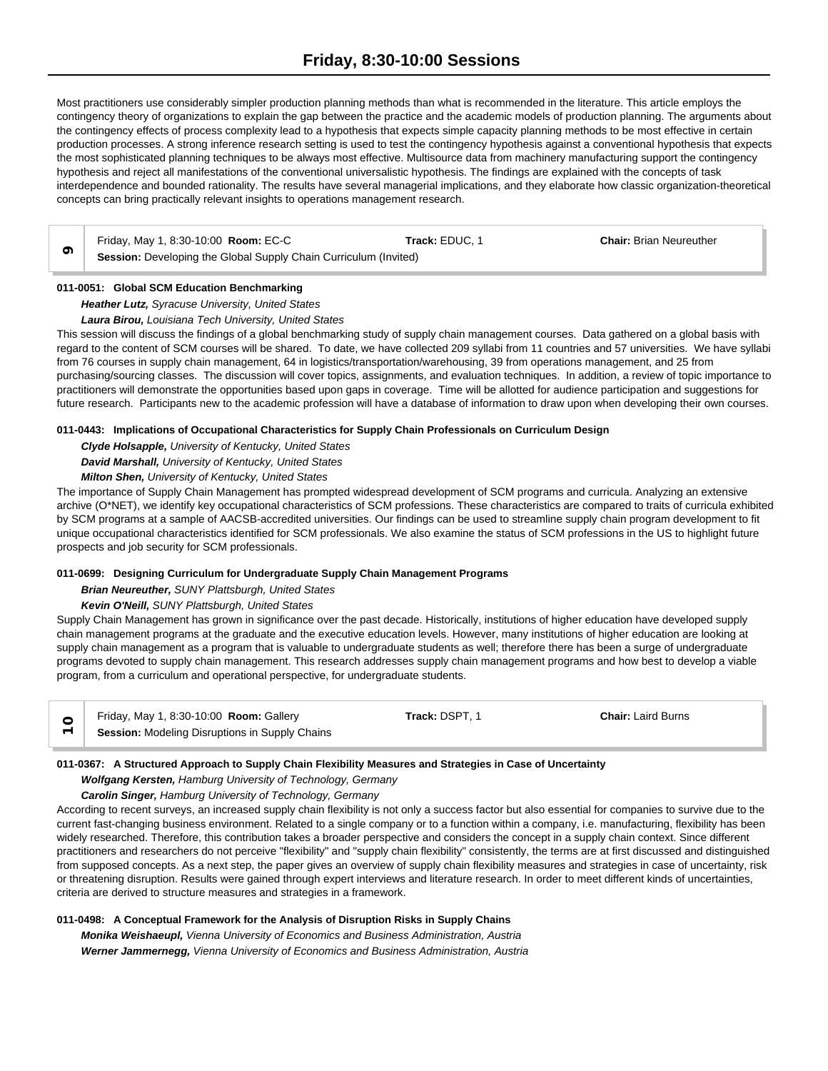Most practitioners use considerably simpler production planning methods than what is recommended in the literature. This article employs the contingency theory of organizations to explain the gap between the practice and the academic models of production planning. The arguments about the contingency effects of process complexity lead to a hypothesis that expects simple capacity planning methods to be most effective in certain production processes. A strong inference research setting is used to test the contingency hypothesis against a conventional hypothesis that expects the most sophisticated planning techniques to be always most effective. Multisource data from machinery manufacturing support the contingency hypothesis and reject all manifestations of the conventional universalistic hypothesis. The findings are explained with the concepts of task interdependence and bounded rationality. The results have several managerial implications, and they elaborate how classic organization-theoretical concepts can bring practically relevant insights to operations management research.

**Friday, May 1, 8:30-10:00 <b>Room:** EC-C **Track: EDUC, 1 Chair: Brian Neureuther 9 Session:** Developing the Global Supply Chain Curriculum (Invited)

## **011-0051: Global SCM Education Benchmarking**

*Heather Lutz, Syracuse University, United States*

## *Laura Birou, Louisiana Tech University, United States*

This session will discuss the findings of a global benchmarking study of supply chain management courses. Data gathered on a global basis with regard to the content of SCM courses will be shared. To date, we have collected 209 syllabi from 11 countries and 57 universities. We have syllabi from 76 courses in supply chain management, 64 in logistics/transportation/warehousing, 39 from operations management, and 25 from purchasing/sourcing classes. The discussion will cover topics, assignments, and evaluation techniques. In addition, a review of topic importance to practitioners will demonstrate the opportunities based upon gaps in coverage. Time will be allotted for audience participation and suggestions for future research. Participants new to the academic profession will have a database of information to draw upon when developing their own courses.

#### **011-0443: Implications of Occupational Characteristics for Supply Chain Professionals on Curriculum Design**

*Clyde Holsapple, University of Kentucky, United States David Marshall, University of Kentucky, United States Milton Shen, University of Kentucky, United States*

The importance of Supply Chain Management has prompted widespread development of SCM programs and curricula. Analyzing an extensive archive (O\*NET), we identify key occupational characteristics of SCM professions. These characteristics are compared to traits of curricula exhibited by SCM programs at a sample of AACSB-accredited universities. Our findings can be used to streamline supply chain program development to fit unique occupational characteristics identified for SCM professionals. We also examine the status of SCM professions in the US to highlight future prospects and job security for SCM professionals.

## **011-0699: Designing Curriculum for Undergraduate Supply Chain Management Programs**

*Brian Neureuther, SUNY Plattsburgh, United States*

## *Kevin O'Neill, SUNY Plattsburgh, United States*

Supply Chain Management has grown in significance over the past decade. Historically, institutions of higher education have developed supply chain management programs at the graduate and the executive education levels. However, many institutions of higher education are looking at supply chain management as a program that is valuable to undergraduate students as well; therefore there has been a surge of undergraduate programs devoted to supply chain management. This research addresses supply chain management programs and how best to develop a viable program, from a curriculum and operational perspective, for undergraduate students.

| Friday, May 1, 8:30-10:00 <b>Room:</b> Gallery        | <b>Track: DSPT. 1</b> | <b>Chair: Laird Burns</b> |  |
|-------------------------------------------------------|-----------------------|---------------------------|--|
| <b>Session:</b> Modeling Disruptions in Supply Chains |                       |                           |  |

#### **011-0367: A Structured Approach to Supply Chain Flexibility Measures and Strategies in Case of Uncertainty**

*Wolfgang Kersten, Hamburg University of Technology, Germany*

*Carolin Singer, Hamburg University of Technology, Germany*

According to recent surveys, an increased supply chain flexibility is not only a success factor but also essential for companies to survive due to the current fast-changing business environment. Related to a single company or to a function within a company, i.e. manufacturing, flexibility has been widely researched. Therefore, this contribution takes a broader perspective and considers the concept in a supply chain context. Since different practitioners and researchers do not perceive "flexibility" and "supply chain flexibility" consistently, the terms are at first discussed and distinguished from supposed concepts. As a next step, the paper gives an overview of supply chain flexibility measures and strategies in case of uncertainty, risk or threatening disruption. Results were gained through expert interviews and literature research. In order to meet different kinds of uncertainties, criteria are derived to structure measures and strategies in a framework.

#### **011-0498: A Conceptual Framework for the Analysis of Disruption Risks in Supply Chains**

*Monika Weishaeupl, Vienna University of Economics and Business Administration, Austria Werner Jammernegg, Vienna University of Economics and Business Administration, Austria*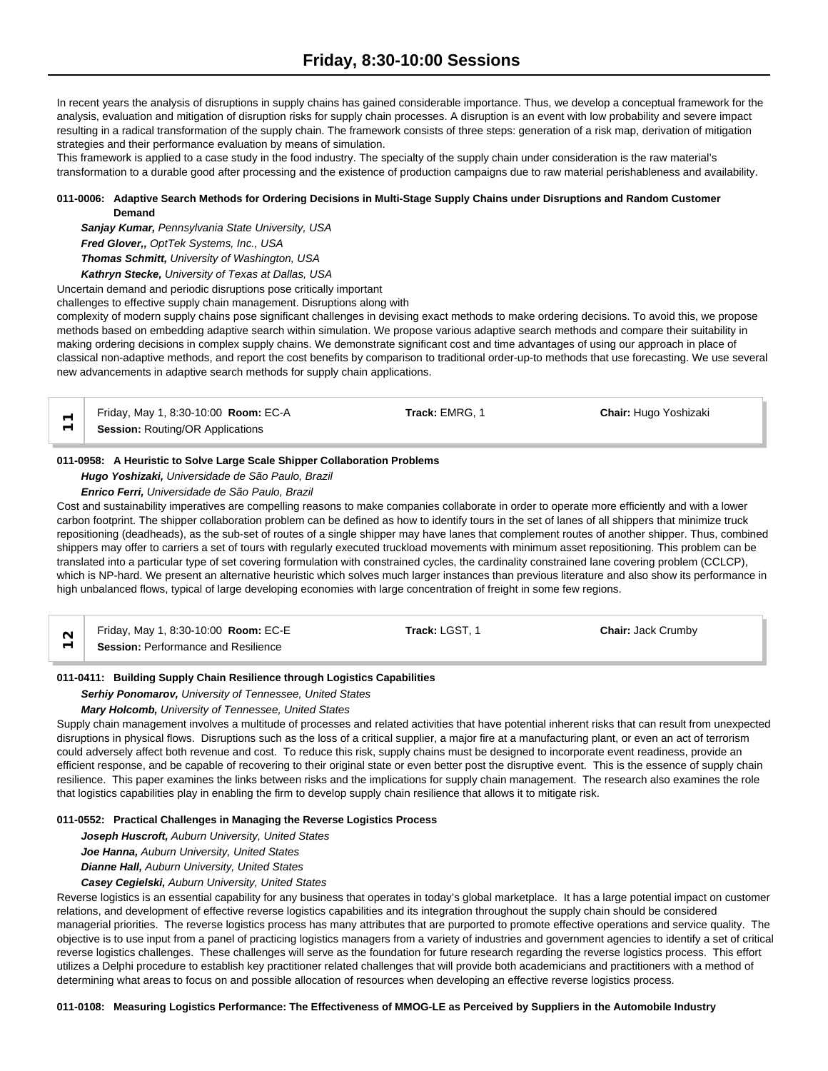In recent years the analysis of disruptions in supply chains has gained considerable importance. Thus, we develop a conceptual framework for the analysis, evaluation and mitigation of disruption risks for supply chain processes. A disruption is an event with low probability and severe impact resulting in a radical transformation of the supply chain. The framework consists of three steps: generation of a risk map, derivation of mitigation strategies and their performance evaluation by means of simulation.

This framework is applied to a case study in the food industry. The specialty of the supply chain under consideration is the raw material's transformation to a durable good after processing and the existence of production campaigns due to raw material perishableness and availability.

# **011-0006: Adaptive Search Methods for Ordering Decisions in Multi-Stage Supply Chains under Disruptions and Random Customer Demand**

*Sanjay Kumar, Pennsylvania State University, USA Fred Glover,, OptTek Systems, Inc., USA Thomas Schmitt, University of Washington, USA Kathryn Stecke, University of Texas at Dallas, USA*

Uncertain demand and periodic disruptions pose critically important

challenges to effective supply chain management. Disruptions along with

complexity of modern supply chains pose significant challenges in devising exact methods to make ordering decisions. To avoid this, we propose methods based on embedding adaptive search within simulation. We propose various adaptive search methods and compare their suitability in making ordering decisions in complex supply chains. We demonstrate significant cost and time advantages of using our approach in place of classical non-adaptive methods, and report the cost benefits by comparison to traditional order-up-to methods that use forecasting. We use several new advancements in adaptive search methods for supply chain applications.

| Friday, May 1, 8:30-10:00 <b>Room:</b> EC-A | <b>Track:</b> EMRG. 1 | <b>Chair: Hugo Yoshizaki</b> |
|---------------------------------------------|-----------------------|------------------------------|
| <b>Session: Routing/OR Applications</b>     |                       |                              |

# **011-0958: A Heuristic to Solve Large Scale Shipper Collaboration Problems**

*Hugo Yoshizaki, Universidade de São Paulo, Brazil*

*Enrico Ferri, Universidade de São Paulo, Brazil*

Cost and sustainability imperatives are compelling reasons to make companies collaborate in order to operate more efficiently and with a lower carbon footprint. The shipper collaboration problem can be defined as how to identify tours in the set of lanes of all shippers that minimize truck repositioning (deadheads), as the sub-set of routes of a single shipper may have lanes that complement routes of another shipper. Thus, combined shippers may offer to carriers a set of tours with regularly executed truckload movements with minimum asset repositioning. This problem can be translated into a particular type of set covering formulation with constrained cycles, the cardinality constrained lane covering problem (CCLCP), which is NP-hard. We present an alternative heuristic which solves much larger instances than previous literature and also show its performance in high unbalanced flows, typical of large developing economies with large concentration of freight in some few regions.

| Friday, May 1, 8:30-10:00 <b>Room: EC-E</b> | Track: LGST. 1 | <b>Chair: Jack Crumby</b> |  |
|---------------------------------------------|----------------|---------------------------|--|
| Session: Performance and Resilience         |                |                           |  |

# **011-0411: Building Supply Chain Resilience through Logistics Capabilities**

*Serhiy Ponomarov, University of Tennessee, United States*

# *Mary Holcomb, University of Tennessee, United States*

Supply chain management involves a multitude of processes and related activities that have potential inherent risks that can result from unexpected disruptions in physical flows. Disruptions such as the loss of a critical supplier, a major fire at a manufacturing plant, or even an act of terrorism could adversely affect both revenue and cost. To reduce this risk, supply chains must be designed to incorporate event readiness, provide an efficient response, and be capable of recovering to their original state or even better post the disruptive event. This is the essence of supply chain resilience. This paper examines the links between risks and the implications for supply chain management. The research also examines the role that logistics capabilities play in enabling the firm to develop supply chain resilience that allows it to mitigate risk.

## **011-0552: Practical Challenges in Managing the Reverse Logistics Process**

*Joseph Huscroft, Auburn University, United States*

*Joe Hanna, Auburn University, United States*

*Dianne Hall, Auburn University, United States*

*Casey Cegielski, Auburn University, United States*

Reverse logistics is an essential capability for any business that operates in today's global marketplace. It has a large potential impact on customer relations, and development of effective reverse logistics capabilities and its integration throughout the supply chain should be considered managerial priorities. The reverse logistics process has many attributes that are purported to promote effective operations and service quality. The objective is to use input from a panel of practicing logistics managers from a variety of industries and government agencies to identify a set of critical reverse logistics challenges. These challenges will serve as the foundation for future research regarding the reverse logistics process. This effort utilizes a Delphi procedure to establish key practitioner related challenges that will provide both academicians and practitioners with a method of determining what areas to focus on and possible allocation of resources when developing an effective reverse logistics process.

## **011-0108: Measuring Logistics Performance: The Effectiveness of MMOG-LE as Perceived by Suppliers in the Automobile Industry**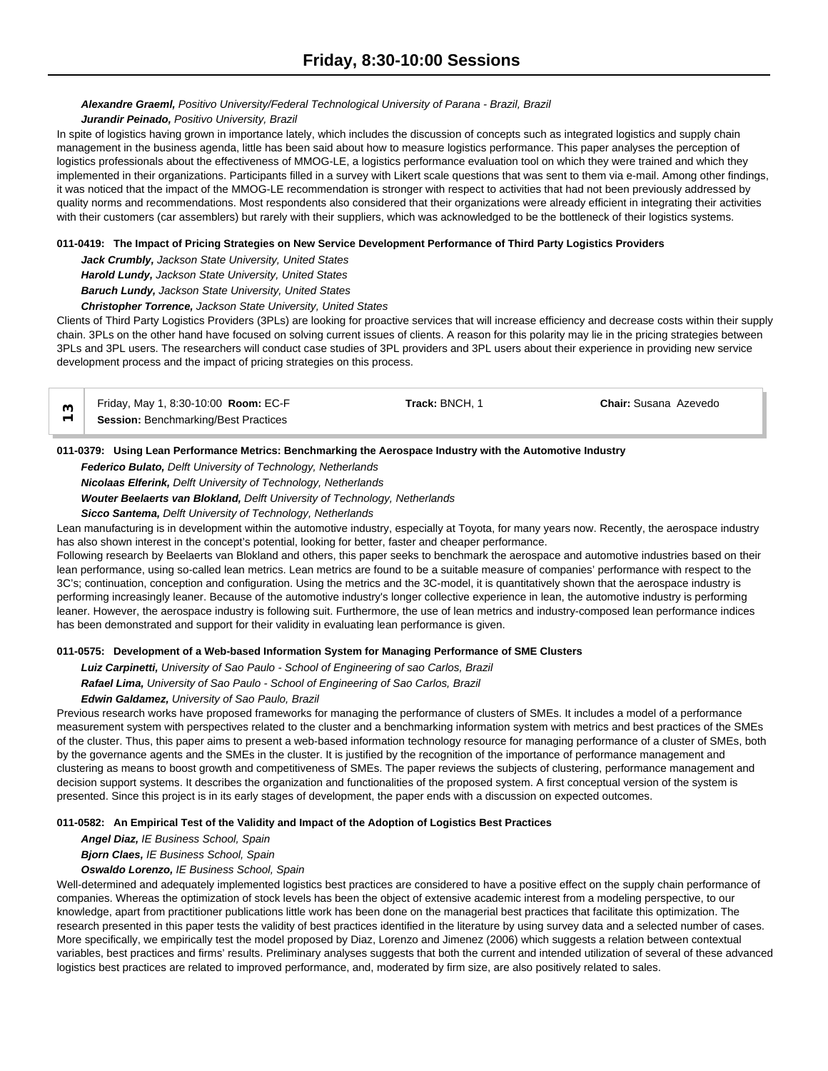# *Alexandre Graeml, Positivo University/Federal Technological University of Parana - Brazil, Brazil*

## *Jurandir Peinado, Positivo University, Brazil*

In spite of logistics having grown in importance lately, which includes the discussion of concepts such as integrated logistics and supply chain management in the business agenda, little has been said about how to measure logistics performance. This paper analyses the perception of logistics professionals about the effectiveness of MMOG-LE, a logistics performance evaluation tool on which they were trained and which they implemented in their organizations. Participants filled in a survey with Likert scale questions that was sent to them via e-mail. Among other findings, it was noticed that the impact of the MMOG-LE recommendation is stronger with respect to activities that had not been previously addressed by quality norms and recommendations. Most respondents also considered that their organizations were already efficient in integrating their activities with their customers (car assemblers) but rarely with their suppliers, which was acknowledged to be the bottleneck of their logistics systems.

## **011-0419: The Impact of Pricing Strategies on New Service Development Performance of Third Party Logistics Providers**

*Jack Crumbly, Jackson State University, United States*

*Harold Lundy, Jackson State University, United States*

*Baruch Lundy, Jackson State University, United States*

*Christopher Torrence, Jackson State University, United States*

Clients of Third Party Logistics Providers (3PLs) are looking for proactive services that will increase efficiency and decrease costs within their supply chain. 3PLs on the other hand have focused on solving current issues of clients. A reason for this polarity may lie in the pricing strategies between 3PLs and 3PL users. The researchers will conduct case studies of 3PL providers and 3PL users about their experience in providing new service development process and the impact of pricing strategies on this process.

| Friday, May 1, 8:30-10:00 Room: EC-F        | Track: BNCH. | <b>Chair:</b> Susana Azevedo |
|---------------------------------------------|--------------|------------------------------|
| <b>Session: Benchmarking/Best Practices</b> |              |                              |

# **011-0379: Using Lean Performance Metrics: Benchmarking the Aerospace Industry with the Automotive Industry**

*Federico Bulato, Delft University of Technology, Netherlands*

*Nicolaas Elferink, Delft University of Technology, Netherlands*

*Wouter Beelaerts van Blokland, Delft University of Technology, Netherlands*

*Sicco Santema, Delft University of Technology, Netherlands*

Lean manufacturing is in development within the automotive industry, especially at Toyota, for many years now. Recently, the aerospace industry has also shown interest in the concept's potential, looking for better, faster and cheaper performance.

Following research by Beelaerts van Blokland and others, this paper seeks to benchmark the aerospace and automotive industries based on their lean performance, using so-called lean metrics. Lean metrics are found to be a suitable measure of companies' performance with respect to the 3C's; continuation, conception and configuration. Using the metrics and the 3C-model, it is quantitatively shown that the aerospace industry is performing increasingly leaner. Because of the automotive industry's longer collective experience in lean, the automotive industry is performing leaner. However, the aerospace industry is following suit. Furthermore, the use of lean metrics and industry-composed lean performance indices has been demonstrated and support for their validity in evaluating lean performance is given.

## **011-0575: Development of a Web-based Information System for Managing Performance of SME Clusters**

*Luiz Carpinetti, University of Sao Paulo - School of Engineering of sao Carlos, Brazil*

*Rafael Lima, University of Sao Paulo - School of Engineering of Sao Carlos, Brazil*

*Edwin Galdamez, University of Sao Paulo, Brazil*

Previous research works have proposed frameworks for managing the performance of clusters of SMEs. It includes a model of a performance measurement system with perspectives related to the cluster and a benchmarking information system with metrics and best practices of the SMEs of the cluster. Thus, this paper aims to present a web-based information technology resource for managing performance of a cluster of SMEs, both by the governance agents and the SMEs in the cluster. It is justified by the recognition of the importance of performance management and clustering as means to boost growth and competitiveness of SMEs. The paper reviews the subjects of clustering, performance management and decision support systems. It describes the organization and functionalities of the proposed system. A first conceptual version of the system is presented. Since this project is in its early stages of development, the paper ends with a discussion on expected outcomes.

## **011-0582: An Empirical Test of the Validity and Impact of the Adoption of Logistics Best Practices**

*Angel Diaz, IE Business School, Spain*

*Bjorn Claes, IE Business School, Spain*

## *Oswaldo Lorenzo, IE Business School, Spain*

Well-determined and adequately implemented logistics best practices are considered to have a positive effect on the supply chain performance of companies. Whereas the optimization of stock levels has been the object of extensive academic interest from a modeling perspective, to our knowledge, apart from practitioner publications little work has been done on the managerial best practices that facilitate this optimization. The research presented in this paper tests the validity of best practices identified in the literature by using survey data and a selected number of cases. More specifically, we empirically test the model proposed by Diaz, Lorenzo and Jimenez (2006) which suggests a relation between contextual variables, best practices and firms' results. Preliminary analyses suggests that both the current and intended utilization of several of these advanced logistics best practices are related to improved performance, and, moderated by firm size, are also positively related to sales.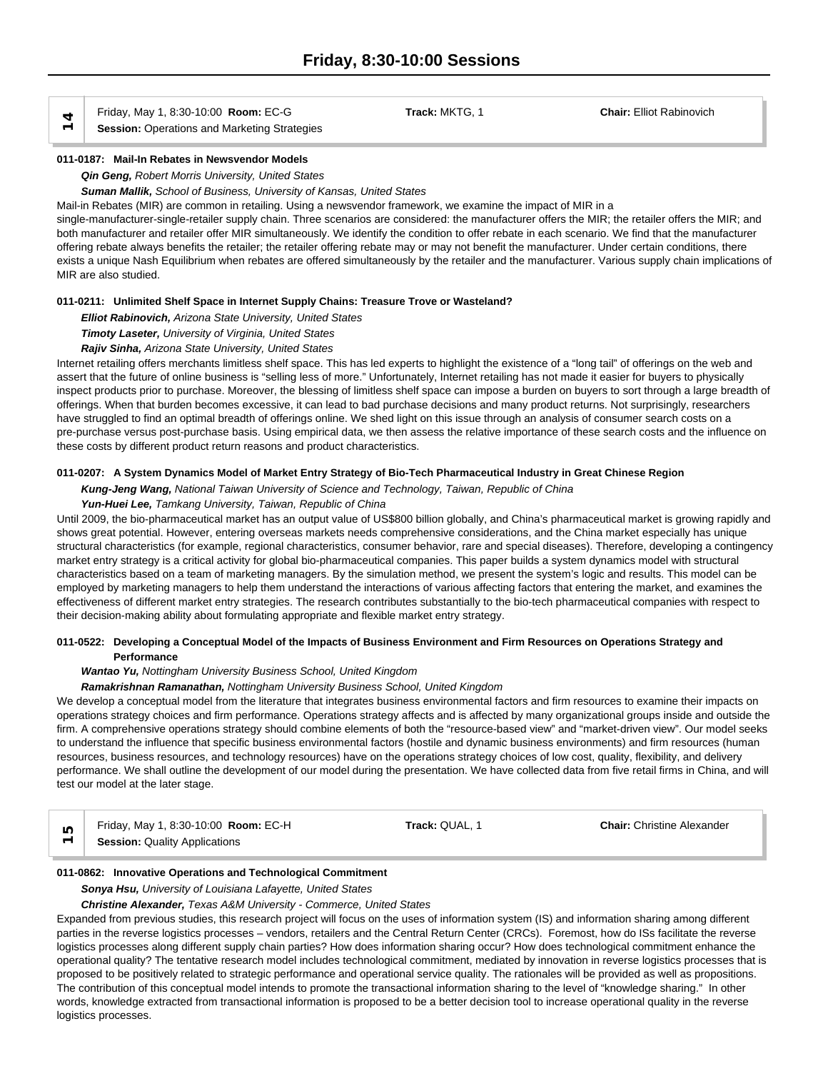Friday, May 1, 8:30-10:00 **Room:** EC-G **Track:** MKTG, 1 **Chair:** Elliot Rabinovich

**Example 3 Friday, May 1, 8:30-10:00 Room: EC-G**<br>
Session: Operations and Marketing Strategies

## **011-0187: Mail-In Rebates in Newsvendor Models**

*Qin Geng, Robert Morris University, United States*

*Suman Mallik, School of Business, University of Kansas, United States*

Mail-in Rebates (MIR) are common in retailing. Using a newsvendor framework, we examine the impact of MIR in a single-manufacturer-single-retailer supply chain. Three scenarios are considered: the manufacturer offers the MIR; the retailer offers the MIR; and both manufacturer and retailer offer MIR simultaneously. We identify the condition to offer rebate in each scenario. We find that the manufacturer offering rebate always benefits the retailer; the retailer offering rebate may or may not benefit the manufacturer. Under certain conditions, there exists a unique Nash Equilibrium when rebates are offered simultaneously by the retailer and the manufacturer. Various supply chain implications of MIR are also studied.

## **011-0211: Unlimited Shelf Space in Internet Supply Chains: Treasure Trove or Wasteland?**

*Elliot Rabinovich, Arizona State University, United States*

*Timoty Laseter, University of Virginia, United States*

# *Rajiv Sinha, Arizona State University, United States*

Internet retailing offers merchants limitless shelf space. This has led experts to highlight the existence of a "long tail" of offerings on the web and assert that the future of online business is "selling less of more." Unfortunately, Internet retailing has not made it easier for buyers to physically inspect products prior to purchase. Moreover, the blessing of limitless shelf space can impose a burden on buyers to sort through a large breadth of offerings. When that burden becomes excessive, it can lead to bad purchase decisions and many product returns. Not surprisingly, researchers have struggled to find an optimal breadth of offerings online. We shed light on this issue through an analysis of consumer search costs on a pre-purchase versus post-purchase basis. Using empirical data, we then assess the relative importance of these search costs and the influence on these costs by different product return reasons and product characteristics.

## **011-0207: A System Dynamics Model of Market Entry Strategy of Bio-Tech Pharmaceutical Industry in Great Chinese Region**

*Kung-Jeng Wang, National Taiwan University of Science and Technology, Taiwan, Republic of China*

# *Yun-Huei Lee, Tamkang University, Taiwan, Republic of China*

Until 2009, the bio-pharmaceutical market has an output value of US\$800 billion globally, and China's pharmaceutical market is growing rapidly and shows great potential. However, entering overseas markets needs comprehensive considerations, and the China market especially has unique structural characteristics (for example, regional characteristics, consumer behavior, rare and special diseases). Therefore, developing a contingency market entry strategy is a critical activity for global bio-pharmaceutical companies. This paper builds a system dynamics model with structural characteristics based on a team of marketing managers. By the simulation method, we present the system's logic and results. This model can be employed by marketing managers to help them understand the interactions of various affecting factors that entering the market, and examines the effectiveness of different market entry strategies. The research contributes substantially to the bio-tech pharmaceutical companies with respect to their decision-making ability about formulating appropriate and flexible market entry strategy.

#### **011-0522: Developing a Conceptual Model of the Impacts of Business Environment and Firm Resources on Operations Strategy and Performance**

#### *Wantao Yu, Nottingham University Business School, United Kingdom*

#### *Ramakrishnan Ramanathan, Nottingham University Business School, United Kingdom*

We develop a conceptual model from the literature that integrates business environmental factors and firm resources to examine their impacts on operations strategy choices and firm performance. Operations strategy affects and is affected by many organizational groups inside and outside the firm. A comprehensive operations strategy should combine elements of both the "resource-based view" and "market-driven view". Our model seeks to understand the influence that specific business environmental factors (hostile and dynamic business environments) and firm resources (human resources, business resources, and technology resources) have on the operations strategy choices of low cost, quality, flexibility, and delivery performance. We shall outline the development of our model during the presentation. We have collected data from five retail firms in China, and will test our model at the later stage.

| Friday, May 1, 8:30-10:00 Room: EC-H | Track: QUAL. $^{\prime}$ | <b>Chair:</b> Christine Alexander |  |
|--------------------------------------|--------------------------|-----------------------------------|--|
| <b>Session: Quality Applications</b> |                          |                                   |  |

#### **011-0862: Innovative Operations and Technological Commitment**

#### *Sonya Hsu, University of Louisiana Lafayette, United States*

*Christine Alexander, Texas A&M University - Commerce, United States*

Expanded from previous studies, this research project will focus on the uses of information system (IS) and information sharing among different parties in the reverse logistics processes – vendors, retailers and the Central Return Center (CRCs). Foremost, how do ISs facilitate the reverse logistics processes along different supply chain parties? How does information sharing occur? How does technological commitment enhance the operational quality? The tentative research model includes technological commitment, mediated by innovation in reverse logistics processes that is proposed to be positively related to strategic performance and operational service quality. The rationales will be provided as well as propositions. The contribution of this conceptual model intends to promote the transactional information sharing to the level of "knowledge sharing." In other words, knowledge extracted from transactional information is proposed to be a better decision tool to increase operational quality in the reverse logistics processes.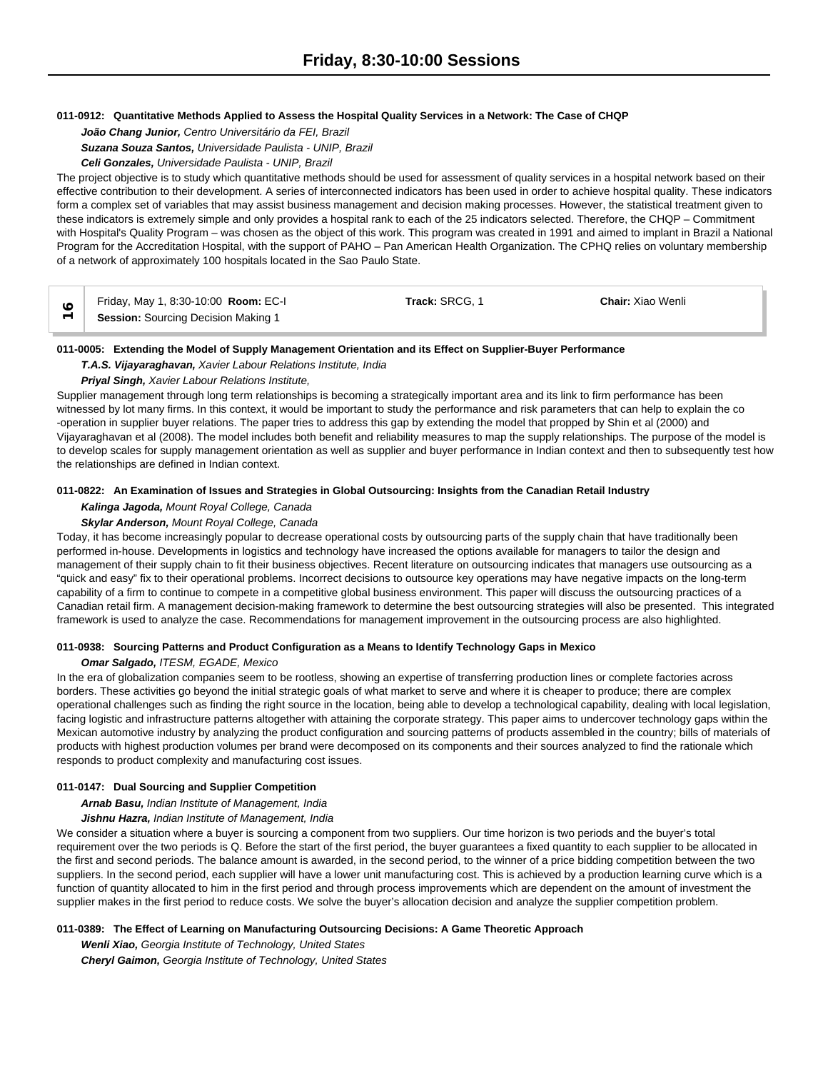#### **011-0912: Quantitative Methods Applied to Assess the Hospital Quality Services in a Network: The Case of CHQP**

*João Chang Junior, Centro Universitário da FEI, Brazil Suzana Souza Santos, Universidade Paulista - UNIP, Brazil Celi Gonzales, Universidade Paulista - UNIP, Brazil*

The project objective is to study which quantitative methods should be used for assessment of quality services in a hospital network based on their effective contribution to their development. A series of interconnected indicators has been used in order to achieve hospital quality. These indicators form a complex set of variables that may assist business management and decision making processes. However, the statistical treatment given to these indicators is extremely simple and only provides a hospital rank to each of the 25 indicators selected. Therefore, the CHQP – Commitment with Hospital's Quality Program – was chosen as the object of this work. This program was created in 1991 and aimed to implant in Brazil a National Program for the Accreditation Hospital, with the support of PAHO – Pan American Health Organization. The CPHQ relies on voluntary membership of a network of approximately 100 hospitals located in the Sao Paulo State.

| Friday, May 1, 8:30-10:00 Room: EC-I       | Track: SRCG. 1 | <b>Chair:</b> Xiao Wenli |
|--------------------------------------------|----------------|--------------------------|
| <b>Session:</b> Sourcing Decision Making 1 |                |                          |

#### **011-0005: Extending the Model of Supply Management Orientation and its Effect on Supplier-Buyer Performance**

*T.A.S. Vijayaraghavan, Xavier Labour Relations Institute, India*

#### *Priyal Singh, Xavier Labour Relations Institute,*

Supplier management through long term relationships is becoming a strategically important area and its link to firm performance has been witnessed by lot many firms. In this context, it would be important to study the performance and risk parameters that can help to explain the co -operation in supplier buyer relations. The paper tries to address this gap by extending the model that propped by Shin et al (2000) and Vijayaraghavan et al (2008). The model includes both benefit and reliability measures to map the supply relationships. The purpose of the model is to develop scales for supply management orientation as well as supplier and buyer performance in Indian context and then to subsequently test how the relationships are defined in Indian context.

#### **011-0822: An Examination of Issues and Strategies in Global Outsourcing: Insights from the Canadian Retail Industry**

#### *Kalinga Jagoda, Mount Royal College, Canada*

# *Skylar Anderson, Mount Royal College, Canada*

Today, it has become increasingly popular to decrease operational costs by outsourcing parts of the supply chain that have traditionally been performed in-house. Developments in logistics and technology have increased the options available for managers to tailor the design and management of their supply chain to fit their business objectives. Recent literature on outsourcing indicates that managers use outsourcing as a "quick and easy" fix to their operational problems. Incorrect decisions to outsource key operations may have negative impacts on the long-term capability of a firm to continue to compete in a competitive global business environment. This paper will discuss the outsourcing practices of a Canadian retail firm. A management decision-making framework to determine the best outsourcing strategies will also be presented. This integrated framework is used to analyze the case. Recommendations for management improvement in the outsourcing process are also highlighted.

#### **011-0938: Sourcing Patterns and Product Configuration as a Means to Identify Technology Gaps in Mexico**

#### *Omar Salgado, ITESM, EGADE, Mexico*

In the era of globalization companies seem to be rootless, showing an expertise of transferring production lines or complete factories across borders. These activities go beyond the initial strategic goals of what market to serve and where it is cheaper to produce; there are complex operational challenges such as finding the right source in the location, being able to develop a technological capability, dealing with local legislation, facing logistic and infrastructure patterns altogether with attaining the corporate strategy. This paper aims to undercover technology gaps within the Mexican automotive industry by analyzing the product configuration and sourcing patterns of products assembled in the country; bills of materials of products with highest production volumes per brand were decomposed on its components and their sources analyzed to find the rationale which responds to product complexity and manufacturing cost issues.

## **011-0147: Dual Sourcing and Supplier Competition**

## *Arnab Basu, Indian Institute of Management, India*

#### *Jishnu Hazra, Indian Institute of Management, India*

We consider a situation where a buyer is sourcing a component from two suppliers. Our time horizon is two periods and the buyer's total requirement over the two periods is Q. Before the start of the first period, the buyer guarantees a fixed quantity to each supplier to be allocated in the first and second periods. The balance amount is awarded, in the second period, to the winner of a price bidding competition between the two suppliers. In the second period, each supplier will have a lower unit manufacturing cost. This is achieved by a production learning curve which is a function of quantity allocated to him in the first period and through process improvements which are dependent on the amount of investment the supplier makes in the first period to reduce costs. We solve the buyer's allocation decision and analyze the supplier competition problem.

## **011-0389: The Effect of Learning on Manufacturing Outsourcing Decisions: A Game Theoretic Approach**

*Wenli Xiao, Georgia Institute of Technology, United States Cheryl Gaimon, Georgia Institute of Technology, United States*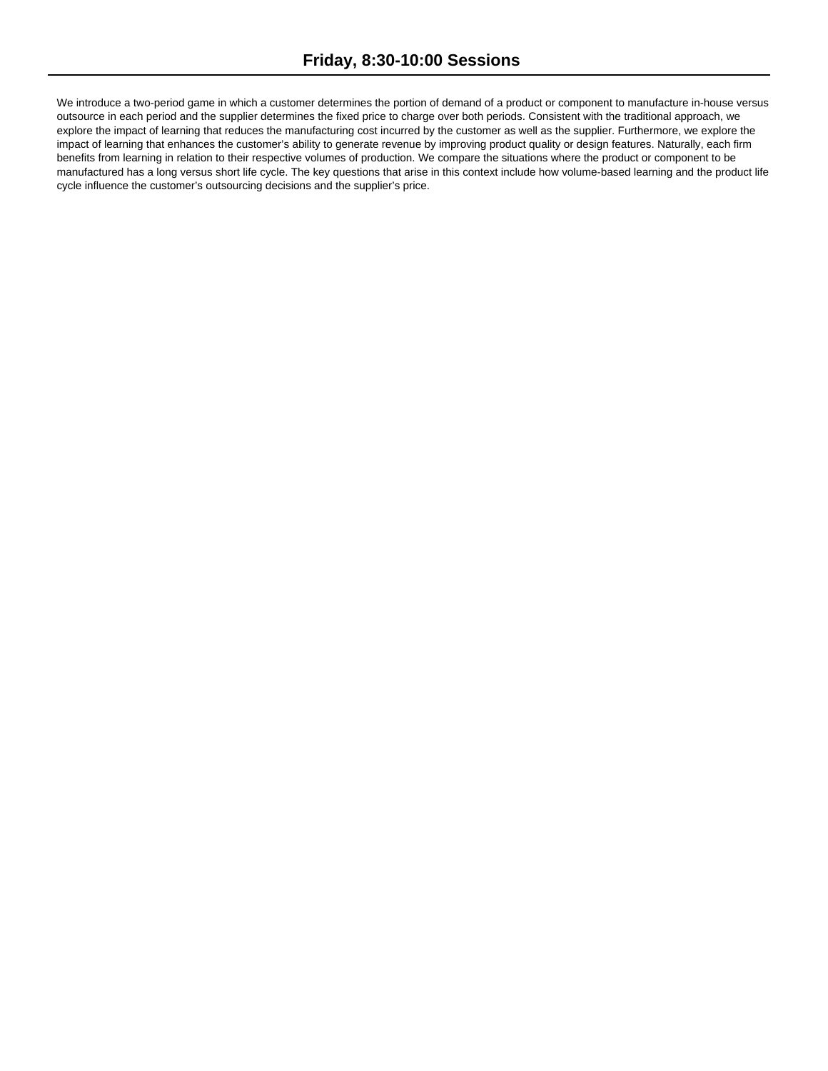We introduce a two-period game in which a customer determines the portion of demand of a product or component to manufacture in-house versus outsource in each period and the supplier determines the fixed price to charge over both periods. Consistent with the traditional approach, we explore the impact of learning that reduces the manufacturing cost incurred by the customer as well as the supplier. Furthermore, we explore the impact of learning that enhances the customer's ability to generate revenue by improving product quality or design features. Naturally, each firm benefits from learning in relation to their respective volumes of production. We compare the situations where the product or component to be manufactured has a long versus short life cycle. The key questions that arise in this context include how volume-based learning and the product life cycle influence the customer's outsourcing decisions and the supplier's price.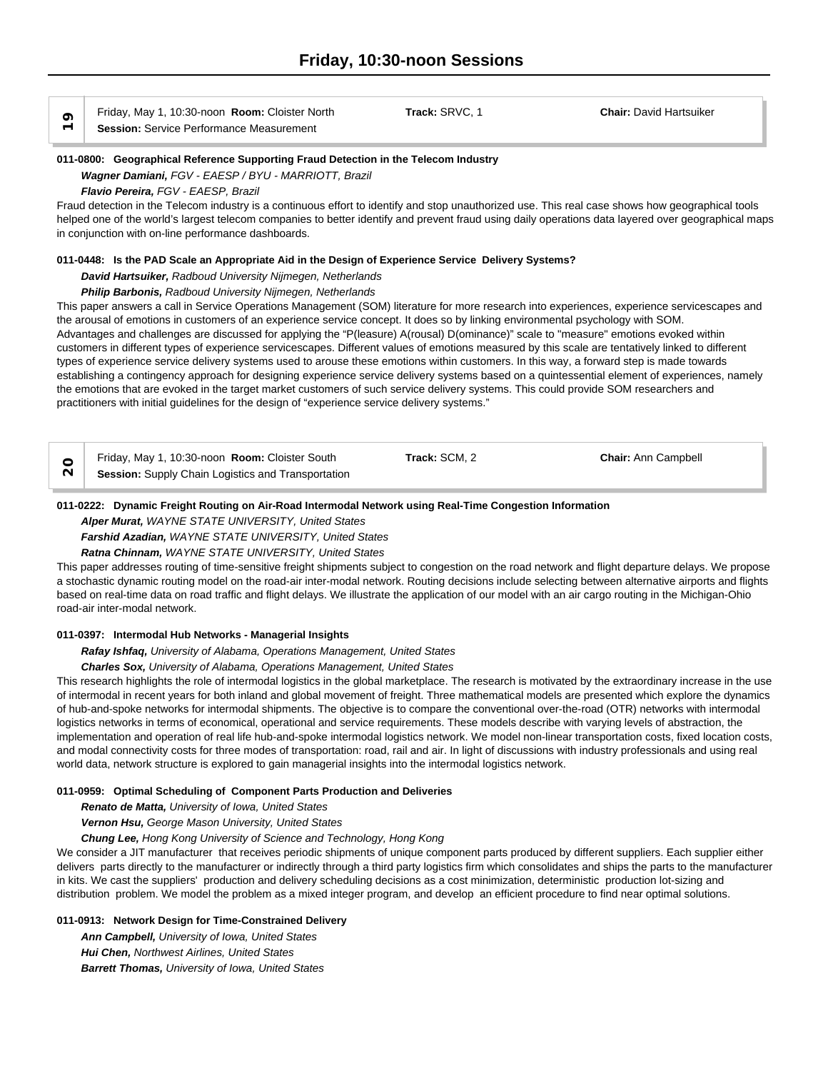Friday, May 1, 10:30-noon **Room:** Cloister North **Track:** SRVC, 1 **Chair:** David Hartsuiker Ontomiental Priday, May 1, 10:30-hoon **Room:** Cloister No<br>
<del>○</del> Session: Service Performance Measurement

#### **011-0800: Geographical Reference Supporting Fraud Detection in the Telecom Industry**

#### *Wagner Damiani, FGV - EAESP / BYU - MARRIOTT, Brazil*

*Flavio Pereira, FGV - EAESP, Brazil*

Fraud detection in the Telecom industry is a continuous effort to identify and stop unauthorized use. This real case shows how geographical tools helped one of the world's largest telecom companies to better identify and prevent fraud using daily operations data layered over geographical maps in conjunction with on-line performance dashboards.

#### **011-0448: Is the PAD Scale an Appropriate Aid in the Design of Experience Service Delivery Systems?**

*David Hartsuiker, Radboud University Nijmegen, Netherlands*

#### *Philip Barbonis, Radboud University Nijmegen, Netherlands*

This paper answers a call in Service Operations Management (SOM) literature for more research into experiences, experience servicescapes and the arousal of emotions in customers of an experience service concept. It does so by linking environmental psychology with SOM. Advantages and challenges are discussed for applying the "P(leasure) A(rousal) D(ominance)" scale to "measure" emotions evoked within customers in different types of experience servicescapes. Different values of emotions measured by this scale are tentatively linked to different types of experience service delivery systems used to arouse these emotions within customers. In this way, a forward step is made towards establishing a contingency approach for designing experience service delivery systems based on a quintessential element of experiences, namely the emotions that are evoked in the target market customers of such service delivery systems. This could provide SOM researchers and practitioners with initial guidelines for the design of "experience service delivery systems."

| Friday, May 1, 10:30-noon Room: Cloister South            | Track: SCM, 2 | <b>Chair: Ann Campbell</b> |
|-----------------------------------------------------------|---------------|----------------------------|
| <b>Session:</b> Supply Chain Logistics and Transportation |               |                            |

#### **011-0222: Dynamic Freight Routing on Air-Road Intermodal Network using Real-Time Congestion Information**

#### *Alper Murat, WAYNE STATE UNIVERSITY, United States*

*Farshid Azadian, WAYNE STATE UNIVERSITY, United States*

*Ratna Chinnam, WAYNE STATE UNIVERSITY, United States*

This paper addresses routing of time-sensitive freight shipments subject to congestion on the road network and flight departure delays. We propose a stochastic dynamic routing model on the road-air inter-modal network. Routing decisions include selecting between alternative airports and flights based on real-time data on road traffic and flight delays. We illustrate the application of our model with an air cargo routing in the Michigan-Ohio road-air inter-modal network.

#### **011-0397: Intermodal Hub Networks - Managerial Insights**

*Rafay Ishfaq, University of Alabama, Operations Management, United States*

*Charles Sox, University of Alabama, Operations Management, United States*

This research highlights the role of intermodal logistics in the global marketplace. The research is motivated by the extraordinary increase in the use of intermodal in recent years for both inland and global movement of freight. Three mathematical models are presented which explore the dynamics of hub-and-spoke networks for intermodal shipments. The objective is to compare the conventional over-the-road (OTR) networks with intermodal logistics networks in terms of economical, operational and service requirements. These models describe with varying levels of abstraction, the implementation and operation of real life hub-and-spoke intermodal logistics network. We model non-linear transportation costs, fixed location costs, and modal connectivity costs for three modes of transportation: road, rail and air. In light of discussions with industry professionals and using real world data, network structure is explored to gain managerial insights into the intermodal logistics network.

#### **011-0959: Optimal Scheduling of Component Parts Production and Deliveries**

*Renato de Matta, University of Iowa, United States*

*Vernon Hsu, George Mason University, United States*

*Chung Lee, Hong Kong University of Science and Technology, Hong Kong*

We consider a JIT manufacturer that receives periodic shipments of unique component parts produced by different suppliers. Each supplier either delivers parts directly to the manufacturer or indirectly through a third party logistics firm which consolidates and ships the parts to the manufacturer in kits. We cast the suppliers' production and delivery scheduling decisions as a cost minimization, deterministic production lot-sizing and distribution problem. We model the problem as a mixed integer program, and develop an efficient procedure to find near optimal solutions.

#### **011-0913: Network Design for Time-Constrained Delivery**

*Ann Campbell, University of Iowa, United States Hui Chen, Northwest Airlines, United States Barrett Thomas, University of Iowa, United States*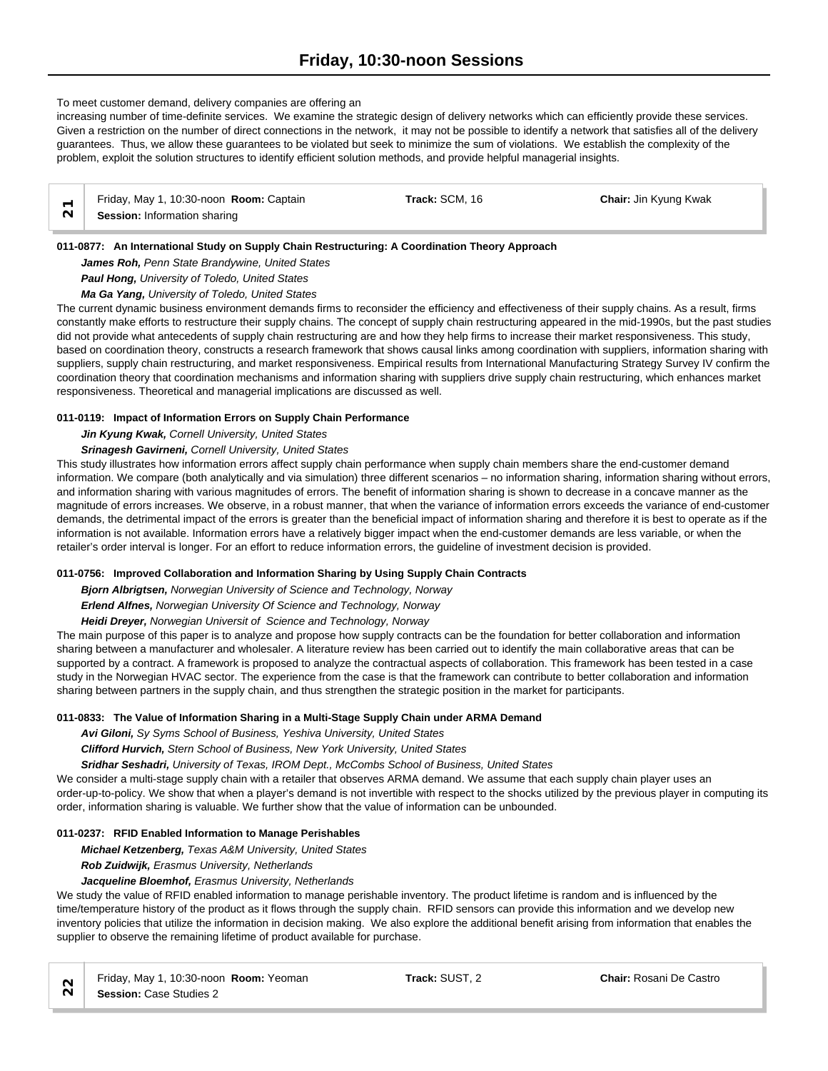# To meet customer demand, delivery companies are offering an

increasing number of time-definite services. We examine the strategic design of delivery networks which can efficiently provide these services. Given a restriction on the number of direct connections in the network, it may not be possible to identify a network that satisfies all of the delivery guarantees. Thus, we allow these guarantees to be violated but seek to minimize the sum of violations. We establish the complexity of the problem, exploit the solution structures to identify efficient solution methods, and provide helpful managerial insights.

| Friday, May 1, 10:30-noon Room: Captain | Track: SCM. 16 | <b>Chair: Jin Kyung Kwak</b> |  |
|-----------------------------------------|----------------|------------------------------|--|
| <b>Session:</b> Information sharing     |                |                              |  |

# **011-0877: An International Study on Supply Chain Restructuring: A Coordination Theory Approach**

*James Roh, Penn State Brandywine, United States*

*Paul Hong, University of Toledo, United States*

*Ma Ga Yang, University of Toledo, United States*

The current dynamic business environment demands firms to reconsider the efficiency and effectiveness of their supply chains. As a result, firms constantly make efforts to restructure their supply chains. The concept of supply chain restructuring appeared in the mid-1990s, but the past studies did not provide what antecedents of supply chain restructuring are and how they help firms to increase their market responsiveness. This study, based on coordination theory, constructs a research framework that shows causal links among coordination with suppliers, information sharing with suppliers, supply chain restructuring, and market responsiveness. Empirical results from International Manufacturing Strategy Survey IV confirm the coordination theory that coordination mechanisms and information sharing with suppliers drive supply chain restructuring, which enhances market responsiveness. Theoretical and managerial implications are discussed as well.

# **011-0119: Impact of Information Errors on Supply Chain Performance**

*Jin Kyung Kwak, Cornell University, United States*

# *Srinagesh Gavirneni, Cornell University, United States*

This study illustrates how information errors affect supply chain performance when supply chain members share the end-customer demand information. We compare (both analytically and via simulation) three different scenarios – no information sharing, information sharing without errors, and information sharing with various magnitudes of errors. The benefit of information sharing is shown to decrease in a concave manner as the magnitude of errors increases. We observe, in a robust manner, that when the variance of information errors exceeds the variance of end-customer demands, the detrimental impact of the errors is greater than the beneficial impact of information sharing and therefore it is best to operate as if the information is not available. Information errors have a relatively bigger impact when the end-customer demands are less variable, or when the retailer's order interval is longer. For an effort to reduce information errors, the guideline of investment decision is provided.

# **011-0756: Improved Collaboration and Information Sharing by Using Supply Chain Contracts**

*Bjorn Albrigtsen, Norwegian University of Science and Technology, Norway*

*Erlend Alfnes, Norwegian University Of Science and Technology, Norway*

*Heidi Dreyer, Norwegian Universit of Science and Technology, Norway*

The main purpose of this paper is to analyze and propose how supply contracts can be the foundation for better collaboration and information sharing between a manufacturer and wholesaler. A literature review has been carried out to identify the main collaborative areas that can be supported by a contract. A framework is proposed to analyze the contractual aspects of collaboration. This framework has been tested in a case study in the Norwegian HVAC sector. The experience from the case is that the framework can contribute to better collaboration and information sharing between partners in the supply chain, and thus strengthen the strategic position in the market for participants.

# **011-0833: The Value of Information Sharing in a Multi-Stage Supply Chain under ARMA Demand**

*Avi Giloni, Sy Syms School of Business, Yeshiva University, United States*

*Clifford Hurvich, Stern School of Business, New York University, United States*

*Sridhar Seshadri, University of Texas, IROM Dept., McCombs School of Business, United States*

We consider a multi-stage supply chain with a retailer that observes ARMA demand. We assume that each supply chain player uses an order-up-to-policy. We show that when a player's demand is not invertible with respect to the shocks utilized by the previous player in computing its order, information sharing is valuable. We further show that the value of information can be unbounded.

# **011-0237: RFID Enabled Information to Manage Perishables**

*Michael Ketzenberg, Texas A&M University, United States*

*Rob Zuidwijk, Erasmus University, Netherlands*

## *Jacqueline Bloemhof, Erasmus University, Netherlands*

We study the value of RFID enabled information to manage perishable inventory. The product lifetime is random and is influenced by the time/temperature history of the product as it flows through the supply chain. RFID sensors can provide this information and we develop new inventory policies that utilize the information in decision making. We also explore the additional benefit arising from information that enables the supplier to observe the remaining lifetime of product available for purchase.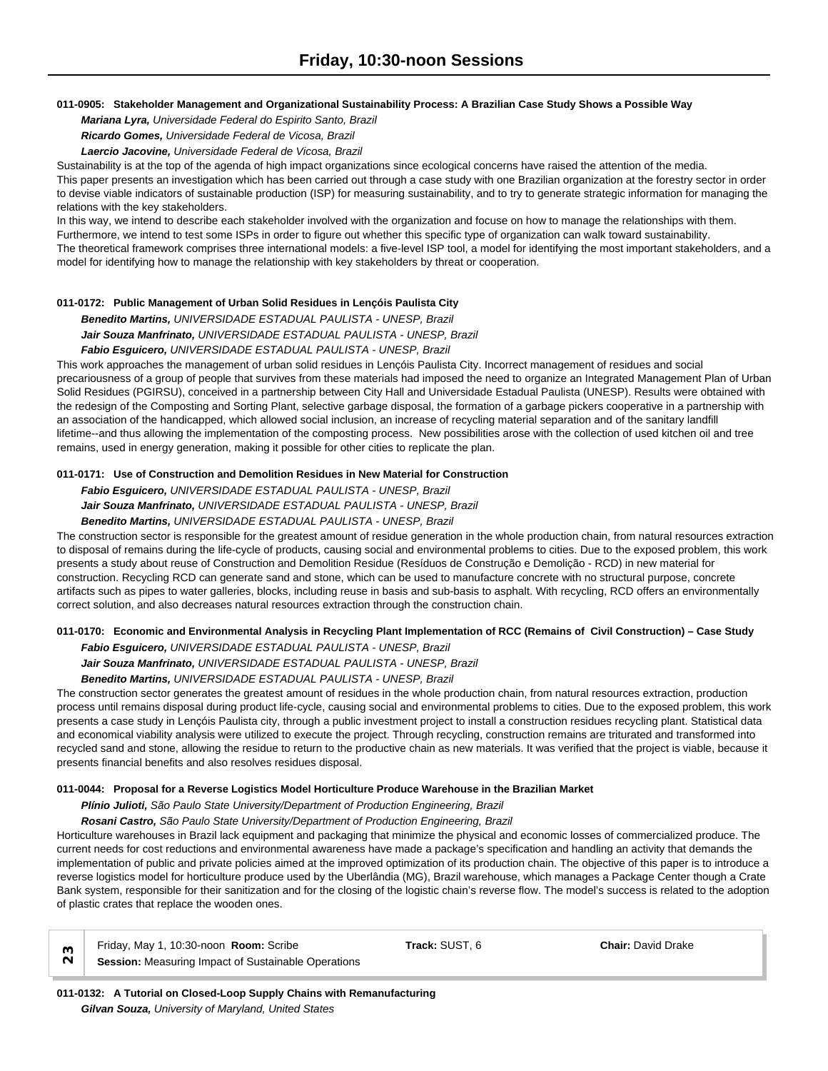## **011-0905: Stakeholder Management and Organizational Sustainability Process: A Brazilian Case Study Shows a Possible Way**

*Mariana Lyra, Universidade Federal do Espirito Santo, Brazil*

*Ricardo Gomes, Universidade Federal de Vicosa, Brazil*

*Laercio Jacovine, Universidade Federal de Vicosa, Brazil*

Sustainability is at the top of the agenda of high impact organizations since ecological concerns have raised the attention of the media. This paper presents an investigation which has been carried out through a case study with one Brazilian organization at the forestry sector in order to devise viable indicators of sustainable production (ISP) for measuring sustainability, and to try to generate strategic information for managing the relations with the key stakeholders.

In this way, we intend to describe each stakeholder involved with the organization and focuse on how to manage the relationships with them. Furthermore, we intend to test some ISPs in order to figure out whether this specific type of organization can walk toward sustainability. The theoretical framework comprises three international models: a five-level ISP tool, a model for identifying the most important stakeholders, and a model for identifying how to manage the relationship with key stakeholders by threat or cooperation.

# **011-0172: Public Management of Urban Solid Residues in Lençóis Paulista City**

*Benedito Martins, UNIVERSIDADE ESTADUAL PAULISTA - UNESP, Brazil Jair Souza Manfrinato, UNIVERSIDADE ESTADUAL PAULISTA - UNESP, Brazil*

*Fabio Esguicero, UNIVERSIDADE ESTADUAL PAULISTA - UNESP, Brazil*

This work approaches the management of urban solid residues in Lençóis Paulista City. Incorrect management of residues and social precariousness of a group of people that survives from these materials had imposed the need to organize an Integrated Management Plan of Urban Solid Residues (PGIRSU), conceived in a partnership between City Hall and Universidade Estadual Paulista (UNESP). Results were obtained with the redesign of the Composting and Sorting Plant, selective garbage disposal, the formation of a garbage pickers cooperative in a partnership with an association of the handicapped, which allowed social inclusion, an increase of recycling material separation and of the sanitary landfill lifetime--and thus allowing the implementation of the composting process. New possibilities arose with the collection of used kitchen oil and tree remains, used in energy generation, making it possible for other cities to replicate the plan.

# **011-0171: Use of Construction and Demolition Residues in New Material for Construction**

*Fabio Esguicero, UNIVERSIDADE ESTADUAL PAULISTA - UNESP, Brazil*

*Jair Souza Manfrinato, UNIVERSIDADE ESTADUAL PAULISTA - UNESP, Brazil*

# *Benedito Martins, UNIVERSIDADE ESTADUAL PAULISTA - UNESP, Brazil*

The construction sector is responsible for the greatest amount of residue generation in the whole production chain, from natural resources extraction to disposal of remains during the life-cycle of products, causing social and environmental problems to cities. Due to the exposed problem, this work presents a study about reuse of Construction and Demolition Residue (Resíduos de Construção e Demolição - RCD) in new material for construction. Recycling RCD can generate sand and stone, which can be used to manufacture concrete with no structural purpose, concrete artifacts such as pipes to water galleries, blocks, including reuse in basis and sub-basis to asphalt. With recycling, RCD offers an environmentally correct solution, and also decreases natural resources extraction through the construction chain.

# **011-0170: Economic and Environmental Analysis in Recycling Plant Implementation of RCC (Remains of Civil Construction) – Case Study**

*Fabio Esguicero, UNIVERSIDADE ESTADUAL PAULISTA - UNESP, Brazil*

*Jair Souza Manfrinato, UNIVERSIDADE ESTADUAL PAULISTA - UNESP, Brazil*

*Benedito Martins, UNIVERSIDADE ESTADUAL PAULISTA - UNESP, Brazil*

The construction sector generates the greatest amount of residues in the whole production chain, from natural resources extraction, production process until remains disposal during product life-cycle, causing social and environmental problems to cities. Due to the exposed problem, this work presents a case study in Lençóis Paulista city, through a public investment project to install a construction residues recycling plant. Statistical data and economical viability analysis were utilized to execute the project. Through recycling, construction remains are triturated and transformed into recycled sand and stone, allowing the residue to return to the productive chain as new materials. It was verified that the project is viable, because it presents financial benefits and also resolves residues disposal.

# **011-0044: Proposal for a Reverse Logistics Model Horticulture Produce Warehouse in the Brazilian Market**

# *Plínio Julioti, São Paulo State University/Department of Production Engineering, Brazil*

*Rosani Castro, São Paulo State University/Department of Production Engineering, Brazil*

Horticulture warehouses in Brazil lack equipment and packaging that minimize the physical and economic losses of commercialized produce. The current needs for cost reductions and environmental awareness have made a package's specification and handling an activity that demands the implementation of public and private policies aimed at the improved optimization of its production chain. The objective of this paper is to introduce a reverse logistics model for horticulture produce used by the Uberlândia (MG), Brazil warehouse, which manages a Package Center though a Crate Bank system, responsible for their sanitization and for the closing of the logistic chain's reverse flow. The model's success is related to the adoption of plastic crates that replace the wooden ones.

| $\sim$ $\overline{\phantom{0}}$ | Friday, May 1, 10:30-noon Room: Scribe              | Track: SUST. 6 | <b>Chair: David Drake</b> |  |
|---------------------------------|-----------------------------------------------------|----------------|---------------------------|--|
|                                 | Session: Measuring Impact of Sustainable Operations |                |                           |  |

**011-0132: A Tutorial on Closed-Loop Supply Chains with Remanufacturing** *Gilvan Souza, University of Maryland, United States*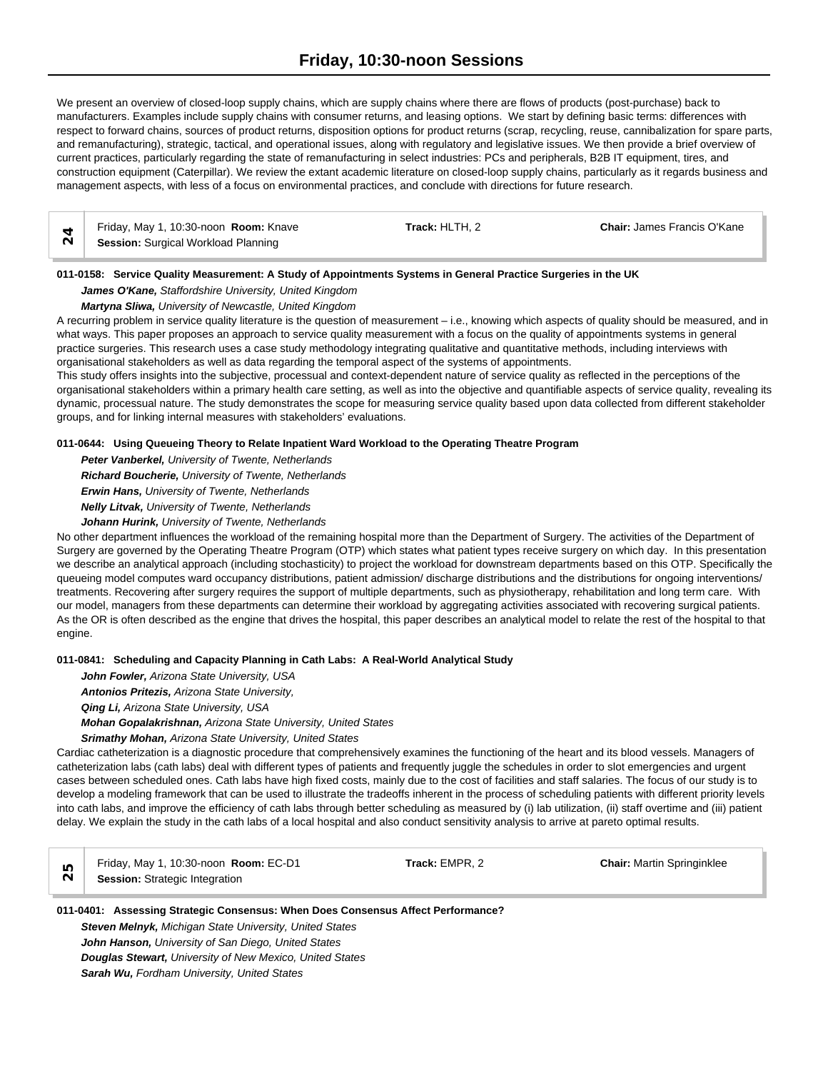We present an overview of closed-loop supply chains, which are supply chains where there are flows of products (post-purchase) back to manufacturers. Examples include supply chains with consumer returns, and leasing options. We start by defining basic terms: differences with respect to forward chains, sources of product returns, disposition options for product returns (scrap, recycling, reuse, cannibalization for spare parts, and remanufacturing), strategic, tactical, and operational issues, along with regulatory and legislative issues. We then provide a brief overview of current practices, particularly regarding the state of remanufacturing in select industries: PCs and peripherals, B2B IT equipment, tires, and construction equipment (Caterpillar). We review the extant academic literature on closed-loop supply chains, particularly as it regards business and management aspects, with less of a focus on environmental practices, and conclude with directions for future research.

| Friday, May 1, 10:30-noon Room: Knave      | <b>Track:</b> HLTH. 2 | <b>Chair: James Francis O'Kane</b> |  |
|--------------------------------------------|-----------------------|------------------------------------|--|
| <b>Session:</b> Surgical Workload Planning |                       |                                    |  |

# **011-0158: Service Quality Measurement: A Study of Appointments Systems in General Practice Surgeries in the UK**

*James O'Kane, Staffordshire University, United Kingdom*

*Martyna Sliwa, University of Newcastle, United Kingdom*

A recurring problem in service quality literature is the question of measurement – i.e., knowing which aspects of quality should be measured, and in what ways. This paper proposes an approach to service quality measurement with a focus on the quality of appointments systems in general practice surgeries. This research uses a case study methodology integrating qualitative and quantitative methods, including interviews with organisational stakeholders as well as data regarding the temporal aspect of the systems of appointments.

This study offers insights into the subjective, processual and context-dependent nature of service quality as reflected in the perceptions of the organisational stakeholders within a primary health care setting, as well as into the objective and quantifiable aspects of service quality, revealing its dynamic, processual nature. The study demonstrates the scope for measuring service quality based upon data collected from different stakeholder groups, and for linking internal measures with stakeholders' evaluations.

#### **011-0644: Using Queueing Theory to Relate Inpatient Ward Workload to the Operating Theatre Program**

*Peter Vanberkel, University of Twente, Netherlands Richard Boucherie, University of Twente, Netherlands*

*Erwin Hans, University of Twente, Netherlands*

*Nelly Litvak, University of Twente, Netherlands*

*Johann Hurink, University of Twente, Netherlands*

No other department influences the workload of the remaining hospital more than the Department of Surgery. The activities of the Department of Surgery are governed by the Operating Theatre Program (OTP) which states what patient types receive surgery on which day. In this presentation we describe an analytical approach (including stochasticity) to project the workload for downstream departments based on this OTP. Specifically the queueing model computes ward occupancy distributions, patient admission/ discharge distributions and the distributions for ongoing interventions/ treatments. Recovering after surgery requires the support of multiple departments, such as physiotherapy, rehabilitation and long term care. With our model, managers from these departments can determine their workload by aggregating activities associated with recovering surgical patients. As the OR is often described as the engine that drives the hospital, this paper describes an analytical model to relate the rest of the hospital to that engine.

# **011-0841: Scheduling and Capacity Planning in Cath Labs: A Real-World Analytical Study**

*John Fowler, Arizona State University, USA Antonios Pritezis, Arizona State University,* 

*Qing Li, Arizona State University, USA*

*Mohan Gopalakrishnan, Arizona State University, United States*

*Srimathy Mohan, Arizona State University, United States*

Cardiac catheterization is a diagnostic procedure that comprehensively examines the functioning of the heart and its blood vessels. Managers of catheterization labs (cath labs) deal with different types of patients and frequently juggle the schedules in order to slot emergencies and urgent cases between scheduled ones. Cath labs have high fixed costs, mainly due to the cost of facilities and staff salaries. The focus of our study is to develop a modeling framework that can be used to illustrate the tradeoffs inherent in the process of scheduling patients with different priority levels into cath labs, and improve the efficiency of cath labs through better scheduling as measured by (i) lab utilization, (ii) staff overtime and (iii) patient delay. We explain the study in the cath labs of a local hospital and also conduct sensitivity analysis to arrive at pareto optimal results.

Friday, May 1, 10:30-noon **Room:** EC-D1 **Track:** EMPR, 2 **Chair:** Martin Springinklee **Session:** Strategic Integration

## **011-0401: Assessing Strategic Consensus: When Does Consensus Affect Performance?** *Steven Melnyk, Michigan State University, United States*

*John Hanson, University of San Diego, United States Douglas Stewart, University of New Mexico, United States Sarah Wu, Fordham University, United States*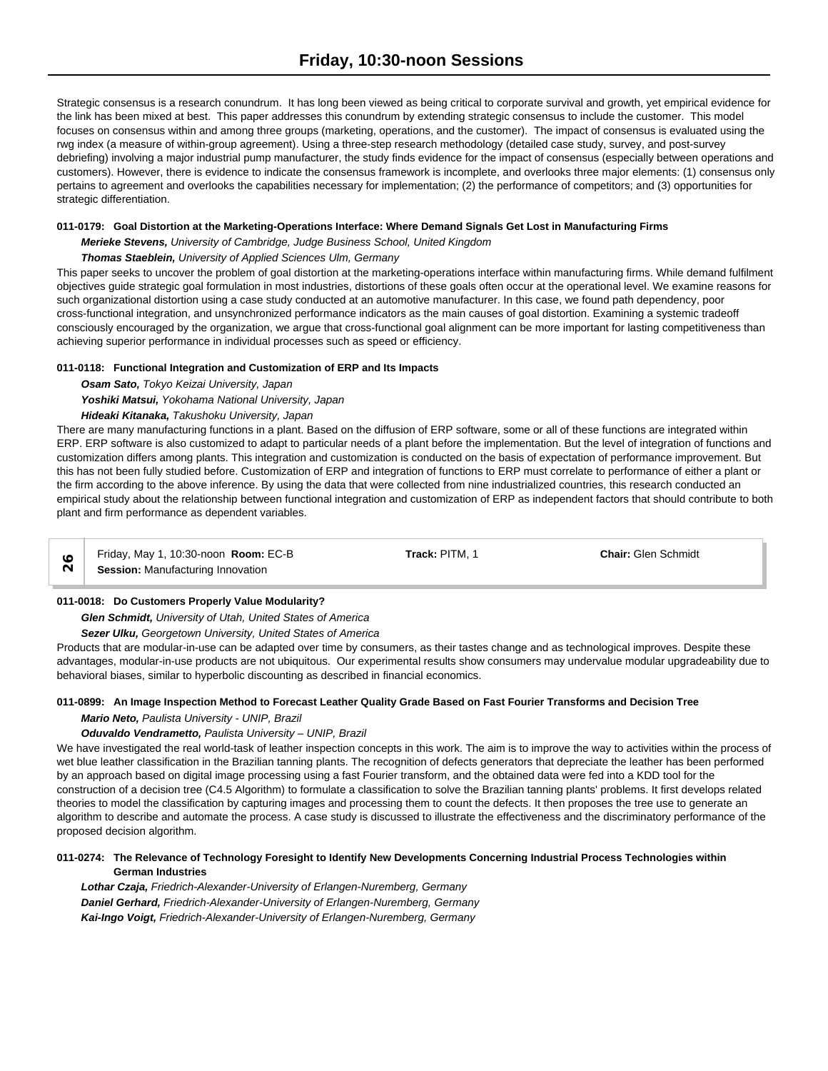Strategic consensus is a research conundrum. It has long been viewed as being critical to corporate survival and growth, yet empirical evidence for the link has been mixed at best. This paper addresses this conundrum by extending strategic consensus to include the customer. This model focuses on consensus within and among three groups (marketing, operations, and the customer). The impact of consensus is evaluated using the rwg index (a measure of within-group agreement). Using a three-step research methodology (detailed case study, survey, and post-survey debriefing) involving a major industrial pump manufacturer, the study finds evidence for the impact of consensus (especially between operations and customers). However, there is evidence to indicate the consensus framework is incomplete, and overlooks three major elements: (1) consensus only pertains to agreement and overlooks the capabilities necessary for implementation; (2) the performance of competitors; and (3) opportunities for strategic differentiation.

# **011-0179: Goal Distortion at the Marketing-Operations Interface: Where Demand Signals Get Lost in Manufacturing Firms**

*Merieke Stevens, University of Cambridge, Judge Business School, United Kingdom*

# *Thomas Staeblein, University of Applied Sciences Ulm, Germany*

This paper seeks to uncover the problem of goal distortion at the marketing-operations interface within manufacturing firms. While demand fulfilment objectives guide strategic goal formulation in most industries, distortions of these goals often occur at the operational level. We examine reasons for such organizational distortion using a case study conducted at an automotive manufacturer. In this case, we found path dependency, poor cross-functional integration, and unsynchronized performance indicators as the main causes of goal distortion. Examining a systemic tradeoff consciously encouraged by the organization, we argue that cross-functional goal alignment can be more important for lasting competitiveness than achieving superior performance in individual processes such as speed or efficiency.

# **011-0118: Functional Integration and Customization of ERP and Its Impacts**

*Osam Sato, Tokyo Keizai University, Japan*

*Yoshiki Matsui, Yokohama National University, Japan*

# *Hideaki Kitanaka, Takushoku University, Japan*

There are many manufacturing functions in a plant. Based on the diffusion of ERP software, some or all of these functions are integrated within ERP. ERP software is also customized to adapt to particular needs of a plant before the implementation. But the level of integration of functions and customization differs among plants. This integration and customization is conducted on the basis of expectation of performance improvement. But this has not been fully studied before. Customization of ERP and integration of functions to ERP must correlate to performance of either a plant or the firm according to the above inference. By using the data that were collected from nine industrialized countries, this research conducted an empirical study about the relationship between functional integration and customization of ERP as independent factors that should contribute to both plant and firm performance as dependent variables.

Friday, May 1, 10:30-noon **Room:** EC-B **Track:** PITM, 1 **Chair:** Glen Schmidt **Session:** Manufacturing Innovation<br> **Session:** Manufacturing Innovation

# **011-0018: Do Customers Properly Value Modularity?**

*Glen Schmidt, University of Utah, United States of America*

## *Sezer Ulku, Georgetown University, United States of America*

Products that are modular-in-use can be adapted over time by consumers, as their tastes change and as technological improves. Despite these advantages, modular-in-use products are not ubiquitous. Our experimental results show consumers may undervalue modular upgradeability due to behavioral biases, similar to hyperbolic discounting as described in financial economics.

# **011-0899: An Image Inspection Method to Forecast Leather Quality Grade Based on Fast Fourier Transforms and Decision Tree**

## *Mario Neto, Paulista University - UNIP, Brazil*

# *Oduvaldo Vendrametto, Paulista University – UNIP, Brazil*

We have investigated the real world-task of leather inspection concepts in this work. The aim is to improve the way to activities within the process of wet blue leather classification in the Brazilian tanning plants. The recognition of defects generators that depreciate the leather has been performed by an approach based on digital image processing using a fast Fourier transform, and the obtained data were fed into a KDD tool for the construction of a decision tree (C4.5 Algorithm) to formulate a classification to solve the Brazilian tanning plants' problems. It first develops related theories to model the classification by capturing images and processing them to count the defects. It then proposes the tree use to generate an algorithm to describe and automate the process. A case study is discussed to illustrate the effectiveness and the discriminatory performance of the proposed decision algorithm.

#### **011-0274: The Relevance of Technology Foresight to Identify New Developments Concerning Industrial Process Technologies within German Industries**

*Lothar Czaja, Friedrich-Alexander-University of Erlangen-Nuremberg, Germany Daniel Gerhard, Friedrich-Alexander-University of Erlangen-Nuremberg, Germany Kai-Ingo Voigt, Friedrich-Alexander-University of Erlangen-Nuremberg, Germany*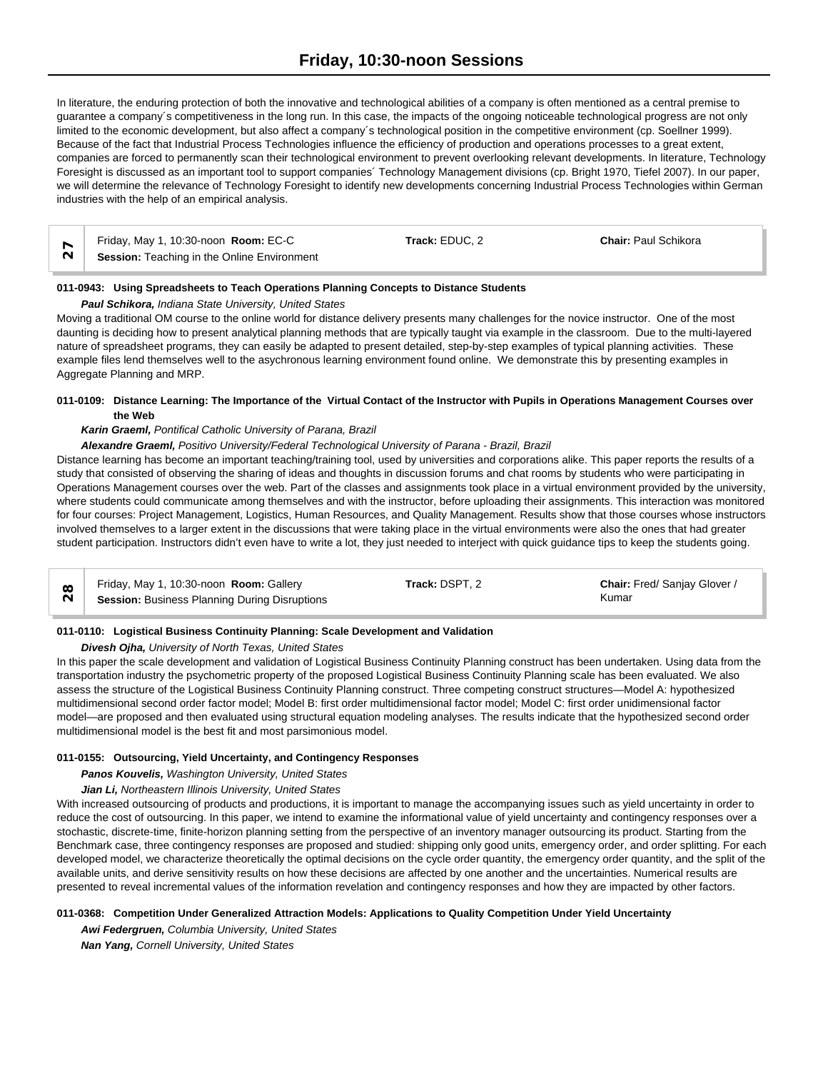In literature, the enduring protection of both the innovative and technological abilities of a company is often mentioned as a central premise to guarantee a company´s competitiveness in the long run. In this case, the impacts of the ongoing noticeable technological progress are not only limited to the economic development, but also affect a company´s technological position in the competitive environment (cp. Soellner 1999). Because of the fact that Industrial Process Technologies influence the efficiency of production and operations processes to a great extent, companies are forced to permanently scan their technological environment to prevent overlooking relevant developments. In literature, Technology Foresight is discussed as an important tool to support companies´ Technology Management divisions (cp. Bright 1970, Tiefel 2007). In our paper, we will determine the relevance of Technology Foresight to identify new developments concerning Industrial Process Technologies within German industries with the help of an empirical analysis.

| Friday, May 1, 10:30-noon Room: EC-C               | Track: EDUC. 2 | <b>Chair: Paul Schikora</b> |  |
|----------------------------------------------------|----------------|-----------------------------|--|
| <b>Session:</b> Teaching in the Online Environment |                |                             |  |

## **011-0943: Using Spreadsheets to Teach Operations Planning Concepts to Distance Students**

*Paul Schikora, Indiana State University, United States*

Moving a traditional OM course to the online world for distance delivery presents many challenges for the novice instructor. One of the most daunting is deciding how to present analytical planning methods that are typically taught via example in the classroom. Due to the multi-layered nature of spreadsheet programs, they can easily be adapted to present detailed, step-by-step examples of typical planning activities. These example files lend themselves well to the asychronous learning environment found online. We demonstrate this by presenting examples in Aggregate Planning and MRP.

# **011-0109: Distance Learning: The Importance of the Virtual Contact of the Instructor with Pupils in Operations Management Courses over the Web**

## *Karin Graeml, Pontifical Catholic University of Parana, Brazil*

#### *Alexandre Graeml, Positivo University/Federal Technological University of Parana - Brazil, Brazil*

Distance learning has become an important teaching/training tool, used by universities and corporations alike. This paper reports the results of a study that consisted of observing the sharing of ideas and thoughts in discussion forums and chat rooms by students who were participating in Operations Management courses over the web. Part of the classes and assignments took place in a virtual environment provided by the university, where students could communicate among themselves and with the instructor, before uploading their assignments. This interaction was monitored for four courses: Project Management, Logistics, Human Resources, and Quality Management. Results show that those courses whose instructors involved themselves to a larger extent in the discussions that were taking place in the virtual environments were also the ones that had greater student participation. Instructors didn't even have to write a lot, they just needed to interject with quick guidance tips to keep the students going.

| Friday, May 1, 10:30-noon Room: Gallery              | Track: DSPT. 2 | Chair: Fred/ Sanjay Glover / |  |
|------------------------------------------------------|----------------|------------------------------|--|
| <b>Session: Business Planning During Disruptions</b> |                | Kumar                        |  |

## **011-0110: Logistical Business Continuity Planning: Scale Development and Validation**

#### *Divesh Ojha, University of North Texas, United States*

In this paper the scale development and validation of Logistical Business Continuity Planning construct has been undertaken. Using data from the transportation industry the psychometric property of the proposed Logistical Business Continuity Planning scale has been evaluated. We also assess the structure of the Logistical Business Continuity Planning construct. Three competing construct structures—Model A: hypothesized multidimensional second order factor model; Model B: first order multidimensional factor model; Model C: first order unidimensional factor model—are proposed and then evaluated using structural equation modeling analyses. The results indicate that the hypothesized second order multidimensional model is the best fit and most parsimonious model.

#### **011-0155: Outsourcing, Yield Uncertainty, and Contingency Responses**

## *Panos Kouvelis, Washington University, United States*

#### *Jian Li, Northeastern Illinois University, United States*

With increased outsourcing of products and productions, it is important to manage the accompanying issues such as yield uncertainty in order to reduce the cost of outsourcing. In this paper, we intend to examine the informational value of yield uncertainty and contingency responses over a stochastic, discrete-time, finite-horizon planning setting from the perspective of an inventory manager outsourcing its product. Starting from the Benchmark case, three contingency responses are proposed and studied: shipping only good units, emergency order, and order splitting. For each developed model, we characterize theoretically the optimal decisions on the cycle order quantity, the emergency order quantity, and the split of the available units, and derive sensitivity results on how these decisions are affected by one another and the uncertainties. Numerical results are presented to reveal incremental values of the information revelation and contingency responses and how they are impacted by other factors.

#### **011-0368: Competition Under Generalized Attraction Models: Applications to Quality Competition Under Yield Uncertainty**

*Awi Federgruen, Columbia University, United States*

*Nan Yang, Cornell University, United States*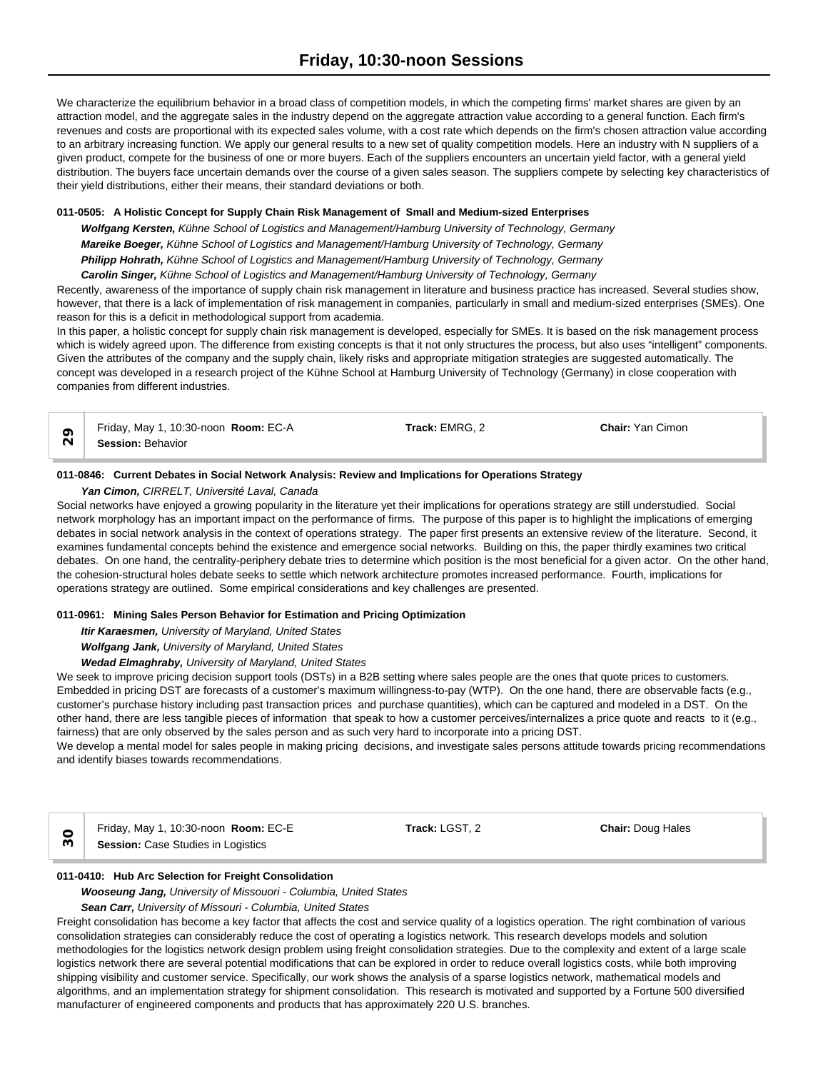We characterize the equilibrium behavior in a broad class of competition models, in which the competing firms' market shares are given by an attraction model, and the aggregate sales in the industry depend on the aggregate attraction value according to a general function. Each firm's revenues and costs are proportional with its expected sales volume, with a cost rate which depends on the firm's chosen attraction value according to an arbitrary increasing function. We apply our general results to a new set of quality competition models. Here an industry with N suppliers of a given product, compete for the business of one or more buyers. Each of the suppliers encounters an uncertain yield factor, with a general yield distribution. The buyers face uncertain demands over the course of a given sales season. The suppliers compete by selecting key characteristics of their yield distributions, either their means, their standard deviations or both.

## **011-0505: A Holistic Concept for Supply Chain Risk Management of Small and Medium-sized Enterprises**

*Wolfgang Kersten, Kühne School of Logistics and Management/Hamburg University of Technology, Germany Mareike Boeger, Kühne School of Logistics and Management/Hamburg University of Technology, Germany Philipp Hohrath, Kühne School of Logistics and Management/Hamburg University of Technology, Germany Carolin Singer, Kühne School of Logistics and Management/Hamburg University of Technology, Germany*

Recently, awareness of the importance of supply chain risk management in literature and business practice has increased. Several studies show, however, that there is a lack of implementation of risk management in companies, particularly in small and medium-sized enterprises (SMEs). One reason for this is a deficit in methodological support from academia.

In this paper, a holistic concept for supply chain risk management is developed, especially for SMEs. It is based on the risk management process which is widely agreed upon. The difference from existing concepts is that it not only structures the process, but also uses "intelligent" components. Given the attributes of the company and the supply chain, likely risks and appropriate mitigation strategies are suggested automatically. The concept was developed in a research project of the Kühne School at Hamburg University of Technology (Germany) in close cooperation with companies from different industries.

Friday, May 1, 10:30-noon **Room:** EC-A **Track:** EMRG, 2 **Chair:** Yan Cimon **Session:** Behavior<br> **Session:** Behavior

## **011-0846: Current Debates in Social Network Analysis: Review and Implications for Operations Strategy**

*Yan Cimon, CIRRELT, Université Laval, Canada*

Social networks have enjoyed a growing popularity in the literature yet their implications for operations strategy are still understudied. Social network morphology has an important impact on the performance of firms. The purpose of this paper is to highlight the implications of emerging debates in social network analysis in the context of operations strategy. The paper first presents an extensive review of the literature. Second, it examines fundamental concepts behind the existence and emergence social networks. Building on this, the paper thirdly examines two critical debates. On one hand, the centrality-periphery debate tries to determine which position is the most beneficial for a given actor. On the other hand, the cohesion-structural holes debate seeks to settle which network architecture promotes increased performance. Fourth, implications for operations strategy are outlined. Some empirical considerations and key challenges are presented.

## **011-0961: Mining Sales Person Behavior for Estimation and Pricing Optimization**

*Itir Karaesmen, University of Maryland, United States*

*Wolfgang Jank, University of Maryland, United States*

#### *Wedad Elmaghraby, University of Maryland, United States*

We seek to improve pricing decision support tools (DSTs) in a B2B setting where sales people are the ones that quote prices to customers. Embedded in pricing DST are forecasts of a customer's maximum willingness-to-pay (WTP). On the one hand, there are observable facts (e.g., customer's purchase history including past transaction prices and purchase quantities), which can be captured and modeled in a DST. On the other hand, there are less tangible pieces of information that speak to how a customer perceives/internalizes a price quote and reacts to it (e.g., fairness) that are only observed by the sales person and as such very hard to incorporate into a pricing DST.

We develop a mental model for sales people in making pricing decisions, and investigate sales persons attitude towards pricing recommendations and identify biases towards recommendations.

Friday, May 1, 10:30-noon **Room:** EC-E **Track:** LGST, 2 **Chair:** Doug Hales **Session:** Case Studies in Logistics

#### **011-0410: Hub Arc Selection for Freight Consolidation**

*Wooseung Jang, University of Missouori - Columbia, United States*

*Sean Carr, University of Missouri - Columbia, United States*

Freight consolidation has become a key factor that affects the cost and service quality of a logistics operation. The right combination of various consolidation strategies can considerably reduce the cost of operating a logistics network. This research develops models and solution methodologies for the logistics network design problem using freight consolidation strategies. Due to the complexity and extent of a large scale logistics network there are several potential modifications that can be explored in order to reduce overall logistics costs, while both improving shipping visibility and customer service. Specifically, our work shows the analysis of a sparse logistics network, mathematical models and algorithms, and an implementation strategy for shipment consolidation. This research is motivated and supported by a Fortune 500 diversified manufacturer of engineered components and products that has approximately 220 U.S. branches.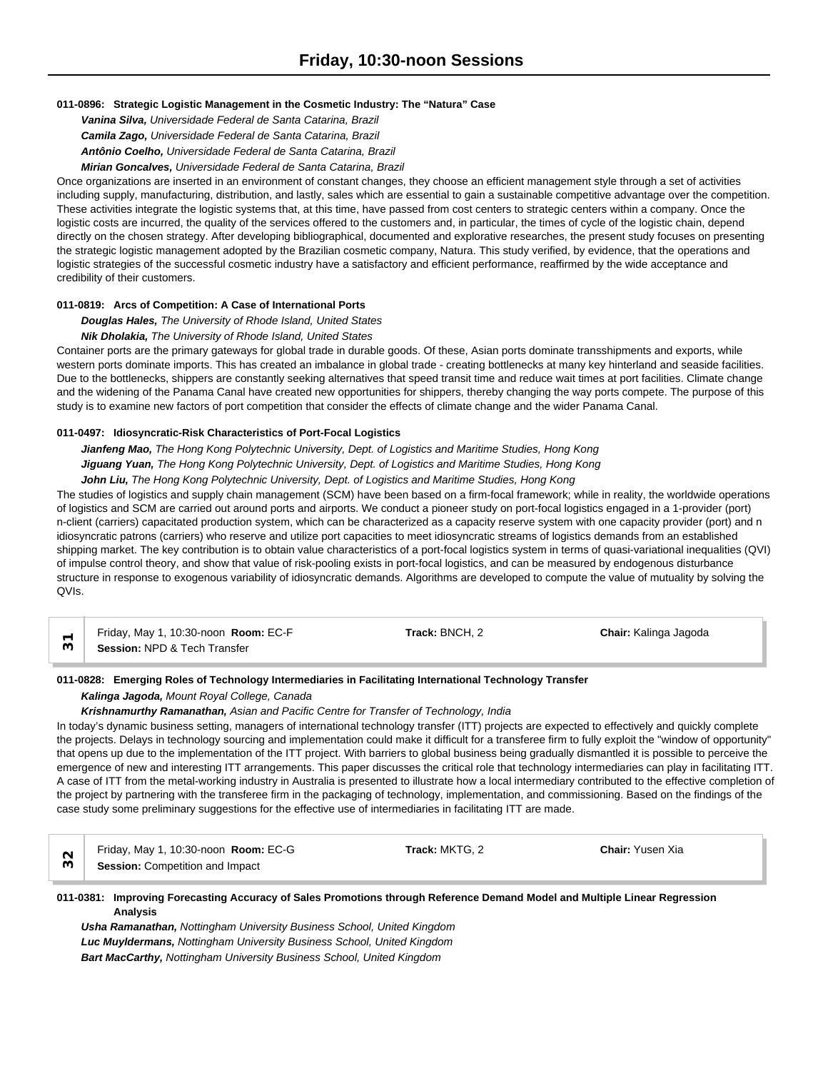# **011-0896: Strategic Logistic Management in the Cosmetic Industry: The "Natura" Case**

*Vanina Silva, Universidade Federal de Santa Catarina, Brazil Camila Zago, Universidade Federal de Santa Catarina, Brazil Antônio Coelho, Universidade Federal de Santa Catarina, Brazil Mirian Goncalves, Universidade Federal de Santa Catarina, Brazil*

Once organizations are inserted in an environment of constant changes, they choose an efficient management style through a set of activities including supply, manufacturing, distribution, and lastly, sales which are essential to gain a sustainable competitive advantage over the competition. These activities integrate the logistic systems that, at this time, have passed from cost centers to strategic centers within a company. Once the logistic costs are incurred, the quality of the services offered to the customers and, in particular, the times of cycle of the logistic chain, depend directly on the chosen strategy. After developing bibliographical, documented and explorative researches, the present study focuses on presenting the strategic logistic management adopted by the Brazilian cosmetic company, Natura. This study verified, by evidence, that the operations and logistic strategies of the successful cosmetic industry have a satisfactory and efficient performance, reaffirmed by the wide acceptance and credibility of their customers.

## **011-0819: Arcs of Competition: A Case of International Ports**

*Douglas Hales, The University of Rhode Island, United States*

#### *Nik Dholakia, The University of Rhode Island, United States*

Container ports are the primary gateways for global trade in durable goods. Of these, Asian ports dominate transshipments and exports, while western ports dominate imports. This has created an imbalance in global trade - creating bottlenecks at many key hinterland and seaside facilities. Due to the bottlenecks, shippers are constantly seeking alternatives that speed transit time and reduce wait times at port facilities. Climate change and the widening of the Panama Canal have created new opportunities for shippers, thereby changing the way ports compete. The purpose of this study is to examine new factors of port competition that consider the effects of climate change and the wider Panama Canal.

#### **011-0497: Idiosyncratic-Risk Characteristics of Port-Focal Logistics**

*Jianfeng Mao, The Hong Kong Polytechnic University, Dept. of Logistics and Maritime Studies, Hong Kong Jiguang Yuan, The Hong Kong Polytechnic University, Dept. of Logistics and Maritime Studies, Hong Kong*

# *John Liu, The Hong Kong Polytechnic University, Dept. of Logistics and Maritime Studies, Hong Kong*

The studies of logistics and supply chain management (SCM) have been based on a firm-focal framework; while in reality, the worldwide operations of logistics and SCM are carried out around ports and airports. We conduct a pioneer study on port-focal logistics engaged in a 1-provider (port) n-client (carriers) capacitated production system, which can be characterized as a capacity reserve system with one capacity provider (port) and n idiosyncratic patrons (carriers) who reserve and utilize port capacities to meet idiosyncratic streams of logistics demands from an established shipping market. The key contribution is to obtain value characteristics of a port-focal logistics system in terms of quasi-variational inequalities (QVI) of impulse control theory, and show that value of risk-pooling exists in port-focal logistics, and can be measured by endogenous disturbance structure in response to exogenous variability of idiosyncratic demands. Algorithms are developed to compute the value of mutuality by solving the QVIs.

| Friday, May 1, 10:30-noon Room: EC-F    | Track: BNCH. 2 | <b>Chair:</b> Kalinga Jagoda |  |
|-----------------------------------------|----------------|------------------------------|--|
| <b>Session: NPD &amp; Tech Transfer</b> |                |                              |  |

#### **011-0828: Emerging Roles of Technology Intermediaries in Facilitating International Technology Transfer**

#### *Kalinga Jagoda, Mount Royal College, Canada*

#### *Krishnamurthy Ramanathan, Asian and Pacific Centre for Transfer of Technology, India*

In today's dynamic business setting, managers of international technology transfer (ITT) projects are expected to effectively and quickly complete the projects. Delays in technology sourcing and implementation could make it difficult for a transferee firm to fully exploit the "window of opportunity" that opens up due to the implementation of the ITT project. With barriers to global business being gradually dismantled it is possible to perceive the emergence of new and interesting ITT arrangements. This paper discusses the critical role that technology intermediaries can play in facilitating ITT. A case of ITT from the metal-working industry in Australia is presented to illustrate how a local intermediary contributed to the effective completion of the project by partnering with the transferee firm in the packaging of technology, implementation, and commissioning. Based on the findings of the case study some preliminary suggestions for the effective use of intermediaries in facilitating ITT are made.

| Friday, May 1, 10:30-noon Room: EC-G   | <b>Track:</b> MKTG. 2 | <b>Chair: Yusen Xia</b> |  |
|----------------------------------------|-----------------------|-------------------------|--|
| <b>Session: Competition and Impact</b> |                       |                         |  |

## **011-0381: Improving Forecasting Accuracy of Sales Promotions through Reference Demand Model and Multiple Linear Regression Analysis**

*Usha Ramanathan, Nottingham University Business School, United Kingdom Luc Muyldermans, Nottingham University Business School, United Kingdom Bart MacCarthy, Nottingham University Business School, United Kingdom*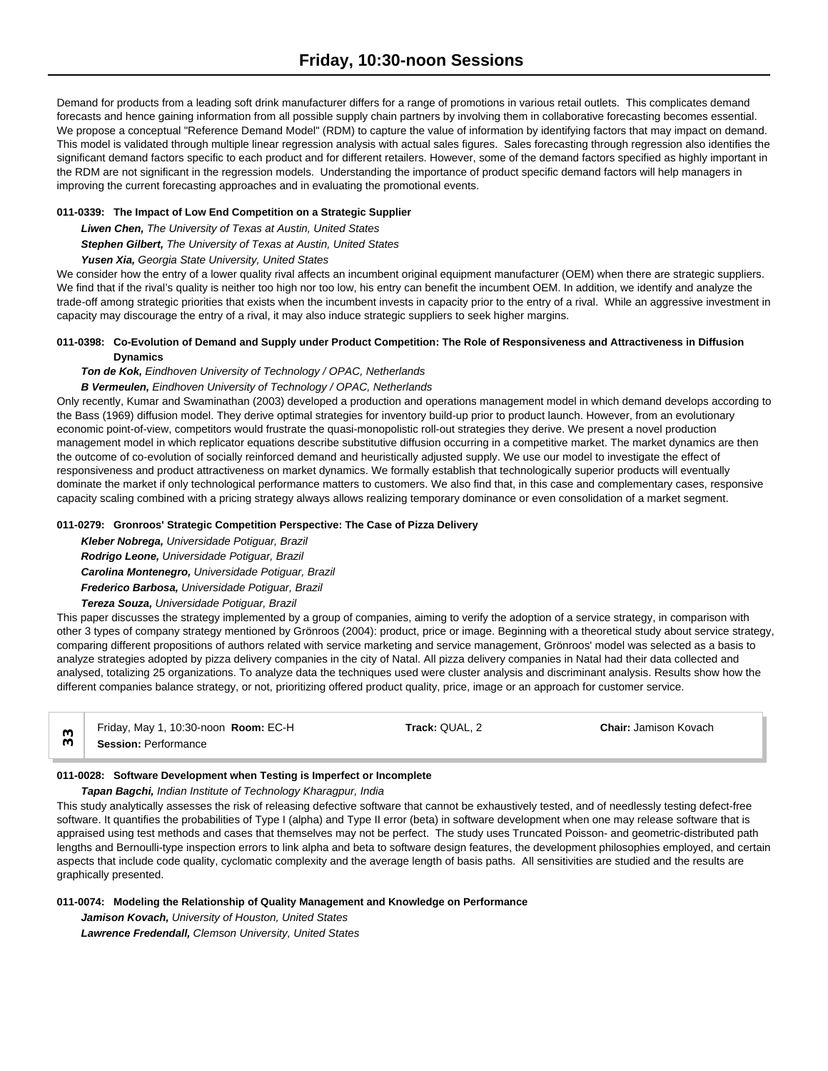Demand for products from a leading soft drink manufacturer differs for a range of promotions in various retail outlets. This complicates demand forecasts and hence gaining information from all possible supply chain partners by involving them in collaborative forecasting becomes essential. We propose a conceptual "Reference Demand Model" (RDM) to capture the value of information by identifying factors that may impact on demand. This model is validated through multiple linear regression analysis with actual sales figures. Sales forecasting through regression also identifies the significant demand factors specific to each product and for different retailers. However, some of the demand factors specified as highly important in the RDM are not significant in the regression models. Understanding the importance of product specific demand factors will help managers in improving the current forecasting approaches and in evaluating the promotional events.

# **011-0339: The Impact of Low End Competition on a Strategic Supplier**

*Liwen Chen, The University of Texas at Austin, United States*

*Stephen Gilbert, The University of Texas at Austin, United States*

# *Yusen Xia, Georgia State University, United States*

We consider how the entry of a lower quality rival affects an incumbent original equipment manufacturer (OEM) when there are strategic suppliers. We find that if the rival's quality is neither too high nor too low, his entry can benefit the incumbent OEM. In addition, we identify and analyze the trade-off among strategic priorities that exists when the incumbent invests in capacity prior to the entry of a rival. While an aggressive investment in capacity may discourage the entry of a rival, it may also induce strategic suppliers to seek higher margins.

## **011-0398: Co-Evolution of Demand and Supply under Product Competition: The Role of Responsiveness and Attractiveness in Diffusion Dynamics**

## *Ton de Kok, Eindhoven University of Technology / OPAC, Netherlands*

## *B Vermeulen, Eindhoven University of Technology / OPAC, Netherlands*

Only recently, Kumar and Swaminathan (2003) developed a production and operations management model in which demand develops according to the Bass (1969) diffusion model. They derive optimal strategies for inventory build-up prior to product launch. However, from an evolutionary economic point-of-view, competitors would frustrate the quasi-monopolistic roll-out strategies they derive. We present a novel production management model in which replicator equations describe substitutive diffusion occurring in a competitive market. The market dynamics are then the outcome of co-evolution of socially reinforced demand and heuristically adjusted supply. We use our model to investigate the effect of responsiveness and product attractiveness on market dynamics. We formally establish that technologically superior products will eventually dominate the market if only technological performance matters to customers. We also find that, in this case and complementary cases, responsive capacity scaling combined with a pricing strategy always allows realizing temporary dominance or even consolidation of a market segment.

#### **011-0279: Gronroos' Strategic Competition Perspective: The Case of Pizza Delivery**

*Kleber Nobrega, Universidade Potiguar, Brazil Rodrigo Leone, Universidade Potiguar, Brazil Carolina Montenegro, Universidade Potiguar, Brazil Frederico Barbosa, Universidade Potiguar, Brazil*

# *Tereza Souza, Universidade Potiguar, Brazil*

This paper discusses the strategy implemented by a group of companies, aiming to verify the adoption of a service strategy, in comparison with other 3 types of company strategy mentioned by Grönroos (2004): product, price or image. Beginning with a theoretical study about service strategy, comparing different propositions of authors related with service marketing and service management, Grönroos' model was selected as a basis to analyze strategies adopted by pizza delivery companies in the city of Natal. All pizza delivery companies in Natal had their data collected and analysed, totalizing 25 organizations. To analyze data the techniques used were cluster analysis and discriminant analysis. Results show how the different companies balance strategy, or not, prioritizing offered product quality, price, image or an approach for customer service.

| Friday, May 1, 10:30-noon Room: EC-H | Track: QUAL. 2 | <b>Chair: Jamison Kovach</b> |  |
|--------------------------------------|----------------|------------------------------|--|
| <b>Session: Performance</b>          |                |                              |  |

## **011-0028: Software Development when Testing is Imperfect or Incomplete**

## *Tapan Bagchi, Indian Institute of Technology Kharagpur, India*

This study analytically assesses the risk of releasing defective software that cannot be exhaustively tested, and of needlessly testing defect-free software. It quantifies the probabilities of Type I (alpha) and Type II error (beta) in software development when one may release software that is appraised using test methods and cases that themselves may not be perfect. The study uses Truncated Poisson- and geometric-distributed path lengths and Bernoulli-type inspection errors to link alpha and beta to software design features, the development philosophies employed, and certain aspects that include code quality, cyclomatic complexity and the average length of basis paths. All sensitivities are studied and the results are graphically presented.

## **011-0074: Modeling the Relationship of Quality Management and Knowledge on Performance**

*Jamison Kovach, University of Houston, United States Lawrence Fredendall, Clemson University, United States*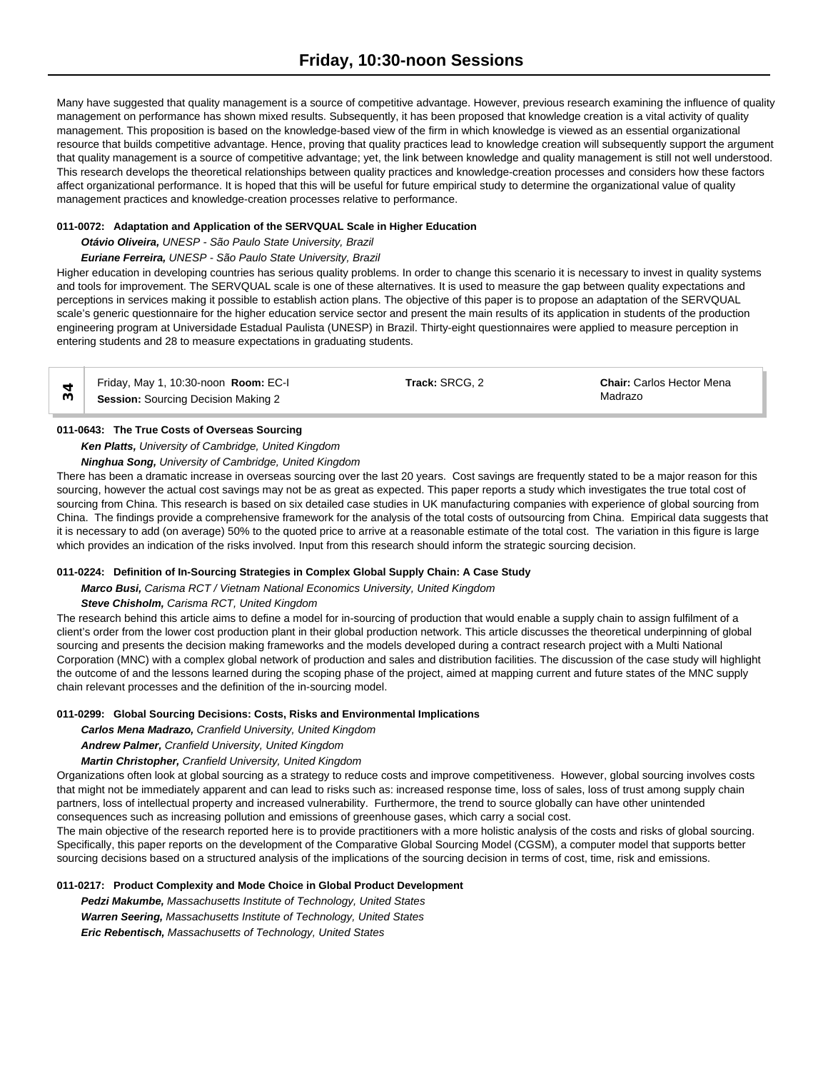Many have suggested that quality management is a source of competitive advantage. However, previous research examining the influence of quality management on performance has shown mixed results. Subsequently, it has been proposed that knowledge creation is a vital activity of quality management. This proposition is based on the knowledge-based view of the firm in which knowledge is viewed as an essential organizational resource that builds competitive advantage. Hence, proving that quality practices lead to knowledge creation will subsequently support the argument that quality management is a source of competitive advantage; yet, the link between knowledge and quality management is still not well understood. This research develops the theoretical relationships between quality practices and knowledge-creation processes and considers how these factors affect organizational performance. It is hoped that this will be useful for future empirical study to determine the organizational value of quality management practices and knowledge-creation processes relative to performance.

# **011-0072: Adaptation and Application of the SERVQUAL Scale in Higher Education**

# *Otávio Oliveira, UNESP - São Paulo State University, Brazil*

# *Euriane Ferreira, UNESP - São Paulo State University, Brazil*

Higher education in developing countries has serious quality problems. In order to change this scenario it is necessary to invest in quality systems and tools for improvement. The SERVQUAL scale is one of these alternatives. It is used to measure the gap between quality expectations and perceptions in services making it possible to establish action plans. The objective of this paper is to propose an adaptation of the SERVQUAL scale's generic questionnaire for the higher education service sector and present the main results of its application in students of the production engineering program at Universidade Estadual Paulista (UNESP) in Brazil. Thirty-eight questionnaires were applied to measure perception in entering students and 28 to measure expectations in graduating students.

Friday, May 1, 10:30-noon **Room:** EC-I **Track:** SRCG, 2 **Chair:** Carlos Hector Mena **Session:** Sourcing Decision Making 2 Madrazo<sup>n</sup> 36**Session:** Sourcing Decision Making 2

## **011-0643: The True Costs of Overseas Sourcing**

# *Ken Platts, University of Cambridge, United Kingdom*

*Ninghua Song, University of Cambridge, United Kingdom*

There has been a dramatic increase in overseas sourcing over the last 20 years. Cost savings are frequently stated to be a major reason for this sourcing, however the actual cost savings may not be as great as expected. This paper reports a study which investigates the true total cost of sourcing from China. This research is based on six detailed case studies in UK manufacturing companies with experience of global sourcing from China. The findings provide a comprehensive framework for the analysis of the total costs of outsourcing from China. Empirical data suggests that it is necessary to add (on average) 50% to the quoted price to arrive at a reasonable estimate of the total cost. The variation in this figure is large which provides an indication of the risks involved. Input from this research should inform the strategic sourcing decision.

# **011-0224: Definition of In-Sourcing Strategies in Complex Global Supply Chain: A Case Study**

*Marco Busi, Carisma RCT / Vietnam National Economics University, United Kingdom*

## *Steve Chisholm, Carisma RCT, United Kingdom*

The research behind this article aims to define a model for in-sourcing of production that would enable a supply chain to assign fulfilment of a client's order from the lower cost production plant in their global production network. This article discusses the theoretical underpinning of global sourcing and presents the decision making frameworks and the models developed during a contract research project with a Multi National Corporation (MNC) with a complex global network of production and sales and distribution facilities. The discussion of the case study will highlight the outcome of and the lessons learned during the scoping phase of the project, aimed at mapping current and future states of the MNC supply chain relevant processes and the definition of the in-sourcing model.

## **011-0299: Global Sourcing Decisions: Costs, Risks and Environmental Implications**

*Carlos Mena Madrazo, Cranfield University, United Kingdom*

*Andrew Palmer, Cranfield University, United Kingdom*

*Martin Christopher, Cranfield University, United Kingdom*

Organizations often look at global sourcing as a strategy to reduce costs and improve competitiveness. However, global sourcing involves costs that might not be immediately apparent and can lead to risks such as: increased response time, loss of sales, loss of trust among supply chain partners, loss of intellectual property and increased vulnerability. Furthermore, the trend to source globally can have other unintended consequences such as increasing pollution and emissions of greenhouse gases, which carry a social cost.

The main objective of the research reported here is to provide practitioners with a more holistic analysis of the costs and risks of global sourcing. Specifically, this paper reports on the development of the Comparative Global Sourcing Model (CGSM), a computer model that supports better sourcing decisions based on a structured analysis of the implications of the sourcing decision in terms of cost, time, risk and emissions.

# **011-0217: Product Complexity and Mode Choice in Global Product Development**

*Pedzi Makumbe, Massachusetts Institute of Technology, United States Warren Seering, Massachusetts Institute of Technology, United States Eric Rebentisch, Massachusetts of Technology, United States*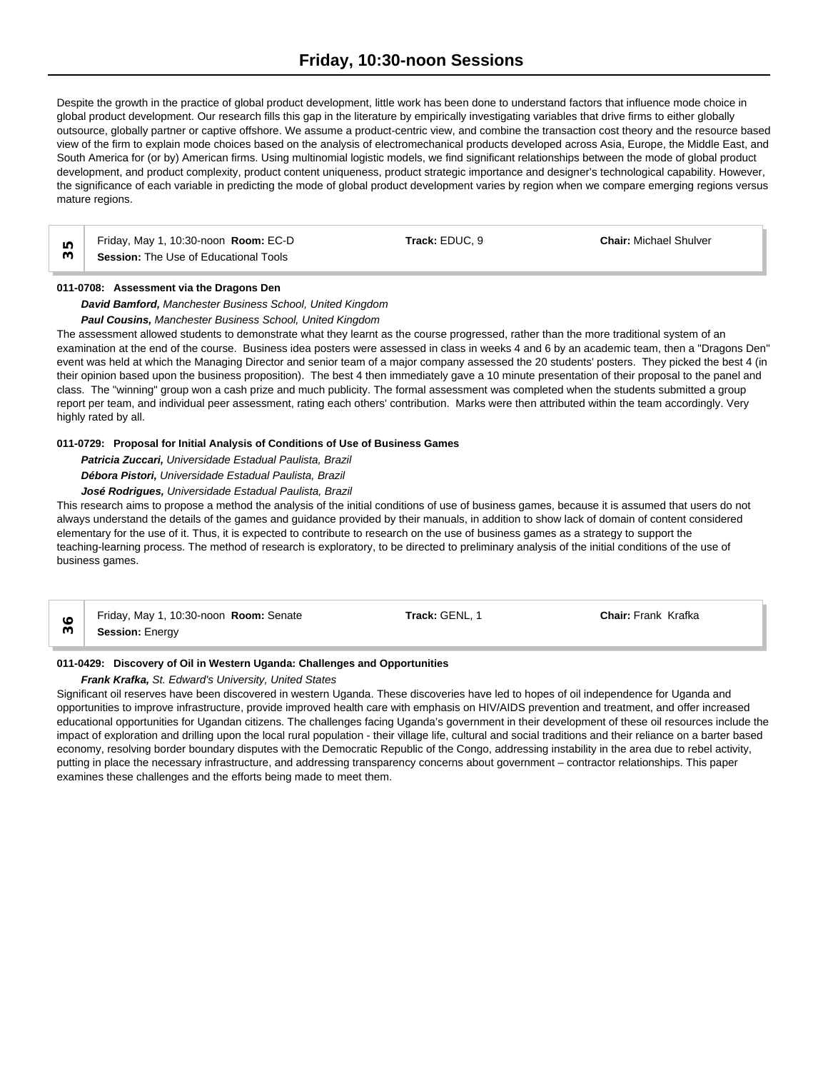Despite the growth in the practice of global product development, little work has been done to understand factors that influence mode choice in global product development. Our research fills this gap in the literature by empirically investigating variables that drive firms to either globally outsource, globally partner or captive offshore. We assume a product-centric view, and combine the transaction cost theory and the resource based view of the firm to explain mode choices based on the analysis of electromechanical products developed across Asia, Europe, the Middle East, and South America for (or by) American firms. Using multinomial logistic models, we find significant relationships between the mode of global product development, and product complexity, product content uniqueness, product strategic importance and designer's technological capability. However, the significance of each variable in predicting the mode of global product development varies by region when we compare emerging regions versus mature regions.

Friday, May 1, 10:30-noon **Room:** EC-D **Track:** EDUC, 9 **Chair:** Michael Shulver **Session:** The Use of Educational Tools<br>  $\frac{10}{2}$  **Session:** The Use of Educational Tools

# **011-0708: Assessment via the Dragons Den**

*David Bamford, Manchester Business School, United Kingdom*

*Paul Cousins, Manchester Business School, United Kingdom*

The assessment allowed students to demonstrate what they learnt as the course progressed, rather than the more traditional system of an examination at the end of the course. Business idea posters were assessed in class in weeks 4 and 6 by an academic team, then a "Dragons Den" event was held at which the Managing Director and senior team of a major company assessed the 20 students' posters. They picked the best 4 (in their opinion based upon the business proposition). The best 4 then immediately gave a 10 minute presentation of their proposal to the panel and class. The "winning" group won a cash prize and much publicity. The formal assessment was completed when the students submitted a group report per team, and individual peer assessment, rating each others' contribution. Marks were then attributed within the team accordingly. Very highly rated by all.

# **011-0729: Proposal for Initial Analysis of Conditions of Use of Business Games**

*Patricia Zuccari, Universidade Estadual Paulista, Brazil*

*Débora Pistori, Universidade Estadual Paulista, Brazil*

*José Rodrigues, Universidade Estadual Paulista, Brazil*

This research aims to propose a method the analysis of the initial conditions of use of business games, because it is assumed that users do not always understand the details of the games and guidance provided by their manuals, in addition to show lack of domain of content considered elementary for the use of it. Thus, it is expected to contribute to research on the use of business games as a strategy to support the teaching-learning process. The method of research is exploratory, to be directed to preliminary analysis of the initial conditions of the use of business games.

Friday, May 1, 10:30-noon **Room:** Senate **Track:** GENL, 1 **Chair:** Frank Krafka **Session:** Energy **36**

## **011-0429: Discovery of Oil in Western Uganda: Challenges and Opportunities**

*Frank Krafka, St. Edward's University, United States*

Significant oil reserves have been discovered in western Uganda. These discoveries have led to hopes of oil independence for Uganda and opportunities to improve infrastructure, provide improved health care with emphasis on HIV/AIDS prevention and treatment, and offer increased educational opportunities for Ugandan citizens. The challenges facing Uganda's government in their development of these oil resources include the impact of exploration and drilling upon the local rural population - their village life, cultural and social traditions and their reliance on a barter based economy, resolving border boundary disputes with the Democratic Republic of the Congo, addressing instability in the area due to rebel activity, putting in place the necessary infrastructure, and addressing transparency concerns about government – contractor relationships. This paper examines these challenges and the efforts being made to meet them.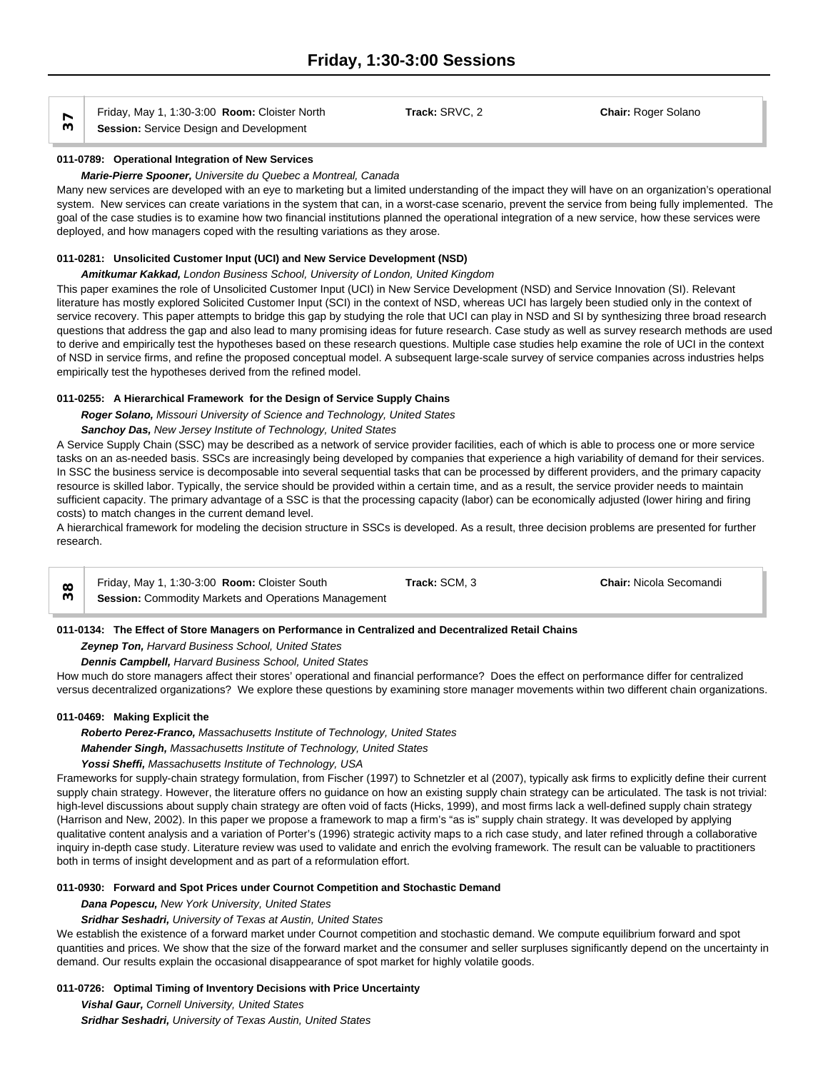Friday, May 1, 1:30-3:00 **Room:** Cloister North **Track:** SRVC, 2 **Chair:** Roger Solano **Session:** Service Design and Development

#### **011-0789: Operational Integration of New Services**

#### *Marie-Pierre Spooner, Universite du Quebec a Montreal, Canada*

Many new services are developed with an eye to marketing but a limited understanding of the impact they will have on an organization's operational system. New services can create variations in the system that can, in a worst-case scenario, prevent the service from being fully implemented. The goal of the case studies is to examine how two financial institutions planned the operational integration of a new service, how these services were deployed, and how managers coped with the resulting variations as they arose.

#### **011-0281: Unsolicited Customer Input (UCI) and New Service Development (NSD)**

#### *Amitkumar Kakkad, London Business School, University of London, United Kingdom*

This paper examines the role of Unsolicited Customer Input (UCI) in New Service Development (NSD) and Service Innovation (SI). Relevant literature has mostly explored Solicited Customer Input (SCI) in the context of NSD, whereas UCI has largely been studied only in the context of service recovery. This paper attempts to bridge this gap by studying the role that UCI can play in NSD and SI by synthesizing three broad research questions that address the gap and also lead to many promising ideas for future research. Case study as well as survey research methods are used to derive and empirically test the hypotheses based on these research questions. Multiple case studies help examine the role of UCI in the context of NSD in service firms, and refine the proposed conceptual model. A subsequent large-scale survey of service companies across industries helps empirically test the hypotheses derived from the refined model.

## **011-0255: A Hierarchical Framework for the Design of Service Supply Chains**

*Roger Solano, Missouri University of Science and Technology, United States*

# *Sanchoy Das, New Jersey Institute of Technology, United States*

A Service Supply Chain (SSC) may be described as a network of service provider facilities, each of which is able to process one or more service tasks on an as-needed basis. SSCs are increasingly being developed by companies that experience a high variability of demand for their services. In SSC the business service is decomposable into several sequential tasks that can be processed by different providers, and the primary capacity resource is skilled labor. Typically, the service should be provided within a certain time, and as a result, the service provider needs to maintain sufficient capacity. The primary advantage of a SSC is that the processing capacity (labor) can be economically adjusted (lower hiring and firing costs) to match changes in the current demand level.

A hierarchical framework for modeling the decision structure in SSCs is developed. As a result, three decision problems are presented for further research.

| Friday, May 1, 1:30-3:00 Room: Cloister South               | Track: SCM, 3 | <b>Chair:</b> Nicola Secomandi |
|-------------------------------------------------------------|---------------|--------------------------------|
| <b>Session:</b> Commodity Markets and Operations Management |               |                                |

## **011-0134: The Effect of Store Managers on Performance in Centralized and Decentralized Retail Chains**

# *Zeynep Ton, Harvard Business School, United States*

#### *Dennis Campbell, Harvard Business School, United States*

How much do store managers affect their stores' operational and financial performance? Does the effect on performance differ for centralized versus decentralized organizations? We explore these questions by examining store manager movements within two different chain organizations.

#### **011-0469: Making Explicit the**

#### *Roberto Perez-Franco, Massachusetts Institute of Technology, United States*

*Mahender Singh, Massachusetts Institute of Technology, United States*

## *Yossi Sheffi, Massachusetts Institute of Technology, USA*

Frameworks for supply-chain strategy formulation, from Fischer (1997) to Schnetzler et al (2007), typically ask firms to explicitly define their current supply chain strategy. However, the literature offers no guidance on how an existing supply chain strategy can be articulated. The task is not trivial: high-level discussions about supply chain strategy are often void of facts (Hicks, 1999), and most firms lack a well-defined supply chain strategy (Harrison and New, 2002). In this paper we propose a framework to map a firm's "as is" supply chain strategy. It was developed by applying qualitative content analysis and a variation of Porter's (1996) strategic activity maps to a rich case study, and later refined through a collaborative inquiry in-depth case study. Literature review was used to validate and enrich the evolving framework. The result can be valuable to practitioners both in terms of insight development and as part of a reformulation effort.

#### **011-0930: Forward and Spot Prices under Cournot Competition and Stochastic Demand**

*Dana Popescu, New York University, United States*

## *Sridhar Seshadri, University of Texas at Austin, United States*

We establish the existence of a forward market under Cournot competition and stochastic demand. We compute equilibrium forward and spot quantities and prices. We show that the size of the forward market and the consumer and seller surpluses significantly depend on the uncertainty in demand. Our results explain the occasional disappearance of spot market for highly volatile goods.

## **011-0726: Optimal Timing of Inventory Decisions with Price Uncertainty**

*Vishal Gaur, Cornell University, United States Sridhar Seshadri, University of Texas Austin, United States*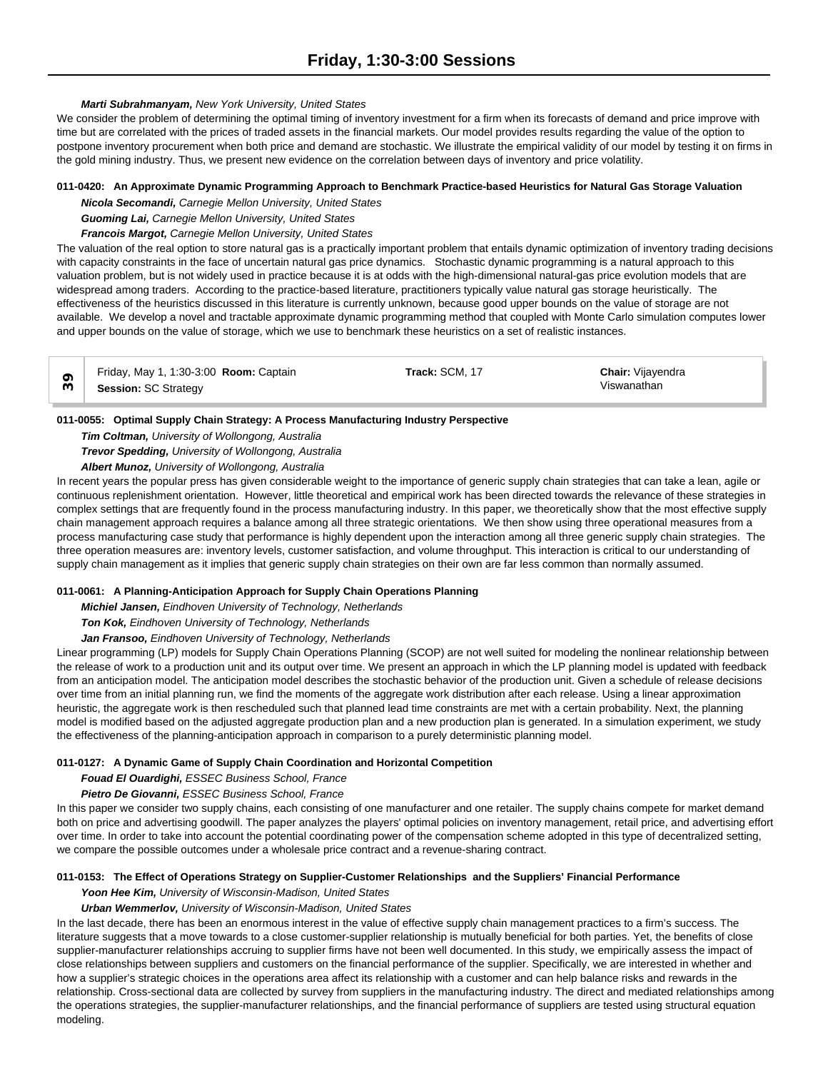## *Marti Subrahmanyam, New York University, United States*

We consider the problem of determining the optimal timing of inventory investment for a firm when its forecasts of demand and price improve with time but are correlated with the prices of traded assets in the financial markets. Our model provides results regarding the value of the option to postpone inventory procurement when both price and demand are stochastic. We illustrate the empirical validity of our model by testing it on firms in the gold mining industry. Thus, we present new evidence on the correlation between days of inventory and price volatility.

# **011-0420: An Approximate Dynamic Programming Approach to Benchmark Practice-based Heuristics for Natural Gas Storage Valuation**

*Nicola Secomandi, Carnegie Mellon University, United States*

*Guoming Lai, Carnegie Mellon University, United States*

*Francois Margot, Carnegie Mellon University, United States*

The valuation of the real option to store natural gas is a practically important problem that entails dynamic optimization of inventory trading decisions with capacity constraints in the face of uncertain natural gas price dynamics. Stochastic dynamic programming is a natural approach to this valuation problem, but is not widely used in practice because it is at odds with the high-dimensional natural-gas price evolution models that are widespread among traders. According to the practice-based literature, practitioners typically value natural gas storage heuristically. The effectiveness of the heuristics discussed in this literature is currently unknown, because good upper bounds on the value of storage are not available. We develop a novel and tractable approximate dynamic programming method that coupled with Monte Carlo simulation computes lower and upper bounds on the value of storage, which we use to benchmark these heuristics on a set of realistic instances.

| Friday, May 1, 1:30-3:00 Room: Captain | Track: SCM, 17 | <b>Chair:</b> Vijayendra |
|----------------------------------------|----------------|--------------------------|
| <b>Session: SC Strategy</b>            |                | Viswanathan              |

## **011-0055: Optimal Supply Chain Strategy: A Process Manufacturing Industry Perspective**

*Tim Coltman, University of Wollongong, Australia Trevor Spedding, University of Wollongong, Australia*

*Albert Munoz, University of Wollongong, Australia*

In recent years the popular press has given considerable weight to the importance of generic supply chain strategies that can take a lean, agile or continuous replenishment orientation. However, little theoretical and empirical work has been directed towards the relevance of these strategies in complex settings that are frequently found in the process manufacturing industry. In this paper, we theoretically show that the most effective supply chain management approach requires a balance among all three strategic orientations. We then show using three operational measures from a process manufacturing case study that performance is highly dependent upon the interaction among all three generic supply chain strategies. The three operation measures are: inventory levels, customer satisfaction, and volume throughput. This interaction is critical to our understanding of supply chain management as it implies that generic supply chain strategies on their own are far less common than normally assumed.

## **011-0061: A Planning-Anticipation Approach for Supply Chain Operations Planning**

*Michiel Jansen, Eindhoven University of Technology, Netherlands*

*Ton Kok, Eindhoven University of Technology, Netherlands*

*Jan Fransoo, Eindhoven University of Technology, Netherlands*

Linear programming (LP) models for Supply Chain Operations Planning (SCOP) are not well suited for modeling the nonlinear relationship between the release of work to a production unit and its output over time. We present an approach in which the LP planning model is updated with feedback from an anticipation model. The anticipation model describes the stochastic behavior of the production unit. Given a schedule of release decisions over time from an initial planning run, we find the moments of the aggregate work distribution after each release. Using a linear approximation heuristic, the aggregate work is then rescheduled such that planned lead time constraints are met with a certain probability. Next, the planning model is modified based on the adjusted aggregate production plan and a new production plan is generated. In a simulation experiment, we study the effectiveness of the planning-anticipation approach in comparison to a purely deterministic planning model.

## **011-0127: A Dynamic Game of Supply Chain Coordination and Horizontal Competition**

# *Fouad El Ouardighi, ESSEC Business School, France*

*Pietro De Giovanni, ESSEC Business School, France*

In this paper we consider two supply chains, each consisting of one manufacturer and one retailer. The supply chains compete for market demand both on price and advertising goodwill. The paper analyzes the players' optimal policies on inventory management, retail price, and advertising effort over time. In order to take into account the potential coordinating power of the compensation scheme adopted in this type of decentralized setting, we compare the possible outcomes under a wholesale price contract and a revenue-sharing contract.

## **011-0153: The Effect of Operations Strategy on Supplier-Customer Relationships and the Suppliers' Financial Performance**

*Yoon Hee Kim, University of Wisconsin-Madison, United States*

## *Urban Wemmerlov, University of Wisconsin-Madison, United States*

In the last decade, there has been an enormous interest in the value of effective supply chain management practices to a firm's success. The literature suggests that a move towards to a close customer-supplier relationship is mutually beneficial for both parties. Yet, the benefits of close supplier-manufacturer relationships accruing to supplier firms have not been well documented. In this study, we empirically assess the impact of close relationships between suppliers and customers on the financial performance of the supplier. Specifically, we are interested in whether and how a supplier's strategic choices in the operations area affect its relationship with a customer and can help balance risks and rewards in the relationship. Cross-sectional data are collected by survey from suppliers in the manufacturing industry. The direct and mediated relationships among the operations strategies, the supplier-manufacturer relationships, and the financial performance of suppliers are tested using structural equation modeling.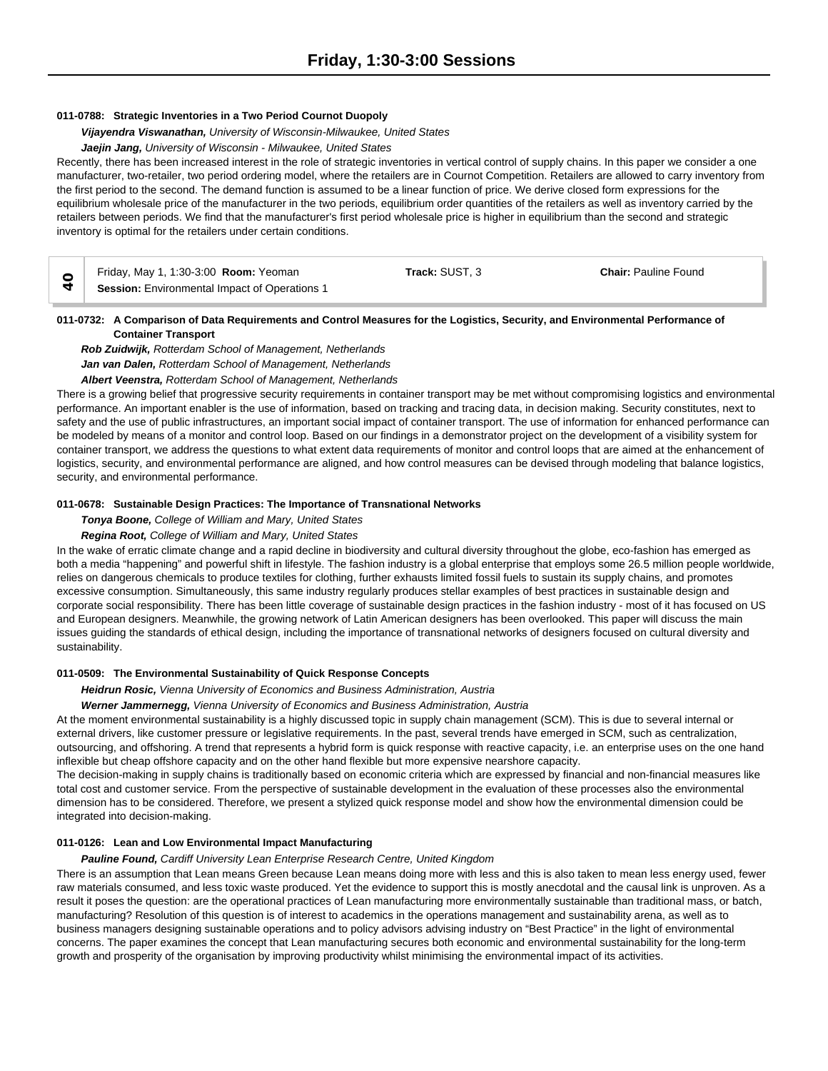#### **011-0788: Strategic Inventories in a Two Period Cournot Duopoly**

*Vijayendra Viswanathan, University of Wisconsin-Milwaukee, United States*

# *Jaejin Jang, University of Wisconsin - Milwaukee, United States*

Recently, there has been increased interest in the role of strategic inventories in vertical control of supply chains. In this paper we consider a one manufacturer, two-retailer, two period ordering model, where the retailers are in Cournot Competition. Retailers are allowed to carry inventory from the first period to the second. The demand function is assumed to be a linear function of price. We derive closed form expressions for the equilibrium wholesale price of the manufacturer in the two periods, equilibrium order quantities of the retailers as well as inventory carried by the retailers between periods. We find that the manufacturer's first period wholesale price is higher in equilibrium than the second and strategic inventory is optimal for the retailers under certain conditions.

| Friday, May 1, 1:30-3:00 <b>Room:</b> Yeoman         | Track: SUST. 3 | <b>Chair: Pauline Found</b> |  |
|------------------------------------------------------|----------------|-----------------------------|--|
| <b>Session:</b> Environmental Impact of Operations 1 |                |                             |  |

#### **011-0732: A Comparison of Data Requirements and Control Measures for the Logistics, Security, and Environmental Performance of Container Transport**

*Rob Zuidwijk, Rotterdam School of Management, Netherlands Jan van Dalen, Rotterdam School of Management, Netherlands Albert Veenstra, Rotterdam School of Management, Netherlands*

There is a growing belief that progressive security requirements in container transport may be met without compromising logistics and environmental performance. An important enabler is the use of information, based on tracking and tracing data, in decision making. Security constitutes, next to safety and the use of public infrastructures, an important social impact of container transport. The use of information for enhanced performance can be modeled by means of a monitor and control loop. Based on our findings in a demonstrator project on the development of a visibility system for container transport, we address the questions to what extent data requirements of monitor and control loops that are aimed at the enhancement of logistics, security, and environmental performance are aligned, and how control measures can be devised through modeling that balance logistics, security, and environmental performance.

#### **011-0678: Sustainable Design Practices: The Importance of Transnational Networks**

#### *Tonya Boone, College of William and Mary, United States*

#### *Regina Root, College of William and Mary, United States*

In the wake of erratic climate change and a rapid decline in biodiversity and cultural diversity throughout the globe, eco-fashion has emerged as both a media "happening" and powerful shift in lifestyle. The fashion industry is a global enterprise that employs some 26.5 million people worldwide, relies on dangerous chemicals to produce textiles for clothing, further exhausts limited fossil fuels to sustain its supply chains, and promotes excessive consumption. Simultaneously, this same industry regularly produces stellar examples of best practices in sustainable design and corporate social responsibility. There has been little coverage of sustainable design practices in the fashion industry - most of it has focused on US and European designers. Meanwhile, the growing network of Latin American designers has been overlooked. This paper will discuss the main issues guiding the standards of ethical design, including the importance of transnational networks of designers focused on cultural diversity and sustainability.

#### **011-0509: The Environmental Sustainability of Quick Response Concepts**

*Heidrun Rosic, Vienna University of Economics and Business Administration, Austria*

*Werner Jammernegg, Vienna University of Economics and Business Administration, Austria*

At the moment environmental sustainability is a highly discussed topic in supply chain management (SCM). This is due to several internal or external drivers, like customer pressure or legislative requirements. In the past, several trends have emerged in SCM, such as centralization, outsourcing, and offshoring. A trend that represents a hybrid form is quick response with reactive capacity, i.e. an enterprise uses on the one hand inflexible but cheap offshore capacity and on the other hand flexible but more expensive nearshore capacity.

The decision-making in supply chains is traditionally based on economic criteria which are expressed by financial and non-financial measures like total cost and customer service. From the perspective of sustainable development in the evaluation of these processes also the environmental dimension has to be considered. Therefore, we present a stylized quick response model and show how the environmental dimension could be integrated into decision-making.

#### **011-0126: Lean and Low Environmental Impact Manufacturing**

#### *Pauline Found, Cardiff University Lean Enterprise Research Centre, United Kingdom*

There is an assumption that Lean means Green because Lean means doing more with less and this is also taken to mean less energy used, fewer raw materials consumed, and less toxic waste produced. Yet the evidence to support this is mostly anecdotal and the causal link is unproven. As a result it poses the question: are the operational practices of Lean manufacturing more environmentally sustainable than traditional mass, or batch, manufacturing? Resolution of this question is of interest to academics in the operations management and sustainability arena, as well as to business managers designing sustainable operations and to policy advisors advising industry on "Best Practice" in the light of environmental concerns. The paper examines the concept that Lean manufacturing secures both economic and environmental sustainability for the long-term growth and prosperity of the organisation by improving productivity whilst minimising the environmental impact of its activities.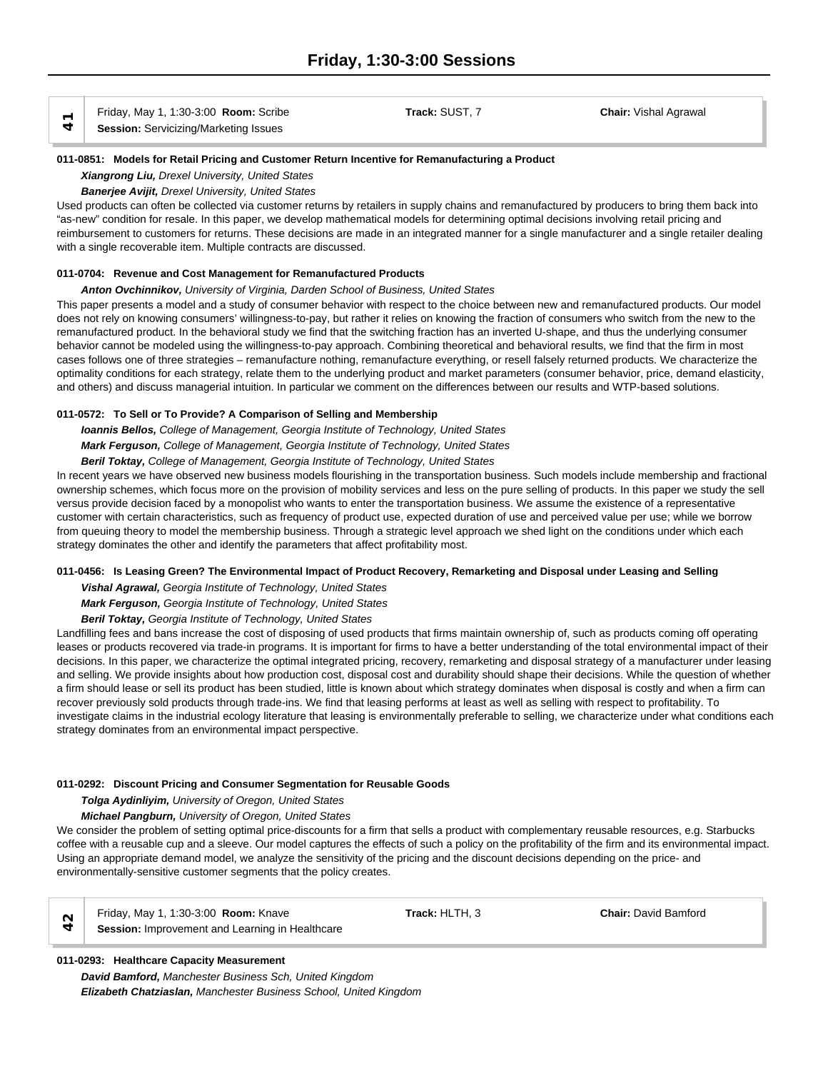Friday, May 1, 1:30-3:00 **Room:** Scribe **Track:** SUST, 7 **Chair:** Vishal Agrawal

**Session:** Servicizing/Marketing Issues **41**

#### **011-0851: Models for Retail Pricing and Customer Return Incentive for Remanufacturing a Product**

*Xiangrong Liu, Drexel University, United States*

*Banerjee Avijit, Drexel University, United States*

Used products can often be collected via customer returns by retailers in supply chains and remanufactured by producers to bring them back into "as-new" condition for resale. In this paper, we develop mathematical models for determining optimal decisions involving retail pricing and reimbursement to customers for returns. These decisions are made in an integrated manner for a single manufacturer and a single retailer dealing with a single recoverable item. Multiple contracts are discussed.

# **011-0704: Revenue and Cost Management for Remanufactured Products**

*Anton Ovchinnikov, University of Virginia, Darden School of Business, United States*

This paper presents a model and a study of consumer behavior with respect to the choice between new and remanufactured products. Our model does not rely on knowing consumers' willingness-to-pay, but rather it relies on knowing the fraction of consumers who switch from the new to the remanufactured product. In the behavioral study we find that the switching fraction has an inverted U-shape, and thus the underlying consumer behavior cannot be modeled using the willingness-to-pay approach. Combining theoretical and behavioral results, we find that the firm in most cases follows one of three strategies – remanufacture nothing, remanufacture everything, or resell falsely returned products. We characterize the optimality conditions for each strategy, relate them to the underlying product and market parameters (consumer behavior, price, demand elasticity, and others) and discuss managerial intuition. In particular we comment on the differences between our results and WTP-based solutions.

# **011-0572: To Sell or To Provide? A Comparison of Selling and Membership**

*Ioannis Bellos, College of Management, Georgia Institute of Technology, United States*

*Mark Ferguson, College of Management, Georgia Institute of Technology, United States*

*Beril Toktay, College of Management, Georgia Institute of Technology, United States*

In recent years we have observed new business models flourishing in the transportation business. Such models include membership and fractional ownership schemes, which focus more on the provision of mobility services and less on the pure selling of products. In this paper we study the sell versus provide decision faced by a monopolist who wants to enter the transportation business. We assume the existence of a representative customer with certain characteristics, such as frequency of product use, expected duration of use and perceived value per use; while we borrow from queuing theory to model the membership business. Through a strategic level approach we shed light on the conditions under which each strategy dominates the other and identify the parameters that affect profitability most.

# **011-0456: Is Leasing Green? The Environmental Impact of Product Recovery, Remarketing and Disposal under Leasing and Selling**

*Vishal Agrawal, Georgia Institute of Technology, United States*

*Mark Ferguson, Georgia Institute of Technology, United States*

*Beril Toktay, Georgia Institute of Technology, United States*

Landfilling fees and bans increase the cost of disposing of used products that firms maintain ownership of, such as products coming off operating leases or products recovered via trade-in programs. It is important for firms to have a better understanding of the total environmental impact of their decisions. In this paper, we characterize the optimal integrated pricing, recovery, remarketing and disposal strategy of a manufacturer under leasing and selling. We provide insights about how production cost, disposal cost and durability should shape their decisions. While the question of whether a firm should lease or sell its product has been studied, little is known about which strategy dominates when disposal is costly and when a firm can recover previously sold products through trade-ins. We find that leasing performs at least as well as selling with respect to profitability. To investigate claims in the industrial ecology literature that leasing is environmentally preferable to selling, we characterize under what conditions each strategy dominates from an environmental impact perspective.

## **011-0292: Discount Pricing and Consumer Segmentation for Reusable Goods**

*Tolga Aydinliyim, University of Oregon, United States*

# *Michael Pangburn, University of Oregon, United States*

We consider the problem of setting optimal price-discounts for a firm that sells a product with complementary reusable resources, e.g. Starbucks coffee with a reusable cup and a sleeve. Our model captures the effects of such a policy on the profitability of the firm and its environmental impact. Using an appropriate demand model, we analyze the sensitivity of the pricing and the discount decisions depending on the price- and environmentally-sensitive customer segments that the policy creates.



Friday, May 1, 1:30-3:00 **Room:** Knave **Track:** HLTH, 3 **Chair:** David Bamford  $\alpha$  **Finday, May 1, 1:30-3:00 Room:** Knave<br> **Session:** Improvement and Learning in Healthcare

# **011-0293: Healthcare Capacity Measurement**

*David Bamford, Manchester Business Sch, United Kingdom Elizabeth Chatziaslan, Manchester Business School, United Kingdom*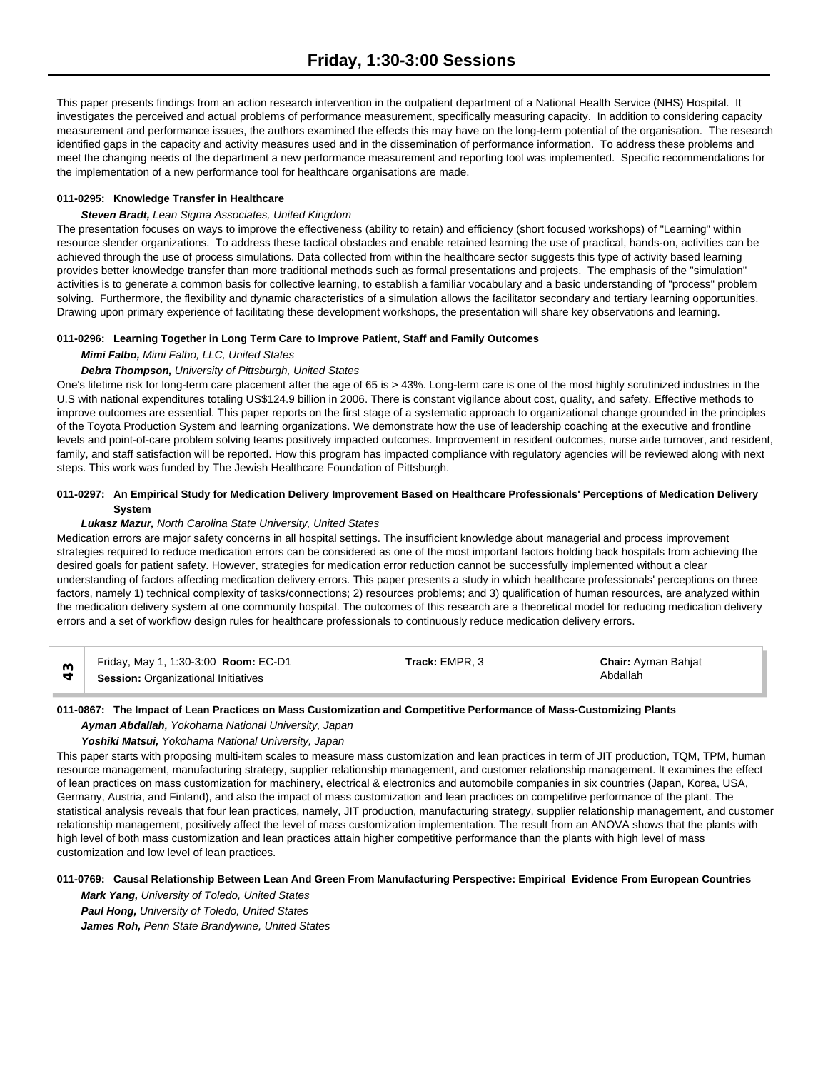This paper presents findings from an action research intervention in the outpatient department of a National Health Service (NHS) Hospital. It investigates the perceived and actual problems of performance measurement, specifically measuring capacity. In addition to considering capacity measurement and performance issues, the authors examined the effects this may have on the long-term potential of the organisation. The research identified gaps in the capacity and activity measures used and in the dissemination of performance information. To address these problems and meet the changing needs of the department a new performance measurement and reporting tool was implemented. Specific recommendations for the implementation of a new performance tool for healthcare organisations are made.

## **011-0295: Knowledge Transfer in Healthcare**

## *Steven Bradt, Lean Sigma Associates, United Kingdom*

The presentation focuses on ways to improve the effectiveness (ability to retain) and efficiency (short focused workshops) of "Learning" within resource slender organizations. To address these tactical obstacles and enable retained learning the use of practical, hands-on, activities can be achieved through the use of process simulations. Data collected from within the healthcare sector suggests this type of activity based learning provides better knowledge transfer than more traditional methods such as formal presentations and projects. The emphasis of the "simulation" activities is to generate a common basis for collective learning, to establish a familiar vocabulary and a basic understanding of "process" problem solving. Furthermore, the flexibility and dynamic characteristics of a simulation allows the facilitator secondary and tertiary learning opportunities. Drawing upon primary experience of facilitating these development workshops, the presentation will share key observations and learning.

## **011-0296: Learning Together in Long Term Care to Improve Patient, Staff and Family Outcomes**

*Mimi Falbo, Mimi Falbo, LLC, United States*

#### *Debra Thompson, University of Pittsburgh, United States*

One's lifetime risk for long-term care placement after the age of 65 is > 43%. Long-term care is one of the most highly scrutinized industries in the U.S with national expenditures totaling US\$124.9 billion in 2006. There is constant vigilance about cost, quality, and safety. Effective methods to improve outcomes are essential. This paper reports on the first stage of a systematic approach to organizational change grounded in the principles of the Toyota Production System and learning organizations. We demonstrate how the use of leadership coaching at the executive and frontline levels and point-of-care problem solving teams positively impacted outcomes. Improvement in resident outcomes, nurse aide turnover, and resident, family, and staff satisfaction will be reported. How this program has impacted compliance with regulatory agencies will be reviewed along with next steps. This work was funded by The Jewish Healthcare Foundation of Pittsburgh.

# **011-0297: An Empirical Study for Medication Delivery Improvement Based on Healthcare Professionals' Perceptions of Medication Delivery System**

#### *Lukasz Mazur, North Carolina State University, United States*

Medication errors are major safety concerns in all hospital settings. The insufficient knowledge about managerial and process improvement strategies required to reduce medication errors can be considered as one of the most important factors holding back hospitals from achieving the desired goals for patient safety. However, strategies for medication error reduction cannot be successfully implemented without a clear understanding of factors affecting medication delivery errors. This paper presents a study in which healthcare professionals' perceptions on three factors, namely 1) technical complexity of tasks/connections; 2) resources problems; and 3) qualification of human resources, are analyzed within the medication delivery system at one community hospital. The outcomes of this research are a theoretical model for reducing medication delivery errors and a set of workflow design rules for healthcare professionals to continuously reduce medication delivery errors.

| Friday, May 1, 1:30-3:00 Room: EC-D1       | Track: EMPR. 3 | <b>Chair: Ayman Bahjat</b> |
|--------------------------------------------|----------------|----------------------------|
| <b>Session: Organizational Initiatives</b> |                | Abdallah                   |

## **011-0867: The Impact of Lean Practices on Mass Customization and Competitive Performance of Mass-Customizing Plants**

*Ayman Abdallah, Yokohama National University, Japan*

## *Yoshiki Matsui, Yokohama National University, Japan*

This paper starts with proposing multi-item scales to measure mass customization and lean practices in term of JIT production, TQM, TPM, human resource management, manufacturing strategy, supplier relationship management, and customer relationship management. It examines the effect of lean practices on mass customization for machinery, electrical & electronics and automobile companies in six countries (Japan, Korea, USA, Germany, Austria, and Finland), and also the impact of mass customization and lean practices on competitive performance of the plant. The statistical analysis reveals that four lean practices, namely, JIT production, manufacturing strategy, supplier relationship management, and customer relationship management, positively affect the level of mass customization implementation. The result from an ANOVA shows that the plants with high level of both mass customization and lean practices attain higher competitive performance than the plants with high level of mass customization and low level of lean practices.

## **011-0769: Causal Relationship Between Lean And Green From Manufacturing Perspective: Empirical Evidence From European Countries**

*Mark Yang, University of Toledo, United States Paul Hong, University of Toledo, United States James Roh, Penn State Brandywine, United States*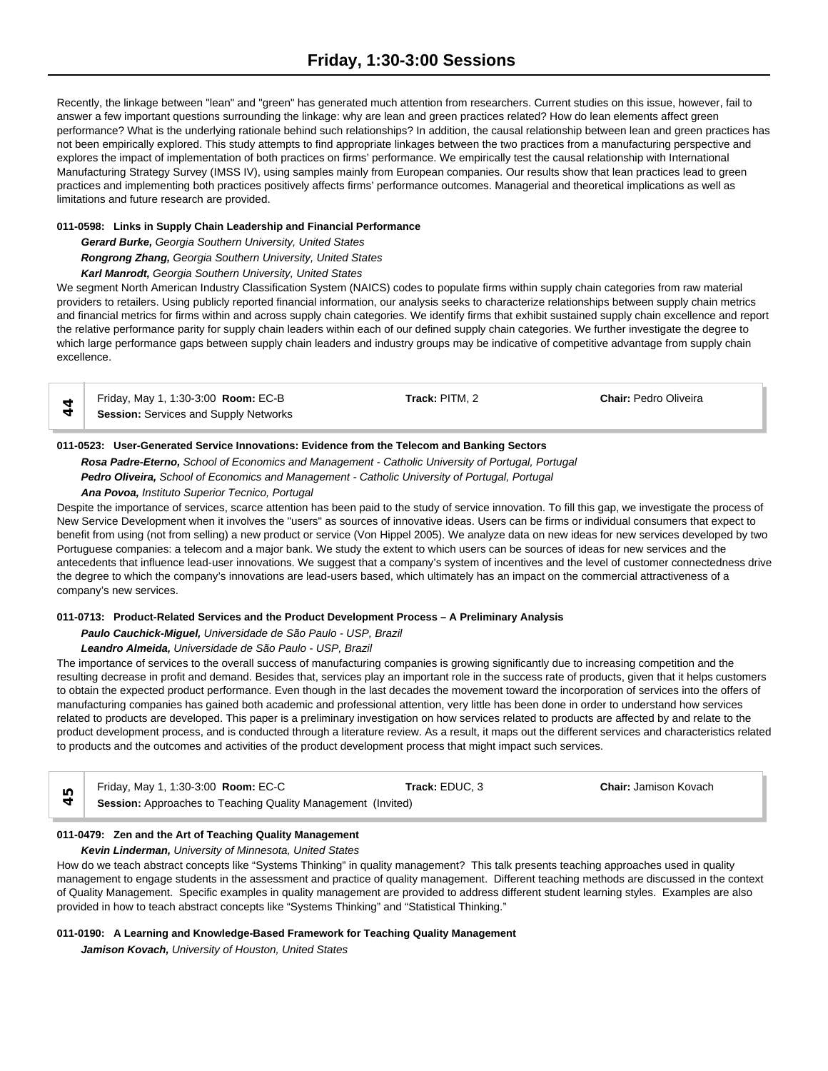Recently, the linkage between "lean" and "green" has generated much attention from researchers. Current studies on this issue, however, fail to answer a few important questions surrounding the linkage: why are lean and green practices related? How do lean elements affect green performance? What is the underlying rationale behind such relationships? In addition, the causal relationship between lean and green practices has not been empirically explored. This study attempts to find appropriate linkages between the two practices from a manufacturing perspective and explores the impact of implementation of both practices on firms' performance. We empirically test the causal relationship with International Manufacturing Strategy Survey (IMSS IV), using samples mainly from European companies. Our results show that lean practices lead to green practices and implementing both practices positively affects firms' performance outcomes. Managerial and theoretical implications as well as limitations and future research are provided.

## **011-0598: Links in Supply Chain Leadership and Financial Performance**

*Gerard Burke, Georgia Southern University, United States*

*Rongrong Zhang, Georgia Southern University, United States*

*Karl Manrodt, Georgia Southern University, United States*

We segment North American Industry Classification System (NAICS) codes to populate firms within supply chain categories from raw material providers to retailers. Using publicly reported financial information, our analysis seeks to characterize relationships between supply chain metrics and financial metrics for firms within and across supply chain categories. We identify firms that exhibit sustained supply chain excellence and report the relative performance parity for supply chain leaders within each of our defined supply chain categories. We further investigate the degree to which large performance gaps between supply chain leaders and industry groups may be indicative of competitive advantage from supply chain excellence.

| Friday, May 1, 1:30-3:00 Room: EC-B          | Track: PITM, 2 | <b>Chair: Pedro Oliveira</b> |  |
|----------------------------------------------|----------------|------------------------------|--|
| <b>Session: Services and Supply Networks</b> |                |                              |  |

# **011-0523: User-Generated Service Innovations: Evidence from the Telecom and Banking Sectors**

*Rosa Padre-Eterno, School of Economics and Management - Catholic University of Portugal, Portugal Pedro Oliveira, School of Economics and Management - Catholic University of Portugal, Portugal*

*Ana Povoa, Instituto Superior Tecnico, Portugal*

Despite the importance of services, scarce attention has been paid to the study of service innovation. To fill this gap, we investigate the process of New Service Development when it involves the "users" as sources of innovative ideas. Users can be firms or individual consumers that expect to benefit from using (not from selling) a new product or service (Von Hippel 2005). We analyze data on new ideas for new services developed by two Portuguese companies: a telecom and a major bank. We study the extent to which users can be sources of ideas for new services and the antecedents that influence lead-user innovations. We suggest that a company's system of incentives and the level of customer connectedness drive the degree to which the company's innovations are lead-users based, which ultimately has an impact on the commercial attractiveness of a company's new services.

## **011-0713: Product-Related Services and the Product Development Process – A Preliminary Analysis**

# *Paulo Cauchick-Miguel, Universidade de São Paulo - USP, Brazil*

## *Leandro Almeida, Universidade de São Paulo - USP, Brazil*

The importance of services to the overall success of manufacturing companies is growing significantly due to increasing competition and the resulting decrease in profit and demand. Besides that, services play an important role in the success rate of products, given that it helps customers to obtain the expected product performance. Even though in the last decades the movement toward the incorporation of services into the offers of manufacturing companies has gained both academic and professional attention, very little has been done in order to understand how services related to products are developed. This paper is a preliminary investigation on how services related to products are affected by and relate to the product development process, and is conducted through a literature review. As a result, it maps out the different services and characteristics related to products and the outcomes and activities of the product development process that might impact such services.

| Friday, May 1, 1:30-3:00 <b>Room:</b> EC-C                          | Track: EDUC. 3 | <b>Chair: Jamison Kovach</b> |  |
|---------------------------------------------------------------------|----------------|------------------------------|--|
| <b>Session:</b> Approaches to Teaching Quality Management (Invited) |                |                              |  |

## **011-0479: Zen and the Art of Teaching Quality Management**

## *Kevin Linderman, University of Minnesota, United States*

How do we teach abstract concepts like "Systems Thinking" in quality management? This talk presents teaching approaches used in quality management to engage students in the assessment and practice of quality management. Different teaching methods are discussed in the context of Quality Management. Specific examples in quality management are provided to address different student learning styles. Examples are also provided in how to teach abstract concepts like "Systems Thinking" and "Statistical Thinking."

## **011-0190: A Learning and Knowledge-Based Framework for Teaching Quality Management**

*Jamison Kovach, University of Houston, United States*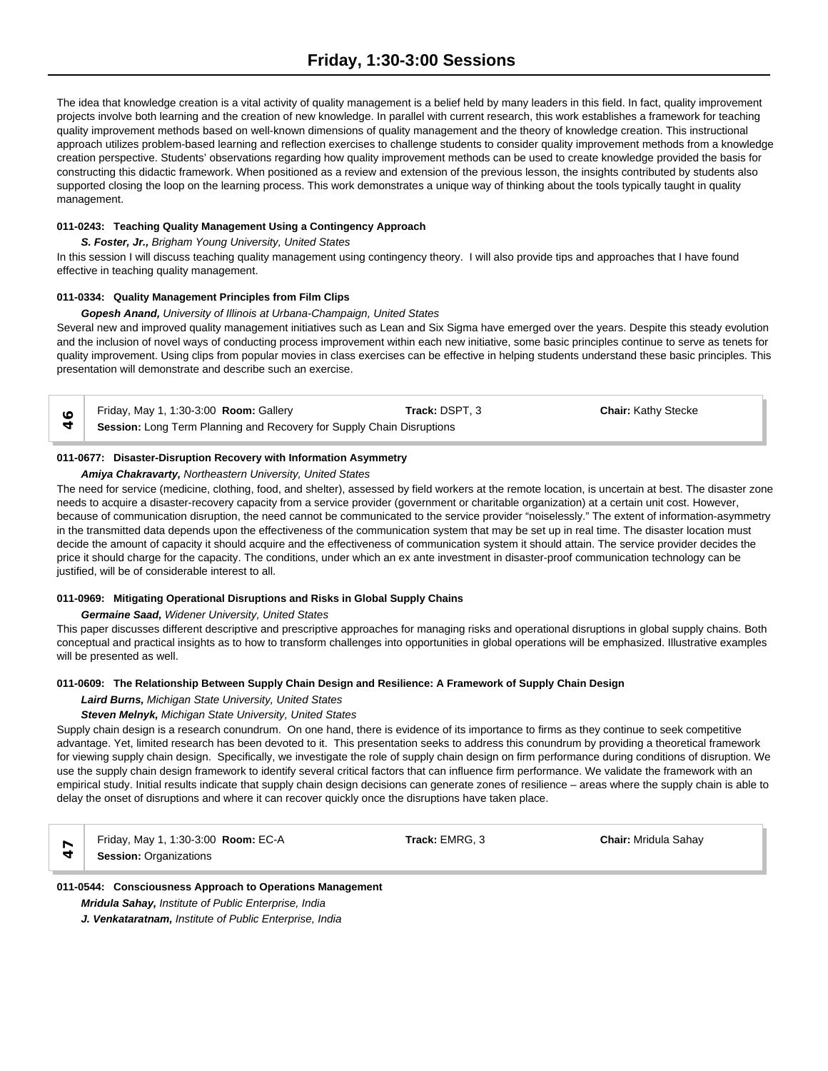The idea that knowledge creation is a vital activity of quality management is a belief held by many leaders in this field. In fact, quality improvement projects involve both learning and the creation of new knowledge. In parallel with current research, this work establishes a framework for teaching quality improvement methods based on well-known dimensions of quality management and the theory of knowledge creation. This instructional approach utilizes problem-based learning and reflection exercises to challenge students to consider quality improvement methods from a knowledge creation perspective. Students' observations regarding how quality improvement methods can be used to create knowledge provided the basis for constructing this didactic framework. When positioned as a review and extension of the previous lesson, the insights contributed by students also supported closing the loop on the learning process. This work demonstrates a unique way of thinking about the tools typically taught in quality management.

## **011-0243: Teaching Quality Management Using a Contingency Approach**

*S. Foster, Jr., Brigham Young University, United States*

In this session I will discuss teaching quality management using contingency theory. I will also provide tips and approaches that I have found effective in teaching quality management.

## **011-0334: Quality Management Principles from Film Clips**

#### *Gopesh Anand, University of Illinois at Urbana-Champaign, United States*

Several new and improved quality management initiatives such as Lean and Six Sigma have emerged over the years. Despite this steady evolution and the inclusion of novel ways of conducting process improvement within each new initiative, some basic principles continue to serve as tenets for quality improvement. Using clips from popular movies in class exercises can be effective in helping students understand these basic principles. This presentation will demonstrate and describe such an exercise.

Friday, May 1, 1:30-3:00 **Room:** Gallery **Track:** DSPT, 3 **Chair:** Kathy Stecke **Session:** Long Term Planning and Recovery for Supply Chain Disruptions<br> **Session:** Long Term Planning and Recovery for Supply Chain Disruptions

## **011-0677: Disaster-Disruption Recovery with Information Asymmetry**

## *Amiya Chakravarty, Northeastern University, United States*

The need for service (medicine, clothing, food, and shelter), assessed by field workers at the remote location, is uncertain at best. The disaster zone needs to acquire a disaster-recovery capacity from a service provider (government or charitable organization) at a certain unit cost. However, because of communication disruption, the need cannot be communicated to the service provider "noiselessly." The extent of information-asymmetry in the transmitted data depends upon the effectiveness of the communication system that may be set up in real time. The disaster location must decide the amount of capacity it should acquire and the effectiveness of communication system it should attain. The service provider decides the price it should charge for the capacity. The conditions, under which an ex ante investment in disaster-proof communication technology can be justified, will be of considerable interest to all.

## **011-0969: Mitigating Operational Disruptions and Risks in Global Supply Chains**

*Germaine Saad, Widener University, United States*

This paper discusses different descriptive and prescriptive approaches for managing risks and operational disruptions in global supply chains. Both conceptual and practical insights as to how to transform challenges into opportunities in global operations will be emphasized. Illustrative examples will be presented as well.

# **011-0609: The Relationship Between Supply Chain Design and Resilience: A Framework of Supply Chain Design**

# *Laird Burns, Michigan State University, United States*

## *Steven Melnyk, Michigan State University, United States*

Supply chain design is a research conundrum. On one hand, there is evidence of its importance to firms as they continue to seek competitive advantage. Yet, limited research has been devoted to it. This presentation seeks to address this conundrum by providing a theoretical framework for viewing supply chain design. Specifically, we investigate the role of supply chain design on firm performance during conditions of disruption. We use the supply chain design framework to identify several critical factors that can influence firm performance. We validate the framework with an empirical study. Initial results indicate that supply chain design decisions can generate zones of resilience – areas where the supply chain is able to delay the onset of disruptions and where it can recover quickly once the disruptions have taken place.

Friday, May 1, 1:30-3:00 **Room:** EC-A **Track:** EMRG, 3 **Chair:** Mridula Sahay  $\mathcal{F}$  **Session:** Organizations

# **011-0544: Consciousness Approach to Operations Management** *Mridula Sahay, Institute of Public Enterprise, India J. Venkataratnam, Institute of Public Enterprise, India*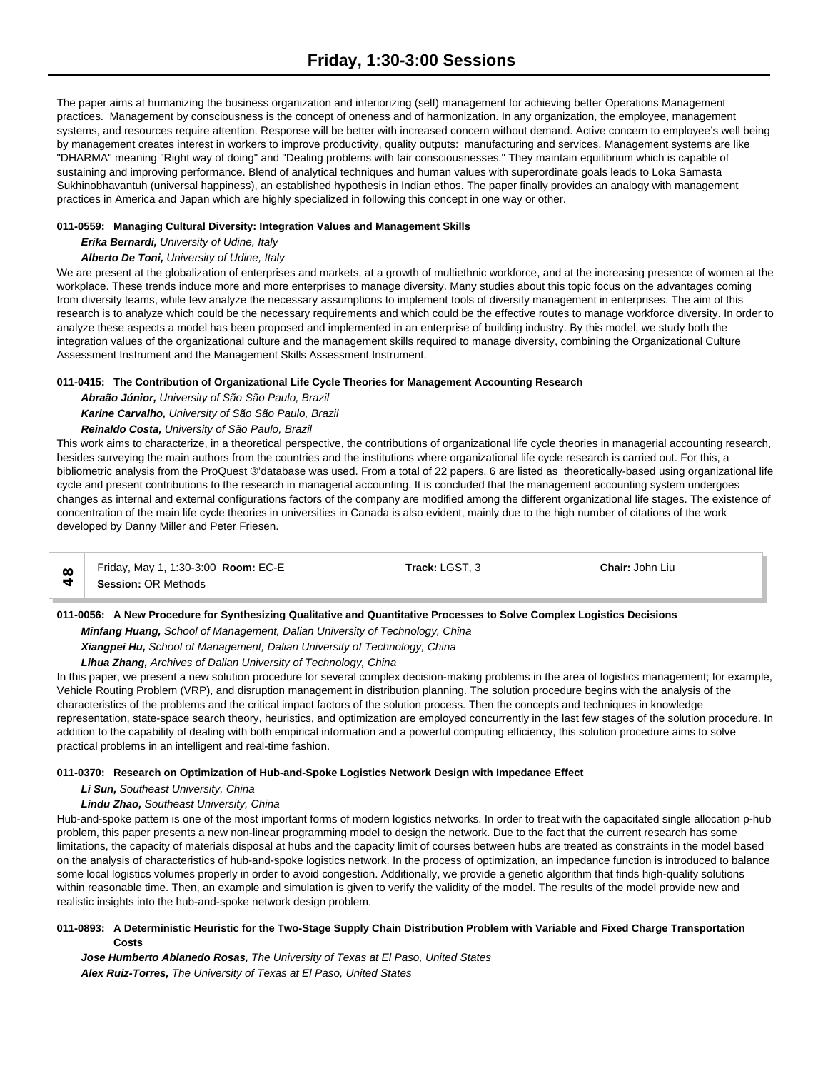The paper aims at humanizing the business organization and interiorizing (self) management for achieving better Operations Management practices. Management by consciousness is the concept of oneness and of harmonization. In any organization, the employee, management systems, and resources require attention. Response will be better with increased concern without demand. Active concern to employee's well being by management creates interest in workers to improve productivity, quality outputs: manufacturing and services. Management systems are like "DHARMA" meaning "Right way of doing" and "Dealing problems with fair consciousnesses." They maintain equilibrium which is capable of sustaining and improving performance. Blend of analytical techniques and human values with superordinate goals leads to Loka Samasta Sukhinobhavantuh (universal happiness), an established hypothesis in Indian ethos. The paper finally provides an analogy with management practices in America and Japan which are highly specialized in following this concept in one way or other.

#### **011-0559: Managing Cultural Diversity: Integration Values and Management Skills**

# *Erika Bernardi, University of Udine, Italy*

# *Alberto De Toni, University of Udine, Italy*

We are present at the globalization of enterprises and markets, at a growth of multiethnic workforce, and at the increasing presence of women at the workplace. These trends induce more and more enterprises to manage diversity. Many studies about this topic focus on the advantages coming from diversity teams, while few analyze the necessary assumptions to implement tools of diversity management in enterprises. The aim of this research is to analyze which could be the necessary requirements and which could be the effective routes to manage workforce diversity. In order to analyze these aspects a model has been proposed and implemented in an enterprise of building industry. By this model, we study both the integration values of the organizational culture and the management skills required to manage diversity, combining the Organizational Culture Assessment Instrument and the Management Skills Assessment Instrument.

## **011-0415: The Contribution of Organizational Life Cycle Theories for Management Accounting Research**

## *Abraão Júnior, University of São São Paulo, Brazil*

*Karine Carvalho, University of São São Paulo, Brazil*

# *Reinaldo Costa, University of São Paulo, Brazil*

This work aims to characterize, in a theoretical perspective, the contributions of organizational life cycle theories in managerial accounting research, besides surveying the main authors from the countries and the institutions where organizational life cycle research is carried out. For this, a bibliometric analysis from the ProQuest ®'database was used. From a total of 22 papers, 6 are listed as theoretically-based using organizational life cycle and present contributions to the research in managerial accounting. It is concluded that the management accounting system undergoes changes as internal and external configurations factors of the company are modified among the different organizational life stages. The existence of concentration of the main life cycle theories in universities in Canada is also evident, mainly due to the high number of citations of the work developed by Danny Miller and Peter Friesen.

| Friday, May 1, 1:30-3:00 <b>Room:</b> EC-E | Track: LGST. 3 | <b>Chair: John Liu</b> |  |
|--------------------------------------------|----------------|------------------------|--|
| <b>Session: OR Methods</b>                 |                |                        |  |

**011-0056: A New Procedure for Synthesizing Qualitative and Quantitative Processes to Solve Complex Logistics Decisions**

*Minfang Huang, School of Management, Dalian University of Technology, China*

*Xiangpei Hu, School of Management, Dalian University of Technology, China*

## *Lihua Zhang, Archives of Dalian University of Technology, China*

In this paper, we present a new solution procedure for several complex decision-making problems in the area of logistics management; for example, Vehicle Routing Problem (VRP), and disruption management in distribution planning. The solution procedure begins with the analysis of the characteristics of the problems and the critical impact factors of the solution process. Then the concepts and techniques in knowledge representation, state-space search theory, heuristics, and optimization are employed concurrently in the last few stages of the solution procedure. In addition to the capability of dealing with both empirical information and a powerful computing efficiency, this solution procedure aims to solve practical problems in an intelligent and real-time fashion.

## **011-0370: Research on Optimization of Hub-and-Spoke Logistics Network Design with Impedance Effect**

*Li Sun, Southeast University, China*

*Lindu Zhao, Southeast University, China*

Hub-and-spoke pattern is one of the most important forms of modern logistics networks. In order to treat with the capacitated single allocation p-hub problem, this paper presents a new non-linear programming model to design the network. Due to the fact that the current research has some limitations, the capacity of materials disposal at hubs and the capacity limit of courses between hubs are treated as constraints in the model based on the analysis of characteristics of hub-and-spoke logistics network. In the process of optimization, an impedance function is introduced to balance some local logistics volumes properly in order to avoid congestion. Additionally, we provide a genetic algorithm that finds high-quality solutions within reasonable time. Then, an example and simulation is given to verify the validity of the model. The results of the model provide new and realistic insights into the hub-and-spoke network design problem.

## **011-0893: A Deterministic Heuristic for the Two-Stage Supply Chain Distribution Problem with Variable and Fixed Charge Transportation Costs**

*Jose Humberto Ablanedo Rosas, The University of Texas at El Paso, United States Alex Ruiz-Torres, The University of Texas at El Paso, United States*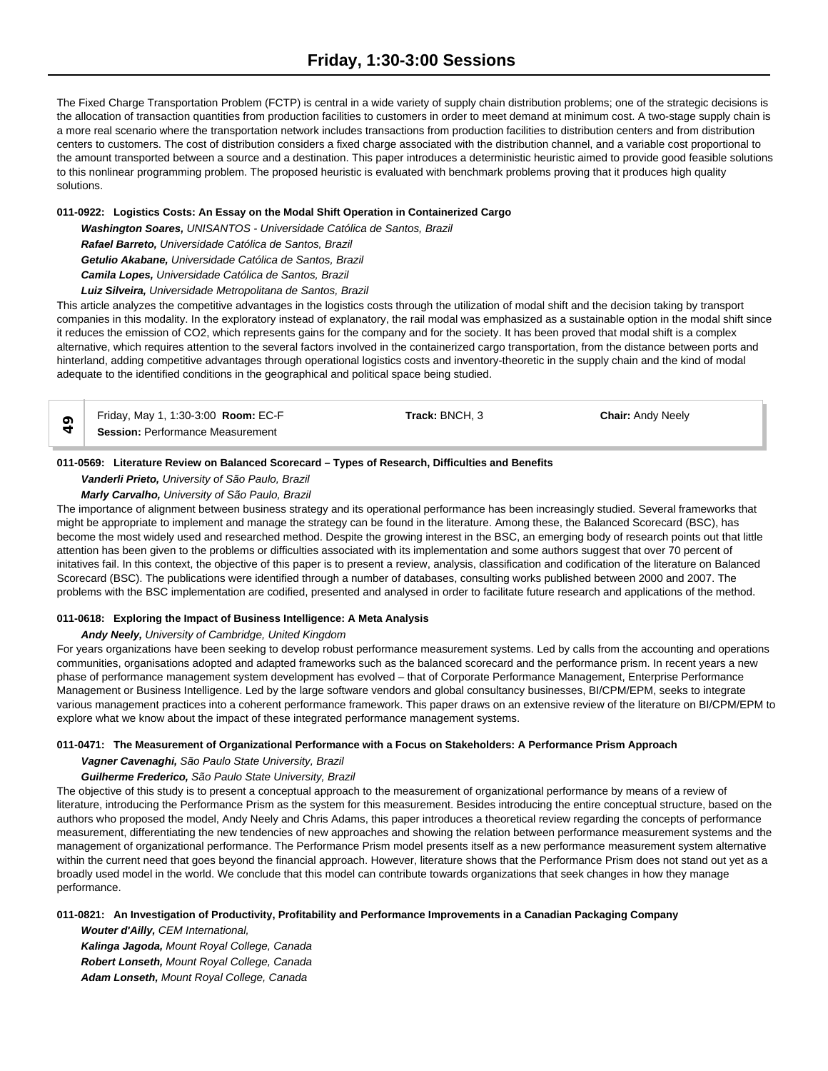The Fixed Charge Transportation Problem (FCTP) is central in a wide variety of supply chain distribution problems; one of the strategic decisions is the allocation of transaction quantities from production facilities to customers in order to meet demand at minimum cost. A two-stage supply chain is a more real scenario where the transportation network includes transactions from production facilities to distribution centers and from distribution centers to customers. The cost of distribution considers a fixed charge associated with the distribution channel, and a variable cost proportional to the amount transported between a source and a destination. This paper introduces a deterministic heuristic aimed to provide good feasible solutions to this nonlinear programming problem. The proposed heuristic is evaluated with benchmark problems proving that it produces high quality solutions.

## **011-0922: Logistics Costs: An Essay on the Modal Shift Operation in Containerized Cargo**

*Washington Soares, UNISANTOS - Universidade Católica de Santos, Brazil Rafael Barreto, Universidade Católica de Santos, Brazil Getulio Akabane, Universidade Católica de Santos, Brazil Camila Lopes, Universidade Católica de Santos, Brazil*

*Luiz Silveira, Universidade Metropolitana de Santos, Brazil*

This article analyzes the competitive advantages in the logistics costs through the utilization of modal shift and the decision taking by transport companies in this modality. In the exploratory instead of explanatory, the rail modal was emphasized as a sustainable option in the modal shift since it reduces the emission of CO2, which represents gains for the company and for the society. It has been proved that modal shift is a complex alternative, which requires attention to the several factors involved in the containerized cargo transportation, from the distance between ports and hinterland, adding competitive advantages through operational logistics costs and inventory-theoretic in the supply chain and the kind of modal adequate to the identified conditions in the geographical and political space being studied.

| Friday, May 1, 1:30-3:00 Room: EC-F     | Track: BNCH. 3 | <b>Chair: Andy Neely</b> |  |
|-----------------------------------------|----------------|--------------------------|--|
| <b>Session: Performance Measurement</b> |                |                          |  |

# **011-0569: Literature Review on Balanced Scorecard – Types of Research, Difficulties and Benefits**

*Vanderli Prieto, University of São Paulo, Brazil*

## *Marly Carvalho, University of São Paulo, Brazil*

The importance of alignment between business strategy and its operational performance has been increasingly studied. Several frameworks that might be appropriate to implement and manage the strategy can be found in the literature. Among these, the Balanced Scorecard (BSC), has become the most widely used and researched method. Despite the growing interest in the BSC, an emerging body of research points out that little attention has been given to the problems or difficulties associated with its implementation and some authors suggest that over 70 percent of initatives fail. In this context, the objective of this paper is to present a review, analysis, classification and codification of the literature on Balanced Scorecard (BSC). The publications were identified through a number of databases, consulting works published between 2000 and 2007. The problems with the BSC implementation are codified, presented and analysed in order to facilitate future research and applications of the method.

# **011-0618: Exploring the Impact of Business Intelligence: A Meta Analysis**

## *Andy Neely, University of Cambridge, United Kingdom*

For years organizations have been seeking to develop robust performance measurement systems. Led by calls from the accounting and operations communities, organisations adopted and adapted frameworks such as the balanced scorecard and the performance prism. In recent years a new phase of performance management system development has evolved – that of Corporate Performance Management, Enterprise Performance Management or Business Intelligence. Led by the large software vendors and global consultancy businesses, BI/CPM/EPM, seeks to integrate various management practices into a coherent performance framework. This paper draws on an extensive review of the literature on BI/CPM/EPM to explore what we know about the impact of these integrated performance management systems.

## **011-0471: The Measurement of Organizational Performance with a Focus on Stakeholders: A Performance Prism Approach**

## *Vagner Cavenaghi, São Paulo State University, Brazil*

# *Guilherme Frederico, São Paulo State University, Brazil*

The objective of this study is to present a conceptual approach to the measurement of organizational performance by means of a review of literature, introducing the Performance Prism as the system for this measurement. Besides introducing the entire conceptual structure, based on the authors who proposed the model, Andy Neely and Chris Adams, this paper introduces a theoretical review regarding the concepts of performance measurement, differentiating the new tendencies of new approaches and showing the relation between performance measurement systems and the management of organizational performance. The Performance Prism model presents itself as a new performance measurement system alternative within the current need that goes beyond the financial approach. However, literature shows that the Performance Prism does not stand out yet as a broadly used model in the world. We conclude that this model can contribute towards organizations that seek changes in how they manage performance.

## **011-0821: An Investigation of Productivity, Profitability and Performance Improvements in a Canadian Packaging Company**

*Wouter d'Ailly, CEM International, Kalinga Jagoda, Mount Royal College, Canada Robert Lonseth, Mount Royal College, Canada Adam Lonseth, Mount Royal College, Canada*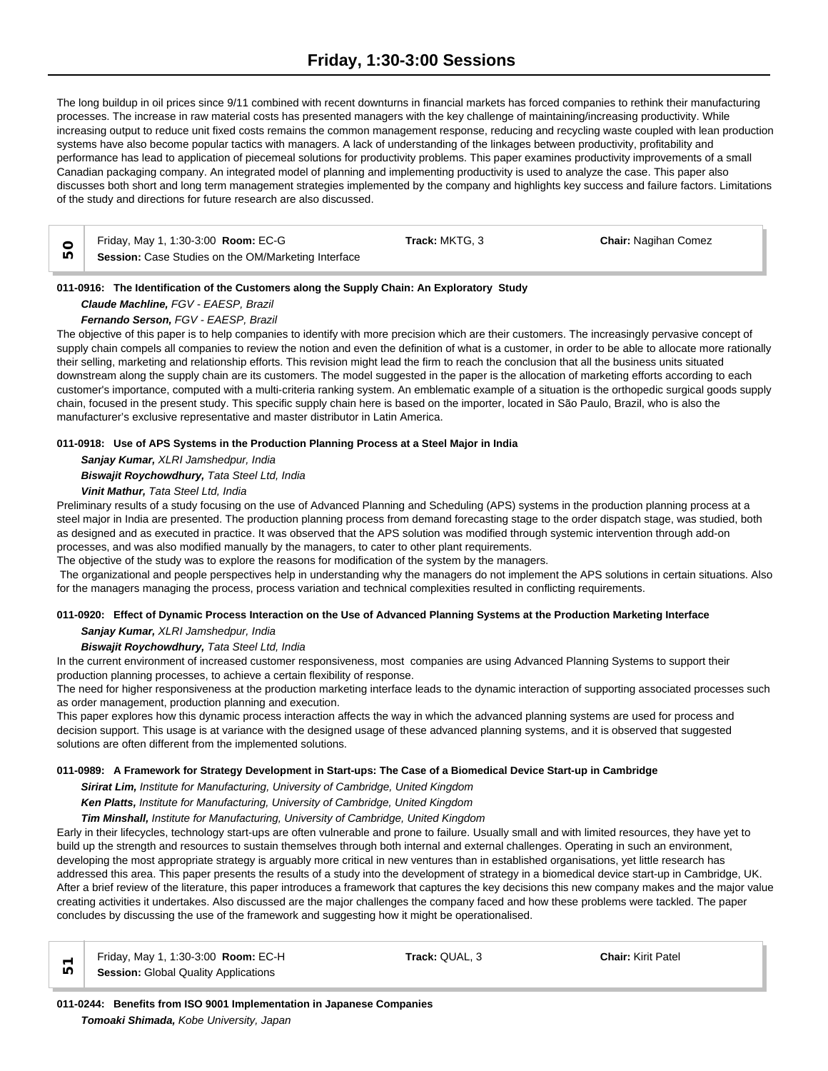The long buildup in oil prices since 9/11 combined with recent downturns in financial markets has forced companies to rethink their manufacturing processes. The increase in raw material costs has presented managers with the key challenge of maintaining/increasing productivity. While increasing output to reduce unit fixed costs remains the common management response, reducing and recycling waste coupled with lean production systems have also become popular tactics with managers. A lack of understanding of the linkages between productivity, profitability and performance has lead to application of piecemeal solutions for productivity problems. This paper examines productivity improvements of a small Canadian packaging company. An integrated model of planning and implementing productivity is used to analyze the case. This paper also discusses both short and long term management strategies implemented by the company and highlights key success and failure factors. Limitations of the study and directions for future research are also discussed.

|     | Friday, May 1, 1:30-3:00 Room: EC-G                 | Track: MKTG. 3 | <b>Chair: Nagihan Comez</b> |  |
|-----|-----------------------------------------------------|----------------|-----------------------------|--|
| LC) | Session: Case Studies on the OM/Marketing Interface |                |                             |  |

# **011-0916: The Identification of the Customers along the Supply Chain: An Exploratory Study**

*Claude Machline, FGV - EAESP, Brazil*

# *Fernando Serson, FGV - EAESP, Brazil*

The objective of this paper is to help companies to identify with more precision which are their customers. The increasingly pervasive concept of supply chain compels all companies to review the notion and even the definition of what is a customer, in order to be able to allocate more rationally their selling, marketing and relationship efforts. This revision might lead the firm to reach the conclusion that all the business units situated downstream along the supply chain are its customers. The model suggested in the paper is the allocation of marketing efforts according to each customer's importance, computed with a multi-criteria ranking system. An emblematic example of a situation is the orthopedic surgical goods supply chain, focused in the present study. This specific supply chain here is based on the importer, located in São Paulo, Brazil, who is also the manufacturer's exclusive representative and master distributor in Latin America.

# **011-0918: Use of APS Systems in the Production Planning Process at a Steel Major in India**

*Sanjay Kumar, XLRI Jamshedpur, India*

# *Biswajit Roychowdhury, Tata Steel Ltd, India*

*Vinit Mathur, Tata Steel Ltd, India*

Preliminary results of a study focusing on the use of Advanced Planning and Scheduling (APS) systems in the production planning process at a steel major in India are presented. The production planning process from demand forecasting stage to the order dispatch stage, was studied, both as designed and as executed in practice. It was observed that the APS solution was modified through systemic intervention through add-on processes, and was also modified manually by the managers, to cater to other plant requirements.

The objective of the study was to explore the reasons for modification of the system by the managers.

 The organizational and people perspectives help in understanding why the managers do not implement the APS solutions in certain situations. Also for the managers managing the process, process variation and technical complexities resulted in conflicting requirements.

# **011-0920: Effect of Dynamic Process Interaction on the Use of Advanced Planning Systems at the Production Marketing Interface** *Sanjay Kumar, XLRI Jamshedpur, India*

## *Biswajit Roychowdhury, Tata Steel Ltd, India*

In the current environment of increased customer responsiveness, most companies are using Advanced Planning Systems to support their production planning processes, to achieve a certain flexibility of response.

The need for higher responsiveness at the production marketing interface leads to the dynamic interaction of supporting associated processes such as order management, production planning and execution.

This paper explores how this dynamic process interaction affects the way in which the advanced planning systems are used for process and decision support. This usage is at variance with the designed usage of these advanced planning systems, and it is observed that suggested solutions are often different from the implemented solutions.

## **011-0989: A Framework for Strategy Development in Start-ups: The Case of a Biomedical Device Start-up in Cambridge**

*Sirirat Lim, Institute for Manufacturing, University of Cambridge, United Kingdom*

*Ken Platts, Institute for Manufacturing, University of Cambridge, United Kingdom*

*Tim Minshall, Institute for Manufacturing, University of Cambridge, United Kingdom*

Early in their lifecycles, technology start-ups are often vulnerable and prone to failure. Usually small and with limited resources, they have yet to build up the strength and resources to sustain themselves through both internal and external challenges. Operating in such an environment, developing the most appropriate strategy is arguably more critical in new ventures than in established organisations, yet little research has addressed this area. This paper presents the results of a study into the development of strategy in a biomedical device start-up in Cambridge, UK. After a brief review of the literature, this paper introduces a framework that captures the key decisions this new company makes and the major value creating activities it undertakes. Also discussed are the major challenges the company faced and how these problems were tackled. The paper concludes by discussing the use of the framework and suggesting how it might be operationalised.

| $\overline{a}$ | Friday, May 1, 1:30-3:00 <b>Room:</b> EC-H  |
|----------------|---------------------------------------------|
|                | $\Box$ Session: Global Quality Applications |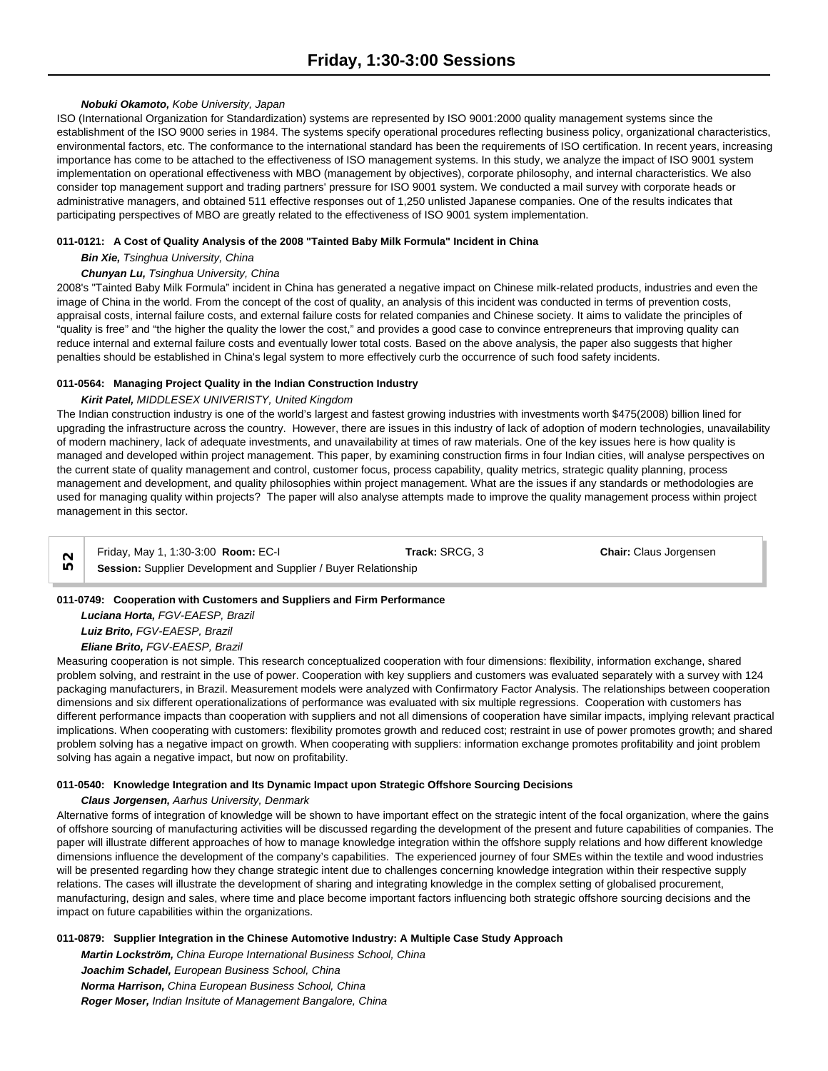## *Nobuki Okamoto, Kobe University, Japan*

ISO (International Organization for Standardization) systems are represented by ISO 9001:2000 quality management systems since the establishment of the ISO 9000 series in 1984. The systems specify operational procedures reflecting business policy, organizational characteristics, environmental factors, etc. The conformance to the international standard has been the requirements of ISO certification. In recent years, increasing importance has come to be attached to the effectiveness of ISO management systems. In this study, we analyze the impact of ISO 9001 system implementation on operational effectiveness with MBO (management by objectives), corporate philosophy, and internal characteristics. We also consider top management support and trading partners' pressure for ISO 9001 system. We conducted a mail survey with corporate heads or administrative managers, and obtained 511 effective responses out of 1,250 unlisted Japanese companies. One of the results indicates that participating perspectives of MBO are greatly related to the effectiveness of ISO 9001 system implementation.

#### **011-0121: A Cost of Quality Analysis of the 2008 "Tainted Baby Milk Formula" Incident in China**

#### *Bin Xie, Tsinghua University, China*

# *Chunyan Lu, Tsinghua University, China*

2008's "Tainted Baby Milk Formula" incident in China has generated a negative impact on Chinese milk-related products, industries and even the image of China in the world. From the concept of the cost of quality, an analysis of this incident was conducted in terms of prevention costs, appraisal costs, internal failure costs, and external failure costs for related companies and Chinese society. It aims to validate the principles of "quality is free" and "the higher the quality the lower the cost," and provides a good case to convince entrepreneurs that improving quality can reduce internal and external failure costs and eventually lower total costs. Based on the above analysis, the paper also suggests that higher penalties should be established in China's legal system to more effectively curb the occurrence of such food safety incidents.

#### **011-0564: Managing Project Quality in the Indian Construction Industry**

# *Kirit Patel, MIDDLESEX UNIVERISTY, United Kingdom*

The Indian construction industry is one of the world's largest and fastest growing industries with investments worth \$475(2008) billion lined for upgrading the infrastructure across the country. However, there are issues in this industry of lack of adoption of modern technologies, unavailability of modern machinery, lack of adequate investments, and unavailability at times of raw materials. One of the key issues here is how quality is managed and developed within project management. This paper, by examining construction firms in four Indian cities, will analyse perspectives on the current state of quality management and control, customer focus, process capability, quality metrics, strategic quality planning, process management and development, and quality philosophies within project management. What are the issues if any standards or methodologies are used for managing quality within projects? The paper will also analyse attempts made to improve the quality management process within project management in this sector.

Friday, May 1, 1:30-3:00 **Room:** EC-I **Track:** SRCG, 3 **Chair:** Claus Jorgensen **Session:** Supplier Development and Supplier / Buyer Relationship 52<br> **Session:** Supplier Development and Supplier / Buyer Relationship

#### **011-0749: Cooperation with Customers and Suppliers and Firm Performance**

*Luciana Horta, FGV-EAESP, Brazil Luiz Brito, FGV-EAESP, Brazil Eliane Brito, FGV-EAESP, Brazil*

Measuring cooperation is not simple. This research conceptualized cooperation with four dimensions: flexibility, information exchange, shared problem solving, and restraint in the use of power. Cooperation with key suppliers and customers was evaluated separately with a survey with 124 packaging manufacturers, in Brazil. Measurement models were analyzed with Confirmatory Factor Analysis. The relationships between cooperation dimensions and six different operationalizations of performance was evaluated with six multiple regressions. Cooperation with customers has different performance impacts than cooperation with suppliers and not all dimensions of cooperation have similar impacts, implying relevant practical implications. When cooperating with customers: flexibility promotes growth and reduced cost; restraint in use of power promotes growth; and shared problem solving has a negative impact on growth. When cooperating with suppliers: information exchange promotes profitability and joint problem solving has again a negative impact, but now on profitability.

# **011-0540: Knowledge Integration and Its Dynamic Impact upon Strategic Offshore Sourcing Decisions**

#### *Claus Jorgensen, Aarhus University, Denmark*

Alternative forms of integration of knowledge will be shown to have important effect on the strategic intent of the focal organization, where the gains of offshore sourcing of manufacturing activities will be discussed regarding the development of the present and future capabilities of companies. The paper will illustrate different approaches of how to manage knowledge integration within the offshore supply relations and how different knowledge dimensions influence the development of the company's capabilities. The experienced journey of four SMEs within the textile and wood industries will be presented regarding how they change strategic intent due to challenges concerning knowledge integration within their respective supply relations. The cases will illustrate the development of sharing and integrating knowledge in the complex setting of globalised procurement, manufacturing, design and sales, where time and place become important factors influencing both strategic offshore sourcing decisions and the impact on future capabilities within the organizations.

#### **011-0879: Supplier Integration in the Chinese Automotive Industry: A Multiple Case Study Approach**

*Martin Lockström, China Europe International Business School, China*

*Joachim Schadel, European Business School, China Norma Harrison, China European Business School, China Roger Moser, Indian Insitute of Management Bangalore, China*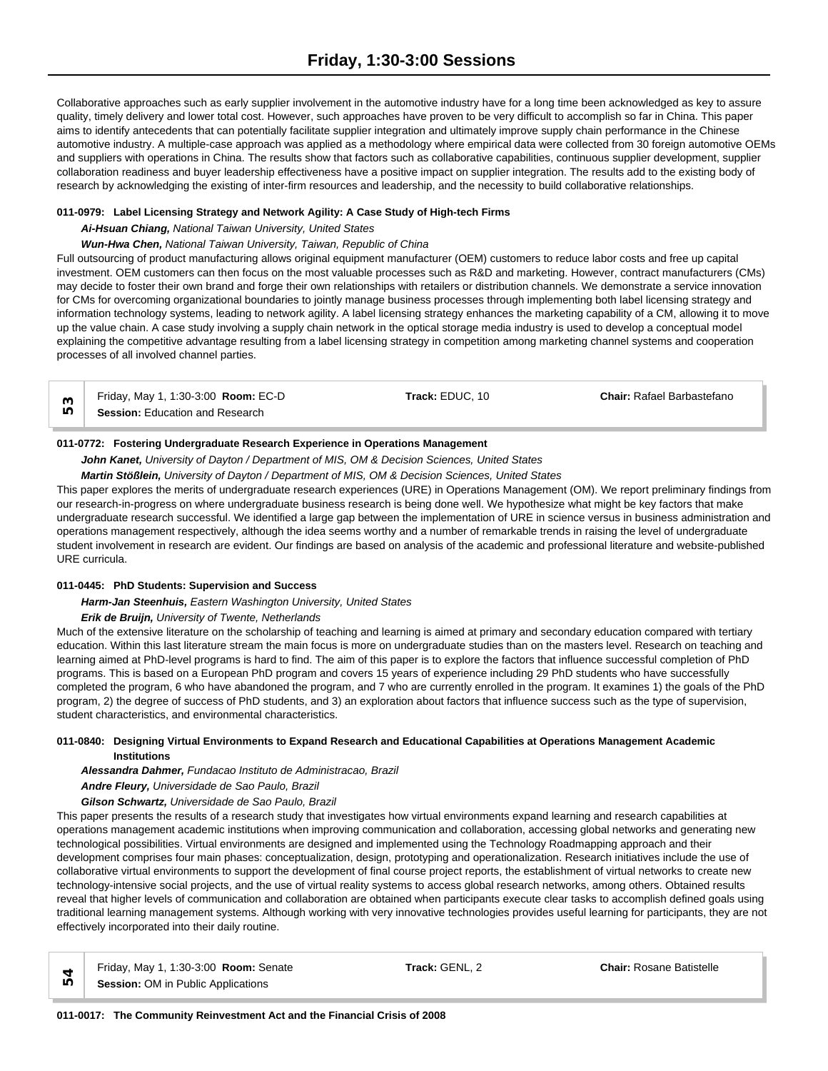Collaborative approaches such as early supplier involvement in the automotive industry have for a long time been acknowledged as key to assure quality, timely delivery and lower total cost. However, such approaches have proven to be very difficult to accomplish so far in China. This paper aims to identify antecedents that can potentially facilitate supplier integration and ultimately improve supply chain performance in the Chinese automotive industry. A multiple-case approach was applied as a methodology where empirical data were collected from 30 foreign automotive OEMs and suppliers with operations in China. The results show that factors such as collaborative capabilities, continuous supplier development, supplier collaboration readiness and buyer leadership effectiveness have a positive impact on supplier integration. The results add to the existing body of research by acknowledging the existing of inter-firm resources and leadership, and the necessity to build collaborative relationships.

# **011-0979: Label Licensing Strategy and Network Agility: A Case Study of High-tech Firms**

# *Ai-Hsuan Chiang, National Taiwan University, United States*

# *Wun-Hwa Chen, National Taiwan University, Taiwan, Republic of China*

Full outsourcing of product manufacturing allows original equipment manufacturer (OEM) customers to reduce labor costs and free up capital investment. OEM customers can then focus on the most valuable processes such as R&D and marketing. However, contract manufacturers (CMs) may decide to foster their own brand and forge their own relationships with retailers or distribution channels. We demonstrate a service innovation for CMs for overcoming organizational boundaries to jointly manage business processes through implementing both label licensing strategy and information technology systems, leading to network agility. A label licensing strategy enhances the marketing capability of a CM, allowing it to move up the value chain. A case study involving a supply chain network in the optical storage media industry is used to develop a conceptual model explaining the competitive advantage resulting from a label licensing strategy in competition among marketing channel systems and cooperation processes of all involved channel parties.

| Friday, May 1, 1:30-3:00 <b>Room: EC-D</b> | <b>Track:</b> EDUC. 10 | <b>Chair: Rafael Barbastefano</b> |  |
|--------------------------------------------|------------------------|-----------------------------------|--|
| <b>Session:</b> Education and Research     |                        |                                   |  |

# **011-0772: Fostering Undergraduate Research Experience in Operations Management**

# *John Kanet, University of Dayton / Department of MIS, OM & Decision Sciences, United States*

*Martin Stößlein, University of Dayton / Department of MIS, OM & Decision Sciences, United States*

This paper explores the merits of undergraduate research experiences (URE) in Operations Management (OM). We report preliminary findings from our research-in-progress on where undergraduate business research is being done well. We hypothesize what might be key factors that make undergraduate research successful. We identified a large gap between the implementation of URE in science versus in business administration and operations management respectively, although the idea seems worthy and a number of remarkable trends in raising the level of undergraduate student involvement in research are evident. Our findings are based on analysis of the academic and professional literature and website-published URE curricula.

## **011-0445: PhD Students: Supervision and Success**

## *Harm-Jan Steenhuis, Eastern Washington University, United States*

## *Erik de Bruijn, University of Twente, Netherlands*

Much of the extensive literature on the scholarship of teaching and learning is aimed at primary and secondary education compared with tertiary education. Within this last literature stream the main focus is more on undergraduate studies than on the masters level. Research on teaching and learning aimed at PhD-level programs is hard to find. The aim of this paper is to explore the factors that influence successful completion of PhD programs. This is based on a European PhD program and covers 15 years of experience including 29 PhD students who have successfully completed the program, 6 who have abandoned the program, and 7 who are currently enrolled in the program. It examines 1) the goals of the PhD program, 2) the degree of success of PhD students, and 3) an exploration about factors that influence success such as the type of supervision, student characteristics, and environmental characteristics.

#### **011-0840: Designing Virtual Environments to Expand Research and Educational Capabilities at Operations Management Academic Institutions**

*Alessandra Dahmer, Fundacao Instituto de Administracao, Brazil*

*Andre Fleury, Universidade de Sao Paulo, Brazil*

*Gilson Schwartz, Universidade de Sao Paulo, Brazil*

This paper presents the results of a research study that investigates how virtual environments expand learning and research capabilities at operations management academic institutions when improving communication and collaboration, accessing global networks and generating new technological possibilities. Virtual environments are designed and implemented using the Technology Roadmapping approach and their development comprises four main phases: conceptualization, design, prototyping and operationalization. Research initiatives include the use of collaborative virtual environments to support the development of final course project reports, the establishment of virtual networks to create new technology-intensive social projects, and the use of virtual reality systems to access global research networks, among others. Obtained results reveal that higher levels of communication and collaboration are obtained when participants execute clear tasks to accomplish defined goals using traditional learning management systems. Although working with very innovative technologies provides useful learning for participants, they are not effectively incorporated into their daily routine.

Friday, May 1, 1:30-3:00 **Room:** Senate **Track:** GENL, 2 **Chair:** Rosane Batistelle **Session:** OM in Public Applications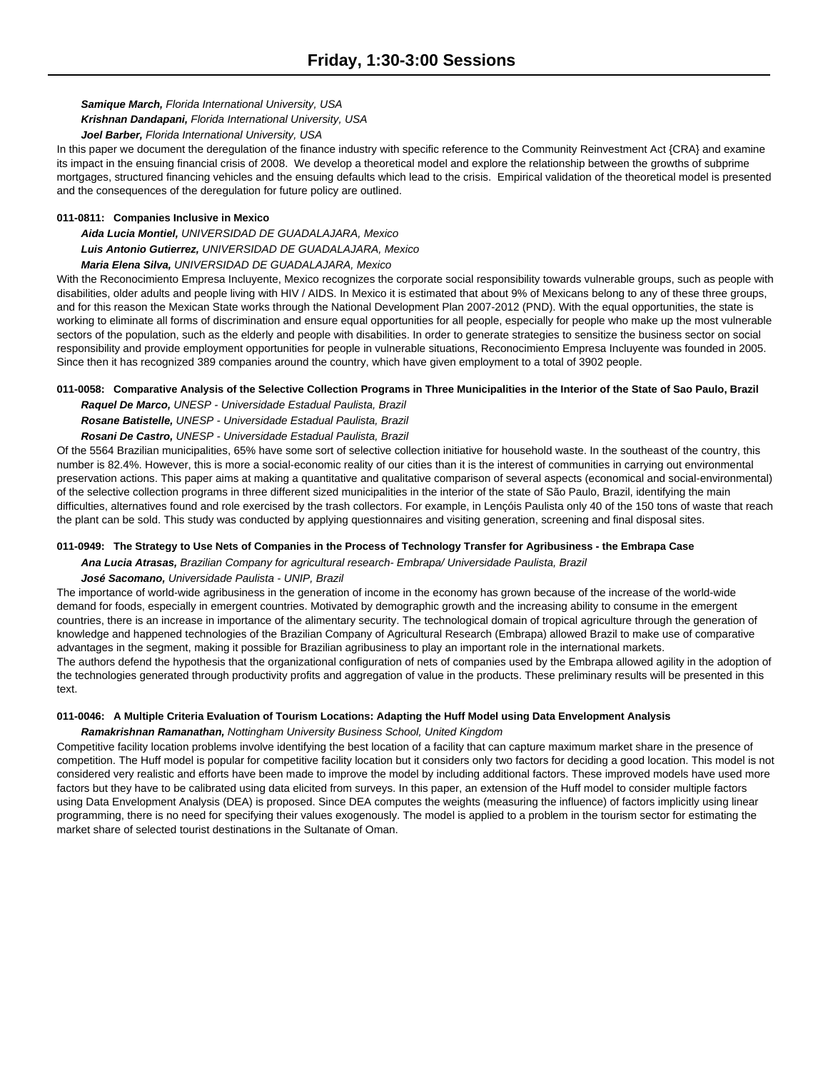*Samique March, Florida International University, USA*

*Krishnan Dandapani, Florida International University, USA*

*Joel Barber, Florida International University, USA*

In this paper we document the deregulation of the finance industry with specific reference to the Community Reinvestment Act {CRA} and examine its impact in the ensuing financial crisis of 2008. We develop a theoretical model and explore the relationship between the growths of subprime mortgages, structured financing vehicles and the ensuing defaults which lead to the crisis. Empirical validation of the theoretical model is presented and the consequences of the deregulation for future policy are outlined.

# **011-0811: Companies Inclusive in Mexico**

*Aida Lucia Montiel, UNIVERSIDAD DE GUADALAJARA, Mexico*

*Luis Antonio Gutierrez, UNIVERSIDAD DE GUADALAJARA, Mexico*

*Maria Elena Silva, UNIVERSIDAD DE GUADALAJARA, Mexico*

With the Reconocimiento Empresa Incluyente, Mexico recognizes the corporate social responsibility towards vulnerable groups, such as people with disabilities, older adults and people living with HIV / AIDS. In Mexico it is estimated that about 9% of Mexicans belong to any of these three groups, and for this reason the Mexican State works through the National Development Plan 2007-2012 (PND). With the equal opportunities, the state is working to eliminate all forms of discrimination and ensure equal opportunities for all people, especially for people who make up the most vulnerable sectors of the population, such as the elderly and people with disabilities. In order to generate strategies to sensitize the business sector on social responsibility and provide employment opportunities for people in vulnerable situations, Reconocimiento Empresa Incluyente was founded in 2005. Since then it has recognized 389 companies around the country, which have given employment to a total of 3902 people.

# **011-0058: Comparative Analysis of the Selective Collection Programs in Three Municipalities in the Interior of the State of Sao Paulo, Brazil**

*Raquel De Marco, UNESP - Universidade Estadual Paulista, Brazil*

*Rosane Batistelle, UNESP - Universidade Estadual Paulista, Brazil Rosani De Castro, UNESP - Universidade Estadual Paulista, Brazil*

Of the 5564 Brazilian municipalities, 65% have some sort of selective collection initiative for household waste. In the southeast of the country, this number is 82.4%. However, this is more a social-economic reality of our cities than it is the interest of communities in carrying out environmental preservation actions. This paper aims at making a quantitative and qualitative comparison of several aspects (economical and social-environmental) of the selective collection programs in three different sized municipalities in the interior of the state of São Paulo, Brazil, identifying the main difficulties, alternatives found and role exercised by the trash collectors. For example, in Lençóis Paulista only 40 of the 150 tons of waste that reach the plant can be sold. This study was conducted by applying questionnaires and visiting generation, screening and final disposal sites.

# **011-0949: The Strategy to Use Nets of Companies in the Process of Technology Transfer for Agribusiness - the Embrapa Case**

*Ana Lucia Atrasas, Brazilian Company for agricultural research- Embrapa/ Universidade Paulista, Brazil*

## *José Sacomano, Universidade Paulista - UNIP, Brazil*

The importance of world-wide agribusiness in the generation of income in the economy has grown because of the increase of the world-wide demand for foods, especially in emergent countries. Motivated by demographic growth and the increasing ability to consume in the emergent countries, there is an increase in importance of the alimentary security. The technological domain of tropical agriculture through the generation of knowledge and happened technologies of the Brazilian Company of Agricultural Research (Embrapa) allowed Brazil to make use of comparative advantages in the segment, making it possible for Brazilian agribusiness to play an important role in the international markets. The authors defend the hypothesis that the organizational configuration of nets of companies used by the Embrapa allowed agility in the adoption of the technologies generated through productivity profits and aggregation of value in the products. These preliminary results will be presented in this text.

# **011-0046: A Multiple Criteria Evaluation of Tourism Locations: Adapting the Huff Model using Data Envelopment Analysis**

*Ramakrishnan Ramanathan, Nottingham University Business School, United Kingdom*

Competitive facility location problems involve identifying the best location of a facility that can capture maximum market share in the presence of competition. The Huff model is popular for competitive facility location but it considers only two factors for deciding a good location. This model is not considered very realistic and efforts have been made to improve the model by including additional factors. These improved models have used more factors but they have to be calibrated using data elicited from surveys. In this paper, an extension of the Huff model to consider multiple factors using Data Envelopment Analysis (DEA) is proposed. Since DEA computes the weights (measuring the influence) of factors implicitly using linear programming, there is no need for specifying their values exogenously. The model is applied to a problem in the tourism sector for estimating the market share of selected tourist destinations in the Sultanate of Oman.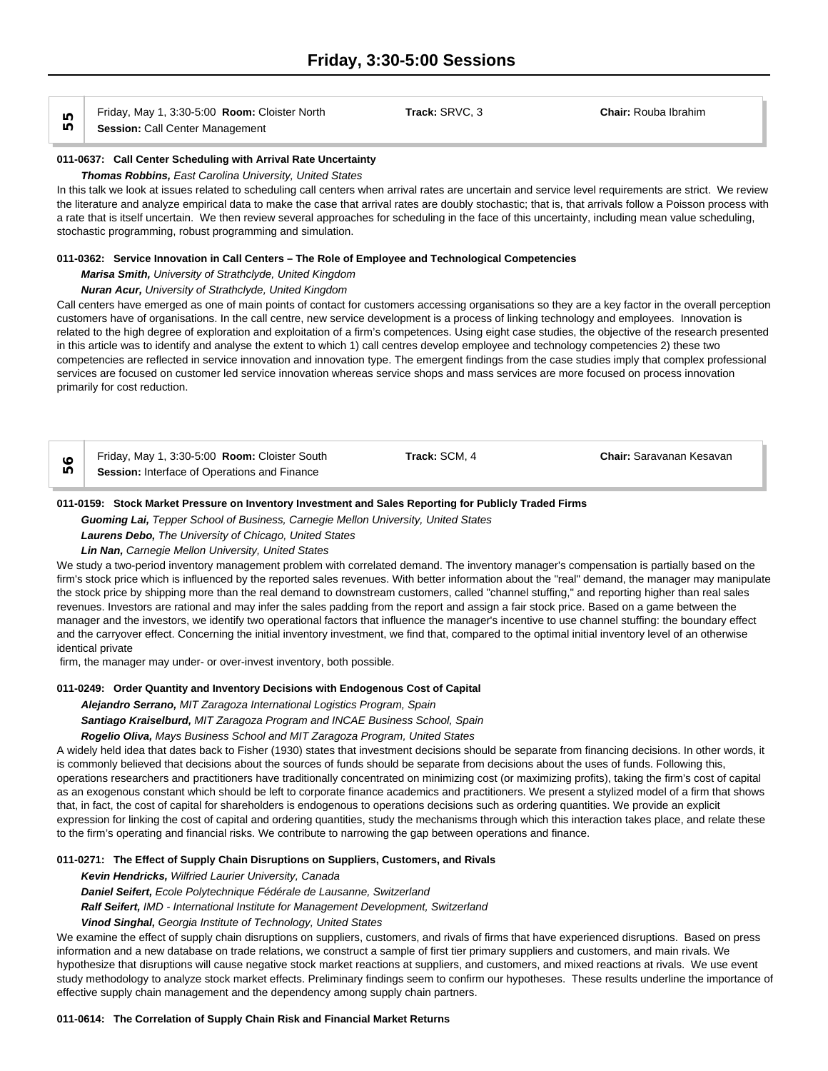Friday, May 1, 3:30-5:00 **Room:** Cloister North **Track:** SRVC, 3 **Chair:** Rouba Ibrahim **Session:** Call Center Management

#### **011-0637: Call Center Scheduling with Arrival Rate Uncertainty**

#### *Thomas Robbins, East Carolina University, United States*

In this talk we look at issues related to scheduling call centers when arrival rates are uncertain and service level requirements are strict. We review the literature and analyze empirical data to make the case that arrival rates are doubly stochastic; that is, that arrivals follow a Poisson process with a rate that is itself uncertain. We then review several approaches for scheduling in the face of this uncertainty, including mean value scheduling, stochastic programming, robust programming and simulation.

#### **011-0362: Service Innovation in Call Centers – The Role of Employee and Technological Competencies**

#### *Marisa Smith, University of Strathclyde, United Kingdom*

#### *Nuran Acur, University of Strathclyde, United Kingdom*

Call centers have emerged as one of main points of contact for customers accessing organisations so they are a key factor in the overall perception customers have of organisations. In the call centre, new service development is a process of linking technology and employees. Innovation is related to the high degree of exploration and exploitation of a firm's competences. Using eight case studies, the objective of the research presented in this article was to identify and analyse the extent to which 1) call centres develop employee and technology competencies 2) these two competencies are reflected in service innovation and innovation type. The emergent findings from the case studies imply that complex professional services are focused on customer led service innovation whereas service shops and mass services are more focused on process innovation primarily for cost reduction.

| Friday, May 1, 3:30-5:00 Room: Cloister South       | Track: SCM. | Chair: Saravanan Kesavan |  |
|-----------------------------------------------------|-------------|--------------------------|--|
| <b>Session:</b> Interface of Operations and Finance |             |                          |  |

#### **011-0159: Stock Market Pressure on Inventory Investment and Sales Reporting for Publicly Traded Firms**

*Guoming Lai, Tepper School of Business, Carnegie Mellon University, United States*

#### *Laurens Debo, The University of Chicago, United States*

## *Lin Nan, Carnegie Mellon University, United States*

We study a two-period inventory management problem with correlated demand. The inventory manager's compensation is partially based on the firm's stock price which is influenced by the reported sales revenues. With better information about the "real" demand, the manager may manipulate the stock price by shipping more than the real demand to downstream customers, called "channel stuffing," and reporting higher than real sales revenues. Investors are rational and may infer the sales padding from the report and assign a fair stock price. Based on a game between the manager and the investors, we identify two operational factors that influence the manager's incentive to use channel stuffing: the boundary effect and the carryover effect. Concerning the initial inventory investment, we find that, compared to the optimal initial inventory level of an otherwise identical private

firm, the manager may under- or over-invest inventory, both possible.

#### **011-0249: Order Quantity and Inventory Decisions with Endogenous Cost of Capital**

*Alejandro Serrano, MIT Zaragoza International Logistics Program, Spain Santiago Kraiselburd, MIT Zaragoza Program and INCAE Business School, Spain Rogelio Oliva, Mays Business School and MIT Zaragoza Program, United States*

A widely held idea that dates back to Fisher (1930) states that investment decisions should be separate from financing decisions. In other words, it is commonly believed that decisions about the sources of funds should be separate from decisions about the uses of funds. Following this, operations researchers and practitioners have traditionally concentrated on minimizing cost (or maximizing profits), taking the firm's cost of capital as an exogenous constant which should be left to corporate finance academics and practitioners. We present a stylized model of a firm that shows that, in fact, the cost of capital for shareholders is endogenous to operations decisions such as ordering quantities. We provide an explicit expression for linking the cost of capital and ordering quantities, study the mechanisms through which this interaction takes place, and relate these to the firm's operating and financial risks. We contribute to narrowing the gap between operations and finance.

## **011-0271: The Effect of Supply Chain Disruptions on Suppliers, Customers, and Rivals**

*Kevin Hendricks, Wilfried Laurier University, Canada*

*Daniel Seifert, Ecole Polytechnique Fédérale de Lausanne, Switzerland*

*Ralf Seifert, IMD - International Institute for Management Development, Switzerland*

#### *Vinod Singhal, Georgia Institute of Technology, United States*

We examine the effect of supply chain disruptions on suppliers, customers, and rivals of firms that have experienced disruptions. Based on press information and a new database on trade relations, we construct a sample of first tier primary suppliers and customers, and main rivals. We hypothesize that disruptions will cause negative stock market reactions at suppliers, and customers, and mixed reactions at rivals. We use event study methodology to analyze stock market effects. Preliminary findings seem to confirm our hypotheses. These results underline the importance of effective supply chain management and the dependency among supply chain partners.

#### **011-0614: The Correlation of Supply Chain Risk and Financial Market Returns**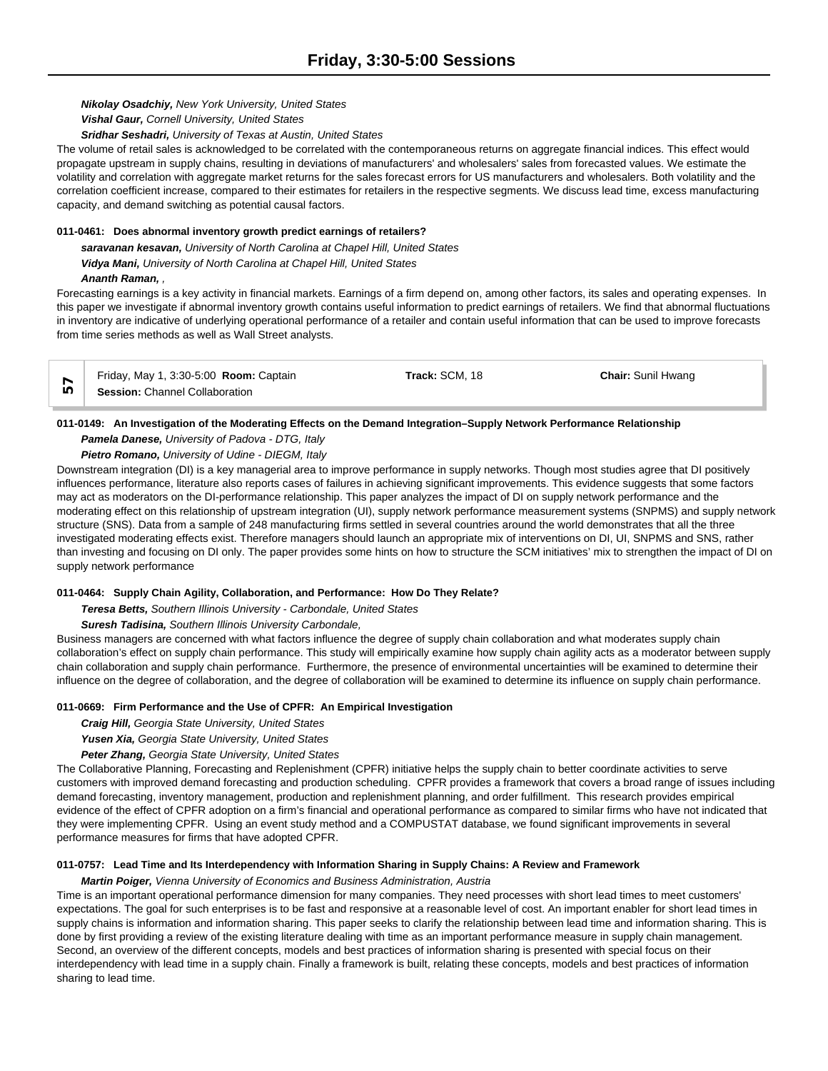*Nikolay Osadchiy, New York University, United States*

*Vishal Gaur, Cornell University, United States*

*Sridhar Seshadri, University of Texas at Austin, United States*

The volume of retail sales is acknowledged to be correlated with the contemporaneous returns on aggregate financial indices. This effect would propagate upstream in supply chains, resulting in deviations of manufacturers' and wholesalers' sales from forecasted values. We estimate the volatility and correlation with aggregate market returns for the sales forecast errors for US manufacturers and wholesalers. Both volatility and the correlation coefficient increase, compared to their estimates for retailers in the respective segments. We discuss lead time, excess manufacturing capacity, and demand switching as potential causal factors.

# **011-0461: Does abnormal inventory growth predict earnings of retailers?**

*saravanan kesavan, University of North Carolina at Chapel Hill, United States Vidya Mani, University of North Carolina at Chapel Hill, United States*

*Ananth Raman, ,* 

Forecasting earnings is a key activity in financial markets. Earnings of a firm depend on, among other factors, its sales and operating expenses. In this paper we investigate if abnormal inventory growth contains useful information to predict earnings of retailers. We find that abnormal fluctuations in inventory are indicative of underlying operational performance of a retailer and contain useful information that can be used to improve forecasts from time series methods as well as Wall Street analysts.

| Friday, May 1, 3:30-5:00 <b>Room:</b> Captain | Track: SCM, 18 | <b>Chair: Sunil Hwang</b> |  |
|-----------------------------------------------|----------------|---------------------------|--|
| <b>Session: Channel Collaboration</b>         |                |                           |  |

# **011-0149: An Investigation of the Moderating Effects on the Demand Integration–Supply Network Performance Relationship**

*Pamela Danese, University of Padova - DTG, Italy*

# *Pietro Romano, University of Udine - DIEGM, Italy*

Downstream integration (DI) is a key managerial area to improve performance in supply networks. Though most studies agree that DI positively influences performance, literature also reports cases of failures in achieving significant improvements. This evidence suggests that some factors may act as moderators on the DI-performance relationship. This paper analyzes the impact of DI on supply network performance and the moderating effect on this relationship of upstream integration (UI), supply network performance measurement systems (SNPMS) and supply network structure (SNS). Data from a sample of 248 manufacturing firms settled in several countries around the world demonstrates that all the three investigated moderating effects exist. Therefore managers should launch an appropriate mix of interventions on DI, UI, SNPMS and SNS, rather than investing and focusing on DI only. The paper provides some hints on how to structure the SCM initiatives' mix to strengthen the impact of DI on supply network performance

## **011-0464: Supply Chain Agility, Collaboration, and Performance: How Do They Relate?**

*Teresa Betts, Southern Illinois University - Carbondale, United States*

*Suresh Tadisina, Southern Illinois University Carbondale,* 

Business managers are concerned with what factors influence the degree of supply chain collaboration and what moderates supply chain collaboration's effect on supply chain performance. This study will empirically examine how supply chain agility acts as a moderator between supply chain collaboration and supply chain performance. Furthermore, the presence of environmental uncertainties will be examined to determine their influence on the degree of collaboration, and the degree of collaboration will be examined to determine its influence on supply chain performance.

## **011-0669: Firm Performance and the Use of CPFR: An Empirical Investigation**

*Craig Hill, Georgia State University, United States*

*Yusen Xia, Georgia State University, United States*

*Peter Zhang, Georgia State University, United States*

The Collaborative Planning, Forecasting and Replenishment (CPFR) initiative helps the supply chain to better coordinate activities to serve customers with improved demand forecasting and production scheduling. CPFR provides a framework that covers a broad range of issues including demand forecasting, inventory management, production and replenishment planning, and order fulfillment. This research provides empirical evidence of the effect of CPFR adoption on a firm's financial and operational performance as compared to similar firms who have not indicated that they were implementing CPFR. Using an event study method and a COMPUSTAT database, we found significant improvements in several performance measures for firms that have adopted CPFR.

## **011-0757: Lead Time and Its Interdependency with Information Sharing in Supply Chains: A Review and Framework**

## *Martin Poiger, Vienna University of Economics and Business Administration, Austria*

Time is an important operational performance dimension for many companies. They need processes with short lead times to meet customers' expectations. The goal for such enterprises is to be fast and responsive at a reasonable level of cost. An important enabler for short lead times in supply chains is information and information sharing. This paper seeks to clarify the relationship between lead time and information sharing. This is done by first providing a review of the existing literature dealing with time as an important performance measure in supply chain management. Second, an overview of the different concepts, models and best practices of information sharing is presented with special focus on their interdependency with lead time in a supply chain. Finally a framework is built, relating these concepts, models and best practices of information sharing to lead time.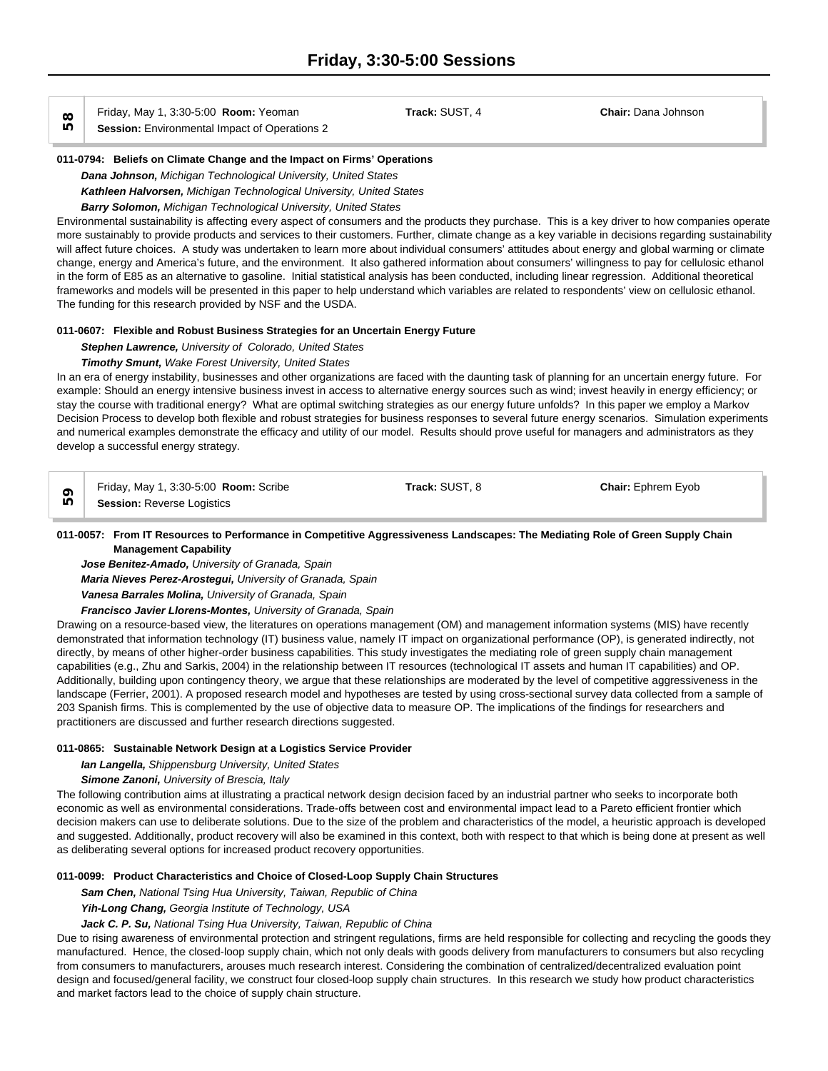Friday, May 1, 3:30-5:00 **Room:** Yeoman **Track:** SUST, 4 **Chair:** Dana Johnson

**Session:** Environmental Impact of Operations 2

### **011-0794: Beliefs on Climate Change and the Impact on Firms' Operations**

*Dana Johnson, Michigan Technological University, United States Kathleen Halvorsen, Michigan Technological University, United States*

# *Barry Solomon, Michigan Technological University, United States*

Environmental sustainability is affecting every aspect of consumers and the products they purchase. This is a key driver to how companies operate more sustainably to provide products and services to their customers. Further, climate change as a key variable in decisions regarding sustainability will affect future choices. A study was undertaken to learn more about individual consumers' attitudes about energy and global warming or climate change, energy and America's future, and the environment. It also gathered information about consumers' willingness to pay for cellulosic ethanol in the form of E85 as an alternative to gasoline. Initial statistical analysis has been conducted, including linear regression. Additional theoretical frameworks and models will be presented in this paper to help understand which variables are related to respondents' view on cellulosic ethanol. The funding for this research provided by NSF and the USDA.

# **011-0607: Flexible and Robust Business Strategies for an Uncertain Energy Future**

*Stephen Lawrence, University of Colorado, United States*

# *Timothy Smunt, Wake Forest University, United States*

In an era of energy instability, businesses and other organizations are faced with the daunting task of planning for an uncertain energy future. For example: Should an energy intensive business invest in access to alternative energy sources such as wind; invest heavily in energy efficiency; or stay the course with traditional energy? What are optimal switching strategies as our energy future unfolds? In this paper we employ a Markov Decision Process to develop both flexible and robust strategies for business responses to several future energy scenarios. Simulation experiments and numerical examples demonstrate the efficacy and utility of our model. Results should prove useful for managers and administrators as they develop a successful energy strategy.

Friday, May 1, 3:30-5:00 **Room:** Scribe **Track:** SUST, 8 **Chair:** Ephrem Eyob **Session:** Reverse Logistics

# **011-0057: From IT Resources to Performance in Competitive Aggressiveness Landscapes: The Mediating Role of Green Supply Chain Management Capability**

*Jose Benitez-Amado, University of Granada, Spain*

*Maria Nieves Perez-Arostegui, University of Granada, Spain*

*Vanesa Barrales Molina, University of Granada, Spain*

*Francisco Javier Llorens-Montes, University of Granada, Spain*

Drawing on a resource-based view, the literatures on operations management (OM) and management information systems (MIS) have recently demonstrated that information technology (IT) business value, namely IT impact on organizational performance (OP), is generated indirectly, not directly, by means of other higher-order business capabilities. This study investigates the mediating role of green supply chain management capabilities (e.g., Zhu and Sarkis, 2004) in the relationship between IT resources (technological IT assets and human IT capabilities) and OP. Additionally, building upon contingency theory, we argue that these relationships are moderated by the level of competitive aggressiveness in the landscape (Ferrier, 2001). A proposed research model and hypotheses are tested by using cross-sectional survey data collected from a sample of 203 Spanish firms. This is complemented by the use of objective data to measure OP. The implications of the findings for researchers and practitioners are discussed and further research directions suggested.

# **011-0865: Sustainable Network Design at a Logistics Service Provider**

*Ian Langella, Shippensburg University, United States*

*Simone Zanoni, University of Brescia, Italy*

The following contribution aims at illustrating a practical network design decision faced by an industrial partner who seeks to incorporate both economic as well as environmental considerations. Trade-offs between cost and environmental impact lead to a Pareto efficient frontier which decision makers can use to deliberate solutions. Due to the size of the problem and characteristics of the model, a heuristic approach is developed and suggested. Additionally, product recovery will also be examined in this context, both with respect to that which is being done at present as well as deliberating several options for increased product recovery opportunities.

# **011-0099: Product Characteristics and Choice of Closed-Loop Supply Chain Structures**

*Sam Chen, National Tsing Hua University, Taiwan, Republic of China*

*Yih-Long Chang, Georgia Institute of Technology, USA*

# *Jack C. P. Su, National Tsing Hua University, Taiwan, Republic of China*

Due to rising awareness of environmental protection and stringent regulations, firms are held responsible for collecting and recycling the goods they manufactured. Hence, the closed-loop supply chain, which not only deals with goods delivery from manufacturers to consumers but also recycling from consumers to manufacturers, arouses much research interest. Considering the combination of centralized/decentralized evaluation point design and focused/general facility, we construct four closed-loop supply chain structures. In this research we study how product characteristics and market factors lead to the choice of supply chain structure.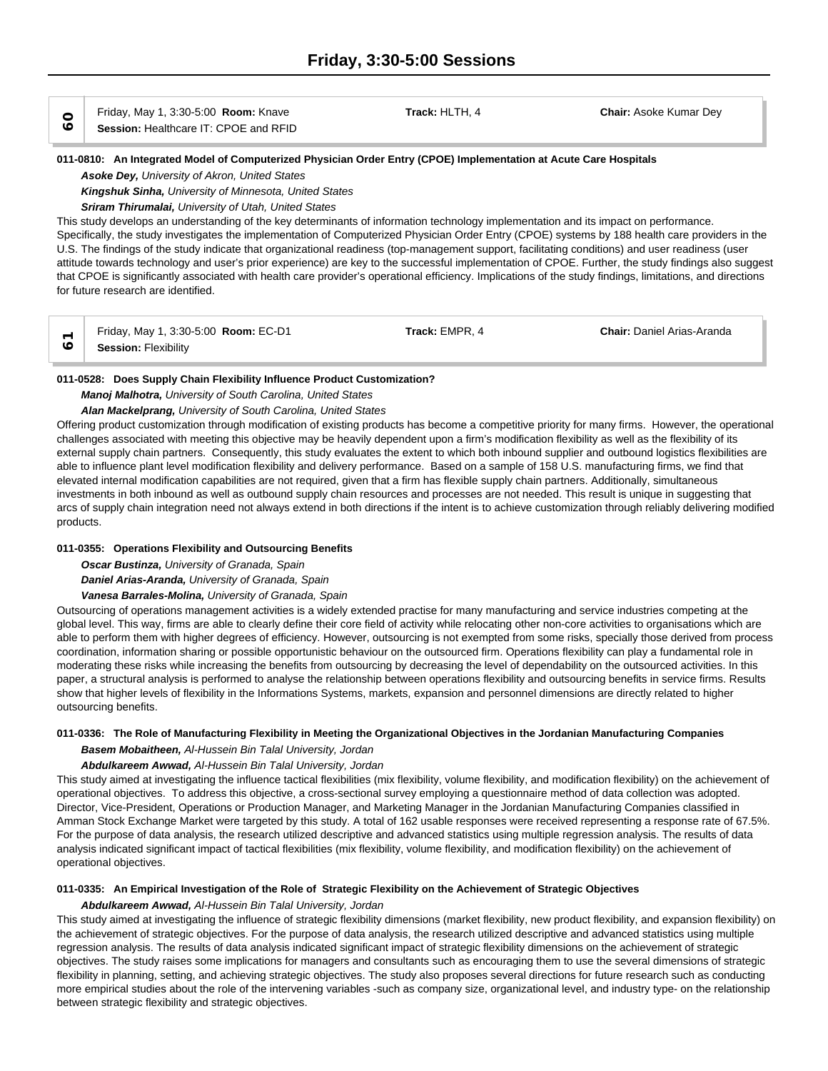Friday, May 1, 3:30-5:00 **Room:** Knave **Track:** HLTH, 4 **Chair:** Asoke Kumar Dey **60Session:** Healthcare IT: CPOE and RFID

### **011-0810: An Integrated Model of Computerized Physician Order Entry (CPOE) Implementation at Acute Care Hospitals**

*Asoke Dey, University of Akron, United States*

*Kingshuk Sinha, University of Minnesota, United States*

# *Sriram Thirumalai, University of Utah, United States*

This study develops an understanding of the key determinants of information technology implementation and its impact on performance. Specifically, the study investigates the implementation of Computerized Physician Order Entry (CPOE) systems by 188 health care providers in the U.S. The findings of the study indicate that organizational readiness (top-management support, facilitating conditions) and user readiness (user attitude towards technology and user's prior experience) are key to the successful implementation of CPOE. Further, the study findings also suggest that CPOE is significantly associated with health care provider's operational efficiency. Implications of the study findings, limitations, and directions for future research are identified.

|    | , May 1, 3:30-5:00 <b>Room:</b> EC-D1<br>Friday, | EMPR.<br>⊺rack: I | <b>Chair:</b> Daniel Arias-Aranda |  |
|----|--------------------------------------------------|-------------------|-----------------------------------|--|
| U) | <b>Session: Flexibility</b>                      |                   |                                   |  |

### **011-0528: Does Supply Chain Flexibility Influence Product Customization?**

### *Manoj Malhotra, University of South Carolina, United States*

# *Alan Mackelprang, University of South Carolina, United States*

Offering product customization through modification of existing products has become a competitive priority for many firms. However, the operational challenges associated with meeting this objective may be heavily dependent upon a firm's modification flexibility as well as the flexibility of its external supply chain partners. Consequently, this study evaluates the extent to which both inbound supplier and outbound logistics flexibilities are able to influence plant level modification flexibility and delivery performance. Based on a sample of 158 U.S. manufacturing firms, we find that elevated internal modification capabilities are not required, given that a firm has flexible supply chain partners. Additionally, simultaneous investments in both inbound as well as outbound supply chain resources and processes are not needed. This result is unique in suggesting that arcs of supply chain integration need not always extend in both directions if the intent is to achieve customization through reliably delivering modified products.

# **011-0355: Operations Flexibility and Outsourcing Benefits**

*Oscar Bustinza, University of Granada, Spain*

*Daniel Arias-Aranda, University of Granada, Spain*

*Vanesa Barrales-Molina, University of Granada, Spain*

Outsourcing of operations management activities is a widely extended practise for many manufacturing and service industries competing at the global level. This way, firms are able to clearly define their core field of activity while relocating other non-core activities to organisations which are able to perform them with higher degrees of efficiency. However, outsourcing is not exempted from some risks, specially those derived from process coordination, information sharing or possible opportunistic behaviour on the outsourced firm. Operations flexibility can play a fundamental role in moderating these risks while increasing the benefits from outsourcing by decreasing the level of dependability on the outsourced activities. In this paper, a structural analysis is performed to analyse the relationship between operations flexibility and outsourcing benefits in service firms. Results show that higher levels of flexibility in the Informations Systems, markets, expansion and personnel dimensions are directly related to higher outsourcing benefits.

# **011-0336: The Role of Manufacturing Flexibility in Meeting the Organizational Objectives in the Jordanian Manufacturing Companies**

*Basem Mobaitheen, Al-Hussein Bin Talal University, Jordan*

# *Abdulkareem Awwad, Al-Hussein Bin Talal University, Jordan*

This study aimed at investigating the influence tactical flexibilities (mix flexibility, volume flexibility, and modification flexibility) on the achievement of operational objectives. To address this objective, a cross-sectional survey employing a questionnaire method of data collection was adopted. Director, Vice-President, Operations or Production Manager, and Marketing Manager in the Jordanian Manufacturing Companies classified in Amman Stock Exchange Market were targeted by this study. A total of 162 usable responses were received representing a response rate of 67.5%. For the purpose of data analysis, the research utilized descriptive and advanced statistics using multiple regression analysis. The results of data analysis indicated significant impact of tactical flexibilities (mix flexibility, volume flexibility, and modification flexibility) on the achievement of operational objectives.

# **011-0335: An Empirical Investigation of the Role of Strategic Flexibility on the Achievement of Strategic Objectives**

# *Abdulkareem Awwad, Al-Hussein Bin Talal University, Jordan*

This study aimed at investigating the influence of strategic flexibility dimensions (market flexibility, new product flexibility, and expansion flexibility) on the achievement of strategic objectives. For the purpose of data analysis, the research utilized descriptive and advanced statistics using multiple regression analysis. The results of data analysis indicated significant impact of strategic flexibility dimensions on the achievement of strategic objectives. The study raises some implications for managers and consultants such as encouraging them to use the several dimensions of strategic flexibility in planning, setting, and achieving strategic objectives. The study also proposes several directions for future research such as conducting more empirical studies about the role of the intervening variables -such as company size, organizational level, and industry type- on the relationship between strategic flexibility and strategic objectives.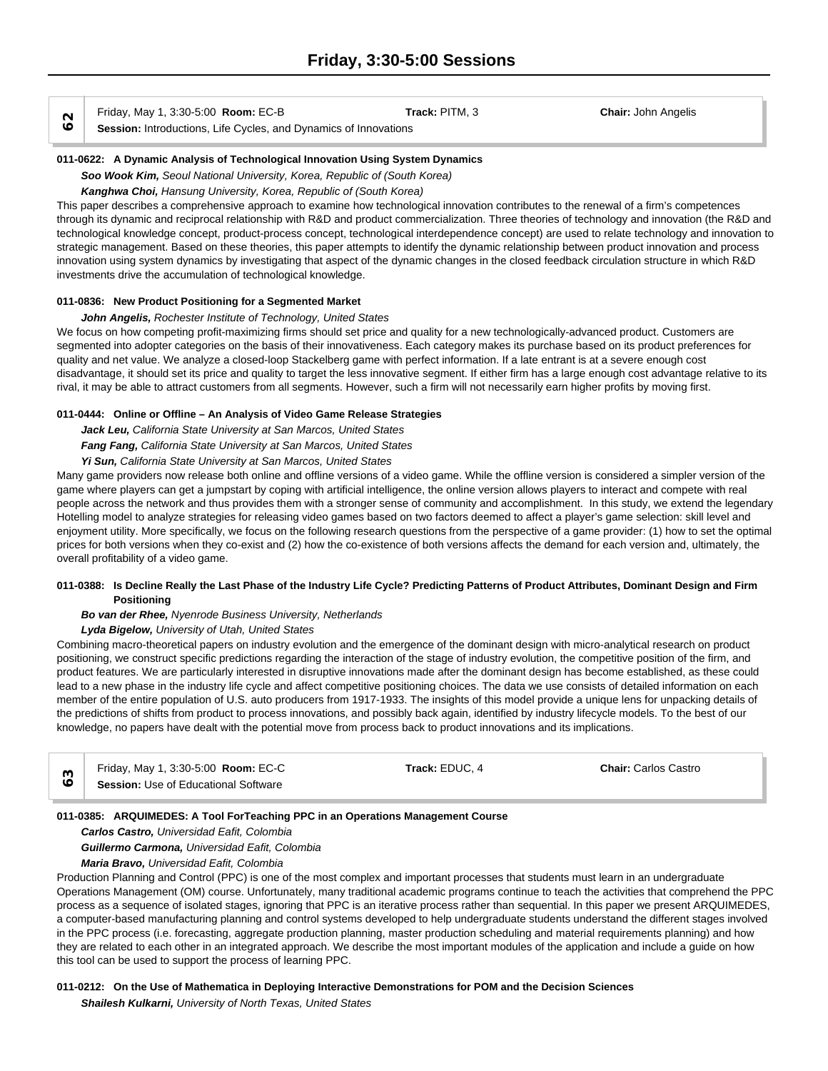Friday, May 1, 3:30-5:00 **Room:** EC-B **Track:** PITM, 3 **Chair:** John Angelis

**SESSION: I** FINAL FINAL FINAL FINAL FINAL FINAL FINAL FINAL FINAL FINAL FINAL FINAL FINAL FINAL FINAL FINAL FI<br> **Session:** Introductions, Life Cycles, and Dynamics of Innovations

### **011-0622: A Dynamic Analysis of Technological Innovation Using System Dynamics**

*Soo Wook Kim, Seoul National University, Korea, Republic of (South Korea)*

*Kanghwa Choi, Hansung University, Korea, Republic of (South Korea)*

This paper describes a comprehensive approach to examine how technological innovation contributes to the renewal of a firm's competences through its dynamic and reciprocal relationship with R&D and product commercialization. Three theories of technology and innovation (the R&D and technological knowledge concept, product-process concept, technological interdependence concept) are used to relate technology and innovation to strategic management. Based on these theories, this paper attempts to identify the dynamic relationship between product innovation and process innovation using system dynamics by investigating that aspect of the dynamic changes in the closed feedback circulation structure in which R&D investments drive the accumulation of technological knowledge.

### **011-0836: New Product Positioning for a Segmented Market**

# *John Angelis, Rochester Institute of Technology, United States*

We focus on how competing profit-maximizing firms should set price and quality for a new technologically-advanced product. Customers are segmented into adopter categories on the basis of their innovativeness. Each category makes its purchase based on its product preferences for quality and net value. We analyze a closed-loop Stackelberg game with perfect information. If a late entrant is at a severe enough cost disadvantage, it should set its price and quality to target the less innovative segment. If either firm has a large enough cost advantage relative to its rival, it may be able to attract customers from all segments. However, such a firm will not necessarily earn higher profits by moving first.

### **011-0444: Online or Offline – An Analysis of Video Game Release Strategies**

*Jack Leu, California State University at San Marcos, United States*

*Fang Fang, California State University at San Marcos, United States*

# *Yi Sun, California State University at San Marcos, United States*

Many game providers now release both online and offline versions of a video game. While the offline version is considered a simpler version of the game where players can get a jumpstart by coping with artificial intelligence, the online version allows players to interact and compete with real people across the network and thus provides them with a stronger sense of community and accomplishment. In this study, we extend the legendary Hotelling model to analyze strategies for releasing video games based on two factors deemed to affect a player's game selection: skill level and enjoyment utility. More specifically, we focus on the following research questions from the perspective of a game provider: (1) how to set the optimal prices for both versions when they co-exist and (2) how the co-existence of both versions affects the demand for each version and, ultimately, the overall profitability of a video game.

### **011-0388: Is Decline Really the Last Phase of the Industry Life Cycle? Predicting Patterns of Product Attributes, Dominant Design and Firm Positioning**

# *Bo van der Rhee, Nyenrode Business University, Netherlands*

# *Lyda Bigelow, University of Utah, United States*

Combining macro-theoretical papers on industry evolution and the emergence of the dominant design with micro-analytical research on product positioning, we construct specific predictions regarding the interaction of the stage of industry evolution, the competitive position of the firm, and product features. We are particularly interested in disruptive innovations made after the dominant design has become established, as these could lead to a new phase in the industry life cycle and affect competitive positioning choices. The data we use consists of detailed information on each member of the entire population of U.S. auto producers from 1917-1933. The insights of this model provide a unique lens for unpacking details of the predictions of shifts from product to process innovations, and possibly back again, identified by industry lifecycle models. To the best of our knowledge, no papers have dealt with the potential move from process back to product innovations and its implications.

|   | Friday, May 1, 3:30-5:00 <b>Room: EC-C</b>  | Track: EDUC. 4 | <b>Chair: Carlos Castro</b> |  |
|---|---------------------------------------------|----------------|-----------------------------|--|
| ◡ | <b>Session:</b> Use of Educational Software |                |                             |  |

# **011-0385: ARQUIMEDES: A Tool ForTeaching PPC in an Operations Management Course**

*Carlos Castro, Universidad Eafit, Colombia*

*Guillermo Carmona, Universidad Eafit, Colombia*

*Maria Bravo, Universidad Eafit, Colombia*

Production Planning and Control (PPC) is one of the most complex and important processes that students must learn in an undergraduate Operations Management (OM) course. Unfortunately, many traditional academic programs continue to teach the activities that comprehend the PPC process as a sequence of isolated stages, ignoring that PPC is an iterative process rather than sequential. In this paper we present ARQUIMEDES, a computer-based manufacturing planning and control systems developed to help undergraduate students understand the different stages involved in the PPC process (i.e. forecasting, aggregate production planning, master production scheduling and material requirements planning) and how they are related to each other in an integrated approach. We describe the most important modules of the application and include a guide on how this tool can be used to support the process of learning PPC.

# **011-0212: On the Use of Mathematica in Deploying Interactive Demonstrations for POM and the Decision Sciences**

*Shailesh Kulkarni, University of North Texas, United States*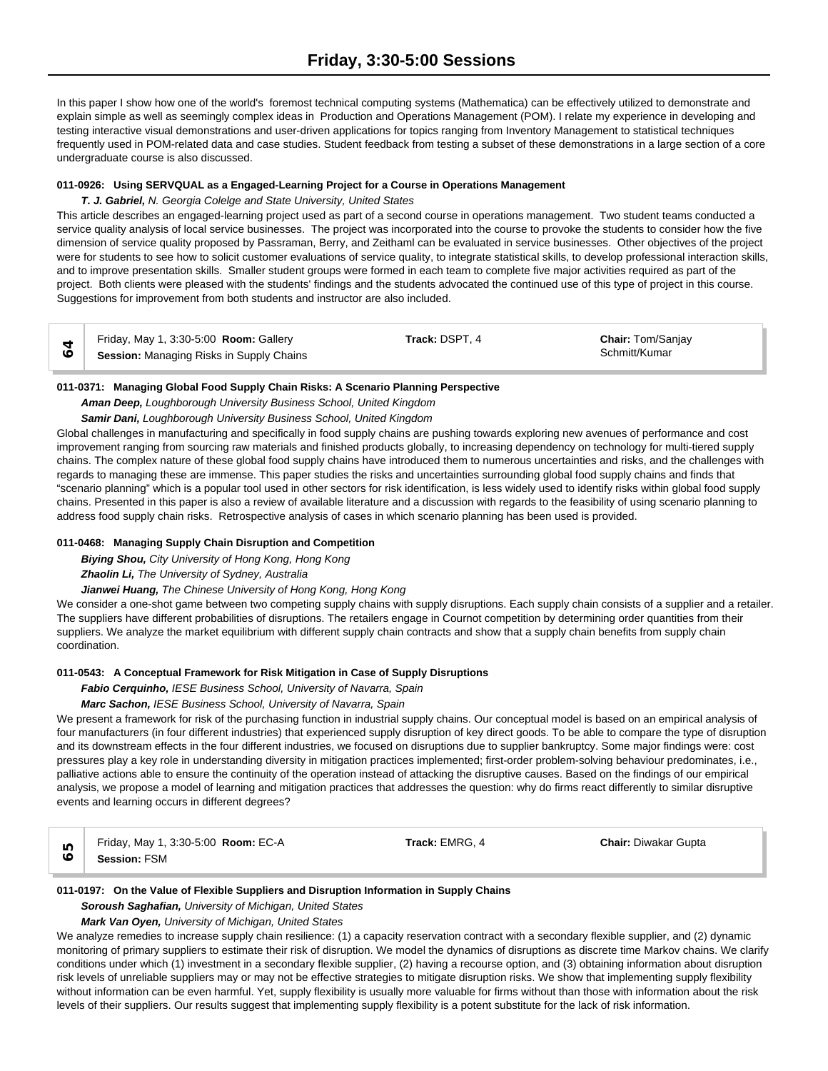In this paper I show how one of the world's foremost technical computing systems (Mathematica) can be effectively utilized to demonstrate and explain simple as well as seemingly complex ideas in Production and Operations Management (POM). I relate my experience in developing and testing interactive visual demonstrations and user-driven applications for topics ranging from Inventory Management to statistical techniques frequently used in POM-related data and case studies. Student feedback from testing a subset of these demonstrations in a large section of a core undergraduate course is also discussed.

# **011-0926: Using SERVQUAL as a Engaged-Learning Project for a Course in Operations Management**

# *T. J. Gabriel, N. Georgia Colelge and State University, United States*

This article describes an engaged-learning project used as part of a second course in operations management. Two student teams conducted a service quality analysis of local service businesses. The project was incorporated into the course to provoke the students to consider how the five dimension of service quality proposed by Passraman, Berry, and Zeithaml can be evaluated in service businesses. Other objectives of the project were for students to see how to solicit customer evaluations of service quality, to integrate statistical skills, to develop professional interaction skills, and to improve presentation skills. Smaller student groups were formed in each team to complete five major activities required as part of the project. Both clients were pleased with the students' findings and the students advocated the continued use of this type of project in this course. Suggestions for improvement from both students and instructor are also included.

|         | Friday, May 1, 3:30-5:00 Room: Gallery   | Track: DSPT. 4 | <b>Chair: Tom/Sanjay</b> |
|---------|------------------------------------------|----------------|--------------------------|
| $\circ$ | Session: Managing Risks in Supply Chains |                | Schmitt/Kumar            |

### **011-0371: Managing Global Food Supply Chain Risks: A Scenario Planning Perspective**

*Aman Deep, Loughborough University Business School, United Kingdom*

### *Samir Dani, Loughborough University Business School, United Kingdom*

Global challenges in manufacturing and specifically in food supply chains are pushing towards exploring new avenues of performance and cost improvement ranging from sourcing raw materials and finished products globally, to increasing dependency on technology for multi-tiered supply chains. The complex nature of these global food supply chains have introduced them to numerous uncertainties and risks, and the challenges with regards to managing these are immense. This paper studies the risks and uncertainties surrounding global food supply chains and finds that "scenario planning" which is a popular tool used in other sectors for risk identification, is less widely used to identify risks within global food supply chains. Presented in this paper is also a review of available literature and a discussion with regards to the feasibility of using scenario planning to address food supply chain risks. Retrospective analysis of cases in which scenario planning has been used is provided.

# **011-0468: Managing Supply Chain Disruption and Competition**

*Biying Shou, City University of Hong Kong, Hong Kong*

*Zhaolin Li, The University of Sydney, Australia*

# *Jianwei Huang, The Chinese University of Hong Kong, Hong Kong*

We consider a one-shot game between two competing supply chains with supply disruptions. Each supply chain consists of a supplier and a retailer. The suppliers have different probabilities of disruptions. The retailers engage in Cournot competition by determining order quantities from their suppliers. We analyze the market equilibrium with different supply chain contracts and show that a supply chain benefits from supply chain coordination.

# **011-0543: A Conceptual Framework for Risk Mitigation in Case of Supply Disruptions**

*Fabio Cerquinho, IESE Business School, University of Navarra, Spain*

# *Marc Sachon, IESE Business School, University of Navarra, Spain*

We present a framework for risk of the purchasing function in industrial supply chains. Our conceptual model is based on an empirical analysis of four manufacturers (in four different industries) that experienced supply disruption of key direct goods. To be able to compare the type of disruption and its downstream effects in the four different industries, we focused on disruptions due to supplier bankruptcy. Some major findings were: cost pressures play a key role in understanding diversity in mitigation practices implemented; first-order problem-solving behaviour predominates, i.e., palliative actions able to ensure the continuity of the operation instead of attacking the disruptive causes. Based on the findings of our empirical analysis, we propose a model of learning and mitigation practices that addresses the question: why do firms react differently to similar disruptive events and learning occurs in different degrees?

Friday, May 1, 3:30-5:00 **Room:** EC-A **Track:** EMRG, 4 **Chair:** Diwakar Gupta **65Session:** FSM

#### **011-0197: On the Value of Flexible Suppliers and Disruption Information in Supply Chains**

# *Soroush Saghafian, University of Michigan, United States*

# *Mark Van Oyen, University of Michigan, United States*

We analyze remedies to increase supply chain resilience: (1) a capacity reservation contract with a secondary flexible supplier, and (2) dynamic monitoring of primary suppliers to estimate their risk of disruption. We model the dynamics of disruptions as discrete time Markov chains. We clarify conditions under which (1) investment in a secondary flexible supplier, (2) having a recourse option, and (3) obtaining information about disruption risk levels of unreliable suppliers may or may not be effective strategies to mitigate disruption risks. We show that implementing supply flexibility without information can be even harmful. Yet, supply flexibility is usually more valuable for firms without than those with information about the risk levels of their suppliers. Our results suggest that implementing supply flexibility is a potent substitute for the lack of risk information.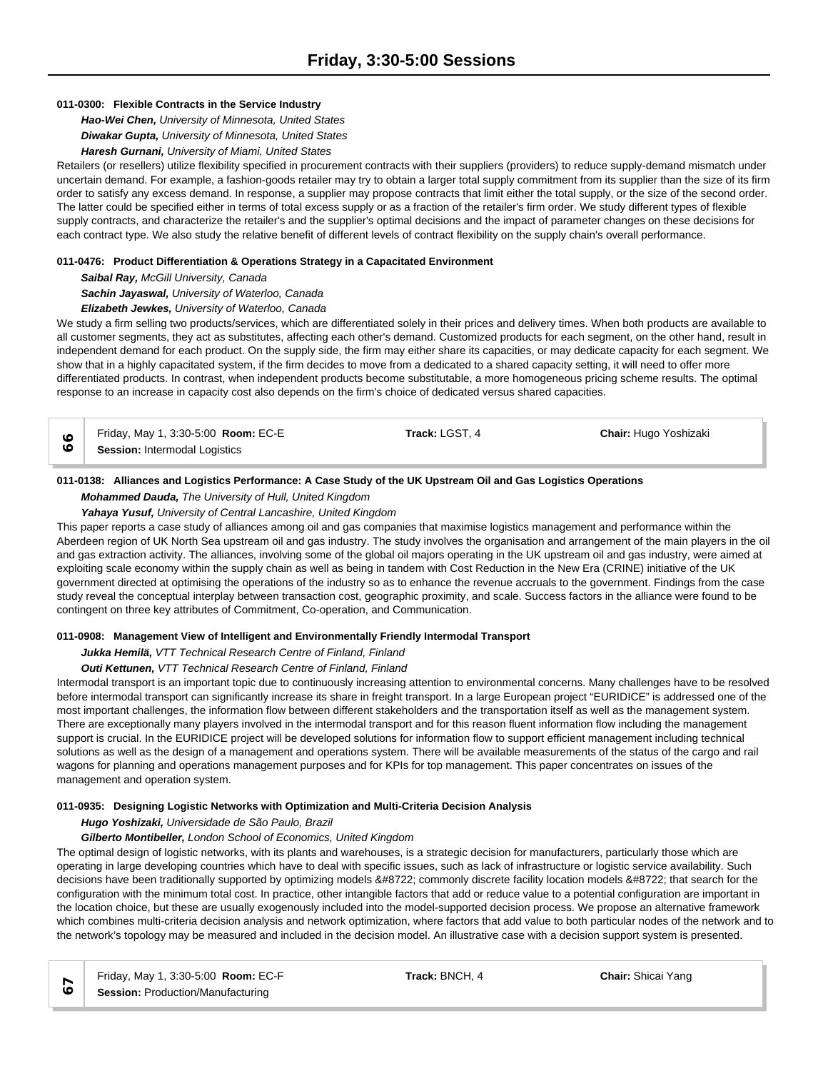# **011-0300: Flexible Contracts in the Service Industry**

*Hao-Wei Chen, University of Minnesota, United States*

*Diwakar Gupta, University of Minnesota, United States*

*Haresh Gurnani, University of Miami, United States*

Retailers (or resellers) utilize flexibility specified in procurement contracts with their suppliers (providers) to reduce supply-demand mismatch under uncertain demand. For example, a fashion-goods retailer may try to obtain a larger total supply commitment from its supplier than the size of its firm order to satisfy any excess demand. In response, a supplier may propose contracts that limit either the total supply, or the size of the second order. The latter could be specified either in terms of total excess supply or as a fraction of the retailer's firm order. We study different types of flexible supply contracts, and characterize the retailer's and the supplier's optimal decisions and the impact of parameter changes on these decisions for each contract type. We also study the relative benefit of different levels of contract flexibility on the supply chain's overall performance.

# **011-0476: Product Differentiation & Operations Strategy in a Capacitated Environment**

*Saibal Ray, McGill University, Canada*

*Sachin Jayaswal, University of Waterloo, Canada*

*Elizabeth Jewkes, University of Waterloo, Canada*

We study a firm selling two products/services, which are differentiated solely in their prices and delivery times. When both products are available to all customer segments, they act as substitutes, affecting each other's demand. Customized products for each segment, on the other hand, result in independent demand for each product. On the supply side, the firm may either share its capacities, or may dedicate capacity for each segment. We show that in a highly capacitated system, if the firm decides to move from a dedicated to a shared capacity setting, it will need to offer more differentiated products. In contrast, when independent products become substitutable, a more homogeneous pricing scheme results. The optimal response to an increase in capacity cost also depends on the firm's choice of dedicated versus shared capacities.

Friday, May 1, 3:30-5:00 **Room:** EC-E **Track:** LGST, 4 **Chair:** Hugo Yoshizaki **Session:** Intermodal Logistics

# **011-0138: Alliances and Logistics Performance: A Case Study of the UK Upstream Oil and Gas Logistics Operations**

*Mohammed Dauda, The University of Hull, United Kingdom*

*Yahaya Yusuf, University of Central Lancashire, United Kingdom*

This paper reports a case study of alliances among oil and gas companies that maximise logistics management and performance within the Aberdeen region of UK North Sea upstream oil and gas industry. The study involves the organisation and arrangement of the main players in the oil and gas extraction activity. The alliances, involving some of the global oil majors operating in the UK upstream oil and gas industry, were aimed at exploiting scale economy within the supply chain as well as being in tandem with Cost Reduction in the New Era (CRINE) initiative of the UK government directed at optimising the operations of the industry so as to enhance the revenue accruals to the government. Findings from the case study reveal the conceptual interplay between transaction cost, geographic proximity, and scale. Success factors in the alliance were found to be contingent on three key attributes of Commitment, Co-operation, and Communication.

# **011-0908: Management View of Intelligent and Environmentally Friendly Intermodal Transport**

*Jukka Hemilä, VTT Technical Research Centre of Finland, Finland*

# *Outi Kettunen, VTT Technical Research Centre of Finland, Finland*

Intermodal transport is an important topic due to continuously increasing attention to environmental concerns. Many challenges have to be resolved before intermodal transport can significantly increase its share in freight transport. In a large European project "EURIDICE" is addressed one of the most important challenges, the information flow between different stakeholders and the transportation itself as well as the management system. There are exceptionally many players involved in the intermodal transport and for this reason fluent information flow including the management support is crucial. In the EURIDICE project will be developed solutions for information flow to support efficient management including technical solutions as well as the design of a management and operations system. There will be available measurements of the status of the cargo and rail wagons for planning and operations management purposes and for KPIs for top management. This paper concentrates on issues of the management and operation system.

# **011-0935: Designing Logistic Networks with Optimization and Multi-Criteria Decision Analysis**

*Hugo Yoshizaki, Universidade de São Paulo, Brazil*

# *Gilberto Montibeller, London School of Economics, United Kingdom*

The optimal design of logistic networks, with its plants and warehouses, is a strategic decision for manufacturers, particularly those which are operating in large developing countries which have to deal with specific issues, such as lack of infrastructure or logistic service availability. Such decisions have been traditionally supported by optimizing models − commonly discrete facility location models − that search for the configuration with the minimum total cost. In practice, other intangible factors that add or reduce value to a potential configuration are important in the location choice, but these are usually exogenously included into the model-supported decision process. We propose an alternative framework which combines multi-criteria decision analysis and network optimization, where factors that add value to both particular nodes of the network and to the network's topology may be measured and included in the decision model. An illustrative case with a decision support system is presented.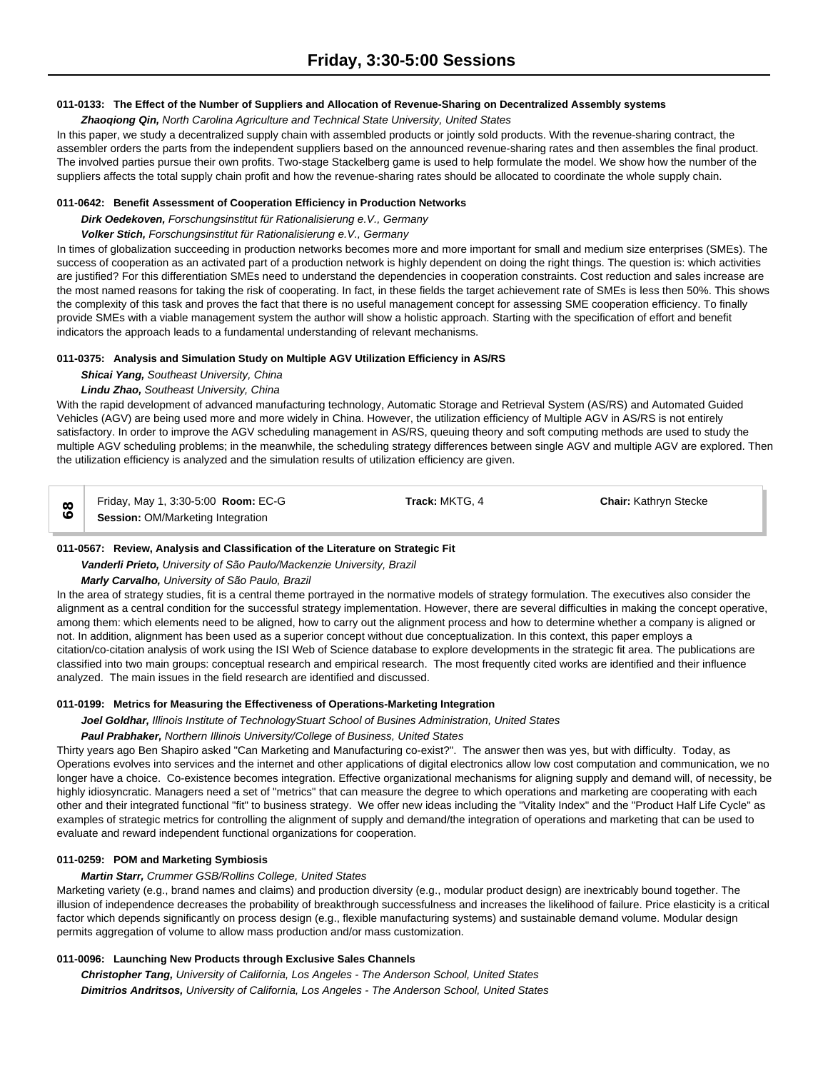### **011-0133: The Effect of the Number of Suppliers and Allocation of Revenue-Sharing on Decentralized Assembly systems**

### *Zhaoqiong Qin, North Carolina Agriculture and Technical State University, United States*

In this paper, we study a decentralized supply chain with assembled products or jointly sold products. With the revenue-sharing contract, the assembler orders the parts from the independent suppliers based on the announced revenue-sharing rates and then assembles the final product. The involved parties pursue their own profits. Two-stage Stackelberg game is used to help formulate the model. We show how the number of the suppliers affects the total supply chain profit and how the revenue-sharing rates should be allocated to coordinate the whole supply chain.

# **011-0642: Benefit Assessment of Cooperation Efficiency in Production Networks**

*Dirk Oedekoven, Forschungsinstitut für Rationalisierung e.V., Germany*

#### *Volker Stich, Forschungsinstitut für Rationalisierung e.V., Germany*

In times of globalization succeeding in production networks becomes more and more important for small and medium size enterprises (SMEs). The success of cooperation as an activated part of a production network is highly dependent on doing the right things. The question is: which activities are justified? For this differentiation SMEs need to understand the dependencies in cooperation constraints. Cost reduction and sales increase are the most named reasons for taking the risk of cooperating. In fact, in these fields the target achievement rate of SMEs is less then 50%. This shows the complexity of this task and proves the fact that there is no useful management concept for assessing SME cooperation efficiency. To finally provide SMEs with a viable management system the author will show a holistic approach. Starting with the specification of effort and benefit indicators the approach leads to a fundamental understanding of relevant mechanisms.

#### **011-0375: Analysis and Simulation Study on Multiple AGV Utilization Efficiency in AS/RS**

#### *Shicai Yang, Southeast University, China*

### *Lindu Zhao, Southeast University, China*

With the rapid development of advanced manufacturing technology, Automatic Storage and Retrieval System (AS/RS) and Automated Guided Vehicles (AGV) are being used more and more widely in China. However, the utilization efficiency of Multiple AGV in AS/RS is not entirely satisfactory. In order to improve the AGV scheduling management in AS/RS, queuing theory and soft computing methods are used to study the multiple AGV scheduling problems; in the meanwhile, the scheduling strategy differences between single AGV and multiple AGV are explored. Then the utilization efficiency is analyzed and the simulation results of utilization efficiency are given.

Friday, May 1, 3:30-5:00 **Room:** EC-G **Track:** MKTG, 4 **Chair:** Kathryn Stecke  $\begin{array}{c|c}\n\infty & \text{Frliay, May 1, 3:30-5:00} & \text{Koom: Et} \\
\hline\n\end{array}$ 

# **011-0567: Review, Analysis and Classification of the Literature on Strategic Fit**

# *Vanderli Prieto, University of São Paulo/Mackenzie University, Brazil*

*Marly Carvalho, University of São Paulo, Brazil*

In the area of strategy studies, fit is a central theme portrayed in the normative models of strategy formulation. The executives also consider the alignment as a central condition for the successful strategy implementation. However, there are several difficulties in making the concept operative, among them: which elements need to be aligned, how to carry out the alignment process and how to determine whether a company is aligned or not. In addition, alignment has been used as a superior concept without due conceptualization. In this context, this paper employs a citation/co-citation analysis of work using the ISI Web of Science database to explore developments in the strategic fit area. The publications are classified into two main groups: conceptual research and empirical research. The most frequently cited works are identified and their influence analyzed. The main issues in the field research are identified and discussed.

### **011-0199: Metrics for Measuring the Effectiveness of Operations-Marketing Integration**

*Joel Goldhar, Illinois Institute of TechnologyStuart School of Busines Administration, United States*

# *Paul Prabhaker, Northern Illinois University/College of Business, United States*

Thirty years ago Ben Shapiro asked "Can Marketing and Manufacturing co-exist?". The answer then was yes, but with difficulty. Today, as Operations evolves into services and the internet and other applications of digital electronics allow low cost computation and communication, we no longer have a choice. Co-existence becomes integration. Effective organizational mechanisms for aligning supply and demand will, of necessity, be highly idiosyncratic. Managers need a set of "metrics" that can measure the degree to which operations and marketing are cooperating with each other and their integrated functional "fit" to business strategy. We offer new ideas including the "Vitality Index" and the "Product Half Life Cycle" as examples of strategic metrics for controlling the alignment of supply and demand/the integration of operations and marketing that can be used to evaluate and reward independent functional organizations for cooperation.

### **011-0259: POM and Marketing Symbiosis**

### *Martin Starr, Crummer GSB/Rollins College, United States*

Marketing variety (e.g., brand names and claims) and production diversity (e.g., modular product design) are inextricably bound together. The illusion of independence decreases the probability of breakthrough successfulness and increases the likelihood of failure. Price elasticity is a critical factor which depends significantly on process design (e.g., flexible manufacturing systems) and sustainable demand volume. Modular design permits aggregation of volume to allow mass production and/or mass customization.

# **011-0096: Launching New Products through Exclusive Sales Channels**

*Christopher Tang, University of California, Los Angeles - The Anderson School, United States Dimitrios Andritsos, University of California, Los Angeles - The Anderson School, United States*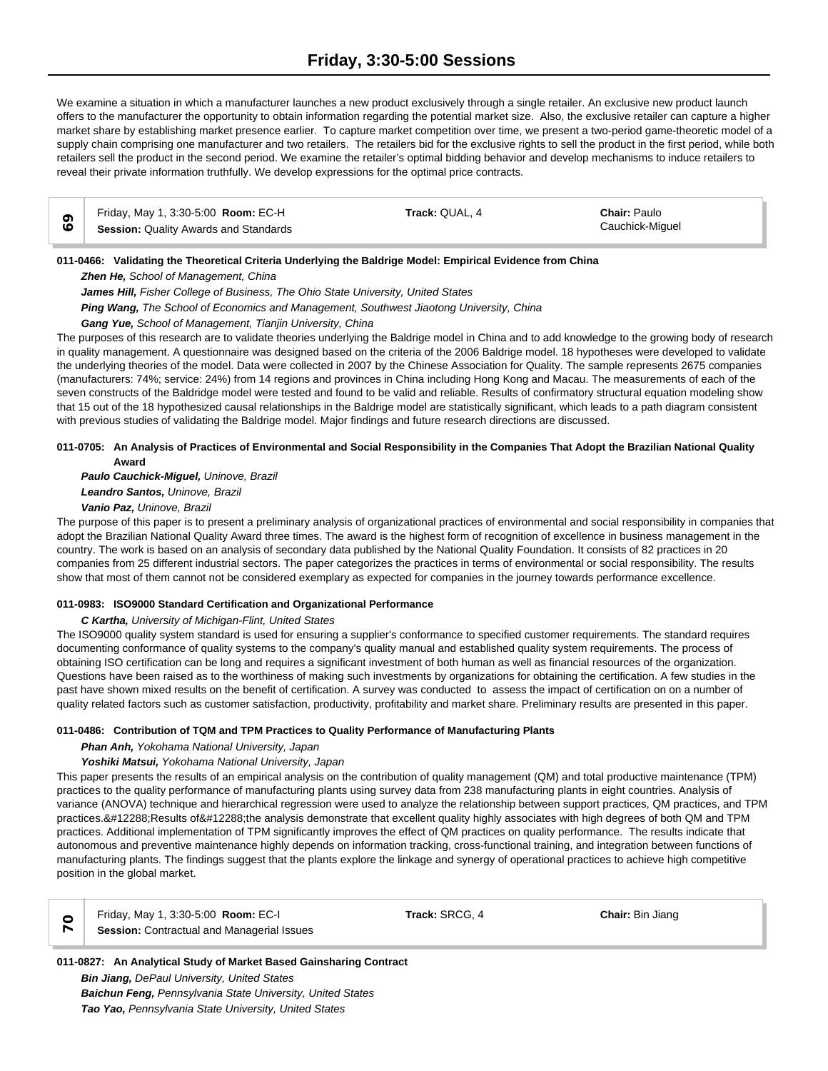# **Friday, 3:30-5:00 Sessions**

We examine a situation in which a manufacturer launches a new product exclusively through a single retailer. An exclusive new product launch offers to the manufacturer the opportunity to obtain information regarding the potential market size. Also, the exclusive retailer can capture a higher market share by establishing market presence earlier. To capture market competition over time, we present a two-period game-theoretic model of a supply chain comprising one manufacturer and two retailers. The retailers bid for the exclusive rights to sell the product in the first period, while both retailers sell the product in the second period. We examine the retailer's optimal bidding behavior and develop mechanisms to induce retailers to reveal their private information truthfully. We develop expressions for the optimal price contracts.

| Friday, May 1, 3:30-5:00 <b>Room:</b> EC-H | Track: QUAL, 4 | <b>Chair: Paulo</b> |
|--------------------------------------------|----------------|---------------------|
| Session: Quality Awards and Standards      |                | Cauchick-Miquel     |

# **011-0466: Validating the Theoretical Criteria Underlying the Baldrige Model: Empirical Evidence from China**

*Zhen He, School of Management, China*

*James Hill, Fisher College of Business, The Ohio State University, United States*

*Ping Wang, The School of Economics and Management, Southwest Jiaotong University, China*

*Gang Yue, School of Management, Tianjin University, China*

The purposes of this research are to validate theories underlying the Baldrige model in China and to add knowledge to the growing body of research in quality management. A questionnaire was designed based on the criteria of the 2006 Baldrige model. 18 hypotheses were developed to validate the underlying theories of the model. Data were collected in 2007 by the Chinese Association for Quality. The sample represents 2675 companies (manufacturers: 74%; service: 24%) from 14 regions and provinces in China including Hong Kong and Macau. The measurements of each of the seven constructs of the Baldridge model were tested and found to be valid and reliable. Results of confirmatory structural equation modeling show that 15 out of the 18 hypothesized causal relationships in the Baldrige model are statistically significant, which leads to a path diagram consistent with previous studies of validating the Baldrige model. Major findings and future research directions are discussed.

# **011-0705: An Analysis of Practices of Environmental and Social Responsibility in the Companies That Adopt the Brazilian National Quality Award**

*Paulo Cauchick-Miguel, Uninove, Brazil Leandro Santos, Uninove, Brazil Vanio Paz, Uninove, Brazil*

The purpose of this paper is to present a preliminary analysis of organizational practices of environmental and social responsibility in companies that adopt the Brazilian National Quality Award three times. The award is the highest form of recognition of excellence in business management in the country. The work is based on an analysis of secondary data published by the National Quality Foundation. It consists of 82 practices in 20 companies from 25 different industrial sectors. The paper categorizes the practices in terms of environmental or social responsibility. The results show that most of them cannot not be considered exemplary as expected for companies in the journey towards performance excellence.

# **011-0983: ISO9000 Standard Certification and Organizational Performance**

*C Kartha, University of Michigan-Flint, United States*

The ISO9000 quality system standard is used for ensuring a supplier's conformance to specified customer requirements. The standard requires documenting conformance of quality systems to the company's quality manual and established quality system requirements. The process of obtaining ISO certification can be long and requires a significant investment of both human as well as financial resources of the organization. Questions have been raised as to the worthiness of making such investments by organizations for obtaining the certification. A few studies in the past have shown mixed results on the benefit of certification. A survey was conducted to assess the impact of certification on on a number of quality related factors such as customer satisfaction, productivity, profitability and market share. Preliminary results are presented in this paper.

# **011-0486: Contribution of TQM and TPM Practices to Quality Performance of Manufacturing Plants**

*Phan Anh, Yokohama National University, Japan*

*Yoshiki Matsui, Yokohama National University, Japan*

This paper presents the results of an empirical analysis on the contribution of quality management (QM) and total productive maintenance (TPM) practices to the quality performance of manufacturing plants using survey data from 238 manufacturing plants in eight countries. Analysis of variance (ANOVA) technique and hierarchical regression were used to analyze the relationship between support practices, QM practices, and TPM practices. Results of the analysis demonstrate that excellent quality highly associates with high degrees of both QM and TPM practices. Additional implementation of TPM significantly improves the effect of QM practices on quality performance. The results indicate that autonomous and preventive maintenance highly depends on information tracking, cross-functional training, and integration between functions of manufacturing plants. The findings suggest that the plants explore the linkage and synergy of operational practices to achieve high competitive position in the global market.

| . .<br>٧<br>I<br>v<br>۰.<br>×    |
|----------------------------------|
| ×<br>. .<br>w<br>. .<br>.,<br>., |

Friday, May 1, 3:30-5:00 **Room:** EC-I **Track:** SRCG, 4 **Chair:** Bin Jiang **Session: Contractual and Managerial Issues** 

**011-0827: An Analytical Study of Market Based Gainsharing Contract** *Bin Jiang, DePaul University, United States Baichun Feng, Pennsylvania State University, United States Tao Yao, Pennsylvania State University, United States*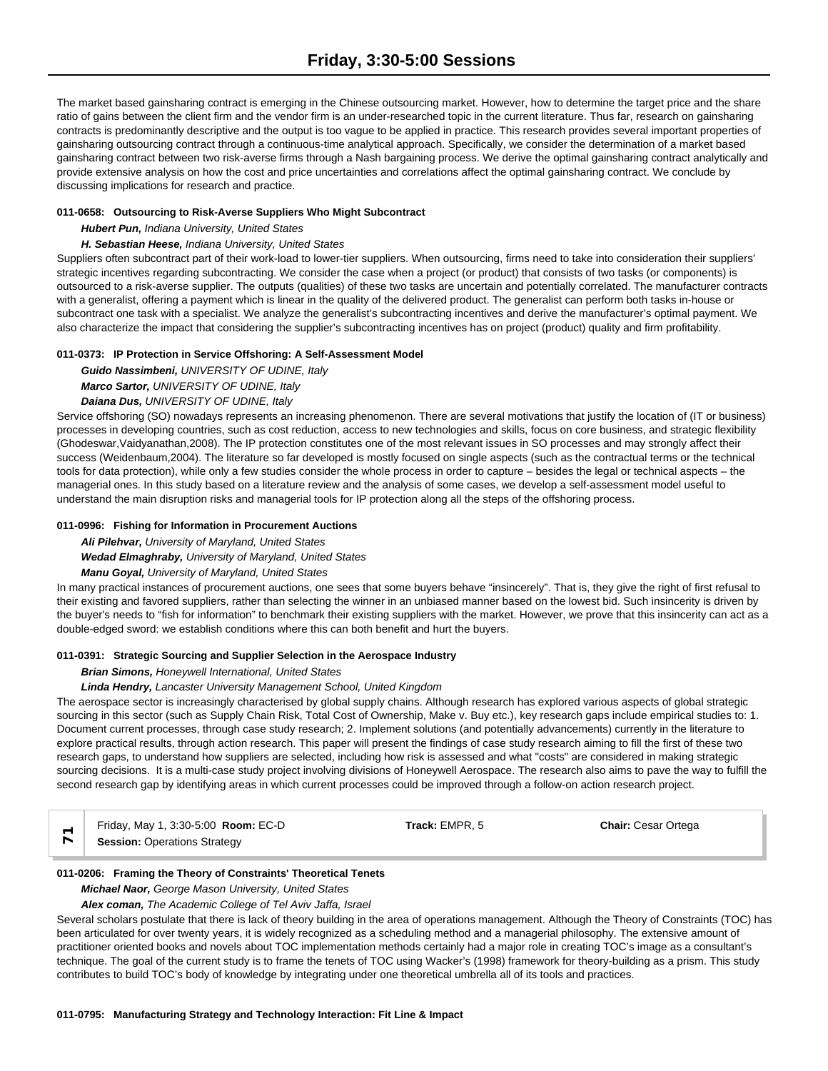The market based gainsharing contract is emerging in the Chinese outsourcing market. However, how to determine the target price and the share ratio of gains between the client firm and the vendor firm is an under-researched topic in the current literature. Thus far, research on gainsharing contracts is predominantly descriptive and the output is too vague to be applied in practice. This research provides several important properties of gainsharing outsourcing contract through a continuous-time analytical approach. Specifically, we consider the determination of a market based gainsharing contract between two risk-averse firms through a Nash bargaining process. We derive the optimal gainsharing contract analytically and provide extensive analysis on how the cost and price uncertainties and correlations affect the optimal gainsharing contract. We conclude by discussing implications for research and practice.

# **011-0658: Outsourcing to Risk-Averse Suppliers Who Might Subcontract**

*Hubert Pun, Indiana University, United States*

# *H. Sebastian Heese, Indiana University, United States*

Suppliers often subcontract part of their work-load to lower-tier suppliers. When outsourcing, firms need to take into consideration their suppliers' strategic incentives regarding subcontracting. We consider the case when a project (or product) that consists of two tasks (or components) is outsourced to a risk-averse supplier. The outputs (qualities) of these two tasks are uncertain and potentially correlated. The manufacturer contracts with a generalist, offering a payment which is linear in the quality of the delivered product. The generalist can perform both tasks in-house or subcontract one task with a specialist. We analyze the generalist's subcontracting incentives and derive the manufacturer's optimal payment. We also characterize the impact that considering the supplier's subcontracting incentives has on project (product) quality and firm profitability.

# **011-0373: IP Protection in Service Offshoring: A Self-Assessment Model**

*Guido Nassimbeni, UNIVERSITY OF UDINE, Italy Marco Sartor, UNIVERSITY OF UDINE, Italy*

# *Daiana Dus, UNIVERSITY OF UDINE, Italy*

Service offshoring (SO) nowadays represents an increasing phenomenon. There are several motivations that justify the location of (IT or business) processes in developing countries, such as cost reduction, access to new technologies and skills, focus on core business, and strategic flexibility (Ghodeswar,Vaidyanathan,2008). The IP protection constitutes one of the most relevant issues in SO processes and may strongly affect their success (Weidenbaum,2004). The literature so far developed is mostly focused on single aspects (such as the contractual terms or the technical tools for data protection), while only a few studies consider the whole process in order to capture – besides the legal or technical aspects – the managerial ones. In this study based on a literature review and the analysis of some cases, we develop a self-assessment model useful to understand the main disruption risks and managerial tools for IP protection along all the steps of the offshoring process.

# **011-0996: Fishing for Information in Procurement Auctions**

*Ali Pilehvar, University of Maryland, United States*

# *Wedad Elmaghraby, University of Maryland, United States*

# *Manu Goyal, University of Maryland, United States*

In many practical instances of procurement auctions, one sees that some buyers behave "insincerely". That is, they give the right of first refusal to their existing and favored suppliers, rather than selecting the winner in an unbiased manner based on the lowest bid. Such insincerity is driven by the buyer's needs to "fish for information" to benchmark their existing suppliers with the market. However, we prove that this insincerity can act as a double-edged sword: we establish conditions where this can both benefit and hurt the buyers.

# **011-0391: Strategic Sourcing and Supplier Selection in the Aerospace Industry**

# *Brian Simons, Honeywell International, United States*

# *Linda Hendry, Lancaster University Management School, United Kingdom*

The aerospace sector is increasingly characterised by global supply chains. Although research has explored various aspects of global strategic sourcing in this sector (such as Supply Chain Risk, Total Cost of Ownership, Make v. Buy etc.), key research gaps include empirical studies to: 1. Document current processes, through case study research; 2. Implement solutions (and potentially advancements) currently in the literature to explore practical results, through action research. This paper will present the findings of case study research aiming to fill the first of these two research gaps, to understand how suppliers are selected, including how risk is assessed and what "costs" are considered in making strategic sourcing decisions. It is a multi-case study project involving divisions of Honeywell Aerospace. The research also aims to pave the way to fulfill the second research gap by identifying areas in which current processes could be improved through a follow-on action research project.

| Friday, May 1, 3:30-5:00 Room: EC-D | Track: EMPR. 5 | <b>Chair: Cesar Ortega</b> |  |
|-------------------------------------|----------------|----------------------------|--|
| <b>Session: Operations Strategy</b> |                |                            |  |

# **011-0206: Framing the Theory of Constraints' Theoretical Tenets**

# *Michael Naor, George Mason University, United States*

# *Alex coman, The Academic College of Tel Aviv Jaffa, Israel*

Several scholars postulate that there is lack of theory building in the area of operations management. Although the Theory of Constraints (TOC) has been articulated for over twenty years, it is widely recognized as a scheduling method and a managerial philosophy. The extensive amount of practitioner oriented books and novels about TOC implementation methods certainly had a major role in creating TOC's image as a consultant's technique. The goal of the current study is to frame the tenets of TOC using Wacker's (1998) framework for theory-building as a prism. This study contributes to build TOC's body of knowledge by integrating under one theoretical umbrella all of its tools and practices.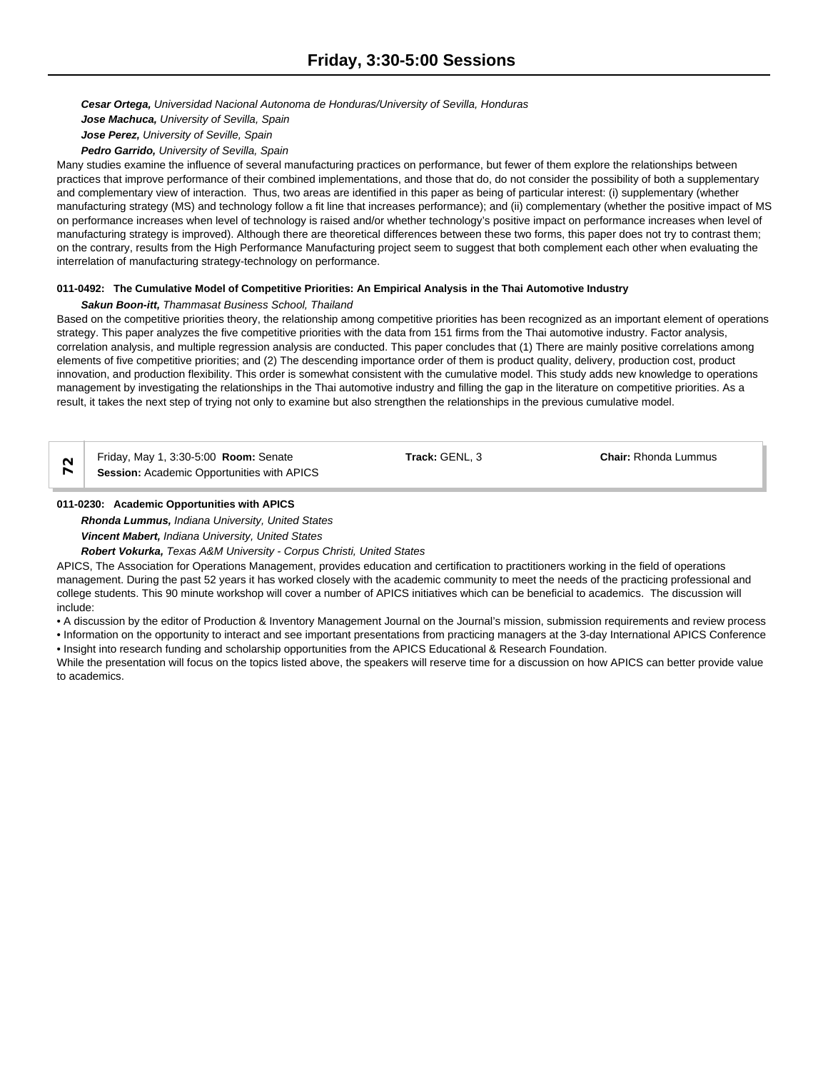*Cesar Ortega, Universidad Nacional Autonoma de Honduras/University of Sevilla, Honduras Jose Machuca, University of Sevilla, Spain*

*Jose Perez, University of Seville, Spain*

*Pedro Garrido, University of Sevilla, Spain*

Many studies examine the influence of several manufacturing practices on performance, but fewer of them explore the relationships between practices that improve performance of their combined implementations, and those that do, do not consider the possibility of both a supplementary and complementary view of interaction. Thus, two areas are identified in this paper as being of particular interest: (i) supplementary (whether manufacturing strategy (MS) and technology follow a fit line that increases performance); and (ii) complementary (whether the positive impact of MS on performance increases when level of technology is raised and/or whether technology's positive impact on performance increases when level of manufacturing strategy is improved). Although there are theoretical differences between these two forms, this paper does not try to contrast them; on the contrary, results from the High Performance Manufacturing project seem to suggest that both complement each other when evaluating the interrelation of manufacturing strategy-technology on performance.

# **011-0492: The Cumulative Model of Competitive Priorities: An Empirical Analysis in the Thai Automotive Industry**

# *Sakun Boon-itt, Thammasat Business School, Thailand*

Based on the competitive priorities theory, the relationship among competitive priorities has been recognized as an important element of operations strategy. This paper analyzes the five competitive priorities with the data from 151 firms from the Thai automotive industry. Factor analysis, correlation analysis, and multiple regression analysis are conducted. This paper concludes that (1) There are mainly positive correlations among elements of five competitive priorities; and (2) The descending importance order of them is product quality, delivery, production cost, product innovation, and production flexibility. This order is somewhat consistent with the cumulative model. This study adds new knowledge to operations management by investigating the relationships in the Thai automotive industry and filling the gap in the literature on competitive priorities. As a result, it takes the next step of trying not only to examine but also strengthen the relationships in the previous cumulative model.

Friday, May 1, 3:30-5:00 **Room:** Senate **Track:** GENL, 3 **Chair:** Rhonda Lummus **Session:** Academic Opportunities with APICS

# **011-0230: Academic Opportunities with APICS**

*Rhonda Lummus, Indiana University, United States*

*Vincent Mabert, Indiana University, United States*

*Robert Vokurka, Texas A&M University - Corpus Christi, United States*

APICS, The Association for Operations Management, provides education and certification to practitioners working in the field of operations management. During the past 52 years it has worked closely with the academic community to meet the needs of the practicing professional and college students. This 90 minute workshop will cover a number of APICS initiatives which can be beneficial to academics. The discussion will include:

• A discussion by the editor of Production & Inventory Management Journal on the Journal's mission, submission requirements and review process

• Information on the opportunity to interact and see important presentations from practicing managers at the 3-day International APICS Conference

• Insight into research funding and scholarship opportunities from the APICS Educational & Research Foundation.

While the presentation will focus on the topics listed above, the speakers will reserve time for a discussion on how APICS can better provide value to academics.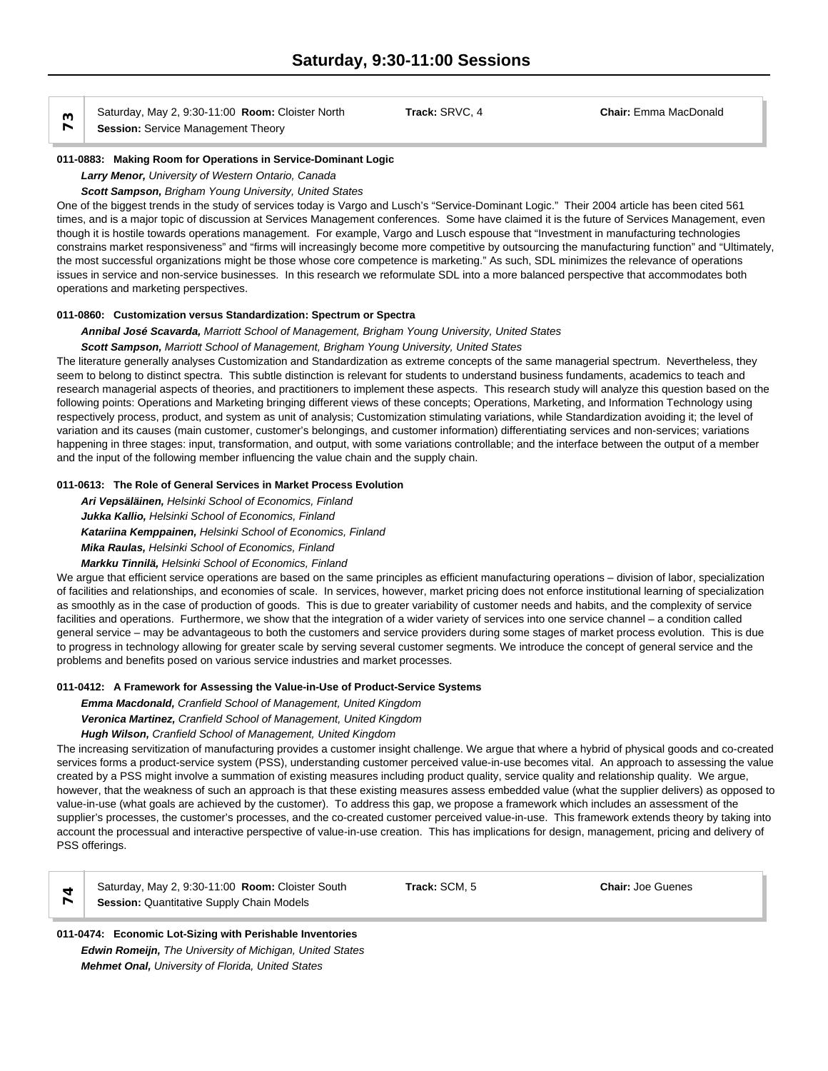**Saturaay, May 2, 9:30-11:00 Room: C**<br> **Session:** Service Management Theory

**011-0883: Making Room for Operations in Service-Dominant Logic**

*Larry Menor, University of Western Ontario, Canada*

*Scott Sampson, Brigham Young University, United States*

One of the biggest trends in the study of services today is Vargo and Lusch's "Service-Dominant Logic." Their 2004 article has been cited 561 times, and is a major topic of discussion at Services Management conferences. Some have claimed it is the future of Services Management, even though it is hostile towards operations management. For example, Vargo and Lusch espouse that "Investment in manufacturing technologies constrains market responsiveness" and "firms will increasingly become more competitive by outsourcing the manufacturing function" and "Ultimately, the most successful organizations might be those whose core competence is marketing." As such, SDL minimizes the relevance of operations issues in service and non-service businesses. In this research we reformulate SDL into a more balanced perspective that accommodates both operations and marketing perspectives.

# **011-0860: Customization versus Standardization: Spectrum or Spectra**

*Annibal José Scavarda, Marriott School of Management, Brigham Young University, United States Scott Sampson, Marriott School of Management, Brigham Young University, United States*

The literature generally analyses Customization and Standardization as extreme concepts of the same managerial spectrum. Nevertheless, they seem to belong to distinct spectra. This subtle distinction is relevant for students to understand business fundaments, academics to teach and research managerial aspects of theories, and practitioners to implement these aspects. This research study will analyze this question based on the following points: Operations and Marketing bringing different views of these concepts; Operations, Marketing, and Information Technology using respectively process, product, and system as unit of analysis; Customization stimulating variations, while Standardization avoiding it; the level of variation and its causes (main customer, customer's belongings, and customer information) differentiating services and non-services; variations happening in three stages: input, transformation, and output, with some variations controllable; and the interface between the output of a member and the input of the following member influencing the value chain and the supply chain.

# **011-0613: The Role of General Services in Market Process Evolution**

*Ari Vepsäläinen, Helsinki School of Economics, Finland Jukka Kallio, Helsinki School of Economics, Finland Katariina Kemppainen, Helsinki School of Economics, Finland Mika Raulas, Helsinki School of Economics, Finland*

*Markku Tinnilä, Helsinki School of Economics, Finland*

We argue that efficient service operations are based on the same principles as efficient manufacturing operations – division of labor, specialization of facilities and relationships, and economies of scale. In services, however, market pricing does not enforce institutional learning of specialization as smoothly as in the case of production of goods. This is due to greater variability of customer needs and habits, and the complexity of service facilities and operations. Furthermore, we show that the integration of a wider variety of services into one service channel – a condition called general service – may be advantageous to both the customers and service providers during some stages of market process evolution. This is due to progress in technology allowing for greater scale by serving several customer segments. We introduce the concept of general service and the problems and benefits posed on various service industries and market processes.

# **011-0412: A Framework for Assessing the Value-in-Use of Product-Service Systems**

*Emma Macdonald, Cranfield School of Management, United Kingdom*

*Veronica Martinez, Cranfield School of Management, United Kingdom*

# *Hugh Wilson, Cranfield School of Management, United Kingdom*

The increasing servitization of manufacturing provides a customer insight challenge. We argue that where a hybrid of physical goods and co-created services forms a product-service system (PSS), understanding customer perceived value-in-use becomes vital. An approach to assessing the value created by a PSS might involve a summation of existing measures including product quality, service quality and relationship quality. We argue, however, that the weakness of such an approach is that these existing measures assess embedded value (what the supplier delivers) as opposed to value-in-use (what goals are achieved by the customer). To address this gap, we propose a framework which includes an assessment of the supplier's processes, the customer's processes, and the co-created customer perceived value-in-use. This framework extends theory by taking into account the processual and interactive perspective of value-in-use creation. This has implications for design, management, pricing and delivery of PSS offerings.

| ×<br>×<br>×,<br>۹<br>÷ |
|------------------------|
| . .<br>. .<br>.,       |

Saturday, May 2, 9:30-11:00 **Room:** Cloister South **Track:** SCM, 5 **Chair:** Joe Guenes **Session: Quantitative Supply Chain Models** 

# **011-0474: Economic Lot-Sizing with Perishable Inventories** *Edwin Romeijn, The University of Michigan, United States Mehmet Onal, University of Florida, United States*

Saturday, May 2, 9:30-11:00 **Room:** Cloister North **Track:** SRVC, 4 **Chair:** Emma MacDonald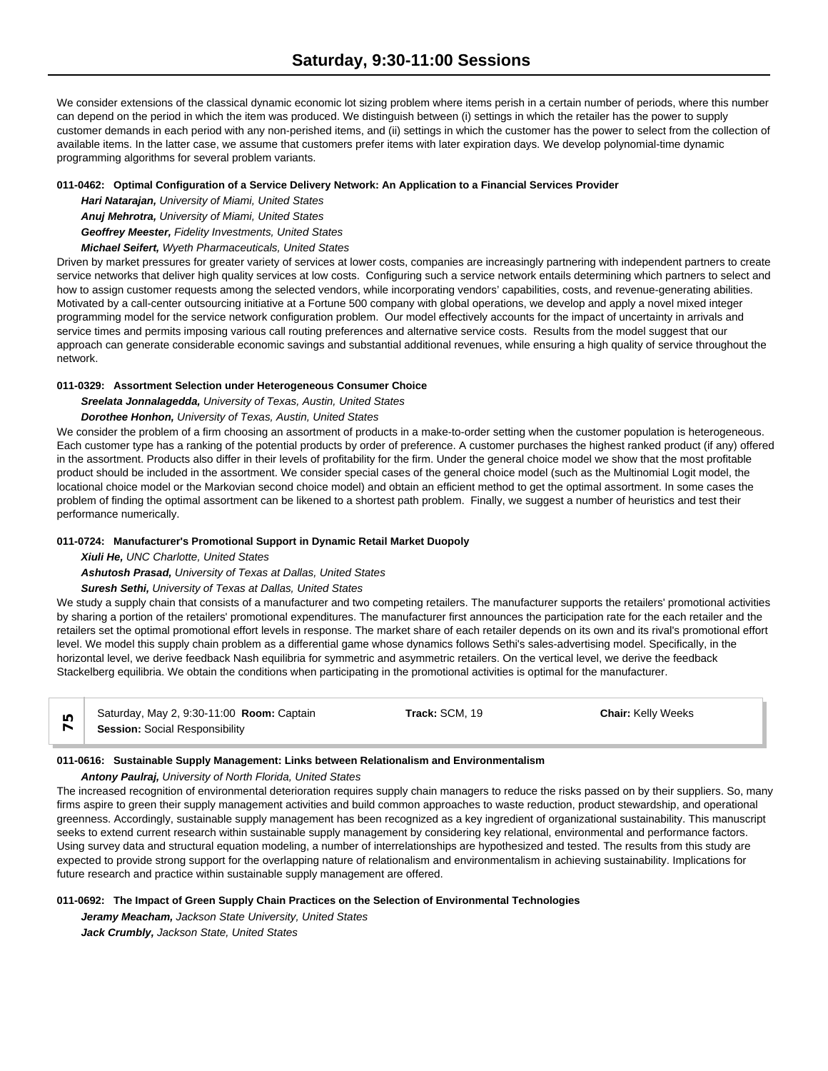We consider extensions of the classical dynamic economic lot sizing problem where items perish in a certain number of periods, where this number can depend on the period in which the item was produced. We distinguish between (i) settings in which the retailer has the power to supply customer demands in each period with any non-perished items, and (ii) settings in which the customer has the power to select from the collection of available items. In the latter case, we assume that customers prefer items with later expiration days. We develop polynomial-time dynamic programming algorithms for several problem variants.

### **011-0462: Optimal Configuration of a Service Delivery Network: An Application to a Financial Services Provider**

*Hari Natarajan, University of Miami, United States*

*Anuj Mehrotra, University of Miami, United States*

*Geoffrey Meester, Fidelity Investments, United States*

*Michael Seifert, Wyeth Pharmaceuticals, United States*

Driven by market pressures for greater variety of services at lower costs, companies are increasingly partnering with independent partners to create service networks that deliver high quality services at low costs. Configuring such a service network entails determining which partners to select and how to assign customer requests among the selected vendors, while incorporating vendors' capabilities, costs, and revenue-generating abilities. Motivated by a call-center outsourcing initiative at a Fortune 500 company with global operations, we develop and apply a novel mixed integer programming model for the service network configuration problem. Our model effectively accounts for the impact of uncertainty in arrivals and service times and permits imposing various call routing preferences and alternative service costs. Results from the model suggest that our approach can generate considerable economic savings and substantial additional revenues, while ensuring a high quality of service throughout the network.

### **011-0329: Assortment Selection under Heterogeneous Consumer Choice**

*Sreelata Jonnalagedda, University of Texas, Austin, United States*

# *Dorothee Honhon, University of Texas, Austin, United States*

We consider the problem of a firm choosing an assortment of products in a make-to-order setting when the customer population is heterogeneous. Each customer type has a ranking of the potential products by order of preference. A customer purchases the highest ranked product (if any) offered in the assortment. Products also differ in their levels of profitability for the firm. Under the general choice model we show that the most profitable product should be included in the assortment. We consider special cases of the general choice model (such as the Multinomial Logit model, the locational choice model or the Markovian second choice model) and obtain an efficient method to get the optimal assortment. In some cases the problem of finding the optimal assortment can be likened to a shortest path problem. Finally, we suggest a number of heuristics and test their performance numerically.

# **011-0724: Manufacturer's Promotional Support in Dynamic Retail Market Duopoly**

*Xiuli He, UNC Charlotte, United States*

# *Ashutosh Prasad, University of Texas at Dallas, United States*

# *Suresh Sethi, University of Texas at Dallas, United States*

We study a supply chain that consists of a manufacturer and two competing retailers. The manufacturer supports the retailers' promotional activities by sharing a portion of the retailers' promotional expenditures. The manufacturer first announces the participation rate for the each retailer and the retailers set the optimal promotional effort levels in response. The market share of each retailer depends on its own and its rival's promotional effort level. We model this supply chain problem as a differential game whose dynamics follows Sethi's sales-advertising model. Specifically, in the horizontal level, we derive feedback Nash equilibria for symmetric and asymmetric retailers. On the vertical level, we derive the feedback Stackelberg equilibria. We obtain the conditions when participating in the promotional activities is optimal for the manufacturer.

| Saturday, May 2, 9:30-11:00 Room: Captain | <b>Track:</b> SCM. 19 | <b>Chair: Kelly Weeks</b> |  |
|-------------------------------------------|-----------------------|---------------------------|--|
| <b>Session: Social Responsibility</b>     |                       |                           |  |

### **011-0616: Sustainable Supply Management: Links between Relationalism and Environmentalism**

# *Antony Paulraj, University of North Florida, United States*

The increased recognition of environmental deterioration requires supply chain managers to reduce the risks passed on by their suppliers. So, many firms aspire to green their supply management activities and build common approaches to waste reduction, product stewardship, and operational greenness. Accordingly, sustainable supply management has been recognized as a key ingredient of organizational sustainability. This manuscript seeks to extend current research within sustainable supply management by considering key relational, environmental and performance factors. Using survey data and structural equation modeling, a number of interrelationships are hypothesized and tested. The results from this study are expected to provide strong support for the overlapping nature of relationalism and environmentalism in achieving sustainability. Implications for future research and practice within sustainable supply management are offered.

# **011-0692: The Impact of Green Supply Chain Practices on the Selection of Environmental Technologies**

*Jeramy Meacham, Jackson State University, United States Jack Crumbly, Jackson State, United States*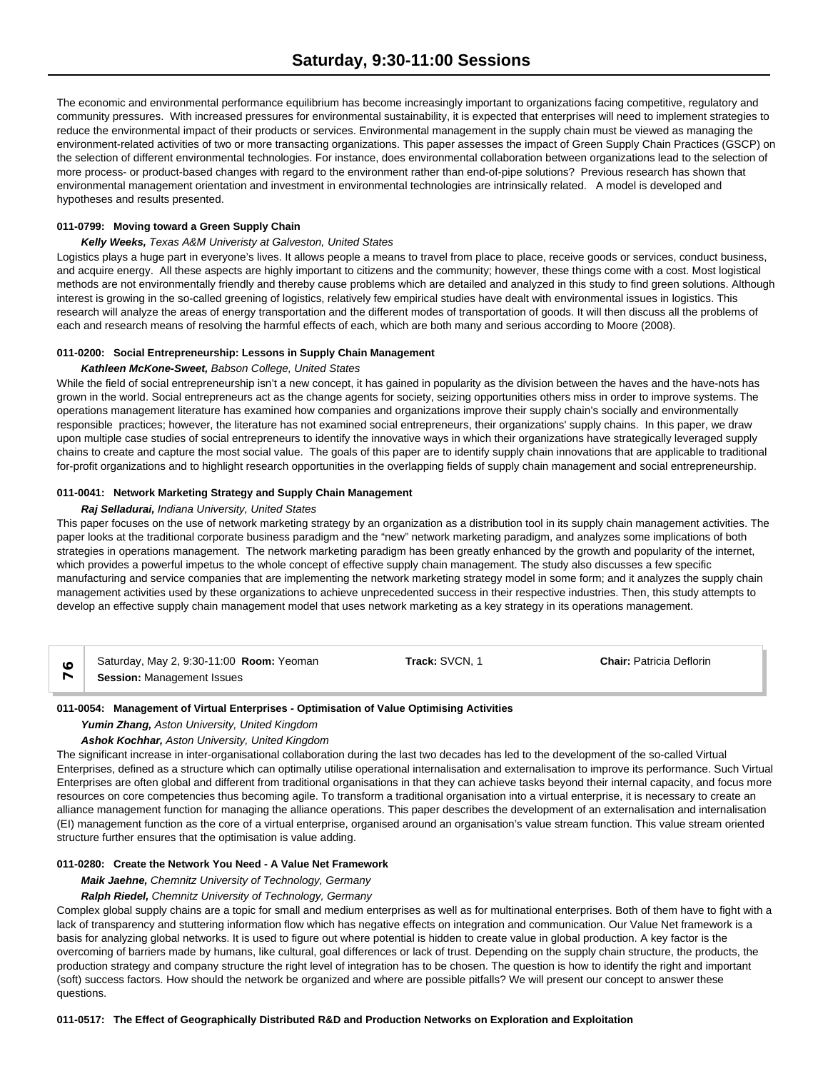The economic and environmental performance equilibrium has become increasingly important to organizations facing competitive, regulatory and community pressures. With increased pressures for environmental sustainability, it is expected that enterprises will need to implement strategies to reduce the environmental impact of their products or services. Environmental management in the supply chain must be viewed as managing the environment-related activities of two or more transacting organizations. This paper assesses the impact of Green Supply Chain Practices (GSCP) on the selection of different environmental technologies. For instance, does environmental collaboration between organizations lead to the selection of more process- or product-based changes with regard to the environment rather than end-of-pipe solutions? Previous research has shown that environmental management orientation and investment in environmental technologies are intrinsically related. A model is developed and hypotheses and results presented.

### **011-0799: Moving toward a Green Supply Chain**

### *Kelly Weeks, Texas A&M Univeristy at Galveston, United States*

Logistics plays a huge part in everyone's lives. It allows people a means to travel from place to place, receive goods or services, conduct business, and acquire energy. All these aspects are highly important to citizens and the community; however, these things come with a cost. Most logistical methods are not environmentally friendly and thereby cause problems which are detailed and analyzed in this study to find green solutions. Although interest is growing in the so-called greening of logistics, relatively few empirical studies have dealt with environmental issues in logistics. This research will analyze the areas of energy transportation and the different modes of transportation of goods. It will then discuss all the problems of each and research means of resolving the harmful effects of each, which are both many and serious according to Moore (2008).

#### **011-0200: Social Entrepreneurship: Lessons in Supply Chain Management**

#### *Kathleen McKone-Sweet, Babson College, United States*

While the field of social entrepreneurship isn't a new concept, it has gained in popularity as the division between the haves and the have-nots has grown in the world. Social entrepreneurs act as the change agents for society, seizing opportunities others miss in order to improve systems. The operations management literature has examined how companies and organizations improve their supply chain's socially and environmentally responsible practices; however, the literature has not examined social entrepreneurs, their organizations' supply chains. In this paper, we draw upon multiple case studies of social entrepreneurs to identify the innovative ways in which their organizations have strategically leveraged supply chains to create and capture the most social value. The goals of this paper are to identify supply chain innovations that are applicable to traditional for-profit organizations and to highlight research opportunities in the overlapping fields of supply chain management and social entrepreneurship.

### **011-0041: Network Marketing Strategy and Supply Chain Management**

#### *Raj Selladurai, Indiana University, United States*

This paper focuses on the use of network marketing strategy by an organization as a distribution tool in its supply chain management activities. The paper looks at the traditional corporate business paradigm and the "new" network marketing paradigm, and analyzes some implications of both strategies in operations management. The network marketing paradigm has been greatly enhanced by the growth and popularity of the internet, which provides a powerful impetus to the whole concept of effective supply chain management. The study also discusses a few specific manufacturing and service companies that are implementing the network marketing strategy model in some form; and it analyzes the supply chain management activities used by these organizations to achieve unprecedented success in their respective industries. Then, this study attempts to develop an effective supply chain management model that uses network marketing as a key strategy in its operations management.

| Saturday, May 2, 9:30-11:00 <b>Room:</b> Yeoman | Track: SVCN. 1 | <b>Chair: Patricia Deflorin</b> |  |
|-------------------------------------------------|----------------|---------------------------------|--|
| <b>Session: Management Issues</b>               |                |                                 |  |

### **011-0054: Management of Virtual Enterprises - Optimisation of Value Optimising Activities**

### *Yumin Zhang, Aston University, United Kingdom*

### *Ashok Kochhar, Aston University, United Kingdom*

The significant increase in inter-organisational collaboration during the last two decades has led to the development of the so-called Virtual Enterprises, defined as a structure which can optimally utilise operational internalisation and externalisation to improve its performance. Such Virtual Enterprises are often global and different from traditional organisations in that they can achieve tasks beyond their internal capacity, and focus more resources on core competencies thus becoming agile. To transform a traditional organisation into a virtual enterprise, it is necessary to create an alliance management function for managing the alliance operations. This paper describes the development of an externalisation and internalisation (EI) management function as the core of a virtual enterprise, organised around an organisation's value stream function. This value stream oriented structure further ensures that the optimisation is value adding.

# **011-0280: Create the Network You Need - A Value Net Framework**

# *Maik Jaehne, Chemnitz University of Technology, Germany*

# *Ralph Riedel, Chemnitz University of Technology, Germany*

Complex global supply chains are a topic for small and medium enterprises as well as for multinational enterprises. Both of them have to fight with a lack of transparency and stuttering information flow which has negative effects on integration and communication. Our Value Net framework is a basis for analyzing global networks. It is used to figure out where potential is hidden to create value in global production. A key factor is the overcoming of barriers made by humans, like cultural, goal differences or lack of trust. Depending on the supply chain structure, the products, the production strategy and company structure the right level of integration has to be chosen. The question is how to identify the right and important (soft) success factors. How should the network be organized and where are possible pitfalls? We will present our concept to answer these questions.

#### **011-0517: The Effect of Geographically Distributed R&D and Production Networks on Exploration and Exploitation**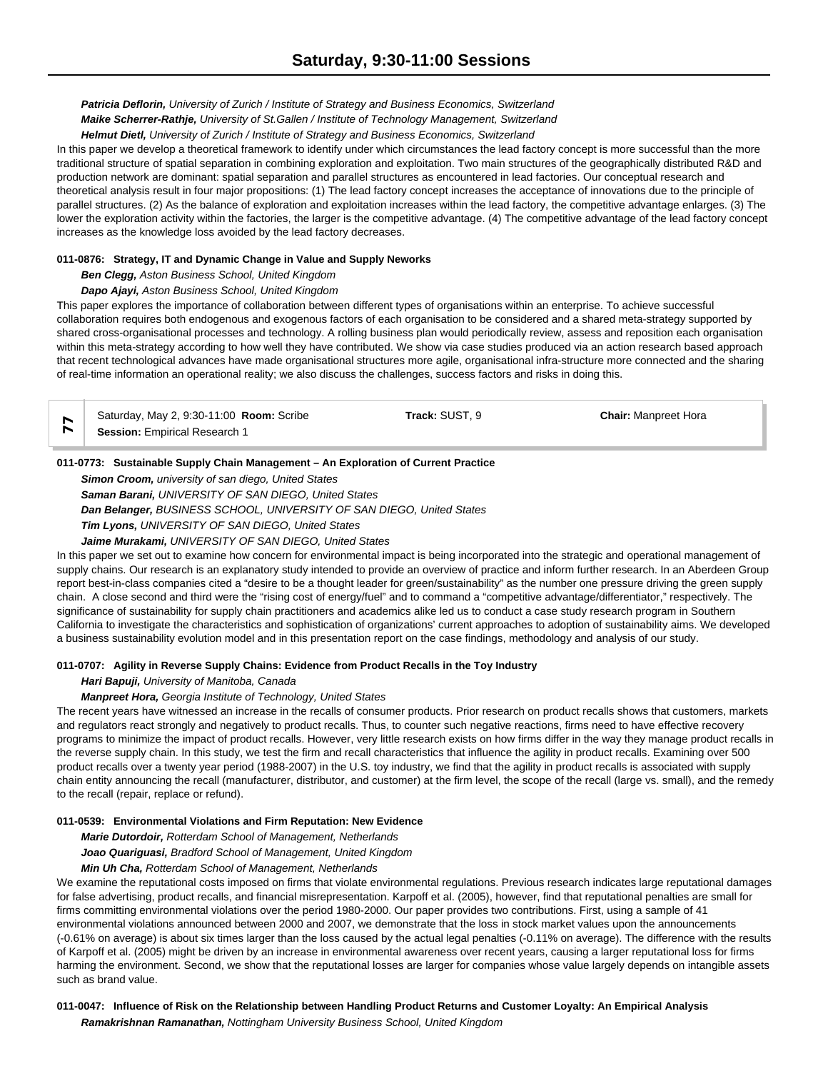*Patricia Deflorin, University of Zurich / Institute of Strategy and Business Economics, Switzerland*

*Maike Scherrer-Rathje, University of St.Gallen / Institute of Technology Management, Switzerland*

*Helmut Dietl, University of Zurich / Institute of Strategy and Business Economics, Switzerland*

In this paper we develop a theoretical framework to identify under which circumstances the lead factory concept is more successful than the more traditional structure of spatial separation in combining exploration and exploitation. Two main structures of the geographically distributed R&D and production network are dominant: spatial separation and parallel structures as encountered in lead factories. Our conceptual research and theoretical analysis result in four major propositions: (1) The lead factory concept increases the acceptance of innovations due to the principle of parallel structures. (2) As the balance of exploration and exploitation increases within the lead factory, the competitive advantage enlarges. (3) The lower the exploration activity within the factories, the larger is the competitive advantage. (4) The competitive advantage of the lead factory concept increases as the knowledge loss avoided by the lead factory decreases.

# **011-0876: Strategy, IT and Dynamic Change in Value and Supply Neworks**

*Ben Clegg, Aston Business School, United Kingdom*

# *Dapo Ajayi, Aston Business School, United Kingdom*

This paper explores the importance of collaboration between different types of organisations within an enterprise. To achieve successful collaboration requires both endogenous and exogenous factors of each organisation to be considered and a shared meta-strategy supported by shared cross-organisational processes and technology. A rolling business plan would periodically review, assess and reposition each organisation within this meta-strategy according to how well they have contributed. We show via case studies produced via an action research based approach that recent technological advances have made organisational structures more agile, organisational infra-structure more connected and the sharing of real-time information an operational reality; we also discuss the challenges, success factors and risks in doing this.

| Saturday, May 2, 9:30-11:00 <b>Room:</b> Scribe | Track: SUST. 9 | <b>Chair:</b> Manpreet Hora |  |
|-------------------------------------------------|----------------|-----------------------------|--|
| <b>Session:</b> Empirical Research 1            |                |                             |  |

### **011-0773: Sustainable Supply Chain Management – An Exploration of Current Practice**

*Simon Croom, university of san diego, United States Saman Barani, UNIVERSITY OF SAN DIEGO, United States Dan Belanger, BUSINESS SCHOOL, UNIVERSITY OF SAN DIEGO, United States Tim Lyons, UNIVERSITY OF SAN DIEGO, United States*

# *Jaime Murakami, UNIVERSITY OF SAN DIEGO, United States*

In this paper we set out to examine how concern for environmental impact is being incorporated into the strategic and operational management of supply chains. Our research is an explanatory study intended to provide an overview of practice and inform further research. In an Aberdeen Group report best-in-class companies cited a "desire to be a thought leader for green/sustainability" as the number one pressure driving the green supply chain. A close second and third were the "rising cost of energy/fuel" and to command a "competitive advantage/differentiator," respectively. The significance of sustainability for supply chain practitioners and academics alike led us to conduct a case study research program in Southern California to investigate the characteristics and sophistication of organizations' current approaches to adoption of sustainability aims. We developed a business sustainability evolution model and in this presentation report on the case findings, methodology and analysis of our study.

# **011-0707: Agility in Reverse Supply Chains: Evidence from Product Recalls in the Toy Industry**

### *Hari Bapuji, University of Manitoba, Canada*

# *Manpreet Hora, Georgia Institute of Technology, United States*

The recent years have witnessed an increase in the recalls of consumer products. Prior research on product recalls shows that customers, markets and regulators react strongly and negatively to product recalls. Thus, to counter such negative reactions, firms need to have effective recovery programs to minimize the impact of product recalls. However, very little research exists on how firms differ in the way they manage product recalls in the reverse supply chain. In this study, we test the firm and recall characteristics that influence the agility in product recalls. Examining over 500 product recalls over a twenty year period (1988-2007) in the U.S. toy industry, we find that the agility in product recalls is associated with supply chain entity announcing the recall (manufacturer, distributor, and customer) at the firm level, the scope of the recall (large vs. small), and the remedy to the recall (repair, replace or refund).

#### **011-0539: Environmental Violations and Firm Reputation: New Evidence**

*Marie Dutordoir, Rotterdam School of Management, Netherlands*

*Joao Quariguasi, Bradford School of Management, United Kingdom*

### *Min Uh Cha, Rotterdam School of Management, Netherlands*

We examine the reputational costs imposed on firms that violate environmental regulations. Previous research indicates large reputational damages for false advertising, product recalls, and financial misrepresentation. Karpoff et al. (2005), however, find that reputational penalties are small for firms committing environmental violations over the period 1980-2000. Our paper provides two contributions. First, using a sample of 41 environmental violations announced between 2000 and 2007, we demonstrate that the loss in stock market values upon the announcements (-0.61% on average) is about six times larger than the loss caused by the actual legal penalties (-0.11% on average). The difference with the results of Karpoff et al. (2005) might be driven by an increase in environmental awareness over recent years, causing a larger reputational loss for firms harming the environment. Second, we show that the reputational losses are larger for companies whose value largely depends on intangible assets such as brand value.

# **011-0047: Influence of Risk on the Relationship between Handling Product Returns and Customer Loyalty: An Empirical Analysis** *Ramakrishnan Ramanathan, Nottingham University Business School, United Kingdom*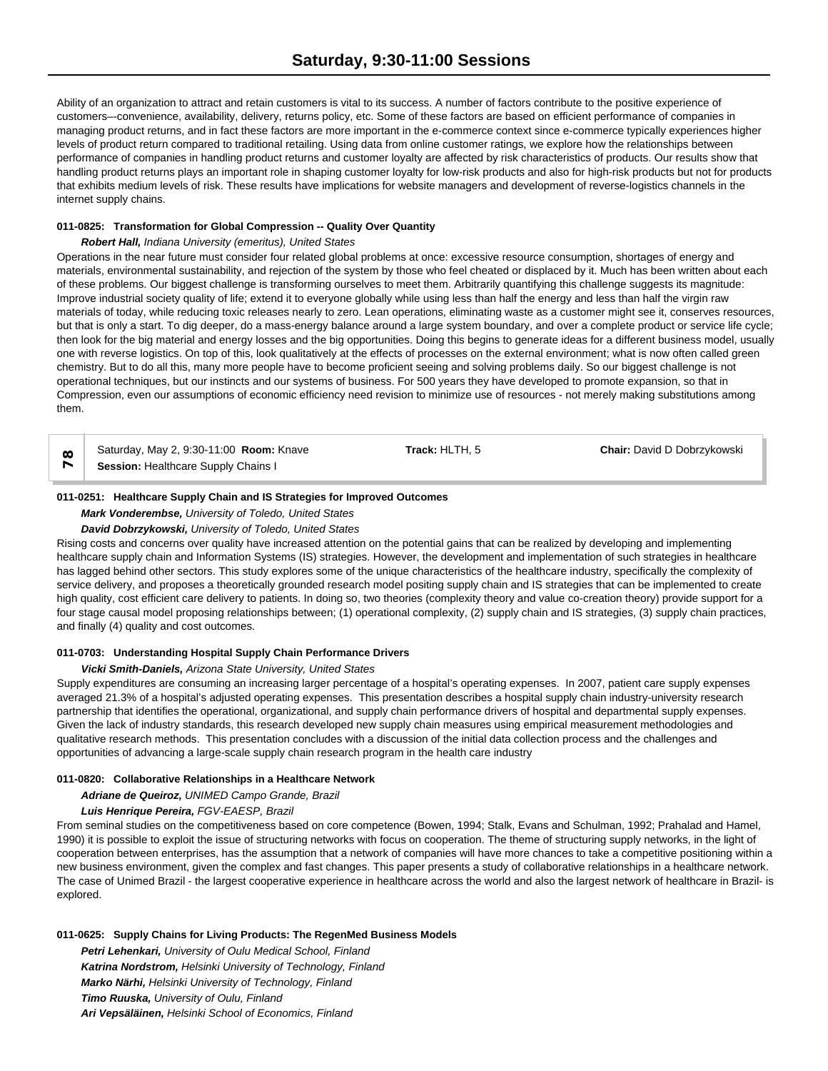Ability of an organization to attract and retain customers is vital to its success. A number of factors contribute to the positive experience of customers–-convenience, availability, delivery, returns policy, etc. Some of these factors are based on efficient performance of companies in managing product returns, and in fact these factors are more important in the e-commerce context since e-commerce typically experiences higher levels of product return compared to traditional retailing. Using data from online customer ratings, we explore how the relationships between performance of companies in handling product returns and customer loyalty are affected by risk characteristics of products. Our results show that handling product returns plays an important role in shaping customer loyalty for low-risk products and also for high-risk products but not for products that exhibits medium levels of risk. These results have implications for website managers and development of reverse-logistics channels in the internet supply chains.

### **011-0825: Transformation for Global Compression -- Quality Over Quantity**

### *Robert Hall, Indiana University (emeritus), United States*

Operations in the near future must consider four related global problems at once: excessive resource consumption, shortages of energy and materials, environmental sustainability, and rejection of the system by those who feel cheated or displaced by it. Much has been written about each of these problems. Our biggest challenge is transforming ourselves to meet them. Arbitrarily quantifying this challenge suggests its magnitude: Improve industrial society quality of life; extend it to everyone globally while using less than half the energy and less than half the virgin raw materials of today, while reducing toxic releases nearly to zero. Lean operations, eliminating waste as a customer might see it, conserves resources, but that is only a start. To dig deeper, do a mass-energy balance around a large system boundary, and over a complete product or service life cycle; then look for the big material and energy losses and the big opportunities. Doing this begins to generate ideas for a different business model, usually one with reverse logistics. On top of this, look qualitatively at the effects of processes on the external environment; what is now often called green chemistry. But to do all this, many more people have to become proficient seeing and solving problems daily. So our biggest challenge is not operational techniques, but our instincts and our systems of business. For 500 years they have developed to promote expansion, so that in Compression, even our assumptions of economic efficiency need revision to minimize use of resources - not merely making substitutions among them.

Saturday, May 2, 9:30-11:00 **Room:** Knave **Track:** HLTH, 5 **Chair:** David D Dobrzykowski  $\infty$  Saturday, May 2, 9:30-11:00 **Room:**<br> **Session:** Healthcare Supply Chains I

### **011-0251: Healthcare Supply Chain and IS Strategies for Improved Outcomes**

*Mark Vonderembse, University of Toledo, United States*

### *David Dobrzykowski, University of Toledo, United States*

Rising costs and concerns over quality have increased attention on the potential gains that can be realized by developing and implementing healthcare supply chain and Information Systems (IS) strategies. However, the development and implementation of such strategies in healthcare has lagged behind other sectors. This study explores some of the unique characteristics of the healthcare industry, specifically the complexity of service delivery, and proposes a theoretically grounded research model positing supply chain and IS strategies that can be implemented to create high quality, cost efficient care delivery to patients. In doing so, two theories (complexity theory and value co-creation theory) provide support for a four stage causal model proposing relationships between; (1) operational complexity, (2) supply chain and IS strategies, (3) supply chain practices, and finally (4) quality and cost outcomes.

### **011-0703: Understanding Hospital Supply Chain Performance Drivers**

### *Vicki Smith-Daniels, Arizona State University, United States*

Supply expenditures are consuming an increasing larger percentage of a hospital's operating expenses. In 2007, patient care supply expenses averaged 21.3% of a hospital's adjusted operating expenses. This presentation describes a hospital supply chain industry-university research partnership that identifies the operational, organizational, and supply chain performance drivers of hospital and departmental supply expenses. Given the lack of industry standards, this research developed new supply chain measures using empirical measurement methodologies and qualitative research methods. This presentation concludes with a discussion of the initial data collection process and the challenges and opportunities of advancing a large-scale supply chain research program in the health care industry

#### **011-0820: Collaborative Relationships in a Healthcare Network**

*Adriane de Queiroz, UNIMED Campo Grande, Brazil*

### *Luis Henrique Pereira, FGV-EAESP, Brazil*

From seminal studies on the competitiveness based on core competence (Bowen, 1994; Stalk, Evans and Schulman, 1992; Prahalad and Hamel, 1990) it is possible to exploit the issue of structuring networks with focus on cooperation. The theme of structuring supply networks, in the light of cooperation between enterprises, has the assumption that a network of companies will have more chances to take a competitive positioning within a new business environment, given the complex and fast changes. This paper presents a study of collaborative relationships in a healthcare network. The case of Unimed Brazil - the largest cooperative experience in healthcare across the world and also the largest network of healthcare in Brazil- is explored.

#### **011-0625: Supply Chains for Living Products: The RegenMed Business Models**

*Petri Lehenkari, University of Oulu Medical School, Finland Katrina Nordstrom, Helsinki University of Technology, Finland Marko Närhi, Helsinki University of Technology, Finland Timo Ruuska, University of Oulu, Finland Ari Vepsäläinen, Helsinki School of Economics, Finland*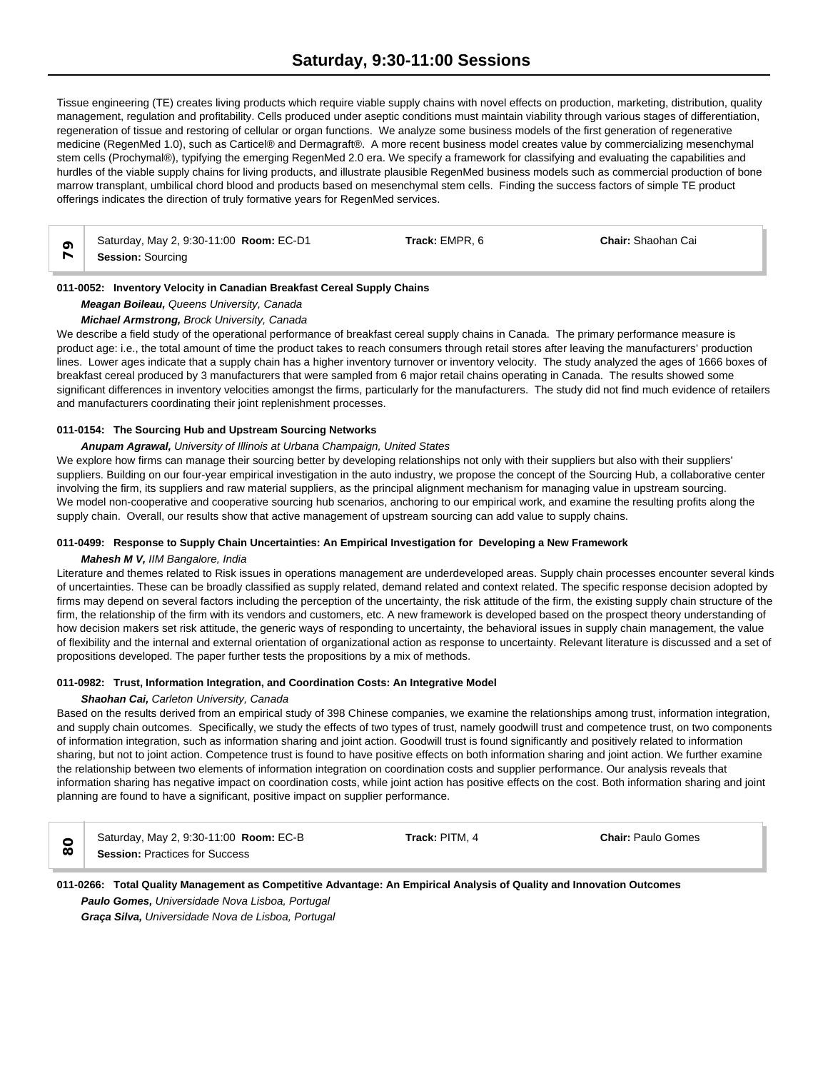Tissue engineering (TE) creates living products which require viable supply chains with novel effects on production, marketing, distribution, quality management, regulation and profitability. Cells produced under aseptic conditions must maintain viability through various stages of differentiation, regeneration of tissue and restoring of cellular or organ functions. We analyze some business models of the first generation of regenerative medicine (RegenMed 1.0), such as Carticel® and Dermagraft®. A more recent business model creates value by commercializing mesenchymal stem cells (Prochymal®), typifying the emerging RegenMed 2.0 era. We specify a framework for classifying and evaluating the capabilities and hurdles of the viable supply chains for living products, and illustrate plausible RegenMed business models such as commercial production of bone marrow transplant, umbilical chord blood and products based on mesenchymal stem cells. Finding the success factors of simple TE product offerings indicates the direction of truly formative years for RegenMed services.

| Saturday, May 2, 9:30-11:00 Room: EC-D1 | Track: EMPR. 6 | <b>Chair: Shaohan Cai</b> |
|-----------------------------------------|----------------|---------------------------|
| <b>Session: Sourcing</b>                |                |                           |

# **011-0052: Inventory Velocity in Canadian Breakfast Cereal Supply Chains**

*Meagan Boileau, Queens University, Canada*

### *Michael Armstrong, Brock University, Canada*

We describe a field study of the operational performance of breakfast cereal supply chains in Canada. The primary performance measure is product age: i.e., the total amount of time the product takes to reach consumers through retail stores after leaving the manufacturers' production lines. Lower ages indicate that a supply chain has a higher inventory turnover or inventory velocity. The study analyzed the ages of 1666 boxes of breakfast cereal produced by 3 manufacturers that were sampled from 6 major retail chains operating in Canada. The results showed some significant differences in inventory velocities amongst the firms, particularly for the manufacturers. The study did not find much evidence of retailers and manufacturers coordinating their joint replenishment processes.

### **011-0154: The Sourcing Hub and Upstream Sourcing Networks**

### *Anupam Agrawal, University of Illinois at Urbana Champaign, United States*

We explore how firms can manage their sourcing better by developing relationships not only with their suppliers but also with their suppliers' suppliers. Building on our four-year empirical investigation in the auto industry, we propose the concept of the Sourcing Hub, a collaborative center involving the firm, its suppliers and raw material suppliers, as the principal alignment mechanism for managing value in upstream sourcing. We model non-cooperative and cooperative sourcing hub scenarios, anchoring to our empirical work, and examine the resulting profits along the supply chain. Overall, our results show that active management of upstream sourcing can add value to supply chains.

# **011-0499: Response to Supply Chain Uncertainties: An Empirical Investigation for Developing a New Framework**

### *Mahesh M V, IIM Bangalore, India*

Literature and themes related to Risk issues in operations management are underdeveloped areas. Supply chain processes encounter several kinds of uncertainties. These can be broadly classified as supply related, demand related and context related. The specific response decision adopted by firms may depend on several factors including the perception of the uncertainty, the risk attitude of the firm, the existing supply chain structure of the firm, the relationship of the firm with its vendors and customers, etc. A new framework is developed based on the prospect theory understanding of how decision makers set risk attitude, the generic ways of responding to uncertainty, the behavioral issues in supply chain management, the value of flexibility and the internal and external orientation of organizational action as response to uncertainty. Relevant literature is discussed and a set of propositions developed. The paper further tests the propositions by a mix of methods.

### **011-0982: Trust, Information Integration, and Coordination Costs: An Integrative Model**

#### *Shaohan Cai, Carleton University, Canada*

Based on the results derived from an empirical study of 398 Chinese companies, we examine the relationships among trust, information integration, and supply chain outcomes. Specifically, we study the effects of two types of trust, namely goodwill trust and competence trust, on two components of information integration, such as information sharing and joint action. Goodwill trust is found significantly and positively related to information sharing, but not to joint action. Competence trust is found to have positive effects on both information sharing and joint action. We further examine the relationship between two elements of information integration on coordination costs and supplier performance. Our analysis reveals that information sharing has negative impact on coordination costs, while joint action has positive effects on the cost. Both information sharing and joint planning are found to have a significant, positive impact on supplier performance.

|          | Saturday, May 2, 9:30-11:00 Room: EC-B | Track: PITM, 4 | <b>Chair: Paulo Gomes</b> |  |
|----------|----------------------------------------|----------------|---------------------------|--|
| $\infty$ | <b>Session: Practices for Success</b>  |                |                           |  |

# **011-0266: Total Quality Management as Competitive Advantage: An Empirical Analysis of Quality and Innovation Outcomes** *Paulo Gomes, Universidade Nova Lisboa, Portugal*

*Graça Silva, Universidade Nova de Lisboa, Portugal*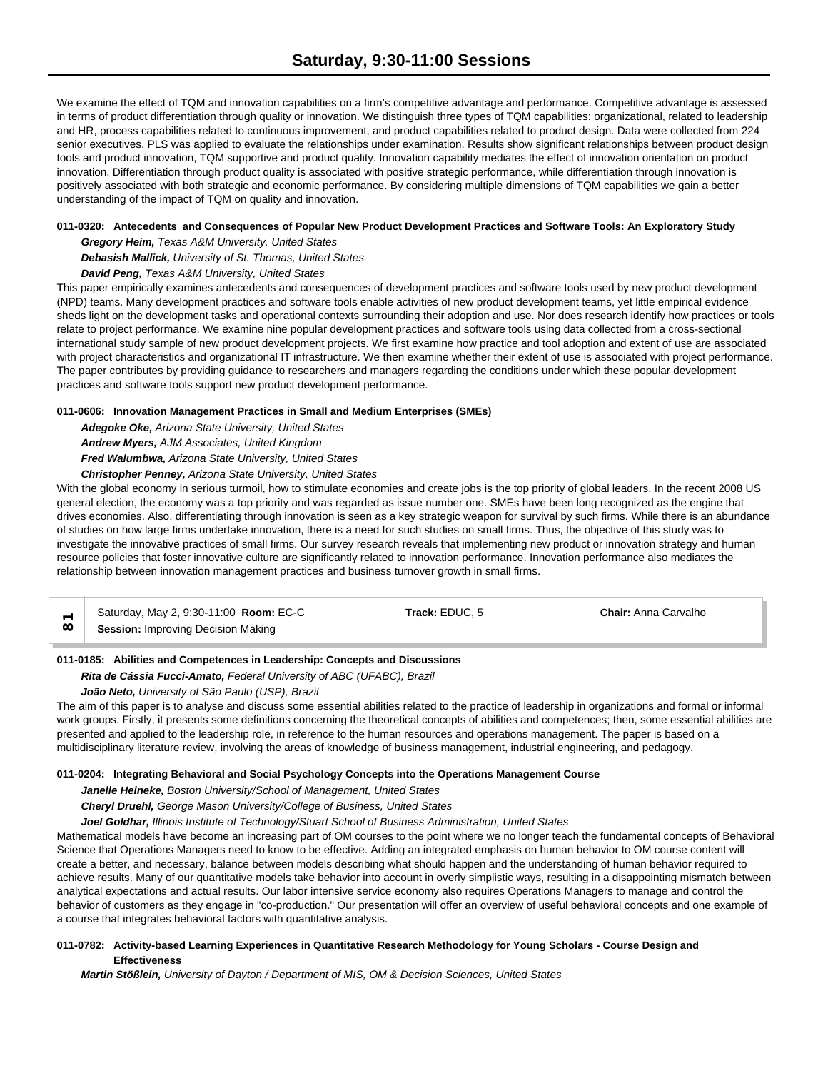We examine the effect of TQM and innovation capabilities on a firm's competitive advantage and performance. Competitive advantage is assessed in terms of product differentiation through quality or innovation. We distinguish three types of TQM capabilities: organizational, related to leadership and HR, process capabilities related to continuous improvement, and product capabilities related to product design. Data were collected from 224 senior executives. PLS was applied to evaluate the relationships under examination. Results show significant relationships between product design tools and product innovation, TQM supportive and product quality. Innovation capability mediates the effect of innovation orientation on product innovation. Differentiation through product quality is associated with positive strategic performance, while differentiation through innovation is positively associated with both strategic and economic performance. By considering multiple dimensions of TQM capabilities we gain a better understanding of the impact of TQM on quality and innovation.

# **011-0320: Antecedents and Consequences of Popular New Product Development Practices and Software Tools: An Exploratory Study**

*Gregory Heim, Texas A&M University, United States Debasish Mallick, University of St. Thomas, United States David Peng, Texas A&M University, United States*

This paper empirically examines antecedents and consequences of development practices and software tools used by new product development (NPD) teams. Many development practices and software tools enable activities of new product development teams, yet little empirical evidence sheds light on the development tasks and operational contexts surrounding their adoption and use. Nor does research identify how practices or tools relate to project performance. We examine nine popular development practices and software tools using data collected from a cross-sectional international study sample of new product development projects. We first examine how practice and tool adoption and extent of use are associated with project characteristics and organizational IT infrastructure. We then examine whether their extent of use is associated with project performance. The paper contributes by providing guidance to researchers and managers regarding the conditions under which these popular development practices and software tools support new product development performance.

# **011-0606: Innovation Management Practices in Small and Medium Enterprises (SMEs)**

*Adegoke Oke, Arizona State University, United States*

*Andrew Myers, AJM Associates, United Kingdom*

*Fred Walumbwa, Arizona State University, United States*

*Christopher Penney, Arizona State University, United States*

With the global economy in serious turmoil, how to stimulate economies and create jobs is the top priority of global leaders. In the recent 2008 US general election, the economy was a top priority and was regarded as issue number one. SMEs have been long recognized as the engine that drives economies. Also, differentiating through innovation is seen as a key strategic weapon for survival by such firms. While there is an abundance of studies on how large firms undertake innovation, there is a need for such studies on small firms. Thus, the objective of this study was to investigate the innovative practices of small firms. Our survey research reveals that implementing new product or innovation strategy and human resource policies that foster innovative culture are significantly related to innovation performance. Innovation performance also mediates the relationship between innovation management practices and business turnover growth in small firms.

Saturday, May 2, 9:30-11:00 **Room:** EC-C **Track:** EDUC, 5 **Chair:** Anna Carvalho **Session:** Improving Decision Making

# **011-0185: Abilities and Competences in Leadership: Concepts and Discussions**

*Rita de Cássia Fucci-Amato, Federal University of ABC (UFABC), Brazil*

*João Neto, University of São Paulo (USP), Brazil*

The aim of this paper is to analyse and discuss some essential abilities related to the practice of leadership in organizations and formal or informal work groups. Firstly, it presents some definitions concerning the theoretical concepts of abilities and competences; then, some essential abilities are presented and applied to the leadership role, in reference to the human resources and operations management. The paper is based on a multidisciplinary literature review, involving the areas of knowledge of business management, industrial engineering, and pedagogy.

# **011-0204: Integrating Behavioral and Social Psychology Concepts into the Operations Management Course**

*Janelle Heineke, Boston University/School of Management, United States*

*Cheryl Druehl, George Mason University/College of Business, United States*

*Joel Goldhar, Illinois Institute of Technology/Stuart School of Business Administration, United States*

Mathematical models have become an increasing part of OM courses to the point where we no longer teach the fundamental concepts of Behavioral Science that Operations Managers need to know to be effective. Adding an integrated emphasis on human behavior to OM course content will create a better, and necessary, balance between models describing what should happen and the understanding of human behavior required to achieve results. Many of our quantitative models take behavior into account in overly simplistic ways, resulting in a disappointing mismatch between analytical expectations and actual results. Our labor intensive service economy also requires Operations Managers to manage and control the behavior of customers as they engage in "co-production." Our presentation will offer an overview of useful behavioral concepts and one example of a course that integrates behavioral factors with quantitative analysis.

# **011-0782: Activity-based Learning Experiences in Quantitative Research Methodology for Young Scholars - Course Design and Effectiveness**

*Martin Stößlein, University of Dayton / Department of MIS, OM & Decision Sciences, United States*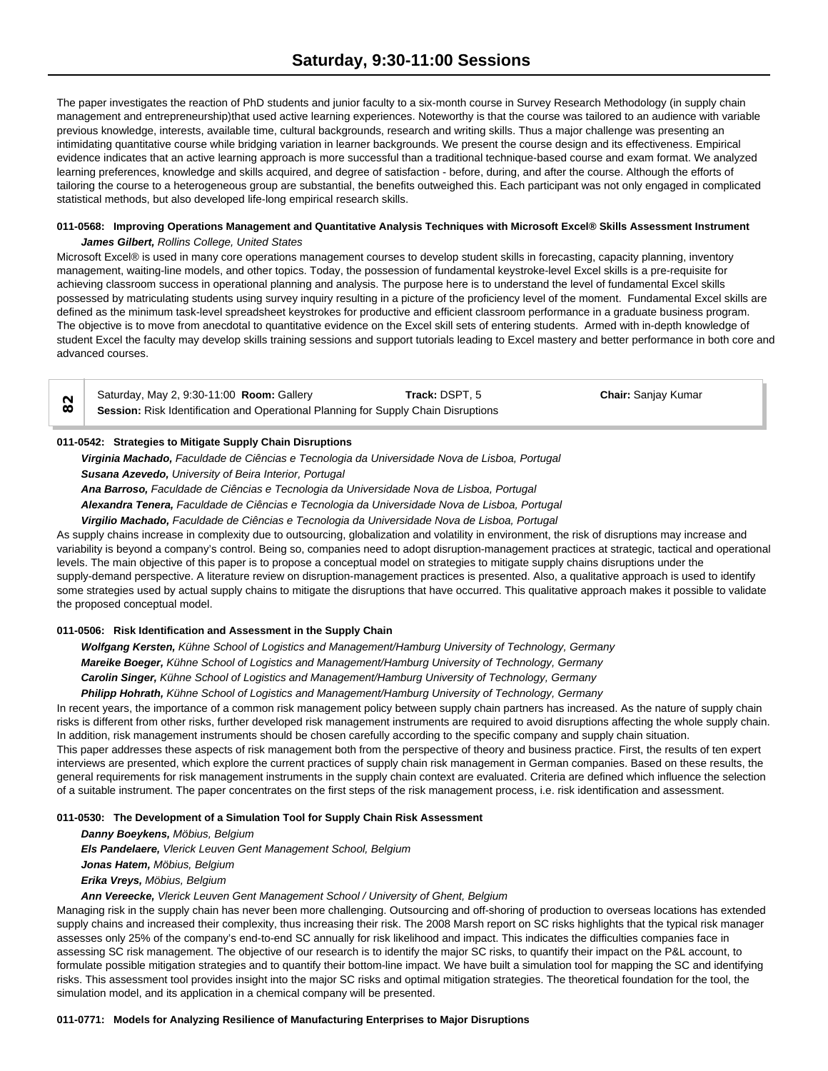The paper investigates the reaction of PhD students and junior faculty to a six-month course in Survey Research Methodology (in supply chain management and entrepreneurship)that used active learning experiences. Noteworthy is that the course was tailored to an audience with variable previous knowledge, interests, available time, cultural backgrounds, research and writing skills. Thus a major challenge was presenting an intimidating quantitative course while bridging variation in learner backgrounds. We present the course design and its effectiveness. Empirical evidence indicates that an active learning approach is more successful than a traditional technique-based course and exam format. We analyzed learning preferences, knowledge and skills acquired, and degree of satisfaction - before, during, and after the course. Although the efforts of tailoring the course to a heterogeneous group are substantial, the benefits outweighed this. Each participant was not only engaged in complicated statistical methods, but also developed life-long empirical research skills.

# **011-0568: Improving Operations Management and Quantitative Analysis Techniques with Microsoft Excel® Skills Assessment Instrument** *James Gilbert, Rollins College, United States*

Microsoft Excel® is used in many core operations management courses to develop student skills in forecasting, capacity planning, inventory management, waiting-line models, and other topics. Today, the possession of fundamental keystroke-level Excel skills is a pre-requisite for achieving classroom success in operational planning and analysis. The purpose here is to understand the level of fundamental Excel skills possessed by matriculating students using survey inquiry resulting in a picture of the proficiency level of the moment. Fundamental Excel skills are defined as the minimum task-level spreadsheet keystrokes for productive and efficient classroom performance in a graduate business program. The objective is to move from anecdotal to quantitative evidence on the Excel skill sets of entering students. Armed with in-depth knowledge of student Excel the faculty may develop skills training sessions and support tutorials leading to Excel mastery and better performance in both core and advanced courses.

Saturday, May 2, 9:30-11:00 **Room:** Gallery **Track:** DSPT, 5 **Chair:** Sanjay Kumar **Saturday, May 2, 9:30-11:00 Room:** Gallery<br> **Session:** Risk Identification and Operational Planning for Supply Chain Disruptions

### **011-0542: Strategies to Mitigate Supply Chain Disruptions**

*Virginia Machado, Faculdade de Ciências e Tecnologia da Universidade Nova de Lisboa, Portugal Susana Azevedo, University of Beira Interior, Portugal*

*Ana Barroso, Faculdade de Ciências e Tecnologia da Universidade Nova de Lisboa, Portugal*

*Alexandra Tenera, Faculdade de Ciências e Tecnologia da Universidade Nova de Lisboa, Portugal*

*Virgilio Machado, Faculdade de Ciências e Tecnologia da Universidade Nova de Lisboa, Portugal*

As supply chains increase in complexity due to outsourcing, globalization and volatility in environment, the risk of disruptions may increase and variability is beyond a company's control. Being so, companies need to adopt disruption-management practices at strategic, tactical and operational levels. The main objective of this paper is to propose a conceptual model on strategies to mitigate supply chains disruptions under the supply-demand perspective. A literature review on disruption-management practices is presented. Also, a qualitative approach is used to identify some strategies used by actual supply chains to mitigate the disruptions that have occurred. This qualitative approach makes it possible to validate the proposed conceptual model.

### **011-0506: Risk Identification and Assessment in the Supply Chain**

*Wolfgang Kersten, Kühne School of Logistics and Management/Hamburg University of Technology, Germany Mareike Boeger, Kühne School of Logistics and Management/Hamburg University of Technology, Germany Carolin Singer, Kühne School of Logistics and Management/Hamburg University of Technology, Germany*

*Philipp Hohrath, Kühne School of Logistics and Management/Hamburg University of Technology, Germany* In recent years, the importance of a common risk management policy between supply chain partners has increased. As the nature of supply chain risks is different from other risks, further developed risk management instruments are required to avoid disruptions affecting the whole supply chain. In addition, risk management instruments should be chosen carefully according to the specific company and supply chain situation. This paper addresses these aspects of risk management both from the perspective of theory and business practice. First, the results of ten expert interviews are presented, which explore the current practices of supply chain risk management in German companies. Based on these results, the general requirements for risk management instruments in the supply chain context are evaluated. Criteria are defined which influence the selection of a suitable instrument. The paper concentrates on the first steps of the risk management process, i.e. risk identification and assessment.

#### **011-0530: The Development of a Simulation Tool for Supply Chain Risk Assessment**

*Danny Boeykens, Möbius, Belgium*

*Els Pandelaere, Vlerick Leuven Gent Management School, Belgium Jonas Hatem, Möbius, Belgium*

*Erika Vreys, Möbius, Belgium*

*Ann Vereecke, Vlerick Leuven Gent Management School / University of Ghent, Belgium*

Managing risk in the supply chain has never been more challenging. Outsourcing and off-shoring of production to overseas locations has extended supply chains and increased their complexity, thus increasing their risk. The 2008 Marsh report on SC risks highlights that the typical risk manager assesses only 25% of the company's end-to-end SC annually for risk likelihood and impact. This indicates the difficulties companies face in assessing SC risk management. The objective of our research is to identify the major SC risks, to quantify their impact on the P&L account, to formulate possible mitigation strategies and to quantify their bottom-line impact. We have built a simulation tool for mapping the SC and identifying risks. This assessment tool provides insight into the major SC risks and optimal mitigation strategies. The theoretical foundation for the tool, the simulation model, and its application in a chemical company will be presented.

### **011-0771: Models for Analyzing Resilience of Manufacturing Enterprises to Major Disruptions**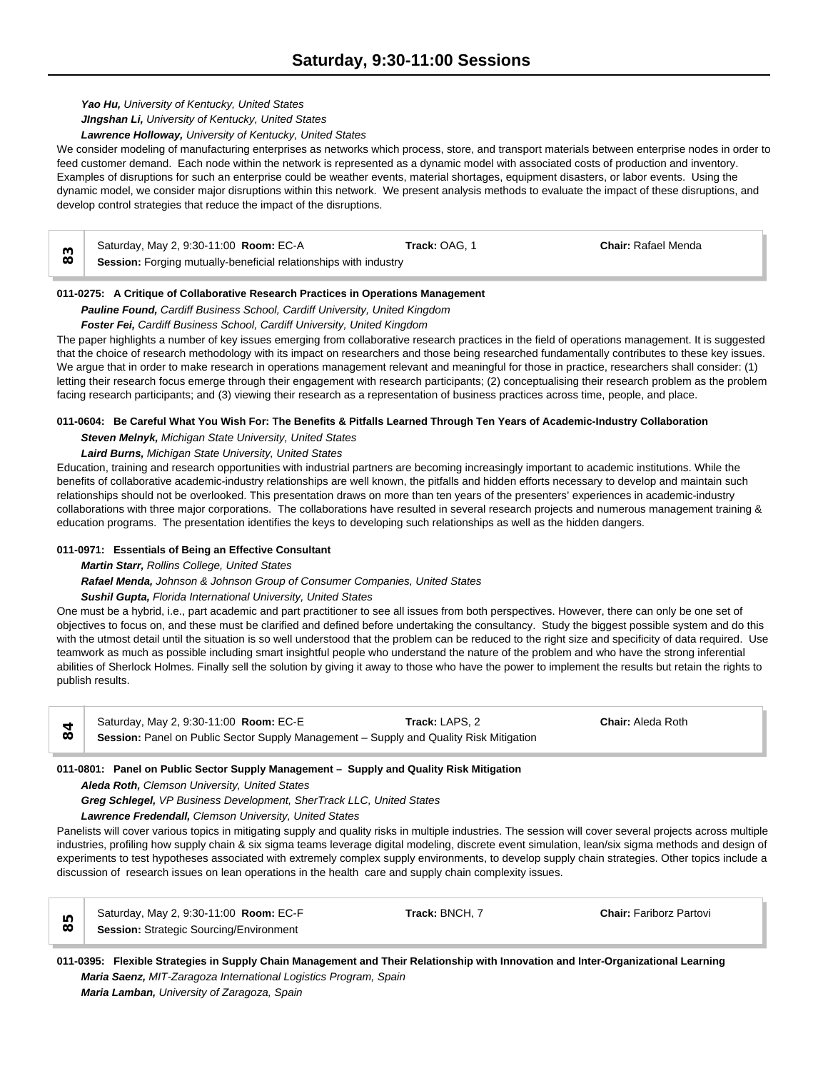# *Yao Hu, University of Kentucky, United States*

*JIngshan Li, University of Kentucky, United States*

*Lawrence Holloway, University of Kentucky, United States*

We consider modeling of manufacturing enterprises as networks which process, store, and transport materials between enterprise nodes in order to feed customer demand. Each node within the network is represented as a dynamic model with associated costs of production and inventory. Examples of disruptions for such an enterprise could be weather events, material shortages, equipment disasters, or labor events. Using the dynamic model, we consider major disruptions within this network. We present analysis methods to evaluate the impact of these disruptions, and develop control strategies that reduce the impact of the disruptions.

|   | Saturday, May 2, 9:30-11:00 <b>Room: EC-A</b>                    | <b>Track:</b> OAG. 1 | <b>Chair: Rafael Menda</b> |  |
|---|------------------------------------------------------------------|----------------------|----------------------------|--|
| ∞ | Session: Forging mutually-beneficial relationships with industry |                      |                            |  |

# **011-0275: A Critique of Collaborative Research Practices in Operations Management**

*Pauline Found, Cardiff Business School, Cardiff University, United Kingdom*

# *Foster Fei, Cardiff Business School, Cardiff University, United Kingdom*

The paper highlights a number of key issues emerging from collaborative research practices in the field of operations management. It is suggested that the choice of research methodology with its impact on researchers and those being researched fundamentally contributes to these key issues. We argue that in order to make research in operations management relevant and meaningful for those in practice, researchers shall consider: (1) letting their research focus emerge through their engagement with research participants; (2) conceptualising their research problem as the problem facing research participants; and (3) viewing their research as a representation of business practices across time, people, and place.

# **011-0604: Be Careful What You Wish For: The Benefits & Pitfalls Learned Through Ten Years of Academic-Industry Collaboration**

*Steven Melnyk, Michigan State University, United States*

# *Laird Burns, Michigan State University, United States*

Education, training and research opportunities with industrial partners are becoming increasingly important to academic institutions. While the benefits of collaborative academic-industry relationships are well known, the pitfalls and hidden efforts necessary to develop and maintain such relationships should not be overlooked. This presentation draws on more than ten years of the presenters' experiences in academic-industry collaborations with three major corporations. The collaborations have resulted in several research projects and numerous management training & education programs. The presentation identifies the keys to developing such relationships as well as the hidden dangers.

# **011-0971: Essentials of Being an Effective Consultant**

*Martin Starr, Rollins College, United States*

*Rafael Menda, Johnson & Johnson Group of Consumer Companies, United States*

# *Sushil Gupta, Florida International University, United States*

One must be a hybrid, i.e., part academic and part practitioner to see all issues from both perspectives. However, there can only be one set of objectives to focus on, and these must be clarified and defined before undertaking the consultancy. Study the biggest possible system and do this with the utmost detail until the situation is so well understood that the problem can be reduced to the right size and specificity of data required. Use teamwork as much as possible including smart insightful people who understand the nature of the problem and who have the strong inferential abilities of Sherlock Holmes. Finally sell the solution by giving it away to those who have the power to implement the results but retain the rights to publish results.

|     | Saturday, May 2, 9:30-11:00 Room: EC-E                                                 | Track: LAPS. 2 | <b>Chair: Aleda Roth</b> |  |
|-----|----------------------------------------------------------------------------------------|----------------|--------------------------|--|
| ω ι | Session: Panel on Public Sector Supply Management - Supply and Quality Risk Mitigation |                |                          |  |

# **011-0801: Panel on Public Sector Supply Management – Supply and Quality Risk Mitigation**

*Aleda Roth, Clemson University, United States*

*Greg Schlegel, VP Business Development, SherTrack LLC, United States*

*Lawrence Fredendall, Clemson University, United States*

Panelists will cover various topics in mitigating supply and quality risks in multiple industries. The session will cover several projects across multiple industries, profiling how supply chain & six sigma teams leverage digital modeling, discrete event simulation, lean/six sigma methods and design of experiments to test hypotheses associated with extremely complex supply environments, to develop supply chain strategies. Other topics include a discussion of research issues on lean operations in the health care and supply chain complexity issues.

| Saturday, May 2, 9:30-11:00 Room: EC-F  | Track: BNCH. 7 | <b>Chair: Fariborz Partovi</b> |
|-----------------------------------------|----------------|--------------------------------|
| Session: Strategic Sourcing/Environment |                |                                |

# **011-0395: Flexible Strategies in Supply Chain Management and Their Relationship with Innovation and Inter-Organizational Learning** *Maria Saenz, MIT-Zaragoza International Logistics Program, Spain Maria Lamban, University of Zaragoza, Spain*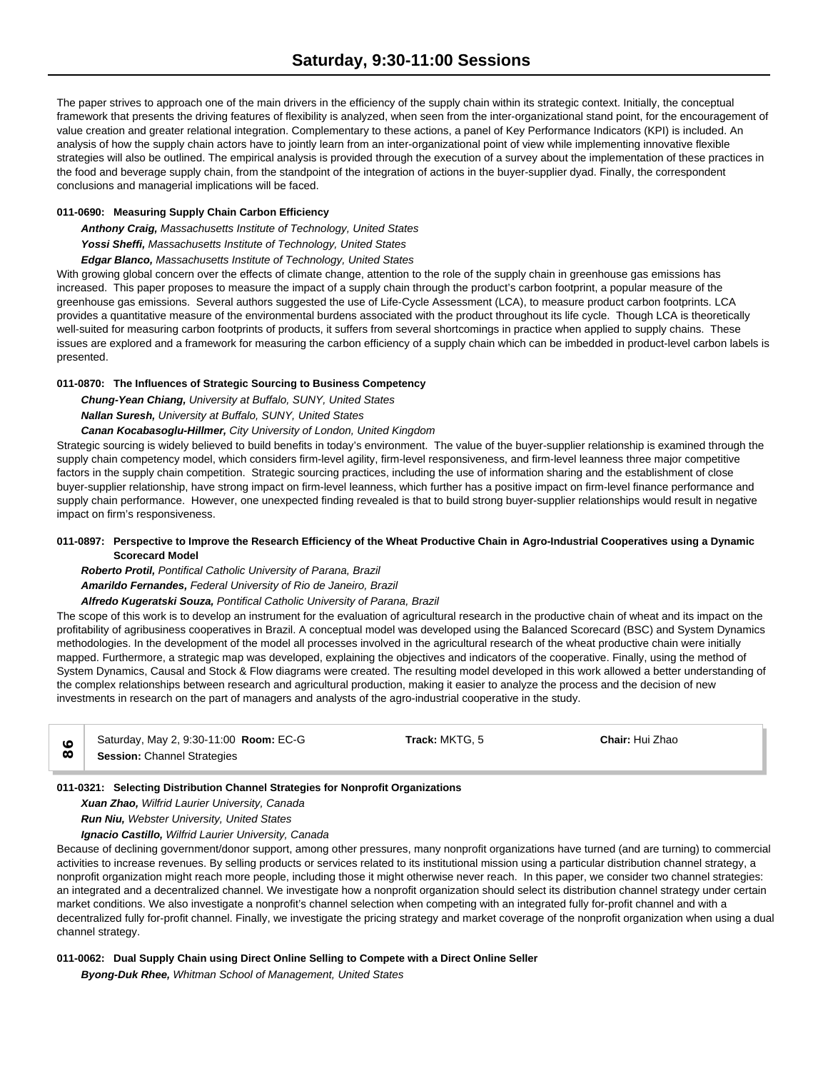The paper strives to approach one of the main drivers in the efficiency of the supply chain within its strategic context. Initially, the conceptual framework that presents the driving features of flexibility is analyzed, when seen from the inter-organizational stand point, for the encouragement of value creation and greater relational integration. Complementary to these actions, a panel of Key Performance Indicators (KPI) is included. An analysis of how the supply chain actors have to jointly learn from an inter-organizational point of view while implementing innovative flexible strategies will also be outlined. The empirical analysis is provided through the execution of a survey about the implementation of these practices in the food and beverage supply chain, from the standpoint of the integration of actions in the buyer-supplier dyad. Finally, the correspondent conclusions and managerial implications will be faced.

# **011-0690: Measuring Supply Chain Carbon Efficiency**

*Anthony Craig, Massachusetts Institute of Technology, United States*

*Yossi Sheffi, Massachusetts Institute of Technology, United States*

*Edgar Blanco, Massachusetts Institute of Technology, United States*

With growing global concern over the effects of climate change, attention to the role of the supply chain in greenhouse gas emissions has increased. This paper proposes to measure the impact of a supply chain through the product's carbon footprint, a popular measure of the greenhouse gas emissions. Several authors suggested the use of Life-Cycle Assessment (LCA), to measure product carbon footprints. LCA provides a quantitative measure of the environmental burdens associated with the product throughout its life cycle. Though LCA is theoretically well-suited for measuring carbon footprints of products, it suffers from several shortcomings in practice when applied to supply chains. These issues are explored and a framework for measuring the carbon efficiency of a supply chain which can be imbedded in product-level carbon labels is presented.

# **011-0870: The Influences of Strategic Sourcing to Business Competency**

*Chung-Yean Chiang, University at Buffalo, SUNY, United States*

*Nallan Suresh, University at Buffalo, SUNY, United States*

# *Canan Kocabasoglu-Hillmer, City University of London, United Kingdom*

Strategic sourcing is widely believed to build benefits in today's environment. The value of the buyer-supplier relationship is examined through the supply chain competency model, which considers firm-level agility, firm-level responsiveness, and firm-level leanness three major competitive factors in the supply chain competition. Strategic sourcing practices, including the use of information sharing and the establishment of close buyer-supplier relationship, have strong impact on firm-level leanness, which further has a positive impact on firm-level finance performance and supply chain performance. However, one unexpected finding revealed is that to build strong buyer-supplier relationships would result in negative impact on firm's responsiveness.

# **011-0897: Perspective to Improve the Research Efficiency of the Wheat Productive Chain in Agro-Industrial Cooperatives using a Dynamic Scorecard Model**

*Roberto Protil, Pontifical Catholic University of Parana, Brazil*

*Amarildo Fernandes, Federal University of Rio de Janeiro, Brazil*

*Alfredo Kugeratski Souza, Pontifical Catholic University of Parana, Brazil*

The scope of this work is to develop an instrument for the evaluation of agricultural research in the productive chain of wheat and its impact on the profitability of agribusiness cooperatives in Brazil. A conceptual model was developed using the Balanced Scorecard (BSC) and System Dynamics methodologies. In the development of the model all processes involved in the agricultural research of the wheat productive chain were initially mapped. Furthermore, a strategic map was developed, explaining the objectives and indicators of the cooperative. Finally, using the method of System Dynamics, Causal and Stock & Flow diagrams were created. The resulting model developed in this work allowed a better understanding of the complex relationships between research and agricultural production, making it easier to analyze the process and the decision of new investments in research on the part of managers and analysts of the agro-industrial cooperative in the study.

| Saturday, May 2, 9:30-11:00 Room: EC-G | <b>Track:</b> MKTG. 5 | Chair: Hui Zhao |  |
|----------------------------------------|-----------------------|-----------------|--|
| <b>Session: Channel Strategies</b>     |                       |                 |  |

# **011-0321: Selecting Distribution Channel Strategies for Nonprofit Organizations**

*Xuan Zhao, Wilfrid Laurier University, Canada*

*Run Niu, Webster University, United States*

*Ignacio Castillo, Wilfrid Laurier University, Canada*

Because of declining government/donor support, among other pressures, many nonprofit organizations have turned (and are turning) to commercial activities to increase revenues. By selling products or services related to its institutional mission using a particular distribution channel strategy, a nonprofit organization might reach more people, including those it might otherwise never reach. In this paper, we consider two channel strategies: an integrated and a decentralized channel. We investigate how a nonprofit organization should select its distribution channel strategy under certain market conditions. We also investigate a nonprofit's channel selection when competing with an integrated fully for-profit channel and with a decentralized fully for-profit channel. Finally, we investigate the pricing strategy and market coverage of the nonprofit organization when using a dual channel strategy.

# **011-0062: Dual Supply Chain using Direct Online Selling to Compete with a Direct Online Seller**

*Byong-Duk Rhee, Whitman School of Management, United States*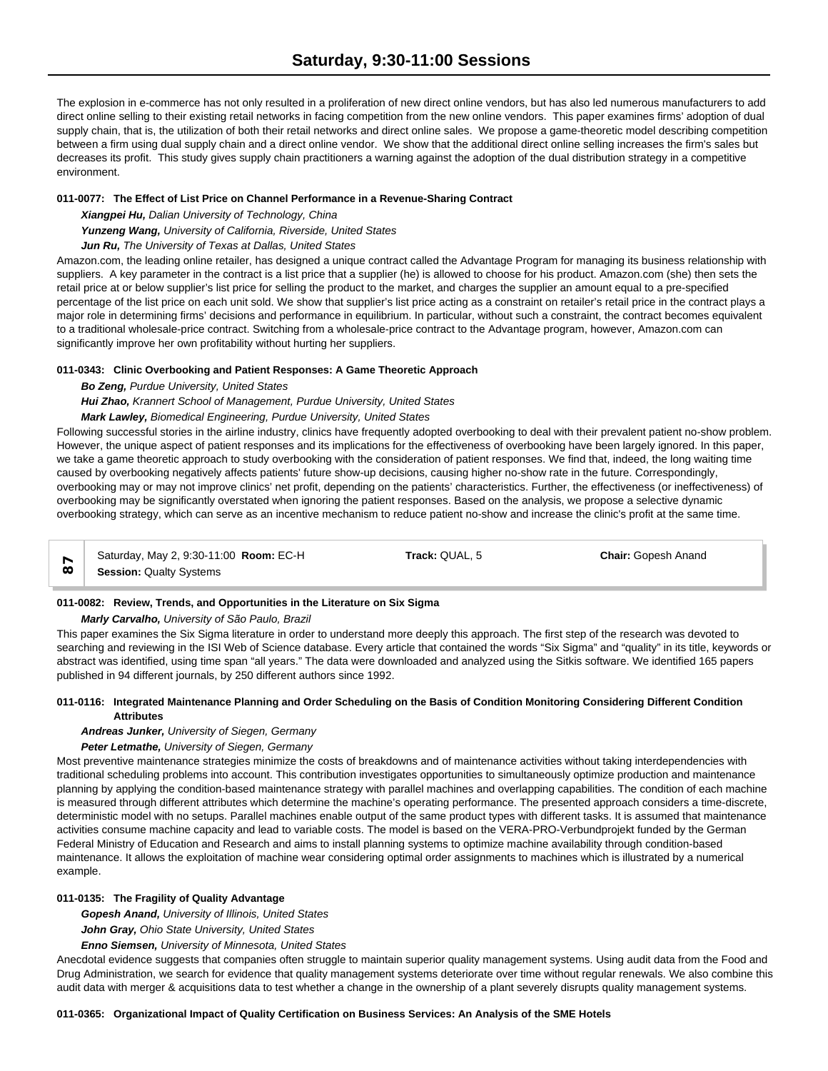The explosion in e-commerce has not only resulted in a proliferation of new direct online vendors, but has also led numerous manufacturers to add direct online selling to their existing retail networks in facing competition from the new online vendors. This paper examines firms' adoption of dual supply chain, that is, the utilization of both their retail networks and direct online sales. We propose a game-theoretic model describing competition between a firm using dual supply chain and a direct online vendor. We show that the additional direct online selling increases the firm's sales but decreases its profit. This study gives supply chain practitioners a warning against the adoption of the dual distribution strategy in a competitive environment.

# **011-0077: The Effect of List Price on Channel Performance in a Revenue-Sharing Contract**

*Xiangpei Hu, Dalian University of Technology, China*

*Yunzeng Wang, University of California, Riverside, United States*

*Jun Ru, The University of Texas at Dallas, United States*

Amazon.com, the leading online retailer, has designed a unique contract called the Advantage Program for managing its business relationship with suppliers. A key parameter in the contract is a list price that a supplier (he) is allowed to choose for his product. Amazon.com (she) then sets the retail price at or below supplier's list price for selling the product to the market, and charges the supplier an amount equal to a pre-specified percentage of the list price on each unit sold. We show that supplier's list price acting as a constraint on retailer's retail price in the contract plays a major role in determining firms' decisions and performance in equilibrium. In particular, without such a constraint, the contract becomes equivalent to a traditional wholesale-price contract. Switching from a wholesale-price contract to the Advantage program, however, Amazon.com can significantly improve her own profitability without hurting her suppliers.

# **011-0343: Clinic Overbooking and Patient Responses: A Game Theoretic Approach**

*Bo Zeng, Purdue University, United States*

*Hui Zhao, Krannert School of Management, Purdue University, United States*

*Mark Lawley, Biomedical Engineering, Purdue University, United States*

Following successful stories in the airline industry, clinics have frequently adopted overbooking to deal with their prevalent patient no-show problem. However, the unique aspect of patient responses and its implications for the effectiveness of overbooking have been largely ignored. In this paper, we take a game theoretic approach to study overbooking with the consideration of patient responses. We find that, indeed, the long waiting time caused by overbooking negatively affects patients' future show-up decisions, causing higher no-show rate in the future. Correspondingly, overbooking may or may not improve clinics' net profit, depending on the patients' characteristics. Further, the effectiveness (or ineffectiveness) of overbooking may be significantly overstated when ignoring the patient responses. Based on the analysis, we propose a selective dynamic overbooking strategy, which can serve as an incentive mechanism to reduce patient no-show and increase the clinic's profit at the same time.

Saturday, May 2, 9:30-11:00 **Room:** EC-H **Track:** QUAL, 5 **Chair:** Gopesh Anand

**Session:** Qualty Systems **87**

# **011-0082: Review, Trends, and Opportunities in the Literature on Six Sigma**

*Marly Carvalho, University of São Paulo, Brazil*

This paper examines the Six Sigma literature in order to understand more deeply this approach. The first step of the research was devoted to searching and reviewing in the ISI Web of Science database. Every article that contained the words "Six Sigma" and "quality" in its title, keywords or abstract was identified, using time span "all years." The data were downloaded and analyzed using the Sitkis software. We identified 165 papers published in 94 different journals, by 250 different authors since 1992.

# **011-0116: Integrated Maintenance Planning and Order Scheduling on the Basis of Condition Monitoring Considering Different Condition Attributes**

# *Andreas Junker, University of Siegen, Germany*

# *Peter Letmathe, University of Siegen, Germany*

Most preventive maintenance strategies minimize the costs of breakdowns and of maintenance activities without taking interdependencies with traditional scheduling problems into account. This contribution investigates opportunities to simultaneously optimize production and maintenance planning by applying the condition-based maintenance strategy with parallel machines and overlapping capabilities. The condition of each machine is measured through different attributes which determine the machine's operating performance. The presented approach considers a time-discrete, deterministic model with no setups. Parallel machines enable output of the same product types with different tasks. It is assumed that maintenance activities consume machine capacity and lead to variable costs. The model is based on the VERA-PRO-Verbundprojekt funded by the German Federal Ministry of Education and Research and aims to install planning systems to optimize machine availability through condition-based maintenance. It allows the exploitation of machine wear considering optimal order assignments to machines which is illustrated by a numerical example.

# **011-0135: The Fragility of Quality Advantage**

*Gopesh Anand, University of Illinois, United States*

*John Gray, Ohio State University, United States*

*Enno Siemsen, University of Minnesota, United States*

Anecdotal evidence suggests that companies often struggle to maintain superior quality management systems. Using audit data from the Food and Drug Administration, we search for evidence that quality management systems deteriorate over time without regular renewals. We also combine this audit data with merger & acquisitions data to test whether a change in the ownership of a plant severely disrupts quality management systems.

**011-0365: Organizational Impact of Quality Certification on Business Services: An Analysis of the SME Hotels**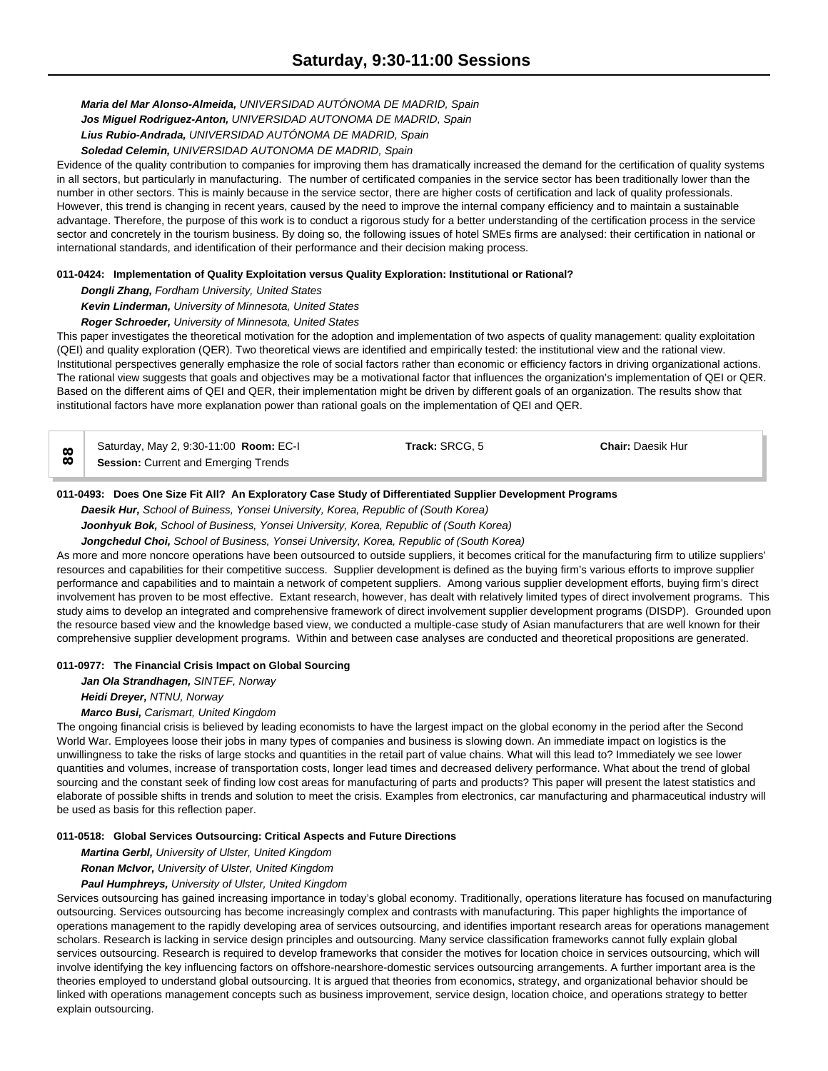*Maria del Mar Alonso-Almeida, UNIVERSIDAD AUTÓNOMA DE MADRID, Spain Jos Miguel Rodriguez-Anton, UNIVERSIDAD AUTONOMA DE MADRID, Spain Lius Rubio-Andrada, UNIVERSIDAD AUTÓNOMA DE MADRID, Spain Soledad Celemin, UNIVERSIDAD AUTONOMA DE MADRID, Spain*

Evidence of the quality contribution to companies for improving them has dramatically increased the demand for the certification of quality systems in all sectors, but particularly in manufacturing. The number of certificated companies in the service sector has been traditionally lower than the number in other sectors. This is mainly because in the service sector, there are higher costs of certification and lack of quality professionals. However, this trend is changing in recent years, caused by the need to improve the internal company efficiency and to maintain a sustainable advantage. Therefore, the purpose of this work is to conduct a rigorous study for a better understanding of the certification process in the service sector and concretely in the tourism business. By doing so, the following issues of hotel SMEs firms are analysed: their certification in national or international standards, and identification of their performance and their decision making process.

### **011-0424: Implementation of Quality Exploitation versus Quality Exploration: Institutional or Rational?**

### *Dongli Zhang, Fordham University, United States*

*Kevin Linderman, University of Minnesota, United States*

*Roger Schroeder, University of Minnesota, United States*

This paper investigates the theoretical motivation for the adoption and implementation of two aspects of quality management: quality exploitation (QEI) and quality exploration (QER). Two theoretical views are identified and empirically tested: the institutional view and the rational view. Institutional perspectives generally emphasize the role of social factors rather than economic or efficiency factors in driving organizational actions. The rational view suggests that goals and objectives may be a motivational factor that influences the organization's implementation of QEI or QER. Based on the different aims of QEI and QER, their implementation might be driven by different goals of an organization. The results show that institutional factors have more explanation power than rational goals on the implementation of QEI and QER.

|          | Saturday, May 2, 9:30-11:00 Room: EC-I      | Track: SRCG. 5 | <b>Chair: Daesik Hur</b> |
|----------|---------------------------------------------|----------------|--------------------------|
| $\infty$ | <b>Session:</b> Current and Emerging Trends |                |                          |

### **011-0493: Does One Size Fit All? An Exploratory Case Study of Differentiated Supplier Development Programs**

*Daesik Hur, School of Buiness, Yonsei University, Korea, Republic of (South Korea)*

*Joonhyuk Bok, School of Business, Yonsei University, Korea, Republic of (South Korea)*

*Jongchedul Choi, School of Business, Yonsei University, Korea, Republic of (South Korea)*

As more and more noncore operations have been outsourced to outside suppliers, it becomes critical for the manufacturing firm to utilize suppliers' resources and capabilities for their competitive success. Supplier development is defined as the buying firm's various efforts to improve supplier performance and capabilities and to maintain a network of competent suppliers. Among various supplier development efforts, buying firm's direct involvement has proven to be most effective. Extant research, however, has dealt with relatively limited types of direct involvement programs. This study aims to develop an integrated and comprehensive framework of direct involvement supplier development programs (DISDP). Grounded upon the resource based view and the knowledge based view, we conducted a multiple-case study of Asian manufacturers that are well known for their comprehensive supplier development programs. Within and between case analyses are conducted and theoretical propositions are generated.

# **011-0977: The Financial Crisis Impact on Global Sourcing**

*Jan Ola Strandhagen, SINTEF, Norway*

*Heidi Dreyer, NTNU, Norway*

*Marco Busi, Carismart, United Kingdom*

The ongoing financial crisis is believed by leading economists to have the largest impact on the global economy in the period after the Second World War. Employees loose their jobs in many types of companies and business is slowing down. An immediate impact on logistics is the unwillingness to take the risks of large stocks and quantities in the retail part of value chains. What will this lead to? Immediately we see lower quantities and volumes, increase of transportation costs, longer lead times and decreased delivery performance. What about the trend of global sourcing and the constant seek of finding low cost areas for manufacturing of parts and products? This paper will present the latest statistics and elaborate of possible shifts in trends and solution to meet the crisis. Examples from electronics, car manufacturing and pharmaceutical industry will be used as basis for this reflection paper.

#### **011-0518: Global Services Outsourcing: Critical Aspects and Future Directions**

*Martina Gerbl, University of Ulster, United Kingdom*

*Ronan McIvor, University of Ulster, United Kingdom Paul Humphreys, University of Ulster, United Kingdom*

Services outsourcing has gained increasing importance in today's global economy. Traditionally, operations literature has focused on manufacturing outsourcing. Services outsourcing has become increasingly complex and contrasts with manufacturing. This paper highlights the importance of operations management to the rapidly developing area of services outsourcing, and identifies important research areas for operations management scholars. Research is lacking in service design principles and outsourcing. Many service classification frameworks cannot fully explain global services outsourcing. Research is required to develop frameworks that consider the motives for location choice in services outsourcing, which will involve identifying the key influencing factors on offshore-nearshore-domestic services outsourcing arrangements. A further important area is the theories employed to understand global outsourcing. It is argued that theories from economics, strategy, and organizational behavior should be linked with operations management concepts such as business improvement, service design, location choice, and operations strategy to better explain outsourcing.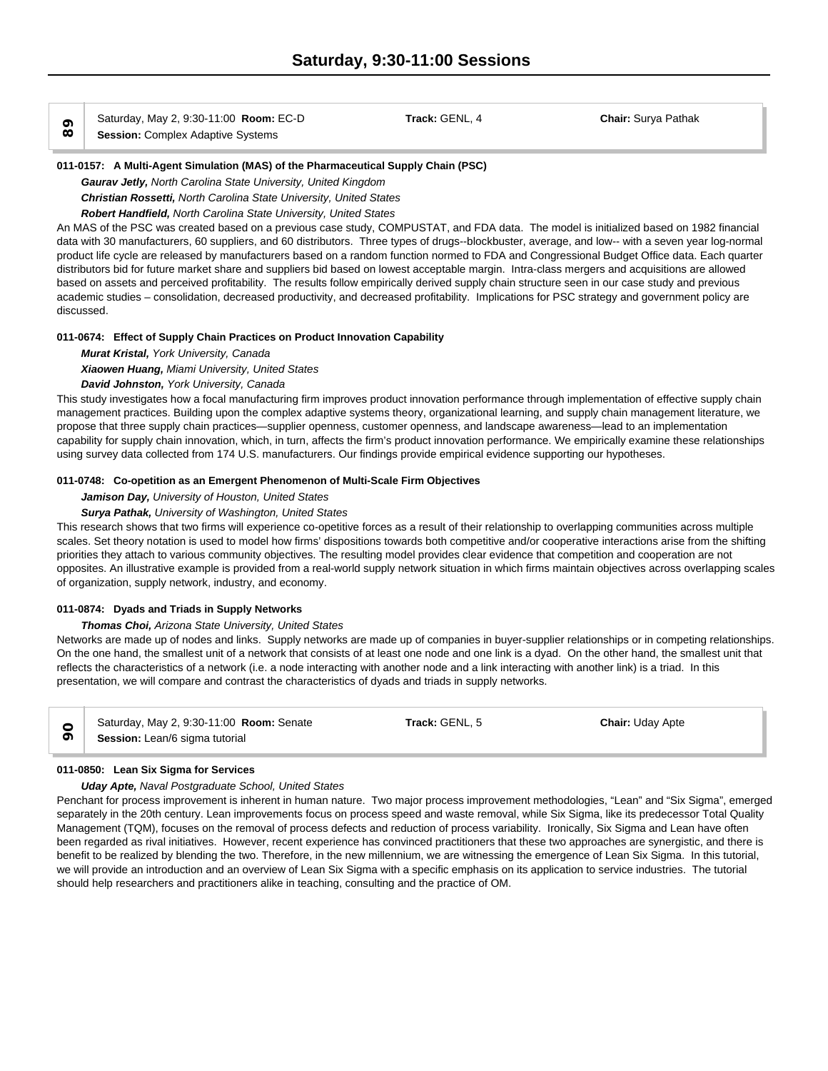$\infty$  Salurday, May 2, 9.30-11.00 **Room:**<br> **89** Session: Complex Adaptive Systems

**011-0157: A Multi-Agent Simulation (MAS) of the Pharmaceutical Supply Chain (PSC)**

*Gaurav Jetly, North Carolina State University, United Kingdom*

*Christian Rossetti, North Carolina State University, United States*

# *Robert Handfield, North Carolina State University, United States*

An MAS of the PSC was created based on a previous case study, COMPUSTAT, and FDA data. The model is initialized based on 1982 financial data with 30 manufacturers, 60 suppliers, and 60 distributors. Three types of drugs--blockbuster, average, and low-- with a seven year log-normal product life cycle are released by manufacturers based on a random function normed to FDA and Congressional Budget Office data. Each quarter distributors bid for future market share and suppliers bid based on lowest acceptable margin. Intra-class mergers and acquisitions are allowed based on assets and perceived profitability. The results follow empirically derived supply chain structure seen in our case study and previous academic studies – consolidation, decreased productivity, and decreased profitability. Implications for PSC strategy and government policy are discussed.

# **011-0674: Effect of Supply Chain Practices on Product Innovation Capability**

*Murat Kristal, York University, Canada*

*Xiaowen Huang, Miami University, United States*

# *David Johnston, York University, Canada*

This study investigates how a focal manufacturing firm improves product innovation performance through implementation of effective supply chain management practices. Building upon the complex adaptive systems theory, organizational learning, and supply chain management literature, we propose that three supply chain practices—supplier openness, customer openness, and landscape awareness—lead to an implementation capability for supply chain innovation, which, in turn, affects the firm's product innovation performance. We empirically examine these relationships using survey data collected from 174 U.S. manufacturers. Our findings provide empirical evidence supporting our hypotheses.

# **011-0748: Co-opetition as an Emergent Phenomenon of Multi-Scale Firm Objectives**

# *Jamison Day, University of Houston, United States*

*Surya Pathak, University of Washington, United States*

This research shows that two firms will experience co-opetitive forces as a result of their relationship to overlapping communities across multiple scales. Set theory notation is used to model how firms' dispositions towards both competitive and/or cooperative interactions arise from the shifting priorities they attach to various community objectives. The resulting model provides clear evidence that competition and cooperation are not opposites. An illustrative example is provided from a real-world supply network situation in which firms maintain objectives across overlapping scales of organization, supply network, industry, and economy.

# **011-0874: Dyads and Triads in Supply Networks**

# *Thomas Choi, Arizona State University, United States*

Networks are made up of nodes and links. Supply networks are made up of companies in buyer-supplier relationships or in competing relationships. On the one hand, the smallest unit of a network that consists of at least one node and one link is a dyad. On the other hand, the smallest unit that reflects the characteristics of a network (i.e. a node interacting with another node and a link interacting with another link) is a triad. In this presentation, we will compare and contrast the characteristics of dyads and triads in supply networks.

|  | Saturday, May 2, 9:30-11:00 <b>Room:</b> Senate<br>Session: Lean/6 sigma tutorial | Track: GENL, 5 | <b>Chair: Uday Apte</b> |  |
|--|-----------------------------------------------------------------------------------|----------------|-------------------------|--|
|--|-----------------------------------------------------------------------------------|----------------|-------------------------|--|

# **011-0850: Lean Six Sigma for Services**

# *Uday Apte, Naval Postgraduate School, United States*

Penchant for process improvement is inherent in human nature. Two major process improvement methodologies, "Lean" and "Six Sigma", emerged separately in the 20th century. Lean improvements focus on process speed and waste removal, while Six Sigma, like its predecessor Total Quality Management (TQM), focuses on the removal of process defects and reduction of process variability. Ironically, Six Sigma and Lean have often been regarded as rival initiatives. However, recent experience has convinced practitioners that these two approaches are synergistic, and there is benefit to be realized by blending the two. Therefore, in the new millennium, we are witnessing the emergence of Lean Six Sigma. In this tutorial, we will provide an introduction and an overview of Lean Six Sigma with a specific emphasis on its application to service industries. The tutorial should help researchers and practitioners alike in teaching, consulting and the practice of OM.

Saturday, May 2, 9:30-11:00 **Room:** EC-D **Track:** GENL, 4 **Chair:** Surya Pathak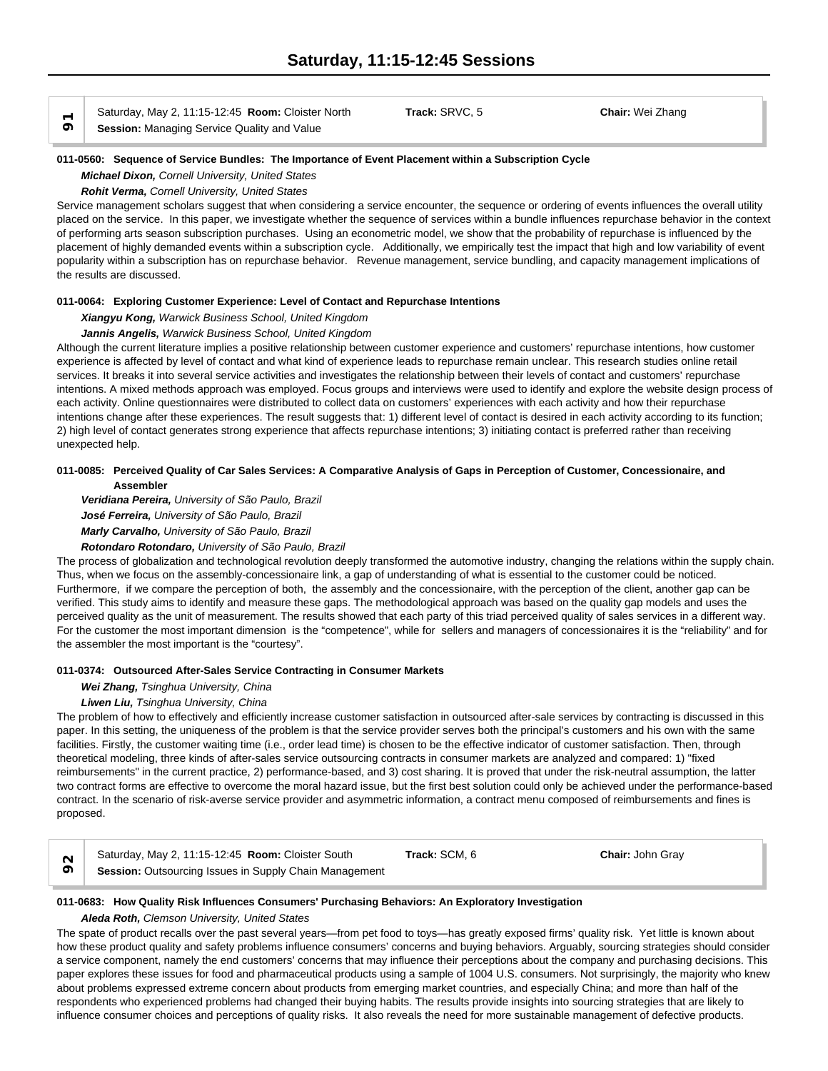$\overrightarrow{O}$  **Session:** Managing Service Quality and Value

Saturday, May 2, 11:15-12:45 **Room:** Cloister North **Track:** SRVC, 5 **Chair:** Wei Zhang

#### **011-0560: Sequence of Service Bundles: The Importance of Event Placement within a Subscription Cycle**

*Michael Dixon, Cornell University, United States*

*Rohit Verma, Cornell University, United States*

Service management scholars suggest that when considering a service encounter, the sequence or ordering of events influences the overall utility placed on the service. In this paper, we investigate whether the sequence of services within a bundle influences repurchase behavior in the context of performing arts season subscription purchases. Using an econometric model, we show that the probability of repurchase is influenced by the placement of highly demanded events within a subscription cycle. Additionally, we empirically test the impact that high and low variability of event popularity within a subscription has on repurchase behavior. Revenue management, service bundling, and capacity management implications of the results are discussed.

### **011-0064: Exploring Customer Experience: Level of Contact and Repurchase Intentions**

*Xiangyu Kong, Warwick Business School, United Kingdom*

*Jannis Angelis, Warwick Business School, United Kingdom*

Although the current literature implies a positive relationship between customer experience and customers' repurchase intentions, how customer experience is affected by level of contact and what kind of experience leads to repurchase remain unclear. This research studies online retail services. It breaks it into several service activities and investigates the relationship between their levels of contact and customers' repurchase intentions. A mixed methods approach was employed. Focus groups and interviews were used to identify and explore the website design process of each activity. Online questionnaires were distributed to collect data on customers' experiences with each activity and how their repurchase intentions change after these experiences. The result suggests that: 1) different level of contact is desired in each activity according to its function; 2) high level of contact generates strong experience that affects repurchase intentions; 3) initiating contact is preferred rather than receiving unexpected help.

## **011-0085: Perceived Quality of Car Sales Services: A Comparative Analysis of Gaps in Perception of Customer, Concessionaire, and Assembler**

*Veridiana Pereira, University of São Paulo, Brazil*

*José Ferreira, University of São Paulo, Brazil*

*Marly Carvalho, University of São Paulo, Brazil*

# *Rotondaro Rotondaro, University of São Paulo, Brazil*

The process of globalization and technological revolution deeply transformed the automotive industry, changing the relations within the supply chain. Thus, when we focus on the assembly-concessionaire link, a gap of understanding of what is essential to the customer could be noticed. Furthermore, if we compare the perception of both, the assembly and the concessionaire, with the perception of the client, another gap can be verified. This study aims to identify and measure these gaps. The methodological approach was based on the quality gap models and uses the perceived quality as the unit of measurement. The results showed that each party of this triad perceived quality of sales services in a different way. For the customer the most important dimension is the "competence", while for sellers and managers of concessionaires it is the "reliability" and for the assembler the most important is the "courtesy".

# **011-0374: Outsourced After-Sales Service Contracting in Consumer Markets**

#### *Wei Zhang, Tsinghua University, China*

#### *Liwen Liu, Tsinghua University, China*

The problem of how to effectively and efficiently increase customer satisfaction in outsourced after-sale services by contracting is discussed in this paper. In this setting, the uniqueness of the problem is that the service provider serves both the principal's customers and his own with the same facilities. Firstly, the customer waiting time (i.e., order lead time) is chosen to be the effective indicator of customer satisfaction. Then, through theoretical modeling, three kinds of after-sales service outsourcing contracts in consumer markets are analyzed and compared: 1) "fixed reimbursements" in the current practice, 2) performance-based, and 3) cost sharing. It is proved that under the risk-neutral assumption, the latter two contract forms are effective to overcome the moral hazard issue, but the first best solution could only be achieved under the performance-based contract. In the scenario of risk-averse service provider and asymmetric information, a contract menu composed of reimbursements and fines is proposed.

| Saturday, May 2, 11:15-12:45 Room: Cloister South             | Track: SCM, 6 | <b>Chair: John Gray</b> |  |
|---------------------------------------------------------------|---------------|-------------------------|--|
| <b>Session: Outsourcing Issues in Supply Chain Management</b> |               |                         |  |

#### **011-0683: How Quality Risk Influences Consumers' Purchasing Behaviors: An Exploratory Investigation**

*Aleda Roth, Clemson University, United States*

The spate of product recalls over the past several years—from pet food to toys—has greatly exposed firms' quality risk. Yet little is known about how these product quality and safety problems influence consumers' concerns and buying behaviors. Arguably, sourcing strategies should consider a service component, namely the end customers' concerns that may influence their perceptions about the company and purchasing decisions. This paper explores these issues for food and pharmaceutical products using a sample of 1004 U.S. consumers. Not surprisingly, the majority who knew about problems expressed extreme concern about products from emerging market countries, and especially China; and more than half of the respondents who experienced problems had changed their buying habits. The results provide insights into sourcing strategies that are likely to influence consumer choices and perceptions of quality risks. It also reveals the need for more sustainable management of defective products.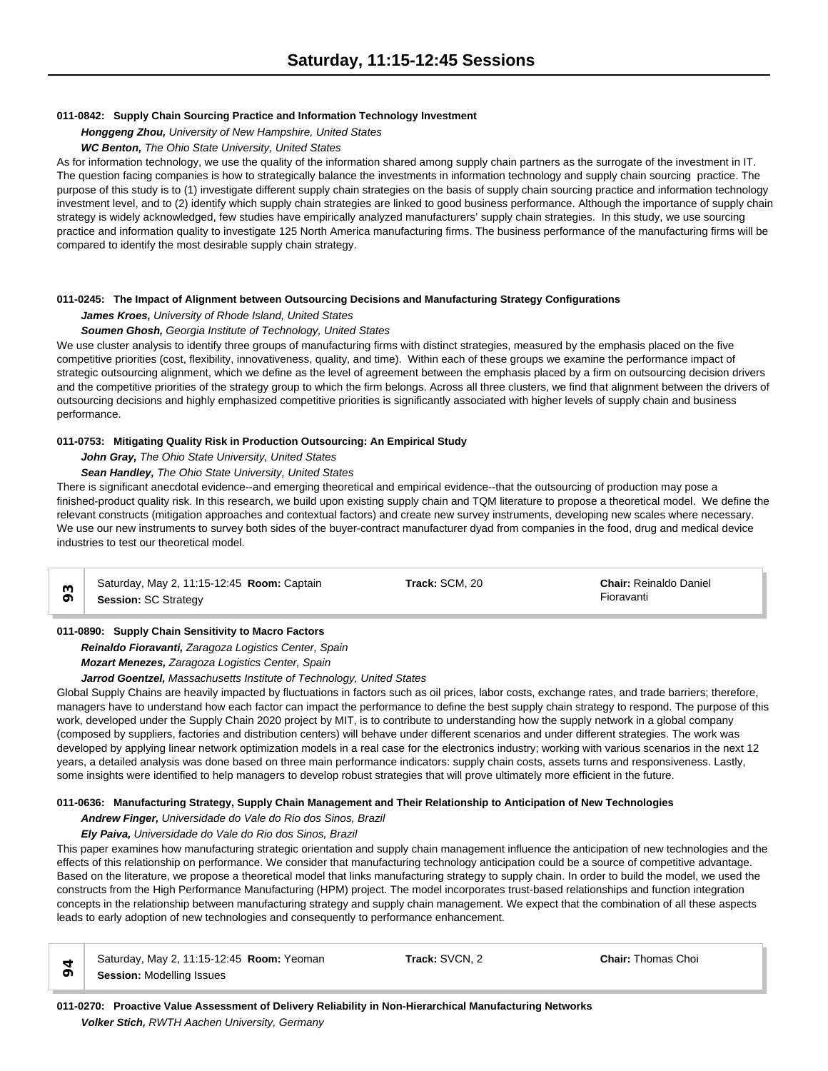# **011-0842: Supply Chain Sourcing Practice and Information Technology Investment**

*Honggeng Zhou, University of New Hampshire, United States*

## *WC Benton, The Ohio State University, United States*

As for information technology, we use the quality of the information shared among supply chain partners as the surrogate of the investment in IT. The question facing companies is how to strategically balance the investments in information technology and supply chain sourcing practice. The purpose of this study is to (1) investigate different supply chain strategies on the basis of supply chain sourcing practice and information technology investment level, and to (2) identify which supply chain strategies are linked to good business performance. Although the importance of supply chain strategy is widely acknowledged, few studies have empirically analyzed manufacturers' supply chain strategies. In this study, we use sourcing practice and information quality to investigate 125 North America manufacturing firms. The business performance of the manufacturing firms will be compared to identify the most desirable supply chain strategy.

### **011-0245: The Impact of Alignment between Outsourcing Decisions and Manufacturing Strategy Configurations**

### *James Kroes, University of Rhode Island, United States*

### *Soumen Ghosh, Georgia Institute of Technology, United States*

We use cluster analysis to identify three groups of manufacturing firms with distinct strategies, measured by the emphasis placed on the five competitive priorities (cost, flexibility, innovativeness, quality, and time). Within each of these groups we examine the performance impact of strategic outsourcing alignment, which we define as the level of agreement between the emphasis placed by a firm on outsourcing decision drivers and the competitive priorities of the strategy group to which the firm belongs. Across all three clusters, we find that alignment between the drivers of outsourcing decisions and highly emphasized competitive priorities is significantly associated with higher levels of supply chain and business performance.

### **011-0753: Mitigating Quality Risk in Production Outsourcing: An Empirical Study**

### *John Gray, The Ohio State University, United States*

### *Sean Handley, The Ohio State University, United States*

There is significant anecdotal evidence--and emerging theoretical and empirical evidence--that the outsourcing of production may pose a finished-product quality risk. In this research, we build upon existing supply chain and TQM literature to propose a theoretical model. We define the relevant constructs (mitigation approaches and contextual factors) and create new survey instruments, developing new scales where necessary. We use our new instruments to survey both sides of the buyer-contract manufacturer dyad from companies in the food, drug and medical device industries to test our theoretical model.

| Saturday, May 2, 11:15-12:45 Room: Captain | Track: SCM, 20 | <b>Chair: Reinaldo Daniel</b> |  |
|--------------------------------------------|----------------|-------------------------------|--|
| <b>Session: SC Strategy</b>                |                | Fioravanti                    |  |

### **011-0890: Supply Chain Sensitivity to Macro Factors**

*Reinaldo Fioravanti, Zaragoza Logistics Center, Spain Mozart Menezes, Zaragoza Logistics Center, Spain*

*Jarrod Goentzel, Massachusetts Institute of Technology, United States*

Global Supply Chains are heavily impacted by fluctuations in factors such as oil prices, labor costs, exchange rates, and trade barriers; therefore, managers have to understand how each factor can impact the performance to define the best supply chain strategy to respond. The purpose of this work, developed under the Supply Chain 2020 project by MIT, is to contribute to understanding how the supply network in a global company (composed by suppliers, factories and distribution centers) will behave under different scenarios and under different strategies. The work was developed by applying linear network optimization models in a real case for the electronics industry; working with various scenarios in the next 12 years, a detailed analysis was done based on three main performance indicators: supply chain costs, assets turns and responsiveness. Lastly, some insights were identified to help managers to develop robust strategies that will prove ultimately more efficient in the future.

#### **011-0636: Manufacturing Strategy, Supply Chain Management and Their Relationship to Anticipation of New Technologies**

# *Andrew Finger, Universidade do Vale do Rio dos Sinos, Brazil*

### *Ely Paiva, Universidade do Vale do Rio dos Sinos, Brazil*

This paper examines how manufacturing strategic orientation and supply chain management influence the anticipation of new technologies and the effects of this relationship on performance. We consider that manufacturing technology anticipation could be a source of competitive advantage. Based on the literature, we propose a theoretical model that links manufacturing strategy to supply chain. In order to build the model, we used the constructs from the High Performance Manufacturing (HPM) project. The model incorporates trust-based relationships and function integration concepts in the relationship between manufacturing strategy and supply chain management. We expect that the combination of all these aspects leads to early adoption of new technologies and consequently to performance enhancement.

| Saturday, May 2, 11:15-12:45 Room: Yeoman | Track: SVCN. 2 | <b>Chair: Thomas Choi</b> |
|-------------------------------------------|----------------|---------------------------|
| <b>Session: Modelling Issues</b>          |                |                           |

**011-0270: Proactive Value Assessment of Delivery Reliability in Non-Hierarchical Manufacturing Networks** *Volker Stich, RWTH Aachen University, Germany*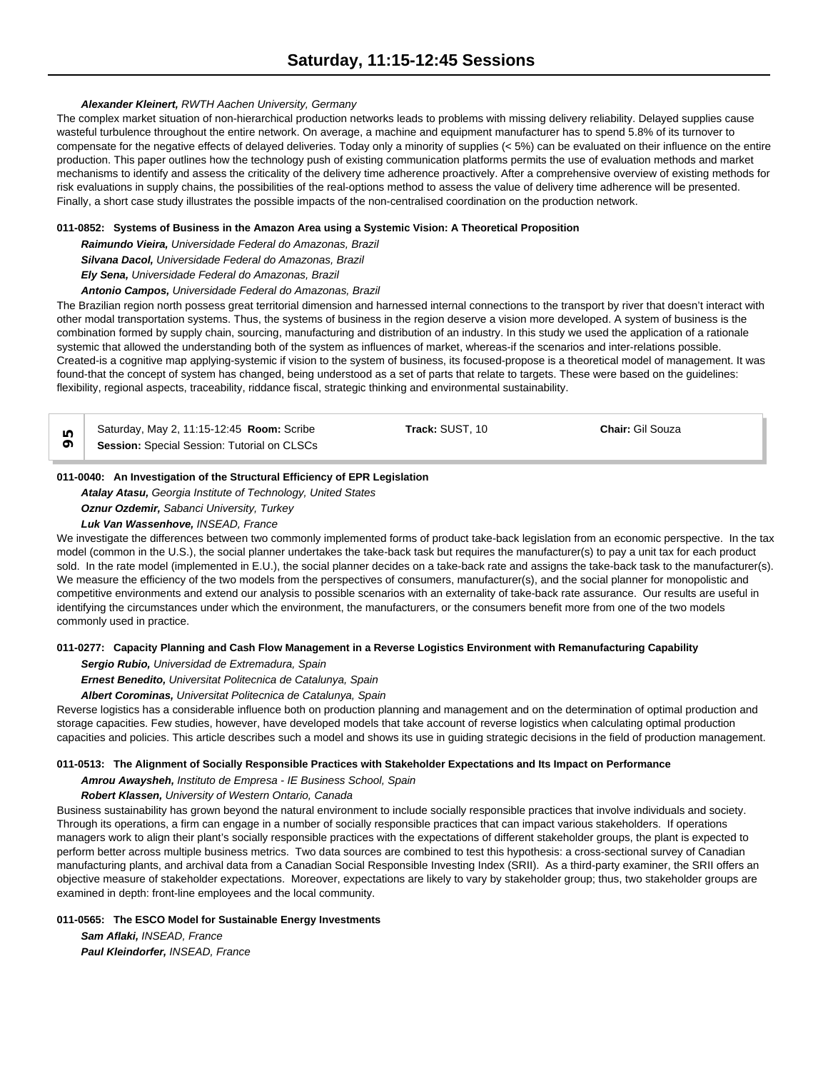# *Alexander Kleinert, RWTH Aachen University, Germany*

The complex market situation of non-hierarchical production networks leads to problems with missing delivery reliability. Delayed supplies cause wasteful turbulence throughout the entire network. On average, a machine and equipment manufacturer has to spend 5.8% of its turnover to compensate for the negative effects of delayed deliveries. Today only a minority of supplies (< 5%) can be evaluated on their influence on the entire production. This paper outlines how the technology push of existing communication platforms permits the use of evaluation methods and market mechanisms to identify and assess the criticality of the delivery time adherence proactively. After a comprehensive overview of existing methods for risk evaluations in supply chains, the possibilities of the real-options method to assess the value of delivery time adherence will be presented. Finally, a short case study illustrates the possible impacts of the non-centralised coordination on the production network.

### **011-0852: Systems of Business in the Amazon Area using a Systemic Vision: A Theoretical Proposition**

*Raimundo Vieira, Universidade Federal do Amazonas, Brazil*

*Silvana Dacol, Universidade Federal do Amazonas, Brazil*

*Ely Sena, Universidade Federal do Amazonas, Brazil*

*Antonio Campos, Universidade Federal do Amazonas, Brazil*

The Brazilian region north possess great territorial dimension and harnessed internal connections to the transport by river that doesn't interact with other modal transportation systems. Thus, the systems of business in the region deserve a vision more developed. A system of business is the combination formed by supply chain, sourcing, manufacturing and distribution of an industry. In this study we used the application of a rationale systemic that allowed the understanding both of the system as influences of market, whereas-if the scenarios and inter-relations possible. Created-is a cognitive map applying-systemic if vision to the system of business, its focused-propose is a theoretical model of management. It was found-that the concept of system has changed, being understood as a set of parts that relate to targets. These were based on the guidelines: flexibility, regional aspects, traceability, riddance fiscal, strategic thinking and environmental sustainability.

| ⊙                                                                          | Saturday, May 2, 11:15-12:45 <b>Room:</b> Scribe<br>Session: Special Session: Tutorial on CLSCs | <b>Track: SUST. 10</b> | <b>Chair:</b> Gil Souza |
|----------------------------------------------------------------------------|-------------------------------------------------------------------------------------------------|------------------------|-------------------------|
| 011-0040: An Investigation of the Structural Efficiency of EPR Legislation |                                                                                                 |                        |                         |

# *Atalay Atasu, Georgia Institute of Technology, United States*

*Oznur Ozdemir, Sabanci University, Turkey Luk Van Wassenhove, INSEAD, France*

We investigate the differences between two commonly implemented forms of product take-back legislation from an economic perspective. In the tax model (common in the U.S.), the social planner undertakes the take-back task but requires the manufacturer(s) to pay a unit tax for each product sold. In the rate model (implemented in E.U.), the social planner decides on a take-back rate and assigns the take-back task to the manufacturer(s). We measure the efficiency of the two models from the perspectives of consumers, manufacturer(s), and the social planner for monopolistic and competitive environments and extend our analysis to possible scenarios with an externality of take-back rate assurance. Our results are useful in identifying the circumstances under which the environment, the manufacturers, or the consumers benefit more from one of the two models commonly used in practice.

# **011-0277: Capacity Planning and Cash Flow Management in a Reverse Logistics Environment with Remanufacturing Capability**

*Sergio Rubio, Universidad de Extremadura, Spain*

*Ernest Benedito, Universitat Politecnica de Catalunya, Spain*

*Albert Corominas, Universitat Politecnica de Catalunya, Spain*

Reverse logistics has a considerable influence both on production planning and management and on the determination of optimal production and storage capacities. Few studies, however, have developed models that take account of reverse logistics when calculating optimal production capacities and policies. This article describes such a model and shows its use in guiding strategic decisions in the field of production management.

# **011-0513: The Alignment of Socially Responsible Practices with Stakeholder Expectations and Its Impact on Performance**

*Amrou Awaysheh, Instituto de Empresa - IE Business School, Spain*

*Robert Klassen, University of Western Ontario, Canada*

Business sustainability has grown beyond the natural environment to include socially responsible practices that involve individuals and society. Through its operations, a firm can engage in a number of socially responsible practices that can impact various stakeholders. If operations managers work to align their plant's socially responsible practices with the expectations of different stakeholder groups, the plant is expected to perform better across multiple business metrics. Two data sources are combined to test this hypothesis: a cross-sectional survey of Canadian manufacturing plants, and archival data from a Canadian Social Responsible Investing Index (SRII). As a third-party examiner, the SRII offers an objective measure of stakeholder expectations. Moreover, expectations are likely to vary by stakeholder group; thus, two stakeholder groups are examined in depth: front-line employees and the local community.

# **011-0565: The ESCO Model for Sustainable Energy Investments**

*Sam Aflaki, INSEAD, France Paul Kleindorfer, INSEAD, France*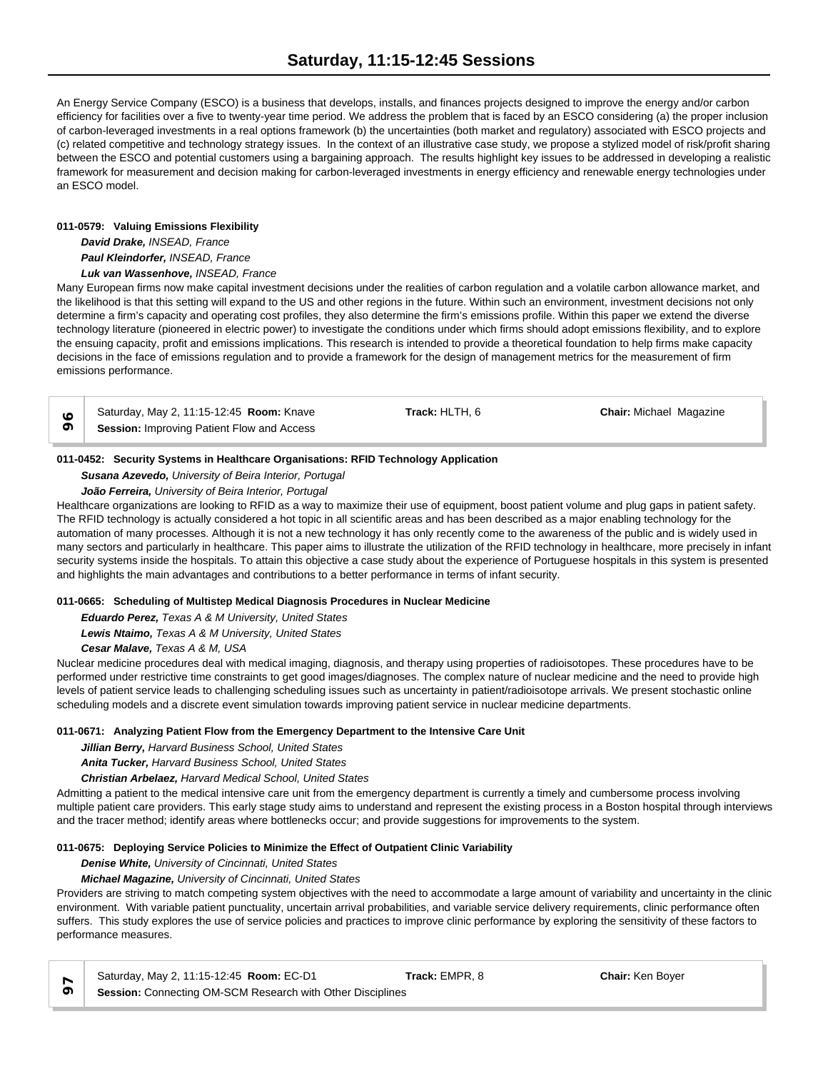An Energy Service Company (ESCO) is a business that develops, installs, and finances projects designed to improve the energy and/or carbon efficiency for facilities over a five to twenty-year time period. We address the problem that is faced by an ESCO considering (a) the proper inclusion of carbon-leveraged investments in a real options framework (b) the uncertainties (both market and regulatory) associated with ESCO projects and (c) related competitive and technology strategy issues. In the context of an illustrative case study, we propose a stylized model of risk/profit sharing between the ESCO and potential customers using a bargaining approach. The results highlight key issues to be addressed in developing a realistic framework for measurement and decision making for carbon-leveraged investments in energy efficiency and renewable energy technologies under an ESCO model.

# **011-0579: Valuing Emissions Flexibility**

*David Drake, INSEAD, France Paul Kleindorfer, INSEAD, France Luk van Wassenhove, INSEAD, France*

Many European firms now make capital investment decisions under the realities of carbon regulation and a volatile carbon allowance market, and the likelihood is that this setting will expand to the US and other regions in the future. Within such an environment, investment decisions not only determine a firm's capacity and operating cost profiles, they also determine the firm's emissions profile. Within this paper we extend the diverse technology literature (pioneered in electric power) to investigate the conditions under which firms should adopt emissions flexibility, and to explore the ensuing capacity, profit and emissions implications. This research is intended to provide a theoretical foundation to help firms make capacity decisions in the face of emissions regulation and to provide a framework for the design of management metrics for the measurement of firm emissions performance.

| Saturday, May 2, 11:15-12:45 <b>Room:</b> Knave   | <b>Track:</b> HLTH. 6 | <b>Chair:</b> Michael Magazine |  |
|---------------------------------------------------|-----------------------|--------------------------------|--|
| <b>Session: Improving Patient Flow and Access</b> |                       |                                |  |

# **011-0452: Security Systems in Healthcare Organisations: RFID Technology Application**

*Susana Azevedo, University of Beira Interior, Portugal*

*João Ferreira, University of Beira Interior, Portugal*

Healthcare organizations are looking to RFID as a way to maximize their use of equipment, boost patient volume and plug gaps in patient safety. The RFID technology is actually considered a hot topic in all scientific areas and has been described as a major enabling technology for the automation of many processes. Although it is not a new technology it has only recently come to the awareness of the public and is widely used in many sectors and particularly in healthcare. This paper aims to illustrate the utilization of the RFID technology in healthcare, more precisely in infant security systems inside the hospitals. To attain this objective a case study about the experience of Portuguese hospitals in this system is presented and highlights the main advantages and contributions to a better performance in terms of infant security.

# **011-0665: Scheduling of Multistep Medical Diagnosis Procedures in Nuclear Medicine**

*Eduardo Perez, Texas A & M University, United States Lewis Ntaimo, Texas A & M University, United States Cesar Malave, Texas A & M, USA*

Nuclear medicine procedures deal with medical imaging, diagnosis, and therapy using properties of radioisotopes. These procedures have to be performed under restrictive time constraints to get good images/diagnoses. The complex nature of nuclear medicine and the need to provide high levels of patient service leads to challenging scheduling issues such as uncertainty in patient/radioisotope arrivals. We present stochastic online scheduling models and a discrete event simulation towards improving patient service in nuclear medicine departments.

# **011-0671: Analyzing Patient Flow from the Emergency Department to the Intensive Care Unit**

*Jillian Berry, Harvard Business School, United States*

*Anita Tucker, Harvard Business School, United States*

*Christian Arbelaez, Harvard Medical School, United States*

Admitting a patient to the medical intensive care unit from the emergency department is currently a timely and cumbersome process involving multiple patient care providers. This early stage study aims to understand and represent the existing process in a Boston hospital through interviews and the tracer method; identify areas where bottlenecks occur; and provide suggestions for improvements to the system.

# **011-0675: Deploying Service Policies to Minimize the Effect of Outpatient Clinic Variability**

*Denise White, University of Cincinnati, United States*

# *Michael Magazine, University of Cincinnati, United States*

Providers are striving to match competing system objectives with the need to accommodate a large amount of variability and uncertainty in the clinic environment. With variable patient punctuality, uncertain arrival probabilities, and variable service delivery requirements, clinic performance often suffers. This study explores the use of service policies and practices to improve clinic performance by exploring the sensitivity of these factors to performance measures.

|  |  | Saturday, May 2, 11:15-12:45 Room: EC-D1 |  |
|--|--|------------------------------------------|--|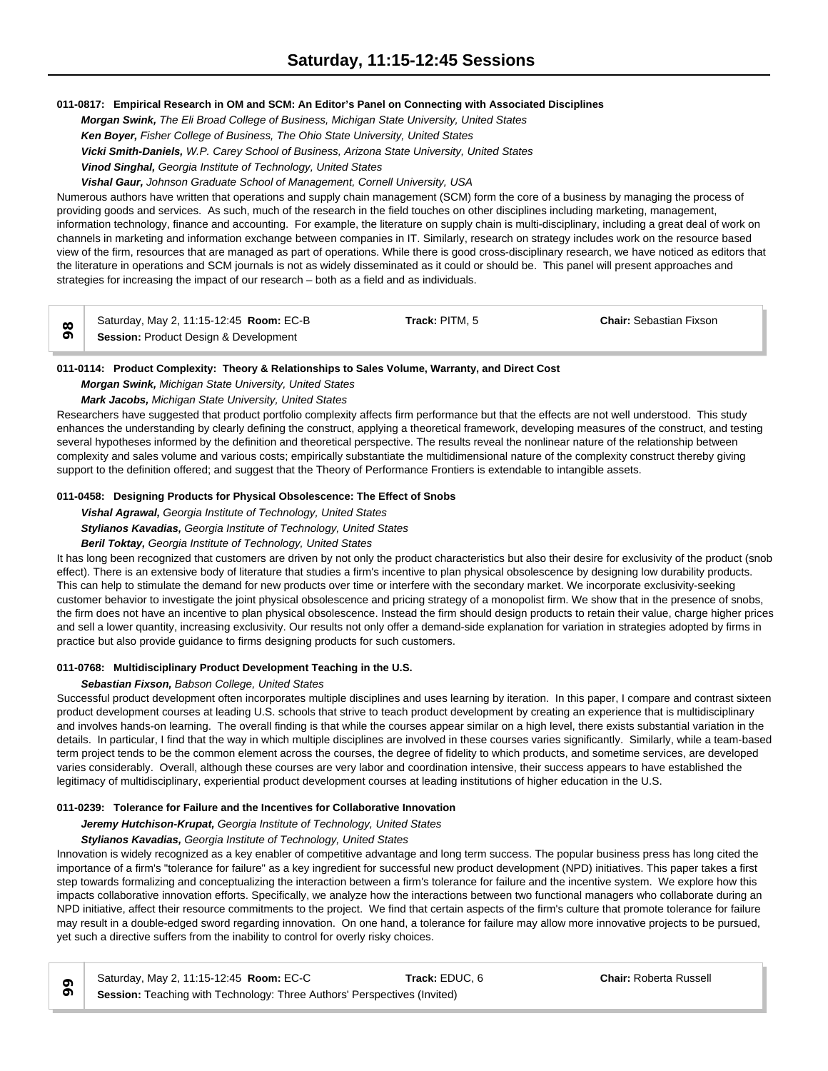# **011-0817: Empirical Research in OM and SCM: An Editor's Panel on Connecting with Associated Disciplines**

*Morgan Swink, The Eli Broad College of Business, Michigan State University, United States Ken Boyer, Fisher College of Business, The Ohio State University, United States Vicki Smith-Daniels, W.P. Carey School of Business, Arizona State University, United States Vinod Singhal, Georgia Institute of Technology, United States*

*Vishal Gaur, Johnson Graduate School of Management, Cornell University, USA*

Numerous authors have written that operations and supply chain management (SCM) form the core of a business by managing the process of providing goods and services. As such, much of the research in the field touches on other disciplines including marketing, management, information technology, finance and accounting. For example, the literature on supply chain is multi-disciplinary, including a great deal of work on channels in marketing and information exchange between companies in IT. Similarly, research on strategy includes work on the resource based view of the firm, resources that are managed as part of operations. While there is good cross-disciplinary research, we have noticed as editors that the literature in operations and SCM journals is not as widely disseminated as it could or should be. This panel will present approaches and strategies for increasing the impact of our research – both as a field and as individuals.

|          | Saturday, May 2, 11:15-12:45 Room: EC-B          | Track: PITM, 5 | <b>Chair: Sebastian Fixson</b> |  |
|----------|--------------------------------------------------|----------------|--------------------------------|--|
| $\sigma$ | <b>Session: Product Design &amp; Development</b> |                |                                |  |

# **011-0114: Product Complexity: Theory & Relationships to Sales Volume, Warranty, and Direct Cost**

*Morgan Swink, Michigan State University, United States*

*Mark Jacobs, Michigan State University, United States*

Researchers have suggested that product portfolio complexity affects firm performance but that the effects are not well understood. This study enhances the understanding by clearly defining the construct, applying a theoretical framework, developing measures of the construct, and testing several hypotheses informed by the definition and theoretical perspective. The results reveal the nonlinear nature of the relationship between complexity and sales volume and various costs; empirically substantiate the multidimensional nature of the complexity construct thereby giving support to the definition offered; and suggest that the Theory of Performance Frontiers is extendable to intangible assets.

# **011-0458: Designing Products for Physical Obsolescence: The Effect of Snobs**

*Vishal Agrawal, Georgia Institute of Technology, United States*

*Stylianos Kavadias, Georgia Institute of Technology, United States*

# *Beril Toktay, Georgia Institute of Technology, United States*

It has long been recognized that customers are driven by not only the product characteristics but also their desire for exclusivity of the product (snob effect). There is an extensive body of literature that studies a firm's incentive to plan physical obsolescence by designing low durability products. This can help to stimulate the demand for new products over time or interfere with the secondary market. We incorporate exclusivity-seeking customer behavior to investigate the joint physical obsolescence and pricing strategy of a monopolist firm. We show that in the presence of snobs, the firm does not have an incentive to plan physical obsolescence. Instead the firm should design products to retain their value, charge higher prices and sell a lower quantity, increasing exclusivity. Our results not only offer a demand-side explanation for variation in strategies adopted by firms in practice but also provide guidance to firms designing products for such customers.

# **011-0768: Multidisciplinary Product Development Teaching in the U.S.**

# *Sebastian Fixson, Babson College, United States*

Successful product development often incorporates multiple disciplines and uses learning by iteration. In this paper, I compare and contrast sixteen product development courses at leading U.S. schools that strive to teach product development by creating an experience that is multidisciplinary and involves hands-on learning. The overall finding is that while the courses appear similar on a high level, there exists substantial variation in the details. In particular, I find that the way in which multiple disciplines are involved in these courses varies significantly. Similarly, while a team-based term project tends to be the common element across the courses, the degree of fidelity to which products, and sometime services, are developed varies considerably. Overall, although these courses are very labor and coordination intensive, their success appears to have established the legitimacy of multidisciplinary, experiential product development courses at leading institutions of higher education in the U.S.

# **011-0239: Tolerance for Failure and the Incentives for Collaborative Innovation**

*Jeremy Hutchison-Krupat, Georgia Institute of Technology, United States*

# *Stylianos Kavadias, Georgia Institute of Technology, United States*

Innovation is widely recognized as a key enabler of competitive advantage and long term success. The popular business press has long cited the importance of a firm's "tolerance for failure" as a key ingredient for successful new product development (NPD) initiatives. This paper takes a first step towards formalizing and conceptualizing the interaction between a firm's tolerance for failure and the incentive system. We explore how this impacts collaborative innovation efforts. Specifically, we analyze how the interactions between two functional managers who collaborate during an NPD initiative, affect their resource commitments to the project. We find that certain aspects of the firm's culture that promote tolerance for failure may result in a double-edged sword regarding innovation. On one hand, a tolerance for failure may allow more innovative projects to be pursued, yet such a directive suffers from the inability to control for overly risky choices.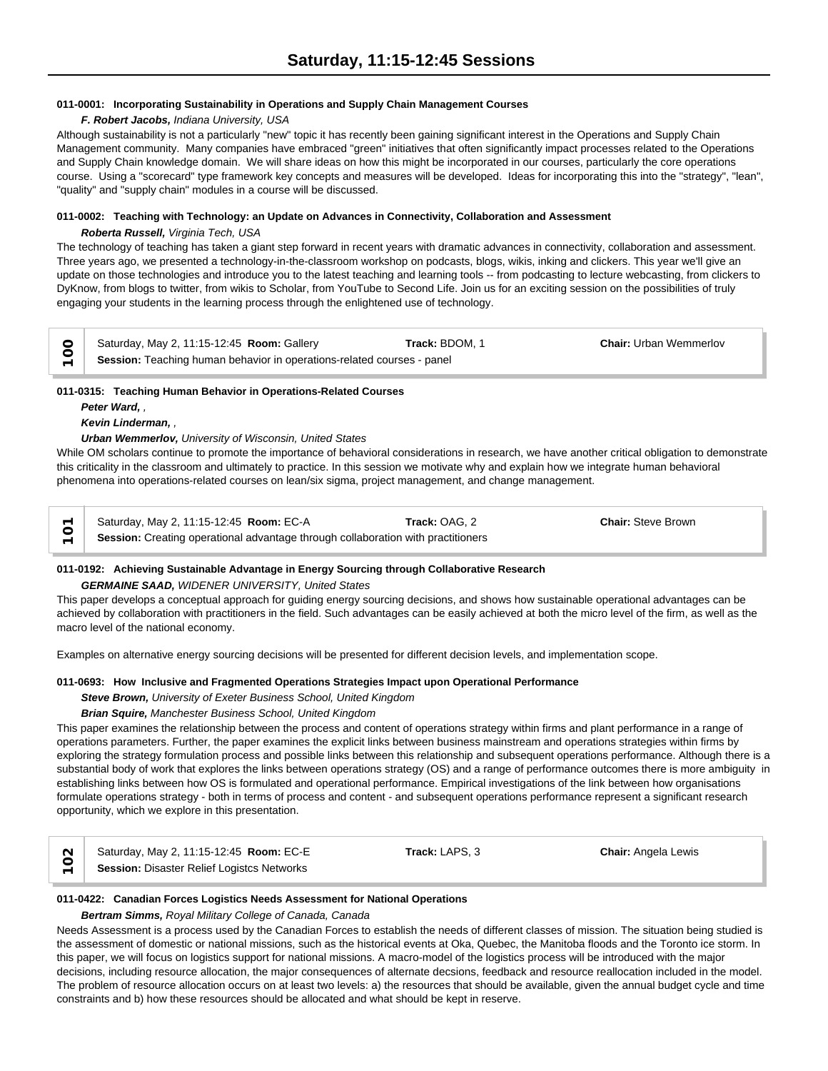# **011-0001: Incorporating Sustainability in Operations and Supply Chain Management Courses**

### *F. Robert Jacobs, Indiana University, USA*

Although sustainability is not a particularly "new" topic it has recently been gaining significant interest in the Operations and Supply Chain Management community. Many companies have embraced "green" initiatives that often significantly impact processes related to the Operations and Supply Chain knowledge domain. We will share ideas on how this might be incorporated in our courses, particularly the core operations course. Using a "scorecard" type framework key concepts and measures will be developed. Ideas for incorporating this into the "strategy", "lean", "quality" and "supply chain" modules in a course will be discussed.

### **011-0002: Teaching with Technology: an Update on Advances in Connectivity, Collaboration and Assessment**

### *Roberta Russell, Virginia Tech, USA*

The technology of teaching has taken a giant step forward in recent years with dramatic advances in connectivity, collaboration and assessment. Three years ago, we presented a technology-in-the-classroom workshop on podcasts, blogs, wikis, inking and clickers. This year we'll give an update on those technologies and introduce you to the latest teaching and learning tools -- from podcasting to lecture webcasting, from clickers to DyKnow, from blogs to twitter, from wikis to Scholar, from YouTube to Second Life. Join us for an exciting session on the possibilities of truly engaging your students in the learning process through the enlightened use of technology.

| Saturday, May 2, 11:15-12:45 Room: Gallery                             | <b>Track:</b> BDOM. 1 | <b>Chair:</b> Urban Wemmerlov |  |
|------------------------------------------------------------------------|-----------------------|-------------------------------|--|
| Session: Teaching human behavior in operations-related courses - panel |                       |                               |  |

# **011-0315: Teaching Human Behavior in Operations-Related Courses**

*Peter Ward, ,* 

### *Kevin Linderman, ,*

### *Urban Wemmerlov, University of Wisconsin, United States*

While OM scholars continue to promote the importance of behavioral considerations in research, we have another critical obligation to demonstrate this criticality in the classroom and ultimately to practice. In this session we motivate why and explain how we integrate human behavioral phenomena into operations-related courses on lean/six sigma, project management, and change management.

Saturday, May 2, 11:15-12:45 **Room:** EC-A **Track:** OAG, 2 **Chair:** Steve Brown Session: Creating operational advantage through collaboration with practitioners

# **011-0192: Achieving Sustainable Advantage in Energy Sourcing through Collaborative Research**

# *GERMAINE SAAD, WIDENER UNIVERSITY, United States*

This paper develops a conceptual approach for guiding energy sourcing decisions, and shows how sustainable operational advantages can be achieved by collaboration with practitioners in the field. Such advantages can be easily achieved at both the micro level of the firm, as well as the macro level of the national economy.

Examples on alternative energy sourcing decisions will be presented for different decision levels, and implementation scope.

# **011-0693: How Inclusive and Fragmented Operations Strategies Impact upon Operational Performance**

*Steve Brown, University of Exeter Business School, United Kingdom*

# *Brian Squire, Manchester Business School, United Kingdom*

This paper examines the relationship between the process and content of operations strategy within firms and plant performance in a range of operations parameters. Further, the paper examines the explicit links between business mainstream and operations strategies within firms by exploring the strategy formulation process and possible links between this relationship and subsequent operations performance. Although there is a substantial body of work that explores the links between operations strategy (OS) and a range of performance outcomes there is more ambiguity in establishing links between how OS is formulated and operational performance. Empirical investigations of the link between how organisations formulate operations strategy - both in terms of process and content - and subsequent operations performance represent a significant research opportunity, which we explore in this presentation.

|   | Saturday, May 2, 11:15-12:45 Room: EC-E    | <b>Track:</b> LAPS. 3 | <b>Chair:</b> Angela Lewis |  |
|---|--------------------------------------------|-----------------------|----------------------------|--|
| — | Session: Disaster Relief Logistcs Networks |                       |                            |  |

# **011-0422: Canadian Forces Logistics Needs Assessment for National Operations**

### *Bertram Simms, Royal Military College of Canada, Canada*

Needs Assessment is a process used by the Canadian Forces to establish the needs of different classes of mission. The situation being studied is the assessment of domestic or national missions, such as the historical events at Oka, Quebec, the Manitoba floods and the Toronto ice storm. In this paper, we will focus on logistics support for national missions. A macro-model of the logistics process will be introduced with the major decisions, including resource allocation, the major consequences of alternate decsions, feedback and resource reallocation included in the model. The problem of resource allocation occurs on at least two levels: a) the resources that should be available, given the annual budget cycle and time constraints and b) how these resources should be allocated and what should be kept in reserve.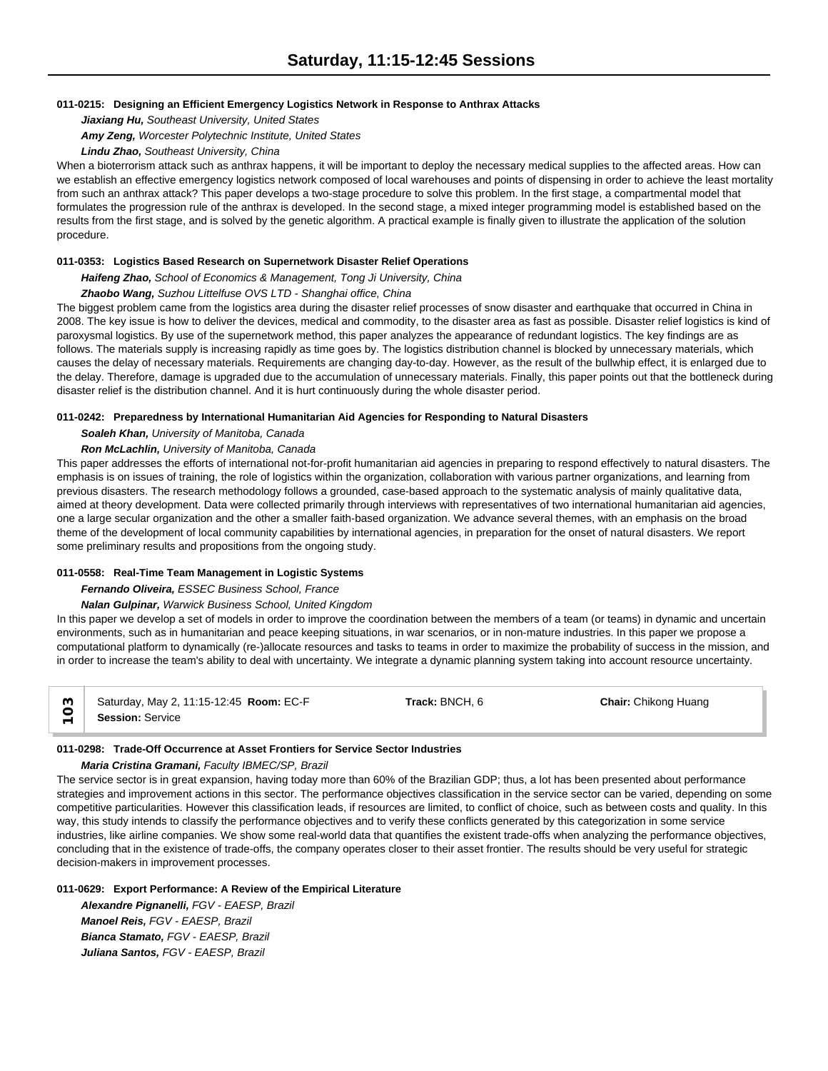### **011-0215: Designing an Efficient Emergency Logistics Network in Response to Anthrax Attacks**

*Jiaxiang Hu, Southeast University, United States*

*Amy Zeng, Worcester Polytechnic Institute, United States*

### *Lindu Zhao, Southeast University, China*

When a bioterrorism attack such as anthrax happens, it will be important to deploy the necessary medical supplies to the affected areas. How can we establish an effective emergency logistics network composed of local warehouses and points of dispensing in order to achieve the least mortality from such an anthrax attack? This paper develops a two-stage procedure to solve this problem. In the first stage, a compartmental model that formulates the progression rule of the anthrax is developed. In the second stage, a mixed integer programming model is established based on the results from the first stage, and is solved by the genetic algorithm. A practical example is finally given to illustrate the application of the solution procedure.

# **011-0353: Logistics Based Research on Supernetwork Disaster Relief Operations**

*Haifeng Zhao, School of Economics & Management, Tong Ji University, China*

### *Zhaobo Wang, Suzhou Littelfuse OVS LTD - Shanghai office, China*

The biggest problem came from the logistics area during the disaster relief processes of snow disaster and earthquake that occurred in China in 2008. The key issue is how to deliver the devices, medical and commodity, to the disaster area as fast as possible. Disaster relief logistics is kind of paroxysmal logistics. By use of the supernetwork method, this paper analyzes the appearance of redundant logistics. The key findings are as follows. The materials supply is increasing rapidly as time goes by. The logistics distribution channel is blocked by unnecessary materials, which causes the delay of necessary materials. Requirements are changing day-to-day. However, as the result of the bullwhip effect, it is enlarged due to the delay. Therefore, damage is upgraded due to the accumulation of unnecessary materials. Finally, this paper points out that the bottleneck during disaster relief is the distribution channel. And it is hurt continuously during the whole disaster period.

### **011-0242: Preparedness by International Humanitarian Aid Agencies for Responding to Natural Disasters**

*Soaleh Khan, University of Manitoba, Canada*

### *Ron McLachlin, University of Manitoba, Canada*

This paper addresses the efforts of international not-for-profit humanitarian aid agencies in preparing to respond effectively to natural disasters. The emphasis is on issues of training, the role of logistics within the organization, collaboration with various partner organizations, and learning from previous disasters. The research methodology follows a grounded, case-based approach to the systematic analysis of mainly qualitative data, aimed at theory development. Data were collected primarily through interviews with representatives of two international humanitarian aid agencies, one a large secular organization and the other a smaller faith-based organization. We advance several themes, with an emphasis on the broad theme of the development of local community capabilities by international agencies, in preparation for the onset of natural disasters. We report some preliminary results and propositions from the ongoing study.

# **011-0558: Real-Time Team Management in Logistic Systems**

*Fernando Oliveira, ESSEC Business School, France*

#### *Nalan Gulpinar, Warwick Business School, United Kingdom*

In this paper we develop a set of models in order to improve the coordination between the members of a team (or teams) in dynamic and uncertain environments, such as in humanitarian and peace keeping situations, in war scenarios, or in non-mature industries. In this paper we propose a computational platform to dynamically (re-)allocate resources and tasks to teams in order to maximize the probability of success in the mission, and in order to increase the team's ability to deal with uncertainty. We integrate a dynamic planning system taking into account resource uncertainty.

| Saturday, May 2, 11:15-12:45 <b>Room: EC-F</b> | Track: BNCH, 6 | <b>Chair:</b> Chikong Huang |  |
|------------------------------------------------|----------------|-----------------------------|--|
| <b>Session: Service</b>                        |                |                             |  |

# **011-0298: Trade-Off Occurrence at Asset Frontiers for Service Sector Industries**

# *Maria Cristina Gramani, Faculty IBMEC/SP, Brazil*

The service sector is in great expansion, having today more than 60% of the Brazilian GDP; thus, a lot has been presented about performance strategies and improvement actions in this sector. The performance objectives classification in the service sector can be varied, depending on some competitive particularities. However this classification leads, if resources are limited, to conflict of choice, such as between costs and quality. In this way, this study intends to classify the performance objectives and to verify these conflicts generated by this categorization in some service industries, like airline companies. We show some real-world data that quantifies the existent trade-offs when analyzing the performance objectives, concluding that in the existence of trade-offs, the company operates closer to their asset frontier. The results should be very useful for strategic decision-makers in improvement processes.

# **011-0629: Export Performance: A Review of the Empirical Literature**

*Alexandre Pignanelli, FGV - EAESP, Brazil Manoel Reis, FGV - EAESP, Brazil Bianca Stamato, FGV - EAESP, Brazil Juliana Santos, FGV - EAESP, Brazil*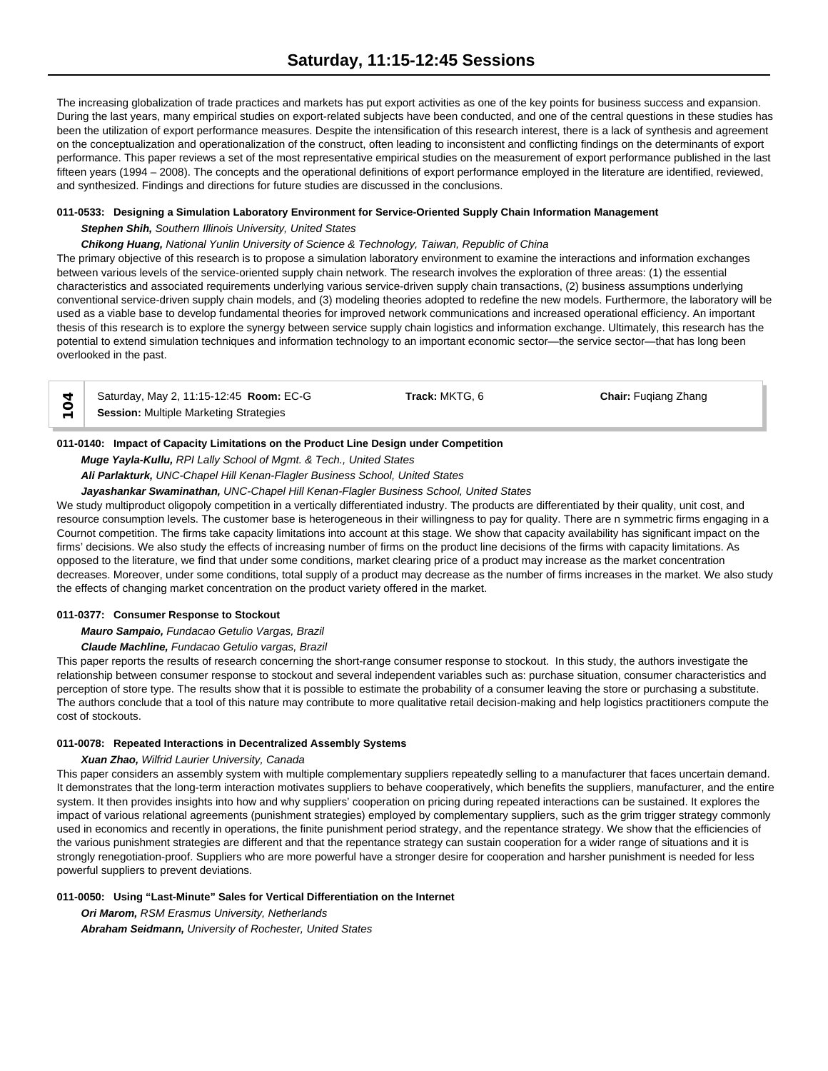The increasing globalization of trade practices and markets has put export activities as one of the key points for business success and expansion. During the last years, many empirical studies on export-related subjects have been conducted, and one of the central questions in these studies has been the utilization of export performance measures. Despite the intensification of this research interest, there is a lack of synthesis and agreement on the conceptualization and operationalization of the construct, often leading to inconsistent and conflicting findings on the determinants of export performance. This paper reviews a set of the most representative empirical studies on the measurement of export performance published in the last fifteen years (1994 – 2008). The concepts and the operational definitions of export performance employed in the literature are identified, reviewed, and synthesized. Findings and directions for future studies are discussed in the conclusions.

# **011-0533: Designing a Simulation Laboratory Environment for Service-Oriented Supply Chain Information Management**

# *Stephen Shih, Southern Illinois University, United States*

*Chikong Huang, National Yunlin University of Science & Technology, Taiwan, Republic of China*

The primary objective of this research is to propose a simulation laboratory environment to examine the interactions and information exchanges between various levels of the service-oriented supply chain network. The research involves the exploration of three areas: (1) the essential characteristics and associated requirements underlying various service-driven supply chain transactions, (2) business assumptions underlying conventional service-driven supply chain models, and (3) modeling theories adopted to redefine the new models. Furthermore, the laboratory will be used as a viable base to develop fundamental theories for improved network communications and increased operational efficiency. An important thesis of this research is to explore the synergy between service supply chain logistics and information exchange. Ultimately, this research has the potential to extend simulation techniques and information technology to an important economic sector—the service sector—that has long been overlooked in the past.

| Saturday, May 2, 11:15-12:45 Room: EC-G | Track: MKTG. 6 | <b>Chair:</b> Fugiang Zhang |  |
|-----------------------------------------|----------------|-----------------------------|--|
| Session: Multiple Marketing Strategies  |                |                             |  |

### **011-0140: Impact of Capacity Limitations on the Product Line Design under Competition**

*Muge Yayla-Kullu, RPI Lally School of Mgmt. & Tech., United States*

*Ali Parlakturk, UNC-Chapel Hill Kenan-Flagler Business School, United States*

*Jayashankar Swaminathan, UNC-Chapel Hill Kenan-Flagler Business School, United States*

We study multiproduct oligopoly competition in a vertically differentiated industry. The products are differentiated by their quality, unit cost, and resource consumption levels. The customer base is heterogeneous in their willingness to pay for quality. There are n symmetric firms engaging in a Cournot competition. The firms take capacity limitations into account at this stage. We show that capacity availability has significant impact on the firms' decisions. We also study the effects of increasing number of firms on the product line decisions of the firms with capacity limitations. As opposed to the literature, we find that under some conditions, market clearing price of a product may increase as the market concentration decreases. Moreover, under some conditions, total supply of a product may decrease as the number of firms increases in the market. We also study the effects of changing market concentration on the product variety offered in the market.

# **011-0377: Consumer Response to Stockout**

*Mauro Sampaio, Fundacao Getulio Vargas, Brazil*

*Claude Machline, Fundacao Getulio vargas, Brazil*

This paper reports the results of research concerning the short-range consumer response to stockout. In this study, the authors investigate the relationship between consumer response to stockout and several independent variables such as: purchase situation, consumer characteristics and perception of store type. The results show that it is possible to estimate the probability of a consumer leaving the store or purchasing a substitute. The authors conclude that a tool of this nature may contribute to more qualitative retail decision-making and help logistics practitioners compute the cost of stockouts.

### **011-0078: Repeated Interactions in Decentralized Assembly Systems**

### *Xuan Zhao, Wilfrid Laurier University, Canada*

This paper considers an assembly system with multiple complementary suppliers repeatedly selling to a manufacturer that faces uncertain demand. It demonstrates that the long-term interaction motivates suppliers to behave cooperatively, which benefits the suppliers, manufacturer, and the entire system. It then provides insights into how and why suppliers' cooperation on pricing during repeated interactions can be sustained. It explores the impact of various relational agreements (punishment strategies) employed by complementary suppliers, such as the grim trigger strategy commonly used in economics and recently in operations, the finite punishment period strategy, and the repentance strategy. We show that the efficiencies of the various punishment strategies are different and that the repentance strategy can sustain cooperation for a wider range of situations and it is strongly renegotiation-proof. Suppliers who are more powerful have a stronger desire for cooperation and harsher punishment is needed for less powerful suppliers to prevent deviations.

# **011-0050: Using "Last-Minute" Sales for Vertical Differentiation on the Internet**

*Ori Marom, RSM Erasmus University, Netherlands Abraham Seidmann, University of Rochester, United States*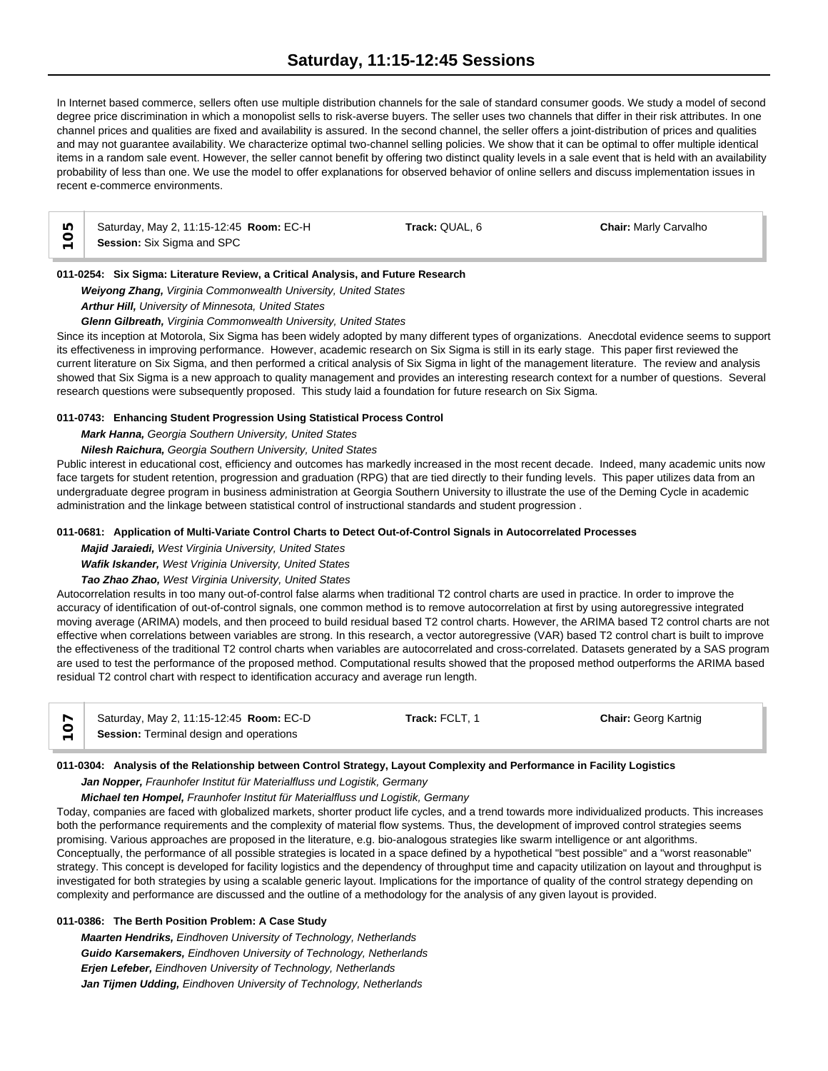In Internet based commerce, sellers often use multiple distribution channels for the sale of standard consumer goods. We study a model of second degree price discrimination in which a monopolist sells to risk-averse buyers. The seller uses two channels that differ in their risk attributes. In one channel prices and qualities are fixed and availability is assured. In the second channel, the seller offers a joint-distribution of prices and qualities and may not guarantee availability. We characterize optimal two-channel selling policies. We show that it can be optimal to offer multiple identical items in a random sale event. However, the seller cannot benefit by offering two distinct quality levels in a sale event that is held with an availability probability of less than one. We use the model to offer explanations for observed behavior of online sellers and discuss implementation issues in recent e-commerce environments.

| ഥ | Saturday, May 2, 11:15-12:45 Room: EC-H | Track: QUAL, 6 | <b>Chair: Marly Carvalho</b> |  |
|---|-----------------------------------------|----------------|------------------------------|--|
|   | Session: Six Sigma and SPC              |                |                              |  |

# **011-0254: Six Sigma: Literature Review, a Critical Analysis, and Future Research**

### *Weiyong Zhang, Virginia Commonwealth University, United States*

*Arthur Hill, University of Minnesota, United States*

### *Glenn Gilbreath, Virginia Commonwealth University, United States*

Since its inception at Motorola, Six Sigma has been widely adopted by many different types of organizations. Anecdotal evidence seems to support its effectiveness in improving performance. However, academic research on Six Sigma is still in its early stage. This paper first reviewed the current literature on Six Sigma, and then performed a critical analysis of Six Sigma in light of the management literature. The review and analysis showed that Six Sigma is a new approach to quality management and provides an interesting research context for a number of questions. Several research questions were subsequently proposed. This study laid a foundation for future research on Six Sigma.

### **011-0743: Enhancing Student Progression Using Statistical Process Control**

*Mark Hanna, Georgia Southern University, United States*

# *Nilesh Raichura, Georgia Southern University, United States*

Public interest in educational cost, efficiency and outcomes has markedly increased in the most recent decade. Indeed, many academic units now face targets for student retention, progression and graduation (RPG) that are tied directly to their funding levels. This paper utilizes data from an undergraduate degree program in business administration at Georgia Southern University to illustrate the use of the Deming Cycle in academic administration and the linkage between statistical control of instructional standards and student progression .

### **011-0681: Application of Multi-Variate Control Charts to Detect Out-of-Control Signals in Autocorrelated Processes**

*Majid Jaraiedi, West Virginia University, United States*

*Wafik Iskander, West Vriginia University, United States*

*Tao Zhao Zhao, West Virginia University, United States*

Autocorrelation results in too many out-of-control false alarms when traditional T2 control charts are used in practice. In order to improve the accuracy of identification of out-of-control signals, one common method is to remove autocorrelation at first by using autoregressive integrated moving average (ARIMA) models, and then proceed to build residual based T2 control charts. However, the ARIMA based T2 control charts are not effective when correlations between variables are strong. In this research, a vector autoregressive (VAR) based T2 control chart is built to improve the effectiveness of the traditional T2 control charts when variables are autocorrelated and cross-correlated. Datasets generated by a SAS program are used to test the performance of the proposed method. Computational results showed that the proposed method outperforms the ARIMA based residual T2 control chart with respect to identification accuracy and average run length.

| Saturday, May 2, 11:15-12:45 <b>Room: EC-D</b> | <b>Track: FCLT. 1</b> | <b>Chair: Georg Kartnig</b> |  |
|------------------------------------------------|-----------------------|-----------------------------|--|
| Session: Terminal design and operations        |                       |                             |  |

### **011-0304: Analysis of the Relationship between Control Strategy, Layout Complexity and Performance in Facility Logistics**

#### *Jan Nopper, Fraunhofer Institut für Materialfluss und Logistik, Germany*

*Michael ten Hompel, Fraunhofer Institut für Materialfluss und Logistik, Germany*

Today, companies are faced with globalized markets, shorter product life cycles, and a trend towards more individualized products. This increases both the performance requirements and the complexity of material flow systems. Thus, the development of improved control strategies seems promising. Various approaches are proposed in the literature, e.g. bio-analogous strategies like swarm intelligence or ant algorithms. Conceptually, the performance of all possible strategies is located in a space defined by a hypothetical "best possible" and a "worst reasonable" strategy. This concept is developed for facility logistics and the dependency of throughput time and capacity utilization on layout and throughput is investigated for both strategies by using a scalable generic layout. Implications for the importance of quality of the control strategy depending on complexity and performance are discussed and the outline of a methodology for the analysis of any given layout is provided.

# **011-0386: The Berth Position Problem: A Case Study**

*Maarten Hendriks, Eindhoven University of Technology, Netherlands Guido Karsemakers, Eindhoven University of Technology, Netherlands Erjen Lefeber, Eindhoven University of Technology, Netherlands Jan Tijmen Udding, Eindhoven University of Technology, Netherlands*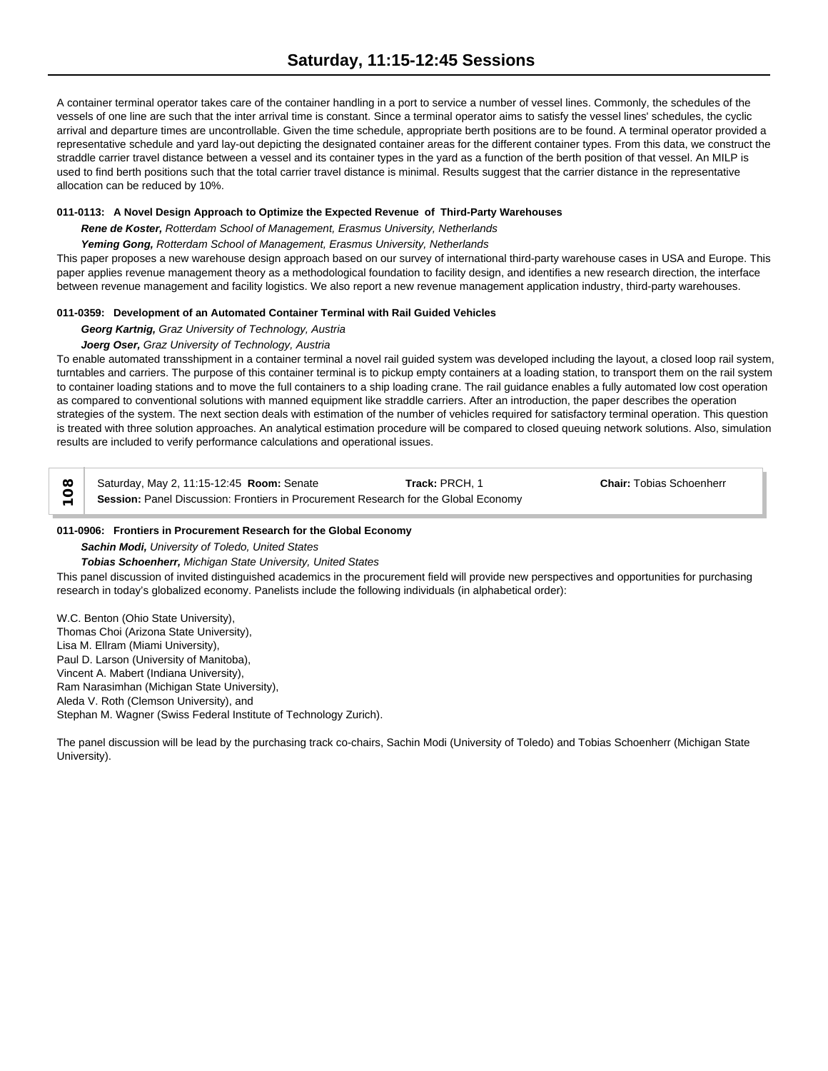A container terminal operator takes care of the container handling in a port to service a number of vessel lines. Commonly, the schedules of the vessels of one line are such that the inter arrival time is constant. Since a terminal operator aims to satisfy the vessel lines' schedules, the cyclic arrival and departure times are uncontrollable. Given the time schedule, appropriate berth positions are to be found. A terminal operator provided a representative schedule and yard lay-out depicting the designated container areas for the different container types. From this data, we construct the straddle carrier travel distance between a vessel and its container types in the yard as a function of the berth position of that vessel. An MILP is used to find berth positions such that the total carrier travel distance is minimal. Results suggest that the carrier distance in the representative allocation can be reduced by 10%.

# **011-0113: A Novel Design Approach to Optimize the Expected Revenue of Third-Party Warehouses**

*Rene de Koster, Rotterdam School of Management, Erasmus University, Netherlands*

# *Yeming Gong, Rotterdam School of Management, Erasmus University, Netherlands*

This paper proposes a new warehouse design approach based on our survey of international third-party warehouse cases in USA and Europe. This paper applies revenue management theory as a methodological foundation to facility design, and identifies a new research direction, the interface between revenue management and facility logistics. We also report a new revenue management application industry, third-party warehouses.

# **011-0359: Development of an Automated Container Terminal with Rail Guided Vehicles**

# *Georg Kartnig, Graz University of Technology, Austria*

# *Joerg Oser, Graz University of Technology, Austria*

To enable automated transshipment in a container terminal a novel rail guided system was developed including the layout, a closed loop rail system, turntables and carriers. The purpose of this container terminal is to pickup empty containers at a loading station, to transport them on the rail system to container loading stations and to move the full containers to a ship loading crane. The rail guidance enables a fully automated low cost operation as compared to conventional solutions with manned equipment like straddle carriers. After an introduction, the paper describes the operation strategies of the system. The next section deals with estimation of the number of vehicles required for satisfactory terminal operation. This question is treated with three solution approaches. An analytical estimation procedure will be compared to closed queuing network solutions. Also, simulation results are included to verify performance calculations and operational issues.

| Saturday, May 2, 11:15-12:45 Room: Senate                                           | Track: PRCH. 1 | <b>Chair: Tobias Schoenherr</b> |
|-------------------------------------------------------------------------------------|----------------|---------------------------------|
| Session: Panel Discussion: Frontiers in Procurement Research for the Global Economy |                |                                 |

# **011-0906: Frontiers in Procurement Research for the Global Economy**

*Sachin Modi, University of Toledo, United States*

# *Tobias Schoenherr, Michigan State University, United States*

This panel discussion of invited distinguished academics in the procurement field will provide new perspectives and opportunities for purchasing research in today's globalized economy. Panelists include the following individuals (in alphabetical order):

W.C. Benton (Ohio State University), Thomas Choi (Arizona State University), Lisa M. Ellram (Miami University), Paul D. Larson (University of Manitoba), Vincent A. Mabert (Indiana University), Ram Narasimhan (Michigan State University), Aleda V. Roth (Clemson University), and Stephan M. Wagner (Swiss Federal Institute of Technology Zurich).

The panel discussion will be lead by the purchasing track co-chairs, Sachin Modi (University of Toledo) and Tobias Schoenherr (Michigan State University).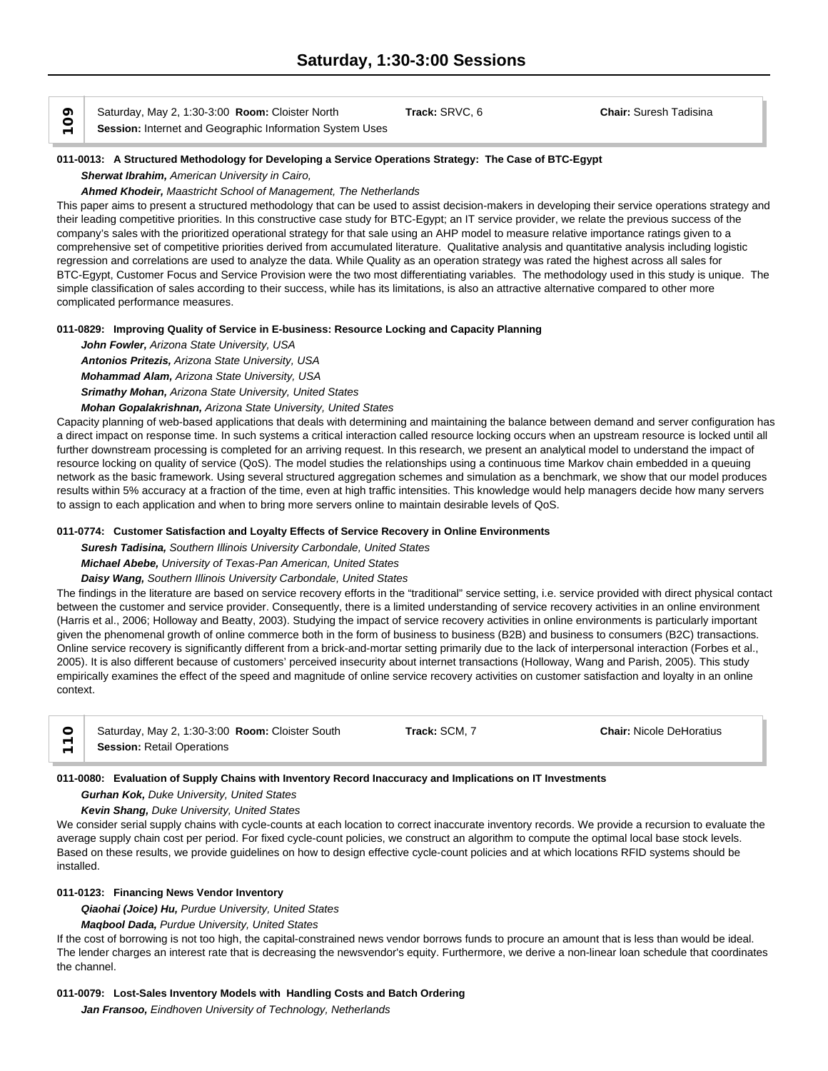**Section:** Saturday, May 2, 1:30-3:00 **Room:** Cloister North<br>
Session: Internet and Geographic Information System Uses

# **011-0013: A Structured Methodology for Developing a Service Operations Strategy: The Case of BTC-Egypt**

*Sherwat Ibrahim, American University in Cairo,* 

### *Ahmed Khodeir, Maastricht School of Management, The Netherlands*

This paper aims to present a structured methodology that can be used to assist decision-makers in developing their service operations strategy and their leading competitive priorities. In this constructive case study for BTC-Egypt; an IT service provider, we relate the previous success of the company's sales with the prioritized operational strategy for that sale using an AHP model to measure relative importance ratings given to a comprehensive set of competitive priorities derived from accumulated literature. Qualitative analysis and quantitative analysis including logistic regression and correlations are used to analyze the data. While Quality as an operation strategy was rated the highest across all sales for BTC-Egypt, Customer Focus and Service Provision were the two most differentiating variables. The methodology used in this study is unique. The simple classification of sales according to their success, while has its limitations, is also an attractive alternative compared to other more complicated performance measures.

# **011-0829: Improving Quality of Service in E-business: Resource Locking and Capacity Planning**

*John Fowler, Arizona State University, USA Antonios Pritezis, Arizona State University, USA Mohammad Alam, Arizona State University, USA Srimathy Mohan, Arizona State University, United States*

# *Mohan Gopalakrishnan, Arizona State University, United States*

Capacity planning of web-based applications that deals with determining and maintaining the balance between demand and server configuration has a direct impact on response time. In such systems a critical interaction called resource locking occurs when an upstream resource is locked until all further downstream processing is completed for an arriving request. In this research, we present an analytical model to understand the impact of resource locking on quality of service (QoS). The model studies the relationships using a continuous time Markov chain embedded in a queuing network as the basic framework. Using several structured aggregation schemes and simulation as a benchmark, we show that our model produces results within 5% accuracy at a fraction of the time, even at high traffic intensities. This knowledge would help managers decide how many servers to assign to each application and when to bring more servers online to maintain desirable levels of QoS.

# **011-0774: Customer Satisfaction and Loyalty Effects of Service Recovery in Online Environments**

*Suresh Tadisina, Southern Illinois University Carbondale, United States*

# *Michael Abebe, University of Texas-Pan American, United States*

*Daisy Wang, Southern Illinois University Carbondale, United States*

The findings in the literature are based on service recovery efforts in the "traditional" service setting, i.e. service provided with direct physical contact between the customer and service provider. Consequently, there is a limited understanding of service recovery activities in an online environment (Harris et al., 2006; Holloway and Beatty, 2003). Studying the impact of service recovery activities in online environments is particularly important given the phenomenal growth of online commerce both in the form of business to business (B2B) and business to consumers (B2C) transactions. Online service recovery is significantly different from a brick-and-mortar setting primarily due to the lack of interpersonal interaction (Forbes et al., 2005). It is also different because of customers' perceived insecurity about internet transactions (Holloway, Wang and Parish, 2005). This study empirically examines the effect of the speed and magnitude of online service recovery activities on customer satisfaction and loyalty in an online context.

| Saturday, May 2, 1:30-3:00 Room: Cloister South | Track: SCM. 7 | <b>Chair: Nicole DeHoratius</b> |  |
|-------------------------------------------------|---------------|---------------------------------|--|
| <b>Session: Retail Operations</b>               |               |                                 |  |

# **011-0080: Evaluation of Supply Chains with Inventory Record Inaccuracy and Implications on IT Investments**

*Gurhan Kok, Duke University, United States*

# *Kevin Shang, Duke University, United States*

We consider serial supply chains with cycle-counts at each location to correct inaccurate inventory records. We provide a recursion to evaluate the average supply chain cost per period. For fixed cycle-count policies, we construct an algorithm to compute the optimal local base stock levels. Based on these results, we provide guidelines on how to design effective cycle-count policies and at which locations RFID systems should be installed.

# **011-0123: Financing News Vendor Inventory**

*Qiaohai (Joice) Hu, Purdue University, United States*

*Maqbool Dada, Purdue University, United States*

If the cost of borrowing is not too high, the capital-constrained news vendor borrows funds to procure an amount that is less than would be ideal. The lender charges an interest rate that is decreasing the newsvendor's equity. Furthermore, we derive a non-linear loan schedule that coordinates the channel.

# **011-0079: Lost-Sales Inventory Models with Handling Costs and Batch Ordering**

*Jan Fransoo, Eindhoven University of Technology, Netherlands*

Saturday, May 2, 1:30-3:00 **Room:** Cloister North **Track:** SRVC, 6 **Chair:** Suresh Tadisina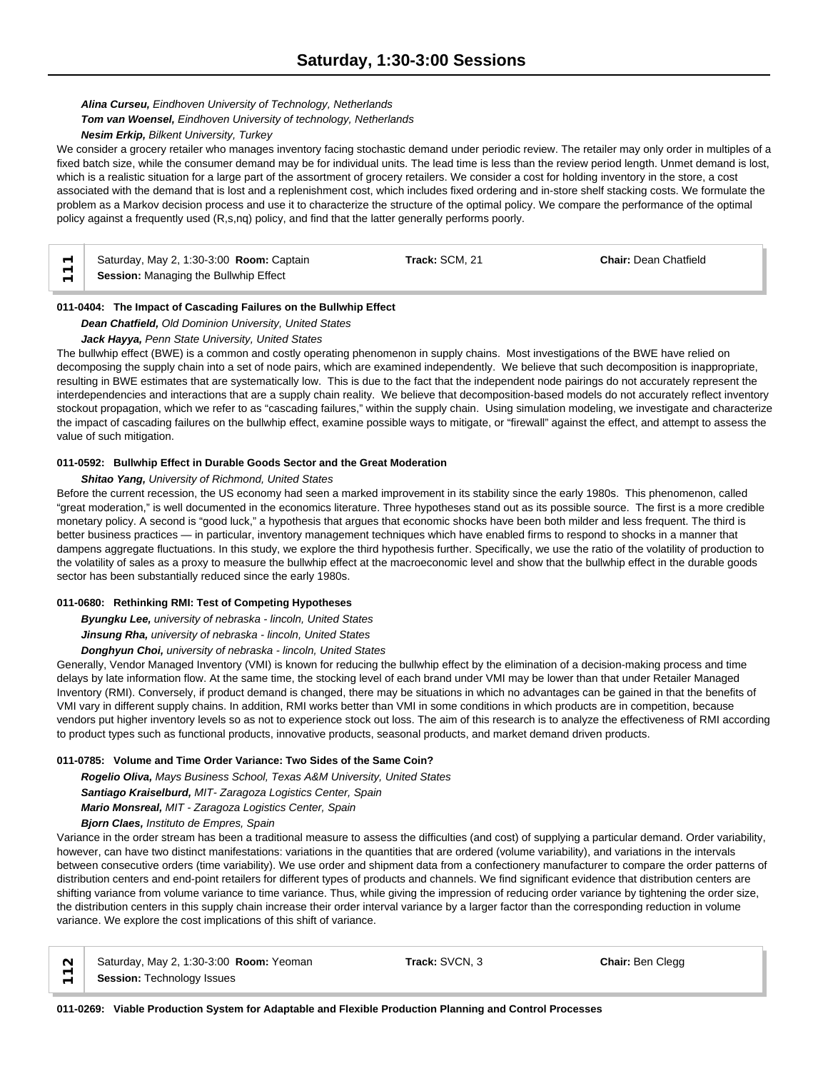# *Alina Curseu, Eindhoven University of Technology, Netherlands*

### *Tom van Woensel, Eindhoven University of technology, Netherlands*

### *Nesim Erkip, Bilkent University, Turkey*

We consider a grocery retailer who manages inventory facing stochastic demand under periodic review. The retailer may only order in multiples of a fixed batch size, while the consumer demand may be for individual units. The lead time is less than the review period length. Unmet demand is lost, which is a realistic situation for a large part of the assortment of grocery retailers. We consider a cost for holding inventory in the store, a cost associated with the demand that is lost and a replenishment cost, which includes fixed ordering and in-store shelf stacking costs. We formulate the problem as a Markov decision process and use it to characterize the structure of the optimal policy. We compare the performance of the optimal policy against a frequently used (R,s,nq) policy, and find that the latter generally performs poorly.

Saturday, May 2, 1:30-3:00 **Room:** Captain **Track:** SCM, 21 **Chair:** Dean Chatfield Session: Managing the Bullwhip Effect

# **011-0404: The Impact of Cascading Failures on the Bullwhip Effect**

*Dean Chatfield, Old Dominion University, United States*

# *Jack Hayya, Penn State University, United States*

The bullwhip effect (BWE) is a common and costly operating phenomenon in supply chains. Most investigations of the BWE have relied on decomposing the supply chain into a set of node pairs, which are examined independently. We believe that such decomposition is inappropriate, resulting in BWE estimates that are systematically low. This is due to the fact that the independent node pairings do not accurately represent the interdependencies and interactions that are a supply chain reality. We believe that decomposition-based models do not accurately reflect inventory stockout propagation, which we refer to as "cascading failures," within the supply chain. Using simulation modeling, we investigate and characterize the impact of cascading failures on the bullwhip effect, examine possible ways to mitigate, or "firewall" against the effect, and attempt to assess the value of such mitigation.

# **011-0592: Bullwhip Effect in Durable Goods Sector and the Great Moderation**

### *Shitao Yang, University of Richmond, United States*

Before the current recession, the US economy had seen a marked improvement in its stability since the early 1980s. This phenomenon, called "great moderation," is well documented in the economics literature. Three hypotheses stand out as its possible source. The first is a more credible monetary policy. A second is "good luck," a hypothesis that argues that economic shocks have been both milder and less frequent. The third is better business practices — in particular, inventory management techniques which have enabled firms to respond to shocks in a manner that dampens aggregate fluctuations. In this study, we explore the third hypothesis further. Specifically, we use the ratio of the volatility of production to the volatility of sales as a proxy to measure the bullwhip effect at the macroeconomic level and show that the bullwhip effect in the durable goods sector has been substantially reduced since the early 1980s.

### **011-0680: Rethinking RMI: Test of Competing Hypotheses**

*Byungku Lee, university of nebraska - lincoln, United States*

*Jinsung Rha, university of nebraska - lincoln, United States*

*Donghyun Choi, university of nebraska - lincoln, United States*

Generally, Vendor Managed Inventory (VMI) is known for reducing the bullwhip effect by the elimination of a decision-making process and time delays by late information flow. At the same time, the stocking level of each brand under VMI may be lower than that under Retailer Managed Inventory (RMI). Conversely, if product demand is changed, there may be situations in which no advantages can be gained in that the benefits of VMI vary in different supply chains. In addition, RMI works better than VMI in some conditions in which products are in competition, because vendors put higher inventory levels so as not to experience stock out loss. The aim of this research is to analyze the effectiveness of RMI according to product types such as functional products, innovative products, seasonal products, and market demand driven products.

# **011-0785: Volume and Time Order Variance: Two Sides of the Same Coin?**

*Rogelio Oliva, Mays Business School, Texas A&M University, United States Santiago Kraiselburd, MIT- Zaragoza Logistics Center, Spain Mario Monsreal, MIT - Zaragoza Logistics Center, Spain*

*Bjorn Claes, Instituto de Empres, Spain*

Variance in the order stream has been a traditional measure to assess the difficulties (and cost) of supplying a particular demand. Order variability, however, can have two distinct manifestations: variations in the quantities that are ordered (volume variability), and variations in the intervals between consecutive orders (time variability). We use order and shipment data from a confectionery manufacturer to compare the order patterns of distribution centers and end-point retailers for different types of products and channels. We find significant evidence that distribution centers are shifting variance from volume variance to time variance. Thus, while giving the impression of reducing order variance by tightening the order size, the distribution centers in this supply chain increase their order interval variance by a larger factor than the corresponding reduction in volume variance. We explore the cost implications of this shift of variance.

|               | $\sim$   Saturday, May 2, 1:30-3:00 <b>Room:</b> Yeoman |
|---------------|---------------------------------------------------------|
| $\frac{1}{2}$ | Session: Technology Issues                              |

**Track:** SVCN, 3 **Chair:** Ben Clegg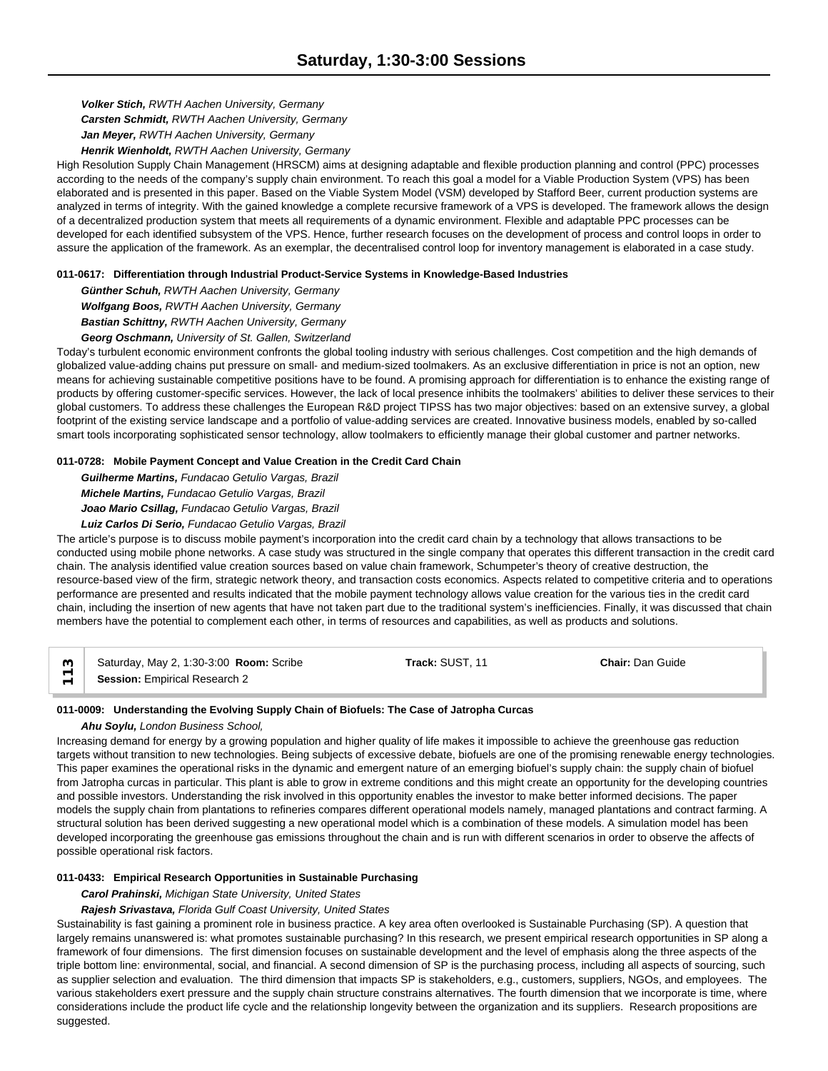*Volker Stich, RWTH Aachen University, Germany Carsten Schmidt, RWTH Aachen University, Germany Jan Meyer, RWTH Aachen University, Germany Henrik Wienholdt, RWTH Aachen University, Germany*

High Resolution Supply Chain Management (HRSCM) aims at designing adaptable and flexible production planning and control (PPC) processes according to the needs of the company's supply chain environment. To reach this goal a model for a Viable Production System (VPS) has been elaborated and is presented in this paper. Based on the Viable System Model (VSM) developed by Stafford Beer, current production systems are analyzed in terms of integrity. With the gained knowledge a complete recursive framework of a VPS is developed. The framework allows the design of a decentralized production system that meets all requirements of a dynamic environment. Flexible and adaptable PPC processes can be developed for each identified subsystem of the VPS. Hence, further research focuses on the development of process and control loops in order to assure the application of the framework. As an exemplar, the decentralised control loop for inventory management is elaborated in a case study.

# **011-0617: Differentiation through Industrial Product-Service Systems in Knowledge-Based Industries**

*Günther Schuh, RWTH Aachen University, Germany Wolfgang Boos, RWTH Aachen University, Germany Bastian Schittny, RWTH Aachen University, Germany*

*Georg Oschmann, University of St. Gallen, Switzerland*

Today's turbulent economic environment confronts the global tooling industry with serious challenges. Cost competition and the high demands of globalized value-adding chains put pressure on small- and medium-sized toolmakers. As an exclusive differentiation in price is not an option, new means for achieving sustainable competitive positions have to be found. A promising approach for differentiation is to enhance the existing range of products by offering customer-specific services. However, the lack of local presence inhibits the toolmakers' abilities to deliver these services to their global customers. To address these challenges the European R&D project TIPSS has two major objectives: based on an extensive survey, a global footprint of the existing service landscape and a portfolio of value-adding services are created. Innovative business models, enabled by so-called smart tools incorporating sophisticated sensor technology, allow toolmakers to efficiently manage their global customer and partner networks.

# **011-0728: Mobile Payment Concept and Value Creation in the Credit Card Chain**

*Guilherme Martins, Fundacao Getulio Vargas, Brazil Michele Martins, Fundacao Getulio Vargas, Brazil Joao Mario Csillag, Fundacao Getulio Vargas, Brazil*

# *Luiz Carlos Di Serio, Fundacao Getulio Vargas, Brazil*

The article's purpose is to discuss mobile payment's incorporation into the credit card chain by a technology that allows transactions to be conducted using mobile phone networks. A case study was structured in the single company that operates this different transaction in the credit card chain. The analysis identified value creation sources based on value chain framework, Schumpeter's theory of creative destruction, the resource-based view of the firm, strategic network theory, and transaction costs economics. Aspects related to competitive criteria and to operations performance are presented and results indicated that the mobile payment technology allows value creation for the various ties in the credit card chain, including the insertion of new agents that have not taken part due to the traditional system's inefficiencies. Finally, it was discussed that chain members have the potential to complement each other, in terms of resources and capabilities, as well as products and solutions.

| _ო | Saturday, May 2, 1:30-3:00 <b>Room:</b> Scribe | Track: SUST. 11 | <b>Chair: Dan Guide</b> |  |
|----|------------------------------------------------|-----------------|-------------------------|--|
|    | <b>Session: Empirical Research 2</b>           |                 |                         |  |

# **011-0009: Understanding the Evolving Supply Chain of Biofuels: The Case of Jatropha Curcas**

# *Ahu Soylu, London Business School,*

Increasing demand for energy by a growing population and higher quality of life makes it impossible to achieve the greenhouse gas reduction targets without transition to new technologies. Being subjects of excessive debate, biofuels are one of the promising renewable energy technologies. This paper examines the operational risks in the dynamic and emergent nature of an emerging biofuel's supply chain: the supply chain of biofuel from Jatropha curcas in particular. This plant is able to grow in extreme conditions and this might create an opportunity for the developing countries and possible investors. Understanding the risk involved in this opportunity enables the investor to make better informed decisions. The paper models the supply chain from plantations to refineries compares different operational models namely, managed plantations and contract farming. A structural solution has been derived suggesting a new operational model which is a combination of these models. A simulation model has been developed incorporating the greenhouse gas emissions throughout the chain and is run with different scenarios in order to observe the affects of possible operational risk factors.

# **011-0433: Empirical Research Opportunities in Sustainable Purchasing**

*Carol Prahinski, Michigan State University, United States*

# *Rajesh Srivastava, Florida Gulf Coast University, United States*

Sustainability is fast gaining a prominent role in business practice. A key area often overlooked is Sustainable Purchasing (SP). A question that largely remains unanswered is: what promotes sustainable purchasing? In this research, we present empirical research opportunities in SP along a framework of four dimensions. The first dimension focuses on sustainable development and the level of emphasis along the three aspects of the triple bottom line: environmental, social, and financial. A second dimension of SP is the purchasing process, including all aspects of sourcing, such as supplier selection and evaluation. The third dimension that impacts SP is stakeholders, e.g., customers, suppliers, NGOs, and employees. The various stakeholders exert pressure and the supply chain structure constrains alternatives. The fourth dimension that we incorporate is time, where considerations include the product life cycle and the relationship longevity between the organization and its suppliers. Research propositions are suggested.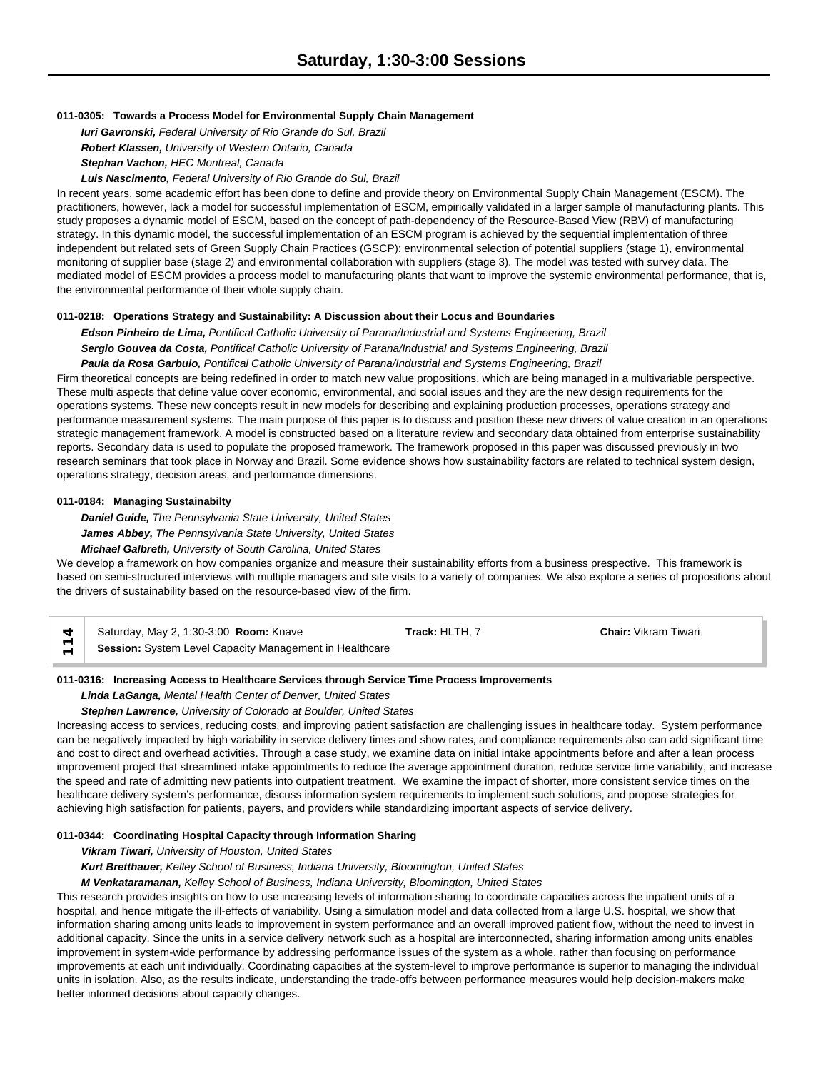### **011-0305: Towards a Process Model for Environmental Supply Chain Management**

*Iuri Gavronski, Federal University of Rio Grande do Sul, Brazil Robert Klassen, University of Western Ontario, Canada Stephan Vachon, HEC Montreal, Canada*

#### *Luis Nascimento, Federal University of Rio Grande do Sul, Brazil*

In recent years, some academic effort has been done to define and provide theory on Environmental Supply Chain Management (ESCM). The practitioners, however, lack a model for successful implementation of ESCM, empirically validated in a larger sample of manufacturing plants. This study proposes a dynamic model of ESCM, based on the concept of path-dependency of the Resource-Based View (RBV) of manufacturing strategy. In this dynamic model, the successful implementation of an ESCM program is achieved by the sequential implementation of three independent but related sets of Green Supply Chain Practices (GSCP): environmental selection of potential suppliers (stage 1), environmental monitoring of supplier base (stage 2) and environmental collaboration with suppliers (stage 3). The model was tested with survey data. The mediated model of ESCM provides a process model to manufacturing plants that want to improve the systemic environmental performance, that is, the environmental performance of their whole supply chain.

### **011-0218: Operations Strategy and Sustainability: A Discussion about their Locus and Boundaries**

*Edson Pinheiro de Lima, Pontifical Catholic University of Parana/Industrial and Systems Engineering, Brazil Sergio Gouvea da Costa, Pontifical Catholic University of Parana/Industrial and Systems Engineering, Brazil Paula da Rosa Garbuio, Pontifical Catholic University of Parana/Industrial and Systems Engineering, Brazil*

Firm theoretical concepts are being redefined in order to match new value propositions, which are being managed in a multivariable perspective. These multi aspects that define value cover economic, environmental, and social issues and they are the new design requirements for the operations systems. These new concepts result in new models for describing and explaining production processes, operations strategy and performance measurement systems. The main purpose of this paper is to discuss and position these new drivers of value creation in an operations strategic management framework. A model is constructed based on a literature review and secondary data obtained from enterprise sustainability reports. Secondary data is used to populate the proposed framework. The framework proposed in this paper was discussed previously in two research seminars that took place in Norway and Brazil. Some evidence shows how sustainability factors are related to technical system design, operations strategy, decision areas, and performance dimensions.

#### **011-0184: Managing Sustainabilty**

*Daniel Guide, The Pennsylvania State University, United States James Abbey, The Pennsylvania State University, United States Michael Galbreth, University of South Carolina, United States*

We develop a framework on how companies organize and measure their sustainability efforts from a business prespective. This framework is based on semi-structured interviews with multiple managers and site visits to a variety of companies. We also explore a series of propositions about the drivers of sustainability based on the resource-based view of the firm.

| Saturday, May 2, 1:30-3:00 Room: Knave                  | Track: HLTH. 7 | <b>Chair: Vikram Tiwari</b> |
|---------------------------------------------------------|----------------|-----------------------------|
| Session: System Level Capacity Management in Healthcare |                |                             |

# **011-0316: Increasing Access to Healthcare Services through Service Time Process Improvements**

#### *Linda LaGanga, Mental Health Center of Denver, United States*

#### *Stephen Lawrence, University of Colorado at Boulder, United States*

Increasing access to services, reducing costs, and improving patient satisfaction are challenging issues in healthcare today. System performance can be negatively impacted by high variability in service delivery times and show rates, and compliance requirements also can add significant time and cost to direct and overhead activities. Through a case study, we examine data on initial intake appointments before and after a lean process improvement project that streamlined intake appointments to reduce the average appointment duration, reduce service time variability, and increase the speed and rate of admitting new patients into outpatient treatment. We examine the impact of shorter, more consistent service times on the healthcare delivery system's performance, discuss information system requirements to implement such solutions, and propose strategies for achieving high satisfaction for patients, payers, and providers while standardizing important aspects of service delivery.

### **011-0344: Coordinating Hospital Capacity through Information Sharing**

*Vikram Tiwari, University of Houston, United States*

*Kurt Bretthauer, Kelley School of Business, Indiana University, Bloomington, United States*

*M Venkataramanan, Kelley School of Business, Indiana University, Bloomington, United States*

This research provides insights on how to use increasing levels of information sharing to coordinate capacities across the inpatient units of a hospital, and hence mitigate the ill-effects of variability. Using a simulation model and data collected from a large U.S. hospital, we show that information sharing among units leads to improvement in system performance and an overall improved patient flow, without the need to invest in additional capacity. Since the units in a service delivery network such as a hospital are interconnected, sharing information among units enables improvement in system-wide performance by addressing performance issues of the system as a whole, rather than focusing on performance improvements at each unit individually. Coordinating capacities at the system-level to improve performance is superior to managing the individual units in isolation. Also, as the results indicate, understanding the trade-offs between performance measures would help decision-makers make better informed decisions about capacity changes.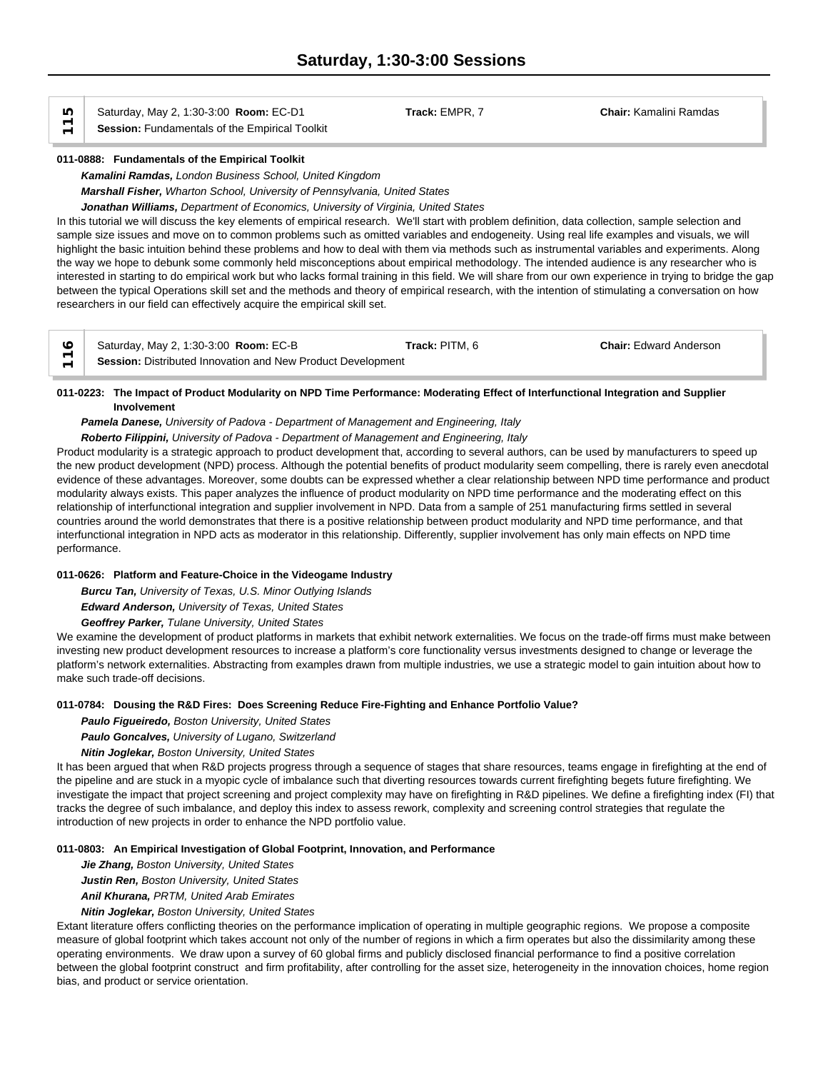Saturday, May 2, 1:30-3:00 **Room:** EC-D1 **Track:** EMPR, 7 **Chair:** Kamalini Ramdas **Saturday, May 2, 1:30-3:00 Room: EC-D1**<br>
Session: Fundamentals of the Empirical Toolkit

### **011-0888: Fundamentals of the Empirical Toolkit**

*Kamalini Ramdas, London Business School, United Kingdom Marshall Fisher, Wharton School, University of Pennsylvania, United States*

*Jonathan Williams, Department of Economics, University of Virginia, United States*

In this tutorial we will discuss the key elements of empirical research. We'll start with problem definition, data collection, sample selection and sample size issues and move on to common problems such as omitted variables and endogeneity. Using real life examples and visuals, we will highlight the basic intuition behind these problems and how to deal with them via methods such as instrumental variables and experiments. Along the way we hope to debunk some commonly held misconceptions about empirical methodology. The intended audience is any researcher who is interested in starting to do empirical work but who lacks formal training in this field. We will share from our own experience in trying to bridge the gap between the typical Operations skill set and the methods and theory of empirical research, with the intention of stimulating a conversation on how researchers in our field can effectively acquire the empirical skill set.

| Saturday, May 2, 1:30-3:00 <b>Room: EC-B</b>                | Track: PITM, 6 | <b>Chair: Edward Anderson</b> |  |
|-------------------------------------------------------------|----------------|-------------------------------|--|
| Session: Distributed Innovation and New Product Development |                |                               |  |

# **011-0223: The Impact of Product Modularity on NPD Time Performance: Moderating Effect of Interfunctional Integration and Supplier Involvement**

# *Pamela Danese, University of Padova - Department of Management and Engineering, Italy*

*Roberto Filippini, University of Padova - Department of Management and Engineering, Italy*

Product modularity is a strategic approach to product development that, according to several authors, can be used by manufacturers to speed up the new product development (NPD) process. Although the potential benefits of product modularity seem compelling, there is rarely even anecdotal evidence of these advantages. Moreover, some doubts can be expressed whether a clear relationship between NPD time performance and product modularity always exists. This paper analyzes the influence of product modularity on NPD time performance and the moderating effect on this relationship of interfunctional integration and supplier involvement in NPD. Data from a sample of 251 manufacturing firms settled in several countries around the world demonstrates that there is a positive relationship between product modularity and NPD time performance, and that interfunctional integration in NPD acts as moderator in this relationship. Differently, supplier involvement has only main effects on NPD time performance.

### **011-0626: Platform and Feature-Choice in the Videogame Industry**

*Burcu Tan, University of Texas, U.S. Minor Outlying Islands Edward Anderson, University of Texas, United States*

*Geoffrey Parker, Tulane University, United States*

We examine the development of product platforms in markets that exhibit network externalities. We focus on the trade-off firms must make between investing new product development resources to increase a platform's core functionality versus investments designed to change or leverage the platform's network externalities. Abstracting from examples drawn from multiple industries, we use a strategic model to gain intuition about how to make such trade-off decisions.

### **011-0784: Dousing the R&D Fires: Does Screening Reduce Fire-Fighting and Enhance Portfolio Value?**

*Paulo Figueiredo, Boston University, United States*

*Paulo Goncalves, University of Lugano, Switzerland*

*Nitin Joglekar, Boston University, United States*

It has been argued that when R&D projects progress through a sequence of stages that share resources, teams engage in firefighting at the end of the pipeline and are stuck in a myopic cycle of imbalance such that diverting resources towards current firefighting begets future firefighting. We investigate the impact that project screening and project complexity may have on firefighting in R&D pipelines. We define a firefighting index (FI) that tracks the degree of such imbalance, and deploy this index to assess rework, complexity and screening control strategies that regulate the introduction of new projects in order to enhance the NPD portfolio value.

### **011-0803: An Empirical Investigation of Global Footprint, Innovation, and Performance**

*Jie Zhang, Boston University, United States*

*Justin Ren, Boston University, United States*

*Anil Khurana, PRTM, United Arab Emirates*

*Nitin Joglekar, Boston University, United States*

Extant literature offers conflicting theories on the performance implication of operating in multiple geographic regions. We propose a composite measure of global footprint which takes account not only of the number of regions in which a firm operates but also the dissimilarity among these operating environments. We draw upon a survey of 60 global firms and publicly disclosed financial performance to find a positive correlation between the global footprint construct and firm profitability, after controlling for the asset size, heterogeneity in the innovation choices, home region bias, and product or service orientation.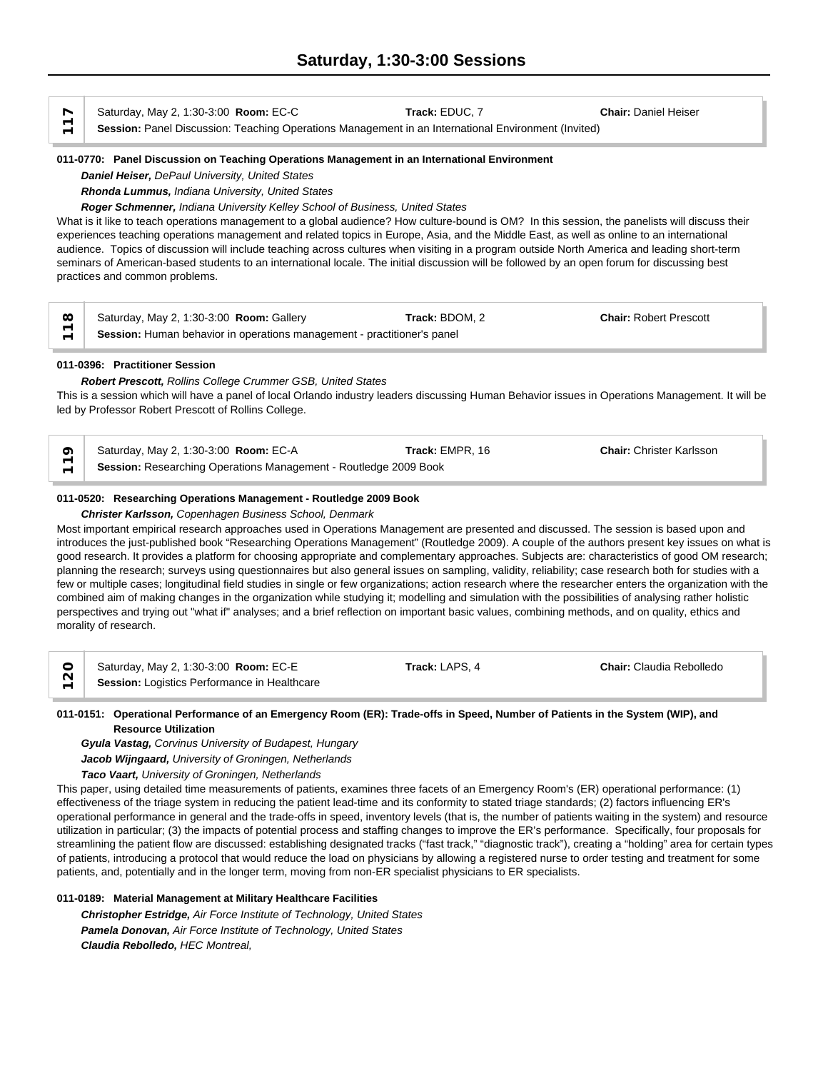Saturday, May 2, 1:30-3:00 **Room:** EC-C **Track:** EDUC, 7 **Chair:** Daniel Heiser Saturday, May 2, 1:30-3:00 **Room:** EC-C<br> **Session:** Panel Discussion: Teaching Operations Management in an International Environment (Invited)

### **011-0770: Panel Discussion on Teaching Operations Management in an International Environment**

*Daniel Heiser, DePaul University, United States*

*Rhonda Lummus, Indiana University, United States*

*Roger Schmenner, Indiana University Kelley School of Business, United States*

What is it like to teach operations management to a global audience? How culture-bound is OM? In this session, the panelists will discuss their experiences teaching operations management and related topics in Europe, Asia, and the Middle East, as well as online to an international audience. Topics of discussion will include teaching across cultures when visiting in a program outside North America and leading short-term seminars of American-based students to an international locale. The initial discussion will be followed by an open forum for discussing best practices and common problems.

| $\infty$                 | Saturday, May 2, 1:30-3:00 Room: Gallery                                | Track: BDOM. 2 | <b>Chair: Robert Prescott</b> |
|--------------------------|-------------------------------------------------------------------------|----------------|-------------------------------|
| $\overline{\phantom{0}}$ | Session: Human behavior in operations management - practitioner's panel |                |                               |

### **011-0396: Practitioner Session**

*Robert Prescott, Rollins College Crummer GSB, United States* This is a session which will have a panel of local Orlando industry leaders discussing Human Behavior issues in Operations Management. It will be led by Professor Robert Prescott of Rollins College.

Saturday, May 2, 1:30-3:00 **Room:** EC-A **Track:** EMPR, 16 **Chair:** Christer Karlsson **Secual Session: Researching Operations Management - Routledge 2009 Book**<br> **Session:** Researching Operations Management - Routledge 2009 Book

### **011-0520: Researching Operations Management - Routledge 2009 Book**

#### *Christer Karlsson, Copenhagen Business School, Denmark*

Most important empirical research approaches used in Operations Management are presented and discussed. The session is based upon and introduces the just-published book "Researching Operations Management" (Routledge 2009). A couple of the authors present key issues on what is good research. It provides a platform for choosing appropriate and complementary approaches. Subjects are: characteristics of good OM research; planning the research; surveys using questionnaires but also general issues on sampling, validity, reliability; case research both for studies with a few or multiple cases; longitudinal field studies in single or few organizations; action research where the researcher enters the organization with the combined aim of making changes in the organization while studying it; modelling and simulation with the possibilities of analysing rather holistic perspectives and trying out "what if" analyses; and a brief reflection on important basic values, combining methods, and on quality, ethics and morality of research.

|                          | Saturday, May 2, 1:30-3:00 <b>Room: EC-E</b> | Track: LAPS. 4 | <b>Chair:</b> Claudia Rebolledo |  |
|--------------------------|----------------------------------------------|----------------|---------------------------------|--|
| $\overline{\phantom{0}}$ | Session: Logistics Performance in Healthcare |                |                                 |  |

### **011-0151: Operational Performance of an Emergency Room (ER): Trade-offs in Speed, Number of Patients in the System (WIP), and Resource Utilization**

*Gyula Vastag, Corvinus University of Budapest, Hungary*

*Jacob Wijngaard, University of Groningen, Netherlands*

*Taco Vaart, University of Groningen, Netherlands*

This paper, using detailed time measurements of patients, examines three facets of an Emergency Room's (ER) operational performance: (1) effectiveness of the triage system in reducing the patient lead-time and its conformity to stated triage standards; (2) factors influencing ER's operational performance in general and the trade-offs in speed, inventory levels (that is, the number of patients waiting in the system) and resource utilization in particular; (3) the impacts of potential process and staffing changes to improve the ER's performance. Specifically, four proposals for streamlining the patient flow are discussed: establishing designated tracks ("fast track," "diagnostic track"), creating a "holding" area for certain types of patients, introducing a protocol that would reduce the load on physicians by allowing a registered nurse to order testing and treatment for some patients, and, potentially and in the longer term, moving from non-ER specialist physicians to ER specialists.

### **011-0189: Material Management at Military Healthcare Facilities**

*Christopher Estridge, Air Force Institute of Technology, United States Pamela Donovan, Air Force Institute of Technology, United States Claudia Rebolledo, HEC Montreal,*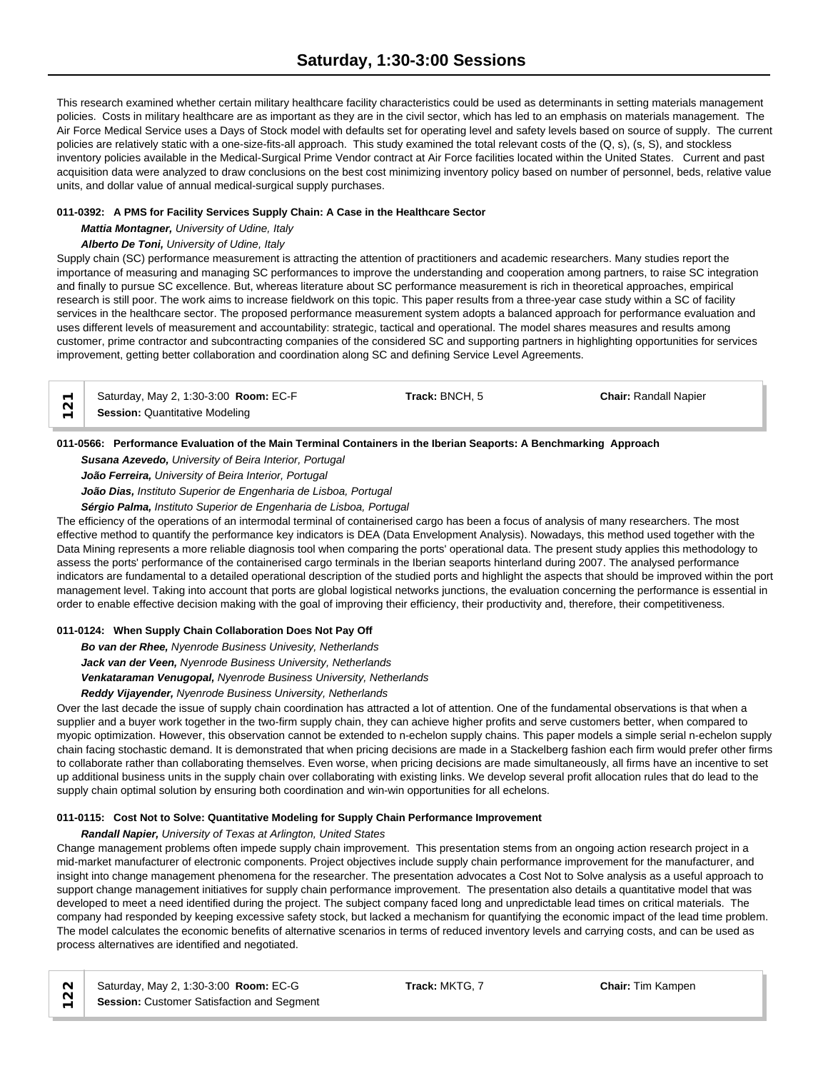This research examined whether certain military healthcare facility characteristics could be used as determinants in setting materials management policies. Costs in military healthcare are as important as they are in the civil sector, which has led to an emphasis on materials management. The Air Force Medical Service uses a Days of Stock model with defaults set for operating level and safety levels based on source of supply. The current policies are relatively static with a one-size-fits-all approach. This study examined the total relevant costs of the (Q, s), (s, S), and stockless inventory policies available in the Medical-Surgical Prime Vendor contract at Air Force facilities located within the United States. Current and past acquisition data were analyzed to draw conclusions on the best cost minimizing inventory policy based on number of personnel, beds, relative value units, and dollar value of annual medical-surgical supply purchases.

# **011-0392: A PMS for Facility Services Supply Chain: A Case in the Healthcare Sector**

*Mattia Montagner, University of Udine, Italy*

# *Alberto De Toni, University of Udine, Italy*

Supply chain (SC) performance measurement is attracting the attention of practitioners and academic researchers. Many studies report the importance of measuring and managing SC performances to improve the understanding and cooperation among partners, to raise SC integration and finally to pursue SC excellence. But, whereas literature about SC performance measurement is rich in theoretical approaches, empirical research is still poor. The work aims to increase fieldwork on this topic. This paper results from a three-year case study within a SC of facility services in the healthcare sector. The proposed performance measurement system adopts a balanced approach for performance evaluation and uses different levels of measurement and accountability: strategic, tactical and operational. The model shares measures and results among customer, prime contractor and subcontracting companies of the considered SC and supporting partners in highlighting opportunities for services improvement, getting better collaboration and coordination along SC and defining Service Level Agreements.

| $\overline{\phantom{0}}$ | Saturday, May 2, 1:30-3:00 Room: EC-F | Track: BNCH, 5 | <b>Chair: Randall Napier</b> |  |
|--------------------------|---------------------------------------|----------------|------------------------------|--|
| $\overline{\phantom{0}}$ | <b>Session: Quantitative Modeling</b> |                |                              |  |

# **011-0566: Performance Evaluation of the Main Terminal Containers in the Iberian Seaports: A Benchmarking Approach**

*Susana Azevedo, University of Beira Interior, Portugal*

*João Ferreira, University of Beira Interior, Portugal*

*João Dias, Instituto Superior de Engenharia de Lisboa, Portugal*

*Sérgio Palma, Instituto Superior de Engenharia de Lisboa, Portugal*

The efficiency of the operations of an intermodal terminal of containerised cargo has been a focus of analysis of many researchers. The most effective method to quantify the performance key indicators is DEA (Data Envelopment Analysis). Nowadays, this method used together with the Data Mining represents a more reliable diagnosis tool when comparing the ports' operational data. The present study applies this methodology to assess the ports' performance of the containerised cargo terminals in the Iberian seaports hinterland during 2007. The analysed performance indicators are fundamental to a detailed operational description of the studied ports and highlight the aspects that should be improved within the port management level. Taking into account that ports are global logistical networks junctions, the evaluation concerning the performance is essential in order to enable effective decision making with the goal of improving their efficiency, their productivity and, therefore, their competitiveness.

# **011-0124: When Supply Chain Collaboration Does Not Pay Off**

*Bo van der Rhee, Nyenrode Business Univesity, Netherlands Jack van der Veen, Nyenrode Business University, Netherlands Venkataraman Venugopal, Nyenrode Business University, Netherlands*

### *Reddy Vijayender, Nyenrode Business University, Netherlands*

Over the last decade the issue of supply chain coordination has attracted a lot of attention. One of the fundamental observations is that when a supplier and a buyer work together in the two-firm supply chain, they can achieve higher profits and serve customers better, when compared to myopic optimization. However, this observation cannot be extended to n-echelon supply chains. This paper models a simple serial n-echelon supply chain facing stochastic demand. It is demonstrated that when pricing decisions are made in a Stackelberg fashion each firm would prefer other firms to collaborate rather than collaborating themselves. Even worse, when pricing decisions are made simultaneously, all firms have an incentive to set up additional business units in the supply chain over collaborating with existing links. We develop several profit allocation rules that do lead to the supply chain optimal solution by ensuring both coordination and win-win opportunities for all echelons.

### **011-0115: Cost Not to Solve: Quantitative Modeling for Supply Chain Performance Improvement**

### *Randall Napier, University of Texas at Arlington, United States*

Change management problems often impede supply chain improvement. This presentation stems from an ongoing action research project in a mid-market manufacturer of electronic components. Project objectives include supply chain performance improvement for the manufacturer, and insight into change management phenomena for the researcher. The presentation advocates a Cost Not to Solve analysis as a useful approach to support change management initiatives for supply chain performance improvement. The presentation also details a quantitative model that was developed to meet a need identified during the project. The subject company faced long and unpredictable lead times on critical materials. The company had responded by keeping excessive safety stock, but lacked a mechanism for quantifying the economic impact of the lead time problem. The model calculates the economic benefits of alternative scenarios in terms of reduced inventory levels and carrying costs, and can be used as process alternatives are identified and negotiated.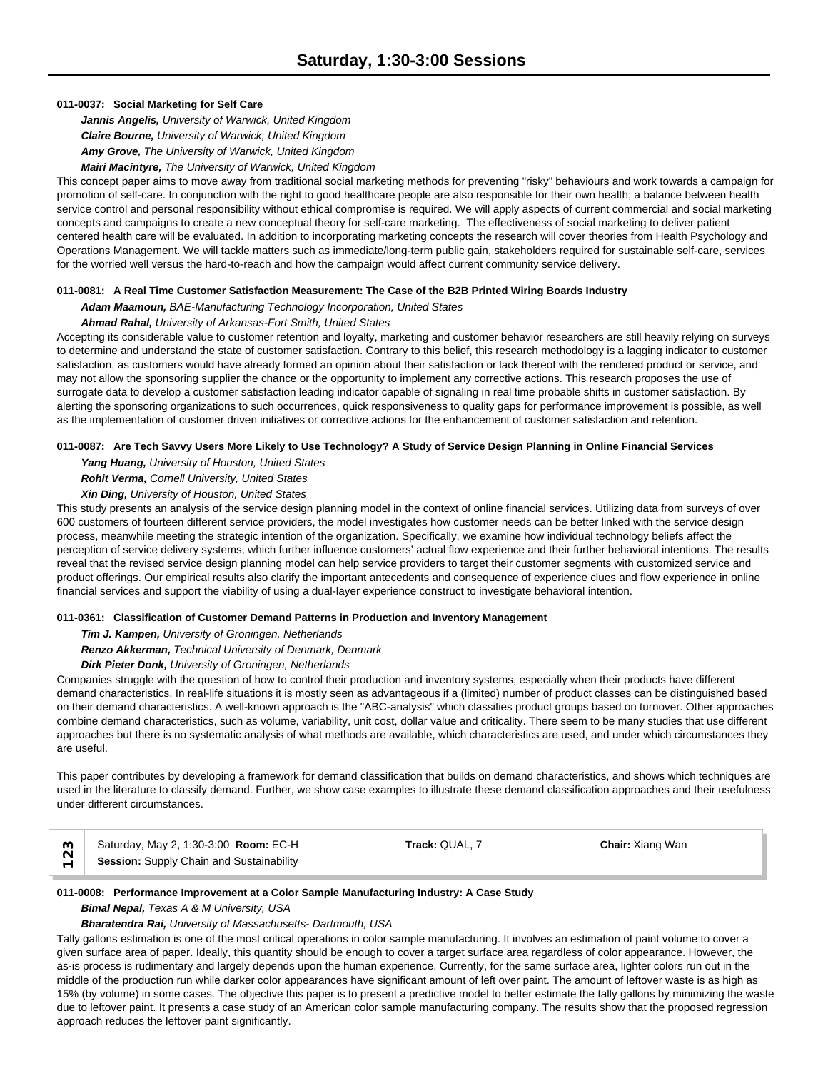## **011-0037: Social Marketing for Self Care**

*Jannis Angelis, University of Warwick, United Kingdom Claire Bourne, University of Warwick, United Kingdom Amy Grove, The University of Warwick, United Kingdom Mairi Macintyre, The University of Warwick, United Kingdom*

This concept paper aims to move away from traditional social marketing methods for preventing "risky" behaviours and work towards a campaign for promotion of self-care. In conjunction with the right to good healthcare people are also responsible for their own health; a balance between health service control and personal responsibility without ethical compromise is required. We will apply aspects of current commercial and social marketing concepts and campaigns to create a new conceptual theory for self-care marketing. The effectiveness of social marketing to deliver patient centered health care will be evaluated. In addition to incorporating marketing concepts the research will cover theories from Health Psychology and Operations Management. We will tackle matters such as immediate/long-term public gain, stakeholders required for sustainable self-care, services for the worried well versus the hard-to-reach and how the campaign would affect current community service delivery.

### **011-0081: A Real Time Customer Satisfaction Measurement: The Case of the B2B Printed Wiring Boards Industry**

*Adam Maamoun, BAE-Manufacturing Technology Incorporation, United States*

### *Ahmad Rahal, University of Arkansas-Fort Smith, United States*

Accepting its considerable value to customer retention and loyalty, marketing and customer behavior researchers are still heavily relying on surveys to determine and understand the state of customer satisfaction. Contrary to this belief, this research methodology is a lagging indicator to customer satisfaction, as customers would have already formed an opinion about their satisfaction or lack thereof with the rendered product or service, and may not allow the sponsoring supplier the chance or the opportunity to implement any corrective actions. This research proposes the use of surrogate data to develop a customer satisfaction leading indicator capable of signaling in real time probable shifts in customer satisfaction. By alerting the sponsoring organizations to such occurrences, quick responsiveness to quality gaps for performance improvement is possible, as well as the implementation of customer driven initiatives or corrective actions for the enhancement of customer satisfaction and retention.

### **011-0087: Are Tech Savvy Users More Likely to Use Technology? A Study of Service Design Planning in Online Financial Services**

*Yang Huang, University of Houston, United States Rohit Verma, Cornell University, United States*

*Xin Ding, University of Houston, United States*

This study presents an analysis of the service design planning model in the context of online financial services. Utilizing data from surveys of over 600 customers of fourteen different service providers, the model investigates how customer needs can be better linked with the service design process, meanwhile meeting the strategic intention of the organization. Specifically, we examine how individual technology beliefs affect the perception of service delivery systems, which further influence customers' actual flow experience and their further behavioral intentions. The results reveal that the revised service design planning model can help service providers to target their customer segments with customized service and product offerings. Our empirical results also clarify the important antecedents and consequence of experience clues and flow experience in online financial services and support the viability of using a dual-layer experience construct to investigate behavioral intention.

### **011-0361: Classification of Customer Demand Patterns in Production and Inventory Management**

*Tim J. Kampen, University of Groningen, Netherlands*

*Renzo Akkerman, Technical University of Denmark, Denmark*

*Dirk Pieter Donk, University of Groningen, Netherlands*

Companies struggle with the question of how to control their production and inventory systems, especially when their products have different demand characteristics. In real-life situations it is mostly seen as advantageous if a (limited) number of product classes can be distinguished based on their demand characteristics. A well-known approach is the "ABC-analysis" which classifies product groups based on turnover. Other approaches combine demand characteristics, such as volume, variability, unit cost, dollar value and criticality. There seem to be many studies that use different approaches but there is no systematic analysis of what methods are available, which characteristics are used, and under which circumstances they are useful.

This paper contributes by developing a framework for demand classification that builds on demand characteristics, and shows which techniques are used in the literature to classify demand. Further, we show case examples to illustrate these demand classification approaches and their usefulness under different circumstances.

Saturday, May 2, 1:30-3:00 **Room:** EC-H **Track:** QUAL, 7 **Chair:** Xiang Wan **Saturday, May 2, 1:30-3:00 Room: EC-H**<br> **Session:** Supply Chain and Sustainability

# **011-0008: Performance Improvement at a Color Sample Manufacturing Industry: A Case Study**

# *Bimal Nepal, Texas A & M University, USA*

### *Bharatendra Rai, University of Massachusetts- Dartmouth, USA*

Tally gallons estimation is one of the most critical operations in color sample manufacturing. It involves an estimation of paint volume to cover a given surface area of paper. Ideally, this quantity should be enough to cover a target surface area regardless of color appearance. However, the as-is process is rudimentary and largely depends upon the human experience. Currently, for the same surface area, lighter colors run out in the middle of the production run while darker color appearances have significant amount of left over paint. The amount of leftover waste is as high as 15% (by volume) in some cases. The objective this paper is to present a predictive model to better estimate the tally gallons by minimizing the waste due to leftover paint. It presents a case study of an American color sample manufacturing company. The results show that the proposed regression approach reduces the leftover paint significantly.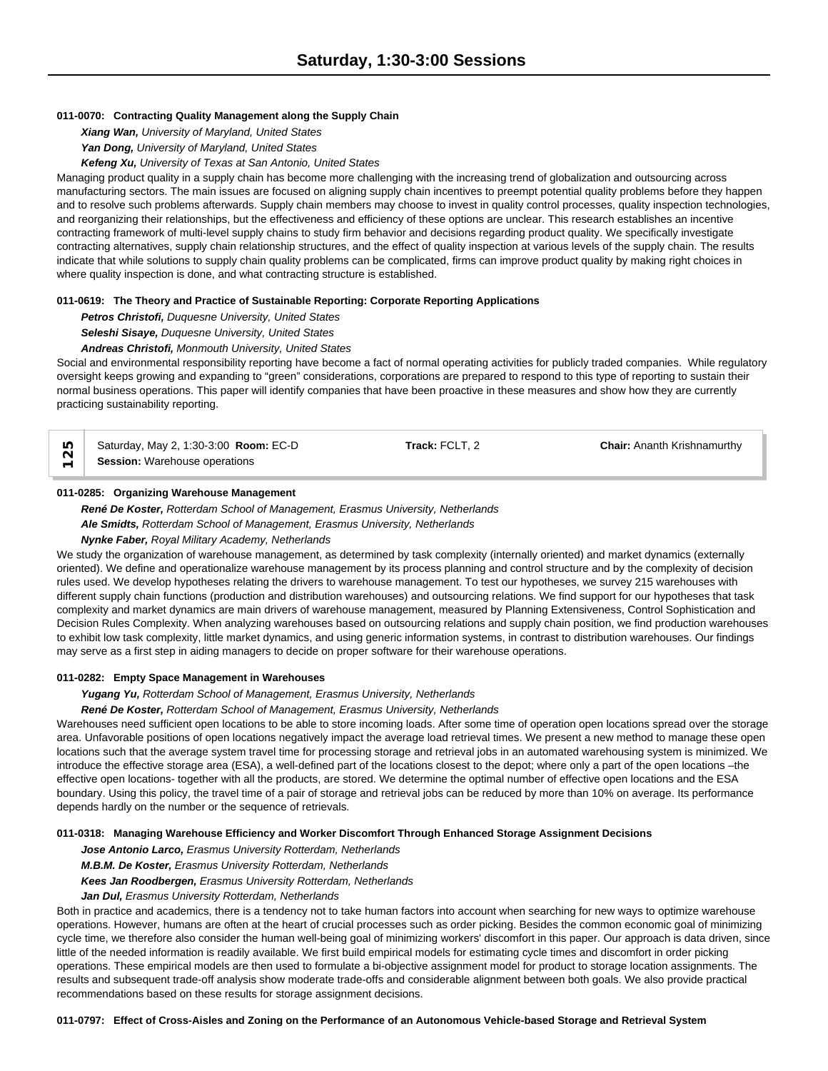### **011-0070: Contracting Quality Management along the Supply Chain**

*Xiang Wan, University of Maryland, United States*

*Yan Dong, University of Maryland, United States*

*Kefeng Xu, University of Texas at San Antonio, United States*

Managing product quality in a supply chain has become more challenging with the increasing trend of globalization and outsourcing across manufacturing sectors. The main issues are focused on aligning supply chain incentives to preempt potential quality problems before they happen and to resolve such problems afterwards. Supply chain members may choose to invest in quality control processes, quality inspection technologies, and reorganizing their relationships, but the effectiveness and efficiency of these options are unclear. This research establishes an incentive contracting framework of multi-level supply chains to study firm behavior and decisions regarding product quality. We specifically investigate contracting alternatives, supply chain relationship structures, and the effect of quality inspection at various levels of the supply chain. The results indicate that while solutions to supply chain quality problems can be complicated, firms can improve product quality by making right choices in where quality inspection is done, and what contracting structure is established.

### **011-0619: The Theory and Practice of Sustainable Reporting: Corporate Reporting Applications**

*Petros Christofi, Duquesne University, United States*

*Seleshi Sisaye, Duquesne University, United States*

### *Andreas Christofi, Monmouth University, United States*

Social and environmental responsibility reporting have become a fact of normal operating activities for publicly traded companies. While regulatory oversight keeps growing and expanding to "green" considerations, corporations are prepared to respond to this type of reporting to sustain their normal business operations. This paper will identify companies that have been proactive in these measures and show how they are currently practicing sustainability reporting.

| Saturday, May 2, 1:30-3:00 Room: EC-D | Track: FCLT. 2 | <b>Chair: Ananth Krishnamurthy</b> |  |
|---------------------------------------|----------------|------------------------------------|--|
| <b>Session:</b> Warehouse operations  |                |                                    |  |

### **011-0285: Organizing Warehouse Management**

*René De Koster, Rotterdam School of Management, Erasmus University, Netherlands Ale Smidts, Rotterdam School of Management, Erasmus University, Netherlands Nynke Faber, Royal Military Academy, Netherlands*

We study the organization of warehouse management, as determined by task complexity (internally oriented) and market dynamics (externally oriented). We define and operationalize warehouse management by its process planning and control structure and by the complexity of decision rules used. We develop hypotheses relating the drivers to warehouse management. To test our hypotheses, we survey 215 warehouses with different supply chain functions (production and distribution warehouses) and outsourcing relations. We find support for our hypotheses that task complexity and market dynamics are main drivers of warehouse management, measured by Planning Extensiveness, Control Sophistication and Decision Rules Complexity. When analyzing warehouses based on outsourcing relations and supply chain position, we find production warehouses to exhibit low task complexity, little market dynamics, and using generic information systems, in contrast to distribution warehouses. Our findings may serve as a first step in aiding managers to decide on proper software for their warehouse operations.

### **011-0282: Empty Space Management in Warehouses**

*Yugang Yu, Rotterdam School of Management, Erasmus University, Netherlands*

*René De Koster, Rotterdam School of Management, Erasmus University, Netherlands*

Warehouses need sufficient open locations to be able to store incoming loads. After some time of operation open locations spread over the storage area. Unfavorable positions of open locations negatively impact the average load retrieval times. We present a new method to manage these open locations such that the average system travel time for processing storage and retrieval jobs in an automated warehousing system is minimized. We introduce the effective storage area (ESA), a well-defined part of the locations closest to the depot; where only a part of the open locations –the effective open locations- together with all the products, are stored. We determine the optimal number of effective open locations and the ESA boundary. Using this policy, the travel time of a pair of storage and retrieval jobs can be reduced by more than 10% on average. Its performance depends hardly on the number or the sequence of retrievals.

#### **011-0318: Managing Warehouse Efficiency and Worker Discomfort Through Enhanced Storage Assignment Decisions**

*Jose Antonio Larco, Erasmus University Rotterdam, Netherlands*

*M.B.M. De Koster, Erasmus University Rotterdam, Netherlands*

*Kees Jan Roodbergen, Erasmus University Rotterdam, Netherlands*

#### *Jan Dul, Erasmus University Rotterdam, Netherlands*

Both in practice and academics, there is a tendency not to take human factors into account when searching for new ways to optimize warehouse operations. However, humans are often at the heart of crucial processes such as order picking. Besides the common economic goal of minimizing cycle time, we therefore also consider the human well-being goal of minimizing workers' discomfort in this paper. Our approach is data driven, since little of the needed information is readily available. We first build empirical models for estimating cycle times and discomfort in order picking operations. These empirical models are then used to formulate a bi-objective assignment model for product to storage location assignments. The results and subsequent trade-off analysis show moderate trade-offs and considerable alignment between both goals. We also provide practical recommendations based on these results for storage assignment decisions.

**011-0797: Effect of Cross-Aisles and Zoning on the Performance of an Autonomous Vehicle-based Storage and Retrieval System**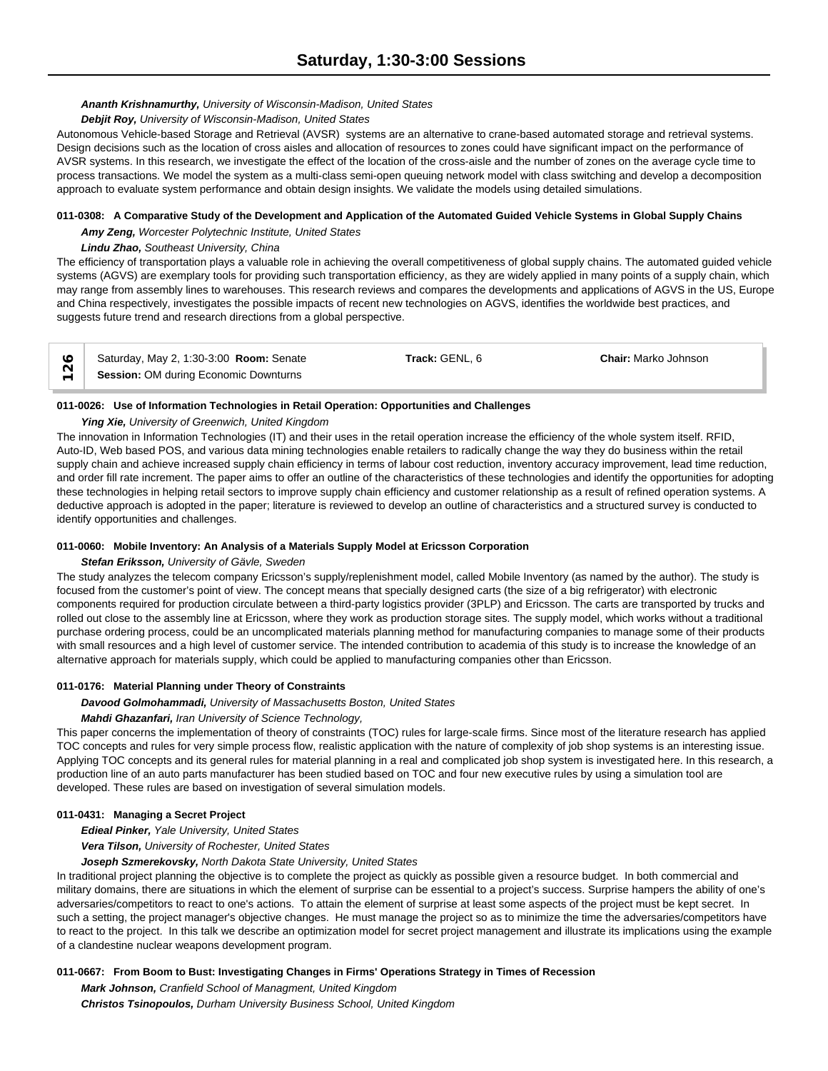# *Ananth Krishnamurthy, University of Wisconsin-Madison, United States*

### *Debjit Roy, University of Wisconsin-Madison, United States*

Autonomous Vehicle-based Storage and Retrieval (AVSR) systems are an alternative to crane-based automated storage and retrieval systems. Design decisions such as the location of cross aisles and allocation of resources to zones could have significant impact on the performance of AVSR systems. In this research, we investigate the effect of the location of the cross-aisle and the number of zones on the average cycle time to process transactions. We model the system as a multi-class semi-open queuing network model with class switching and develop a decomposition approach to evaluate system performance and obtain design insights. We validate the models using detailed simulations.

### **011-0308: A Comparative Study of the Development and Application of the Automated Guided Vehicle Systems in Global Supply Chains**

*Amy Zeng, Worcester Polytechnic Institute, United States*

### *Lindu Zhao, Southeast University, China*

The efficiency of transportation plays a valuable role in achieving the overall competitiveness of global supply chains. The automated guided vehicle systems (AGVS) are exemplary tools for providing such transportation efficiency, as they are widely applied in many points of a supply chain, which may range from assembly lines to warehouses. This research reviews and compares the developments and applications of AGVS in the US, Europe and China respectively, investigates the possible impacts of recent new technologies on AGVS, identifies the worldwide best practices, and suggests future trend and research directions from a global perspective.

| Saturday, May 2, 1:30-3:00 <b>Room:</b> Senate | Track: GENL, 6 | <b>Chair:</b> Marko Johnson |  |
|------------------------------------------------|----------------|-----------------------------|--|
| Session: OM during Economic Downturns          |                |                             |  |

### **011-0026: Use of Information Technologies in Retail Operation: Opportunities and Challenges**

# *Ying Xie, University of Greenwich, United Kingdom*

The innovation in Information Technologies (IT) and their uses in the retail operation increase the efficiency of the whole system itself. RFID, Auto-ID, Web based POS, and various data mining technologies enable retailers to radically change the way they do business within the retail supply chain and achieve increased supply chain efficiency in terms of labour cost reduction, inventory accuracy improvement, lead time reduction, and order fill rate increment. The paper aims to offer an outline of the characteristics of these technologies and identify the opportunities for adopting these technologies in helping retail sectors to improve supply chain efficiency and customer relationship as a result of refined operation systems. A deductive approach is adopted in the paper; literature is reviewed to develop an outline of characteristics and a structured survey is conducted to identify opportunities and challenges.

### **011-0060: Mobile Inventory: An Analysis of a Materials Supply Model at Ericsson Corporation**

### *Stefan Eriksson, University of Gävle, Sweden*

The study analyzes the telecom company Ericsson's supply/replenishment model, called Mobile Inventory (as named by the author). The study is focused from the customer's point of view. The concept means that specially designed carts (the size of a big refrigerator) with electronic components required for production circulate between a third-party logistics provider (3PLP) and Ericsson. The carts are transported by trucks and rolled out close to the assembly line at Ericsson, where they work as production storage sites. The supply model, which works without a traditional purchase ordering process, could be an uncomplicated materials planning method for manufacturing companies to manage some of their products with small resources and a high level of customer service. The intended contribution to academia of this study is to increase the knowledge of an alternative approach for materials supply, which could be applied to manufacturing companies other than Ericsson.

### **011-0176: Material Planning under Theory of Constraints**

*Davood Golmohammadi, University of Massachusetts Boston, United States*

### *Mahdi Ghazanfari, Iran University of Science Technology,*

This paper concerns the implementation of theory of constraints (TOC) rules for large-scale firms. Since most of the literature research has applied TOC concepts and rules for very simple process flow, realistic application with the nature of complexity of job shop systems is an interesting issue. Applying TOC concepts and its general rules for material planning in a real and complicated job shop system is investigated here. In this research, a production line of an auto parts manufacturer has been studied based on TOC and four new executive rules by using a simulation tool are developed. These rules are based on investigation of several simulation models.

### **011-0431: Managing a Secret Project**

*Edieal Pinker, Yale University, United States*

*Vera Tilson, University of Rochester, United States*

*Joseph Szmerekovsky, North Dakota State University, United States*

In traditional project planning the objective is to complete the project as quickly as possible given a resource budget. In both commercial and military domains, there are situations in which the element of surprise can be essential to a project's success. Surprise hampers the ability of one's adversaries/competitors to react to one's actions. To attain the element of surprise at least some aspects of the project must be kept secret. In such a setting, the project manager's objective changes. He must manage the project so as to minimize the time the adversaries/competitors have to react to the project. In this talk we describe an optimization model for secret project management and illustrate its implications using the example of a clandestine nuclear weapons development program.

### **011-0667: From Boom to Bust: Investigating Changes in Firms' Operations Strategy in Times of Recession**

*Mark Johnson, Cranfield School of Managment, United Kingdom Christos Tsinopoulos, Durham University Business School, United Kingdom*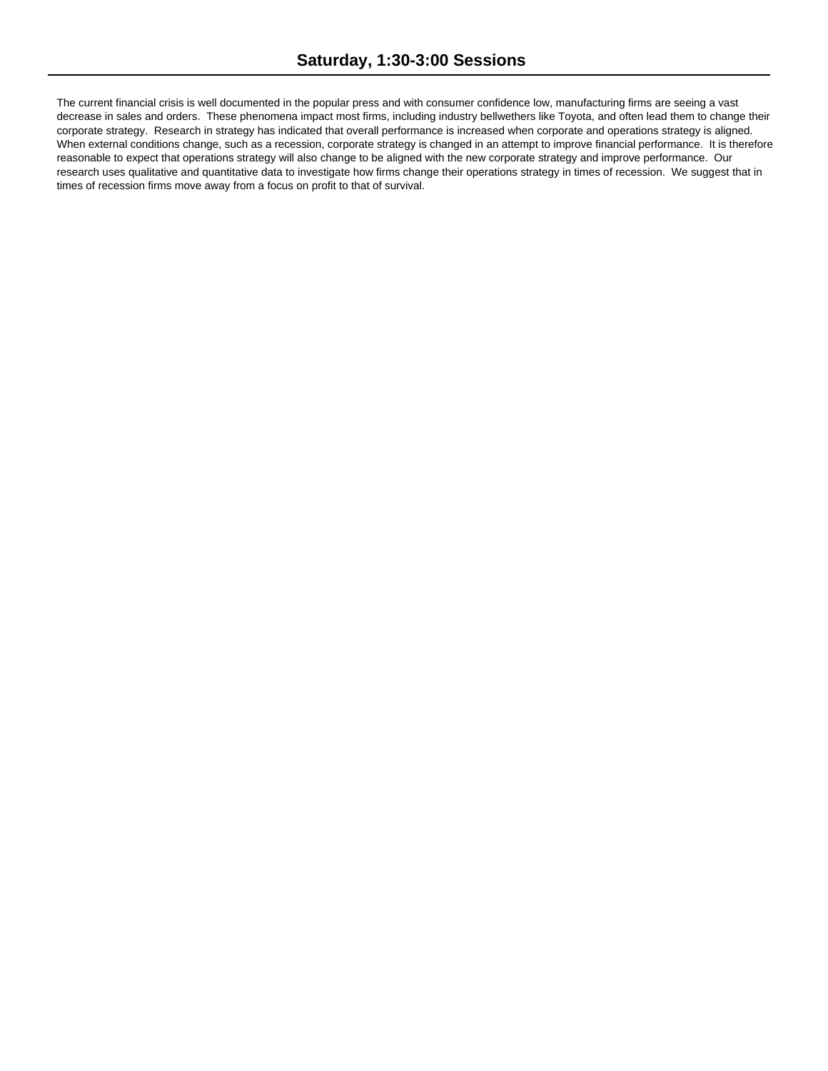The current financial crisis is well documented in the popular press and with consumer confidence low, manufacturing firms are seeing a vast decrease in sales and orders. These phenomena impact most firms, including industry bellwethers like Toyota, and often lead them to change their corporate strategy. Research in strategy has indicated that overall performance is increased when corporate and operations strategy is aligned. When external conditions change, such as a recession, corporate strategy is changed in an attempt to improve financial performance. It is therefore reasonable to expect that operations strategy will also change to be aligned with the new corporate strategy and improve performance. Our research uses qualitative and quantitative data to investigate how firms change their operations strategy in times of recession. We suggest that in times of recession firms move away from a focus on profit to that of survival.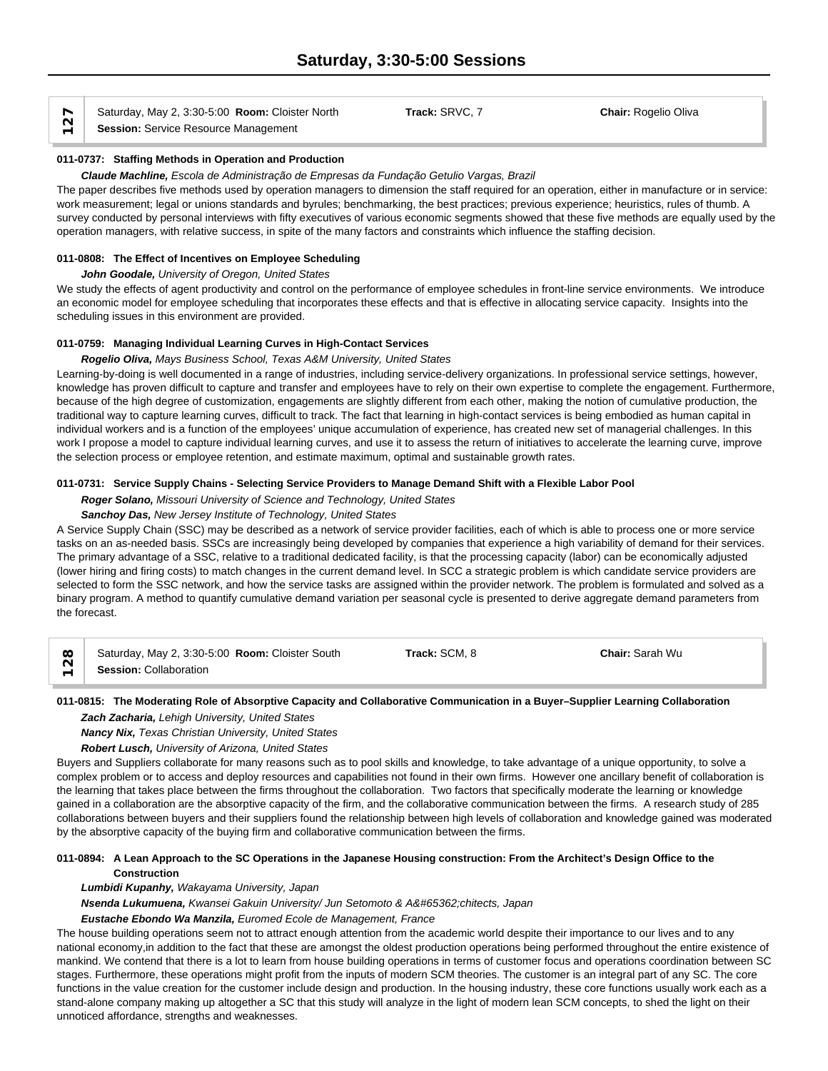Saturday, May 2, 3:30-5:00 **Room:** Cloister North **Track:** SRVC, 7 **Chair:** Rogelio Oliva **Session:** Service Resource Management

### **011-0737: Staffing Methods in Operation and Production**

#### *Claude Machline, Escola de Administração de Empresas da Fundação Getulio Vargas, Brazil*

The paper describes five methods used by operation managers to dimension the staff required for an operation, either in manufacture or in service: work measurement; legal or unions standards and byrules; benchmarking, the best practices; previous experience; heuristics, rules of thumb. A survey conducted by personal interviews with fifty executives of various economic segments showed that these five methods are equally used by the operation managers, with relative success, in spite of the many factors and constraints which influence the staffing decision.

### **011-0808: The Effect of Incentives on Employee Scheduling**

### *John Goodale, University of Oregon, United States*

We study the effects of agent productivity and control on the performance of employee schedules in front-line service environments. We introduce an economic model for employee scheduling that incorporates these effects and that is effective in allocating service capacity. Insights into the scheduling issues in this environment are provided.

### **011-0759: Managing Individual Learning Curves in High-Contact Services**

#### *Rogelio Oliva, Mays Business School, Texas A&M University, United States*

Learning-by-doing is well documented in a range of industries, including service-delivery organizations. In professional service settings, however, knowledge has proven difficult to capture and transfer and employees have to rely on their own expertise to complete the engagement. Furthermore, because of the high degree of customization, engagements are slightly different from each other, making the notion of cumulative production, the traditional way to capture learning curves, difficult to track. The fact that learning in high-contact services is being embodied as human capital in individual workers and is a function of the employees' unique accumulation of experience, has created new set of managerial challenges. In this work I propose a model to capture individual learning curves, and use it to assess the return of initiatives to accelerate the learning curve, improve the selection process or employee retention, and estimate maximum, optimal and sustainable growth rates.

#### **011-0731: Service Supply Chains - Selecting Service Providers to Manage Demand Shift with a Flexible Labor Pool**

*Roger Solano, Missouri University of Science and Technology, United States*

### *Sanchoy Das, New Jersey Institute of Technology, United States*

A Service Supply Chain (SSC) may be described as a network of service provider facilities, each of which is able to process one or more service tasks on an as-needed basis. SSCs are increasingly being developed by companies that experience a high variability of demand for their services. The primary advantage of a SSC, relative to a traditional dedicated facility, is that the processing capacity (labor) can be economically adjusted (lower hiring and firing costs) to match changes in the current demand level. In SCC a strategic problem is which candidate service providers are selected to form the SSC network, and how the service tasks are assigned within the provider network. The problem is formulated and solved as a binary program. A method to quantify cumulative demand variation per seasonal cycle is presented to derive aggregate demand parameters from the forecast.

| $\infty$                 | Saturday, May 2, 3:30-5:00 Room: Cloister South | Track: SCM, 8 | <b>Chair: Sarah Wu</b> |  |
|--------------------------|-------------------------------------------------|---------------|------------------------|--|
| $\overline{\phantom{0}}$ | Session: Collaboration                          |               |                        |  |

## **011-0815: The Moderating Role of Absorptive Capacity and Collaborative Communication in a Buyer–Supplier Learning Collaboration** *Zach Zacharia, Lehigh University, United States*

*Nancy Nix, Texas Christian University, United States*

*Robert Lusch, University of Arizona, United States*

Buyers and Suppliers collaborate for many reasons such as to pool skills and knowledge, to take advantage of a unique opportunity, to solve a complex problem or to access and deploy resources and capabilities not found in their own firms. However one ancillary benefit of collaboration is the learning that takes place between the firms throughout the collaboration. Two factors that specifically moderate the learning or knowledge gained in a collaboration are the absorptive capacity of the firm, and the collaborative communication between the firms. A research study of 285 collaborations between buyers and their suppliers found the relationship between high levels of collaboration and knowledge gained was moderated by the absorptive capacity of the buying firm and collaborative communication between the firms.

### **011-0894: A Lean Approach to the SC Operations in the Japanese Housing construction: From the Architect's Design Office to the Construction**

*Lumbidi Kupanhy, Wakayama University, Japan*

*Nsenda Lukumuena, Kwansei Gakuin University/ Jun Setomoto & Architects, Japan* 

*Eustache Ebondo Wa Manzila, Euromed Ecole de Management, France*

The house building operations seem not to attract enough attention from the academic world despite their importance to our lives and to any national economy,in addition to the fact that these are amongst the oldest production operations being performed throughout the entire existence of mankind. We contend that there is a lot to learn from house building operations in terms of customer focus and operations coordination between SC stages. Furthermore, these operations might profit from the inputs of modern SCM theories. The customer is an integral part of any SC. The core functions in the value creation for the customer include design and production. In the housing industry, these core functions usually work each as a stand-alone company making up altogether a SC that this study will analyze in the light of modern lean SCM concepts, to shed the light on their unnoticed affordance, strengths and weaknesses.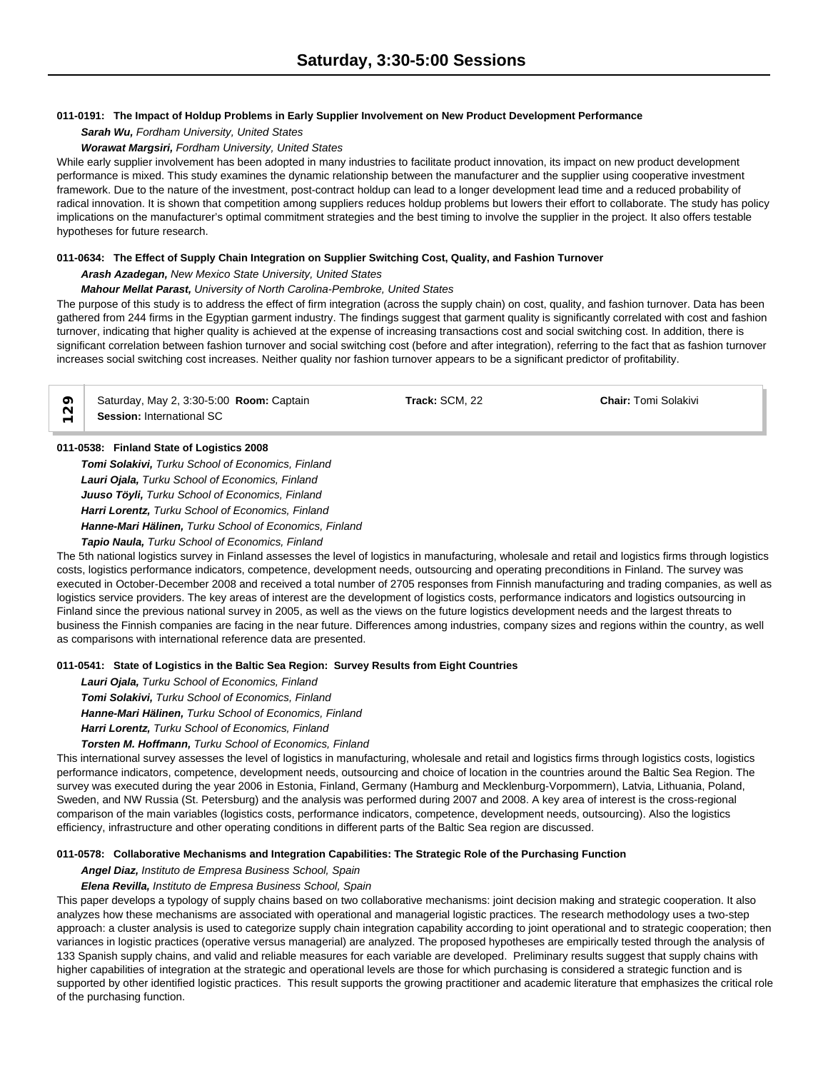# **011-0191: The Impact of Holdup Problems in Early Supplier Involvement on New Product Development Performance**

*Sarah Wu, Fordham University, United States*

### *Worawat Margsiri, Fordham University, United States*

While early supplier involvement has been adopted in many industries to facilitate product innovation, its impact on new product development performance is mixed. This study examines the dynamic relationship between the manufacturer and the supplier using cooperative investment framework. Due to the nature of the investment, post-contract holdup can lead to a longer development lead time and a reduced probability of radical innovation. It is shown that competition among suppliers reduces holdup problems but lowers their effort to collaborate. The study has policy implications on the manufacturer's optimal commitment strategies and the best timing to involve the supplier in the project. It also offers testable hypotheses for future research.

### **011-0634: The Effect of Supply Chain Integration on Supplier Switching Cost, Quality, and Fashion Turnover**

### *Arash Azadegan, New Mexico State University, United States*

# *Mahour Mellat Parast, University of North Carolina-Pembroke, United States*

The purpose of this study is to address the effect of firm integration (across the supply chain) on cost, quality, and fashion turnover. Data has been gathered from 244 firms in the Egyptian garment industry. The findings suggest that garment quality is significantly correlated with cost and fashion turnover, indicating that higher quality is achieved at the expense of increasing transactions cost and social switching cost. In addition, there is significant correlation between fashion turnover and social switching cost (before and after integration), referring to the fact that as fashion turnover increases social switching cost increases. Neither quality nor fashion turnover appears to be a significant predictor of profitability.

Saturday, May 2, 3:30-5:00 **Room:** Captain **Track:** SCM, 22 **Chair:** Tomi Solakivi **O** Saturday, May 2, 3:30-5:0<br> **Session:** International SC

# **011-0538: Finland State of Logistics 2008**

*Tomi Solakivi, Turku School of Economics, Finland Lauri Ojala, Turku School of Economics, Finland Juuso Töyli, Turku School of Economics, Finland Harri Lorentz, Turku School of Economics, Finland Hanne-Mari Hälinen, Turku School of Economics, Finland Tapio Naula, Turku School of Economics, Finland*

The 5th national logistics survey in Finland assesses the level of logistics in manufacturing, wholesale and retail and logistics firms through logistics costs, logistics performance indicators, competence, development needs, outsourcing and operating preconditions in Finland. The survey was executed in October-December 2008 and received a total number of 2705 responses from Finnish manufacturing and trading companies, as well as logistics service providers. The key areas of interest are the development of logistics costs, performance indicators and logistics outsourcing in Finland since the previous national survey in 2005, as well as the views on the future logistics development needs and the largest threats to business the Finnish companies are facing in the near future. Differences among industries, company sizes and regions within the country, as well as comparisons with international reference data are presented.

# **011-0541: State of Logistics in the Baltic Sea Region: Survey Results from Eight Countries**

*Lauri Ojala, Turku School of Economics, Finland Tomi Solakivi, Turku School of Economics, Finland Hanne-Mari Hälinen, Turku School of Economics, Finland*

*Harri Lorentz, Turku School of Economics, Finland*

# *Torsten M. Hoffmann, Turku School of Economics, Finland*

This international survey assesses the level of logistics in manufacturing, wholesale and retail and logistics firms through logistics costs, logistics performance indicators, competence, development needs, outsourcing and choice of location in the countries around the Baltic Sea Region. The survey was executed during the year 2006 in Estonia, Finland, Germany (Hamburg and Mecklenburg-Vorpommern), Latvia, Lithuania, Poland, Sweden, and NW Russia (St. Petersburg) and the analysis was performed during 2007 and 2008. A key area of interest is the cross-regional comparison of the main variables (logistics costs, performance indicators, competence, development needs, outsourcing). Also the logistics efficiency, infrastructure and other operating conditions in different parts of the Baltic Sea region are discussed.

### **011-0578: Collaborative Mechanisms and Integration Capabilities: The Strategic Role of the Purchasing Function**

### *Angel Diaz, Instituto de Empresa Business School, Spain*

### *Elena Revilla, Instituto de Empresa Business School, Spain*

This paper develops a typology of supply chains based on two collaborative mechanisms: joint decision making and strategic cooperation. It also analyzes how these mechanisms are associated with operational and managerial logistic practices. The research methodology uses a two-step approach: a cluster analysis is used to categorize supply chain integration capability according to joint operational and to strategic cooperation; then variances in logistic practices (operative versus managerial) are analyzed. The proposed hypotheses are empirically tested through the analysis of 133 Spanish supply chains, and valid and reliable measures for each variable are developed. Preliminary results suggest that supply chains with higher capabilities of integration at the strategic and operational levels are those for which purchasing is considered a strategic function and is supported by other identified logistic practices. This result supports the growing practitioner and academic literature that emphasizes the critical role of the purchasing function.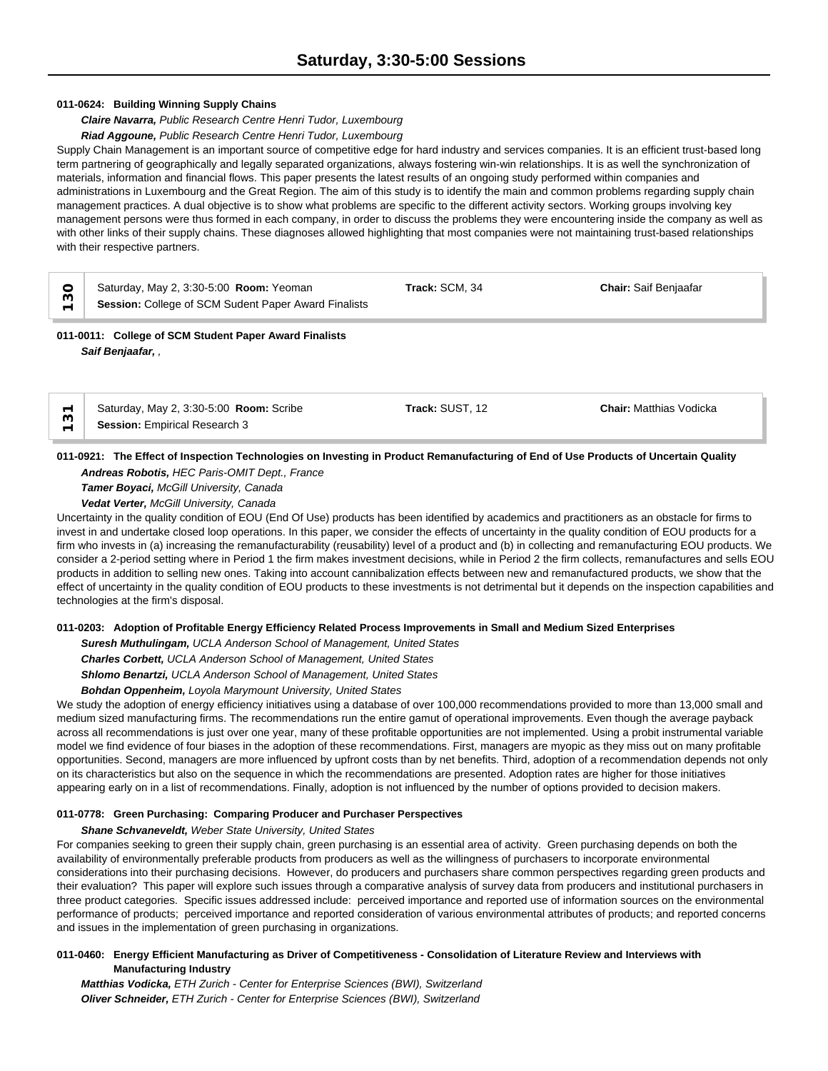### **011-0624: Building Winning Supply Chains**

### *Claire Navarra, Public Research Centre Henri Tudor, Luxembourg*

#### *Riad Aggoune, Public Research Centre Henri Tudor, Luxembourg*

Supply Chain Management is an important source of competitive edge for hard industry and services companies. It is an efficient trust-based long term partnering of geographically and legally separated organizations, always fostering win-win relationships. It is as well the synchronization of materials, information and financial flows. This paper presents the latest results of an ongoing study performed within companies and administrations in Luxembourg and the Great Region. The aim of this study is to identify the main and common problems regarding supply chain management practices. A dual objective is to show what problems are specific to the different activity sectors. Working groups involving key management persons were thus formed in each company, in order to discuss the problems they were encountering inside the company as well as with other links of their supply chains. These diagnoses allowed highlighting that most companies were not maintaining trust-based relationships with their respective partners.

| CS<br>$\overline{\phantom{0}}$ | Saturday, May 2, 3:30-5:00 Room: Yeoman<br>Session: College of SCM Sudent Paper Award Finalists | Track: SCM, 34 | <b>Chair:</b> Saif Benjaafar |
|--------------------------------|-------------------------------------------------------------------------------------------------|----------------|------------------------------|
|                                | 011-0011: College of SCM Student Paper Award Finalists<br>Saif Benjaafar,                       |                |                              |

Saturday, May 2, 3:30-5:00 **Room:** Scribe **Track:** SUST, 12 **Chair:** Matthias Vodicka

**011-0921: The Effect of Inspection Technologies on Investing in Product Remanufacturing of End of Use Products of Uncertain Quality** *Andreas Robotis, HEC Paris-OMIT Dept., France*

*Tamer Boyaci, McGill University, Canada Vedat Verter, McGill University, Canada*

**Session:** Empirical Research 3

Uncertainty in the quality condition of EOU (End Of Use) products has been identified by academics and practitioners as an obstacle for firms to invest in and undertake closed loop operations. In this paper, we consider the effects of uncertainty in the quality condition of EOU products for a firm who invests in (a) increasing the remanufacturability (reusability) level of a product and (b) in collecting and remanufacturing EOU products. We consider a 2-period setting where in Period 1 the firm makes investment decisions, while in Period 2 the firm collects, remanufactures and sells EOU products in addition to selling new ones. Taking into account cannibalization effects between new and remanufactured products, we show that the effect of uncertainty in the quality condition of EOU products to these investments is not detrimental but it depends on the inspection capabilities and technologies at the firm's disposal.

#### **011-0203: Adoption of Profitable Energy Efficiency Related Process Improvements in Small and Medium Sized Enterprises**

*Suresh Muthulingam, UCLA Anderson School of Management, United States Charles Corbett, UCLA Anderson School of Management, United States Shlomo Benartzi, UCLA Anderson School of Management, United States*

*Bohdan Oppenheim, Loyola Marymount University, United States*

We study the adoption of energy efficiency initiatives using a database of over 100,000 recommendations provided to more than 13,000 small and medium sized manufacturing firms. The recommendations run the entire gamut of operational improvements. Even though the average payback across all recommendations is just over one year, many of these profitable opportunities are not implemented. Using a probit instrumental variable model we find evidence of four biases in the adoption of these recommendations. First, managers are myopic as they miss out on many profitable opportunities. Second, managers are more influenced by upfront costs than by net benefits. Third, adoption of a recommendation depends not only on its characteristics but also on the sequence in which the recommendations are presented. Adoption rates are higher for those initiatives appearing early on in a list of recommendations. Finally, adoption is not influenced by the number of options provided to decision makers.

### **011-0778: Green Purchasing: Comparing Producer and Purchaser Perspectives**

### *Shane Schvaneveldt, Weber State University, United States*

For companies seeking to green their supply chain, green purchasing is an essential area of activity. Green purchasing depends on both the availability of environmentally preferable products from producers as well as the willingness of purchasers to incorporate environmental considerations into their purchasing decisions. However, do producers and purchasers share common perspectives regarding green products and their evaluation? This paper will explore such issues through a comparative analysis of survey data from producers and institutional purchasers in three product categories. Specific issues addressed include: perceived importance and reported use of information sources on the environmental performance of products; perceived importance and reported consideration of various environmental attributes of products; and reported concerns and issues in the implementation of green purchasing in organizations.

### **011-0460: Energy Efficient Manufacturing as Driver of Competitiveness - Consolidation of Literature Review and Interviews with Manufacturing Industry**

*Matthias Vodicka, ETH Zurich - Center for Enterprise Sciences (BWI), Switzerland Oliver Schneider, ETH Zurich - Center for Enterprise Sciences (BWI), Switzerland*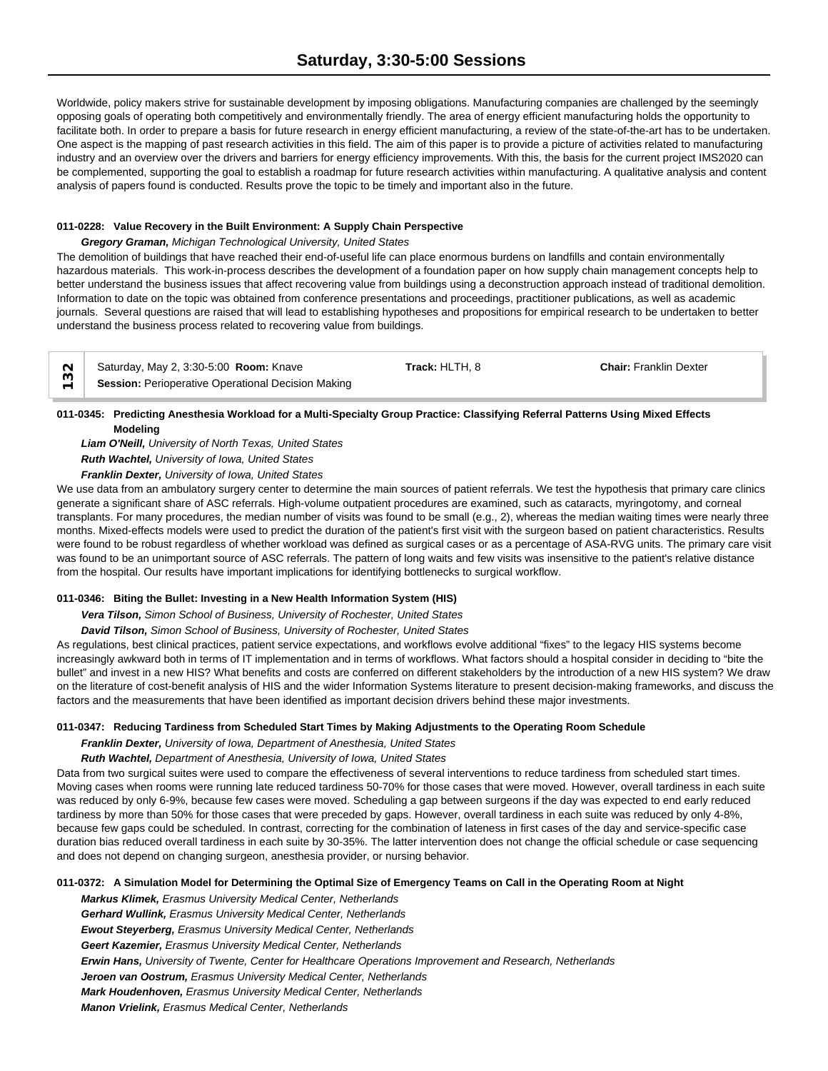Worldwide, policy makers strive for sustainable development by imposing obligations. Manufacturing companies are challenged by the seemingly opposing goals of operating both competitively and environmentally friendly. The area of energy efficient manufacturing holds the opportunity to facilitate both. In order to prepare a basis for future research in energy efficient manufacturing, a review of the state-of-the-art has to be undertaken. One aspect is the mapping of past research activities in this field. The aim of this paper is to provide a picture of activities related to manufacturing industry and an overview over the drivers and barriers for energy efficiency improvements. With this, the basis for the current project IMS2020 can be complemented, supporting the goal to establish a roadmap for future research activities within manufacturing. A qualitative analysis and content analysis of papers found is conducted. Results prove the topic to be timely and important also in the future.

### **011-0228: Value Recovery in the Built Environment: A Supply Chain Perspective**

#### *Gregory Graman, Michigan Technological University, United States*

The demolition of buildings that have reached their end-of-useful life can place enormous burdens on landfills and contain environmentally hazardous materials. This work-in-process describes the development of a foundation paper on how supply chain management concepts help to better understand the business issues that affect recovering value from buildings using a deconstruction approach instead of traditional demolition. Information to date on the topic was obtained from conference presentations and proceedings, practitioner publications, as well as academic journals. Several questions are raised that will lead to establishing hypotheses and propositions for empirical research to be undertaken to better understand the business process related to recovering value from buildings.

**Saturday, May 2, 3:30-5:00 Room: Knave**<br> **Session:** Perioperative Operational Decision Making

Saturday, May 2, 3:30-5:00 **Room:** Knave **Track:** HLTH, 8 **Chair:** Franklin Dexter

**011-0345: Predicting Anesthesia Workload for a Multi-Specialty Group Practice: Classifying Referral Patterns Using Mixed Effects Modeling**

*Liam O'Neill, University of North Texas, United States*

*Ruth Wachtel, University of Iowa, United States Franklin Dexter, University of Iowa, United States*

We use data from an ambulatory surgery center to determine the main sources of patient referrals. We test the hypothesis that primary care clinics generate a significant share of ASC referrals. High-volume outpatient procedures are examined, such as cataracts, myringotomy, and corneal transplants. For many procedures, the median number of visits was found to be small (e.g., 2), whereas the median waiting times were nearly three months. Mixed-effects models were used to predict the duration of the patient's first visit with the surgeon based on patient characteristics. Results were found to be robust regardless of whether workload was defined as surgical cases or as a percentage of ASA-RVG units. The primary care visit was found to be an unimportant source of ASC referrals. The pattern of long waits and few visits was insensitive to the patient's relative distance from the hospital. Our results have important implications for identifying bottlenecks to surgical workflow.

### **011-0346: Biting the Bullet: Investing in a New Health Information System (HIS)**

*Vera Tilson, Simon School of Business, University of Rochester, United States*

*David Tilson, Simon School of Business, University of Rochester, United States*

As regulations, best clinical practices, patient service expectations, and workflows evolve additional "fixes" to the legacy HIS systems become increasingly awkward both in terms of IT implementation and in terms of workflows. What factors should a hospital consider in deciding to "bite the bullet" and invest in a new HIS? What benefits and costs are conferred on different stakeholders by the introduction of a new HIS system? We draw on the literature of cost-benefit analysis of HIS and the wider Information Systems literature to present decision-making frameworks, and discuss the factors and the measurements that have been identified as important decision drivers behind these major investments.

### **011-0347: Reducing Tardiness from Scheduled Start Times by Making Adjustments to the Operating Room Schedule**

*Franklin Dexter, University of Iowa, Department of Anesthesia, United States*

*Ruth Wachtel, Department of Anesthesia, University of Iowa, United States*

Data from two surgical suites were used to compare the effectiveness of several interventions to reduce tardiness from scheduled start times. Moving cases when rooms were running late reduced tardiness 50-70% for those cases that were moved. However, overall tardiness in each suite was reduced by only 6-9%, because few cases were moved. Scheduling a gap between surgeons if the day was expected to end early reduced tardiness by more than 50% for those cases that were preceded by gaps. However, overall tardiness in each suite was reduced by only 4-8%, because few gaps could be scheduled. In contrast, correcting for the combination of lateness in first cases of the day and service-specific case duration bias reduced overall tardiness in each suite by 30-35%. The latter intervention does not change the official schedule or case sequencing and does not depend on changing surgeon, anesthesia provider, or nursing behavior.

### **011-0372: A Simulation Model for Determining the Optimal Size of Emergency Teams on Call in the Operating Room at Night**

*Markus Klimek, Erasmus University Medical Center, Netherlands Gerhard Wullink, Erasmus University Medical Center, Netherlands Ewout Steyerberg, Erasmus University Medical Center, Netherlands Geert Kazemier, Erasmus University Medical Center, Netherlands Erwin Hans, University of Twente, Center for Healthcare Operations Improvement and Research, Netherlands Jeroen van Oostrum, Erasmus University Medical Center, Netherlands Mark Houdenhoven, Erasmus University Medical Center, Netherlands Manon Vrielink, Erasmus Medical Center, Netherlands*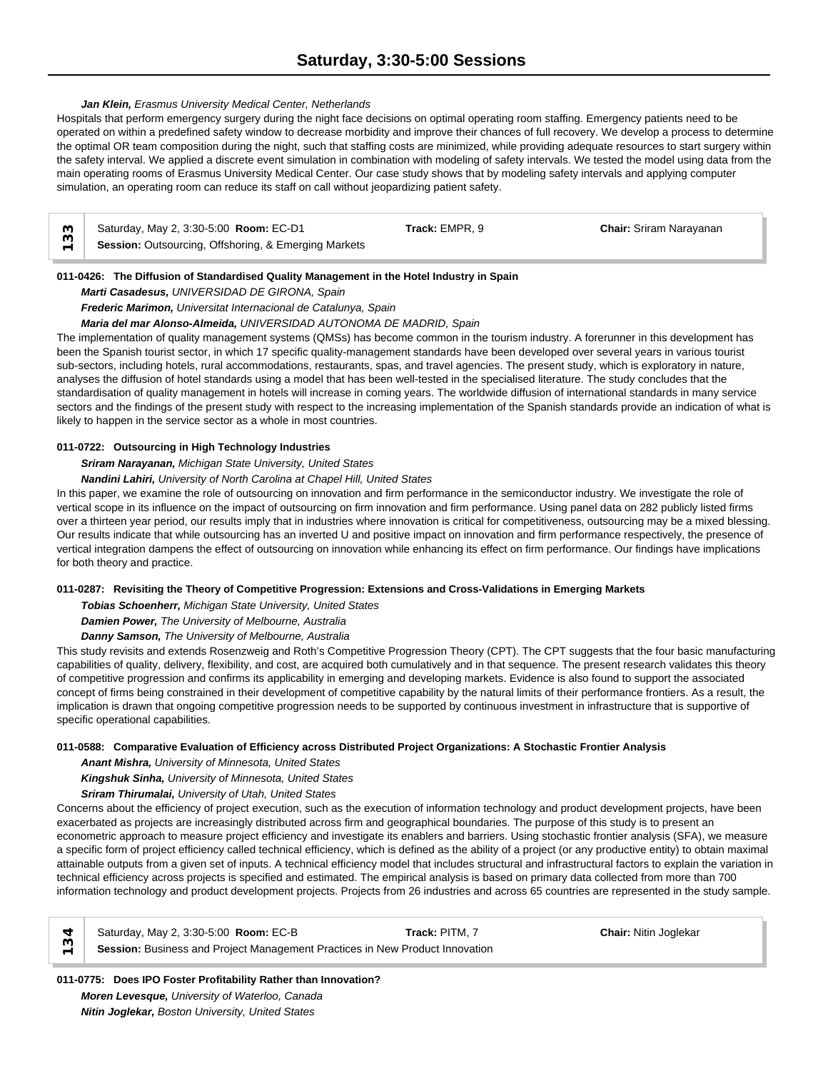### *Jan Klein, Erasmus University Medical Center, Netherlands*

Hospitals that perform emergency surgery during the night face decisions on optimal operating room staffing. Emergency patients need to be operated on within a predefined safety window to decrease morbidity and improve their chances of full recovery. We develop a process to determine the optimal OR team composition during the night, such that staffing costs are minimized, while providing adequate resources to start surgery within the safety interval. We applied a discrete event simulation in combination with modeling of safety intervals. We tested the model using data from the main operating rooms of Erasmus University Medical Center. Our case study shows that by modeling safety intervals and applying computer simulation, an operating room can reduce its staff on call without jeopardizing patient safety.

| Saturday, May 2, 3:30-5:00 Room: EC-D1               | Track: EMPR. 9 | <b>Chair: Sriram Naravanan</b> |  |
|------------------------------------------------------|----------------|--------------------------------|--|
| Session: Outsourcing, Offshoring, & Emerging Markets |                |                                |  |

### **011-0426: The Diffusion of Standardised Quality Management in the Hotel Industry in Spain**

*Marti Casadesus, UNIVERSIDAD DE GIRONA, Spain*

*Frederic Marimon, Universitat Internacional de Catalunya, Spain*

*Maria del mar Alonso-Almeida, UNIVERSIDAD AUTONOMA DE MADRID, Spain*

The implementation of quality management systems (QMSs) has become common in the tourism industry. A forerunner in this development has been the Spanish tourist sector, in which 17 specific quality-management standards have been developed over several years in various tourist sub-sectors, including hotels, rural accommodations, restaurants, spas, and travel agencies. The present study, which is exploratory in nature, analyses the diffusion of hotel standards using a model that has been well-tested in the specialised literature. The study concludes that the standardisation of quality management in hotels will increase in coming years. The worldwide diffusion of international standards in many service sectors and the findings of the present study with respect to the increasing implementation of the Spanish standards provide an indication of what is likely to happen in the service sector as a whole in most countries.

# **011-0722: Outsourcing in High Technology Industries**

*Sriram Narayanan, Michigan State University, United States*

*Nandini Lahiri, University of North Carolina at Chapel Hill, United States*

In this paper, we examine the role of outsourcing on innovation and firm performance in the semiconductor industry. We investigate the role of vertical scope in its influence on the impact of outsourcing on firm innovation and firm performance. Using panel data on 282 publicly listed firms over a thirteen year period, our results imply that in industries where innovation is critical for competitiveness, outsourcing may be a mixed blessing. Our results indicate that while outsourcing has an inverted U and positive impact on innovation and firm performance respectively, the presence of vertical integration dampens the effect of outsourcing on innovation while enhancing its effect on firm performance. Our findings have implications for both theory and practice.

### **011-0287: Revisiting the Theory of Competitive Progression: Extensions and Cross-Validations in Emerging Markets**

*Tobias Schoenherr, Michigan State University, United States*

*Damien Power, The University of Melbourne, Australia*

*Danny Samson, The University of Melbourne, Australia*

This study revisits and extends Rosenzweig and Roth's Competitive Progression Theory (CPT). The CPT suggests that the four basic manufacturing capabilities of quality, delivery, flexibility, and cost, are acquired both cumulatively and in that sequence. The present research validates this theory of competitive progression and confirms its applicability in emerging and developing markets. Evidence is also found to support the associated concept of firms being constrained in their development of competitive capability by the natural limits of their performance frontiers. As a result, the implication is drawn that ongoing competitive progression needs to be supported by continuous investment in infrastructure that is supportive of specific operational capabilities.

### **011-0588: Comparative Evaluation of Efficiency across Distributed Project Organizations: A Stochastic Frontier Analysis**

*Anant Mishra, University of Minnesota, United States*

*Kingshuk Sinha, University of Minnesota, United States*

### *Sriram Thirumalai, University of Utah, United States*

Concerns about the efficiency of project execution, such as the execution of information technology and product development projects, have been exacerbated as projects are increasingly distributed across firm and geographical boundaries. The purpose of this study is to present an econometric approach to measure project efficiency and investigate its enablers and barriers. Using stochastic frontier analysis (SFA), we measure a specific form of project efficiency called technical efficiency, which is defined as the ability of a project (or any productive entity) to obtain maximal attainable outputs from a given set of inputs. A technical efficiency model that includes structural and infrastructural factors to explain the variation in technical efficiency across projects is specified and estimated. The empirical analysis is based on primary data collected from more than 700 information technology and product development projects. Projects from 26 industries and across 65 countries are represented in the study sample.

Saturday, May 2, 3:30-5:00 **Room:** EC-B **Track:** PITM, 7 **Chair:** Nitin Joglekar **Session:** Business and Project Management Practices in New Product Innovation **134**

# **011-0775: Does IPO Foster Profitability Rather than Innovation?** *Moren Levesque, University of Waterloo, Canada*

*Nitin Joglekar, Boston University, United States*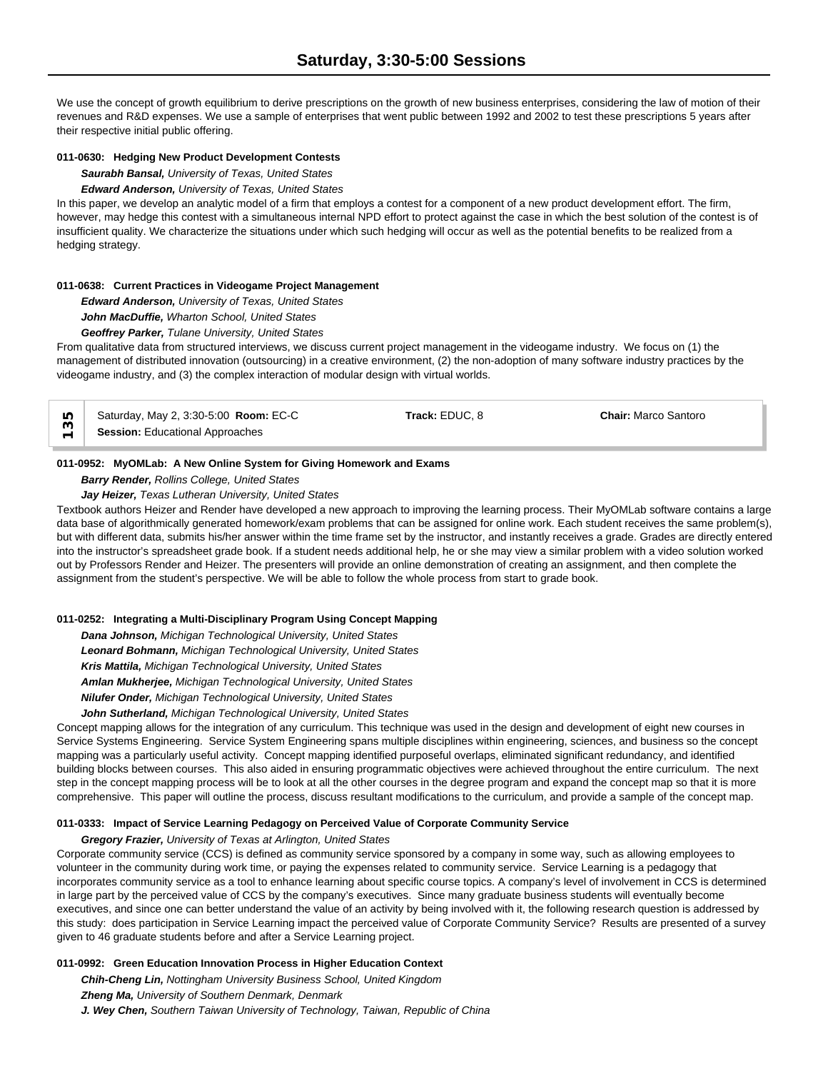We use the concept of growth equilibrium to derive prescriptions on the growth of new business enterprises, considering the law of motion of their revenues and R&D expenses. We use a sample of enterprises that went public between 1992 and 2002 to test these prescriptions 5 years after their respective initial public offering.

### **011-0630: Hedging New Product Development Contests**

*Saurabh Bansal, University of Texas, United States*

*Edward Anderson, University of Texas, United States*

In this paper, we develop an analytic model of a firm that employs a contest for a component of a new product development effort. The firm, however, may hedge this contest with a simultaneous internal NPD effort to protect against the case in which the best solution of the contest is of insufficient quality. We characterize the situations under which such hedging will occur as well as the potential benefits to be realized from a hedging strategy.

### **011-0638: Current Practices in Videogame Project Management**

*Edward Anderson, University of Texas, United States*

*John MacDuffie, Wharton School, United States*

*Geoffrey Parker, Tulane University, United States*

From qualitative data from structured interviews, we discuss current project management in the videogame industry. We focus on (1) the management of distributed innovation (outsourcing) in a creative environment, (2) the non-adoption of many software industry practices by the videogame industry, and (3) the complex interaction of modular design with virtual worlds.

| LO.                      | Saturday, May 2, 3:30-5:00 Room: EC-C  | Track: EDUC. 8 | <b>Chair: Marco Santoro</b> |  |
|--------------------------|----------------------------------------|----------------|-----------------------------|--|
| $\overline{\phantom{0}}$ | <b>Session: Educational Approaches</b> |                |                             |  |

### **011-0952: MyOMLab: A New Online System for Giving Homework and Exams**

*Barry Render, Rollins College, United States*

*Jay Heizer, Texas Lutheran University, United States*

Textbook authors Heizer and Render have developed a new approach to improving the learning process. Their MyOMLab software contains a large data base of algorithmically generated homework/exam problems that can be assigned for online work. Each student receives the same problem(s), but with different data, submits his/her answer within the time frame set by the instructor, and instantly receives a grade. Grades are directly entered into the instructor's spreadsheet grade book. If a student needs additional help, he or she may view a similar problem with a video solution worked out by Professors Render and Heizer. The presenters will provide an online demonstration of creating an assignment, and then complete the assignment from the student's perspective. We will be able to follow the whole process from start to grade book.

### **011-0252: Integrating a Multi-Disciplinary Program Using Concept Mapping**

*Dana Johnson, Michigan Technological University, United States Leonard Bohmann, Michigan Technological University, United States Kris Mattila, Michigan Technological University, United States Amlan Mukherjee, Michigan Technological University, United States Nilufer Onder, Michigan Technological University, United States*

*John Sutherland, Michigan Technological University, United States*

Concept mapping allows for the integration of any curriculum. This technique was used in the design and development of eight new courses in Service Systems Engineering. Service System Engineering spans multiple disciplines within engineering, sciences, and business so the concept mapping was a particularly useful activity. Concept mapping identified purposeful overlaps, eliminated significant redundancy, and identified building blocks between courses. This also aided in ensuring programmatic objectives were achieved throughout the entire curriculum. The next step in the concept mapping process will be to look at all the other courses in the degree program and expand the concept map so that it is more comprehensive. This paper will outline the process, discuss resultant modifications to the curriculum, and provide a sample of the concept map.

#### **011-0333: Impact of Service Learning Pedagogy on Perceived Value of Corporate Community Service**

*Gregory Frazier, University of Texas at Arlington, United States*

Corporate community service (CCS) is defined as community service sponsored by a company in some way, such as allowing employees to volunteer in the community during work time, or paying the expenses related to community service. Service Learning is a pedagogy that incorporates community service as a tool to enhance learning about specific course topics. A company's level of involvement in CCS is determined in large part by the perceived value of CCS by the company's executives. Since many graduate business students will eventually become executives, and since one can better understand the value of an activity by being involved with it, the following research question is addressed by this study: does participation in Service Learning impact the perceived value of Corporate Community Service? Results are presented of a survey given to 46 graduate students before and after a Service Learning project.

### **011-0992: Green Education Innovation Process in Higher Education Context**

*Chih-Cheng Lin, Nottingham University Business School, United Kingdom Zheng Ma, University of Southern Denmark, Denmark J. Wey Chen, Southern Taiwan University of Technology, Taiwan, Republic of China*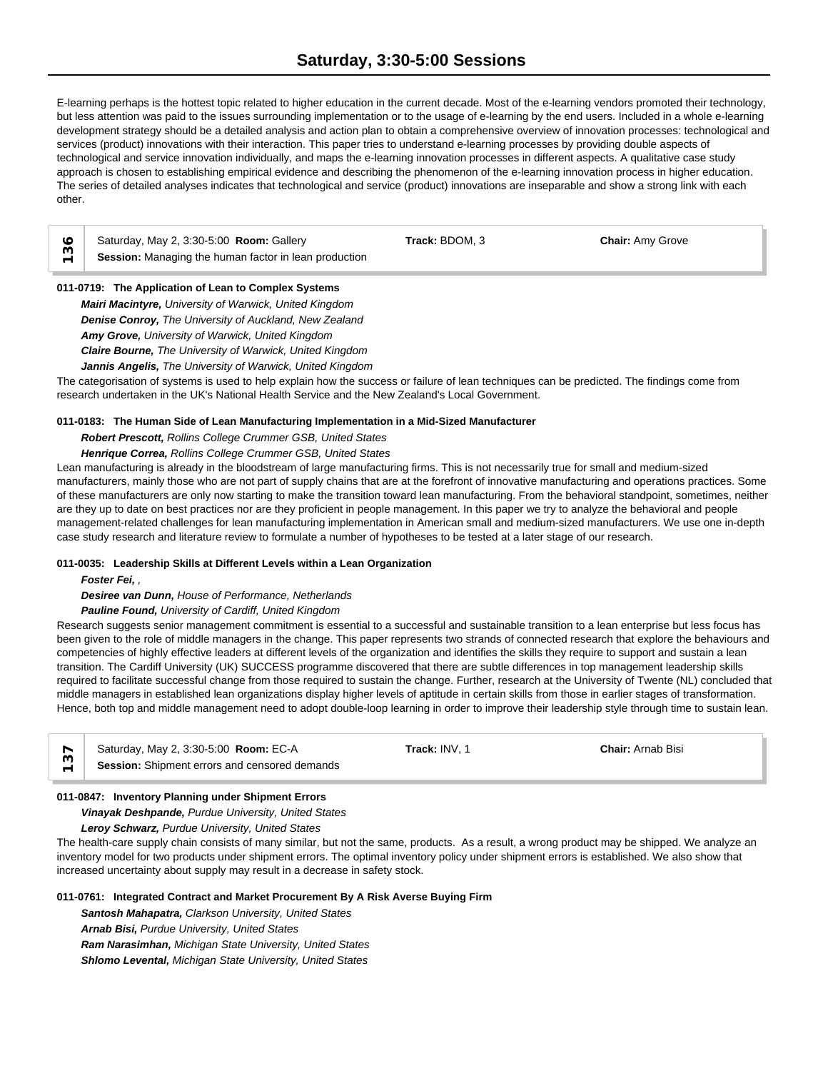# **Saturday, 3:30-5:00 Sessions**

E-learning perhaps is the hottest topic related to higher education in the current decade. Most of the e-learning vendors promoted their technology, but less attention was paid to the issues surrounding implementation or to the usage of e-learning by the end users. Included in a whole e-learning development strategy should be a detailed analysis and action plan to obtain a comprehensive overview of innovation processes: technological and services (product) innovations with their interaction. This paper tries to understand e-learning processes by providing double aspects of technological and service innovation individually, and maps the e-learning innovation processes in different aspects. A qualitative case study approach is chosen to establishing empirical evidence and describing the phenomenon of the e-learning innovation process in higher education. The series of detailed analyses indicates that technological and service (product) innovations are inseparable and show a strong link with each other.

| $\circ$ Saturday, May 2, 3:30-5:00 <b>Room:</b> Gallery | Track: BDOM. 3 | <b>Chair: Amy Grove</b> |  |
|---------------------------------------------------------|----------------|-------------------------|--|
| Session: Managing the human factor in lean production   |                |                         |  |

# **011-0719: The Application of Lean to Complex Systems**

*Mairi Macintyre, University of Warwick, United Kingdom Denise Conroy, The University of Auckland, New Zealand Amy Grove, University of Warwick, United Kingdom Claire Bourne, The University of Warwick, United Kingdom Jannis Angelis, The University of Warwick, United Kingdom*

The categorisation of systems is used to help explain how the success or failure of lean techniques can be predicted. The findings come from research undertaken in the UK's National Health Service and the New Zealand's Local Government.

### **011-0183: The Human Side of Lean Manufacturing Implementation in a Mid-Sized Manufacturer**

*Robert Prescott, Rollins College Crummer GSB, United States*

## *Henrique Correa, Rollins College Crummer GSB, United States*

Lean manufacturing is already in the bloodstream of large manufacturing firms. This is not necessarily true for small and medium-sized manufacturers, mainly those who are not part of supply chains that are at the forefront of innovative manufacturing and operations practices. Some of these manufacturers are only now starting to make the transition toward lean manufacturing. From the behavioral standpoint, sometimes, neither are they up to date on best practices nor are they proficient in people management. In this paper we try to analyze the behavioral and people management-related challenges for lean manufacturing implementation in American small and medium-sized manufacturers. We use one in-depth case study research and literature review to formulate a number of hypotheses to be tested at a later stage of our research.

#### **011-0035: Leadership Skills at Different Levels within a Lean Organization**

*Foster Fei, ,* 

#### *Desiree van Dunn, House of Performance, Netherlands*

#### *Pauline Found, University of Cardiff, United Kingdom*

Research suggests senior management commitment is essential to a successful and sustainable transition to a lean enterprise but less focus has been given to the role of middle managers in the change. This paper represents two strands of connected research that explore the behaviours and competencies of highly effective leaders at different levels of the organization and identifies the skills they require to support and sustain a lean transition. The Cardiff University (UK) SUCCESS programme discovered that there are subtle differences in top management leadership skills required to facilitate successful change from those required to sustain the change. Further, research at the University of Twente (NL) concluded that middle managers in established lean organizations display higher levels of aptitude in certain skills from those in earlier stages of transformation. Hence, both top and middle management need to adopt double-loop learning in order to improve their leadership style through time to sustain lean.

| Saturday, May 2, 3:30-5:00 Room: EC-A         | Track: INV. 1 | <b>Chair:</b> Arnab Bisi |
|-----------------------------------------------|---------------|--------------------------|
| Session: Shipment errors and censored demands |               |                          |

### **011-0847: Inventory Planning under Shipment Errors**

*Vinayak Deshpande, Purdue University, United States*

*Leroy Schwarz, Purdue University, United States*

The health-care supply chain consists of many similar, but not the same, products. As a result, a wrong product may be shipped. We analyze an inventory model for two products under shipment errors. The optimal inventory policy under shipment errors is established. We also show that increased uncertainty about supply may result in a decrease in safety stock.

### **011-0761: Integrated Contract and Market Procurement By A Risk Averse Buying Firm**

*Santosh Mahapatra, Clarkson University, United States Arnab Bisi, Purdue University, United States*

*Ram Narasimhan, Michigan State University, United States*

*Shlomo Levental, Michigan State University, United States*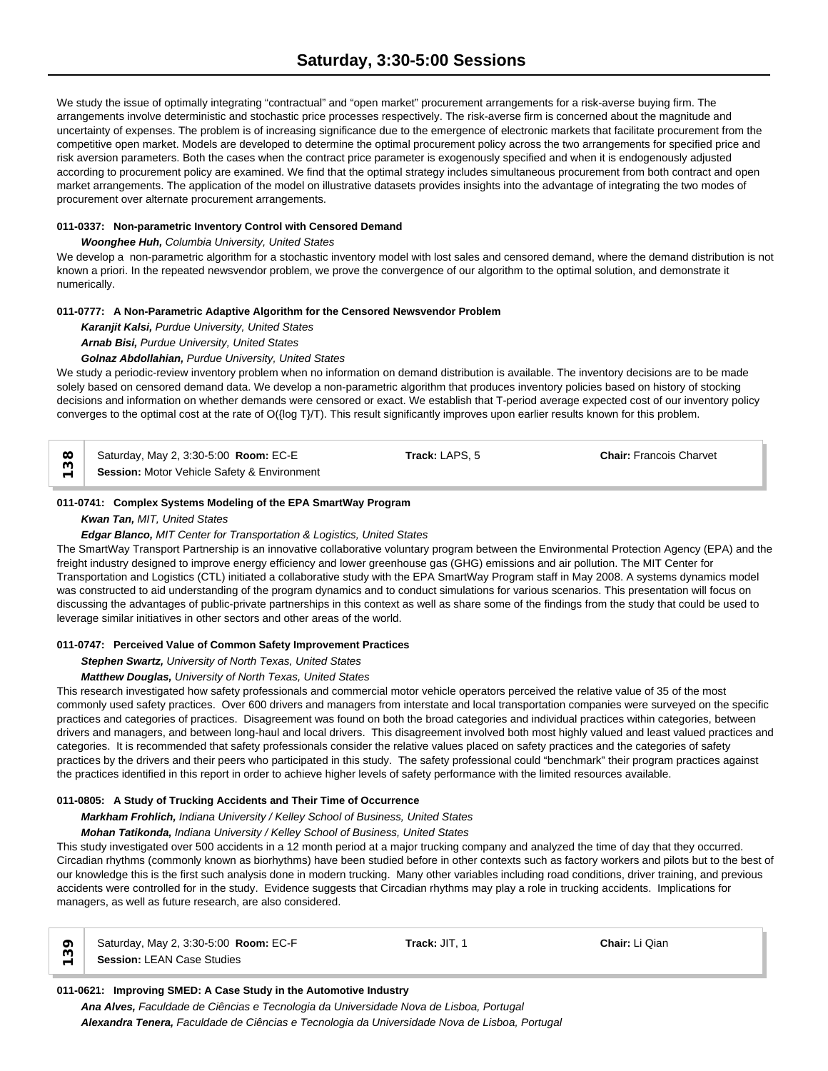We study the issue of optimally integrating "contractual" and "open market" procurement arrangements for a risk-averse buying firm. The arrangements involve deterministic and stochastic price processes respectively. The risk-averse firm is concerned about the magnitude and uncertainty of expenses. The problem is of increasing significance due to the emergence of electronic markets that facilitate procurement from the competitive open market. Models are developed to determine the optimal procurement policy across the two arrangements for specified price and risk aversion parameters. Both the cases when the contract price parameter is exogenously specified and when it is endogenously adjusted according to procurement policy are examined. We find that the optimal strategy includes simultaneous procurement from both contract and open market arrangements. The application of the model on illustrative datasets provides insights into the advantage of integrating the two modes of procurement over alternate procurement arrangements.

### **011-0337: Non-parametric Inventory Control with Censored Demand**

### *Woonghee Huh, Columbia University, United States*

We develop a non-parametric algorithm for a stochastic inventory model with lost sales and censored demand, where the demand distribution is not known a priori. In the repeated newsvendor problem, we prove the convergence of our algorithm to the optimal solution, and demonstrate it numerically.

### **011-0777: A Non-Parametric Adaptive Algorithm for the Censored Newsvendor Problem**

*Karanjit Kalsi, Purdue University, United States*

*Arnab Bisi, Purdue University, United States*

# *Golnaz Abdollahian, Purdue University, United States*

We study a periodic-review inventory problem when no information on demand distribution is available. The inventory decisions are to be made solely based on censored demand data. We develop a non-parametric algorithm that produces inventory policies based on history of stocking decisions and information on whether demands were censored or exact. We establish that T-period average expected cost of our inventory policy converges to the optimal cost at the rate of O({log T}/T). This result significantly improves upon earlier results known for this problem.

Saturday, May 2, 3:30-5:00 **Room:** EC-E **Track:** LAPS, 5 **Chair:** Francois Charvet  $\begin{array}{ll}\n\infty & \text{Saturday, May 2, 3:30-5:00} \\
\text{Res} & \text{S} \\
\leftarrow & \text{S} \\
\end{array}$  **Session:** Motor Vehicle Safety & Environment

### **011-0741: Complex Systems Modeling of the EPA SmartWay Program**

# *Kwan Tan, MIT, United States*

### *Edgar Blanco, MIT Center for Transportation & Logistics, United States*

The SmartWay Transport Partnership is an innovative collaborative voluntary program between the Environmental Protection Agency (EPA) and the freight industry designed to improve energy efficiency and lower greenhouse gas (GHG) emissions and air pollution. The MIT Center for Transportation and Logistics (CTL) initiated a collaborative study with the EPA SmartWay Program staff in May 2008. A systems dynamics model was constructed to aid understanding of the program dynamics and to conduct simulations for various scenarios. This presentation will focus on discussing the advantages of public-private partnerships in this context as well as share some of the findings from the study that could be used to leverage similar initiatives in other sectors and other areas of the world.

#### **011-0747: Perceived Value of Common Safety Improvement Practices**

*Stephen Swartz, University of North Texas, United States*

### *Matthew Douglas, University of North Texas, United States*

This research investigated how safety professionals and commercial motor vehicle operators perceived the relative value of 35 of the most commonly used safety practices. Over 600 drivers and managers from interstate and local transportation companies were surveyed on the specific practices and categories of practices. Disagreement was found on both the broad categories and individual practices within categories, between drivers and managers, and between long-haul and local drivers. This disagreement involved both most highly valued and least valued practices and categories. It is recommended that safety professionals consider the relative values placed on safety practices and the categories of safety practices by the drivers and their peers who participated in this study. The safety professional could "benchmark" their program practices against the practices identified in this report in order to achieve higher levels of safety performance with the limited resources available.

### **011-0805: A Study of Trucking Accidents and Their Time of Occurrence**

*Markham Frohlich, Indiana University / Kelley School of Business, United States*

# *Mohan Tatikonda, Indiana University / Kelley School of Business, United States*

This study investigated over 500 accidents in a 12 month period at a major trucking company and analyzed the time of day that they occurred. Circadian rhythms (commonly known as biorhythms) have been studied before in other contexts such as factory workers and pilots but to the best of our knowledge this is the first such analysis done in modern trucking. Many other variables including road conditions, driver training, and previous accidents were controlled for in the study. Evidence suggests that Circadian rhythms may play a role in trucking accidents. Implications for managers, as well as future research, are also considered.

| $\circ$ | Saturday, May 2, 3:30-5:00 <b>Room: EC-F</b> | <b>Track: JIT. 1</b> | Chair: Li Qian |  |
|---------|----------------------------------------------|----------------------|----------------|--|
|         | Session: LEAN Case Studies                   |                      |                |  |

### **011-0621: Improving SMED: A Case Study in the Automotive Industry**

*Ana Alves, Faculdade de Ciências e Tecnologia da Universidade Nova de Lisboa, Portugal Alexandra Tenera, Faculdade de Ciências e Tecnologia da Universidade Nova de Lisboa, Portugal*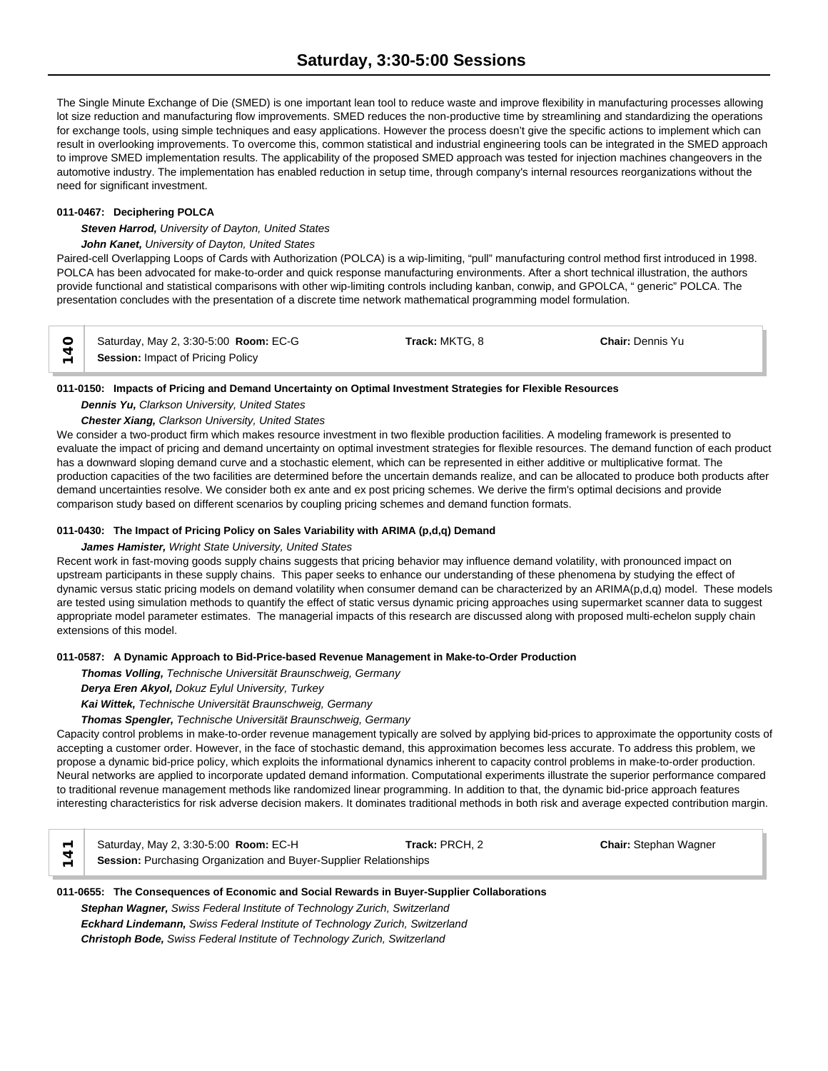The Single Minute Exchange of Die (SMED) is one important lean tool to reduce waste and improve flexibility in manufacturing processes allowing lot size reduction and manufacturing flow improvements. SMED reduces the non-productive time by streamlining and standardizing the operations for exchange tools, using simple techniques and easy applications. However the process doesn't give the specific actions to implement which can result in overlooking improvements. To overcome this, common statistical and industrial engineering tools can be integrated in the SMED approach to improve SMED implementation results. The applicability of the proposed SMED approach was tested for injection machines changeovers in the automotive industry. The implementation has enabled reduction in setup time, through company's internal resources reorganizations without the need for significant investment.

# **011-0467: Deciphering POLCA**

*Steven Harrod, University of Dayton, United States*

### *John Kanet, University of Dayton, United States*

Paired-cell Overlapping Loops of Cards with Authorization (POLCA) is a wip-limiting, "pull" manufacturing control method first introduced in 1998. POLCA has been advocated for make-to-order and quick response manufacturing environments. After a short technical illustration, the authors provide functional and statistical comparisons with other wip-limiting controls including kanban, conwip, and GPOLCA, " generic" POLCA. The presentation concludes with the presentation of a discrete time network mathematical programming model formulation.

|                          | Saturday, May 2, 3:30-5:00 <b>Room: EC-G</b> | <b>Track:</b> MKTG. 8 | <b>Chair: Dennis Yu</b> |  |
|--------------------------|----------------------------------------------|-----------------------|-------------------------|--|
| $\overline{\phantom{0}}$ | Session: Impact of Pricing Policy            |                       |                         |  |

### **011-0150: Impacts of Pricing and Demand Uncertainty on Optimal Investment Strategies for Flexible Resources**

### *Dennis Yu, Clarkson University, United States*

### *Chester Xiang, Clarkson University, United States*

We consider a two-product firm which makes resource investment in two flexible production facilities. A modeling framework is presented to evaluate the impact of pricing and demand uncertainty on optimal investment strategies for flexible resources. The demand function of each product has a downward sloping demand curve and a stochastic element, which can be represented in either additive or multiplicative format. The production capacities of the two facilities are determined before the uncertain demands realize, and can be allocated to produce both products after demand uncertainties resolve. We consider both ex ante and ex post pricing schemes. We derive the firm's optimal decisions and provide comparison study based on different scenarios by coupling pricing schemes and demand function formats.

### **011-0430: The Impact of Pricing Policy on Sales Variability with ARIMA (p,d,q) Demand**

#### *James Hamister, Wright State University, United States*

Recent work in fast-moving goods supply chains suggests that pricing behavior may influence demand volatility, with pronounced impact on upstream participants in these supply chains. This paper seeks to enhance our understanding of these phenomena by studying the effect of dynamic versus static pricing models on demand volatility when consumer demand can be characterized by an ARIMA(p,d,q) model. These models are tested using simulation methods to quantify the effect of static versus dynamic pricing approaches using supermarket scanner data to suggest appropriate model parameter estimates. The managerial impacts of this research are discussed along with proposed multi-echelon supply chain extensions of this model.

### **011-0587: A Dynamic Approach to Bid-Price-based Revenue Management in Make-to-Order Production**

*Thomas Volling, Technische Universität Braunschweig, Germany*

*Derya Eren Akyol, Dokuz Eylul University, Turkey*

*Kai Wittek, Technische Universität Braunschweig, Germany*

### *Thomas Spengler, Technische Universität Braunschweig, Germany*

Capacity control problems in make-to-order revenue management typically are solved by applying bid-prices to approximate the opportunity costs of accepting a customer order. However, in the face of stochastic demand, this approximation becomes less accurate. To address this problem, we propose a dynamic bid-price policy, which exploits the informational dynamics inherent to capacity control problems in make-to-order production. Neural networks are applied to incorporate updated demand information. Computational experiments illustrate the superior performance compared to traditional revenue management methods like randomized linear programming. In addition to that, the dynamic bid-price approach features interesting characteristics for risk adverse decision makers. It dominates traditional methods in both risk and average expected contribution margin.

| Saturday, May 2, 3:30-5:00 <b>Room: EC-H</b>                      | Track: PRCH, 2 | <b>Chair: Stephan Wagner</b> |  |
|-------------------------------------------------------------------|----------------|------------------------------|--|
| Session: Purchasing Organization and Buyer-Supplier Relationships |                |                              |  |

# **011-0655: The Consequences of Economic and Social Rewards in Buyer-Supplier Collaborations** *Stephan Wagner, Swiss Federal Institute of Technology Zurich, Switzerland Eckhard Lindemann, Swiss Federal Institute of Technology Zurich, Switzerland Christoph Bode, Swiss Federal Institute of Technology Zurich, Switzerland*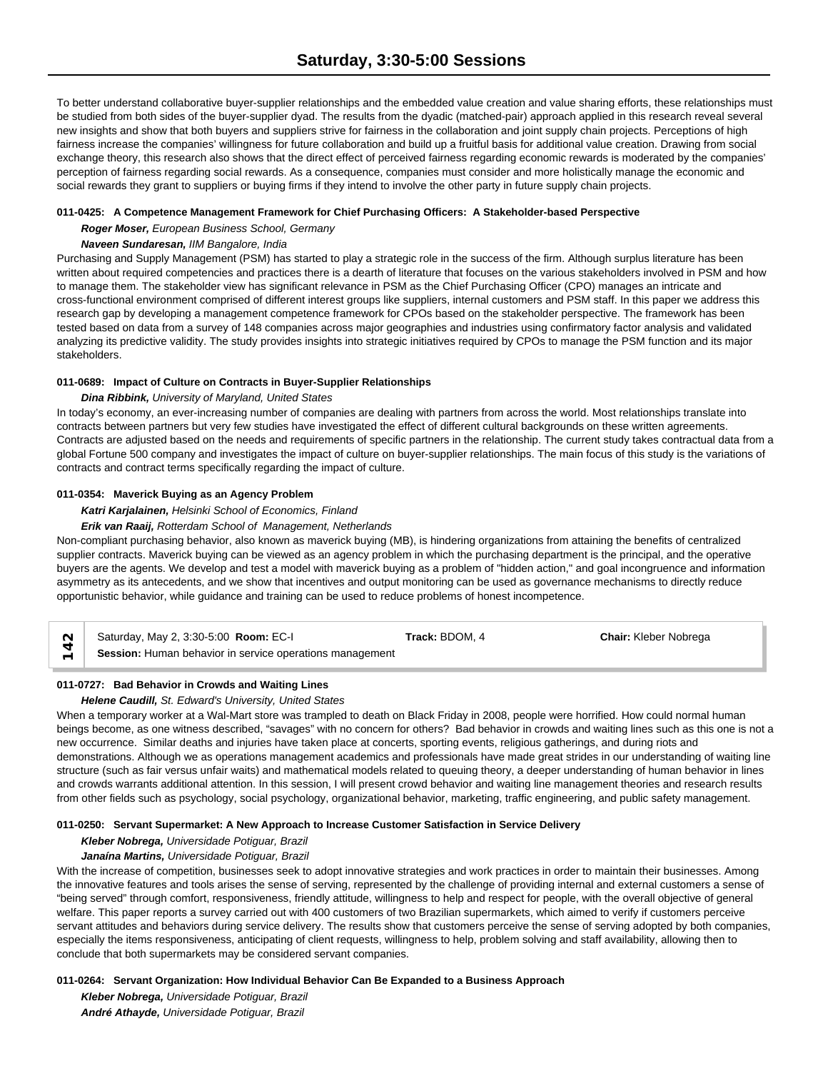To better understand collaborative buyer-supplier relationships and the embedded value creation and value sharing efforts, these relationships must be studied from both sides of the buyer-supplier dyad. The results from the dyadic (matched-pair) approach applied in this research reveal several new insights and show that both buyers and suppliers strive for fairness in the collaboration and joint supply chain projects. Perceptions of high fairness increase the companies' willingness for future collaboration and build up a fruitful basis for additional value creation. Drawing from social exchange theory, this research also shows that the direct effect of perceived fairness regarding economic rewards is moderated by the companies' perception of fairness regarding social rewards. As a consequence, companies must consider and more holistically manage the economic and social rewards they grant to suppliers or buying firms if they intend to involve the other party in future supply chain projects.

### **011-0425: A Competence Management Framework for Chief Purchasing Officers: A Stakeholder-based Perspective**

*Roger Moser, European Business School, Germany*

# *Naveen Sundaresan, IIM Bangalore, India*

Purchasing and Supply Management (PSM) has started to play a strategic role in the success of the firm. Although surplus literature has been written about required competencies and practices there is a dearth of literature that focuses on the various stakeholders involved in PSM and how to manage them. The stakeholder view has significant relevance in PSM as the Chief Purchasing Officer (CPO) manages an intricate and cross-functional environment comprised of different interest groups like suppliers, internal customers and PSM staff. In this paper we address this research gap by developing a management competence framework for CPOs based on the stakeholder perspective. The framework has been tested based on data from a survey of 148 companies across major geographies and industries using confirmatory factor analysis and validated analyzing its predictive validity. The study provides insights into strategic initiatives required by CPOs to manage the PSM function and its major stakeholders.

# **011-0689: Impact of Culture on Contracts in Buyer-Supplier Relationships**

### *Dina Ribbink, University of Maryland, United States*

In today's economy, an ever-increasing number of companies are dealing with partners from across the world. Most relationships translate into contracts between partners but very few studies have investigated the effect of different cultural backgrounds on these written agreements. Contracts are adjusted based on the needs and requirements of specific partners in the relationship. The current study takes contractual data from a global Fortune 500 company and investigates the impact of culture on buyer-supplier relationships. The main focus of this study is the variations of contracts and contract terms specifically regarding the impact of culture.

# **011-0354: Maverick Buying as an Agency Problem**

# *Katri Karjalainen, Helsinki School of Economics, Finland*

# *Erik van Raaij, Rotterdam School of Management, Netherlands*

Non-compliant purchasing behavior, also known as maverick buying (MB), is hindering organizations from attaining the benefits of centralized supplier contracts. Maverick buying can be viewed as an agency problem in which the purchasing department is the principal, and the operative buyers are the agents. We develop and test a model with maverick buying as a problem of "hidden action," and goal incongruence and information asymmetry as its antecedents, and we show that incentives and output monitoring can be used as governance mechanisms to directly reduce opportunistic behavior, while guidance and training can be used to reduce problems of honest incompetence.

| Saturday, May 2, 3:30-5:00 <b>Room: EC-I</b>             | Track: BDOM. 4 | <b>Chair:</b> Kleber Nobrega |  |
|----------------------------------------------------------|----------------|------------------------------|--|
| Session: Human behavior in service operations management |                |                              |  |

# **011-0727: Bad Behavior in Crowds and Waiting Lines**

### *Helene Caudill, St. Edward's University, United States*

When a temporary worker at a Wal-Mart store was trampled to death on Black Friday in 2008, people were horrified. How could normal human beings become, as one witness described, "savages" with no concern for others? Bad behavior in crowds and waiting lines such as this one is not a new occurrence. Similar deaths and injuries have taken place at concerts, sporting events, religious gatherings, and during riots and demonstrations. Although we as operations management academics and professionals have made great strides in our understanding of waiting line structure (such as fair versus unfair waits) and mathematical models related to queuing theory, a deeper understanding of human behavior in lines and crowds warrants additional attention. In this session, I will present crowd behavior and waiting line management theories and research results from other fields such as psychology, social psychology, organizational behavior, marketing, traffic engineering, and public safety management.

### **011-0250: Servant Supermarket: A New Approach to Increase Customer Satisfaction in Service Delivery**

# *Kleber Nobrega, Universidade Potiguar, Brazil*

### *Janaína Martins, Universidade Potiguar, Brazil*

With the increase of competition, businesses seek to adopt innovative strategies and work practices in order to maintain their businesses. Among the innovative features and tools arises the sense of serving, represented by the challenge of providing internal and external customers a sense of "being served" through comfort, responsiveness, friendly attitude, willingness to help and respect for people, with the overall objective of general welfare. This paper reports a survey carried out with 400 customers of two Brazilian supermarkets, which aimed to verify if customers perceive servant attitudes and behaviors during service delivery. The results show that customers perceive the sense of serving adopted by both companies, especially the items responsiveness, anticipating of client requests, willingness to help, problem solving and staff availability, allowing then to conclude that both supermarkets may be considered servant companies.

### **011-0264: Servant Organization: How Individual Behavior Can Be Expanded to a Business Approach**

*Kleber Nobrega, Universidade Potiguar, Brazil André Athayde, Universidade Potiguar, Brazil*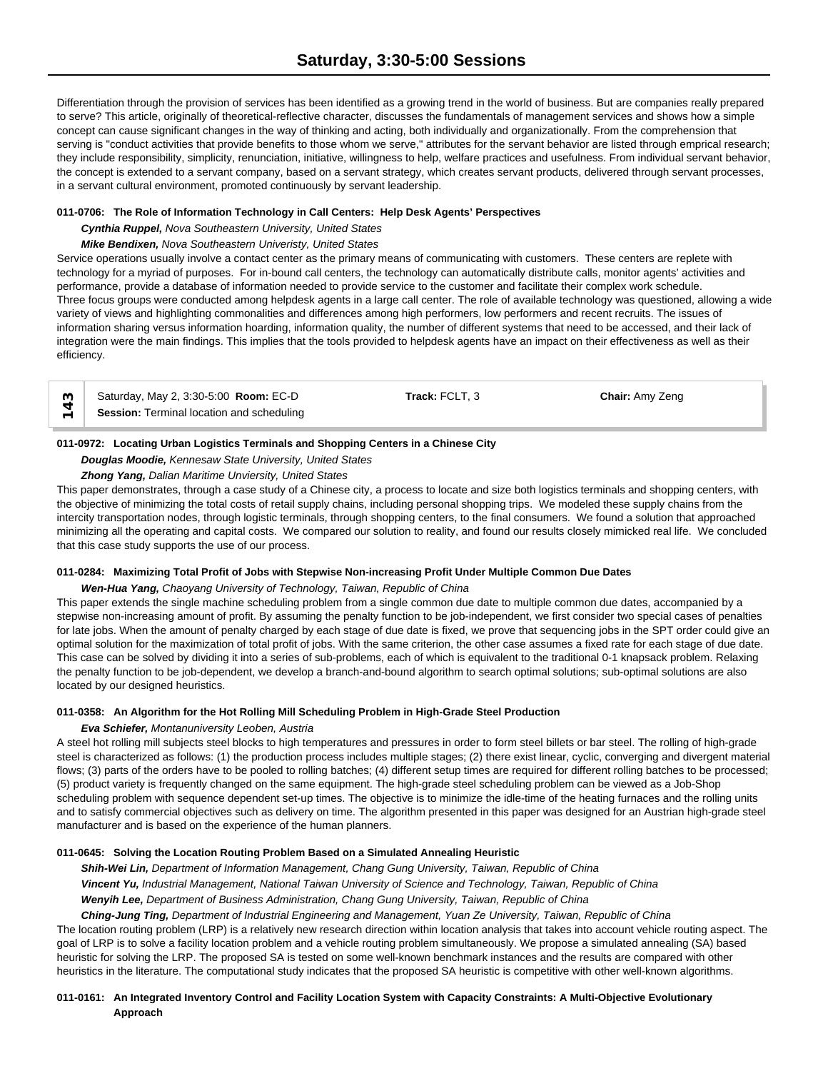Differentiation through the provision of services has been identified as a growing trend in the world of business. But are companies really prepared to serve? This article, originally of theoretical-reflective character, discusses the fundamentals of management services and shows how a simple concept can cause significant changes in the way of thinking and acting, both individually and organizationally. From the comprehension that serving is "conduct activities that provide benefits to those whom we serve," attributes for the servant behavior are listed through emprical research; they include responsibility, simplicity, renunciation, initiative, willingness to help, welfare practices and usefulness. From individual servant behavior, the concept is extended to a servant company, based on a servant strategy, which creates servant products, delivered through servant processes, in a servant cultural environment, promoted continuously by servant leadership.

# **011-0706: The Role of Information Technology in Call Centers: Help Desk Agents' Perspectives**

*Cynthia Ruppel, Nova Southeastern University, United States*

### *Mike Bendixen, Nova Southeastern Univeristy, United States*

Service operations usually involve a contact center as the primary means of communicating with customers. These centers are replete with technology for a myriad of purposes. For in-bound call centers, the technology can automatically distribute calls, monitor agents' activities and performance, provide a database of information needed to provide service to the customer and facilitate their complex work schedule. Three focus groups were conducted among helpdesk agents in a large call center. The role of available technology was questioned, allowing a wide variety of views and highlighting commonalities and differences among high performers, low performers and recent recruits. The issues of information sharing versus information hoarding, information quality, the number of different systems that need to be accessed, and their lack of integration were the main findings. This implies that the tools provided to helpdesk agents have an impact on their effectiveness as well as their efficiency.

| က $\overline{\phantom{a}}$ | Saturday, May 2, 3:30-5:00 Room: EC-D     | Track: FCLT. 3 | <b>Chair: Amy Zeng</b> |  |
|----------------------------|-------------------------------------------|----------------|------------------------|--|
|                            | Session: Terminal location and scheduling |                |                        |  |

# **011-0972: Locating Urban Logistics Terminals and Shopping Centers in a Chinese City**

*Douglas Moodie, Kennesaw State University, United States*

# *Zhong Yang, Dalian Maritime Unviersity, United States*

This paper demonstrates, through a case study of a Chinese city, a process to locate and size both logistics terminals and shopping centers, with the objective of minimizing the total costs of retail supply chains, including personal shopping trips. We modeled these supply chains from the intercity transportation nodes, through logistic terminals, through shopping centers, to the final consumers. We found a solution that approached minimizing all the operating and capital costs. We compared our solution to reality, and found our results closely mimicked real life. We concluded that this case study supports the use of our process.

### **011-0284: Maximizing Total Profit of Jobs with Stepwise Non-increasing Profit Under Multiple Common Due Dates**

### *Wen-Hua Yang, Chaoyang University of Technology, Taiwan, Republic of China*

This paper extends the single machine scheduling problem from a single common due date to multiple common due dates, accompanied by a stepwise non-increasing amount of profit. By assuming the penalty function to be job-independent, we first consider two special cases of penalties for late jobs. When the amount of penalty charged by each stage of due date is fixed, we prove that sequencing jobs in the SPT order could give an optimal solution for the maximization of total profit of jobs. With the same criterion, the other case assumes a fixed rate for each stage of due date. This case can be solved by dividing it into a series of sub-problems, each of which is equivalent to the traditional 0-1 knapsack problem. Relaxing the penalty function to be job-dependent, we develop a branch-and-bound algorithm to search optimal solutions; sub-optimal solutions are also located by our designed heuristics.

## **011-0358: An Algorithm for the Hot Rolling Mill Scheduling Problem in High-Grade Steel Production**

### *Eva Schiefer, Montanuniversity Leoben, Austria*

A steel hot rolling mill subjects steel blocks to high temperatures and pressures in order to form steel billets or bar steel. The rolling of high-grade steel is characterized as follows: (1) the production process includes multiple stages; (2) there exist linear, cyclic, converging and divergent material flows; (3) parts of the orders have to be pooled to rolling batches; (4) different setup times are required for different rolling batches to be processed; (5) product variety is frequently changed on the same equipment. The high-grade steel scheduling problem can be viewed as a Job-Shop scheduling problem with sequence dependent set-up times. The objective is to minimize the idle-time of the heating furnaces and the rolling units and to satisfy commercial objectives such as delivery on time. The algorithm presented in this paper was designed for an Austrian high-grade steel manufacturer and is based on the experience of the human planners.

# **011-0645: Solving the Location Routing Problem Based on a Simulated Annealing Heuristic**

*Shih-Wei Lin, Department of Information Management, Chang Gung University, Taiwan, Republic of China Vincent Yu, Industrial Management, National Taiwan University of Science and Technology, Taiwan, Republic of China Wenyih Lee, Department of Business Administration, Chang Gung University, Taiwan, Republic of China*

*Ching-Jung Ting, Department of Industrial Engineering and Management, Yuan Ze University, Taiwan, Republic of China* The location routing problem (LRP) is a relatively new research direction within location analysis that takes into account vehicle routing aspect. The goal of LRP is to solve a facility location problem and a vehicle routing problem simultaneously. We propose a simulated annealing (SA) based heuristic for solving the LRP. The proposed SA is tested on some well-known benchmark instances and the results are compared with other heuristics in the literature. The computational study indicates that the proposed SA heuristic is competitive with other well-known algorithms.

# **011-0161: An Integrated Inventory Control and Facility Location System with Capacity Constraints: A Multi-Objective Evolutionary Approach**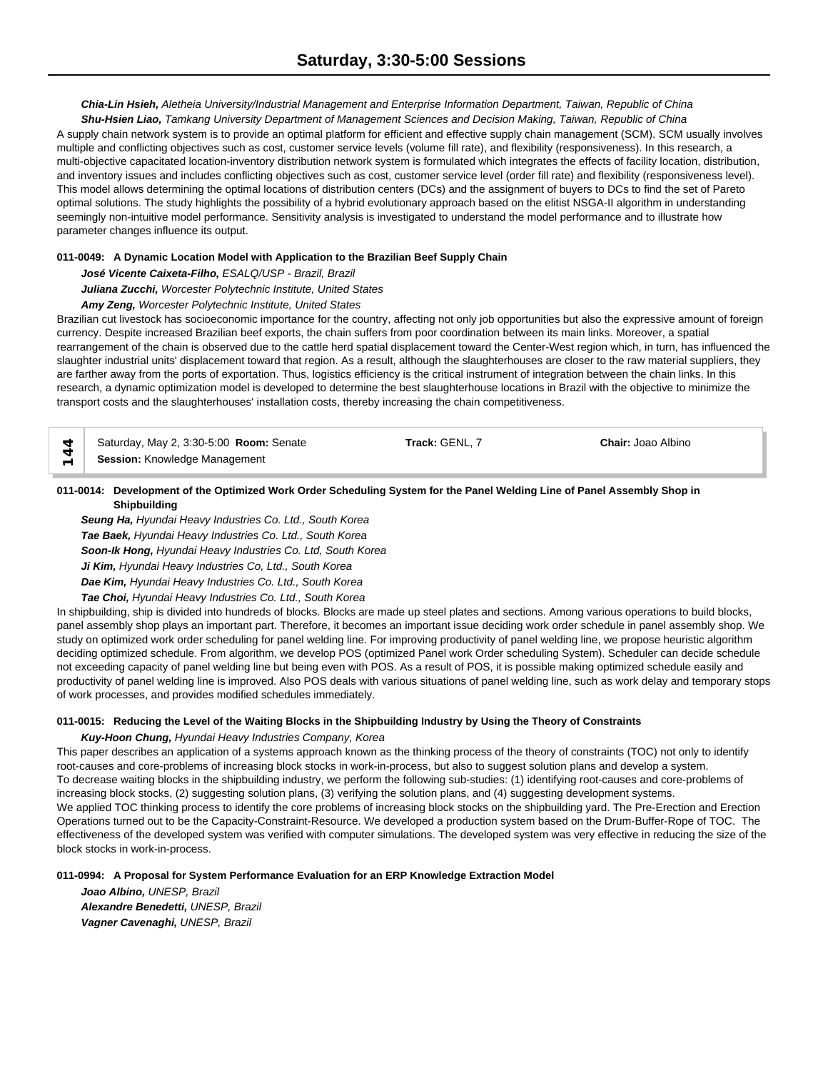*Chia-Lin Hsieh, Aletheia University/Industrial Management and Enterprise Information Department, Taiwan, Republic of China*

*Shu-Hsien Liao, Tamkang University Department of Management Sciences and Decision Making, Taiwan, Republic of China* A supply chain network system is to provide an optimal platform for efficient and effective supply chain management (SCM). SCM usually involves multiple and conflicting objectives such as cost, customer service levels (volume fill rate), and flexibility (responsiveness). In this research, a multi-objective capacitated location-inventory distribution network system is formulated which integrates the effects of facility location, distribution, and inventory issues and includes conflicting objectives such as cost, customer service level (order fill rate) and flexibility (responsiveness level). This model allows determining the optimal locations of distribution centers (DCs) and the assignment of buyers to DCs to find the set of Pareto optimal solutions. The study highlights the possibility of a hybrid evolutionary approach based on the elitist NSGA-II algorithm in understanding seemingly non-intuitive model performance. Sensitivity analysis is investigated to understand the model performance and to illustrate how parameter changes influence its output.

# **011-0049: A Dynamic Location Model with Application to the Brazilian Beef Supply Chain**

*José Vicente Caixeta-Filho, ESALQ/USP - Brazil, Brazil*

*Juliana Zucchi, Worcester Polytechnic Institute, United States*

# *Amy Zeng, Worcester Polytechnic Institute, United States*

Brazilian cut livestock has socioeconomic importance for the country, affecting not only job opportunities but also the expressive amount of foreign currency. Despite increased Brazilian beef exports, the chain suffers from poor coordination between its main links. Moreover, a spatial rearrangement of the chain is observed due to the cattle herd spatial displacement toward the Center-West region which, in turn, has influenced the slaughter industrial units' displacement toward that region. As a result, although the slaughterhouses are closer to the raw material suppliers, they are farther away from the ports of exportation. Thus, logistics efficiency is the critical instrument of integration between the chain links. In this research, a dynamic optimization model is developed to determine the best slaughterhouse locations in Brazil with the objective to minimize the transport costs and the slaughterhouses' installation costs, thereby increasing the chain competitiveness.

Saturday, May 2, 3:30-5:00 **Room:** Senate **Track:** GENL, 7 **Chair:** Joao Albino  $\uparrow$  Saturday, May 2, 3:30-5:00 **Room**:<br> **Session:** Knowledge Management

# **011-0014: Development of the Optimized Work Order Scheduling System for the Panel Welding Line of Panel Assembly Shop in Shipbuilding**

*Seung Ha, Hyundai Heavy Industries Co. Ltd., South Korea Tae Baek, Hyundai Heavy Industries Co. Ltd., South Korea Soon-Ik Hong, Hyundai Heavy Industries Co. Ltd, South Korea Ji Kim, Hyundai Heavy Industries Co, Ltd., South Korea Dae Kim, Hyundai Heavy Industries Co. Ltd., South Korea*

*Tae Choi, Hyundai Heavy Industries Co. Ltd., South Korea*

In shipbuilding, ship is divided into hundreds of blocks. Blocks are made up steel plates and sections. Among various operations to build blocks, panel assembly shop plays an important part. Therefore, it becomes an important issue deciding work order schedule in panel assembly shop. We study on optimized work order scheduling for panel welding line. For improving productivity of panel welding line, we propose heuristic algorithm deciding optimized schedule. From algorithm, we develop POS (optimized Panel work Order scheduling System). Scheduler can decide schedule not exceeding capacity of panel welding line but being even with POS. As a result of POS, it is possible making optimized schedule easily and productivity of panel welding line is improved. Also POS deals with various situations of panel welding line, such as work delay and temporary stops of work processes, and provides modified schedules immediately.

# **011-0015: Reducing the Level of the Waiting Blocks in the Shipbuilding Industry by Using the Theory of Constraints**

### *Kuy-Hoon Chung, Hyundai Heavy Industries Company, Korea*

This paper describes an application of a systems approach known as the thinking process of the theory of constraints (TOC) not only to identify root-causes and core-problems of increasing block stocks in work-in-process, but also to suggest solution plans and develop a system. To decrease waiting blocks in the shipbuilding industry, we perform the following sub-studies: (1) identifying root-causes and core-problems of increasing block stocks, (2) suggesting solution plans, (3) verifying the solution plans, and (4) suggesting development systems. We applied TOC thinking process to identify the core problems of increasing block stocks on the shipbuilding yard. The Pre-Erection and Erection Operations turned out to be the Capacity-Constraint-Resource. We developed a production system based on the Drum-Buffer-Rope of TOC. The effectiveness of the developed system was verified with computer simulations. The developed system was very effective in reducing the size of the block stocks in work-in-process.

### **011-0994: A Proposal for System Performance Evaluation for an ERP Knowledge Extraction Model**

*Joao Albino, UNESP, Brazil Alexandre Benedetti, UNESP, Brazil Vagner Cavenaghi, UNESP, Brazil*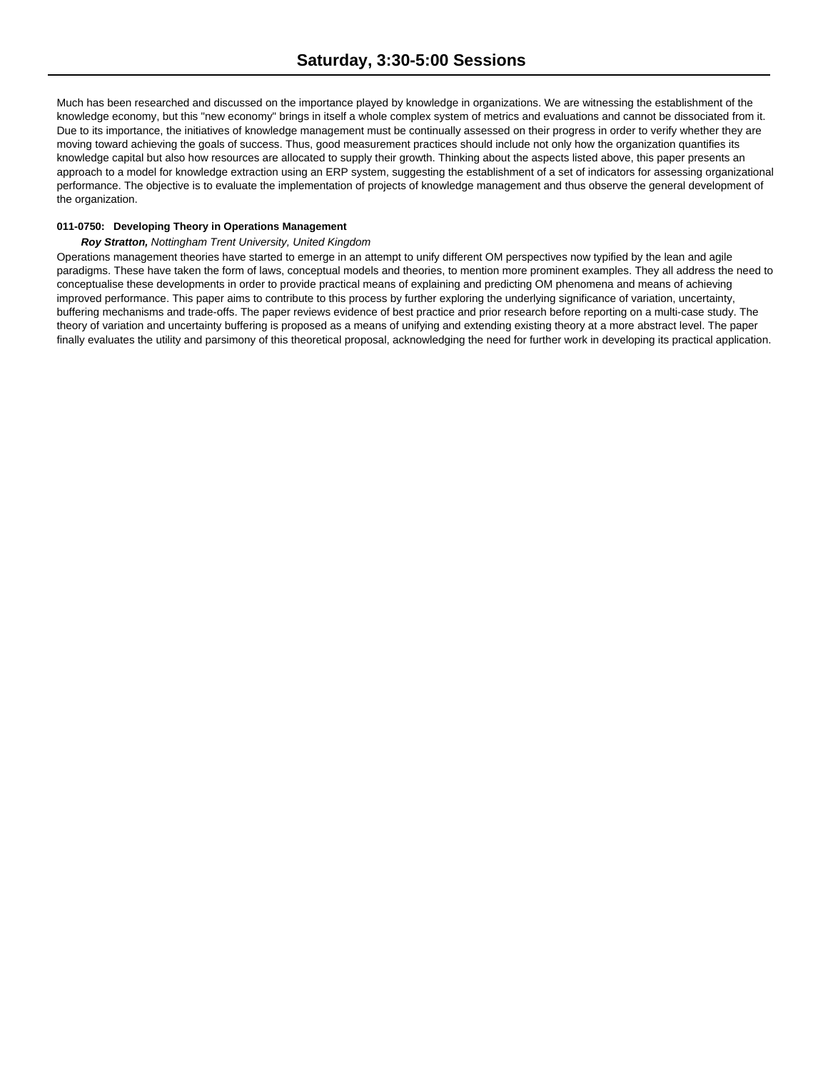Much has been researched and discussed on the importance played by knowledge in organizations. We are witnessing the establishment of the knowledge economy, but this "new economy" brings in itself a whole complex system of metrics and evaluations and cannot be dissociated from it. Due to its importance, the initiatives of knowledge management must be continually assessed on their progress in order to verify whether they are moving toward achieving the goals of success. Thus, good measurement practices should include not only how the organization quantifies its knowledge capital but also how resources are allocated to supply their growth. Thinking about the aspects listed above, this paper presents an approach to a model for knowledge extraction using an ERP system, suggesting the establishment of a set of indicators for assessing organizational performance. The objective is to evaluate the implementation of projects of knowledge management and thus observe the general development of the organization.

### **011-0750: Developing Theory in Operations Management**

### *Roy Stratton, Nottingham Trent University, United Kingdom*

Operations management theories have started to emerge in an attempt to unify different OM perspectives now typified by the lean and agile paradigms. These have taken the form of laws, conceptual models and theories, to mention more prominent examples. They all address the need to conceptualise these developments in order to provide practical means of explaining and predicting OM phenomena and means of achieving improved performance. This paper aims to contribute to this process by further exploring the underlying significance of variation, uncertainty, buffering mechanisms and trade-offs. The paper reviews evidence of best practice and prior research before reporting on a multi-case study. The theory of variation and uncertainty buffering is proposed as a means of unifying and extending existing theory at a more abstract level. The paper finally evaluates the utility and parsimony of this theoretical proposal, acknowledging the need for further work in developing its practical application.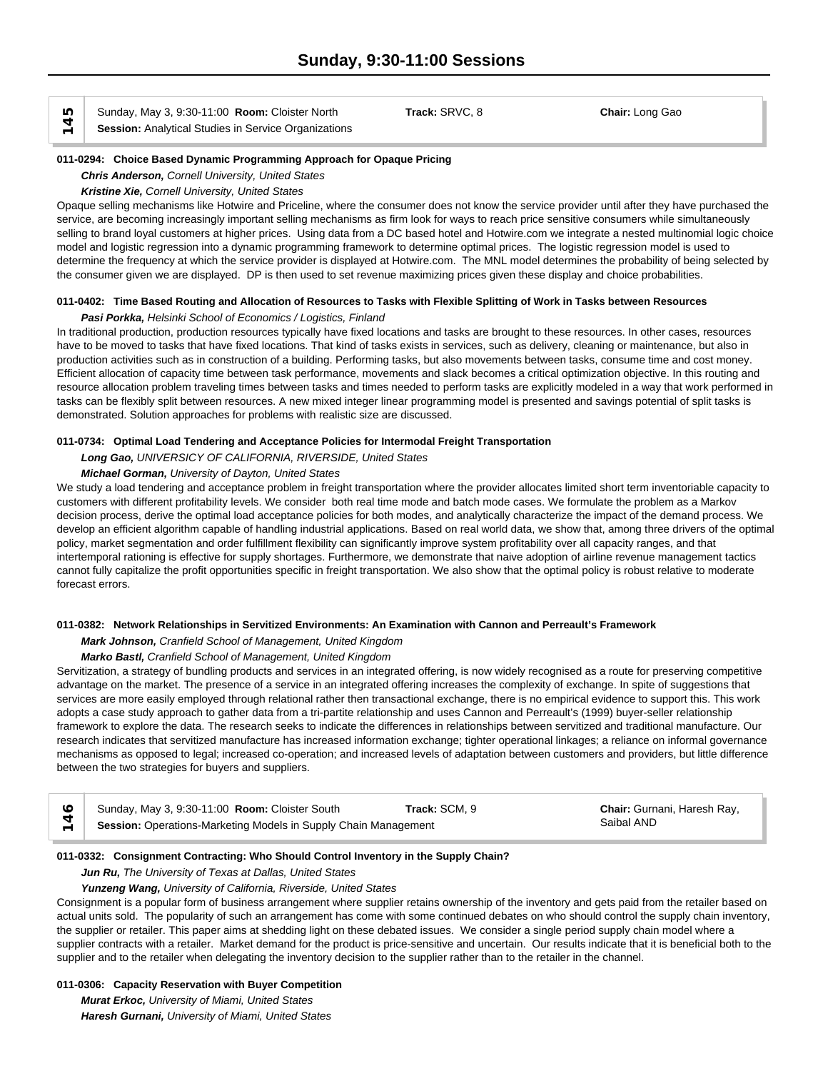**Sunday, May 3, 9:30-11:00 Room: Cloister North**  $\begin{array}{c} \n\uparrow \ \hline \ \n\downarrow \end{array}$  **Session:** Analytical Studies in Service Organizations

Sunday, May 3, 9:30-11:00 **Room:** Cloister North **Track:** SRVC, 8 **Chair:** Long Gao

#### **011-0294: Choice Based Dynamic Programming Approach for Opaque Pricing**

*Chris Anderson, Cornell University, United States*

*Kristine Xie, Cornell University, United States*

Opaque selling mechanisms like Hotwire and Priceline, where the consumer does not know the service provider until after they have purchased the service, are becoming increasingly important selling mechanisms as firm look for ways to reach price sensitive consumers while simultaneously selling to brand loyal customers at higher prices. Using data from a DC based hotel and Hotwire.com we integrate a nested multinomial logic choice model and logistic regression into a dynamic programming framework to determine optimal prices. The logistic regression model is used to determine the frequency at which the service provider is displayed at Hotwire.com. The MNL model determines the probability of being selected by the consumer given we are displayed. DP is then used to set revenue maximizing prices given these display and choice probabilities.

# **011-0402: Time Based Routing and Allocation of Resources to Tasks with Flexible Splitting of Work in Tasks between Resources**

### *Pasi Porkka, Helsinki School of Economics / Logistics, Finland*

In traditional production, production resources typically have fixed locations and tasks are brought to these resources. In other cases, resources have to be moved to tasks that have fixed locations. That kind of tasks exists in services, such as delivery, cleaning or maintenance, but also in production activities such as in construction of a building. Performing tasks, but also movements between tasks, consume time and cost money. Efficient allocation of capacity time between task performance, movements and slack becomes a critical optimization objective. In this routing and resource allocation problem traveling times between tasks and times needed to perform tasks are explicitly modeled in a way that work performed in tasks can be flexibly split between resources. A new mixed integer linear programming model is presented and savings potential of split tasks is demonstrated. Solution approaches for problems with realistic size are discussed.

### **011-0734: Optimal Load Tendering and Acceptance Policies for Intermodal Freight Transportation**

*Long Gao, UNIVERSICY OF CALIFORNIA, RIVERSIDE, United States*

### *Michael Gorman, University of Dayton, United States*

We study a load tendering and acceptance problem in freight transportation where the provider allocates limited short term inventoriable capacity to customers with different profitability levels. We consider both real time mode and batch mode cases. We formulate the problem as a Markov decision process, derive the optimal load acceptance policies for both modes, and analytically characterize the impact of the demand process. We develop an efficient algorithm capable of handling industrial applications. Based on real world data, we show that, among three drivers of the optimal policy, market segmentation and order fulfillment flexibility can significantly improve system profitability over all capacity ranges, and that intertemporal rationing is effective for supply shortages. Furthermore, we demonstrate that naive adoption of airline revenue management tactics cannot fully capitalize the profit opportunities specific in freight transportation. We also show that the optimal policy is robust relative to moderate forecast errors.

#### **011-0382: Network Relationships in Servitized Environments: An Examination with Cannon and Perreault's Framework**

### *Mark Johnson, Cranfield School of Management, United Kingdom*

### *Marko Bastl, Cranfield School of Management, United Kingdom*

Servitization, a strategy of bundling products and services in an integrated offering, is now widely recognised as a route for preserving competitive advantage on the market. The presence of a service in an integrated offering increases the complexity of exchange. In spite of suggestions that services are more easily employed through relational rather then transactional exchange, there is no empirical evidence to support this. This work adopts a case study approach to gather data from a tri-partite relationship and uses Cannon and Perreault's (1999) buyer-seller relationship framework to explore the data. The research seeks to indicate the differences in relationships between servitized and traditional manufacture. Our research indicates that servitized manufacture has increased information exchange; tighter operational linkages; a reliance on informal governance mechanisms as opposed to legal; increased co-operation; and increased levels of adaptation between customers and providers, but little difference between the two strategies for buyers and suppliers.

| $\circ$ $\circ$ | Sunday, May 3, 9:30-11:00 Room: Cloister South                  | <b>Track: SCM. 9</b> | Chair: Gurnani, Haresh Ray, |  |
|-----------------|-----------------------------------------------------------------|----------------------|-----------------------------|--|
|                 | Session: Operations-Marketing Models in Supply Chain Management |                      | Saibal AND                  |  |

#### **011-0332: Consignment Contracting: Who Should Control Inventory in the Supply Chain?**

### *Jun Ru, The University of Texas at Dallas, United States*

### *Yunzeng Wang, University of California, Riverside, United States*

Consignment is a popular form of business arrangement where supplier retains ownership of the inventory and gets paid from the retailer based on actual units sold. The popularity of such an arrangement has come with some continued debates on who should control the supply chain inventory, the supplier or retailer. This paper aims at shedding light on these debated issues. We consider a single period supply chain model where a supplier contracts with a retailer. Market demand for the product is price-sensitive and uncertain. Our results indicate that it is beneficial both to the supplier and to the retailer when delegating the inventory decision to the supplier rather than to the retailer in the channel.

# **011-0306: Capacity Reservation with Buyer Competition**

*Murat Erkoc, University of Miami, United States*

*Haresh Gurnani, University of Miami, United States*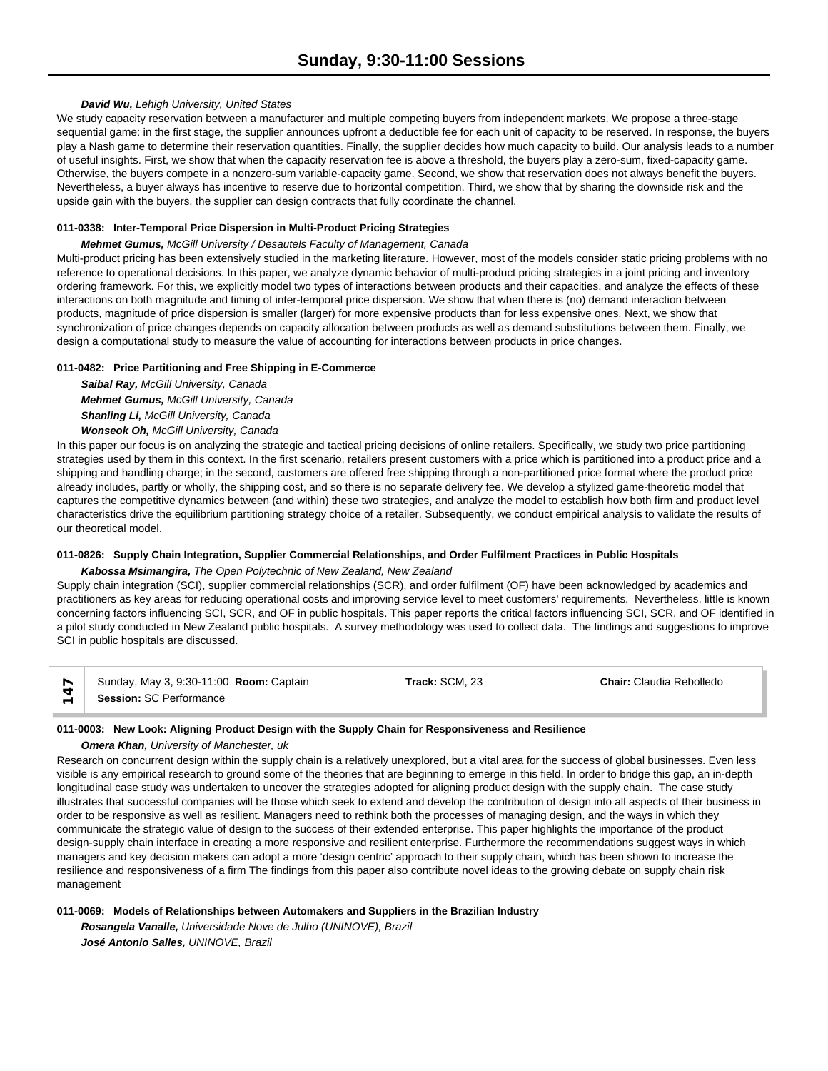### *David Wu, Lehigh University, United States*

We study capacity reservation between a manufacturer and multiple competing buyers from independent markets. We propose a three-stage sequential game: in the first stage, the supplier announces upfront a deductible fee for each unit of capacity to be reserved. In response, the buyers play a Nash game to determine their reservation quantities. Finally, the supplier decides how much capacity to build. Our analysis leads to a number of useful insights. First, we show that when the capacity reservation fee is above a threshold, the buyers play a zero-sum, fixed-capacity game. Otherwise, the buyers compete in a nonzero-sum variable-capacity game. Second, we show that reservation does not always benefit the buyers. Nevertheless, a buyer always has incentive to reserve due to horizontal competition. Third, we show that by sharing the downside risk and the upside gain with the buyers, the supplier can design contracts that fully coordinate the channel.

### **011-0338: Inter-Temporal Price Dispersion in Multi-Product Pricing Strategies**

### *Mehmet Gumus, McGill University / Desautels Faculty of Management, Canada*

Multi-product pricing has been extensively studied in the marketing literature. However, most of the models consider static pricing problems with no reference to operational decisions. In this paper, we analyze dynamic behavior of multi-product pricing strategies in a joint pricing and inventory ordering framework. For this, we explicitly model two types of interactions between products and their capacities, and analyze the effects of these interactions on both magnitude and timing of inter-temporal price dispersion. We show that when there is (no) demand interaction between products, magnitude of price dispersion is smaller (larger) for more expensive products than for less expensive ones. Next, we show that synchronization of price changes depends on capacity allocation between products as well as demand substitutions between them. Finally, we design a computational study to measure the value of accounting for interactions between products in price changes.

### **011-0482: Price Partitioning and Free Shipping in E-Commerce**

*Saibal Ray, McGill University, Canada Mehmet Gumus, McGill University, Canada Shanling Li, McGill University, Canada Wonseok Oh, McGill University, Canada*

In this paper our focus is on analyzing the strategic and tactical pricing decisions of online retailers. Specifically, we study two price partitioning strategies used by them in this context. In the first scenario, retailers present customers with a price which is partitioned into a product price and a shipping and handling charge; in the second, customers are offered free shipping through a non-partitioned price format where the product price already includes, partly or wholly, the shipping cost, and so there is no separate delivery fee. We develop a stylized game-theoretic model that captures the competitive dynamics between (and within) these two strategies, and analyze the model to establish how both firm and product level characteristics drive the equilibrium partitioning strategy choice of a retailer. Subsequently, we conduct empirical analysis to validate the results of our theoretical model.

### **011-0826: Supply Chain Integration, Supplier Commercial Relationships, and Order Fulfilment Practices in Public Hospitals**

### *Kabossa Msimangira, The Open Polytechnic of New Zealand, New Zealand*

Supply chain integration (SCI), supplier commercial relationships (SCR), and order fulfilment (OF) have been acknowledged by academics and practitioners as key areas for reducing operational costs and improving service level to meet customers' requirements. Nevertheless, little is known concerning factors influencing SCI, SCR, and OF in public hospitals. This paper reports the critical factors influencing SCI, SCR, and OF identified in a pilot study conducted in New Zealand public hospitals. A survey methodology was used to collect data. The findings and suggestions to improve SCI in public hospitals are discussed.

| Sunday, May 3, 9:30-11:00 Room: Captain | Track: SCM, 23 | <b>Chair:</b> Claudia Rebolledo |  |
|-----------------------------------------|----------------|---------------------------------|--|
| Session: SC Performance                 |                |                                 |  |

### **011-0003: New Look: Aligning Product Design with the Supply Chain for Responsiveness and Resilience**

#### *Omera Khan, University of Manchester, uk*

Research on concurrent design within the supply chain is a relatively unexplored, but a vital area for the success of global businesses. Even less visible is any empirical research to ground some of the theories that are beginning to emerge in this field. In order to bridge this gap, an in-depth longitudinal case study was undertaken to uncover the strategies adopted for aligning product design with the supply chain. The case study illustrates that successful companies will be those which seek to extend and develop the contribution of design into all aspects of their business in order to be responsive as well as resilient. Managers need to rethink both the processes of managing design, and the ways in which they communicate the strategic value of design to the success of their extended enterprise. This paper highlights the importance of the product design-supply chain interface in creating a more responsive and resilient enterprise. Furthermore the recommendations suggest ways in which managers and key decision makers can adopt a more 'design centric' approach to their supply chain, which has been shown to increase the resilience and responsiveness of a firm The findings from this paper also contribute novel ideas to the growing debate on supply chain risk management

### **011-0069: Models of Relationships between Automakers and Suppliers in the Brazilian Industry**

*Rosangela Vanalle, Universidade Nove de Julho (UNINOVE), Brazil José Antonio Salles, UNINOVE, Brazil*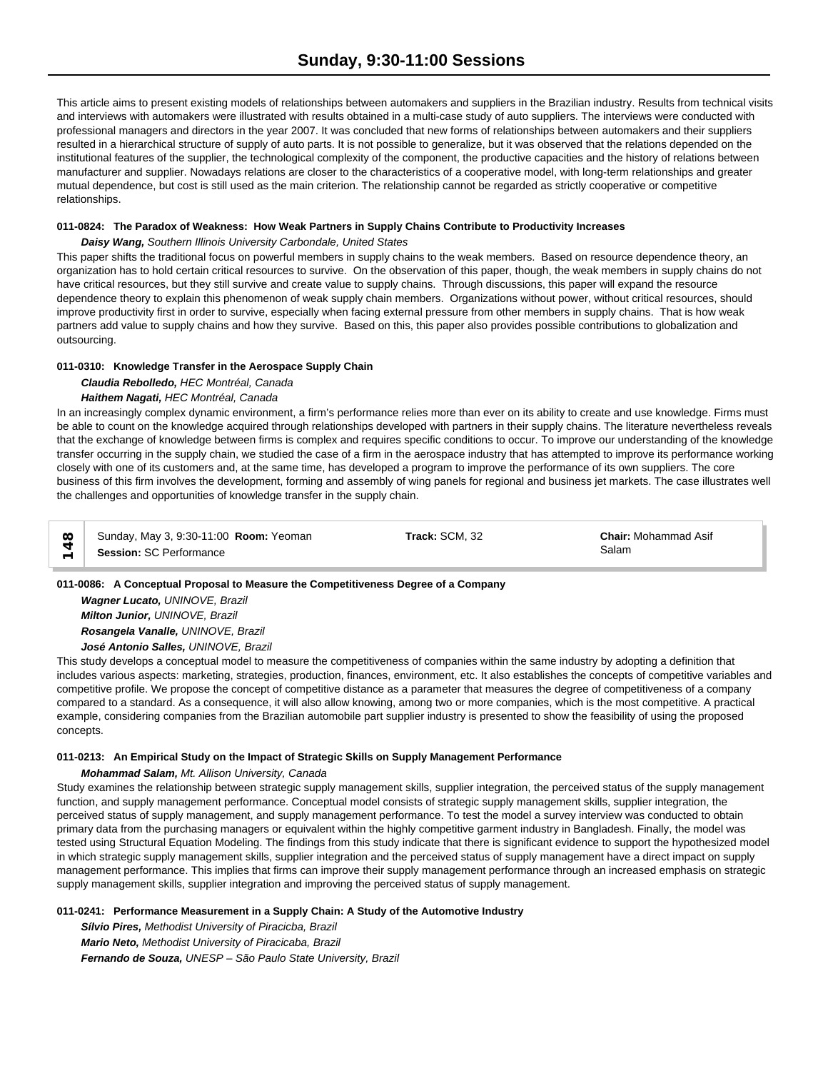This article aims to present existing models of relationships between automakers and suppliers in the Brazilian industry. Results from technical visits and interviews with automakers were illustrated with results obtained in a multi-case study of auto suppliers. The interviews were conducted with professional managers and directors in the year 2007. It was concluded that new forms of relationships between automakers and their suppliers resulted in a hierarchical structure of supply of auto parts. It is not possible to generalize, but it was observed that the relations depended on the institutional features of the supplier, the technological complexity of the component, the productive capacities and the history of relations between manufacturer and supplier. Nowadays relations are closer to the characteristics of a cooperative model, with long-term relationships and greater mutual dependence, but cost is still used as the main criterion. The relationship cannot be regarded as strictly cooperative or competitive relationships.

# **011-0824: The Paradox of Weakness: How Weak Partners in Supply Chains Contribute to Productivity Increases**

### *Daisy Wang, Southern Illinois University Carbondale, United States*

This paper shifts the traditional focus on powerful members in supply chains to the weak members. Based on resource dependence theory, an organization has to hold certain critical resources to survive. On the observation of this paper, though, the weak members in supply chains do not have critical resources, but they still survive and create value to supply chains. Through discussions, this paper will expand the resource dependence theory to explain this phenomenon of weak supply chain members. Organizations without power, without critical resources, should improve productivity first in order to survive, especially when facing external pressure from other members in supply chains. That is how weak partners add value to supply chains and how they survive. Based on this, this paper also provides possible contributions to globalization and outsourcing.

### **011-0310: Knowledge Transfer in the Aerospace Supply Chain**

# *Claudia Rebolledo, HEC Montréal, Canada Haithem Nagati, HEC Montréal, Canada*

In an increasingly complex dynamic environment, a firm's performance relies more than ever on its ability to create and use knowledge. Firms must be able to count on the knowledge acquired through relationships developed with partners in their supply chains. The literature nevertheless reveals that the exchange of knowledge between firms is complex and requires specific conditions to occur. To improve our understanding of the knowledge transfer occurring in the supply chain, we studied the case of a firm in the aerospace industry that has attempted to improve its performance working closely with one of its customers and, at the same time, has developed a program to improve the performance of its own suppliers. The core business of this firm involves the development, forming and assembly of wing panels for regional and business jet markets. The case illustrates well the challenges and opportunities of knowledge transfer in the supply chain.

| $\infty$ | Sunday, May 3, 9:30-11:00 Room: Yeoman | Track: SCM, 32 | <b>Chair: Mohammad Asif</b> |  |
|----------|----------------------------------------|----------------|-----------------------------|--|
|          | <b>Session: SC Performance</b>         |                | Salam                       |  |

### **011-0086: A Conceptual Proposal to Measure the Competitiveness Degree of a Company**

*Wagner Lucato, UNINOVE, Brazil Milton Junior, UNINOVE, Brazil Rosangela Vanalle, UNINOVE, Brazil José Antonio Salles, UNINOVE, Brazil*

This study develops a conceptual model to measure the competitiveness of companies within the same industry by adopting a definition that includes various aspects: marketing, strategies, production, finances, environment, etc. It also establishes the concepts of competitive variables and competitive profile. We propose the concept of competitive distance as a parameter that measures the degree of competitiveness of a company compared to a standard. As a consequence, it will also allow knowing, among two or more companies, which is the most competitive. A practical example, considering companies from the Brazilian automobile part supplier industry is presented to show the feasibility of using the proposed concepts.

# **011-0213: An Empirical Study on the Impact of Strategic Skills on Supply Management Performance**

### *Mohammad Salam, Mt. Allison University, Canada*

Study examines the relationship between strategic supply management skills, supplier integration, the perceived status of the supply management function, and supply management performance. Conceptual model consists of strategic supply management skills, supplier integration, the perceived status of supply management, and supply management performance. To test the model a survey interview was conducted to obtain primary data from the purchasing managers or equivalent within the highly competitive garment industry in Bangladesh. Finally, the model was tested using Structural Equation Modeling. The findings from this study indicate that there is significant evidence to support the hypothesized model in which strategic supply management skills, supplier integration and the perceived status of supply management have a direct impact on supply management performance. This implies that firms can improve their supply management performance through an increased emphasis on strategic supply management skills, supplier integration and improving the perceived status of supply management.

### **011-0241: Performance Measurement in a Supply Chain: A Study of the Automotive Industry**

*Sílvio Pires, Methodist University of Piracicba, Brazil Mario Neto, Methodist University of Piracicaba, Brazil Fernando de Souza, UNESP – São Paulo State University, Brazil*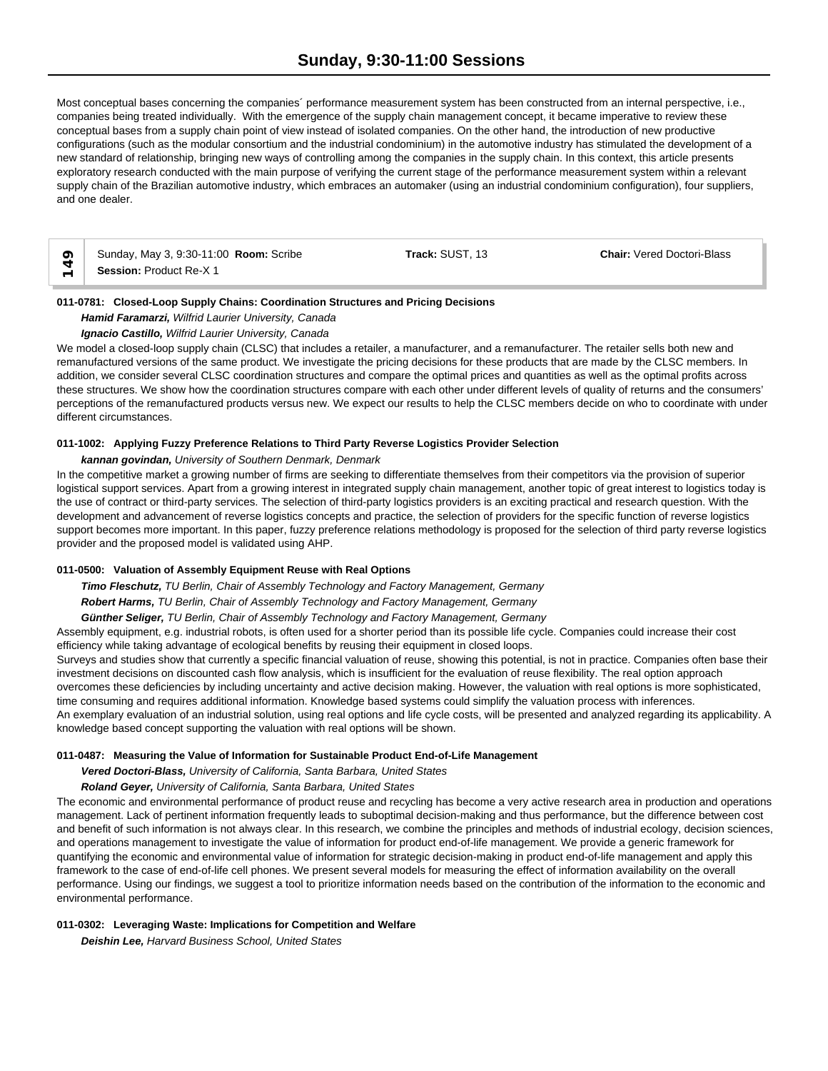Most conceptual bases concerning the companies´ performance measurement system has been constructed from an internal perspective, i.e., companies being treated individually. With the emergence of the supply chain management concept, it became imperative to review these conceptual bases from a supply chain point of view instead of isolated companies. On the other hand, the introduction of new productive configurations (such as the modular consortium and the industrial condominium) in the automotive industry has stimulated the development of a new standard of relationship, bringing new ways of controlling among the companies in the supply chain. In this context, this article presents exploratory research conducted with the main purpose of verifying the current stage of the performance measurement system within a relevant supply chain of the Brazilian automotive industry, which embraces an automaker (using an industrial condominium configuration), four suppliers, and one dealer.



Sunday, May 3, 9:30-11:00 **Room:** Scribe **Track:** SUST, 13 **Chair:** Vered Doctori-Blass **C** Sunday, May 3, 9:30-11:0<br> **Session:** Product Re-X 1

# **011-0781: Closed-Loop Supply Chains: Coordination Structures and Pricing Decisions**

*Hamid Faramarzi, Wilfrid Laurier University, Canada*

*Ignacio Castillo, Wilfrid Laurier University, Canada*

We model a closed-loop supply chain (CLSC) that includes a retailer, a manufacturer, and a remanufacturer. The retailer sells both new and remanufactured versions of the same product. We investigate the pricing decisions for these products that are made by the CLSC members. In addition, we consider several CLSC coordination structures and compare the optimal prices and quantities as well as the optimal profits across these structures. We show how the coordination structures compare with each other under different levels of quality of returns and the consumers' perceptions of the remanufactured products versus new. We expect our results to help the CLSC members decide on who to coordinate with under different circumstances.

# **011-1002: Applying Fuzzy Preference Relations to Third Party Reverse Logistics Provider Selection**

*kannan govindan, University of Southern Denmark, Denmark*

In the competitive market a growing number of firms are seeking to differentiate themselves from their competitors via the provision of superior logistical support services. Apart from a growing interest in integrated supply chain management, another topic of great interest to logistics today is the use of contract or third-party services. The selection of third-party logistics providers is an exciting practical and research question. With the development and advancement of reverse logistics concepts and practice, the selection of providers for the specific function of reverse logistics support becomes more important. In this paper, fuzzy preference relations methodology is proposed for the selection of third party reverse logistics provider and the proposed model is validated using AHP.

### **011-0500: Valuation of Assembly Equipment Reuse with Real Options**

*Timo Fleschutz, TU Berlin, Chair of Assembly Technology and Factory Management, Germany Robert Harms, TU Berlin, Chair of Assembly Technology and Factory Management, Germany*

*Günther Seliger, TU Berlin, Chair of Assembly Technology and Factory Management, Germany*

Assembly equipment, e.g. industrial robots, is often used for a shorter period than its possible life cycle. Companies could increase their cost efficiency while taking advantage of ecological benefits by reusing their equipment in closed loops.

Surveys and studies show that currently a specific financial valuation of reuse, showing this potential, is not in practice. Companies often base their investment decisions on discounted cash flow analysis, which is insufficient for the evaluation of reuse flexibility. The real option approach overcomes these deficiencies by including uncertainty and active decision making. However, the valuation with real options is more sophisticated, time consuming and requires additional information. Knowledge based systems could simplify the valuation process with inferences. An exemplary evaluation of an industrial solution, using real options and life cycle costs, will be presented and analyzed regarding its applicability. A knowledge based concept supporting the valuation with real options will be shown.

### **011-0487: Measuring the Value of Information for Sustainable Product End-of-Life Management**

*Vered Doctori-Blass, University of California, Santa Barbara, United States*

# *Roland Geyer, University of California, Santa Barbara, United States*

The economic and environmental performance of product reuse and recycling has become a very active research area in production and operations management. Lack of pertinent information frequently leads to suboptimal decision-making and thus performance, but the difference between cost and benefit of such information is not always clear. In this research, we combine the principles and methods of industrial ecology, decision sciences, and operations management to investigate the value of information for product end-of-life management. We provide a generic framework for quantifying the economic and environmental value of information for strategic decision-making in product end-of-life management and apply this framework to the case of end-of-life cell phones. We present several models for measuring the effect of information availability on the overall performance. Using our findings, we suggest a tool to prioritize information needs based on the contribution of the information to the economic and environmental performance.

### **011-0302: Leveraging Waste: Implications for Competition and Welfare**

*Deishin Lee, Harvard Business School, United States*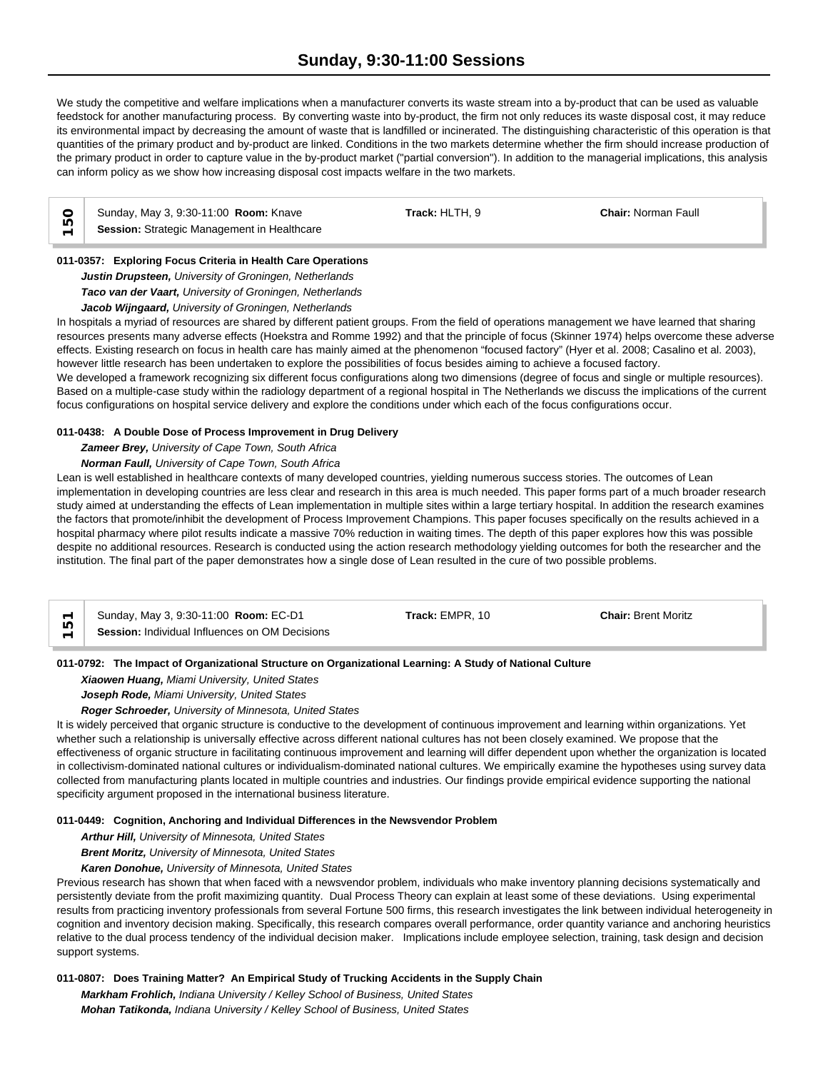# **Sunday, 9:30-11:00 Sessions**

We study the competitive and welfare implications when a manufacturer converts its waste stream into a by-product that can be used as valuable feedstock for another manufacturing process. By converting waste into by-product, the firm not only reduces its waste disposal cost, it may reduce its environmental impact by decreasing the amount of waste that is landfilled or incinerated. The distinguishing characteristic of this operation is that quantities of the primary product and by-product are linked. Conditions in the two markets determine whether the firm should increase production of the primary product in order to capture value in the by-product market ("partial conversion"). In addition to the managerial implications, this analysis can inform policy as we show how increasing disposal cost impacts welfare in the two markets.

| Sunday, May 3, 9:30-11:00 Room: Knave       | Track: HLTH. 9 | <b>Chair: Norman Faull</b> |
|---------------------------------------------|----------------|----------------------------|
| Session: Strategic Management in Healthcare |                |                            |

### **011-0357: Exploring Focus Criteria in Health Care Operations**

*Justin Drupsteen, University of Groningen, Netherlands Taco van der Vaart, University of Groningen, Netherlands Jacob Wijngaard, University of Groningen, Netherlands*

In hospitals a myriad of resources are shared by different patient groups. From the field of operations management we have learned that sharing resources presents many adverse effects (Hoekstra and Romme 1992) and that the principle of focus (Skinner 1974) helps overcome these adverse effects. Existing research on focus in health care has mainly aimed at the phenomenon "focused factory" (Hyer et al. 2008; Casalino et al. 2003), however little research has been undertaken to explore the possibilities of focus besides aiming to achieve a focused factory.

We developed a framework recognizing six different focus configurations along two dimensions (degree of focus and single or multiple resources). Based on a multiple-case study within the radiology department of a regional hospital in The Netherlands we discuss the implications of the current focus configurations on hospital service delivery and explore the conditions under which each of the focus configurations occur.

### **011-0438: A Double Dose of Process Improvement in Drug Delivery**

### *Zameer Brey, University of Cape Town, South Africa*

*Norman Faull, University of Cape Town, South Africa*

Lean is well established in healthcare contexts of many developed countries, yielding numerous success stories. The outcomes of Lean implementation in developing countries are less clear and research in this area is much needed. This paper forms part of a much broader research study aimed at understanding the effects of Lean implementation in multiple sites within a large tertiary hospital. In addition the research examines the factors that promote/inhibit the development of Process Improvement Champions. This paper focuses specifically on the results achieved in a hospital pharmacy where pilot results indicate a massive 70% reduction in waiting times. The depth of this paper explores how this was possible despite no additional resources. Research is conducted using the action research methodology yielding outcomes for both the researcher and the institution. The final part of the paper demonstrates how a single dose of Lean resulted in the cure of two possible problems.

|                               | Sunday, May 3, 9:30-11:00 Room: EC-D1          | Track: EMPR. 10 | <b>Chair: Brent Moritz</b> |  |
|-------------------------------|------------------------------------------------|-----------------|----------------------------|--|
| ᇈ<br>$\overline{\phantom{0}}$ | Session: Individual Influences on OM Decisions |                 |                            |  |

### **011-0792: The Impact of Organizational Structure on Organizational Learning: A Study of National Culture**

*Xiaowen Huang, Miami University, United States*

*Joseph Rode, Miami University, United States*

*Roger Schroeder, University of Minnesota, United States*

It is widely perceived that organic structure is conductive to the development of continuous improvement and learning within organizations. Yet whether such a relationship is universally effective across different national cultures has not been closely examined. We propose that the effectiveness of organic structure in facilitating continuous improvement and learning will differ dependent upon whether the organization is located in collectivism-dominated national cultures or individualism-dominated national cultures. We empirically examine the hypotheses using survey data collected from manufacturing plants located in multiple countries and industries. Our findings provide empirical evidence supporting the national specificity argument proposed in the international business literature.

#### **011-0449: Cognition, Anchoring and Individual Differences in the Newsvendor Problem**

*Arthur Hill, University of Minnesota, United States*

*Brent Moritz, University of Minnesota, United States*

*Karen Donohue, University of Minnesota, United States*

Previous research has shown that when faced with a newsvendor problem, individuals who make inventory planning decisions systematically and persistently deviate from the profit maximizing quantity. Dual Process Theory can explain at least some of these deviations. Using experimental results from practicing inventory professionals from several Fortune 500 firms, this research investigates the link between individual heterogeneity in cognition and inventory decision making. Specifically, this research compares overall performance, order quantity variance and anchoring heuristics relative to the dual process tendency of the individual decision maker. Implications include employee selection, training, task design and decision support systems.

### **011-0807: Does Training Matter? An Empirical Study of Trucking Accidents in the Supply Chain**

*Markham Frohlich, Indiana University / Kelley School of Business, United States Mohan Tatikonda, Indiana University / Kelley School of Business, United States*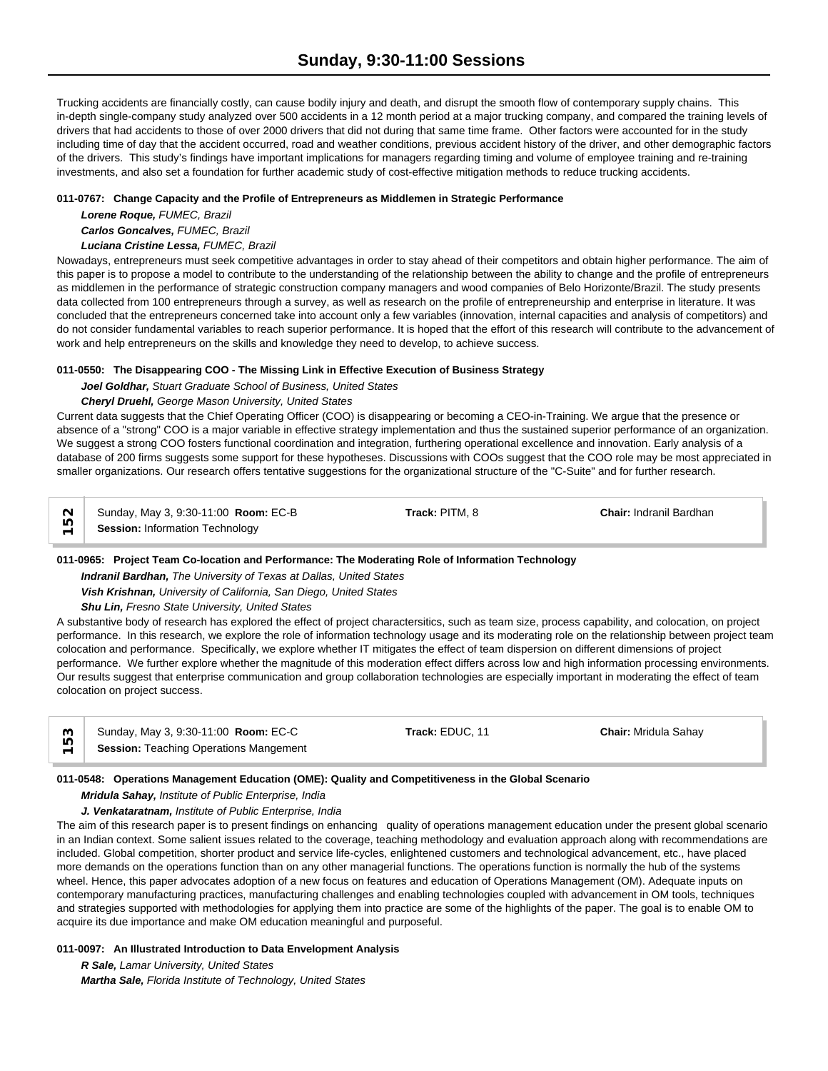Trucking accidents are financially costly, can cause bodily injury and death, and disrupt the smooth flow of contemporary supply chains. This in-depth single-company study analyzed over 500 accidents in a 12 month period at a major trucking company, and compared the training levels of drivers that had accidents to those of over 2000 drivers that did not during that same time frame. Other factors were accounted for in the study including time of day that the accident occurred, road and weather conditions, previous accident history of the driver, and other demographic factors of the drivers. This study's findings have important implications for managers regarding timing and volume of employee training and re-training investments, and also set a foundation for further academic study of cost-effective mitigation methods to reduce trucking accidents.

### **011-0767: Change Capacity and the Profile of Entrepreneurs as Middlemen in Strategic Performance**

*Lorene Roque, FUMEC, Brazil*

*Carlos Goncalves, FUMEC, Brazil*

### *Luciana Cristine Lessa, FUMEC, Brazil*

Nowadays, entrepreneurs must seek competitive advantages in order to stay ahead of their competitors and obtain higher performance. The aim of this paper is to propose a model to contribute to the understanding of the relationship between the ability to change and the profile of entrepreneurs as middlemen in the performance of strategic construction company managers and wood companies of Belo Horizonte/Brazil. The study presents data collected from 100 entrepreneurs through a survey, as well as research on the profile of entrepreneurship and enterprise in literature. It was concluded that the entrepreneurs concerned take into account only a few variables (innovation, internal capacities and analysis of competitors) and do not consider fundamental variables to reach superior performance. It is hoped that the effort of this research will contribute to the advancement of work and help entrepreneurs on the skills and knowledge they need to develop, to achieve success.

# **011-0550: The Disappearing COO - The Missing Link in Effective Execution of Business Strategy**

*Joel Goldhar, Stuart Graduate School of Business, United States*

# *Cheryl Druehl, George Mason University, United States*

Current data suggests that the Chief Operating Officer (COO) is disappearing or becoming a CEO-in-Training. We argue that the presence or absence of a "strong" COO is a major variable in effective strategy implementation and thus the sustained superior performance of an organization. We suggest a strong COO fosters functional coordination and integration, furthering operational excellence and innovation. Early analysis of a database of 200 firms suggests some support for these hypotheses. Discussions with COOs suggest that the COO role may be most appreciated in smaller organizations. Our research offers tentative suggestions for the organizational structure of the "C-Suite" and for further research.

| $\sim$ | Sunday, May 3, 9:30-11:00 Room: EC-B | Track: PITM, 8 | <b>Chair: Indranil Bardhan</b> |  |
|--------|--------------------------------------|----------------|--------------------------------|--|
|        | Session: Information Technology      |                |                                |  |

# **011-0965: Project Team Co-location and Performance: The Moderating Role of Information Technology**

*Indranil Bardhan, The University of Texas at Dallas, United States*

*Vish Krishnan, University of California, San Diego, United States*

# *Shu Lin, Fresno State University, United States*

A substantive body of research has explored the effect of project charactersitics, such as team size, process capability, and colocation, on project performance. In this research, we explore the role of information technology usage and its moderating role on the relationship between project team colocation and performance. Specifically, we explore whether IT mitigates the effect of team dispersion on different dimensions of project performance. We further explore whether the magnitude of this moderation effect differs across low and high information processing environments. Our results suggest that enterprise communication and group collaboration technologies are especially important in moderating the effect of team colocation on project success.

| က | Sunday, May 3, 9:30-11:00 Room: EC-C          | Track: EDUC. 11 | <b>Chair: Mridula Sahav</b> |  |
|---|-----------------------------------------------|-----------------|-----------------------------|--|
|   | <b>Session: Teaching Operations Mangement</b> |                 |                             |  |

# **011-0548: Operations Management Education (OME): Quality and Competitiveness in the Global Scenario**

*Mridula Sahay, Institute of Public Enterprise, India*

### *J. Venkataratnam, Institute of Public Enterprise, India*

The aim of this research paper is to present findings on enhancing quality of operations management education under the present global scenario in an Indian context. Some salient issues related to the coverage, teaching methodology and evaluation approach along with recommendations are included. Global competition, shorter product and service life-cycles, enlightened customers and technological advancement, etc., have placed more demands on the operations function than on any other managerial functions. The operations function is normally the hub of the systems wheel. Hence, this paper advocates adoption of a new focus on features and education of Operations Management (OM). Adequate inputs on contemporary manufacturing practices, manufacturing challenges and enabling technologies coupled with advancement in OM tools, techniques and strategies supported with methodologies for applying them into practice are some of the highlights of the paper. The goal is to enable OM to acquire its due importance and make OM education meaningful and purposeful.

# **011-0097: An Illustrated Introduction to Data Envelopment Analysis**

*R Sale, Lamar University, United States*

*Martha Sale, Florida Institute of Technology, United States*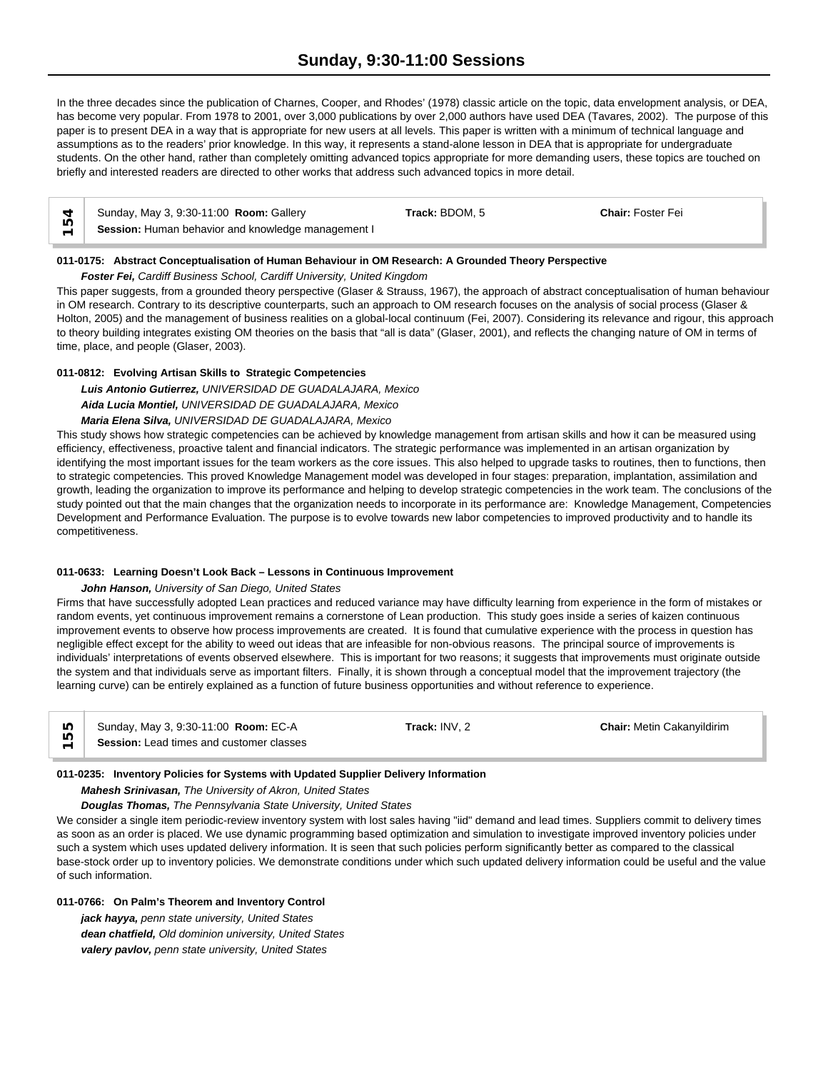# **Sunday, 9:30-11:00 Sessions**

In the three decades since the publication of Charnes, Cooper, and Rhodes' (1978) classic article on the topic, data envelopment analysis, or DEA, has become very popular. From 1978 to 2001, over 3,000 publications by over 2,000 authors have used DEA (Tavares, 2002). The purpose of this paper is to present DEA in a way that is appropriate for new users at all levels. This paper is written with a minimum of technical language and assumptions as to the readers' prior knowledge. In this way, it represents a stand-alone lesson in DEA that is appropriate for undergraduate students. On the other hand, rather than completely omitting advanced topics appropriate for more demanding users, these topics are touched on briefly and interested readers are directed to other works that address such advanced topics in more detail.

| $\overline{a}$                | Sunday, May 3, 9:30-11:00 Room: Gallery            | Track: BDOM, 5 | <b>Chair: Foster Fei</b> |
|-------------------------------|----------------------------------------------------|----------------|--------------------------|
| Ю<br>$\overline{\phantom{0}}$ | Session: Human behavior and knowledge management I |                |                          |

### **011-0175: Abstract Conceptualisation of Human Behaviour in OM Research: A Grounded Theory Perspective**

### *Foster Fei, Cardiff Business School, Cardiff University, United Kingdom*

This paper suggests, from a grounded theory perspective (Glaser & Strauss, 1967), the approach of abstract conceptualisation of human behaviour in OM research. Contrary to its descriptive counterparts, such an approach to OM research focuses on the analysis of social process (Glaser & Holton, 2005) and the management of business realities on a global-local continuum (Fei, 2007). Considering its relevance and rigour, this approach to theory building integrates existing OM theories on the basis that "all is data" (Glaser, 2001), and reflects the changing nature of OM in terms of time, place, and people (Glaser, 2003).

### **011-0812: Evolving Artisan Skills to Strategic Competencies**

*Luis Antonio Gutierrez, UNIVERSIDAD DE GUADALAJARA, Mexico Aida Lucia Montiel, UNIVERSIDAD DE GUADALAJARA, Mexico*

### *Maria Elena Silva, UNIVERSIDAD DE GUADALAJARA, Mexico*

This study shows how strategic competencies can be achieved by knowledge management from artisan skills and how it can be measured using efficiency, effectiveness, proactive talent and financial indicators. The strategic performance was implemented in an artisan organization by identifying the most important issues for the team workers as the core issues. This also helped to upgrade tasks to routines, then to functions, then to strategic competencies. This proved Knowledge Management model was developed in four stages: preparation, implantation, assimilation and growth, leading the organization to improve its performance and helping to develop strategic competencies in the work team. The conclusions of the study pointed out that the main changes that the organization needs to incorporate in its performance are: Knowledge Management, Competencies Development and Performance Evaluation. The purpose is to evolve towards new labor competencies to improved productivity and to handle its competitiveness.

#### **011-0633: Learning Doesn't Look Back – Lessons in Continuous Improvement**

### *John Hanson, University of San Diego, United States*

Firms that have successfully adopted Lean practices and reduced variance may have difficulty learning from experience in the form of mistakes or random events, yet continuous improvement remains a cornerstone of Lean production. This study goes inside a series of kaizen continuous improvement events to observe how process improvements are created. It is found that cumulative experience with the process in question has negligible effect except for the ability to weed out ideas that are infeasible for non-obvious reasons. The principal source of improvements is individuals' interpretations of events observed elsewhere. This is important for two reasons; it suggests that improvements must originate outside the system and that individuals serve as important filters. Finally, it is shown through a conceptual model that the improvement trajectory (the learning curve) can be entirely explained as a function of future business opportunities and without reference to experience.

| LO | Sunday, May 3, 9:30-11:00 <b>Room:</b> EC-A     | Frack: INV. 2 | <b>Chair: Metin Cakanvildirim</b> |  |
|----|-------------------------------------------------|---------------|-----------------------------------|--|
| ഥ  | <b>Session:</b> Lead times and customer classes |               |                                   |  |

### **011-0235: Inventory Policies for Systems with Updated Supplier Delivery Information**

*Mahesh Srinivasan, The University of Akron, United States*

*Douglas Thomas, The Pennsylvania State University, United States*

We consider a single item periodic-review inventory system with lost sales having "iid" demand and lead times. Suppliers commit to delivery times as soon as an order is placed. We use dynamic programming based optimization and simulation to investigate improved inventory policies under such a system which uses updated delivery information. It is seen that such policies perform significantly better as compared to the classical base-stock order up to inventory policies. We demonstrate conditions under which such updated delivery information could be useful and the value of such information.

### **011-0766: On Palm's Theorem and Inventory Control**

*jack hayya, penn state university, United States dean chatfield, Old dominion university, United States valery pavlov, penn state university, United States*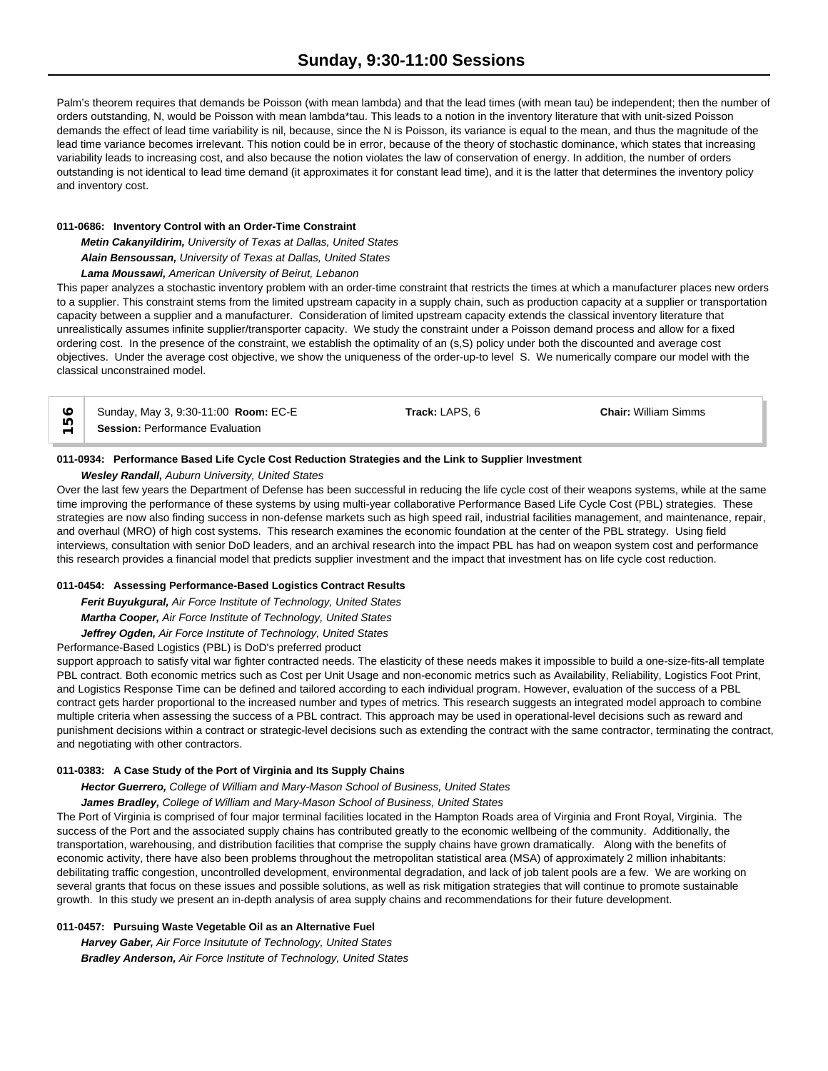Palm's theorem requires that demands be Poisson (with mean lambda) and that the lead times (with mean tau) be independent; then the number of orders outstanding, N, would be Poisson with mean lambda\*tau. This leads to a notion in the inventory literature that with unit-sized Poisson demands the effect of lead time variability is nil, because, since the N is Poisson, its variance is equal to the mean, and thus the magnitude of the lead time variance becomes irrelevant. This notion could be in error, because of the theory of stochastic dominance, which states that increasing variability leads to increasing cost, and also because the notion violates the law of conservation of energy. In addition, the number of orders outstanding is not identical to lead time demand (it approximates it for constant lead time), and it is the latter that determines the inventory policy and inventory cost.

### **011-0686: Inventory Control with an Order-Time Constraint**

*Metin Cakanyildirim, University of Texas at Dallas, United States Alain Bensoussan, University of Texas at Dallas, United States Lama Moussawi, American University of Beirut, Lebanon*

This paper analyzes a stochastic inventory problem with an order-time constraint that restricts the times at which a manufacturer places new orders to a supplier. This constraint stems from the limited upstream capacity in a supply chain, such as production capacity at a supplier or transportation capacity between a supplier and a manufacturer. Consideration of limited upstream capacity extends the classical inventory literature that unrealistically assumes infinite supplier/transporter capacity. We study the constraint under a Poisson demand process and allow for a fixed ordering cost. In the presence of the constraint, we establish the optimality of an (s,S) policy under both the discounted and average cost objectives. Under the average cost objective, we show the uniqueness of the order-up-to level S. We numerically compare our model with the classical unconstrained model.

| $\circ$ | Sunday, May 3, 9:30-11:00 Room: EC-E   | Track: LAPS. 6 | <b>Chair: William Simms</b> |  |
|---------|----------------------------------------|----------------|-----------------------------|--|
| یصا     | <b>Session: Performance Evaluation</b> |                |                             |  |

### **011-0934: Performance Based Life Cycle Cost Reduction Strategies and the Link to Supplier Investment**

*Wesley Randall, Auburn University, United States*

Over the last few years the Department of Defense has been successful in reducing the life cycle cost of their weapons systems, while at the same time improving the performance of these systems by using multi-year collaborative Performance Based Life Cycle Cost (PBL) strategies. These strategies are now also finding success in non-defense markets such as high speed rail, industrial facilities management, and maintenance, repair, and overhaul (MRO) of high cost systems. This research examines the economic foundation at the center of the PBL strategy. Using field interviews, consultation with senior DoD leaders, and an archival research into the impact PBL has had on weapon system cost and performance this research provides a financial model that predicts supplier investment and the impact that investment has on life cycle cost reduction.

### **011-0454: Assessing Performance-Based Logistics Contract Results**

*Ferit Buyukgural, Air Force Institute of Technology, United States Martha Cooper, Air Force Institute of Technology, United States Jeffrey Ogden, Air Force Institute of Technology, United States*

Performance-Based Logistics (PBL) is DoD's preferred product

support approach to satisfy vital war fighter contracted needs. The elasticity of these needs makes it impossible to build a one-size-fits-all template PBL contract. Both economic metrics such as Cost per Unit Usage and non-economic metrics such as Availability, Reliability, Logistics Foot Print, and Logistics Response Time can be defined and tailored according to each individual program. However, evaluation of the success of a PBL contract gets harder proportional to the increased number and types of metrics. This research suggests an integrated model approach to combine multiple criteria when assessing the success of a PBL contract. This approach may be used in operational-level decisions such as reward and punishment decisions within a contract or strategic-level decisions such as extending the contract with the same contractor, terminating the contract, and negotiating with other contractors.

### **011-0383: A Case Study of the Port of Virginia and Its Supply Chains**

*Hector Guerrero, College of William and Mary-Mason School of Business, United States*

*James Bradley, College of William and Mary-Mason School of Business, United States*

The Port of Virginia is comprised of four major terminal facilities located in the Hampton Roads area of Virginia and Front Royal, Virginia. The success of the Port and the associated supply chains has contributed greatly to the economic wellbeing of the community. Additionally, the transportation, warehousing, and distribution facilities that comprise the supply chains have grown dramatically. Along with the benefits of economic activity, there have also been problems throughout the metropolitan statistical area (MSA) of approximately 2 million inhabitants: debilitating traffic congestion, uncontrolled development, environmental degradation, and lack of job talent pools are a few. We are working on several grants that focus on these issues and possible solutions, as well as risk mitigation strategies that will continue to promote sustainable growth. In this study we present an in-depth analysis of area supply chains and recommendations for their future development.

### **011-0457: Pursuing Waste Vegetable Oil as an Alternative Fuel**

*Harvey Gaber, Air Force Insitutute of Technology, United States Bradley Anderson, Air Force Institute of Technology, United States*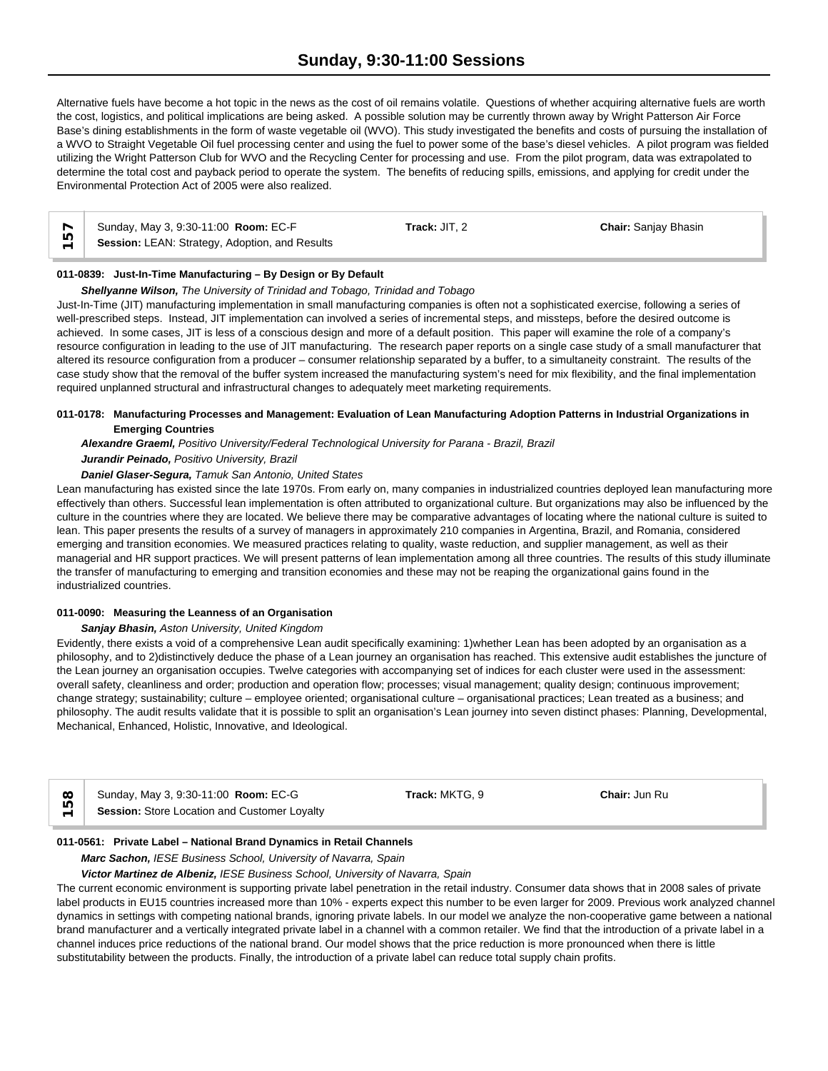Alternative fuels have become a hot topic in the news as the cost of oil remains volatile. Questions of whether acquiring alternative fuels are worth the cost, logistics, and political implications are being asked. A possible solution may be currently thrown away by Wright Patterson Air Force Base's dining establishments in the form of waste vegetable oil (WVO). This study investigated the benefits and costs of pursuing the installation of a WVO to Straight Vegetable Oil fuel processing center and using the fuel to power some of the base's diesel vehicles. A pilot program was fielded utilizing the Wright Patterson Club for WVO and the Recycling Center for processing and use. From the pilot program, data was extrapolated to determine the total cost and payback period to operate the system. The benefits of reducing spills, emissions, and applying for credit under the Environmental Protection Act of 2005 were also realized.

|                          | Sunday, May 3, 9:30-11:00 Room: EC-F           | Track: JIT. 2 | <b>Chair: Sanjay Bhasin</b> |  |
|--------------------------|------------------------------------------------|---------------|-----------------------------|--|
| $\overline{\phantom{0}}$ | Session: LEAN: Strategy, Adoption, and Results |               |                             |  |

### **011-0839: Just-In-Time Manufacturing – By Design or By Default**

### *Shellyanne Wilson, The University of Trinidad and Tobago, Trinidad and Tobago*

Just-In-Time (JIT) manufacturing implementation in small manufacturing companies is often not a sophisticated exercise, following a series of well-prescribed steps. Instead, JIT implementation can involved a series of incremental steps, and missteps, before the desired outcome is achieved. In some cases, JIT is less of a conscious design and more of a default position. This paper will examine the role of a company's resource configuration in leading to the use of JIT manufacturing. The research paper reports on a single case study of a small manufacturer that altered its resource configuration from a producer – consumer relationship separated by a buffer, to a simultaneity constraint. The results of the case study show that the removal of the buffer system increased the manufacturing system's need for mix flexibility, and the final implementation required unplanned structural and infrastructural changes to adequately meet marketing requirements.

### **011-0178: Manufacturing Processes and Management: Evaluation of Lean Manufacturing Adoption Patterns in Industrial Organizations in Emerging Countries**

*Alexandre Graeml, Positivo University/Federal Technological University for Parana - Brazil, Brazil*

### *Jurandir Peinado, Positivo University, Brazil*

# *Daniel Glaser-Segura, Tamuk San Antonio, United States*

Lean manufacturing has existed since the late 1970s. From early on, many companies in industrialized countries deployed lean manufacturing more effectively than others. Successful lean implementation is often attributed to organizational culture. But organizations may also be influenced by the culture in the countries where they are located. We believe there may be comparative advantages of locating where the national culture is suited to lean. This paper presents the results of a survey of managers in approximately 210 companies in Argentina, Brazil, and Romania, considered emerging and transition economies. We measured practices relating to quality, waste reduction, and supplier management, as well as their managerial and HR support practices. We will present patterns of lean implementation among all three countries. The results of this study illuminate the transfer of manufacturing to emerging and transition economies and these may not be reaping the organizational gains found in the industrialized countries.

#### **011-0090: Measuring the Leanness of an Organisation**

#### *Sanjay Bhasin, Aston University, United Kingdom*

Evidently, there exists a void of a comprehensive Lean audit specifically examining: 1)whether Lean has been adopted by an organisation as a philosophy, and to 2)distinctively deduce the phase of a Lean journey an organisation has reached. This extensive audit establishes the juncture of the Lean journey an organisation occupies. Twelve categories with accompanying set of indices for each cluster were used in the assessment: overall safety, cleanliness and order; production and operation flow; processes; visual management; quality design; continuous improvement; change strategy; sustainability; culture – employee oriented; organisational culture – organisational practices; Lean treated as a business; and philosophy. The audit results validate that it is possible to split an organisation's Lean journey into seven distinct phases: Planning, Developmental, Mechanical, Enhanced, Holistic, Innovative, and Ideological.

|  | ×<br>r |
|--|--------|
|  |        |

Sunday, May 3, 9:30-11:00 **Room:** EC-G **Track:** MKTG, 9 **Chair:** Jun Ru ∞ │ Sunday, May 3, 9:30-11:00 **Room:** EC-G<br><u>L</u> **Session:** Store Location and Customer Loyalty

### **011-0561: Private Label – National Brand Dynamics in Retail Channels**

*Marc Sachon, IESE Business School, University of Navarra, Spain*

#### *Victor Martinez de Albeniz, IESE Business School, University of Navarra, Spain*

The current economic environment is supporting private label penetration in the retail industry. Consumer data shows that in 2008 sales of private label products in EU15 countries increased more than 10% - experts expect this number to be even larger for 2009. Previous work analyzed channel dynamics in settings with competing national brands, ignoring private labels. In our model we analyze the non-cooperative game between a national brand manufacturer and a vertically integrated private label in a channel with a common retailer. We find that the introduction of a private label in a channel induces price reductions of the national brand. Our model shows that the price reduction is more pronounced when there is little substitutability between the products. Finally, the introduction of a private label can reduce total supply chain profits.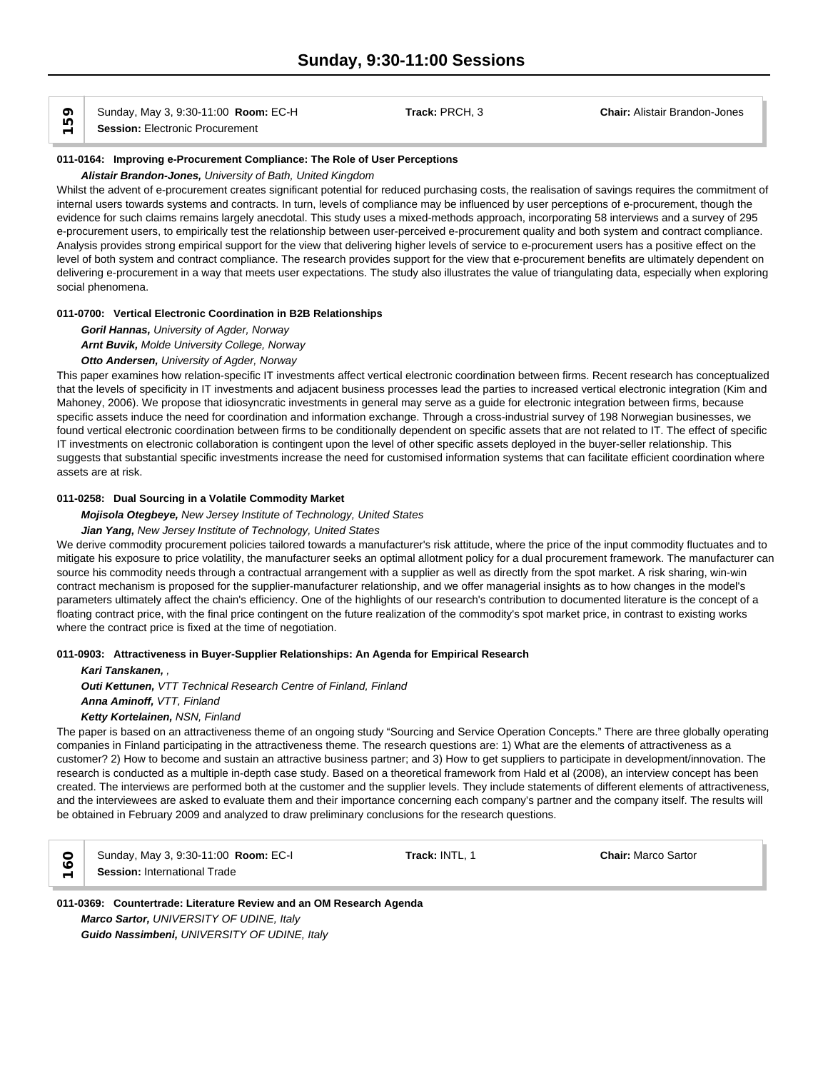Sunday, May 3, 9:30-11:00 **Room:** EC-H **Track:** PRCH, 3 **Chair:** Alistair Brandon-Jones **Sunday, May 3, 9:30-11:00 Roon**<br> **Session:** Electronic Procurement

### **011-0164: Improving e-Procurement Compliance: The Role of User Perceptions**

# *Alistair Brandon-Jones, University of Bath, United Kingdom*

Whilst the advent of e-procurement creates significant potential for reduced purchasing costs, the realisation of savings requires the commitment of internal users towards systems and contracts. In turn, levels of compliance may be influenced by user perceptions of e-procurement, though the evidence for such claims remains largely anecdotal. This study uses a mixed-methods approach, incorporating 58 interviews and a survey of 295 e-procurement users, to empirically test the relationship between user-perceived e-procurement quality and both system and contract compliance. Analysis provides strong empirical support for the view that delivering higher levels of service to e-procurement users has a positive effect on the level of both system and contract compliance. The research provides support for the view that e-procurement benefits are ultimately dependent on delivering e-procurement in a way that meets user expectations. The study also illustrates the value of triangulating data, especially when exploring social phenomena.

### **011-0700: Vertical Electronic Coordination in B2B Relationships**

*Goril Hannas, University of Agder, Norway*

*Arnt Buvik, Molde University College, Norway*

### *Otto Andersen, University of Agder, Norway*

This paper examines how relation-specific IT investments affect vertical electronic coordination between firms. Recent research has conceptualized that the levels of specificity in IT investments and adjacent business processes lead the parties to increased vertical electronic integration (Kim and Mahoney, 2006). We propose that idiosyncratic investments in general may serve as a guide for electronic integration between firms, because specific assets induce the need for coordination and information exchange. Through a cross-industrial survey of 198 Norwegian businesses, we found vertical electronic coordination between firms to be conditionally dependent on specific assets that are not related to IT. The effect of specific IT investments on electronic collaboration is contingent upon the level of other specific assets deployed in the buyer-seller relationship. This suggests that substantial specific investments increase the need for customised information systems that can facilitate efficient coordination where assets are at risk.

### **011-0258: Dual Sourcing in a Volatile Commodity Market**

#### *Mojisola Otegbeye, New Jersey Institute of Technology, United States*

### *Jian Yang, New Jersey Institute of Technology, United States*

We derive commodity procurement policies tailored towards a manufacturer's risk attitude, where the price of the input commodity fluctuates and to mitigate his exposure to price volatility, the manufacturer seeks an optimal allotment policy for a dual procurement framework. The manufacturer can source his commodity needs through a contractual arrangement with a supplier as well as directly from the spot market. A risk sharing, win-win contract mechanism is proposed for the supplier-manufacturer relationship, and we offer managerial insights as to how changes in the model's parameters ultimately affect the chain's efficiency. One of the highlights of our research's contribution to documented literature is the concept of a floating contract price, with the final price contingent on the future realization of the commodity's spot market price, in contrast to existing works where the contract price is fixed at the time of negotiation.

#### **011-0903: Attractiveness in Buyer-Supplier Relationships: An Agenda for Empirical Research**

*Kari Tanskanen, , Outi Kettunen, VTT Technical Research Centre of Finland, Finland Anna Aminoff, VTT, Finland Ketty Kortelainen, NSN, Finland*

The paper is based on an attractiveness theme of an ongoing study "Sourcing and Service Operation Concepts." There are three globally operating companies in Finland participating in the attractiveness theme. The research questions are: 1) What are the elements of attractiveness as a customer? 2) How to become and sustain an attractive business partner; and 3) How to get suppliers to participate in development/innovation. The research is conducted as a multiple in-depth case study. Based on a theoretical framework from Hald et al (2008), an interview concept has been created. The interviews are performed both at the customer and the supplier levels. They include statements of different elements of attractiveness, and the interviewees are asked to evaluate them and their importance concerning each company's partner and the company itself. The results will be obtained in February 2009 and analyzed to draw preliminary conclusions for the research questions.

Sunday, May 3, 9:30-11:00 **Room:** EC-I **Track:** INTL, 1 **Chair:** Marco Sartor Sunday, May 3, 9:30-11:00 **1**<br>
Session: International Trade

# **011-0369: Countertrade: Literature Review and an OM Research Agenda** *Marco Sartor, UNIVERSITY OF UDINE, Italy Guido Nassimbeni, UNIVERSITY OF UDINE, Italy*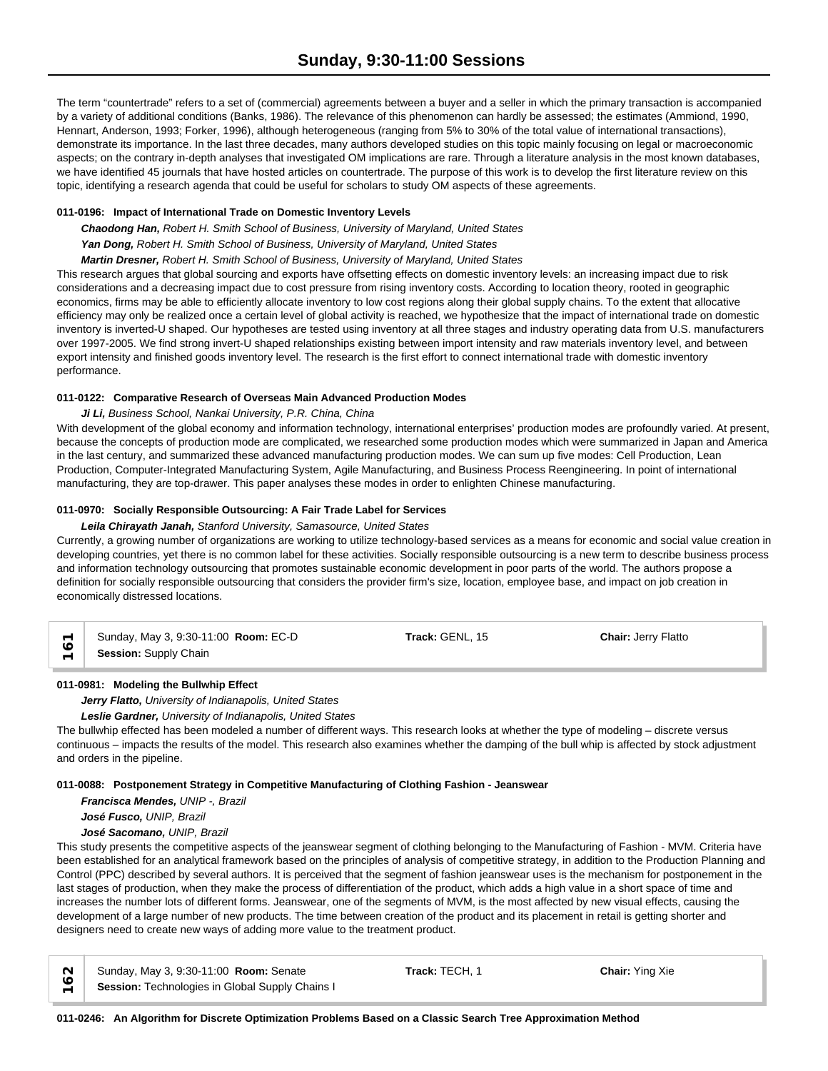The term "countertrade" refers to a set of (commercial) agreements between a buyer and a seller in which the primary transaction is accompanied by a variety of additional conditions (Banks, 1986). The relevance of this phenomenon can hardly be assessed; the estimates (Ammiond, 1990, Hennart, Anderson, 1993; Forker, 1996), although heterogeneous (ranging from 5% to 30% of the total value of international transactions), demonstrate its importance. In the last three decades, many authors developed studies on this topic mainly focusing on legal or macroeconomic aspects; on the contrary in-depth analyses that investigated OM implications are rare. Through a literature analysis in the most known databases, we have identified 45 journals that have hosted articles on countertrade. The purpose of this work is to develop the first literature review on this topic, identifying a research agenda that could be useful for scholars to study OM aspects of these agreements.

# **011-0196: Impact of International Trade on Domestic Inventory Levels**

*Chaodong Han, Robert H. Smith School of Business, University of Maryland, United States*

*Yan Dong, Robert H. Smith School of Business, University of Maryland, United States*

*Martin Dresner, Robert H. Smith School of Business, University of Maryland, United States*

This research argues that global sourcing and exports have offsetting effects on domestic inventory levels: an increasing impact due to risk considerations and a decreasing impact due to cost pressure from rising inventory costs. According to location theory, rooted in geographic economics, firms may be able to efficiently allocate inventory to low cost regions along their global supply chains. To the extent that allocative efficiency may only be realized once a certain level of global activity is reached, we hypothesize that the impact of international trade on domestic inventory is inverted-U shaped. Our hypotheses are tested using inventory at all three stages and industry operating data from U.S. manufacturers over 1997-2005. We find strong invert-U shaped relationships existing between import intensity and raw materials inventory level, and between export intensity and finished goods inventory level. The research is the first effort to connect international trade with domestic inventory performance.

# **011-0122: Comparative Research of Overseas Main Advanced Production Modes**

*Ji Li, Business School, Nankai University, P.R. China, China*

With development of the global economy and information technology, international enterprises' production modes are profoundly varied. At present, because the concepts of production mode are complicated, we researched some production modes which were summarized in Japan and America in the last century, and summarized these advanced manufacturing production modes. We can sum up five modes: Cell Production, Lean Production, Computer-Integrated Manufacturing System, Agile Manufacturing, and Business Process Reengineering. In point of international manufacturing, they are top-drawer. This paper analyses these modes in order to enlighten Chinese manufacturing.

# **011-0970: Socially Responsible Outsourcing: A Fair Trade Label for Services**

### *Leila Chirayath Janah, Stanford University, Samasource, United States*

Currently, a growing number of organizations are working to utilize technology-based services as a means for economic and social value creation in developing countries, yet there is no common label for these activities. Socially responsible outsourcing is a new term to describe business process and information technology outsourcing that promotes sustainable economic development in poor parts of the world. The authors propose a definition for socially responsible outsourcing that considers the provider firm's size, location, employee base, and impact on job creation in economically distressed locations.

|          | Sunday, May 3, 9:30-11:00 <b>Room:</b> EC-D | Track: GENL, 15 | <b>Chair: Jerry Flatto</b> |  |
|----------|---------------------------------------------|-----------------|----------------------------|--|
| $\equiv$ | Session: Supply Chain                       |                 |                            |  |

# **011-0981: Modeling the Bullwhip Effect**

*Jerry Flatto, University of Indianapolis, United States*

*Leslie Gardner, University of Indianapolis, United States*

The bullwhip effected has been modeled a number of different ways. This research looks at whether the type of modeling – discrete versus continuous – impacts the results of the model. This research also examines whether the damping of the bull whip is affected by stock adjustment and orders in the pipeline.

### **011-0088: Postponement Strategy in Competitive Manufacturing of Clothing Fashion - Jeanswear**

*Francisca Mendes, UNIP -, Brazil José Fusco, UNIP, Brazil*

# *José Sacomano, UNIP, Brazil*

This study presents the competitive aspects of the jeanswear segment of clothing belonging to the Manufacturing of Fashion - MVM. Criteria have been established for an analytical framework based on the principles of analysis of competitive strategy, in addition to the Production Planning and Control (PPC) described by several authors. It is perceived that the segment of fashion jeanswear uses is the mechanism for postponement in the last stages of production, when they make the process of differentiation of the product, which adds a high value in a short space of time and increases the number lots of different forms. Jeanswear, one of the segments of MVM, is the most affected by new visual effects, causing the development of a large number of new products. The time between creation of the product and its placement in retail is getting shorter and designers need to create new ways of adding more value to the treatment product.

| $\sim$        | Sunday, May 3, 9:30-11:00 Room: Senate          | Track: TE |
|---------------|-------------------------------------------------|-----------|
| $\frac{6}{1}$ | Session: Technologies in Global Supply Chains I |           |

Sunday, May 3, 9:30-11:00 **Room:** Senate **Track:** TECH, 1 **Chair:** Ying Xie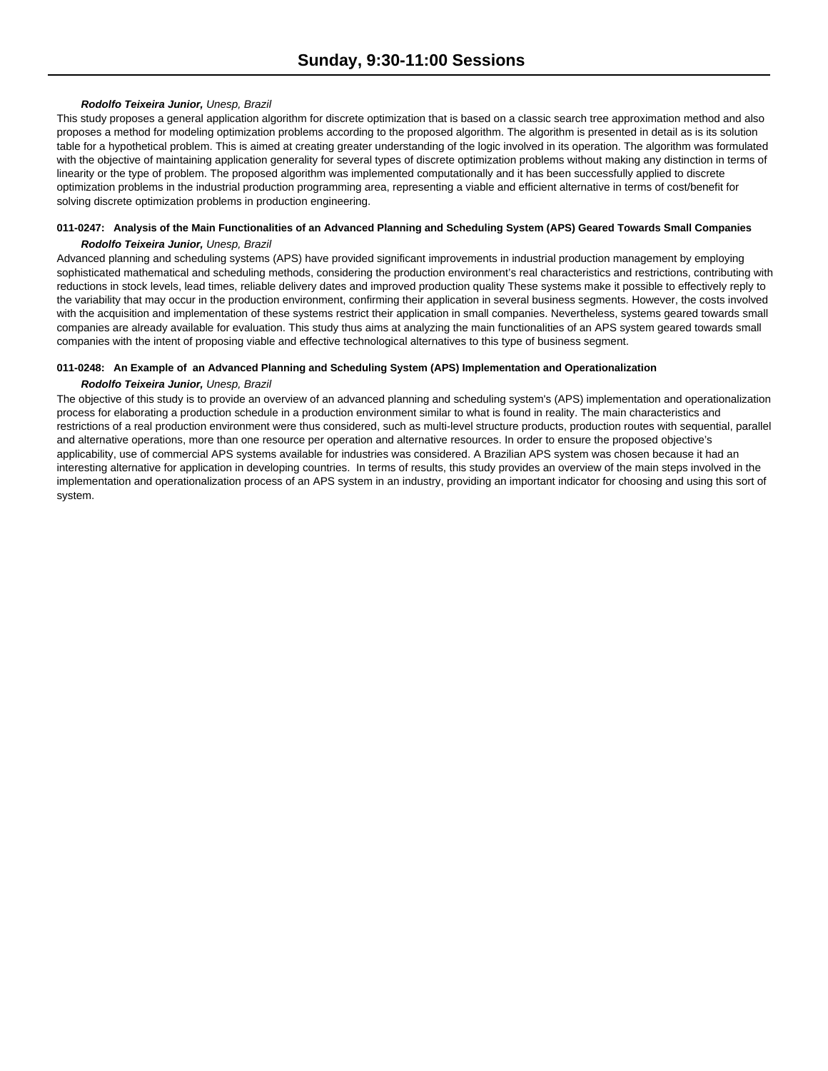### *Rodolfo Teixeira Junior, Unesp, Brazil*

This study proposes a general application algorithm for discrete optimization that is based on a classic search tree approximation method and also proposes a method for modeling optimization problems according to the proposed algorithm. The algorithm is presented in detail as is its solution table for a hypothetical problem. This is aimed at creating greater understanding of the logic involved in its operation. The algorithm was formulated with the objective of maintaining application generality for several types of discrete optimization problems without making any distinction in terms of linearity or the type of problem. The proposed algorithm was implemented computationally and it has been successfully applied to discrete optimization problems in the industrial production programming area, representing a viable and efficient alternative in terms of cost/benefit for solving discrete optimization problems in production engineering.

## **011-0247: Analysis of the Main Functionalities of an Advanced Planning and Scheduling System (APS) Geared Towards Small Companies** *Rodolfo Teixeira Junior, Unesp, Brazil*

Advanced planning and scheduling systems (APS) have provided significant improvements in industrial production management by employing sophisticated mathematical and scheduling methods, considering the production environment's real characteristics and restrictions, contributing with reductions in stock levels, lead times, reliable delivery dates and improved production quality These systems make it possible to effectively reply to the variability that may occur in the production environment, confirming their application in several business segments. However, the costs involved with the acquisition and implementation of these systems restrict their application in small companies. Nevertheless, systems geared towards small companies are already available for evaluation. This study thus aims at analyzing the main functionalities of an APS system geared towards small companies with the intent of proposing viable and effective technological alternatives to this type of business segment.

### **011-0248: An Example of an Advanced Planning and Scheduling System (APS) Implementation and Operationalization**

### *Rodolfo Teixeira Junior, Unesp, Brazil*

The objective of this study is to provide an overview of an advanced planning and scheduling system's (APS) implementation and operationalization process for elaborating a production schedule in a production environment similar to what is found in reality. The main characteristics and restrictions of a real production environment were thus considered, such as multi-level structure products, production routes with sequential, parallel and alternative operations, more than one resource per operation and alternative resources. In order to ensure the proposed objective's applicability, use of commercial APS systems available for industries was considered. A Brazilian APS system was chosen because it had an interesting alternative for application in developing countries. In terms of results, this study provides an overview of the main steps involved in the implementation and operationalization process of an APS system in an industry, providing an important indicator for choosing and using this sort of system.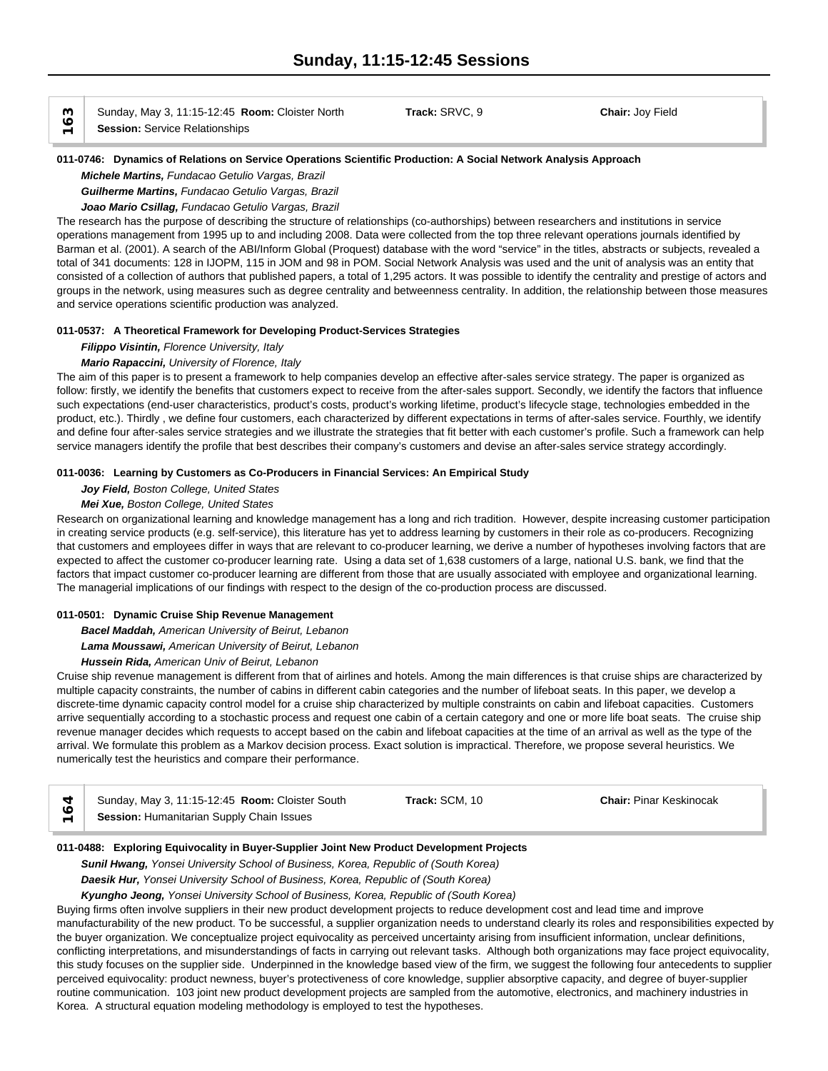Sunday, May 3, 11:15-12:45 **Room:** Cloister North **Track:** SRVC, 9 **Chair:** Joy Field **COLLANS** Sunday, May 3, 11:15-12:45 **Relationships** 

#### **011-0746: Dynamics of Relations on Service Operations Scientific Production: A Social Network Analysis Approach**

*Michele Martins, Fundacao Getulio Vargas, Brazil*

*Guilherme Martins, Fundacao Getulio Vargas, Brazil*

# *Joao Mario Csillag, Fundacao Getulio Vargas, Brazil*

The research has the purpose of describing the structure of relationships (co-authorships) between researchers and institutions in service operations management from 1995 up to and including 2008. Data were collected from the top three relevant operations journals identified by Barman et al. (2001). A search of the ABI/Inform Global (Proquest) database with the word "service" in the titles, abstracts or subjects, revealed a total of 341 documents: 128 in IJOPM, 115 in JOM and 98 in POM. Social Network Analysis was used and the unit of analysis was an entity that consisted of a collection of authors that published papers, a total of 1,295 actors. It was possible to identify the centrality and prestige of actors and groups in the network, using measures such as degree centrality and betweenness centrality. In addition, the relationship between those measures and service operations scientific production was analyzed.

#### **011-0537: A Theoretical Framework for Developing Product-Services Strategies**

*Filippo Visintin, Florence University, Italy*

### *Mario Rapaccini, University of Florence, Italy*

The aim of this paper is to present a framework to help companies develop an effective after-sales service strategy. The paper is organized as follow: firstly, we identify the benefits that customers expect to receive from the after-sales support. Secondly, we identify the factors that influence such expectations (end-user characteristics, product's costs, product's working lifetime, product's lifecycle stage, technologies embedded in the product, etc.). Thirdly , we define four customers, each characterized by different expectations in terms of after-sales service. Fourthly, we identify and define four after-sales service strategies and we illustrate the strategies that fit better with each customer's profile. Such a framework can help service managers identify the profile that best describes their company's customers and devise an after-sales service strategy accordingly.

#### **011-0036: Learning by Customers as Co-Producers in Financial Services: An Empirical Study**

*Joy Field, Boston College, United States*

### *Mei Xue, Boston College, United States*

Research on organizational learning and knowledge management has a long and rich tradition. However, despite increasing customer participation in creating service products (e.g. self-service), this literature has yet to address learning by customers in their role as co-producers. Recognizing that customers and employees differ in ways that are relevant to co-producer learning, we derive a number of hypotheses involving factors that are expected to affect the customer co-producer learning rate. Using a data set of 1,638 customers of a large, national U.S. bank, we find that the factors that impact customer co-producer learning are different from those that are usually associated with employee and organizational learning. The managerial implications of our findings with respect to the design of the co-production process are discussed.

#### **011-0501: Dynamic Cruise Ship Revenue Management**

*Bacel Maddah, American University of Beirut, Lebanon*

*Lama Moussawi, American University of Beirut, Lebanon*

#### *Hussein Rida, American Univ of Beirut, Lebanon*

Cruise ship revenue management is different from that of airlines and hotels. Among the main differences is that cruise ships are characterized by multiple capacity constraints, the number of cabins in different cabin categories and the number of lifeboat seats. In this paper, we develop a discrete-time dynamic capacity control model for a cruise ship characterized by multiple constraints on cabin and lifeboat capacities. Customers arrive sequentially according to a stochastic process and request one cabin of a certain category and one or more life boat seats. The cruise ship revenue manager decides which requests to accept based on the cabin and lifeboat capacities at the time of an arrival as well as the type of the arrival. We formulate this problem as a Markov decision process. Exact solution is impractical. Therefore, we propose several heuristics. We numerically test the heuristics and compare their performance.

|                          | Sunday, May 3, 11:15-12:45 Room: Cloister South | Track: SCM, 10 | <b>Chair: Pinar Keskinocak</b> |  |
|--------------------------|-------------------------------------------------|----------------|--------------------------------|--|
| $\overline{\phantom{0}}$ | Session: Humanitarian Supply Chain Issues       |                |                                |  |

#### **011-0488: Exploring Equivocality in Buyer-Supplier Joint New Product Development Projects**

*Sunil Hwang, Yonsei University School of Business, Korea, Republic of (South Korea)*

*Daesik Hur, Yonsei University School of Business, Korea, Republic of (South Korea)*

*Kyungho Jeong, Yonsei University School of Business, Korea, Republic of (South Korea)*

Buying firms often involve suppliers in their new product development projects to reduce development cost and lead time and improve manufacturability of the new product. To be successful, a supplier organization needs to understand clearly its roles and responsibilities expected by the buyer organization. We conceptualize project equivocality as perceived uncertainty arising from insufficient information, unclear definitions, conflicting interpretations, and misunderstandings of facts in carrying out relevant tasks. Although both organizations may face project equivocality, this study focuses on the supplier side. Underpinned in the knowledge based view of the firm, we suggest the following four antecedents to supplier perceived equivocality: product newness, buyer's protectiveness of core knowledge, supplier absorptive capacity, and degree of buyer-supplier routine communication. 103 joint new product development projects are sampled from the automotive, electronics, and machinery industries in Korea. A structural equation modeling methodology is employed to test the hypotheses.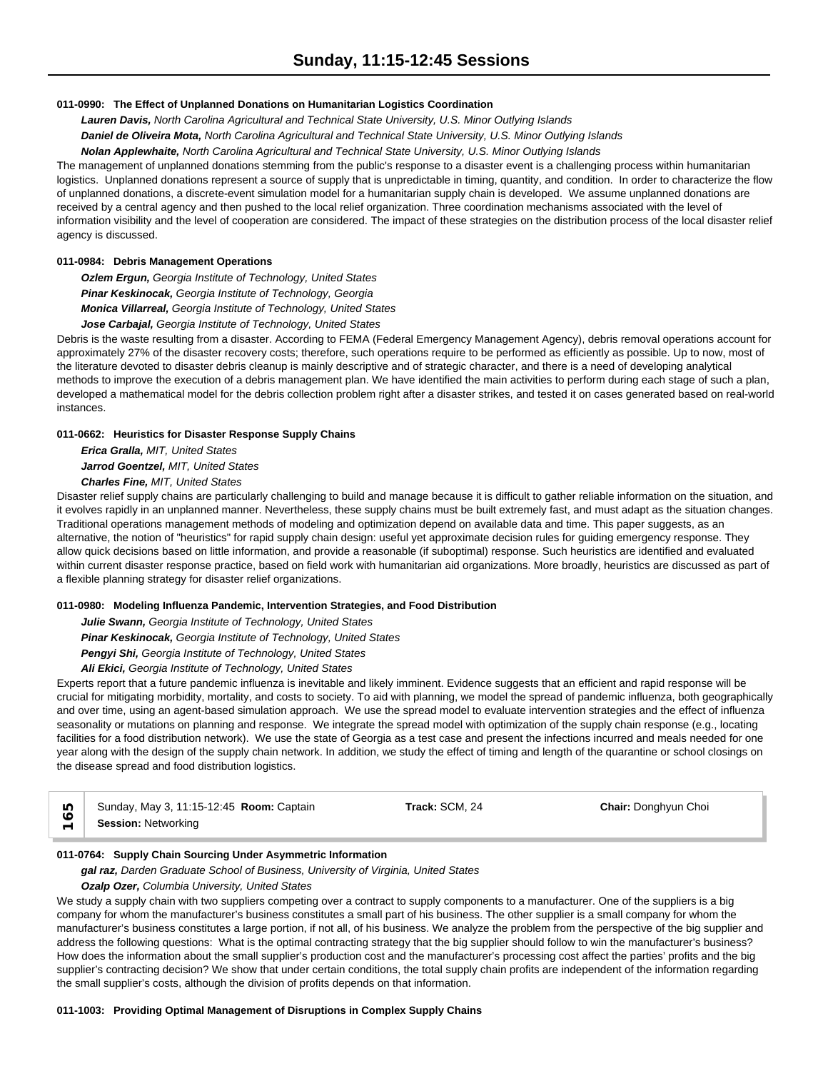### **011-0990: The Effect of Unplanned Donations on Humanitarian Logistics Coordination**

*Lauren Davis, North Carolina Agricultural and Technical State University, U.S. Minor Outlying Islands*

*Daniel de Oliveira Mota, North Carolina Agricultural and Technical State University, U.S. Minor Outlying Islands*

*Nolan Applewhaite, North Carolina Agricultural and Technical State University, U.S. Minor Outlying Islands*

The management of unplanned donations stemming from the public's response to a disaster event is a challenging process within humanitarian logistics. Unplanned donations represent a source of supply that is unpredictable in timing, quantity, and condition. In order to characterize the flow of unplanned donations, a discrete-event simulation model for a humanitarian supply chain is developed. We assume unplanned donations are received by a central agency and then pushed to the local relief organization. Three coordination mechanisms associated with the level of information visibility and the level of cooperation are considered. The impact of these strategies on the distribution process of the local disaster relief agency is discussed.

### **011-0984: Debris Management Operations**

*Ozlem Ergun, Georgia Institute of Technology, United States Pinar Keskinocak, Georgia Institute of Technology, Georgia Monica Villarreal, Georgia Institute of Technology, United States*

#### *Jose Carbajal, Georgia Institute of Technology, United States*

Debris is the waste resulting from a disaster. According to FEMA (Federal Emergency Management Agency), debris removal operations account for approximately 27% of the disaster recovery costs; therefore, such operations require to be performed as efficiently as possible. Up to now, most of the literature devoted to disaster debris cleanup is mainly descriptive and of strategic character, and there is a need of developing analytical methods to improve the execution of a debris management plan. We have identified the main activities to perform during each stage of such a plan, developed a mathematical model for the debris collection problem right after a disaster strikes, and tested it on cases generated based on real-world instances.

### **011-0662: Heuristics for Disaster Response Supply Chains**

*Erica Gralla, MIT, United States Jarrod Goentzel, MIT, United States Charles Fine, MIT, United States*

Disaster relief supply chains are particularly challenging to build and manage because it is difficult to gather reliable information on the situation, and it evolves rapidly in an unplanned manner. Nevertheless, these supply chains must be built extremely fast, and must adapt as the situation changes. Traditional operations management methods of modeling and optimization depend on available data and time. This paper suggests, as an alternative, the notion of "heuristics" for rapid supply chain design: useful yet approximate decision rules for guiding emergency response. They allow quick decisions based on little information, and provide a reasonable (if suboptimal) response. Such heuristics are identified and evaluated within current disaster response practice, based on field work with humanitarian aid organizations. More broadly, heuristics are discussed as part of a flexible planning strategy for disaster relief organizations.

#### **011-0980: Modeling Influenza Pandemic, Intervention Strategies, and Food Distribution**

*Julie Swann, Georgia Institute of Technology, United States*

*Pinar Keskinocak, Georgia Institute of Technology, United States*

*Pengyi Shi, Georgia Institute of Technology, United States*

*Ali Ekici, Georgia Institute of Technology, United States*

Experts report that a future pandemic influenza is inevitable and likely imminent. Evidence suggests that an efficient and rapid response will be crucial for mitigating morbidity, mortality, and costs to society. To aid with planning, we model the spread of pandemic influenza, both geographically and over time, using an agent-based simulation approach. We use the spread model to evaluate intervention strategies and the effect of influenza seasonality or mutations on planning and response. We integrate the spread model with optimization of the supply chain response (e.g., locating facilities for a food distribution network). We use the state of Georgia as a test case and present the infections incurred and meals needed for one year along with the design of the supply chain network. In addition, we study the effect of timing and length of the quarantine or school closings on the disease spread and food distribution logistics.

| U)         | Sunday, May 3, 11:15-12:45 Room: Captain | Track: SCM, 24 | <b>Chair: Donghyun Choi</b> |
|------------|------------------------------------------|----------------|-----------------------------|
| $\equiv$ 1 | <b>Session: Networking</b>               |                |                             |

### **011-0764: Supply Chain Sourcing Under Asymmetric Information**

*gal raz, Darden Graduate School of Business, University of Virginia, United States*

### *Ozalp Ozer, Columbia University, United States*

We study a supply chain with two suppliers competing over a contract to supply components to a manufacturer. One of the suppliers is a big company for whom the manufacturer's business constitutes a small part of his business. The other supplier is a small company for whom the manufacturer's business constitutes a large portion, if not all, of his business. We analyze the problem from the perspective of the big supplier and address the following questions: What is the optimal contracting strategy that the big supplier should follow to win the manufacturer's business? How does the information about the small supplier's production cost and the manufacturer's processing cost affect the parties' profits and the big supplier's contracting decision? We show that under certain conditions, the total supply chain profits are independent of the information regarding the small supplier's costs, although the division of profits depends on that information.

**011-1003: Providing Optimal Management of Disruptions in Complex Supply Chains**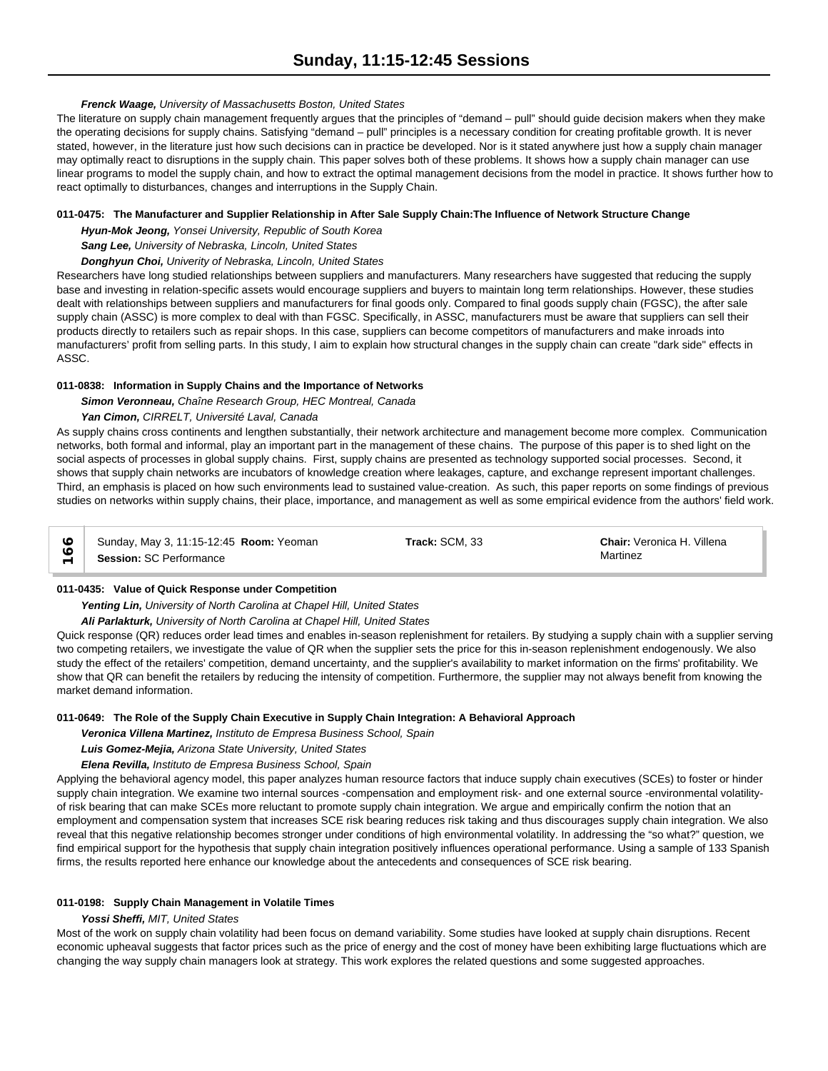### *Frenck Waage, University of Massachusetts Boston, United States*

The literature on supply chain management frequently argues that the principles of "demand – pull" should guide decision makers when they make the operating decisions for supply chains. Satisfying "demand – pull" principles is a necessary condition for creating profitable growth. It is never stated, however, in the literature just how such decisions can in practice be developed. Nor is it stated anywhere just how a supply chain manager may optimally react to disruptions in the supply chain. This paper solves both of these problems. It shows how a supply chain manager can use linear programs to model the supply chain, and how to extract the optimal management decisions from the model in practice. It shows further how to react optimally to disturbances, changes and interruptions in the Supply Chain.

### **011-0475: The Manufacturer and Supplier Relationship in After Sale Supply Chain:The Influence of Network Structure Change**

*Hyun-Mok Jeong, Yonsei University, Republic of South Korea*

*Sang Lee, University of Nebraska, Lincoln, United States*

# *Donghyun Choi, Univerity of Nebraska, Lincoln, United States*

Researchers have long studied relationships between suppliers and manufacturers. Many researchers have suggested that reducing the supply base and investing in relation-specific assets would encourage suppliers and buyers to maintain long term relationships. However, these studies dealt with relationships between suppliers and manufacturers for final goods only. Compared to final goods supply chain (FGSC), the after sale supply chain (ASSC) is more complex to deal with than FGSC. Specifically, in ASSC, manufacturers must be aware that suppliers can sell their products directly to retailers such as repair shops. In this case, suppliers can become competitors of manufacturers and make inroads into manufacturers' profit from selling parts. In this study, I aim to explain how structural changes in the supply chain can create "dark side" effects in ASSC.

# **011-0838: Information in Supply Chains and the Importance of Networks**

*Simon Veronneau, Chaîne Research Group, HEC Montreal, Canada*

### *Yan Cimon, CIRRELT, Université Laval, Canada*

As supply chains cross continents and lengthen substantially, their network architecture and management become more complex. Communication networks, both formal and informal, play an important part in the management of these chains. The purpose of this paper is to shed light on the social aspects of processes in global supply chains. First, supply chains are presented as technology supported social processes. Second, it shows that supply chain networks are incubators of knowledge creation where leakages, capture, and exchange represent important challenges. Third, an emphasis is placed on how such environments lead to sustained value-creation. As such, this paper reports on some findings of previous studies on networks within supply chains, their place, importance, and management as well as some empirical evidence from the authors' field work.

| Sunday, May 3, 11:15-12:45 Room: Yeoman | Track: SCM, 33 | <b>Chair:</b> Veronica H. Villena |
|-----------------------------------------|----------------|-----------------------------------|
| <b>Session: SC Performance</b>          |                | Martinez                          |

#### **011-0435: Value of Quick Response under Competition**

*Yenting Lin, University of North Carolina at Chapel Hill, United States*

*Ali Parlakturk, University of North Carolina at Chapel Hill, United States*

Quick response (QR) reduces order lead times and enables in-season replenishment for retailers. By studying a supply chain with a supplier serving two competing retailers, we investigate the value of QR when the supplier sets the price for this in-season replenishment endogenously. We also study the effect of the retailers' competition, demand uncertainty, and the supplier's availability to market information on the firms' profitability. We show that QR can benefit the retailers by reducing the intensity of competition. Furthermore, the supplier may not always benefit from knowing the market demand information.

### **011-0649: The Role of the Supply Chain Executive in Supply Chain Integration: A Behavioral Approach**

*Veronica Villena Martinez, Instituto de Empresa Business School, Spain*

*Luis Gomez-Mejia, Arizona State University, United States*

# *Elena Revilla, Instituto de Empresa Business School, Spain*

Applying the behavioral agency model, this paper analyzes human resource factors that induce supply chain executives (SCEs) to foster or hinder supply chain integration. We examine two internal sources -compensation and employment risk- and one external source -environmental volatilityof risk bearing that can make SCEs more reluctant to promote supply chain integration. We argue and empirically confirm the notion that an employment and compensation system that increases SCE risk bearing reduces risk taking and thus discourages supply chain integration. We also reveal that this negative relationship becomes stronger under conditions of high environmental volatility. In addressing the "so what?" question, we find empirical support for the hypothesis that supply chain integration positively influences operational performance. Using a sample of 133 Spanish firms, the results reported here enhance our knowledge about the antecedents and consequences of SCE risk bearing.

#### **011-0198: Supply Chain Management in Volatile Times**

### *Yossi Sheffi, MIT, United States*

Most of the work on supply chain volatility had been focus on demand variability. Some studies have looked at supply chain disruptions. Recent economic upheaval suggests that factor prices such as the price of energy and the cost of money have been exhibiting large fluctuations which are changing the way supply chain managers look at strategy. This work explores the related questions and some suggested approaches.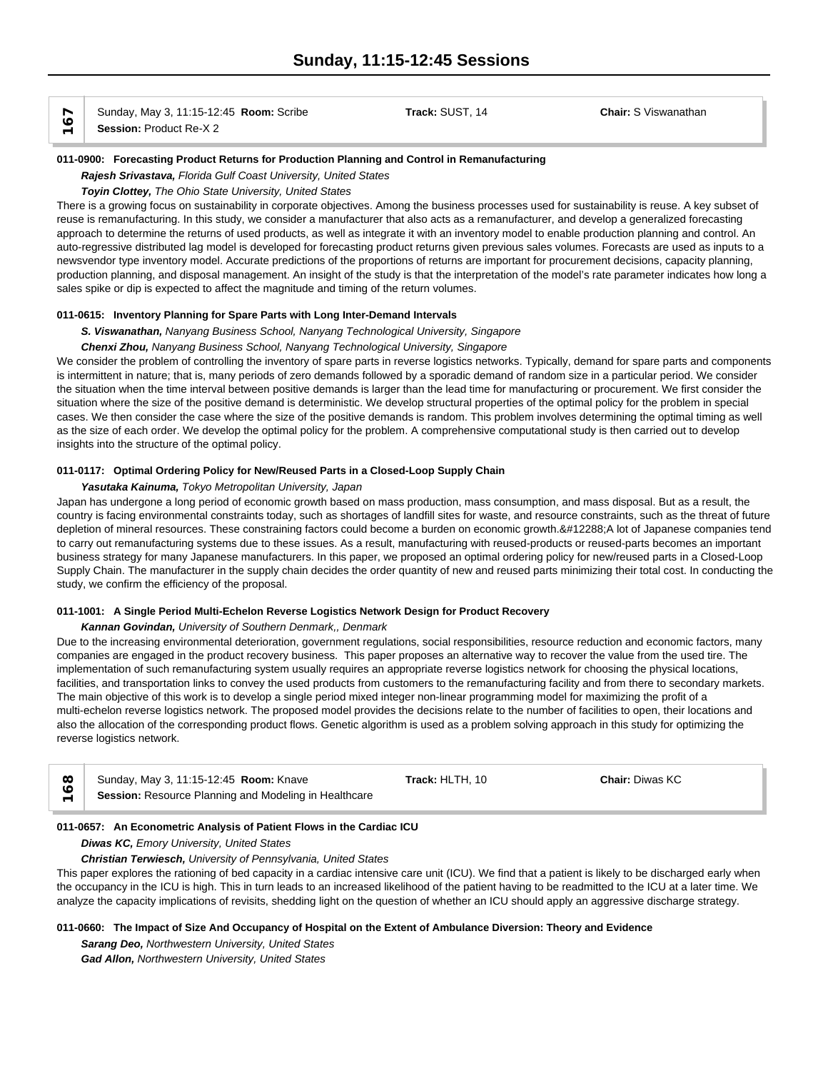Sunday, May 3, 11:15-12:45 **Room:** Scribe **Track:** SUST, 14 **Chair:** S Viswanathan **Session:** Product Re-X 2

**011-0900: Forecasting Product Returns for Production Planning and Control in Remanufacturing**

#### *Rajesh Srivastava, Florida Gulf Coast University, United States*

*Toyin Clottey, The Ohio State University, United States*

There is a growing focus on sustainability in corporate objectives. Among the business processes used for sustainability is reuse. A key subset of reuse is remanufacturing. In this study, we consider a manufacturer that also acts as a remanufacturer, and develop a generalized forecasting approach to determine the returns of used products, as well as integrate it with an inventory model to enable production planning and control. An auto-regressive distributed lag model is developed for forecasting product returns given previous sales volumes. Forecasts are used as inputs to a newsvendor type inventory model. Accurate predictions of the proportions of returns are important for procurement decisions, capacity planning, production planning, and disposal management. An insight of the study is that the interpretation of the model's rate parameter indicates how long a sales spike or dip is expected to affect the magnitude and timing of the return volumes.

### **011-0615: Inventory Planning for Spare Parts with Long Inter-Demand Intervals**

*S. Viswanathan, Nanyang Business School, Nanyang Technological University, Singapore*

### *Chenxi Zhou, Nanyang Business School, Nanyang Technological University, Singapore*

We consider the problem of controlling the inventory of spare parts in reverse logistics networks. Typically, demand for spare parts and components is intermittent in nature; that is, many periods of zero demands followed by a sporadic demand of random size in a particular period. We consider the situation when the time interval between positive demands is larger than the lead time for manufacturing or procurement. We first consider the situation where the size of the positive demand is deterministic. We develop structural properties of the optimal policy for the problem in special cases. We then consider the case where the size of the positive demands is random. This problem involves determining the optimal timing as well as the size of each order. We develop the optimal policy for the problem. A comprehensive computational study is then carried out to develop insights into the structure of the optimal policy.

### **011-0117: Optimal Ordering Policy for New/Reused Parts in a Closed-Loop Supply Chain**

#### *Yasutaka Kainuma, Tokyo Metropolitan University, Japan*

Japan has undergone a long period of economic growth based on mass production, mass consumption, and mass disposal. But as a result, the country is facing environmental constraints today, such as shortages of landfill sites for waste, and resource constraints, such as the threat of future depletion of mineral resources. These constraining factors could become a burden on economic growth. A lot of Japanese companies tend to carry out remanufacturing systems due to these issues. As a result, manufacturing with reused-products or reused-parts becomes an important business strategy for many Japanese manufacturers. In this paper, we proposed an optimal ordering policy for new/reused parts in a Closed-Loop Supply Chain. The manufacturer in the supply chain decides the order quantity of new and reused parts minimizing their total cost. In conducting the study, we confirm the efficiency of the proposal.

#### **011-1001: A Single Period Multi-Echelon Reverse Logistics Network Design for Product Recovery**

#### *Kannan Govindan, University of Southern Denmark,, Denmark*

Due to the increasing environmental deterioration, government regulations, social responsibilities, resource reduction and economic factors, many companies are engaged in the product recovery business. This paper proposes an alternative way to recover the value from the used tire. The implementation of such remanufacturing system usually requires an appropriate reverse logistics network for choosing the physical locations, facilities, and transportation links to convey the used products from customers to the remanufacturing facility and from there to secondary markets. The main objective of this work is to develop a single period mixed integer non-linear programming model for maximizing the profit of a multi-echelon reverse logistics network. The proposed model provides the decisions relate to the number of facilities to open, their locations and also the allocation of the corresponding product flows. Genetic algorithm is used as a problem solving approach in this study for optimizing the reverse logistics network.

| Sunday, May 3, 11:15-12:45 Room: Knave                | Track: HLTH. 10 | <b>Chair: Diwas KC</b> |  |
|-------------------------------------------------------|-----------------|------------------------|--|
| Session: Resource Planning and Modeling in Healthcare |                 |                        |  |

#### **011-0657: An Econometric Analysis of Patient Flows in the Cardiac ICU**

*Diwas KC, Emory University, United States*

#### *Christian Terwiesch, University of Pennsylvania, United States*

This paper explores the rationing of bed capacity in a cardiac intensive care unit (ICU). We find that a patient is likely to be discharged early when the occupancy in the ICU is high. This in turn leads to an increased likelihood of the patient having to be readmitted to the ICU at a later time. We analyze the capacity implications of revisits, shedding light on the question of whether an ICU should apply an aggressive discharge strategy.

### **011-0660: The Impact of Size And Occupancy of Hospital on the Extent of Ambulance Diversion: Theory and Evidence**

*Sarang Deo, Northwestern University, United States Gad Allon, Northwestern University, United States*

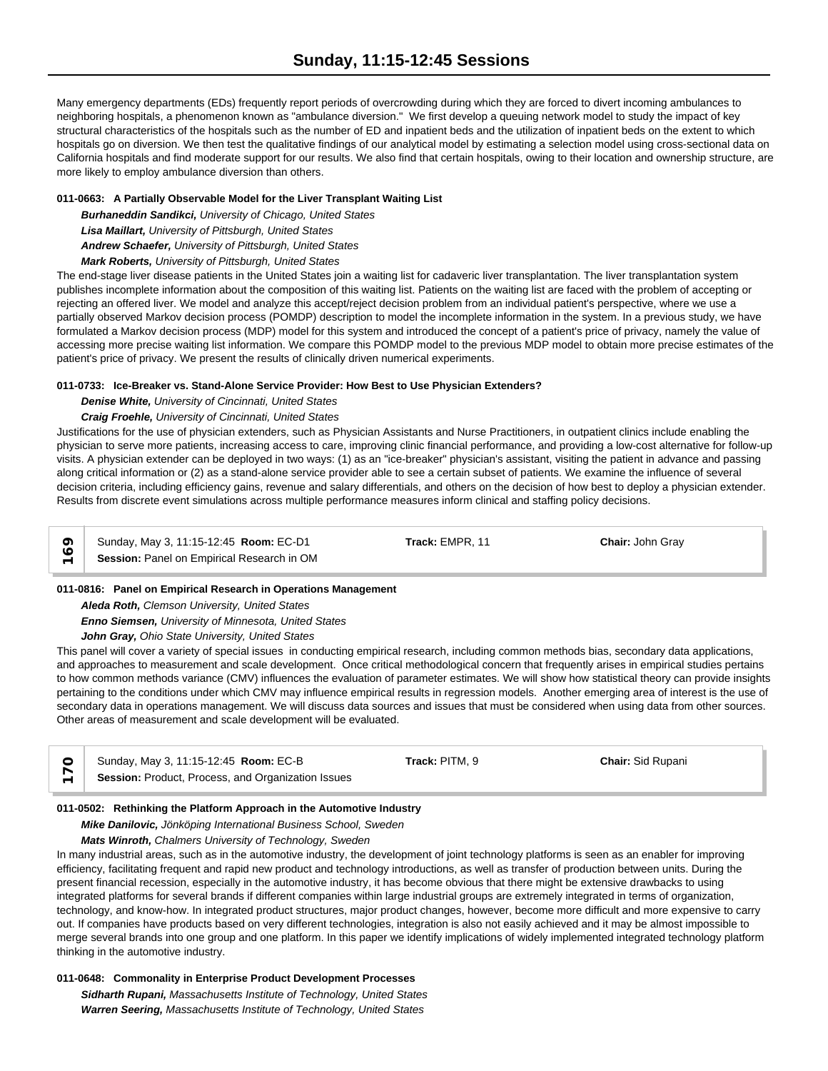Many emergency departments (EDs) frequently report periods of overcrowding during which they are forced to divert incoming ambulances to neighboring hospitals, a phenomenon known as "ambulance diversion." We first develop a queuing network model to study the impact of key structural characteristics of the hospitals such as the number of ED and inpatient beds and the utilization of inpatient beds on the extent to which hospitals go on diversion. We then test the qualitative findings of our analytical model by estimating a selection model using cross-sectional data on California hospitals and find moderate support for our results. We also find that certain hospitals, owing to their location and ownership structure, are more likely to employ ambulance diversion than others.

## **011-0663: A Partially Observable Model for the Liver Transplant Waiting List**

*Burhaneddin Sandikci, University of Chicago, United States Lisa Maillart, University of Pittsburgh, United States*

*Andrew Schaefer, University of Pittsburgh, United States*

*Mark Roberts, University of Pittsburgh, United States*

The end-stage liver disease patients in the United States join a waiting list for cadaveric liver transplantation. The liver transplantation system publishes incomplete information about the composition of this waiting list. Patients on the waiting list are faced with the problem of accepting or rejecting an offered liver. We model and analyze this accept/reject decision problem from an individual patient's perspective, where we use a partially observed Markov decision process (POMDP) description to model the incomplete information in the system. In a previous study, we have formulated a Markov decision process (MDP) model for this system and introduced the concept of a patient's price of privacy, namely the value of accessing more precise waiting list information. We compare this POMDP model to the previous MDP model to obtain more precise estimates of the patient's price of privacy. We present the results of clinically driven numerical experiments.

## **011-0733: Ice-Breaker vs. Stand-Alone Service Provider: How Best to Use Physician Extenders?**

*Denise White, University of Cincinnati, United States*

*Craig Froehle, University of Cincinnati, United States*

Justifications for the use of physician extenders, such as Physician Assistants and Nurse Practitioners, in outpatient clinics include enabling the physician to serve more patients, increasing access to care, improving clinic financial performance, and providing a low-cost alternative for follow-up visits. A physician extender can be deployed in two ways: (1) as an "ice-breaker" physician's assistant, visiting the patient in advance and passing along critical information or (2) as a stand-alone service provider able to see a certain subset of patients. We examine the influence of several decision criteria, including efficiency gains, revenue and salary differentials, and others on the decision of how best to deploy a physician extender. Results from discrete event simulations across multiple performance measures inform clinical and staffing policy decisions.

Sunday, May 3, 11:15-12:45 **Room:** EC-D1 **Track:** EMPR, 11 **Chair:** John Gray **Sunday, May 3, 11:15-12:45 Room: EC-D1**<br>← **Session:** Panel on Empirical Research in OM

## **011-0816: Panel on Empirical Research in Operations Management**

*Aleda Roth, Clemson University, United States Enno Siemsen, University of Minnesota, United States John Gray, Ohio State University, United States*

This panel will cover a variety of special issues in conducting empirical research, including common methods bias, secondary data applications, and approaches to measurement and scale development. Once critical methodological concern that frequently arises in empirical studies pertains to how common methods variance (CMV) influences the evaluation of parameter estimates. We will show how statistical theory can provide insights pertaining to the conditions under which CMV may influence empirical results in regression models. Another emerging area of interest is the use of secondary data in operations management. We will discuss data sources and issues that must be considered when using data from other sources. Other areas of measurement and scale development will be evaluated.

| $\circ$                  | Sunday, May 3, 11:15-12:45 <b>Room: EC-B</b>       | Track: PITM, 9 | <b>Chair:</b> Sid Rupani |
|--------------------------|----------------------------------------------------|----------------|--------------------------|
| $\overline{\phantom{0}}$ | Session: Product, Process, and Organization Issues |                |                          |

## **011-0502: Rethinking the Platform Approach in the Automotive Industry**

*Mike Danilovic, Jönköping International Business School, Sweden*

*Mats Winroth, Chalmers University of Technology, Sweden*

In many industrial areas, such as in the automotive industry, the development of joint technology platforms is seen as an enabler for improving efficiency, facilitating frequent and rapid new product and technology introductions, as well as transfer of production between units. During the present financial recession, especially in the automotive industry, it has become obvious that there might be extensive drawbacks to using integrated platforms for several brands if different companies within large industrial groups are extremely integrated in terms of organization, technology, and know-how. In integrated product structures, major product changes, however, become more difficult and more expensive to carry out. If companies have products based on very different technologies, integration is also not easily achieved and it may be almost impossible to merge several brands into one group and one platform. In this paper we identify implications of widely implemented integrated technology platform thinking in the automotive industry.

## **011-0648: Commonality in Enterprise Product Development Processes**

*Sidharth Rupani, Massachusetts Institute of Technology, United States Warren Seering, Massachusetts Institute of Technology, United States*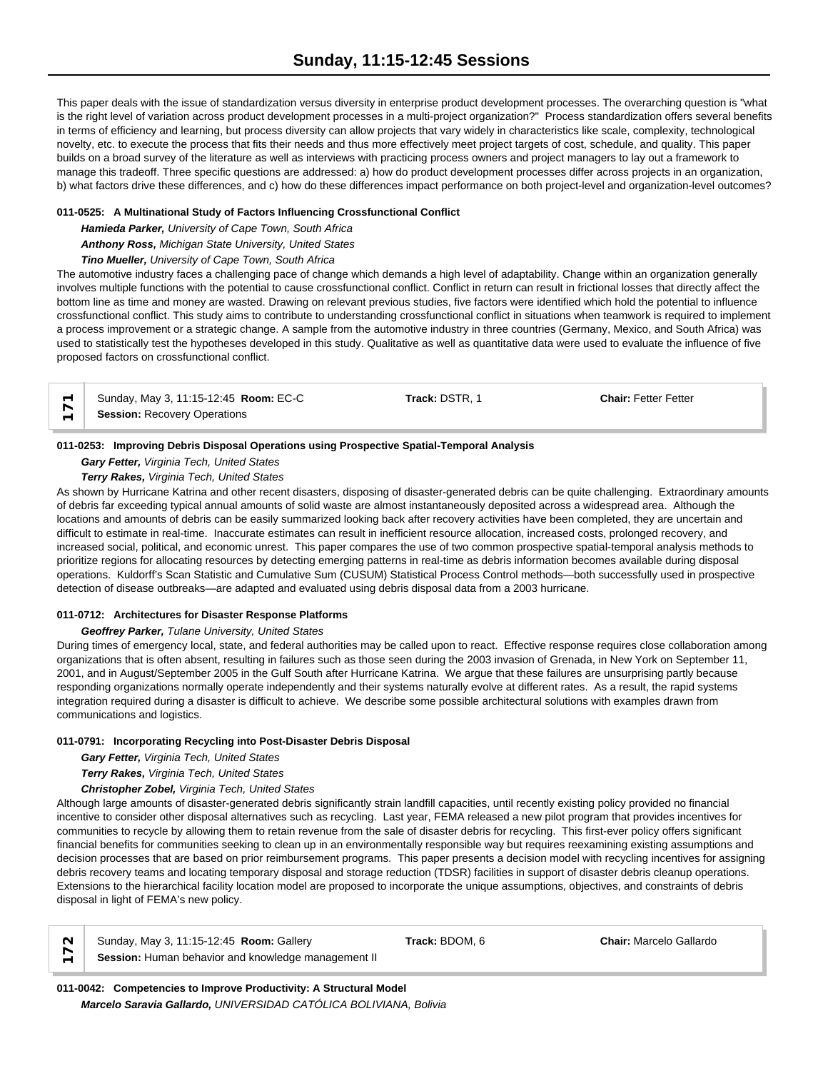This paper deals with the issue of standardization versus diversity in enterprise product development processes. The overarching question is "what is the right level of variation across product development processes in a multi-project organization?" Process standardization offers several benefits in terms of efficiency and learning, but process diversity can allow projects that vary widely in characteristics like scale, complexity, technological novelty, etc. to execute the process that fits their needs and thus more effectively meet project targets of cost, schedule, and quality. This paper builds on a broad survey of the literature as well as interviews with practicing process owners and project managers to lay out a framework to manage this tradeoff. Three specific questions are addressed: a) how do product development processes differ across projects in an organization, b) what factors drive these differences, and c) how do these differences impact performance on both project-level and organization-level outcomes?

## **011-0525: A Multinational Study of Factors Influencing Crossfunctional Conflict**

*Hamieda Parker, University of Cape Town, South Africa Anthony Ross, Michigan State University, United States*

*Tino Mueller, University of Cape Town, South Africa*

The automotive industry faces a challenging pace of change which demands a high level of adaptability. Change within an organization generally involves multiple functions with the potential to cause crossfunctional conflict. Conflict in return can result in frictional losses that directly affect the bottom line as time and money are wasted. Drawing on relevant previous studies, five factors were identified which hold the potential to influence crossfunctional conflict. This study aims to contribute to understanding crossfunctional conflict in situations when teamwork is required to implement a process improvement or a strategic change. A sample from the automotive industry in three countries (Germany, Mexico, and South Africa) was used to statistically test the hypotheses developed in this study. Qualitative as well as quantitative data were used to evaluate the influence of five proposed factors on crossfunctional conflict.

| $\leftarrow$ Sunday, May 3, 11:15-12:45 <b>Room:</b> EC-C | Track: DSTR. 1 | <b>Chair: Fetter Fetter</b> |
|-----------------------------------------------------------|----------------|-----------------------------|
| <b>Session: Recovery Operations</b>                       |                |                             |

## **011-0253: Improving Debris Disposal Operations using Prospective Spatial-Temporal Analysis**

## *Gary Fetter, Virginia Tech, United States*

*Terry Rakes, Virginia Tech, United States*

As shown by Hurricane Katrina and other recent disasters, disposing of disaster-generated debris can be quite challenging. Extraordinary amounts of debris far exceeding typical annual amounts of solid waste are almost instantaneously deposited across a widespread area. Although the locations and amounts of debris can be easily summarized looking back after recovery activities have been completed, they are uncertain and difficult to estimate in real-time. Inaccurate estimates can result in inefficient resource allocation, increased costs, prolonged recovery, and increased social, political, and economic unrest. This paper compares the use of two common prospective spatial-temporal analysis methods to prioritize regions for allocating resources by detecting emerging patterns in real-time as debris information becomes available during disposal operations. Kuldorff's Scan Statistic and Cumulative Sum (CUSUM) Statistical Process Control methods—both successfully used in prospective detection of disease outbreaks—are adapted and evaluated using debris disposal data from a 2003 hurricane.

## **011-0712: Architectures for Disaster Response Platforms**

## *Geoffrey Parker, Tulane University, United States*

During times of emergency local, state, and federal authorities may be called upon to react. Effective response requires close collaboration among organizations that is often absent, resulting in failures such as those seen during the 2003 invasion of Grenada, in New York on September 11, 2001, and in August/September 2005 in the Gulf South after Hurricane Katrina. We argue that these failures are unsurprising partly because responding organizations normally operate independently and their systems naturally evolve at different rates. As a result, the rapid systems integration required during a disaster is difficult to achieve. We describe some possible architectural solutions with examples drawn from communications and logistics.

## **011-0791: Incorporating Recycling into Post-Disaster Debris Disposal**

*Gary Fetter, Virginia Tech, United States*

*Terry Rakes, Virginia Tech, United States*

## *Christopher Zobel, Virginia Tech, United States*

Although large amounts of disaster-generated debris significantly strain landfill capacities, until recently existing policy provided no financial incentive to consider other disposal alternatives such as recycling. Last year, FEMA released a new pilot program that provides incentives for communities to recycle by allowing them to retain revenue from the sale of disaster debris for recycling. This first-ever policy offers significant financial benefits for communities seeking to clean up in an environmentally responsible way but requires reexamining existing assumptions and decision processes that are based on prior reimbursement programs. This paper presents a decision model with recycling incentives for assigning debris recovery teams and locating temporary disposal and storage reduction (TDSR) facilities in support of disaster debris cleanup operations. Extensions to the hierarchical facility location model are proposed to incorporate the unique assumptions, objectives, and constraints of debris disposal in light of FEMA's new policy.

| $\sim$ | Sunday, May 3, 11:15-12:45 <b>Room:</b> Gallery     | Track: BDOM. 6 | <b>Chair:</b> Marcelo Gallardo |  |
|--------|-----------------------------------------------------|----------------|--------------------------------|--|
| _      | Session: Human behavior and knowledge management II |                |                                |  |

**011-0042: Competencies to Improve Productivity: A Structural Model** *Marcelo Saravia Gallardo, UNIVERSIDAD CATÓLICA BOLIVIANA, Bolivia*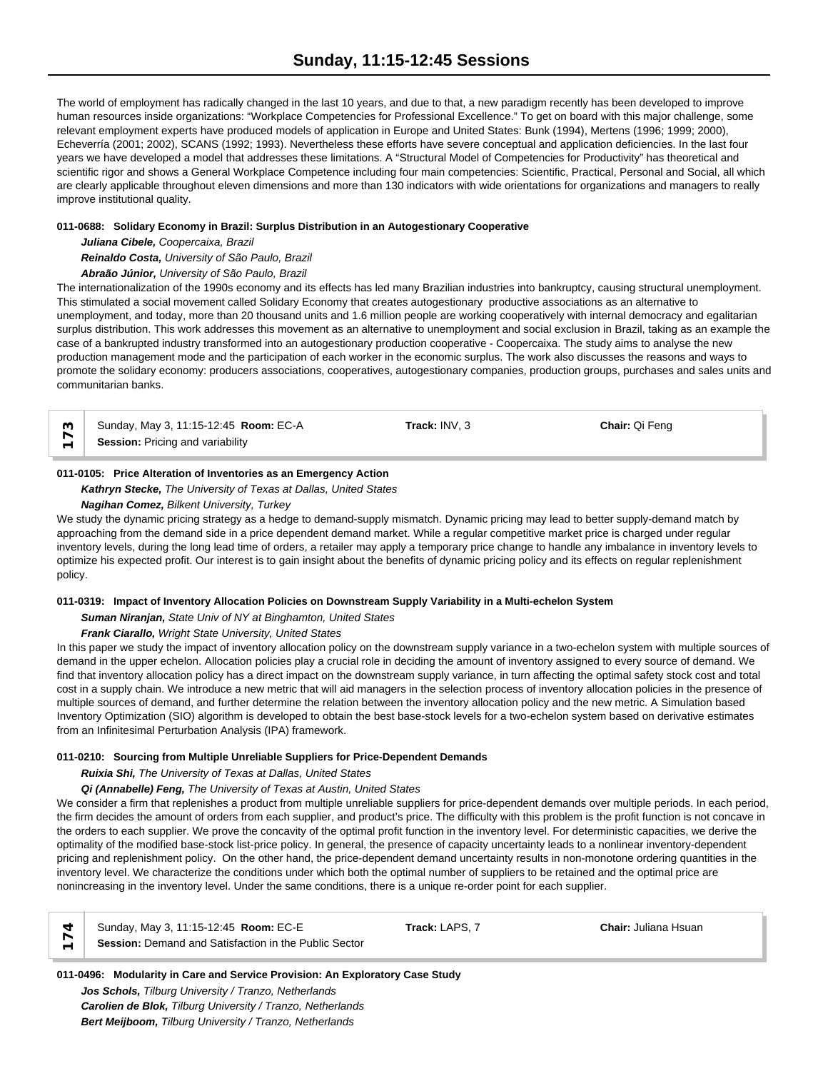The world of employment has radically changed in the last 10 years, and due to that, a new paradigm recently has been developed to improve human resources inside organizations: "Workplace Competencies for Professional Excellence." To get on board with this major challenge, some relevant employment experts have produced models of application in Europe and United States: Bunk (1994), Mertens (1996; 1999; 2000), Echeverría (2001; 2002), SCANS (1992; 1993). Nevertheless these efforts have severe conceptual and application deficiencies. In the last four years we have developed a model that addresses these limitations. A "Structural Model of Competencies for Productivity" has theoretical and scientific rigor and shows a General Workplace Competence including four main competencies: Scientific, Practical, Personal and Social, all which are clearly applicable throughout eleven dimensions and more than 130 indicators with wide orientations for organizations and managers to really improve institutional quality.

## **011-0688: Solidary Economy in Brazil: Surplus Distribution in an Autogestionary Cooperative**

*Juliana Cibele, Coopercaixa, Brazil Reinaldo Costa, University of São Paulo, Brazil Abraão Júnior, University of São Paulo, Brazil*

The internationalization of the 1990s economy and its effects has led many Brazilian industries into bankruptcy, causing structural unemployment. This stimulated a social movement called Solidary Economy that creates autogestionary productive associations as an alternative to unemployment, and today, more than 20 thousand units and 1.6 million people are working cooperatively with internal democracy and egalitarian surplus distribution. This work addresses this movement as an alternative to unemployment and social exclusion in Brazil, taking as an example the case of a bankrupted industry transformed into an autogestionary production cooperative - Coopercaixa. The study aims to analyse the new production management mode and the participation of each worker in the economic surplus. The work also discusses the reasons and ways to promote the solidary economy: producers associations, cooperatives, autogestionary companies, production groups, purchases and sales units and communitarian banks.

Sunday, May 3, 11:15-12:45 **Room:** EC-A **Track:** INV, 3 **Chair:** Qi Feng  $\begin{array}{c} \n\infty \ \n\leftarrow \end{array}$  Sunday, May 3, 11:15-12:45 **R**<br>  $\begin{array}{c} \n\leftarrow \end{array}$  **Session:** Pricing and variability

## **011-0105: Price Alteration of Inventories as an Emergency Action**

*Kathryn Stecke, The University of Texas at Dallas, United States*

## *Nagihan Comez, Bilkent University, Turkey*

We study the dynamic pricing strategy as a hedge to demand-supply mismatch. Dynamic pricing may lead to better supply-demand match by approaching from the demand side in a price dependent demand market. While a regular competitive market price is charged under regular inventory levels, during the long lead time of orders, a retailer may apply a temporary price change to handle any imbalance in inventory levels to optimize his expected profit. Our interest is to gain insight about the benefits of dynamic pricing policy and its effects on regular replenishment policy.

# **011-0319: Impact of Inventory Allocation Policies on Downstream Supply Variability in a Multi-echelon System**

*Suman Niranjan, State Univ of NY at Binghamton, United States*

# *Frank Ciarallo, Wright State University, United States*

In this paper we study the impact of inventory allocation policy on the downstream supply variance in a two-echelon system with multiple sources of demand in the upper echelon. Allocation policies play a crucial role in deciding the amount of inventory assigned to every source of demand. We find that inventory allocation policy has a direct impact on the downstream supply variance, in turn affecting the optimal safety stock cost and total cost in a supply chain. We introduce a new metric that will aid managers in the selection process of inventory allocation policies in the presence of multiple sources of demand, and further determine the relation between the inventory allocation policy and the new metric. A Simulation based Inventory Optimization (SIO) algorithm is developed to obtain the best base-stock levels for a two-echelon system based on derivative estimates from an Infinitesimal Perturbation Analysis (IPA) framework.

# **011-0210: Sourcing from Multiple Unreliable Suppliers for Price-Dependent Demands**

*Ruixia Shi, The University of Texas at Dallas, United States*

# *Qi (Annabelle) Feng, The University of Texas at Austin, United States*

We consider a firm that replenishes a product from multiple unreliable suppliers for price-dependent demands over multiple periods. In each period, the firm decides the amount of orders from each supplier, and product's price. The difficulty with this problem is the profit function is not concave in the orders to each supplier. We prove the concavity of the optimal profit function in the inventory level. For deterministic capacities, we derive the optimality of the modified base-stock list-price policy. In general, the presence of capacity uncertainty leads to a nonlinear inventory-dependent pricing and replenishment policy. On the other hand, the price-dependent demand uncertainty results in non-monotone ordering quantities in the inventory level. We characterize the conditions under which both the optimal number of suppliers to be retained and the optimal price are nonincreasing in the inventory level. Under the same conditions, there is a unique re-order point for each supplier.

| Sunday, May 3, 11:15-12:45 <b>Room: EC-E</b>          | <b>Track:</b> LAPS. $\lambda$ | <b>Chair:</b> Juliana Hsuan |  |
|-------------------------------------------------------|-------------------------------|-----------------------------|--|
| Session: Demand and Satisfaction in the Public Sector |                               |                             |  |

# **011-0496: Modularity in Care and Service Provision: An Exploratory Case Study**

*Jos Schols, Tilburg University / Tranzo, Netherlands Carolien de Blok, Tilburg University / Tranzo, Netherlands Bert Meijboom, Tilburg University / Tranzo, Netherlands*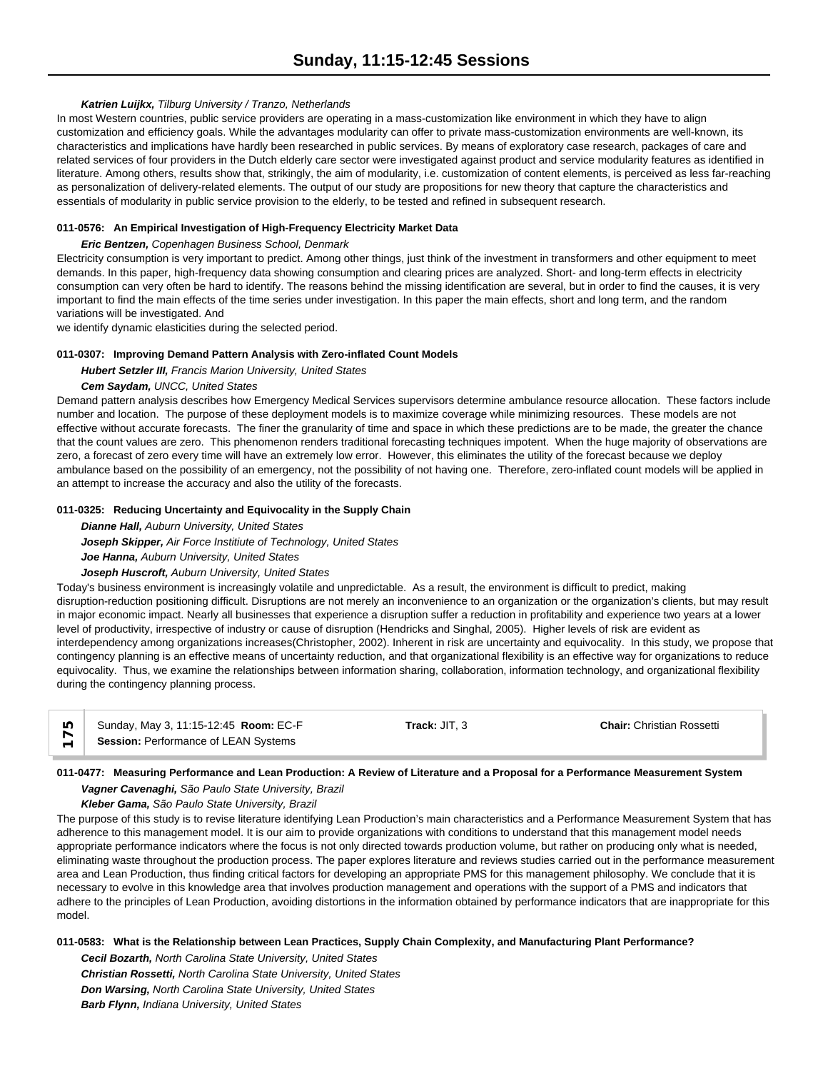## *Katrien Luijkx, Tilburg University / Tranzo, Netherlands*

In most Western countries, public service providers are operating in a mass-customization like environment in which they have to align customization and efficiency goals. While the advantages modularity can offer to private mass-customization environments are well-known, its characteristics and implications have hardly been researched in public services. By means of exploratory case research, packages of care and related services of four providers in the Dutch elderly care sector were investigated against product and service modularity features as identified in literature. Among others, results show that, strikingly, the aim of modularity, i.e. customization of content elements, is perceived as less far-reaching as personalization of delivery-related elements. The output of our study are propositions for new theory that capture the characteristics and essentials of modularity in public service provision to the elderly, to be tested and refined in subsequent research.

## **011-0576: An Empirical Investigation of High-Frequency Electricity Market Data**

## *Eric Bentzen, Copenhagen Business School, Denmark*

Electricity consumption is very important to predict. Among other things, just think of the investment in transformers and other equipment to meet demands. In this paper, high-frequency data showing consumption and clearing prices are analyzed. Short- and long-term effects in electricity consumption can very often be hard to identify. The reasons behind the missing identification are several, but in order to find the causes, it is very important to find the main effects of the time series under investigation. In this paper the main effects, short and long term, and the random variations will be investigated. And

we identify dynamic elasticities during the selected period.

#### **011-0307: Improving Demand Pattern Analysis with Zero-inflated Count Models**

## *Hubert Setzler III, Francis Marion University, United States*

## *Cem Saydam, UNCC, United States*

Demand pattern analysis describes how Emergency Medical Services supervisors determine ambulance resource allocation. These factors include number and location. The purpose of these deployment models is to maximize coverage while minimizing resources. These models are not effective without accurate forecasts. The finer the granularity of time and space in which these predictions are to be made, the greater the chance that the count values are zero. This phenomenon renders traditional forecasting techniques impotent. When the huge majority of observations are zero, a forecast of zero every time will have an extremely low error. However, this eliminates the utility of the forecast because we deploy ambulance based on the possibility of an emergency, not the possibility of not having one. Therefore, zero-inflated count models will be applied in an attempt to increase the accuracy and also the utility of the forecasts.

#### **011-0325: Reducing Uncertainty and Equivocality in the Supply Chain**

*Dianne Hall, Auburn University, United States Joseph Skipper, Air Force Institiute of Technology, United States Joe Hanna, Auburn University, United States*

#### *Joseph Huscroft, Auburn University, United States*

Today's business environment is increasingly volatile and unpredictable. As a result, the environment is difficult to predict, making disruption-reduction positioning difficult. Disruptions are not merely an inconvenience to an organization or the organization's clients, but may result in major economic impact. Nearly all businesses that experience a disruption suffer a reduction in profitability and experience two years at a lower level of productivity, irrespective of industry or cause of disruption (Hendricks and Singhal, 2005). Higher levels of risk are evident as interdependency among organizations increases(Christopher, 2002). Inherent in risk are uncertainty and equivocality. In this study, we propose that contingency planning is an effective means of uncertainty reduction, and that organizational flexibility is an effective way for organizations to reduce equivocality. Thus, we examine the relationships between information sharing, collaboration, information technology, and organizational flexibility during the contingency planning process.

| ທ່ | Sunday, May 3, 11:15-12:45 <b>Room: EC-F</b> | Track: JIT. 3 | <b>Chair:</b> Christian Rossetti |
|----|----------------------------------------------|---------------|----------------------------------|
|    | Session: Performance of LEAN Systems         |               |                                  |

## **011-0477: Measuring Performance and Lean Production: A Review of Literature and a Proposal for a Performance Measurement System**

*Vagner Cavenaghi, São Paulo State University, Brazil*

*Kleber Gama, São Paulo State University, Brazil*

The purpose of this study is to revise literature identifying Lean Production's main characteristics and a Performance Measurement System that has adherence to this management model. It is our aim to provide organizations with conditions to understand that this management model needs appropriate performance indicators where the focus is not only directed towards production volume, but rather on producing only what is needed, eliminating waste throughout the production process. The paper explores literature and reviews studies carried out in the performance measurement area and Lean Production, thus finding critical factors for developing an appropriate PMS for this management philosophy. We conclude that it is necessary to evolve in this knowledge area that involves production management and operations with the support of a PMS and indicators that adhere to the principles of Lean Production, avoiding distortions in the information obtained by performance indicators that are inappropriate for this model.

**011-0583: What is the Relationship between Lean Practices, Supply Chain Complexity, and Manufacturing Plant Performance?**

*Cecil Bozarth, North Carolina State University, United States Christian Rossetti, North Carolina State University, United States Don Warsing, North Carolina State University, United States Barb Flynn, Indiana University, United States*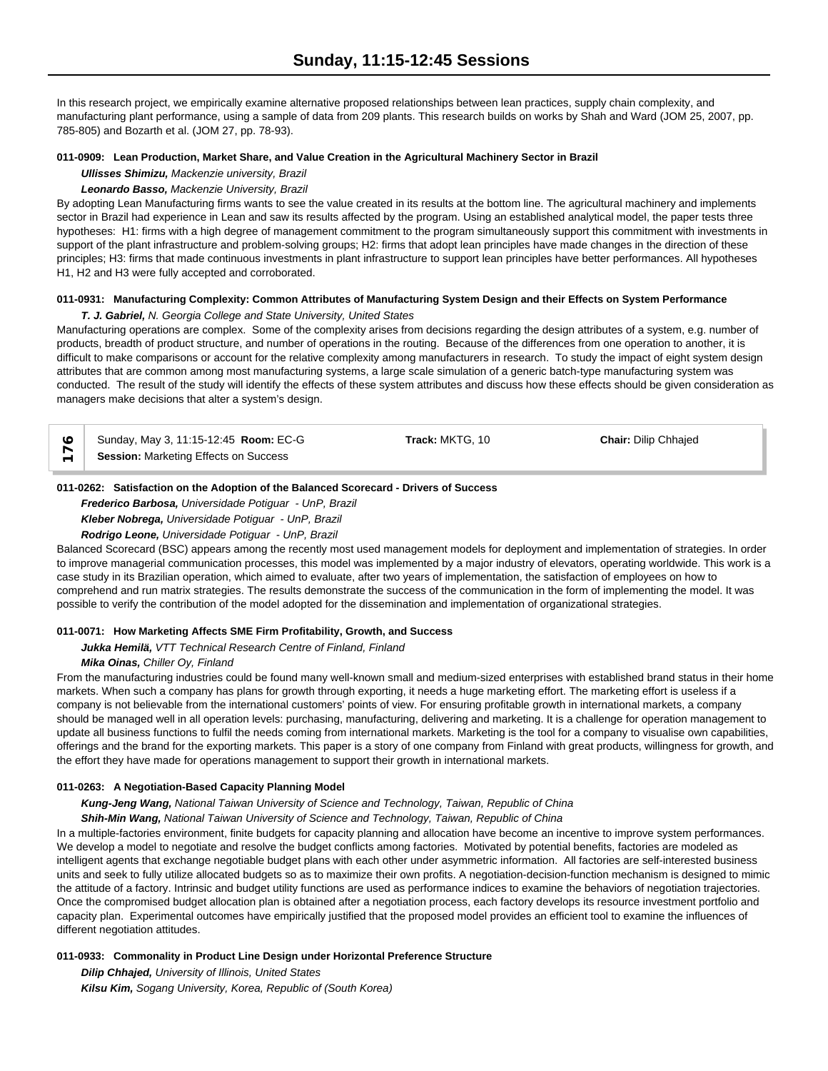In this research project, we empirically examine alternative proposed relationships between lean practices, supply chain complexity, and manufacturing plant performance, using a sample of data from 209 plants. This research builds on works by Shah and Ward (JOM 25, 2007, pp. 785-805) and Bozarth et al. (JOM 27, pp. 78-93).

#### **011-0909: Lean Production, Market Share, and Value Creation in the Agricultural Machinery Sector in Brazil**

*Ullisses Shimizu, Mackenzie university, Brazil*

#### *Leonardo Basso, Mackenzie University, Brazil*

By adopting Lean Manufacturing firms wants to see the value created in its results at the bottom line. The agricultural machinery and implements sector in Brazil had experience in Lean and saw its results affected by the program. Using an established analytical model, the paper tests three hypotheses: H1: firms with a high degree of management commitment to the program simultaneously support this commitment with investments in support of the plant infrastructure and problem-solving groups; H2: firms that adopt lean principles have made changes in the direction of these principles; H3: firms that made continuous investments in plant infrastructure to support lean principles have better performances. All hypotheses H1, H2 and H3 were fully accepted and corroborated.

## **011-0931: Manufacturing Complexity: Common Attributes of Manufacturing System Design and their Effects on System Performance**

*T. J. Gabriel, N. Georgia College and State University, United States*

Manufacturing operations are complex. Some of the complexity arises from decisions regarding the design attributes of a system, e.g. number of products, breadth of product structure, and number of operations in the routing. Because of the differences from one operation to another, it is difficult to make comparisons or account for the relative complexity among manufacturers in research. To study the impact of eight system design attributes that are common among most manufacturing systems, a large scale simulation of a generic batch-type manufacturing system was conducted. The result of the study will identify the effects of these system attributes and discuss how these effects should be given consideration as managers make decisions that alter a system's design.

|                          | Sunday, May 3, 11:15-12:45 Room: EC-G | Track: MKTG. 10 | <b>Chair: Dilip Chhajed</b> |  |
|--------------------------|---------------------------------------|-----------------|-----------------------------|--|
| $\overline{\phantom{0}}$ | Session: Marketing Effects on Success |                 |                             |  |

## **011-0262: Satisfaction on the Adoption of the Balanced Scorecard - Drivers of Success**

*Frederico Barbosa, Universidade Potiguar - UnP, Brazil*

*Kleber Nobrega, Universidade Potiguar - UnP, Brazil*

## *Rodrigo Leone, Universidade Potiguar - UnP, Brazil*

Balanced Scorecard (BSC) appears among the recently most used management models for deployment and implementation of strategies. In order to improve managerial communication processes, this model was implemented by a major industry of elevators, operating worldwide. This work is a case study in its Brazilian operation, which aimed to evaluate, after two years of implementation, the satisfaction of employees on how to comprehend and run matrix strategies. The results demonstrate the success of the communication in the form of implementing the model. It was possible to verify the contribution of the model adopted for the dissemination and implementation of organizational strategies.

## **011-0071: How Marketing Affects SME Firm Profitability, Growth, and Success**

*Jukka Hemilä, VTT Technical Research Centre of Finland, Finland*

## *Mika Oinas, Chiller Oy, Finland*

From the manufacturing industries could be found many well-known small and medium-sized enterprises with established brand status in their home markets. When such a company has plans for growth through exporting, it needs a huge marketing effort. The marketing effort is useless if a company is not believable from the international customers' points of view. For ensuring profitable growth in international markets, a company should be managed well in all operation levels: purchasing, manufacturing, delivering and marketing. It is a challenge for operation management to update all business functions to fulfil the needs coming from international markets. Marketing is the tool for a company to visualise own capabilities, offerings and the brand for the exporting markets. This paper is a story of one company from Finland with great products, willingness for growth, and the effort they have made for operations management to support their growth in international markets.

## **011-0263: A Negotiation-Based Capacity Planning Model**

## *Kung-Jeng Wang, National Taiwan University of Science and Technology, Taiwan, Republic of China*

*Shih-Min Wang, National Taiwan University of Science and Technology, Taiwan, Republic of China*

In a multiple-factories environment, finite budgets for capacity planning and allocation have become an incentive to improve system performances. We develop a model to negotiate and resolve the budget conflicts among factories. Motivated by potential benefits, factories are modeled as intelligent agents that exchange negotiable budget plans with each other under asymmetric information. All factories are self-interested business units and seek to fully utilize allocated budgets so as to maximize their own profits. A negotiation-decision-function mechanism is designed to mimic the attitude of a factory. Intrinsic and budget utility functions are used as performance indices to examine the behaviors of negotiation trajectories. Once the compromised budget allocation plan is obtained after a negotiation process, each factory develops its resource investment portfolio and capacity plan. Experimental outcomes have empirically justified that the proposed model provides an efficient tool to examine the influences of different negotiation attitudes.

## **011-0933: Commonality in Product Line Design under Horizontal Preference Structure**

*Dilip Chhajed, University of Illinois, United States Kilsu Kim, Sogang University, Korea, Republic of (South Korea)*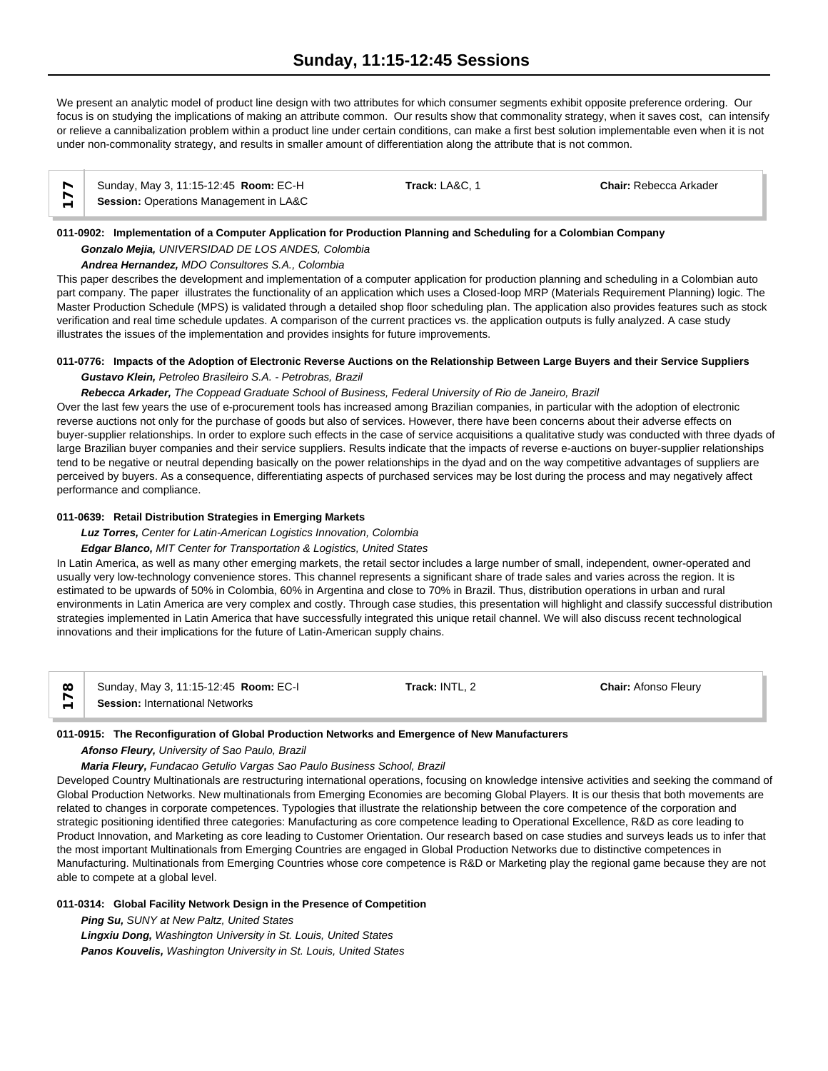We present an analytic model of product line design with two attributes for which consumer segments exhibit opposite preference ordering. Our focus is on studying the implications of making an attribute common. Our results show that commonality strategy, when it saves cost, can intensify or relieve a cannibalization problem within a product line under certain conditions, can make a first best solution implementable even when it is not under non-commonality strategy, and results in smaller amount of differentiation along the attribute that is not common.

| Sunday, May 3, 11:15-12:45 Room: EC-H  | Track: LA&C. 1 | <b>Chair: Rebecca Arkader</b> |  |
|----------------------------------------|----------------|-------------------------------|--|
| Session: Operations Management in LA&C |                |                               |  |

## **011-0902: Implementation of a Computer Application for Production Planning and Scheduling for a Colombian Company** *Gonzalo Mejia, UNIVERSIDAD DE LOS ANDES, Colombia*

*Andrea Hernandez, MDO Consultores S.A., Colombia*

This paper describes the development and implementation of a computer application for production planning and scheduling in a Colombian auto part company. The paper illustrates the functionality of an application which uses a Closed-loop MRP (Materials Requirement Planning) logic. The Master Production Schedule (MPS) is validated through a detailed shop floor scheduling plan. The application also provides features such as stock verification and real time schedule updates. A comparison of the current practices vs. the application outputs is fully analyzed. A case study illustrates the issues of the implementation and provides insights for future improvements.

## **011-0776: Impacts of the Adoption of Electronic Reverse Auctions on the Relationship Between Large Buyers and their Service Suppliers** *Gustavo Klein, Petroleo Brasileiro S.A. - Petrobras, Brazil*

## *Rebecca Arkader, The Coppead Graduate School of Business, Federal University of Rio de Janeiro, Brazil*

Over the last few years the use of e-procurement tools has increased among Brazilian companies, in particular with the adoption of electronic reverse auctions not only for the purchase of goods but also of services. However, there have been concerns about their adverse effects on buyer-supplier relationships. In order to explore such effects in the case of service acquisitions a qualitative study was conducted with three dyads of large Brazilian buyer companies and their service suppliers. Results indicate that the impacts of reverse e-auctions on buyer-supplier relationships tend to be negative or neutral depending basically on the power relationships in the dyad and on the way competitive advantages of suppliers are perceived by buyers. As a consequence, differentiating aspects of purchased services may be lost during the process and may negatively affect performance and compliance.

## **011-0639: Retail Distribution Strategies in Emerging Markets**

*Luz Torres, Center for Latin-American Logistics Innovation, Colombia*

*Edgar Blanco, MIT Center for Transportation & Logistics, United States*

In Latin America, as well as many other emerging markets, the retail sector includes a large number of small, independent, owner-operated and usually very low-technology convenience stores. This channel represents a significant share of trade sales and varies across the region. It is estimated to be upwards of 50% in Colombia, 60% in Argentina and close to 70% in Brazil. Thus, distribution operations in urban and rural environments in Latin America are very complex and costly. Through case studies, this presentation will highlight and classify successful distribution strategies implemented in Latin America that have successfully integrated this unique retail channel. We will also discuss recent technological innovations and their implications for the future of Latin-American supply chains.

| $\infty$ | Sunday, May 3, 11:15-12:45 Room: EC-I  | Track: INTL. 2 | <b>Chair: Afonso Fleury</b> |  |
|----------|----------------------------------------|----------------|-----------------------------|--|
|          | <b>Session: International Networks</b> |                |                             |  |

## **011-0915: The Reconfiguration of Global Production Networks and Emergence of New Manufacturers**

*Afonso Fleury, University of Sao Paulo, Brazil*

## *Maria Fleury, Fundacao Getulio Vargas Sao Paulo Business School, Brazil*

Developed Country Multinationals are restructuring international operations, focusing on knowledge intensive activities and seeking the command of Global Production Networks. New multinationals from Emerging Economies are becoming Global Players. It is our thesis that both movements are related to changes in corporate competences. Typologies that illustrate the relationship between the core competence of the corporation and strategic positioning identified three categories: Manufacturing as core competence leading to Operational Excellence, R&D as core leading to Product Innovation, and Marketing as core leading to Customer Orientation. Our research based on case studies and surveys leads us to infer that the most important Multinationals from Emerging Countries are engaged in Global Production Networks due to distinctive competences in Manufacturing. Multinationals from Emerging Countries whose core competence is R&D or Marketing play the regional game because they are not able to compete at a global level.

## **011-0314: Global Facility Network Design in the Presence of Competition**

*Ping Su, SUNY at New Paltz, United States Lingxiu Dong, Washington University in St. Louis, United States Panos Kouvelis, Washington University in St. Louis, United States*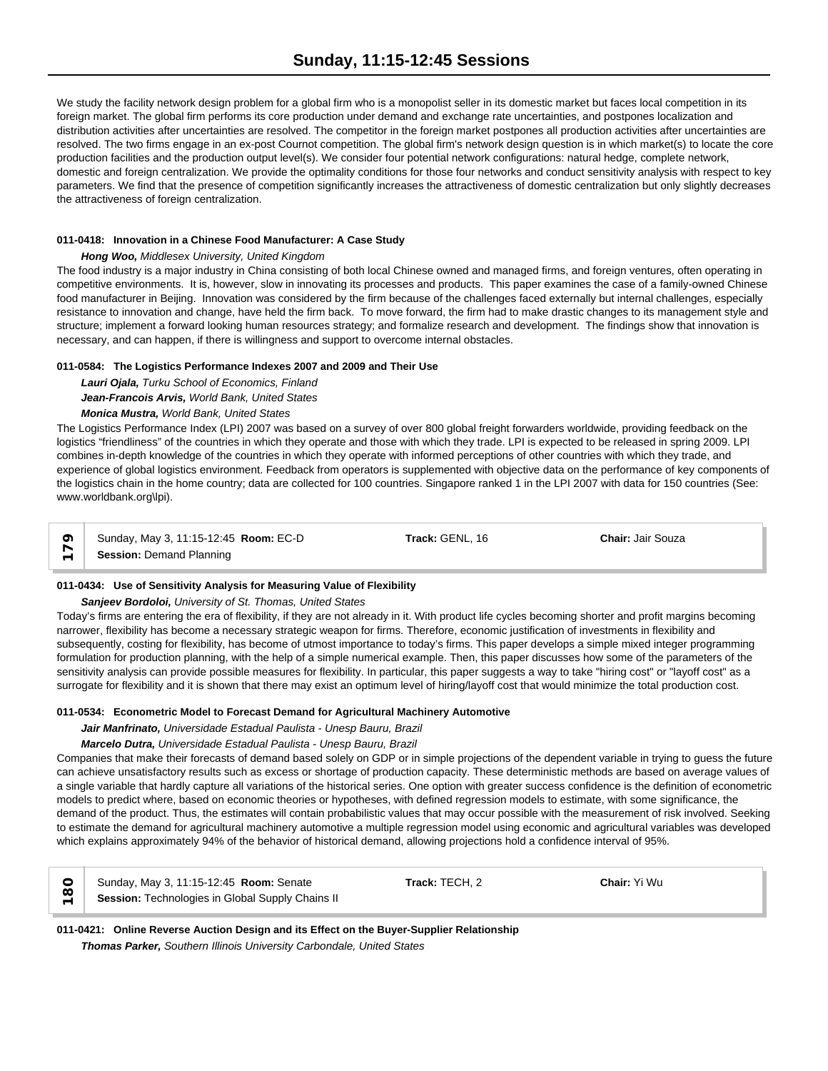We study the facility network design problem for a global firm who is a monopolist seller in its domestic market but faces local competition in its foreign market. The global firm performs its core production under demand and exchange rate uncertainties, and postpones localization and distribution activities after uncertainties are resolved. The competitor in the foreign market postpones all production activities after uncertainties are resolved. The two firms engage in an ex-post Cournot competition. The global firm's network design question is in which market(s) to locate the core production facilities and the production output level(s). We consider four potential network configurations: natural hedge, complete network, domestic and foreign centralization. We provide the optimality conditions for those four networks and conduct sensitivity analysis with respect to key parameters. We find that the presence of competition significantly increases the attractiveness of domestic centralization but only slightly decreases the attractiveness of foreign centralization.

## **011-0418: Innovation in a Chinese Food Manufacturer: A Case Study**

## *Hong Woo, Middlesex University, United Kingdom*

The food industry is a major industry in China consisting of both local Chinese owned and managed firms, and foreign ventures, often operating in competitive environments. It is, however, slow in innovating its processes and products. This paper examines the case of a family-owned Chinese food manufacturer in Beijing. Innovation was considered by the firm because of the challenges faced externally but internal challenges, especially resistance to innovation and change, have held the firm back. To move forward, the firm had to make drastic changes to its management style and structure; implement a forward looking human resources strategy; and formalize research and development. The findings show that innovation is necessary, and can happen, if there is willingness and support to overcome internal obstacles.

## **011-0584: The Logistics Performance Indexes 2007 and 2009 and Their Use**

*Lauri Ojala, Turku School of Economics, Finland Jean-Francois Arvis, World Bank, United States*

## *Monica Mustra, World Bank, United States*

The Logistics Performance Index (LPI) 2007 was based on a survey of over 800 global freight forwarders worldwide, providing feedback on the logistics "friendliness" of the countries in which they operate and those with which they trade. LPI is expected to be released in spring 2009. LPI combines in-depth knowledge of the countries in which they operate with informed perceptions of other countries with which they trade, and experience of global logistics environment. Feedback from operators is supplemented with objective data on the performance of key components of the logistics chain in the home country; data are collected for 100 countries. Singapore ranked 1 in the LPI 2007 with data for 150 countries (See: www.worldbank.org\lpi).

**C** Sunday, May 3, 11:15-12:45<br> **Session:** Demand Planning

Sunday, May 3, 11:15-12:45 **Room:** EC-D **Track:** GENL, 16 **Chair:** Jair Souza

**011-0434: Use of Sensitivity Analysis for Measuring Value of Flexibility**

## *Sanjeev Bordoloi, University of St. Thomas, United States*

Today's firms are entering the era of flexibility, if they are not already in it. With product life cycles becoming shorter and profit margins becoming narrower, flexibility has become a necessary strategic weapon for firms. Therefore, economic justification of investments in flexibility and subsequently, costing for flexibility, has become of utmost importance to today's firms. This paper develops a simple mixed integer programming formulation for production planning, with the help of a simple numerical example. Then, this paper discusses how some of the parameters of the sensitivity analysis can provide possible measures for flexibility. In particular, this paper suggests a way to take "hiring cost" or "layoff cost" as a surrogate for flexibility and it is shown that there may exist an optimum level of hiring/layoff cost that would minimize the total production cost.

## **011-0534: Econometric Model to Forecast Demand for Agricultural Machinery Automotive**

## *Jair Manfrinato, Universidade Estadual Paulista - Unesp Bauru, Brazil*

## *Marcelo Dutra, Universidade Estadual Paulista - Unesp Bauru, Brazil*

Companies that make their forecasts of demand based solely on GDP or in simple projections of the dependent variable in trying to guess the future can achieve unsatisfactory results such as excess or shortage of production capacity. These deterministic methods are based on average values of a single variable that hardly capture all variations of the historical series. One option with greater success confidence is the definition of econometric models to predict where, based on economic theories or hypotheses, with defined regression models to estimate, with some significance, the demand of the product. Thus, the estimates will contain probabilistic values that may occur possible with the measurement of risk involved. Seeking to estimate the demand for agricultural machinery automotive a multiple regression model using economic and agricultural variables was developed which explains approximately 94% of the behavior of historical demand, allowing projections hold a confidence interval of 95%.

| $\infty$                 | Sunday, May 3, 11:15-12:45 Room: Senate          | Track: TECH. 2 | <b>Chair:</b> Yi Wu |  |
|--------------------------|--------------------------------------------------|----------------|---------------------|--|
| $\overline{\phantom{0}}$ | Session: Technologies in Global Supply Chains II |                |                     |  |

**011-0421: Online Reverse Auction Design and its Effect on the Buyer-Supplier Relationship** *Thomas Parker, Southern Illinois University Carbondale, United States*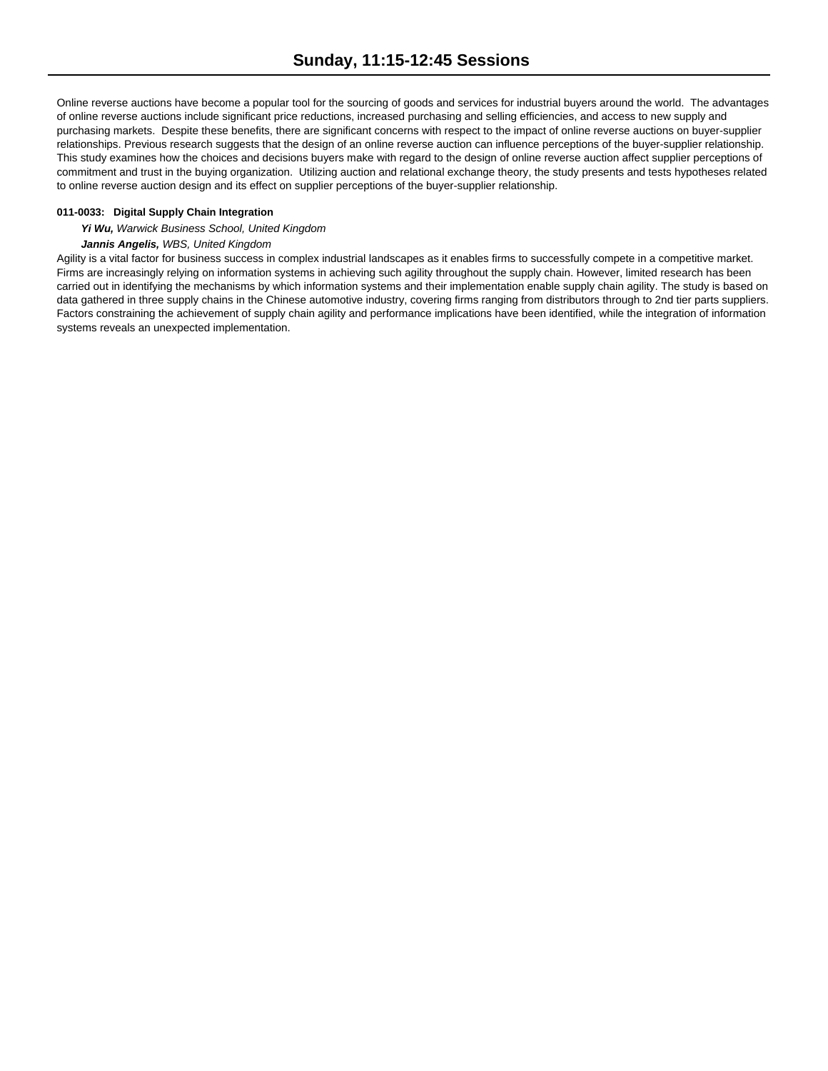Online reverse auctions have become a popular tool for the sourcing of goods and services for industrial buyers around the world. The advantages of online reverse auctions include significant price reductions, increased purchasing and selling efficiencies, and access to new supply and purchasing markets. Despite these benefits, there are significant concerns with respect to the impact of online reverse auctions on buyer-supplier relationships. Previous research suggests that the design of an online reverse auction can influence perceptions of the buyer-supplier relationship. This study examines how the choices and decisions buyers make with regard to the design of online reverse auction affect supplier perceptions of commitment and trust in the buying organization. Utilizing auction and relational exchange theory, the study presents and tests hypotheses related to online reverse auction design and its effect on supplier perceptions of the buyer-supplier relationship.

## **011-0033: Digital Supply Chain Integration**

*Yi Wu, Warwick Business School, United Kingdom*

## *Jannis Angelis, WBS, United Kingdom*

Agility is a vital factor for business success in complex industrial landscapes as it enables firms to successfully compete in a competitive market. Firms are increasingly relying on information systems in achieving such agility throughout the supply chain. However, limited research has been carried out in identifying the mechanisms by which information systems and their implementation enable supply chain agility. The study is based on data gathered in three supply chains in the Chinese automotive industry, covering firms ranging from distributors through to 2nd tier parts suppliers. Factors constraining the achievement of supply chain agility and performance implications have been identified, while the integration of information systems reveals an unexpected implementation.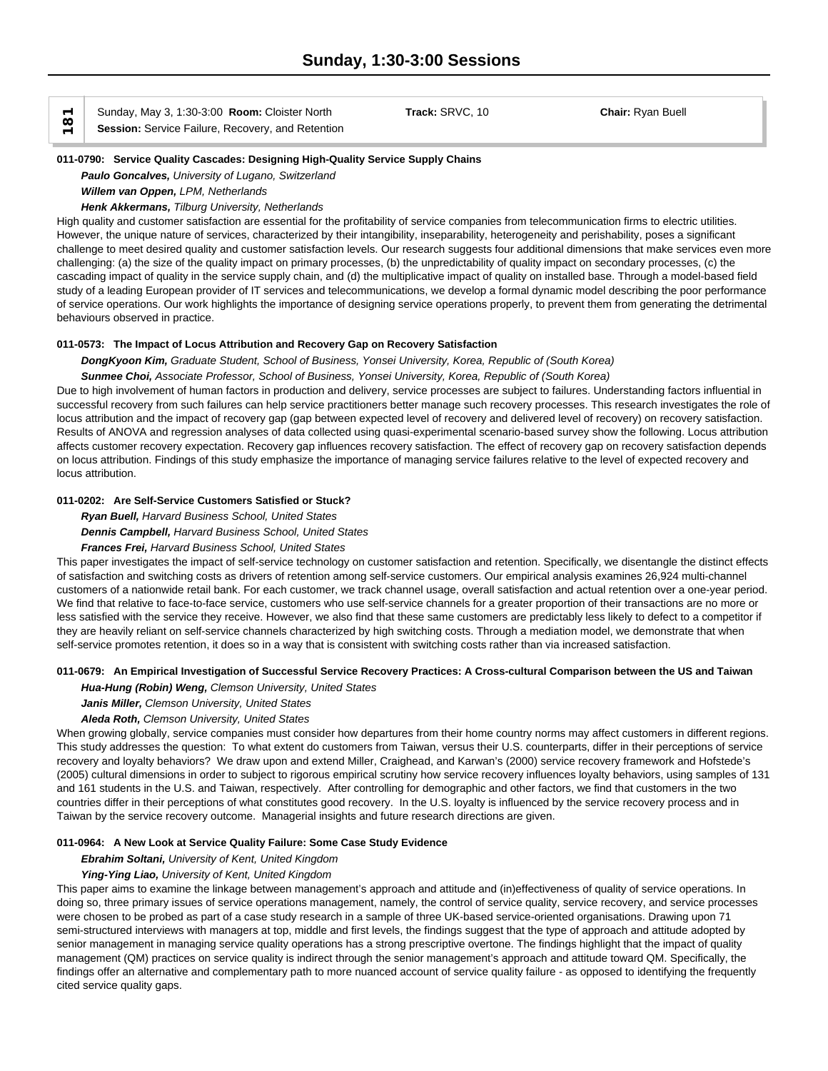Sunday, May 3, 1:30-3:00 **Room:** Cloister North **Track:** SRVC, 10 **Chair:** Ryan Buell **Session:** Service Failure, Recovery, and Retention

#### **011-0790: Service Quality Cascades: Designing High-Quality Service Supply Chains**

*Paulo Goncalves, University of Lugano, Switzerland*

*Willem van Oppen, LPM, Netherlands*

## *Henk Akkermans, Tilburg University, Netherlands*

High quality and customer satisfaction are essential for the profitability of service companies from telecommunication firms to electric utilities. However, the unique nature of services, characterized by their intangibility, inseparability, heterogeneity and perishability, poses a significant challenge to meet desired quality and customer satisfaction levels. Our research suggests four additional dimensions that make services even more challenging: (a) the size of the quality impact on primary processes, (b) the unpredictability of quality impact on secondary processes, (c) the cascading impact of quality in the service supply chain, and (d) the multiplicative impact of quality on installed base. Through a model-based field study of a leading European provider of IT services and telecommunications, we develop a formal dynamic model describing the poor performance of service operations. Our work highlights the importance of designing service operations properly, to prevent them from generating the detrimental behaviours observed in practice.

#### **011-0573: The Impact of Locus Attribution and Recovery Gap on Recovery Satisfaction**

*DongKyoon Kim, Graduate Student, School of Business, Yonsei University, Korea, Republic of (South Korea) Sunmee Choi, Associate Professor, School of Business, Yonsei University, Korea, Republic of (South Korea)*

Due to high involvement of human factors in production and delivery, service processes are subject to failures. Understanding factors influential in successful recovery from such failures can help service practitioners better manage such recovery processes. This research investigates the role of locus attribution and the impact of recovery gap (gap between expected level of recovery and delivered level of recovery) on recovery satisfaction. Results of ANOVA and regression analyses of data collected using quasi-experimental scenario-based survey show the following. Locus attribution affects customer recovery expectation. Recovery gap influences recovery satisfaction. The effect of recovery gap on recovery satisfaction depends on locus attribution. Findings of this study emphasize the importance of managing service failures relative to the level of expected recovery and locus attribution.

## **011-0202: Are Self-Service Customers Satisfied or Stuck?**

*Ryan Buell, Harvard Business School, United States*

*Dennis Campbell, Harvard Business School, United States*

#### *Frances Frei, Harvard Business School, United States*

This paper investigates the impact of self-service technology on customer satisfaction and retention. Specifically, we disentangle the distinct effects of satisfaction and switching costs as drivers of retention among self-service customers. Our empirical analysis examines 26,924 multi-channel customers of a nationwide retail bank. For each customer, we track channel usage, overall satisfaction and actual retention over a one-year period. We find that relative to face-to-face service, customers who use self-service channels for a greater proportion of their transactions are no more or less satisfied with the service they receive. However, we also find that these same customers are predictably less likely to defect to a competitor if they are heavily reliant on self-service channels characterized by high switching costs. Through a mediation model, we demonstrate that when self-service promotes retention, it does so in a way that is consistent with switching costs rather than via increased satisfaction.

## **011-0679: An Empirical Investigation of Successful Service Recovery Practices: A Cross-cultural Comparison between the US and Taiwan**

*Hua-Hung (Robin) Weng, Clemson University, United States*

*Janis Miller, Clemson University, United States*

#### *Aleda Roth, Clemson University, United States*

When growing globally, service companies must consider how departures from their home country norms may affect customers in different regions. This study addresses the question: To what extent do customers from Taiwan, versus their U.S. counterparts, differ in their perceptions of service recovery and loyalty behaviors? We draw upon and extend Miller, Craighead, and Karwan's (2000) service recovery framework and Hofstede's (2005) cultural dimensions in order to subject to rigorous empirical scrutiny how service recovery influences loyalty behaviors, using samples of 131 and 161 students in the U.S. and Taiwan, respectively. After controlling for demographic and other factors, we find that customers in the two countries differ in their perceptions of what constitutes good recovery. In the U.S. loyalty is influenced by the service recovery process and in Taiwan by the service recovery outcome. Managerial insights and future research directions are given.

#### **011-0964: A New Look at Service Quality Failure: Some Case Study Evidence**

#### *Ebrahim Soltani, University of Kent, United Kingdom*

#### *Ying-Ying Liao, University of Kent, United Kingdom*

This paper aims to examine the linkage between management's approach and attitude and (in)effectiveness of quality of service operations. In doing so, three primary issues of service operations management, namely, the control of service quality, service recovery, and service processes were chosen to be probed as part of a case study research in a sample of three UK-based service-oriented organisations. Drawing upon 71 semi-structured interviews with managers at top, middle and first levels, the findings suggest that the type of approach and attitude adopted by senior management in managing service quality operations has a strong prescriptive overtone. The findings highlight that the impact of quality management (QM) practices on service quality is indirect through the senior management's approach and attitude toward QM. Specifically, the findings offer an alternative and complementary path to more nuanced account of service quality failure - as opposed to identifying the frequently cited service quality gaps.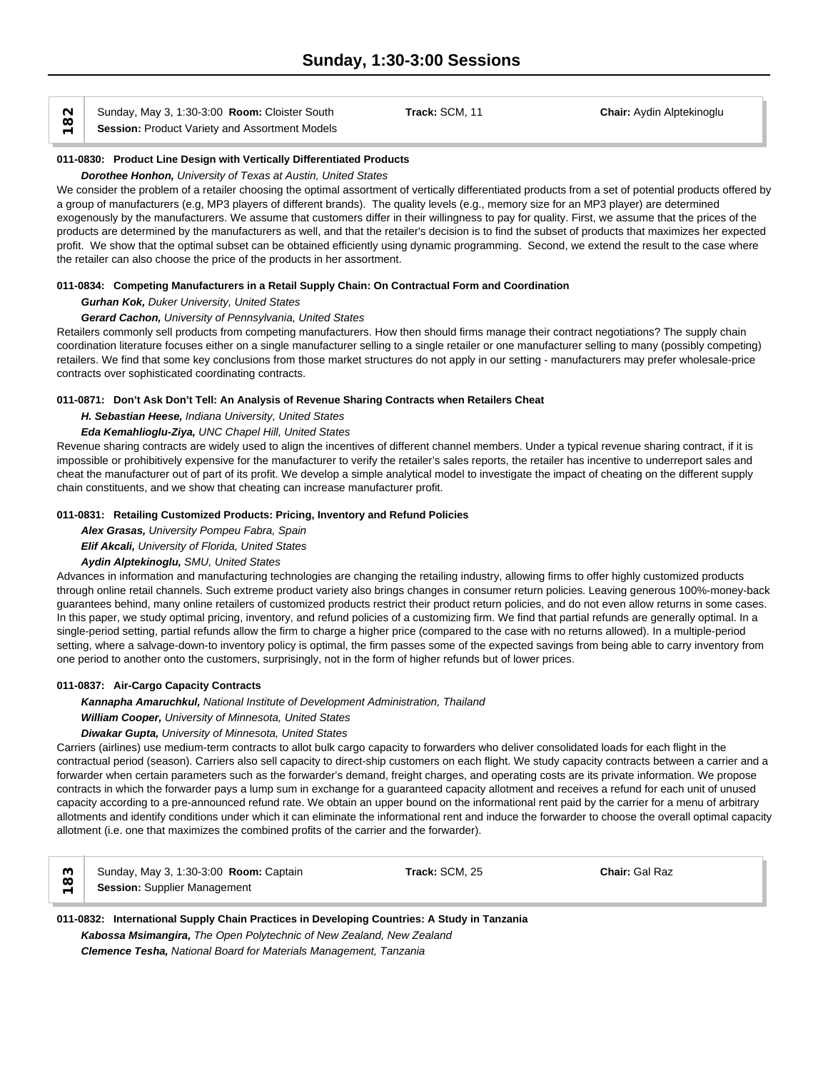N Sunday, May 3, 1:30-3:00 **Room:** Cloister South ( $\Omega$ )<br> **Session:** Product Variety and Assortment Models

**011-0830: Product Line Design with Vertically Differentiated Products**

## *Dorothee Honhon, University of Texas at Austin, United States*

We consider the problem of a retailer choosing the optimal assortment of vertically differentiated products from a set of potential products offered by a group of manufacturers (e.g, MP3 players of different brands). The quality levels (e.g., memory size for an MP3 player) are determined exogenously by the manufacturers. We assume that customers differ in their willingness to pay for quality. First, we assume that the prices of the products are determined by the manufacturers as well, and that the retailer's decision is to find the subset of products that maximizes her expected profit. We show that the optimal subset can be obtained efficiently using dynamic programming. Second, we extend the result to the case where the retailer can also choose the price of the products in her assortment.

## **011-0834: Competing Manufacturers in a Retail Supply Chain: On Contractual Form and Coordination**

## *Gurhan Kok, Duker University, United States*

## *Gerard Cachon, University of Pennsylvania, United States*

Retailers commonly sell products from competing manufacturers. How then should firms manage their contract negotiations? The supply chain coordination literature focuses either on a single manufacturer selling to a single retailer or one manufacturer selling to many (possibly competing) retailers. We find that some key conclusions from those market structures do not apply in our setting - manufacturers may prefer wholesale-price contracts over sophisticated coordinating contracts.

## **011-0871: Don't Ask Don't Tell: An Analysis of Revenue Sharing Contracts when Retailers Cheat**

*H. Sebastian Heese, Indiana University, United States*

## *Eda Kemahlioglu-Ziya, UNC Chapel Hill, United States*

Revenue sharing contracts are widely used to align the incentives of different channel members. Under a typical revenue sharing contract, if it is impossible or prohibitively expensive for the manufacturer to verify the retailer's sales reports, the retailer has incentive to underreport sales and cheat the manufacturer out of part of its profit. We develop a simple analytical model to investigate the impact of cheating on the different supply chain constituents, and we show that cheating can increase manufacturer profit.

## **011-0831: Retailing Customized Products: Pricing, Inventory and Refund Policies**

*Alex Grasas, University Pompeu Fabra, Spain*

*Elif Akcali, University of Florida, United States*

## *Aydin Alptekinoglu, SMU, United States*

Advances in information and manufacturing technologies are changing the retailing industry, allowing firms to offer highly customized products through online retail channels. Such extreme product variety also brings changes in consumer return policies. Leaving generous 100%-money-back guarantees behind, many online retailers of customized products restrict their product return policies, and do not even allow returns in some cases. In this paper, we study optimal pricing, inventory, and refund policies of a customizing firm. We find that partial refunds are generally optimal. In a single-period setting, partial refunds allow the firm to charge a higher price (compared to the case with no returns allowed). In a multiple-period setting, where a salvage-down-to inventory policy is optimal, the firm passes some of the expected savings from being able to carry inventory from one period to another onto the customers, surprisingly, not in the form of higher refunds but of lower prices.

## **011-0837: Air-Cargo Capacity Contracts**

*Kannapha Amaruchkul, National Institute of Development Administration, Thailand William Cooper, University of Minnesota, United States*

## *Diwakar Gupta, University of Minnesota, United States*

Carriers (airlines) use medium-term contracts to allot bulk cargo capacity to forwarders who deliver consolidated loads for each flight in the contractual period (season). Carriers also sell capacity to direct-ship customers on each flight. We study capacity contracts between a carrier and a forwarder when certain parameters such as the forwarder's demand, freight charges, and operating costs are its private information. We propose contracts in which the forwarder pays a lump sum in exchange for a guaranteed capacity allotment and receives a refund for each unit of unused capacity according to a pre-announced refund rate. We obtain an upper bound on the informational rent paid by the carrier for a menu of arbitrary allotments and identify conditions under which it can eliminate the informational rent and induce the forwarder to choose the overall optimal capacity allotment (i.e. one that maximizes the combined profits of the carrier and the forwarder).

|   | Sunday, May 3, 1:30-3:00 Room: Captain | Track: SCM, 25 | Chair: Gal Raz |  |
|---|----------------------------------------|----------------|----------------|--|
| ⋍ | <b>Session: Supplier Management</b>    |                |                |  |

## **011-0832: International Supply Chain Practices in Developing Countries: A Study in Tanzania** *Kabossa Msimangira, The Open Polytechnic of New Zealand, New Zealand Clemence Tesha, National Board for Materials Management, Tanzania*

Sunday, May 3, 1:30-3:00 **Room:** Cloister South **Track:** SCM, 11 **Chair:** Aydin Alptekinoglu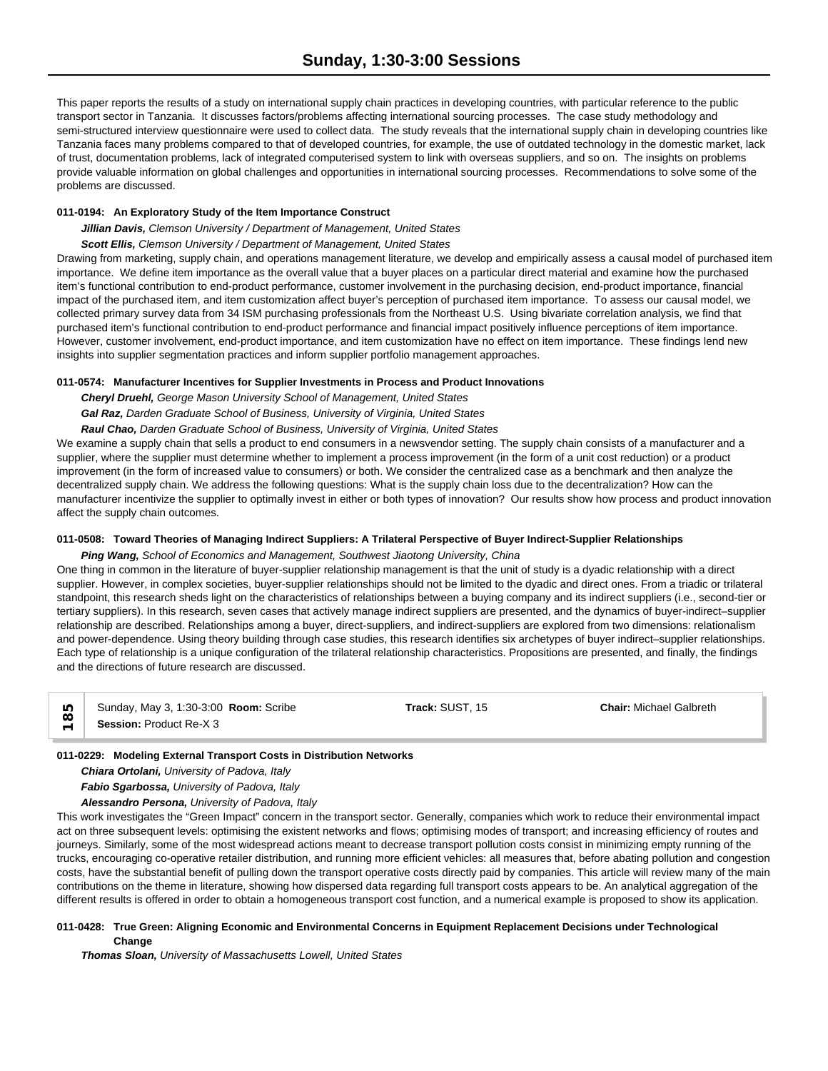This paper reports the results of a study on international supply chain practices in developing countries, with particular reference to the public transport sector in Tanzania. It discusses factors/problems affecting international sourcing processes. The case study methodology and semi-structured interview questionnaire were used to collect data. The study reveals that the international supply chain in developing countries like Tanzania faces many problems compared to that of developed countries, for example, the use of outdated technology in the domestic market, lack of trust, documentation problems, lack of integrated computerised system to link with overseas suppliers, and so on. The insights on problems provide valuable information on global challenges and opportunities in international sourcing processes. Recommendations to solve some of the problems are discussed.

## **011-0194: An Exploratory Study of the Item Importance Construct**

## *Jillian Davis, Clemson University / Department of Management, United States*

## *Scott Ellis, Clemson University / Department of Management, United States*

Drawing from marketing, supply chain, and operations management literature, we develop and empirically assess a causal model of purchased item importance. We define item importance as the overall value that a buyer places on a particular direct material and examine how the purchased item's functional contribution to end-product performance, customer involvement in the purchasing decision, end-product importance, financial impact of the purchased item, and item customization affect buyer's perception of purchased item importance. To assess our causal model, we collected primary survey data from 34 ISM purchasing professionals from the Northeast U.S. Using bivariate correlation analysis, we find that purchased item's functional contribution to end-product performance and financial impact positively influence perceptions of item importance. However, customer involvement, end-product importance, and item customization have no effect on item importance. These findings lend new insights into supplier segmentation practices and inform supplier portfolio management approaches.

## **011-0574: Manufacturer Incentives for Supplier Investments in Process and Product Innovations**

*Cheryl Druehl, George Mason University School of Management, United States*

*Gal Raz, Darden Graduate School of Business, University of Virginia, United States*

*Raul Chao, Darden Graduate School of Business, University of Virginia, United States*

We examine a supply chain that sells a product to end consumers in a newsvendor setting. The supply chain consists of a manufacturer and a supplier, where the supplier must determine whether to implement a process improvement (in the form of a unit cost reduction) or a product improvement (in the form of increased value to consumers) or both. We consider the centralized case as a benchmark and then analyze the decentralized supply chain. We address the following questions: What is the supply chain loss due to the decentralization? How can the manufacturer incentivize the supplier to optimally invest in either or both types of innovation? Our results show how process and product innovation affect the supply chain outcomes.

## **011-0508: Toward Theories of Managing Indirect Suppliers: A Trilateral Perspective of Buyer Indirect-Supplier Relationships**

*Ping Wang, School of Economics and Management, Southwest Jiaotong University, China*

One thing in common in the literature of buyer-supplier relationship management is that the unit of study is a dyadic relationship with a direct supplier. However, in complex societies, buyer-supplier relationships should not be limited to the dyadic and direct ones. From a triadic or trilateral standpoint, this research sheds light on the characteristics of relationships between a buying company and its indirect suppliers (i.e., second-tier or tertiary suppliers). In this research, seven cases that actively manage indirect suppliers are presented, and the dynamics of buyer-indirect–supplier relationship are described. Relationships among a buyer, direct-suppliers, and indirect-suppliers are explored from two dimensions: relationalism and power-dependence. Using theory building through case studies, this research identifies six archetypes of buyer indirect–supplier relationships. Each type of relationship is a unique configuration of the trilateral relationship characteristics. Propositions are presented, and finally, the findings and the directions of future research are discussed.

**COLOGY BUNDAY, May 3, 1:30-3:00**<br> **Session: Product Re-X 3** 

Sunday, May 3, 1:30-3:00 **Room:** Scribe **Track:** SUST, 15 **Chair:** Michael Galbreth

# **011-0229: Modeling External Transport Costs in Distribution Networks**

*Chiara Ortolani, University of Padova, Italy*

*Fabio Sgarbossa, University of Padova, Italy*

*Alessandro Persona, University of Padova, Italy*

This work investigates the "Green Impact" concern in the transport sector. Generally, companies which work to reduce their environmental impact act on three subsequent levels: optimising the existent networks and flows; optimising modes of transport; and increasing efficiency of routes and journeys. Similarly, some of the most widespread actions meant to decrease transport pollution costs consist in minimizing empty running of the trucks, encouraging co-operative retailer distribution, and running more efficient vehicles: all measures that, before abating pollution and congestion costs, have the substantial benefit of pulling down the transport operative costs directly paid by companies. This article will review many of the main contributions on the theme in literature, showing how dispersed data regarding full transport costs appears to be. An analytical aggregation of the different results is offered in order to obtain a homogeneous transport cost function, and a numerical example is proposed to show its application.

## **011-0428: True Green: Aligning Economic and Environmental Concerns in Equipment Replacement Decisions under Technological Change**

*Thomas Sloan, University of Massachusetts Lowell, United States*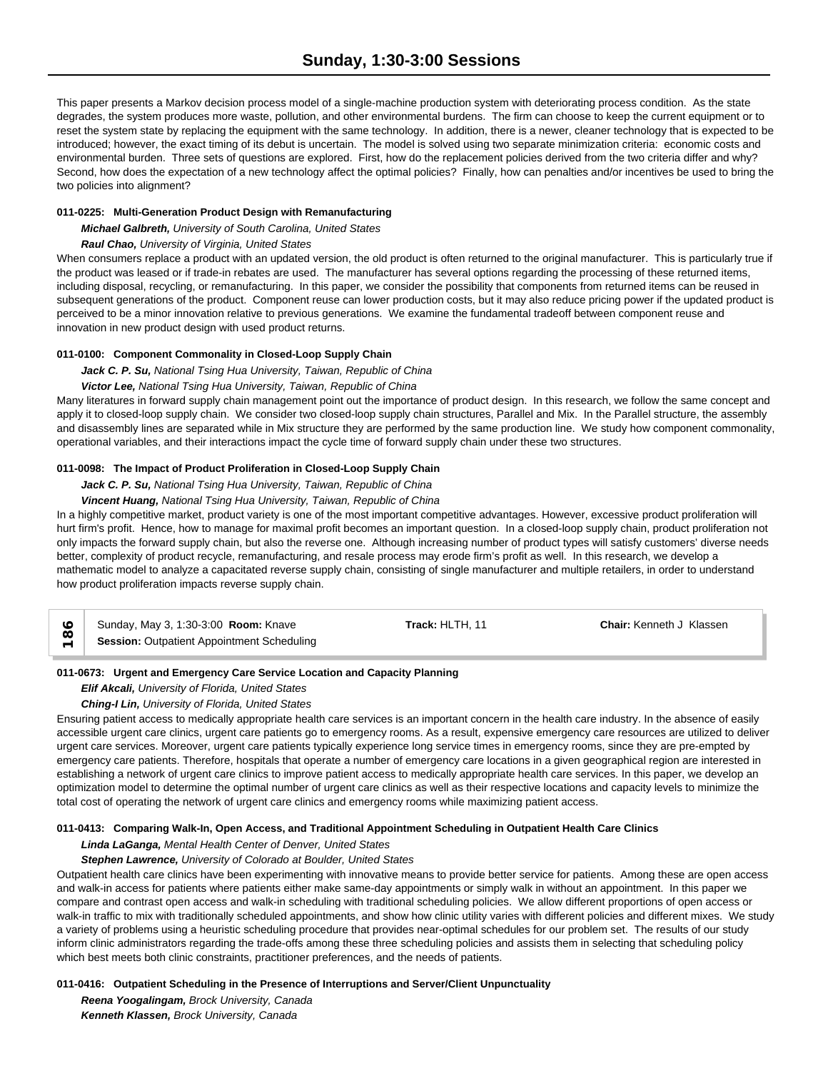This paper presents a Markov decision process model of a single-machine production system with deteriorating process condition. As the state degrades, the system produces more waste, pollution, and other environmental burdens. The firm can choose to keep the current equipment or to reset the system state by replacing the equipment with the same technology. In addition, there is a newer, cleaner technology that is expected to be introduced; however, the exact timing of its debut is uncertain. The model is solved using two separate minimization criteria: economic costs and environmental burden. Three sets of questions are explored. First, how do the replacement policies derived from the two criteria differ and why? Second, how does the expectation of a new technology affect the optimal policies? Finally, how can penalties and/or incentives be used to bring the two policies into alignment?

## **011-0225: Multi-Generation Product Design with Remanufacturing**

*Michael Galbreth, University of South Carolina, United States*

## *Raul Chao, University of Virginia, United States*

When consumers replace a product with an updated version, the old product is often returned to the original manufacturer. This is particularly true if the product was leased or if trade-in rebates are used. The manufacturer has several options regarding the processing of these returned items, including disposal, recycling, or remanufacturing. In this paper, we consider the possibility that components from returned items can be reused in subsequent generations of the product. Component reuse can lower production costs, but it may also reduce pricing power if the updated product is perceived to be a minor innovation relative to previous generations. We examine the fundamental tradeoff between component reuse and innovation in new product design with used product returns.

## **011-0100: Component Commonality in Closed-Loop Supply Chain**

*Jack C. P. Su, National Tsing Hua University, Taiwan, Republic of China*

## *Victor Lee, National Tsing Hua University, Taiwan, Republic of China*

Many literatures in forward supply chain management point out the importance of product design. In this research, we follow the same concept and apply it to closed-loop supply chain. We consider two closed-loop supply chain structures, Parallel and Mix. In the Parallel structure, the assembly and disassembly lines are separated while in Mix structure they are performed by the same production line. We study how component commonality, operational variables, and their interactions impact the cycle time of forward supply chain under these two structures.

## **011-0098: The Impact of Product Proliferation in Closed-Loop Supply Chain**

## *Jack C. P. Su, National Tsing Hua University, Taiwan, Republic of China*

*Vincent Huang, National Tsing Hua University, Taiwan, Republic of China*

In a highly competitive market, product variety is one of the most important competitive advantages. However, excessive product proliferation will hurt firm's profit. Hence, how to manage for maximal profit becomes an important question. In a closed-loop supply chain, product proliferation not only impacts the forward supply chain, but also the reverse one. Although increasing number of product types will satisfy customers' diverse needs better, complexity of product recycle, remanufacturing, and resale process may erode firm's profit as well. In this research, we develop a mathematic model to analyze a capacitated reverse supply chain, consisting of single manufacturer and multiple retailers, in order to understand how product proliferation impacts reverse supply chain.

| Sunday, May 3, 1:30-3:00 <b>Room:</b> Knave       | Track: HLTH. 11 | <b>Chair:</b> Kenneth J Klassen |  |
|---------------------------------------------------|-----------------|---------------------------------|--|
| <b>Session: Outpatient Appointment Scheduling</b> |                 |                                 |  |

## **011-0673: Urgent and Emergency Care Service Location and Capacity Planning**

## *Elif Akcali, University of Florida, United States*

*Ching-I Lin, University of Florida, United States*

Ensuring patient access to medically appropriate health care services is an important concern in the health care industry. In the absence of easily accessible urgent care clinics, urgent care patients go to emergency rooms. As a result, expensive emergency care resources are utilized to deliver urgent care services. Moreover, urgent care patients typically experience long service times in emergency rooms, since they are pre-empted by emergency care patients. Therefore, hospitals that operate a number of emergency care locations in a given geographical region are interested in establishing a network of urgent care clinics to improve patient access to medically appropriate health care services. In this paper, we develop an optimization model to determine the optimal number of urgent care clinics as well as their respective locations and capacity levels to minimize the total cost of operating the network of urgent care clinics and emergency rooms while maximizing patient access.

## **011-0413: Comparing Walk-In, Open Access, and Traditional Appointment Scheduling in Outpatient Health Care Clinics**

## *Linda LaGanga, Mental Health Center of Denver, United States*

## *Stephen Lawrence, University of Colorado at Boulder, United States*

Outpatient health care clinics have been experimenting with innovative means to provide better service for patients. Among these are open access and walk-in access for patients where patients either make same-day appointments or simply walk in without an appointment. In this paper we compare and contrast open access and walk-in scheduling with traditional scheduling policies. We allow different proportions of open access or walk-in traffic to mix with traditionally scheduled appointments, and show how clinic utility varies with different policies and different mixes. We study a variety of problems using a heuristic scheduling procedure that provides near-optimal schedules for our problem set. The results of our study inform clinic administrators regarding the trade-offs among these three scheduling policies and assists them in selecting that scheduling policy which best meets both clinic constraints, practitioner preferences, and the needs of patients.

## **011-0416: Outpatient Scheduling in the Presence of Interruptions and Server/Client Unpunctuality**

*Reena Yoogalingam, Brock University, Canada Kenneth Klassen, Brock University, Canada*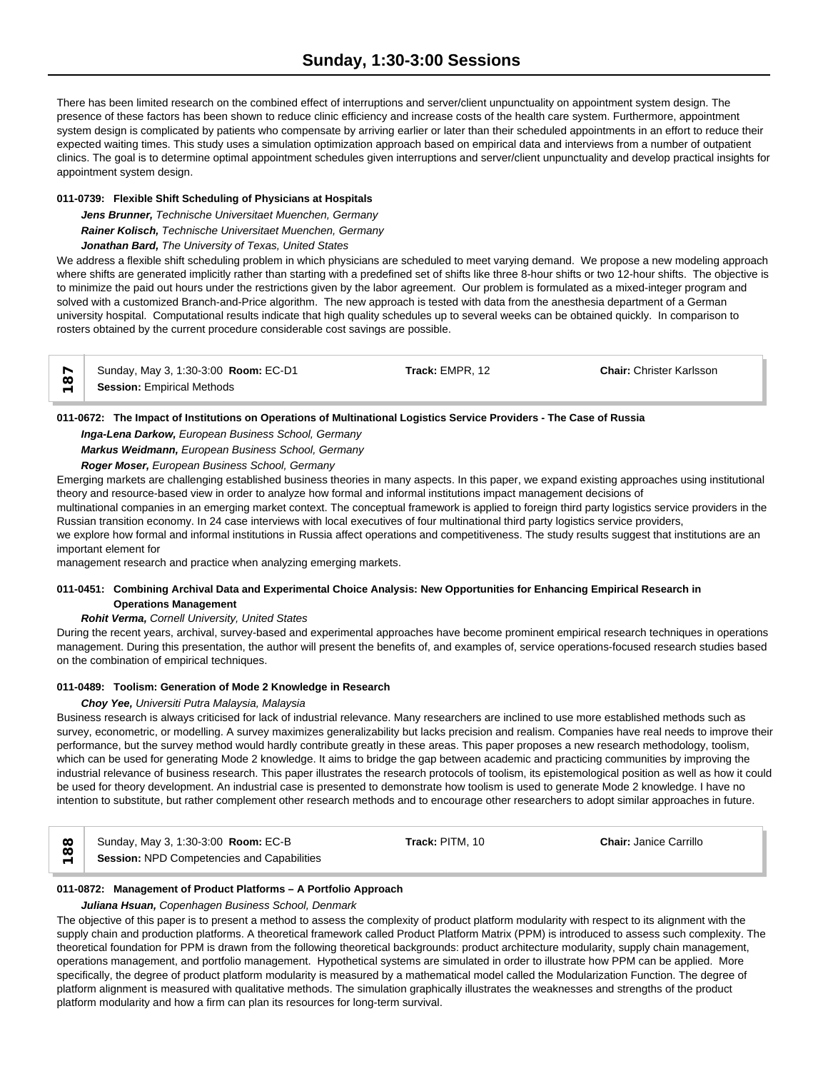There has been limited research on the combined effect of interruptions and server/client unpunctuality on appointment system design. The presence of these factors has been shown to reduce clinic efficiency and increase costs of the health care system. Furthermore, appointment system design is complicated by patients who compensate by arriving earlier or later than their scheduled appointments in an effort to reduce their expected waiting times. This study uses a simulation optimization approach based on empirical data and interviews from a number of outpatient clinics. The goal is to determine optimal appointment schedules given interruptions and server/client unpunctuality and develop practical insights for appointment system design.

## **011-0739: Flexible Shift Scheduling of Physicians at Hospitals**

*Jens Brunner, Technische Universitaet Muenchen, Germany Rainer Kolisch, Technische Universitaet Muenchen, Germany Jonathan Bard, The University of Texas, United States*

We address a flexible shift scheduling problem in which physicians are scheduled to meet varying demand. We propose a new modeling approach where shifts are generated implicitly rather than starting with a predefined set of shifts like three 8-hour shifts or two 12-hour shifts. The objective is to minimize the paid out hours under the restrictions given by the labor agreement. Our problem is formulated as a mixed-integer program and solved with a customized Branch-and-Price algorithm. The new approach is tested with data from the anesthesia department of a German university hospital. Computational results indicate that high quality schedules up to several weeks can be obtained quickly. In comparison to rosters obtained by the current procedure considerable cost savings are possible.

| $\sim$ | Sunday, May 3, 1:30-3:00 Room: EC-D1 | Track: EMPR. 12 | <b>Chair: Christer Karlsson</b> |  |
|--------|--------------------------------------|-----------------|---------------------------------|--|
| w      | <b>Session: Empirical Methods</b>    |                 |                                 |  |

## **011-0672: The Impact of Institutions on Operations of Multinational Logistics Service Providers - The Case of Russia**

*Inga-Lena Darkow, European Business School, Germany*

*Markus Weidmann, European Business School, Germany*

*Roger Moser, European Business School, Germany*

Emerging markets are challenging established business theories in many aspects. In this paper, we expand existing approaches using institutional theory and resource-based view in order to analyze how formal and informal institutions impact management decisions of

multinational companies in an emerging market context. The conceptual framework is applied to foreign third party logistics service providers in the Russian transition economy. In 24 case interviews with local executives of four multinational third party logistics service providers,

we explore how formal and informal institutions in Russia affect operations and competitiveness. The study results suggest that institutions are an important element for

management research and practice when analyzing emerging markets.

## **011-0451: Combining Archival Data and Experimental Choice Analysis: New Opportunities for Enhancing Empirical Research in Operations Management**

## *Rohit Verma, Cornell University, United States*

During the recent years, archival, survey-based and experimental approaches have become prominent empirical research techniques in operations management. During this presentation, the author will present the benefits of, and examples of, service operations-focused research studies based on the combination of empirical techniques.

## **011-0489: Toolism: Generation of Mode 2 Knowledge in Research**

## *Choy Yee, Universiti Putra Malaysia, Malaysia*

Business research is always criticised for lack of industrial relevance. Many researchers are inclined to use more established methods such as survey, econometric, or modelling. A survey maximizes generalizability but lacks precision and realism. Companies have real needs to improve their performance, but the survey method would hardly contribute greatly in these areas. This paper proposes a new research methodology, toolism, which can be used for generating Mode 2 knowledge. It aims to bridge the gap between academic and practicing communities by improving the industrial relevance of business research. This paper illustrates the research protocols of toolism, its epistemological position as well as how it could be used for theory development. An industrial case is presented to demonstrate how toolism is used to generate Mode 2 knowledge. I have no intention to substitute, but rather complement other research methods and to encourage other researchers to adopt similar approaches in future.

| ∞                             | Sunday, May 3, 1:30-3:00 <b>Room: EC-B</b>        | Track: PITM, 10 | <b>Chair: Janice Carrillo</b> |  |
|-------------------------------|---------------------------------------------------|-----------------|-------------------------------|--|
| ∞<br>$\overline{\phantom{0}}$ | <b>Session: NPD Competencies and Capabilities</b> |                 |                               |  |

## **011-0872: Management of Product Platforms – A Portfolio Approach**

## *Juliana Hsuan, Copenhagen Business School, Denmark*

The objective of this paper is to present a method to assess the complexity of product platform modularity with respect to its alignment with the supply chain and production platforms. A theoretical framework called Product Platform Matrix (PPM) is introduced to assess such complexity. The theoretical foundation for PPM is drawn from the following theoretical backgrounds: product architecture modularity, supply chain management, operations management, and portfolio management. Hypothetical systems are simulated in order to illustrate how PPM can be applied. More specifically, the degree of product platform modularity is measured by a mathematical model called the Modularization Function. The degree of platform alignment is measured with qualitative methods. The simulation graphically illustrates the weaknesses and strengths of the product platform modularity and how a firm can plan its resources for long-term survival.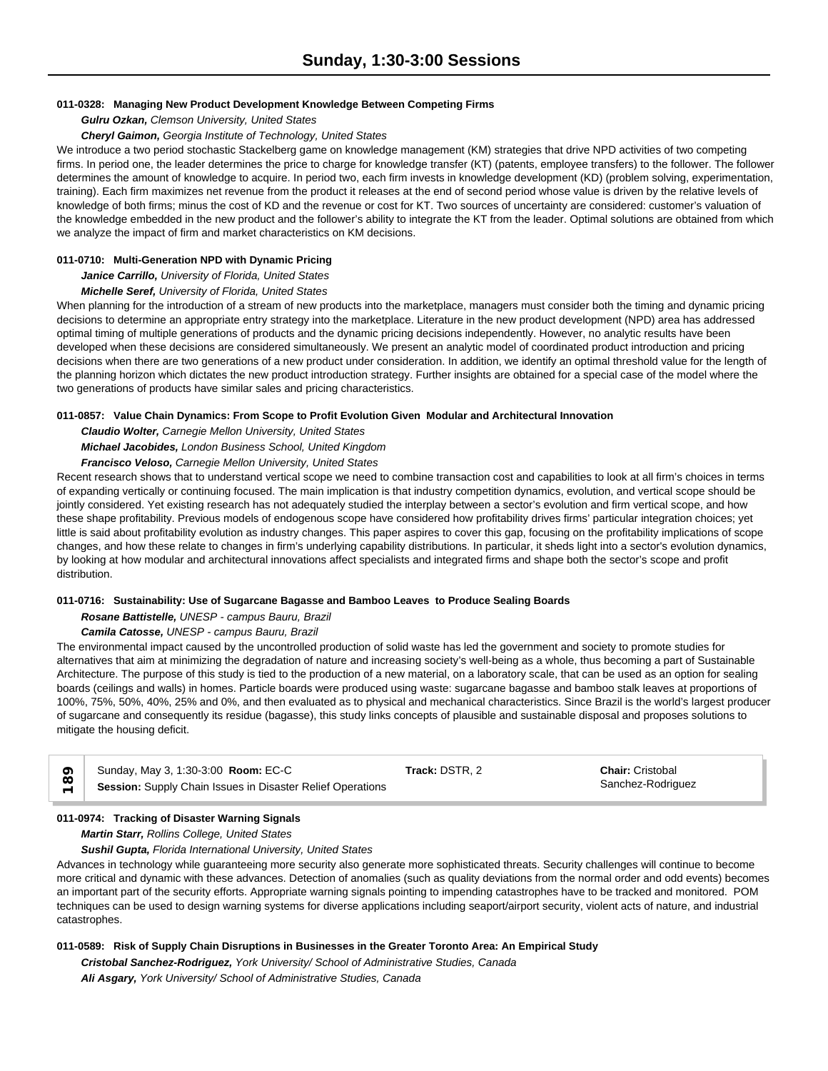#### **011-0328: Managing New Product Development Knowledge Between Competing Firms**

## *Gulru Ozkan, Clemson University, United States*

#### *Cheryl Gaimon, Georgia Institute of Technology, United States*

We introduce a two period stochastic Stackelberg game on knowledge management (KM) strategies that drive NPD activities of two competing firms. In period one, the leader determines the price to charge for knowledge transfer (KT) (patents, employee transfers) to the follower. The follower determines the amount of knowledge to acquire. In period two, each firm invests in knowledge development (KD) (problem solving, experimentation, training). Each firm maximizes net revenue from the product it releases at the end of second period whose value is driven by the relative levels of knowledge of both firms; minus the cost of KD and the revenue or cost for KT. Two sources of uncertainty are considered: customer's valuation of the knowledge embedded in the new product and the follower's ability to integrate the KT from the leader. Optimal solutions are obtained from which we analyze the impact of firm and market characteristics on KM decisions.

#### **011-0710: Multi-Generation NPD with Dynamic Pricing**

*Janice Carrillo, University of Florida, United States*

#### *Michelle Seref, University of Florida, United States*

When planning for the introduction of a stream of new products into the marketplace, managers must consider both the timing and dynamic pricing decisions to determine an appropriate entry strategy into the marketplace. Literature in the new product development (NPD) area has addressed optimal timing of multiple generations of products and the dynamic pricing decisions independently. However, no analytic results have been developed when these decisions are considered simultaneously. We present an analytic model of coordinated product introduction and pricing decisions when there are two generations of a new product under consideration. In addition, we identify an optimal threshold value for the length of the planning horizon which dictates the new product introduction strategy. Further insights are obtained for a special case of the model where the two generations of products have similar sales and pricing characteristics.

## **011-0857: Value Chain Dynamics: From Scope to Profit Evolution Given Modular and Architectural Innovation**

*Claudio Wolter, Carnegie Mellon University, United States*

## *Michael Jacobides, London Business School, United Kingdom*

## *Francisco Veloso, Carnegie Mellon University, United States*

Recent research shows that to understand vertical scope we need to combine transaction cost and capabilities to look at all firm's choices in terms of expanding vertically or continuing focused. The main implication is that industry competition dynamics, evolution, and vertical scope should be jointly considered. Yet existing research has not adequately studied the interplay between a sector's evolution and firm vertical scope, and how these shape profitability. Previous models of endogenous scope have considered how profitability drives firms' particular integration choices; yet little is said about profitability evolution as industry changes. This paper aspires to cover this gap, focusing on the profitability implications of scope changes, and how these relate to changes in firm's underlying capability distributions. In particular, it sheds light into a sector's evolution dynamics, by looking at how modular and architectural innovations affect specialists and integrated firms and shape both the sector's scope and profit distribution.

## **011-0716: Sustainability: Use of Sugarcane Bagasse and Bamboo Leaves to Produce Sealing Boards**

*Rosane Battistelle, UNESP - campus Bauru, Brazil*

## *Camila Catosse, UNESP - campus Bauru, Brazil*

The environmental impact caused by the uncontrolled production of solid waste has led the government and society to promote studies for alternatives that aim at minimizing the degradation of nature and increasing society's well-being as a whole, thus becoming a part of Sustainable Architecture. The purpose of this study is tied to the production of a new material, on a laboratory scale, that can be used as an option for sealing boards (ceilings and walls) in homes. Particle boards were produced using waste: sugarcane bagasse and bamboo stalk leaves at proportions of 100%, 75%, 50%, 40%, 25% and 0%, and then evaluated as to physical and mechanical characteristics. Since Brazil is the world's largest producer of sugarcane and consequently its residue (bagasse), this study links concepts of plausible and sustainable disposal and proposes solutions to mitigate the housing deficit.

| $\frac{8}{10}$ | Sunday, May 3, 1:30-3:00 Room: EC-C                        | Track: DSTR. 2 | <b>Chair: Cristobal</b> |
|----------------|------------------------------------------------------------|----------------|-------------------------|
| $\overline{a}$ | Session: Supply Chain Issues in Disaster Relief Operations |                | Sanchez-Rodriguez       |

## **011-0974: Tracking of Disaster Warning Signals**

*Martin Starr, Rollins College, United States*

#### *Sushil Gupta, Florida International University, United States*

Advances in technology while guaranteeing more security also generate more sophisticated threats. Security challenges will continue to become more critical and dynamic with these advances. Detection of anomalies (such as quality deviations from the normal order and odd events) becomes an important part of the security efforts. Appropriate warning signals pointing to impending catastrophes have to be tracked and monitored. POM techniques can be used to design warning systems for diverse applications including seaport/airport security, violent acts of nature, and industrial catastrophes.

## **011-0589: Risk of Supply Chain Disruptions in Businesses in the Greater Toronto Area: An Empirical Study**

*Cristobal Sanchez-Rodriguez, York University/ School of Administrative Studies, Canada Ali Asgary, York University/ School of Administrative Studies, Canada*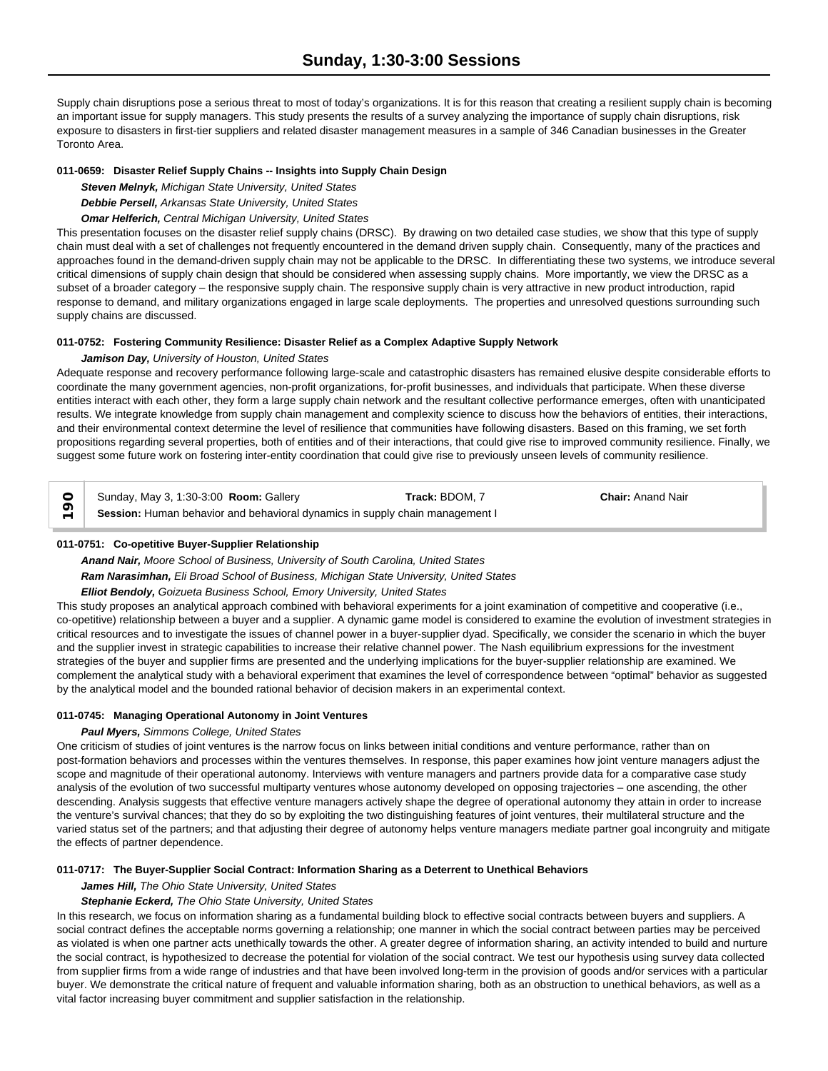Supply chain disruptions pose a serious threat to most of today's organizations. It is for this reason that creating a resilient supply chain is becoming an important issue for supply managers. This study presents the results of a survey analyzing the importance of supply chain disruptions, risk exposure to disasters in first-tier suppliers and related disaster management measures in a sample of 346 Canadian businesses in the Greater Toronto Area.

#### **011-0659: Disaster Relief Supply Chains -- Insights into Supply Chain Design**

*Steven Melnyk, Michigan State University, United States*

*Debbie Persell, Arkansas State University, United States*

*Omar Helferich, Central Michigan University, United States*

This presentation focuses on the disaster relief supply chains (DRSC). By drawing on two detailed case studies, we show that this type of supply chain must deal with a set of challenges not frequently encountered in the demand driven supply chain. Consequently, many of the practices and approaches found in the demand-driven supply chain may not be applicable to the DRSC. In differentiating these two systems, we introduce several critical dimensions of supply chain design that should be considered when assessing supply chains. More importantly, we view the DRSC as a subset of a broader category – the responsive supply chain. The responsive supply chain is very attractive in new product introduction, rapid response to demand, and military organizations engaged in large scale deployments. The properties and unresolved questions surrounding such supply chains are discussed.

## **011-0752: Fostering Community Resilience: Disaster Relief as a Complex Adaptive Supply Network**

## *Jamison Day, University of Houston, United States*

Adequate response and recovery performance following large-scale and catastrophic disasters has remained elusive despite considerable efforts to coordinate the many government agencies, non-profit organizations, for-profit businesses, and individuals that participate. When these diverse entities interact with each other, they form a large supply chain network and the resultant collective performance emerges, often with unanticipated results. We integrate knowledge from supply chain management and complexity science to discuss how the behaviors of entities, their interactions, and their environmental context determine the level of resilience that communities have following disasters. Based on this framing, we set forth propositions regarding several properties, both of entities and of their interactions, that could give rise to improved community resilience. Finally, we suggest some future work on fostering inter-entity coordination that could give rise to previously unseen levels of community resilience.

Sunday, May 3, 1:30-3:00 **Room:** Gallery **Track:** BDOM, 7 **Chair:** Anand Nair Sunday, May 3, 1:30-3:00 **Room:** Gallery **Track: BDOM, 7**<br>
Session: Human behavior and behavioral dynamics in supply chain management I

## **011-0751: Co-opetitive Buyer-Supplier Relationship**

*Anand Nair, Moore School of Business, University of South Carolina, United States Ram Narasimhan, Eli Broad School of Business, Michigan State University, United States*

## *Elliot Bendoly, Goizueta Business School, Emory University, United States*

This study proposes an analytical approach combined with behavioral experiments for a joint examination of competitive and cooperative (i.e., co-opetitive) relationship between a buyer and a supplier. A dynamic game model is considered to examine the evolution of investment strategies in critical resources and to investigate the issues of channel power in a buyer-supplier dyad. Specifically, we consider the scenario in which the buyer and the supplier invest in strategic capabilities to increase their relative channel power. The Nash equilibrium expressions for the investment strategies of the buyer and supplier firms are presented and the underlying implications for the buyer-supplier relationship are examined. We complement the analytical study with a behavioral experiment that examines the level of correspondence between "optimal" behavior as suggested by the analytical model and the bounded rational behavior of decision makers in an experimental context.

## **011-0745: Managing Operational Autonomy in Joint Ventures**

## *Paul Myers, Simmons College, United States*

One criticism of studies of joint ventures is the narrow focus on links between initial conditions and venture performance, rather than on post-formation behaviors and processes within the ventures themselves. In response, this paper examines how joint venture managers adjust the scope and magnitude of their operational autonomy. Interviews with venture managers and partners provide data for a comparative case study analysis of the evolution of two successful multiparty ventures whose autonomy developed on opposing trajectories – one ascending, the other descending. Analysis suggests that effective venture managers actively shape the degree of operational autonomy they attain in order to increase the venture's survival chances; that they do so by exploiting the two distinguishing features of joint ventures, their multilateral structure and the varied status set of the partners; and that adjusting their degree of autonomy helps venture managers mediate partner goal incongruity and mitigate the effects of partner dependence.

#### **011-0717: The Buyer-Supplier Social Contract: Information Sharing as a Deterrent to Unethical Behaviors**

#### *James Hill, The Ohio State University, United States*

## *Stephanie Eckerd, The Ohio State University, United States*

In this research, we focus on information sharing as a fundamental building block to effective social contracts between buyers and suppliers. A social contract defines the acceptable norms governing a relationship; one manner in which the social contract between parties may be perceived as violated is when one partner acts unethically towards the other. A greater degree of information sharing, an activity intended to build and nurture the social contract, is hypothesized to decrease the potential for violation of the social contract. We test our hypothesis using survey data collected from supplier firms from a wide range of industries and that have been involved long-term in the provision of goods and/or services with a particular buyer. We demonstrate the critical nature of frequent and valuable information sharing, both as an obstruction to unethical behaviors, as well as a vital factor increasing buyer commitment and supplier satisfaction in the relationship.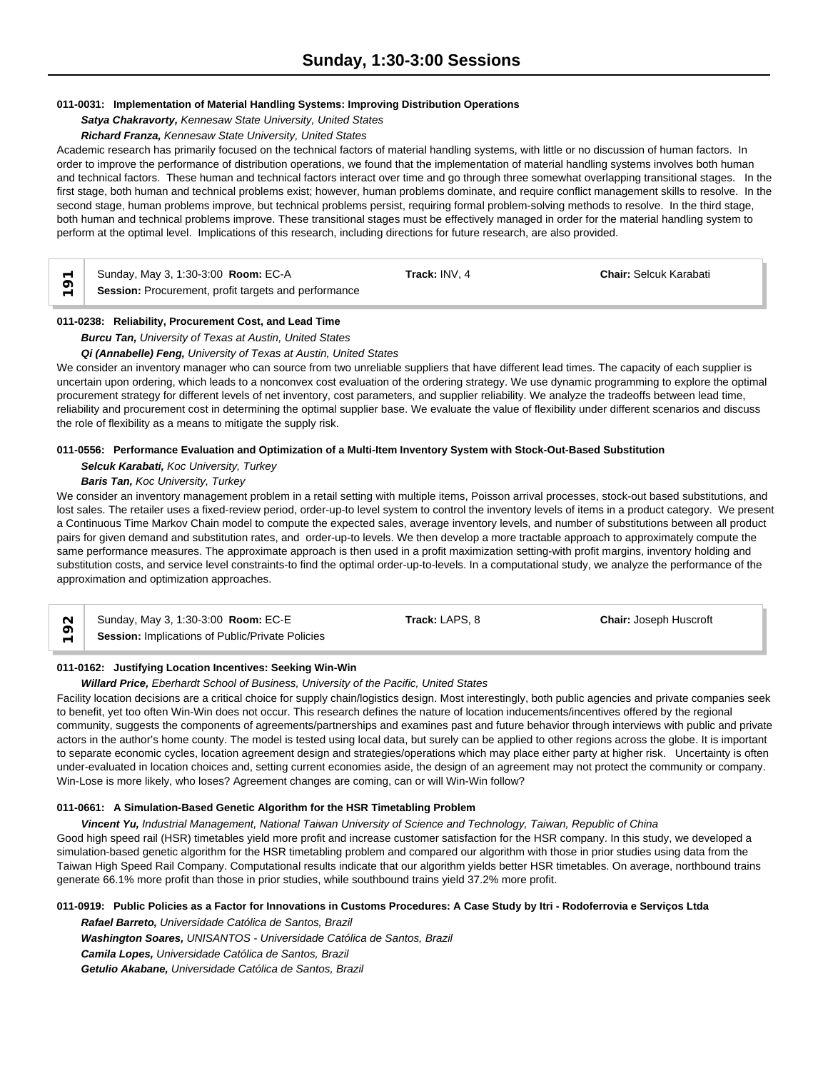## **011-0031: Implementation of Material Handling Systems: Improving Distribution Operations**

## *Satya Chakravorty, Kennesaw State University, United States*

## *Richard Franza, Kennesaw State University, United States*

Academic research has primarily focused on the technical factors of material handling systems, with little or no discussion of human factors. In order to improve the performance of distribution operations, we found that the implementation of material handling systems involves both human and technical factors. These human and technical factors interact over time and go through three somewhat overlapping transitional stages. In the first stage, both human and technical problems exist; however, human problems dominate, and require conflict management skills to resolve. In the second stage, human problems improve, but technical problems persist, requiring formal problem-solving methods to resolve. In the third stage, both human and technical problems improve. These transitional stages must be effectively managed in order for the material handling system to perform at the optimal level. Implications of this research, including directions for future research, are also provided.

| $\overline{\phantom{0}}$ | Sunday, May 3, 1:30-3:00 Room: EC-A                  | Track: INV. 4 | <b>Chair: Selcuk Karabati</b> |
|--------------------------|------------------------------------------------------|---------------|-------------------------------|
| $\overline{\phantom{0}}$ | Session: Procurement, profit targets and performance |               |                               |

## **011-0238: Reliability, Procurement Cost, and Lead Time**

## *Burcu Tan, University of Texas at Austin, United States*

#### *Qi (Annabelle) Feng, University of Texas at Austin, United States*

We consider an inventory manager who can source from two unreliable suppliers that have different lead times. The capacity of each supplier is uncertain upon ordering, which leads to a nonconvex cost evaluation of the ordering strategy. We use dynamic programming to explore the optimal procurement strategy for different levels of net inventory, cost parameters, and supplier reliability. We analyze the tradeoffs between lead time, reliability and procurement cost in determining the optimal supplier base. We evaluate the value of flexibility under different scenarios and discuss the role of flexibility as a means to mitigate the supply risk.

#### **011-0556: Performance Evaluation and Optimization of a Multi-Item Inventory System with Stock-Out-Based Substitution**

## *Selcuk Karabati, Koc University, Turkey*

## *Baris Tan, Koc University, Turkey*

We consider an inventory management problem in a retail setting with multiple items, Poisson arrival processes, stock-out based substitutions, and lost sales. The retailer uses a fixed-review period, order-up-to level system to control the inventory levels of items in a product category. We present a Continuous Time Markov Chain model to compute the expected sales, average inventory levels, and number of substitutions between all product pairs for given demand and substitution rates, and order-up-to levels. We then develop a more tractable approach to approximately compute the same performance measures. The approximate approach is then used in a profit maximization setting-with profit margins, inventory holding and substitution costs, and service level constraints-to find the optimal order-up-to-levels. In a computational study, we analyze the performance of the approximation and optimization approaches.

|                          | Sunday, May 3, 1:30-3:00 <b>Room: EC-E</b>       | Track: LAPS, 8 | <b>Chair:</b> Joseph Huscroft |
|--------------------------|--------------------------------------------------|----------------|-------------------------------|
| $\overline{\phantom{0}}$ | Session: Implications of Public/Private Policies |                |                               |

## **011-0162: Justifying Location Incentives: Seeking Win-Win**

*Willard Price, Eberhardt School of Business, University of the Pacific, United States*

Facility location decisions are a critical choice for supply chain/logistics design. Most interestingly, both public agencies and private companies seek to benefit, yet too often Win-Win does not occur. This research defines the nature of location inducements/incentives offered by the regional community, suggests the components of agreements/partnerships and examines past and future behavior through interviews with public and private actors in the author's home county. The model is tested using local data, but surely can be applied to other regions across the globe. It is important to separate economic cycles, location agreement design and strategies/operations which may place either party at higher risk. Uncertainty is often under-evaluated in location choices and, setting current economies aside, the design of an agreement may not protect the community or company. Win-Lose is more likely, who loses? Agreement changes are coming, can or will Win-Win follow?

## **011-0661: A Simulation-Based Genetic Algorithm for the HSR Timetabling Problem**

*Vincent Yu, Industrial Management, National Taiwan University of Science and Technology, Taiwan, Republic of China* Good high speed rail (HSR) timetables yield more profit and increase customer satisfaction for the HSR company. In this study, we developed a simulation-based genetic algorithm for the HSR timetabling problem and compared our algorithm with those in prior studies using data from the Taiwan High Speed Rail Company. Computational results indicate that our algorithm yields better HSR timetables. On average, northbound trains generate 66.1% more profit than those in prior studies, while southbound trains yield 37.2% more profit.

## **011-0919: Public Policies as a Factor for Innovations in Customs Procedures: A Case Study by Itri - Rodoferrovia e Serviços Ltda**

*Rafael Barreto, Universidade Católica de Santos, Brazil Washington Soares, UNISANTOS - Universidade Católica de Santos, Brazil Camila Lopes, Universidade Católica de Santos, Brazil Getulio Akabane, Universidade Católica de Santos, Brazil*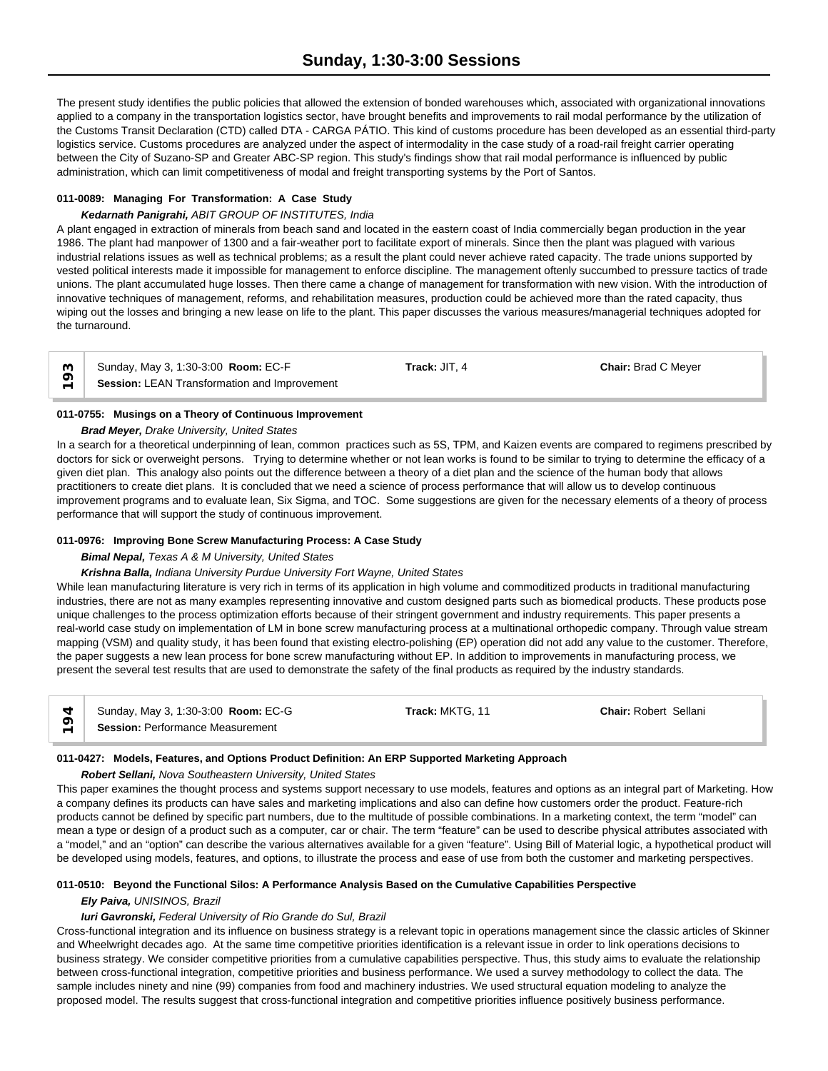The present study identifies the public policies that allowed the extension of bonded warehouses which, associated with organizational innovations applied to a company in the transportation logistics sector, have brought benefits and improvements to rail modal performance by the utilization of the Customs Transit Declaration (CTD) called DTA - CARGA PÁTIO. This kind of customs procedure has been developed as an essential third-party logistics service. Customs procedures are analyzed under the aspect of intermodality in the case study of a road-rail freight carrier operating between the City of Suzano-SP and Greater ABC-SP region. This study's findings show that rail modal performance is influenced by public administration, which can limit competitiveness of modal and freight transporting systems by the Port of Santos.

## **011-0089: Managing For Transformation: A Case Study**

## *Kedarnath Panigrahi, ABIT GROUP OF INSTITUTES, India*

A plant engaged in extraction of minerals from beach sand and located in the eastern coast of India commercially began production in the year 1986. The plant had manpower of 1300 and a fair-weather port to facilitate export of minerals. Since then the plant was plagued with various industrial relations issues as well as technical problems; as a result the plant could never achieve rated capacity. The trade unions supported by vested political interests made it impossible for management to enforce discipline. The management oftenly succumbed to pressure tactics of trade unions. The plant accumulated huge losses. Then there came a change of management for transformation with new vision. With the introduction of innovative techniques of management, reforms, and rehabilitation measures, production could be achieved more than the rated capacity, thus wiping out the losses and bringing a new lease on life to the plant. This paper discusses the various measures/managerial techniques adopted for the turnaround.

Sunday, May 3, 1:30-3:00 **Room:** EC-F **Track:** JIT, 4 **Chair:** Brad C Meyer  $\sum_{n=1}^{\infty}$  **Session:** LEAN Transformation and Improvement

## **011-0755: Musings on a Theory of Continuous Improvement**

## *Brad Meyer, Drake University, United States*

In a search for a theoretical underpinning of lean, common practices such as 5S, TPM, and Kaizen events are compared to regimens prescribed by doctors for sick or overweight persons. Trying to determine whether or not lean works is found to be similar to trying to determine the efficacy of a given diet plan. This analogy also points out the difference between a theory of a diet plan and the science of the human body that allows practitioners to create diet plans. It is concluded that we need a science of process performance that will allow us to develop continuous improvement programs and to evaluate lean, Six Sigma, and TOC. Some suggestions are given for the necessary elements of a theory of process performance that will support the study of continuous improvement.

## **011-0976: Improving Bone Screw Manufacturing Process: A Case Study**

## *Bimal Nepal, Texas A & M University, United States*

## *Krishna Balla, Indiana University Purdue University Fort Wayne, United States*

While lean manufacturing literature is very rich in terms of its application in high volume and commoditized products in traditional manufacturing industries, there are not as many examples representing innovative and custom designed parts such as biomedical products. These products pose unique challenges to the process optimization efforts because of their stringent government and industry requirements. This paper presents a real-world case study on implementation of LM in bone screw manufacturing process at a multinational orthopedic company. Through value stream mapping (VSM) and quality study, it has been found that existing electro-polishing (EP) operation did not add any value to the customer. Therefore, the paper suggests a new lean process for bone screw manufacturing without EP. In addition to improvements in manufacturing process, we present the several test results that are used to demonstrate the safety of the final products as required by the industry standards.

| Sunday, May 3, 1:30-3:00 <b>Room: EC-G</b> | Track: MKTG, 11 | <b>Chair: Robert Sellani</b> |
|--------------------------------------------|-----------------|------------------------------|
| <b>Session: Performance Measurement</b>    |                 |                              |

## **011-0427: Models, Features, and Options Product Definition: An ERP Supported Marketing Approach**

## *Robert Sellani, Nova Southeastern University, United States*

This paper examines the thought process and systems support necessary to use models, features and options as an integral part of Marketing. How a company defines its products can have sales and marketing implications and also can define how customers order the product. Feature-rich products cannot be defined by specific part numbers, due to the multitude of possible combinations. In a marketing context, the term "model" can mean a type or design of a product such as a computer, car or chair. The term "feature" can be used to describe physical attributes associated with a "model," and an "option" can describe the various alternatives available for a given "feature". Using Bill of Material logic, a hypothetical product will be developed using models, features, and options, to illustrate the process and ease of use from both the customer and marketing perspectives.

## **011-0510: Beyond the Functional Silos: A Performance Analysis Based on the Cumulative Capabilities Perspective**

*Ely Paiva, UNISINOS, Brazil*

## *Iuri Gavronski, Federal University of Rio Grande do Sul, Brazil*

Cross-functional integration and its influence on business strategy is a relevant topic in operations management since the classic articles of Skinner and Wheelwright decades ago. At the same time competitive priorities identification is a relevant issue in order to link operations decisions to business strategy. We consider competitive priorities from a cumulative capabilities perspective. Thus, this study aims to evaluate the relationship between cross-functional integration, competitive priorities and business performance. We used a survey methodology to collect the data. The sample includes ninety and nine (99) companies from food and machinery industries. We used structural equation modeling to analyze the proposed model. The results suggest that cross-functional integration and competitive priorities influence positively business performance.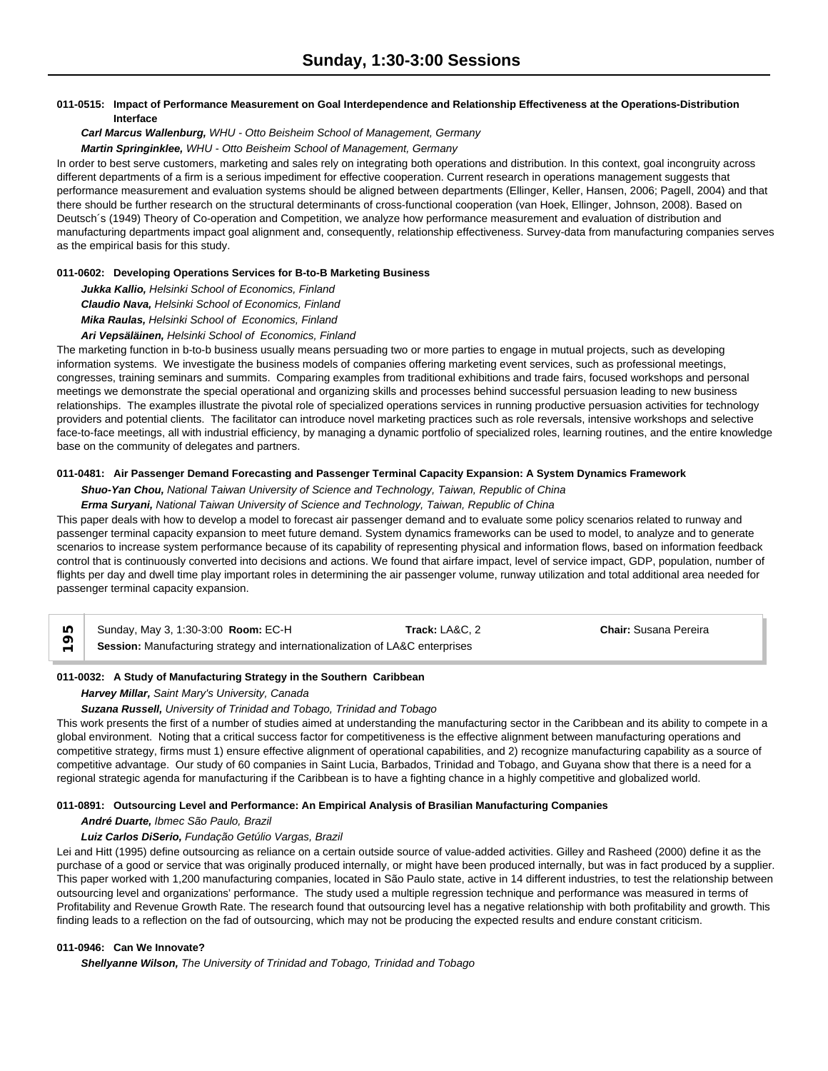## **011-0515: Impact of Performance Measurement on Goal Interdependence and Relationship Effectiveness at the Operations-Distribution Interface**

## *Carl Marcus Wallenburg, WHU - Otto Beisheim School of Management, Germany Martin Springinklee, WHU - Otto Beisheim School of Management, Germany*

In order to best serve customers, marketing and sales rely on integrating both operations and distribution. In this context, goal incongruity across different departments of a firm is a serious impediment for effective cooperation. Current research in operations management suggests that performance measurement and evaluation systems should be aligned between departments (Ellinger, Keller, Hansen, 2006; Pagell, 2004) and that there should be further research on the structural determinants of cross-functional cooperation (van Hoek, Ellinger, Johnson, 2008). Based on Deutsch´s (1949) Theory of Co-operation and Competition, we analyze how performance measurement and evaluation of distribution and manufacturing departments impact goal alignment and, consequently, relationship effectiveness. Survey-data from manufacturing companies serves as the empirical basis for this study.

## **011-0602: Developing Operations Services for B-to-B Marketing Business**

*Jukka Kallio, Helsinki School of Economics, Finland Claudio Nava, Helsinki School of Economics, Finland Mika Raulas, Helsinki School of Economics, Finland*

## *Ari Vepsäläinen, Helsinki School of Economics, Finland*

The marketing function in b-to-b business usually means persuading two or more parties to engage in mutual projects, such as developing information systems. We investigate the business models of companies offering marketing event services, such as professional meetings, congresses, training seminars and summits. Comparing examples from traditional exhibitions and trade fairs, focused workshops and personal meetings we demonstrate the special operational and organizing skills and processes behind successful persuasion leading to new business relationships. The examples illustrate the pivotal role of specialized operations services in running productive persuasion activities for technology providers and potential clients. The facilitator can introduce novel marketing practices such as role reversals, intensive workshops and selective face-to-face meetings, all with industrial efficiency, by managing a dynamic portfolio of specialized roles, learning routines, and the entire knowledge base on the community of delegates and partners.

#### **011-0481: Air Passenger Demand Forecasting and Passenger Terminal Capacity Expansion: A System Dynamics Framework**

#### *Shuo-Yan Chou, National Taiwan University of Science and Technology, Taiwan, Republic of China*

#### *Erma Suryani, National Taiwan University of Science and Technology, Taiwan, Republic of China*

This paper deals with how to develop a model to forecast air passenger demand and to evaluate some policy scenarios related to runway and passenger terminal capacity expansion to meet future demand. System dynamics frameworks can be used to model, to analyze and to generate scenarios to increase system performance because of its capability of representing physical and information flows, based on information feedback control that is continuously converted into decisions and actions. We found that airfare impact, level of service impact, GDP, population, number of flights per day and dwell time play important roles in determining the air passenger volume, runway utilization and total additional area needed for passenger terminal capacity expansion.

| Sunday, May 3, 1:30-3:00 Room: EC-H                                          | Track: LA&C. 2 | <b>Chair:</b> Susana Pereira |  |
|------------------------------------------------------------------------------|----------------|------------------------------|--|
| Session: Manufacturing strategy and internationalization of LA&C enterprises |                |                              |  |

#### **011-0032: A Study of Manufacturing Strategy in the Southern Caribbean**

#### *Harvey Millar, Saint Mary's University, Canada*

## *Suzana Russell, University of Trinidad and Tobago, Trinidad and Tobago*

This work presents the first of a number of studies aimed at understanding the manufacturing sector in the Caribbean and its ability to compete in a global environment. Noting that a critical success factor for competitiveness is the effective alignment between manufacturing operations and competitive strategy, firms must 1) ensure effective alignment of operational capabilities, and 2) recognize manufacturing capability as a source of competitive advantage. Our study of 60 companies in Saint Lucia, Barbados, Trinidad and Tobago, and Guyana show that there is a need for a regional strategic agenda for manufacturing if the Caribbean is to have a fighting chance in a highly competitive and globalized world.

#### **011-0891: Outsourcing Level and Performance: An Empirical Analysis of Brasilian Manufacturing Companies**

## *André Duarte, Ibmec São Paulo, Brazil*

## *Luiz Carlos DiSerio, Fundação Getúlio Vargas, Brazil*

Lei and Hitt (1995) define outsourcing as reliance on a certain outside source of value-added activities. Gilley and Rasheed (2000) define it as the purchase of a good or service that was originally produced internally, or might have been produced internally, but was in fact produced by a supplier. This paper worked with 1,200 manufacturing companies, located in São Paulo state, active in 14 different industries, to test the relationship between outsourcing level and organizations' performance. The study used a multiple regression technique and performance was measured in terms of Profitability and Revenue Growth Rate. The research found that outsourcing level has a negative relationship with both profitability and growth. This finding leads to a reflection on the fad of outsourcing, which may not be producing the expected results and endure constant criticism.

#### **011-0946: Can We Innovate?**

*Shellyanne Wilson, The University of Trinidad and Tobago, Trinidad and Tobago*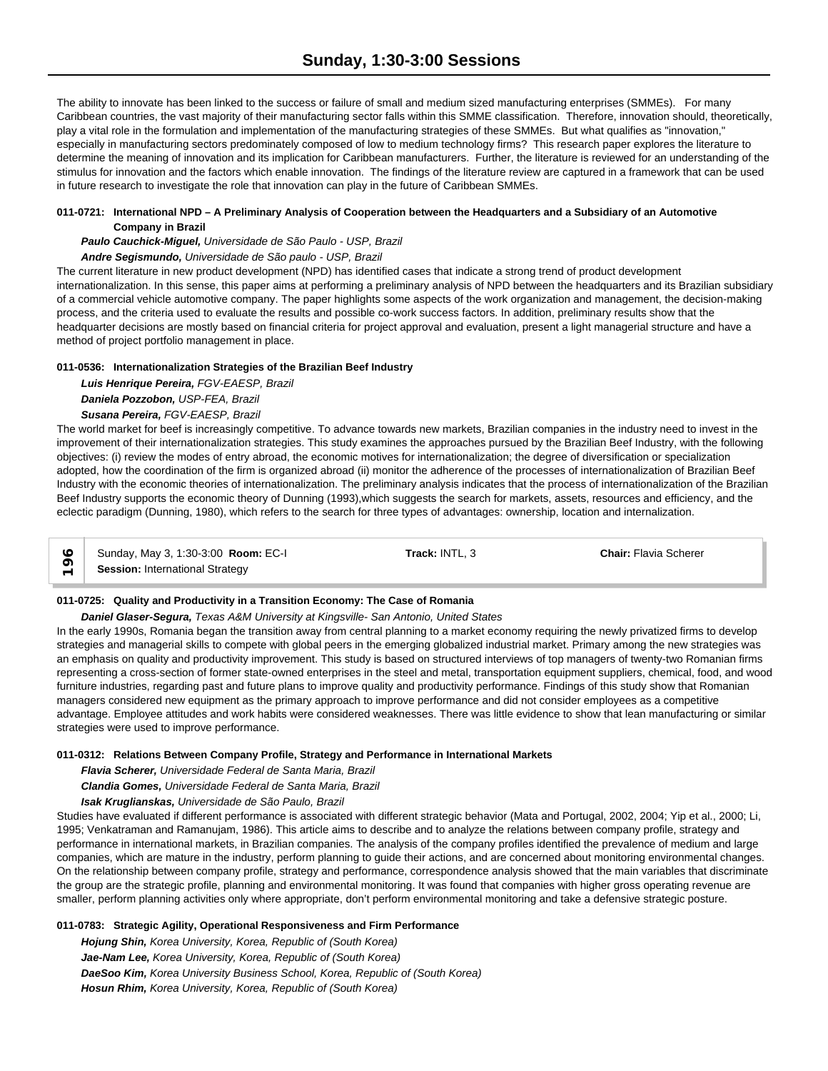The ability to innovate has been linked to the success or failure of small and medium sized manufacturing enterprises (SMMEs). For many Caribbean countries, the vast majority of their manufacturing sector falls within this SMME classification. Therefore, innovation should, theoretically, play a vital role in the formulation and implementation of the manufacturing strategies of these SMMEs. But what qualifies as "innovation," especially in manufacturing sectors predominately composed of low to medium technology firms? This research paper explores the literature to determine the meaning of innovation and its implication for Caribbean manufacturers. Further, the literature is reviewed for an understanding of the stimulus for innovation and the factors which enable innovation. The findings of the literature review are captured in a framework that can be used in future research to investigate the role that innovation can play in the future of Caribbean SMMEs.

## **011-0721: International NPD – A Preliminary Analysis of Cooperation between the Headquarters and a Subsidiary of an Automotive Company in Brazil**

*Paulo Cauchick-Miguel, Universidade de São Paulo - USP, Brazil*

## *Andre Segismundo, Universidade de São paulo - USP, Brazil*

The current literature in new product development (NPD) has identified cases that indicate a strong trend of product development internationalization. In this sense, this paper aims at performing a preliminary analysis of NPD between the headquarters and its Brazilian subsidiary of a commercial vehicle automotive company. The paper highlights some aspects of the work organization and management, the decision-making process, and the criteria used to evaluate the results and possible co-work success factors. In addition, preliminary results show that the headquarter decisions are mostly based on financial criteria for project approval and evaluation, present a light managerial structure and have a method of project portfolio management in place.

## **011-0536: Internationalization Strategies of the Brazilian Beef Industry**

*Luis Henrique Pereira, FGV-EAESP, Brazil Daniela Pozzobon, USP-FEA, Brazil Susana Pereira, FGV-EAESP, Brazil*

The world market for beef is increasingly competitive. To advance towards new markets, Brazilian companies in the industry need to invest in the improvement of their internationalization strategies. This study examines the approaches pursued by the Brazilian Beef Industry, with the following objectives: (i) review the modes of entry abroad, the economic motives for internationalization; the degree of diversification or specialization adopted, how the coordination of the firm is organized abroad (ii) monitor the adherence of the processes of internationalization of Brazilian Beef Industry with the economic theories of internationalization. The preliminary analysis indicates that the process of internationalization of the Brazilian Beef Industry supports the economic theory of Dunning (1993),which suggests the search for markets, assets, resources and efficiency, and the eclectic paradigm (Dunning, 1980), which refers to the search for three types of advantages: ownership, location and internalization.

Sunday, May 3, 1:30-3:00 **Room:** EC-I **Track:** INTL, 3 **Chair:** Flavia Scherer **Sunday, May 3, 1:30-3:00 Roo**<br>
F Session: International Strategy

## **011-0725: Quality and Productivity in a Transition Economy: The Case of Romania**

*Daniel Glaser-Segura, Texas A&M University at Kingsville- San Antonio, United States*

In the early 1990s, Romania began the transition away from central planning to a market economy requiring the newly privatized firms to develop strategies and managerial skills to compete with global peers in the emerging globalized industrial market. Primary among the new strategies was an emphasis on quality and productivity improvement. This study is based on structured interviews of top managers of twenty-two Romanian firms representing a cross-section of former state-owned enterprises in the steel and metal, transportation equipment suppliers, chemical, food, and wood furniture industries, regarding past and future plans to improve quality and productivity performance. Findings of this study show that Romanian managers considered new equipment as the primary approach to improve performance and did not consider employees as a competitive advantage. Employee attitudes and work habits were considered weaknesses. There was little evidence to show that lean manufacturing or similar strategies were used to improve performance.

## **011-0312: Relations Between Company Profile, Strategy and Performance in International Markets**

*Flavia Scherer, Universidade Federal de Santa Maria, Brazil*

*Clandia Gomes, Universidade Federal de Santa Maria, Brazil*

*Isak Kruglianskas, Universidade de São Paulo, Brazil*

Studies have evaluated if different performance is associated with different strategic behavior (Mata and Portugal, 2002, 2004; Yip et al., 2000; Li, 1995; Venkatraman and Ramanujam, 1986). This article aims to describe and to analyze the relations between company profile, strategy and performance in international markets, in Brazilian companies. The analysis of the company profiles identified the prevalence of medium and large companies, which are mature in the industry, perform planning to guide their actions, and are concerned about monitoring environmental changes. On the relationship between company profile, strategy and performance, correspondence analysis showed that the main variables that discriminate the group are the strategic profile, planning and environmental monitoring. It was found that companies with higher gross operating revenue are smaller, perform planning activities only where appropriate, don't perform environmental monitoring and take a defensive strategic posture.

## **011-0783: Strategic Agility, Operational Responsiveness and Firm Performance**

*Hojung Shin, Korea University, Korea, Republic of (South Korea) Jae-Nam Lee, Korea University, Korea, Republic of (South Korea) DaeSoo Kim, Korea University Business School, Korea, Republic of (South Korea) Hosun Rhim, Korea University, Korea, Republic of (South Korea)*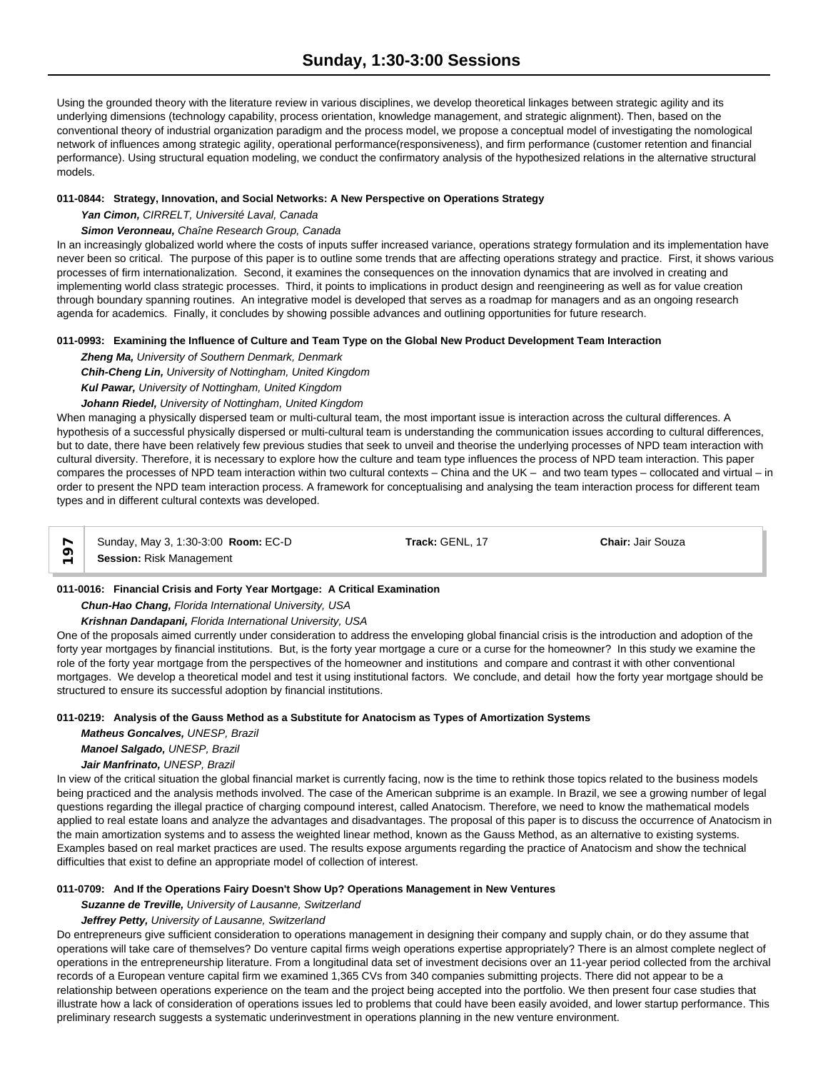Using the grounded theory with the literature review in various disciplines, we develop theoretical linkages between strategic agility and its underlying dimensions (technology capability, process orientation, knowledge management, and strategic alignment). Then, based on the conventional theory of industrial organization paradigm and the process model, we propose a conceptual model of investigating the nomological network of influences among strategic agility, operational performance(responsiveness), and firm performance (customer retention and financial performance). Using structural equation modeling, we conduct the confirmatory analysis of the hypothesized relations in the alternative structural models.

## **011-0844: Strategy, Innovation, and Social Networks: A New Perspective on Operations Strategy**

*Yan Cimon, CIRRELT, Université Laval, Canada*

## *Simon Veronneau, Chaîne Research Group, Canada*

In an increasingly globalized world where the costs of inputs suffer increased variance, operations strategy formulation and its implementation have never been so critical. The purpose of this paper is to outline some trends that are affecting operations strategy and practice. First, it shows various processes of firm internationalization. Second, it examines the consequences on the innovation dynamics that are involved in creating and implementing world class strategic processes. Third, it points to implications in product design and reengineering as well as for value creation through boundary spanning routines. An integrative model is developed that serves as a roadmap for managers and as an ongoing research agenda for academics. Finally, it concludes by showing possible advances and outlining opportunities for future research.

## **011-0993: Examining the Influence of Culture and Team Type on the Global New Product Development Team Interaction**

*Zheng Ma, University of Southern Denmark, Denmark Chih-Cheng Lin, University of Nottingham, United Kingdom Kul Pawar, University of Nottingham, United Kingdom*

## *Johann Riedel, University of Nottingham, United Kingdom*

When managing a physically dispersed team or multi-cultural team, the most important issue is interaction across the cultural differences. A hypothesis of a successful physically dispersed or multi-cultural team is understanding the communication issues according to cultural differences, but to date, there have been relatively few previous studies that seek to unveil and theorise the underlying processes of NPD team interaction with cultural diversity. Therefore, it is necessary to explore how the culture and team type influences the process of NPD team interaction. This paper compares the processes of NPD team interaction within two cultural contexts – China and the UK – and two team types – collocated and virtual – in order to present the NPD team interaction process. A framework for conceptualising and analysing the team interaction process for different team types and in different cultural contexts was developed.

Sunday, May 3, 1:30-3:00 **Room:** EC-D **Track:** GENL, 17 **Chair:** Jair Souza **Session:** Risk Management

## **011-0016: Financial Crisis and Forty Year Mortgage: A Critical Examination**

## *Chun-Hao Chang, Florida International University, USA*

*Krishnan Dandapani, Florida International University, USA*

One of the proposals aimed currently under consideration to address the enveloping global financial crisis is the introduction and adoption of the forty year mortgages by financial institutions. But, is the forty year mortgage a cure or a curse for the homeowner? In this study we examine the role of the forty year mortgage from the perspectives of the homeowner and institutions and compare and contrast it with other conventional mortgages. We develop a theoretical model and test it using institutional factors. We conclude, and detail how the forty year mortgage should be structured to ensure its successful adoption by financial institutions.

## **011-0219: Analysis of the Gauss Method as a Substitute for Anatocism as Types of Amortization Systems**

*Matheus Goncalves, UNESP, Brazil*

*Manoel Salgado, UNESP, Brazil*

# *Jair Manfrinato, UNESP, Brazil*

In view of the critical situation the global financial market is currently facing, now is the time to rethink those topics related to the business models being practiced and the analysis methods involved. The case of the American subprime is an example. In Brazil, we see a growing number of legal questions regarding the illegal practice of charging compound interest, called Anatocism. Therefore, we need to know the mathematical models applied to real estate loans and analyze the advantages and disadvantages. The proposal of this paper is to discuss the occurrence of Anatocism in the main amortization systems and to assess the weighted linear method, known as the Gauss Method, as an alternative to existing systems. Examples based on real market practices are used. The results expose arguments regarding the practice of Anatocism and show the technical difficulties that exist to define an appropriate model of collection of interest.

## **011-0709: And If the Operations Fairy Doesn't Show Up? Operations Management in New Ventures**

*Suzanne de Treville, University of Lausanne, Switzerland*

## *Jeffrey Petty, University of Lausanne, Switzerland*

Do entrepreneurs give sufficient consideration to operations management in designing their company and supply chain, or do they assume that operations will take care of themselves? Do venture capital firms weigh operations expertise appropriately? There is an almost complete neglect of operations in the entrepreneurship literature. From a longitudinal data set of investment decisions over an 11-year period collected from the archival records of a European venture capital firm we examined 1,365 CVs from 340 companies submitting projects. There did not appear to be a relationship between operations experience on the team and the project being accepted into the portfolio. We then present four case studies that illustrate how a lack of consideration of operations issues led to problems that could have been easily avoided, and lower startup performance. This preliminary research suggests a systematic underinvestment in operations planning in the new venture environment.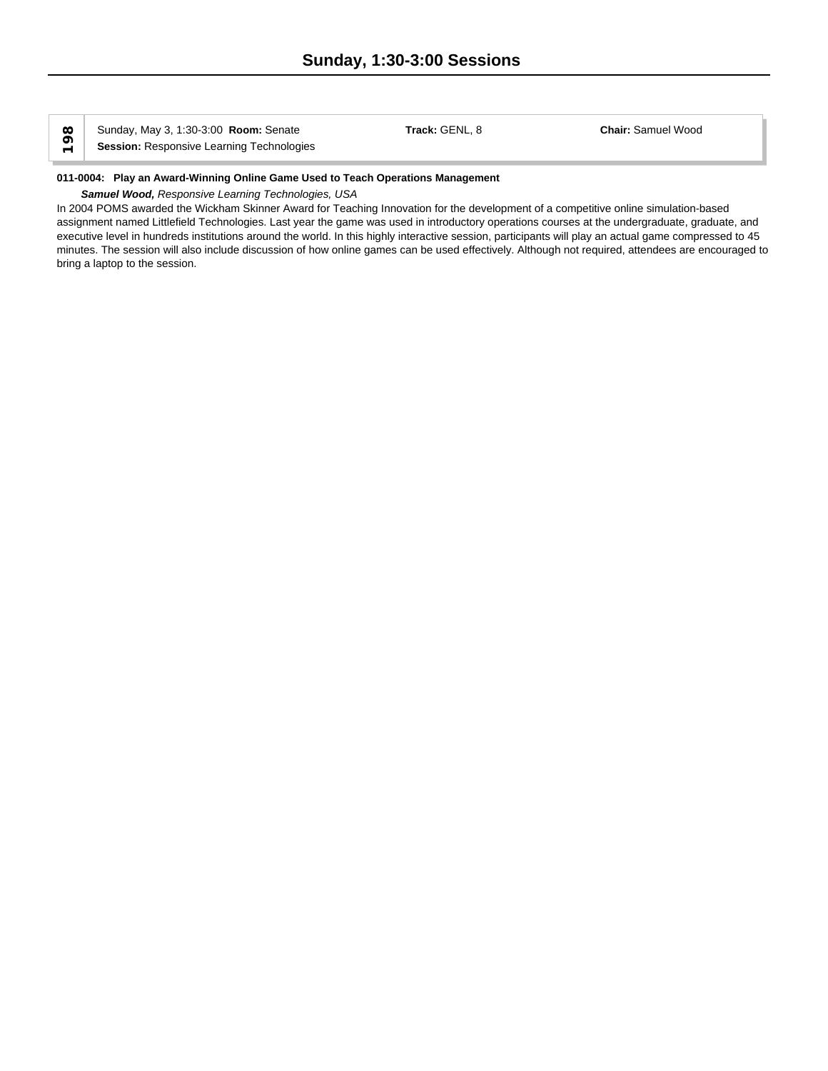Sunday, May 3, 1:30-3:00 **Room:** Senate **Track:** GENL, 8 **Chair:** Samuel Wood **Sunday, May 3, 1:30-3:00 Room: Senate**<br>
Fassion: Responsive Learning Technologies

#### **011-0004: Play an Award-Winning Online Game Used to Teach Operations Management**

## *Samuel Wood, Responsive Learning Technologies, USA*

In 2004 POMS awarded the Wickham Skinner Award for Teaching Innovation for the development of a competitive online simulation-based assignment named Littlefield Technologies. Last year the game was used in introductory operations courses at the undergraduate, graduate, and executive level in hundreds institutions around the world. In this highly interactive session, participants will play an actual game compressed to 45 minutes. The session will also include discussion of how online games can be used effectively. Although not required, attendees are encouraged to bring a laptop to the session.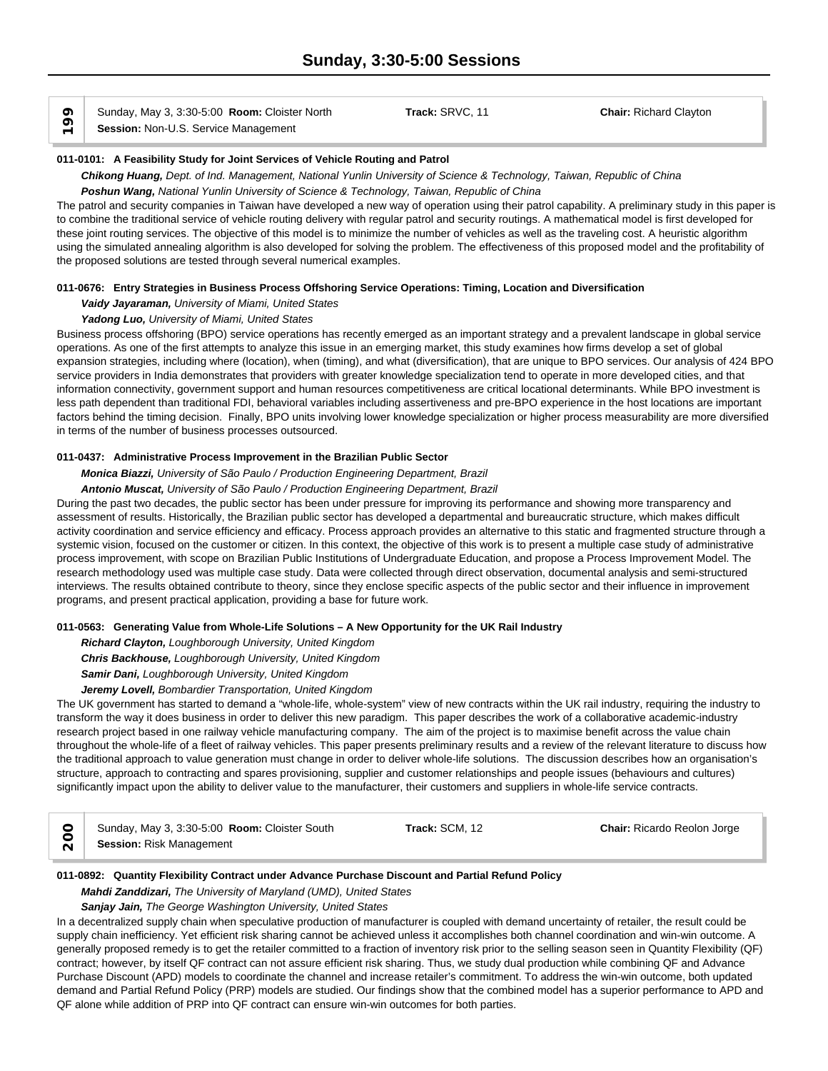$\circ$  Sunday, May 3, 3:30-5:00 **Room:** Cloiste<br> **Session:** Non-U.S. Service Management

Sunday, May 3, 3:30-5:00 **Room:** Cloister North **Track:** SRVC, 11 **Chair:** Richard Clayton

## **011-0101: A Feasibility Study for Joint Services of Vehicle Routing and Patrol**

*Chikong Huang, Dept. of Ind. Management, National Yunlin University of Science & Technology, Taiwan, Republic of China Poshun Wang, National Yunlin University of Science & Technology, Taiwan, Republic of China*

The patrol and security companies in Taiwan have developed a new way of operation using their patrol capability. A preliminary study in this paper is to combine the traditional service of vehicle routing delivery with regular patrol and security routings. A mathematical model is first developed for these joint routing services. The objective of this model is to minimize the number of vehicles as well as the traveling cost. A heuristic algorithm using the simulated annealing algorithm is also developed for solving the problem. The effectiveness of this proposed model and the profitability of the proposed solutions are tested through several numerical examples.

## **011-0676: Entry Strategies in Business Process Offshoring Service Operations: Timing, Location and Diversification**

*Vaidy Jayaraman, University of Miami, United States*

## *Yadong Luo, University of Miami, United States*

Business process offshoring (BPO) service operations has recently emerged as an important strategy and a prevalent landscape in global service operations. As one of the first attempts to analyze this issue in an emerging market, this study examines how firms develop a set of global expansion strategies, including where (location), when (timing), and what (diversification), that are unique to BPO services. Our analysis of 424 BPO service providers in India demonstrates that providers with greater knowledge specialization tend to operate in more developed cities, and that information connectivity, government support and human resources competitiveness are critical locational determinants. While BPO investment is less path dependent than traditional FDI, behavioral variables including assertiveness and pre-BPO experience in the host locations are important factors behind the timing decision. Finally, BPO units involving lower knowledge specialization or higher process measurability are more diversified in terms of the number of business processes outsourced.

## **011-0437: Administrative Process Improvement in the Brazilian Public Sector**

*Monica Biazzi, University of São Paulo / Production Engineering Department, Brazil*

*Antonio Muscat, University of São Paulo / Production Engineering Department, Brazil*

During the past two decades, the public sector has been under pressure for improving its performance and showing more transparency and assessment of results. Historically, the Brazilian public sector has developed a departmental and bureaucratic structure, which makes difficult activity coordination and service efficiency and efficacy. Process approach provides an alternative to this static and fragmented structure through a systemic vision, focused on the customer or citizen. In this context, the objective of this work is to present a multiple case study of administrative process improvement, with scope on Brazilian Public Institutions of Undergraduate Education, and propose a Process Improvement Model. The research methodology used was multiple case study. Data were collected through direct observation, documental analysis and semi-structured interviews. The results obtained contribute to theory, since they enclose specific aspects of the public sector and their influence in improvement programs, and present practical application, providing a base for future work.

## **011-0563: Generating Value from Whole-Life Solutions – A New Opportunity for the UK Rail Industry**

*Richard Clayton, Loughborough University, United Kingdom Chris Backhouse, Loughborough University, United Kingdom Samir Dani, Loughborough University, United Kingdom*

## *Jeremy Lovell, Bombardier Transportation, United Kingdom*

The UK government has started to demand a "whole-life, whole-system" view of new contracts within the UK rail industry, requiring the industry to transform the way it does business in order to deliver this new paradigm. This paper describes the work of a collaborative academic-industry research project based in one railway vehicle manufacturing company. The aim of the project is to maximise benefit across the value chain throughout the whole-life of a fleet of railway vehicles. This paper presents preliminary results and a review of the relevant literature to discuss how the traditional approach to value generation must change in order to deliver whole-life solutions. The discussion describes how an organisation's structure, approach to contracting and spares provisioning, supplier and customer relationships and people issues (behaviours and cultures) significantly impact upon the ability to deliver value to the manufacturer, their customers and suppliers in whole-life service contracts.

| Sunday, May 3, 3:30-5:00 Room: Cloister South | Track: SCM. 12 | <b>Chair: Ricardo Reolon Jorge</b> |  |
|-----------------------------------------------|----------------|------------------------------------|--|
| <b>Session: Risk Management</b>               |                |                                    |  |

## **011-0892: Quantity Flexibility Contract under Advance Purchase Discount and Partial Refund Policy**

*Mahdi Zanddizari, The University of Maryland (UMD), United States*

*Sanjay Jain, The George Washington University, United States*

In a decentralized supply chain when speculative production of manufacturer is coupled with demand uncertainty of retailer, the result could be supply chain inefficiency. Yet efficient risk sharing cannot be achieved unless it accomplishes both channel coordination and win-win outcome. A generally proposed remedy is to get the retailer committed to a fraction of inventory risk prior to the selling season seen in Quantity Flexibility (QF) contract; however, by itself QF contract can not assure efficient risk sharing. Thus, we study dual production while combining QF and Advance Purchase Discount (APD) models to coordinate the channel and increase retailer's commitment. To address the win-win outcome, both updated demand and Partial Refund Policy (PRP) models are studied. Our findings show that the combined model has a superior performance to APD and QF alone while addition of PRP into QF contract can ensure win-win outcomes for both parties.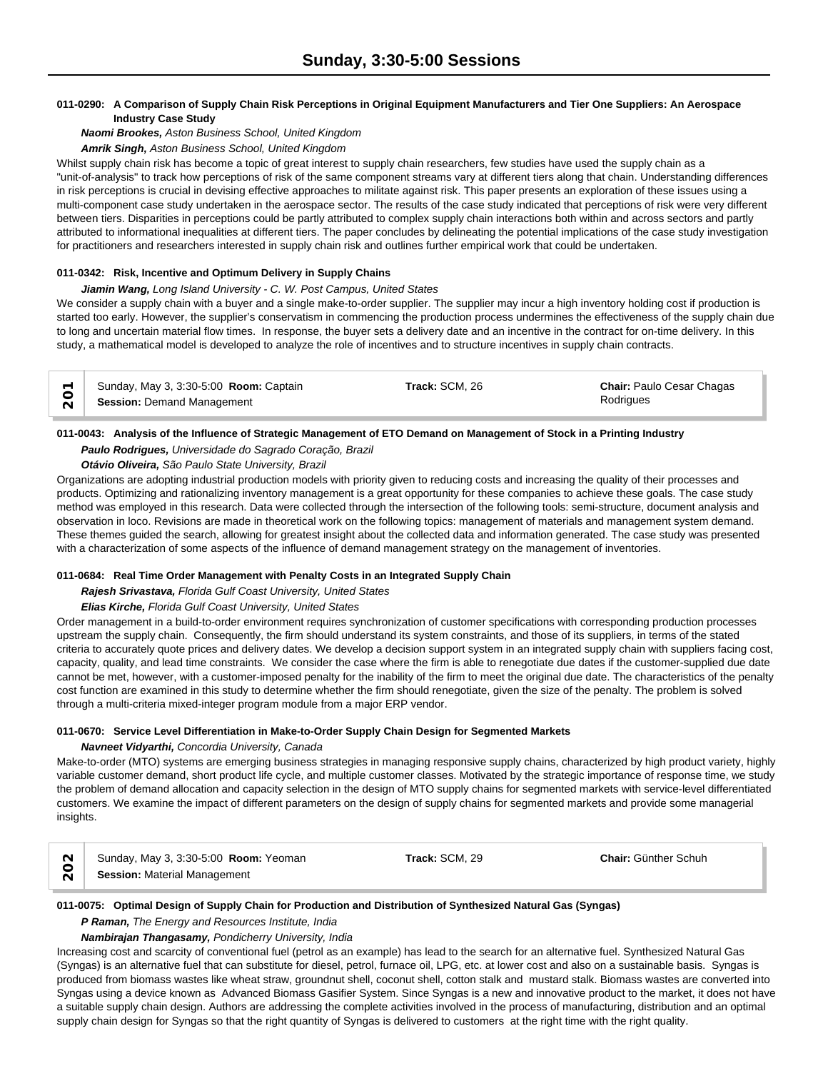## **011-0290: A Comparison of Supply Chain Risk Perceptions in Original Equipment Manufacturers and Tier One Suppliers: An Aerospace Industry Case Study**

*Naomi Brookes, Aston Business School, United Kingdom*

*Amrik Singh, Aston Business School, United Kingdom*

Whilst supply chain risk has become a topic of great interest to supply chain researchers, few studies have used the supply chain as a "unit-of-analysis" to track how perceptions of risk of the same component streams vary at different tiers along that chain. Understanding differences in risk perceptions is crucial in devising effective approaches to militate against risk. This paper presents an exploration of these issues using a multi-component case study undertaken in the aerospace sector. The results of the case study indicated that perceptions of risk were very different between tiers. Disparities in perceptions could be partly attributed to complex supply chain interactions both within and across sectors and partly attributed to informational inequalities at different tiers. The paper concludes by delineating the potential implications of the case study investigation for practitioners and researchers interested in supply chain risk and outlines further empirical work that could be undertaken.

## **011-0342: Risk, Incentive and Optimum Delivery in Supply Chains**

## *Jiamin Wang, Long Island University - C. W. Post Campus, United States*

We consider a supply chain with a buyer and a single make-to-order supplier. The supplier may incur a high inventory holding cost if production is started too early. However, the supplier's conservatism in commencing the production process undermines the effectiveness of the supply chain due to long and uncertain material flow times. In response, the buyer sets a delivery date and an incentive in the contract for on-time delivery. In this study, a mathematical model is developed to analyze the role of incentives and to structure incentives in supply chain contracts.

| Sunday, May 3, 3:30-5:00 Room: Captain | Track: SCM, 26 | <b>Chair: Paulo Cesar Chagas</b> |  |
|----------------------------------------|----------------|----------------------------------|--|
| <b>Session: Demand Management</b>      |                | Rodrigues                        |  |

## **011-0043: Analysis of the Influence of Strategic Management of ETO Demand on Management of Stock in a Printing Industry**

## *Paulo Rodrigues, Universidade do Sagrado Coração, Brazil*

## *Otávio Oliveira, São Paulo State University, Brazil*

Organizations are adopting industrial production models with priority given to reducing costs and increasing the quality of their processes and products. Optimizing and rationalizing inventory management is a great opportunity for these companies to achieve these goals. The case study method was employed in this research. Data were collected through the intersection of the following tools: semi-structure, document analysis and observation in loco. Revisions are made in theoretical work on the following topics: management of materials and management system demand. These themes guided the search, allowing for greatest insight about the collected data and information generated. The case study was presented with a characterization of some aspects of the influence of demand management strategy on the management of inventories.

## **011-0684: Real Time Order Management with Penalty Costs in an Integrated Supply Chain**

## *Rajesh Srivastava, Florida Gulf Coast University, United States*

## *Elias Kirche, Florida Gulf Coast University, United States*

Order management in a build-to-order environment requires synchronization of customer specifications with corresponding production processes upstream the supply chain. Consequently, the firm should understand its system constraints, and those of its suppliers, in terms of the stated criteria to accurately quote prices and delivery dates. We develop a decision support system in an integrated supply chain with suppliers facing cost, capacity, quality, and lead time constraints. We consider the case where the firm is able to renegotiate due dates if the customer-supplied due date cannot be met, however, with a customer-imposed penalty for the inability of the firm to meet the original due date. The characteristics of the penalty cost function are examined in this study to determine whether the firm should renegotiate, given the size of the penalty. The problem is solved through a multi-criteria mixed-integer program module from a major ERP vendor.

## **011-0670: Service Level Differentiation in Make-to-Order Supply Chain Design for Segmented Markets**

## *Navneet Vidyarthi, Concordia University, Canada*

Make-to-order (MTO) systems are emerging business strategies in managing responsive supply chains, characterized by high product variety, highly variable customer demand, short product life cycle, and multiple customer classes. Motivated by the strategic importance of response time, we study the problem of demand allocation and capacity selection in the design of MTO supply chains for segmented markets with service-level differentiated customers. We examine the impact of different parameters on the design of supply chains for segmented markets and provide some managerial insights.

| Sunday, May 3, 3:30-5:00 Room: Yeoman | Track: SCM, 29 | <b>Chair: Günther Schuh</b> |  |
|---------------------------------------|----------------|-----------------------------|--|
| <b>Session: Material Management</b>   |                |                             |  |

## **011-0075: Optimal Design of Supply Chain for Production and Distribution of Synthesized Natural Gas (Syngas)**

## *P Raman, The Energy and Resources Institute, India*

*Nambirajan Thangasamy, Pondicherry University, India*

Increasing cost and scarcity of conventional fuel (petrol as an example) has lead to the search for an alternative fuel. Synthesized Natural Gas (Syngas) is an alternative fuel that can substitute for diesel, petrol, furnace oil, LPG, etc. at lower cost and also on a sustainable basis. Syngas is produced from biomass wastes like wheat straw, groundnut shell, coconut shell, cotton stalk and mustard stalk. Biomass wastes are converted into Syngas using a device known as Advanced Biomass Gasifier System. Since Syngas is a new and innovative product to the market, it does not have a suitable supply chain design. Authors are addressing the complete activities involved in the process of manufacturing, distribution and an optimal supply chain design for Syngas so that the right quantity of Syngas is delivered to customers at the right time with the right quality.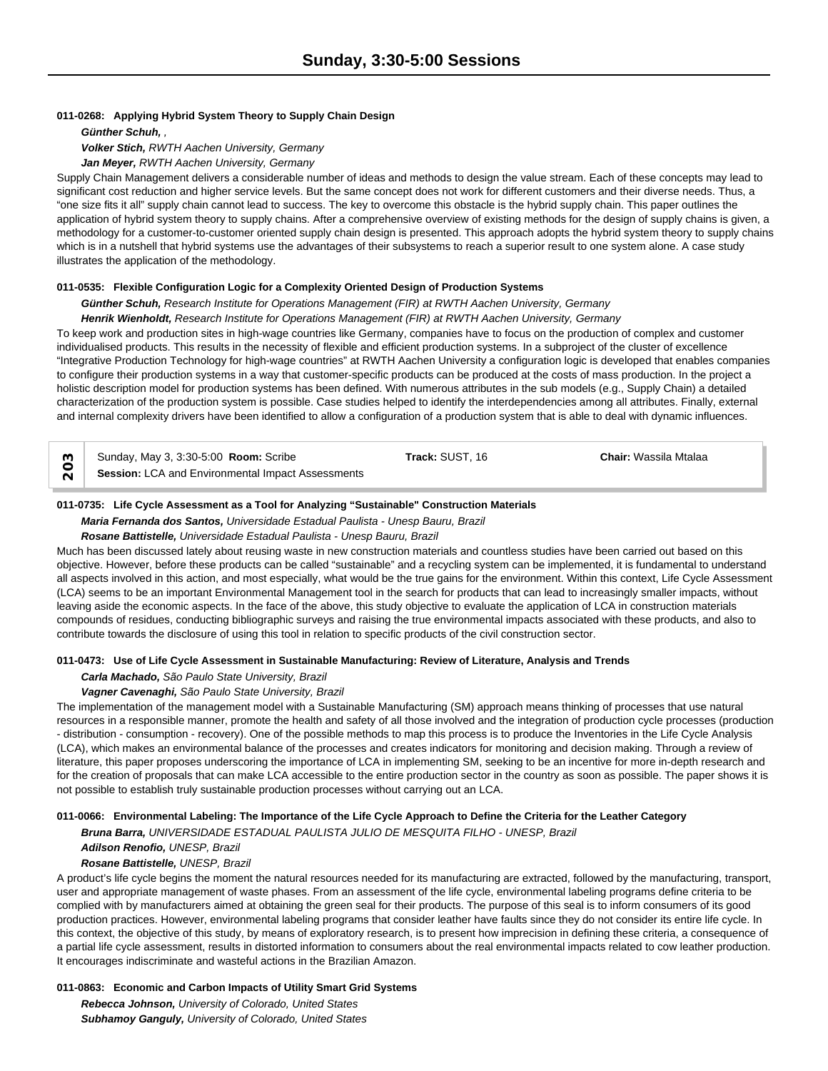#### **011-0268: Applying Hybrid System Theory to Supply Chain Design**

*Günther Schuh, , Volker Stich, RWTH Aachen University, Germany*

*Jan Meyer, RWTH Aachen University, Germany*

Supply Chain Management delivers a considerable number of ideas and methods to design the value stream. Each of these concepts may lead to significant cost reduction and higher service levels. But the same concept does not work for different customers and their diverse needs. Thus, a "one size fits it all" supply chain cannot lead to success. The key to overcome this obstacle is the hybrid supply chain. This paper outlines the application of hybrid system theory to supply chains. After a comprehensive overview of existing methods for the design of supply chains is given, a methodology for a customer-to-customer oriented supply chain design is presented. This approach adopts the hybrid system theory to supply chains which is in a nutshell that hybrid systems use the advantages of their subsystems to reach a superior result to one system alone. A case study illustrates the application of the methodology.

#### **011-0535: Flexible Configuration Logic for a Complexity Oriented Design of Production Systems**

*Günther Schuh, Research Institute for Operations Management (FIR) at RWTH Aachen University, Germany*

#### *Henrik Wienholdt, Research Institute for Operations Management (FIR) at RWTH Aachen University, Germany*

To keep work and production sites in high-wage countries like Germany, companies have to focus on the production of complex and customer individualised products. This results in the necessity of flexible and efficient production systems. In a subproject of the cluster of excellence "Integrative Production Technology for high-wage countries" at RWTH Aachen University a configuration logic is developed that enables companies to configure their production systems in a way that customer-specific products can be produced at the costs of mass production. In the project a holistic description model for production systems has been defined. With numerous attributes in the sub models (e.g., Supply Chain) a detailed characterization of the production system is possible. Case studies helped to identify the interdependencies among all attributes. Finally, external and internal complexity drivers have been identified to allow a configuration of a production system that is able to deal with dynamic influences.

| Sunday, May 3, 3:30-5:00 <b>Room:</b> Scribe      | <b>Track:</b> SUST. 16 | <b>Chair:</b> Wassila Mtalaa |  |
|---------------------------------------------------|------------------------|------------------------------|--|
| Session: LCA and Environmental Impact Assessments |                        |                              |  |

## **011-0735: Life Cycle Assessment as a Tool for Analyzing "Sustainable" Construction Materials**

*Maria Fernanda dos Santos, Universidade Estadual Paulista - Unesp Bauru, Brazil*

#### *Rosane Battistelle, Universidade Estadual Paulista - Unesp Bauru, Brazil*

Much has been discussed lately about reusing waste in new construction materials and countless studies have been carried out based on this objective. However, before these products can be called "sustainable" and a recycling system can be implemented, it is fundamental to understand all aspects involved in this action, and most especially, what would be the true gains for the environment. Within this context, Life Cycle Assessment (LCA) seems to be an important Environmental Management tool in the search for products that can lead to increasingly smaller impacts, without leaving aside the economic aspects. In the face of the above, this study objective to evaluate the application of LCA in construction materials compounds of residues, conducting bibliographic surveys and raising the true environmental impacts associated with these products, and also to contribute towards the disclosure of using this tool in relation to specific products of the civil construction sector.

#### **011-0473: Use of Life Cycle Assessment in Sustainable Manufacturing: Review of Literature, Analysis and Trends**

## *Carla Machado, São Paulo State University, Brazil*

#### *Vagner Cavenaghi, São Paulo State University, Brazil*

The implementation of the management model with a Sustainable Manufacturing (SM) approach means thinking of processes that use natural resources in a responsible manner, promote the health and safety of all those involved and the integration of production cycle processes (production - distribution - consumption - recovery). One of the possible methods to map this process is to produce the Inventories in the Life Cycle Analysis (LCA), which makes an environmental balance of the processes and creates indicators for monitoring and decision making. Through a review of literature, this paper proposes underscoring the importance of LCA in implementing SM, seeking to be an incentive for more in-depth research and for the creation of proposals that can make LCA accessible to the entire production sector in the country as soon as possible. The paper shows it is not possible to establish truly sustainable production processes without carrying out an LCA.

#### **011-0066: Environmental Labeling: The Importance of the Life Cycle Approach to Define the Criteria for the Leather Category**

*Bruna Barra, UNIVERSIDADE ESTADUAL PAULISTA JULIO DE MESQUITA FILHO - UNESP, Brazil*

#### *Adilson Renofio, UNESP, Brazil*

## *Rosane Battistelle, UNESP, Brazil*

A product's life cycle begins the moment the natural resources needed for its manufacturing are extracted, followed by the manufacturing, transport, user and appropriate management of waste phases. From an assessment of the life cycle, environmental labeling programs define criteria to be complied with by manufacturers aimed at obtaining the green seal for their products. The purpose of this seal is to inform consumers of its good production practices. However, environmental labeling programs that consider leather have faults since they do not consider its entire life cycle. In this context, the objective of this study, by means of exploratory research, is to present how imprecision in defining these criteria, a consequence of a partial life cycle assessment, results in distorted information to consumers about the real environmental impacts related to cow leather production. It encourages indiscriminate and wasteful actions in the Brazilian Amazon.

#### **011-0863: Economic and Carbon Impacts of Utility Smart Grid Systems**

*Rebecca Johnson, University of Colorado, United States Subhamoy Ganguly, University of Colorado, United States*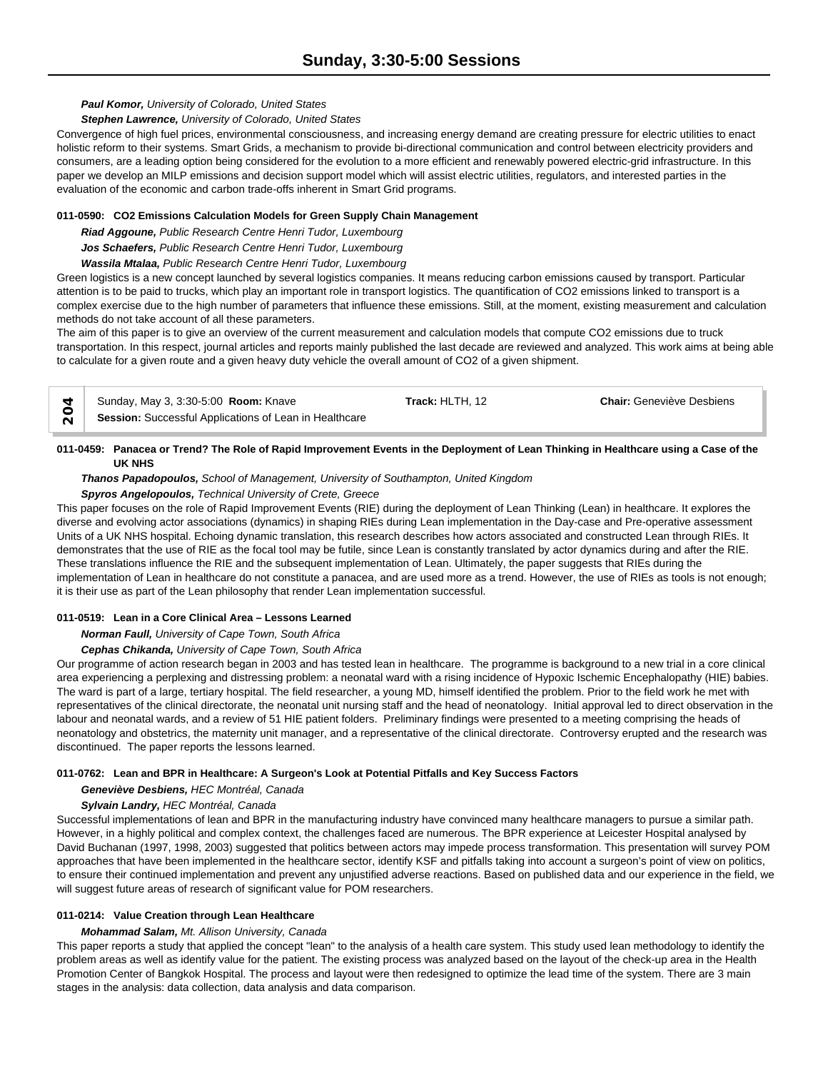## *Paul Komor, University of Colorado, United States*

#### *Stephen Lawrence, University of Colorado, United States*

Convergence of high fuel prices, environmental consciousness, and increasing energy demand are creating pressure for electric utilities to enact holistic reform to their systems. Smart Grids, a mechanism to provide bi-directional communication and control between electricity providers and consumers, are a leading option being considered for the evolution to a more efficient and renewably powered electric-grid infrastructure. In this paper we develop an MILP emissions and decision support model which will assist electric utilities, regulators, and interested parties in the evaluation of the economic and carbon trade-offs inherent in Smart Grid programs.

#### **011-0590: CO2 Emissions Calculation Models for Green Supply Chain Management**

*Riad Aggoune, Public Research Centre Henri Tudor, Luxembourg*

*Jos Schaefers, Public Research Centre Henri Tudor, Luxembourg*

*Wassila Mtalaa, Public Research Centre Henri Tudor, Luxembourg*

Green logistics is a new concept launched by several logistics companies. It means reducing carbon emissions caused by transport. Particular attention is to be paid to trucks, which play an important role in transport logistics. The quantification of CO2 emissions linked to transport is a complex exercise due to the high number of parameters that influence these emissions. Still, at the moment, existing measurement and calculation methods do not take account of all these parameters.

The aim of this paper is to give an overview of the current measurement and calculation models that compute CO2 emissions due to truck transportation. In this respect, journal articles and reports mainly published the last decade are reviewed and analyzed. This work aims at being able to calculate for a given route and a given heavy duty vehicle the overall amount of CO2 of a given shipment.

| ↽           | Sunday, May 3, 3:30-5:00 Room: Knave                   | Track: HLTH, 12 | <b>Chair:</b> Geneviève Desbiens |  |
|-------------|--------------------------------------------------------|-----------------|----------------------------------|--|
| ◡<br>$\sim$ | Session: Successful Applications of Lean in Healthcare |                 |                                  |  |

## **011-0459: Panacea or Trend? The Role of Rapid Improvement Events in the Deployment of Lean Thinking in Healthcare using a Case of the UK NHS**

*Thanos Papadopoulos, School of Management, University of Southampton, United Kingdom*

## *Spyros Angelopoulos, Technical University of Crete, Greece*

This paper focuses on the role of Rapid Improvement Events (RIE) during the deployment of Lean Thinking (Lean) in healthcare. It explores the diverse and evolving actor associations (dynamics) in shaping RIEs during Lean implementation in the Day-case and Pre-operative assessment Units of a UK NHS hospital. Echoing dynamic translation, this research describes how actors associated and constructed Lean through RIEs. It demonstrates that the use of RIE as the focal tool may be futile, since Lean is constantly translated by actor dynamics during and after the RIE. These translations influence the RIE and the subsequent implementation of Lean. Ultimately, the paper suggests that RIEs during the implementation of Lean in healthcare do not constitute a panacea, and are used more as a trend. However, the use of RIEs as tools is not enough; it is their use as part of the Lean philosophy that render Lean implementation successful.

## **011-0519: Lean in a Core Clinical Area – Lessons Learned**

*Norman Faull, University of Cape Town, South Africa*

*Cephas Chikanda, University of Cape Town, South Africa*

Our programme of action research began in 2003 and has tested lean in healthcare. The programme is background to a new trial in a core clinical area experiencing a perplexing and distressing problem: a neonatal ward with a rising incidence of Hypoxic Ischemic Encephalopathy (HIE) babies. The ward is part of a large, tertiary hospital. The field researcher, a young MD, himself identified the problem. Prior to the field work he met with representatives of the clinical directorate, the neonatal unit nursing staff and the head of neonatology. Initial approval led to direct observation in the labour and neonatal wards, and a review of 51 HIE patient folders. Preliminary findings were presented to a meeting comprising the heads of neonatology and obstetrics, the maternity unit manager, and a representative of the clinical directorate. Controversy erupted and the research was discontinued. The paper reports the lessons learned.

## **011-0762: Lean and BPR in Healthcare: A Surgeon's Look at Potential Pitfalls and Key Success Factors**

*Geneviève Desbiens, HEC Montréal, Canada*

## *Sylvain Landry, HEC Montréal, Canada*

Successful implementations of lean and BPR in the manufacturing industry have convinced many healthcare managers to pursue a similar path. However, in a highly political and complex context, the challenges faced are numerous. The BPR experience at Leicester Hospital analysed by David Buchanan (1997, 1998, 2003) suggested that politics between actors may impede process transformation. This presentation will survey POM approaches that have been implemented in the healthcare sector, identify KSF and pitfalls taking into account a surgeon's point of view on politics, to ensure their continued implementation and prevent any unjustified adverse reactions. Based on published data and our experience in the field, we will suggest future areas of research of significant value for POM researchers.

## **011-0214: Value Creation through Lean Healthcare**

## *Mohammad Salam, Mt. Allison University, Canada*

This paper reports a study that applied the concept "lean" to the analysis of a health care system. This study used lean methodology to identify the problem areas as well as identify value for the patient. The existing process was analyzed based on the layout of the check-up area in the Health Promotion Center of Bangkok Hospital. The process and layout were then redesigned to optimize the lead time of the system. There are 3 main stages in the analysis: data collection, data analysis and data comparison.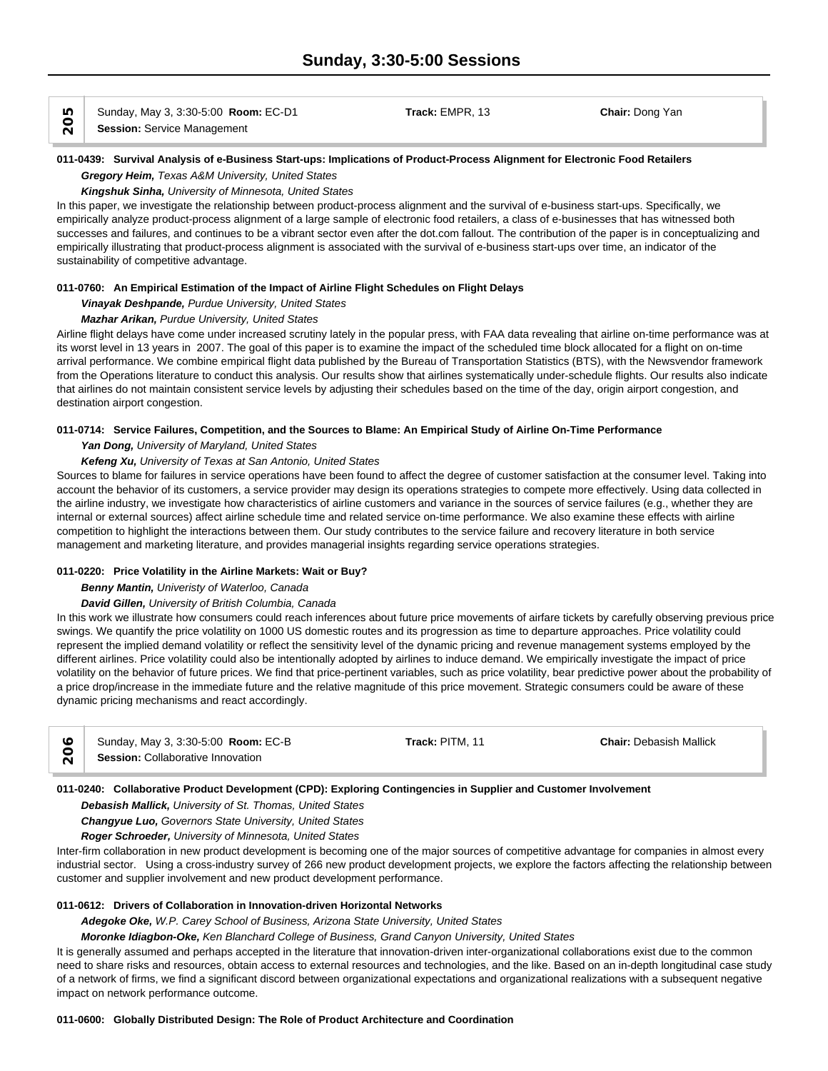Sunday, May 3, 3:30-5:00 **Room:** EC-D1 **Track:** EMPR, 13 **Chair:** Dong Yan **IO** Sunday, May 3, 3:30-5:00 **Roo**<br> **Session:** Service Management

## **011-0439: Survival Analysis of e-Business Start-ups: Implications of Product-Process Alignment for Electronic Food Retailers** *Gregory Heim, Texas A&M University, United States*

*Kingshuk Sinha, University of Minnesota, United States*

In this paper, we investigate the relationship between product-process alignment and the survival of e-business start-ups. Specifically, we empirically analyze product-process alignment of a large sample of electronic food retailers, a class of e-businesses that has witnessed both successes and failures, and continues to be a vibrant sector even after the dot.com fallout. The contribution of the paper is in conceptualizing and empirically illustrating that product-process alignment is associated with the survival of e-business start-ups over time, an indicator of the sustainability of competitive advantage.

## **011-0760: An Empirical Estimation of the Impact of Airline Flight Schedules on Flight Delays**

*Vinayak Deshpande, Purdue University, United States*

## *Mazhar Arikan, Purdue University, United States*

Airline flight delays have come under increased scrutiny lately in the popular press, with FAA data revealing that airline on-time performance was at its worst level in 13 years in 2007. The goal of this paper is to examine the impact of the scheduled time block allocated for a flight on on-time arrival performance. We combine empirical flight data published by the Bureau of Transportation Statistics (BTS), with the Newsvendor framework from the Operations literature to conduct this analysis. Our results show that airlines systematically under-schedule flights. Our results also indicate that airlines do not maintain consistent service levels by adjusting their schedules based on the time of the day, origin airport congestion, and destination airport congestion.

## **011-0714: Service Failures, Competition, and the Sources to Blame: An Empirical Study of Airline On-Time Performance**

#### *Yan Dong, University of Maryland, United States*

## *Kefeng Xu, University of Texas at San Antonio, United States*

Sources to blame for failures in service operations have been found to affect the degree of customer satisfaction at the consumer level. Taking into account the behavior of its customers, a service provider may design its operations strategies to compete more effectively. Using data collected in the airline industry, we investigate how characteristics of airline customers and variance in the sources of service failures (e.g., whether they are internal or external sources) affect airline schedule time and related service on-time performance. We also examine these effects with airline competition to highlight the interactions between them. Our study contributes to the service failure and recovery literature in both service management and marketing literature, and provides managerial insights regarding service operations strategies.

## **011-0220: Price Volatility in the Airline Markets: Wait or Buy?**

## *Benny Mantin, Univeristy of Waterloo, Canada*

## *David Gillen, University of British Columbia, Canada*

In this work we illustrate how consumers could reach inferences about future price movements of airfare tickets by carefully observing previous price swings. We quantify the price volatility on 1000 US domestic routes and its progression as time to departure approaches. Price volatility could represent the implied demand volatility or reflect the sensitivity level of the dynamic pricing and revenue management systems employed by the different airlines. Price volatility could also be intentionally adopted by airlines to induce demand. We empirically investigate the impact of price volatility on the behavior of future prices. We find that price-pertinent variables, such as price volatility, bear predictive power about the probability of a price drop/increase in the immediate future and the relative magnitude of this price movement. Strategic consumers could be aware of these dynamic pricing mechanisms and react accordingly.

| Sunday, May 3, 3:30-5:00 <b>Room:</b> EC-B | <b>Track:</b> PITM. 11 | <b>Chair: Debasish Mallick</b> |  |
|--------------------------------------------|------------------------|--------------------------------|--|
| Session: Collaborative Innovation          |                        |                                |  |

## **011-0240: Collaborative Product Development (CPD): Exploring Contingencies in Supplier and Customer Involvement**

*Debasish Mallick, University of St. Thomas, United States*

*Changyue Luo, Governors State University, United States*

*Roger Schroeder, University of Minnesota, United States*

Inter-firm collaboration in new product development is becoming one of the major sources of competitive advantage for companies in almost every industrial sector. Using a cross-industry survey of 266 new product development projects, we explore the factors affecting the relationship between customer and supplier involvement and new product development performance.

## **011-0612: Drivers of Collaboration in Innovation-driven Horizontal Networks**

*Adegoke Oke, W.P. Carey School of Business, Arizona State University, United States*

*Moronke Idiagbon-Oke, Ken Blanchard College of Business, Grand Canyon University, United States*

It is generally assumed and perhaps accepted in the literature that innovation-driven inter-organizational collaborations exist due to the common need to share risks and resources, obtain access to external resources and technologies, and the like. Based on an in-depth longitudinal case study of a network of firms, we find a significant discord between organizational expectations and organizational realizations with a subsequent negative impact on network performance outcome.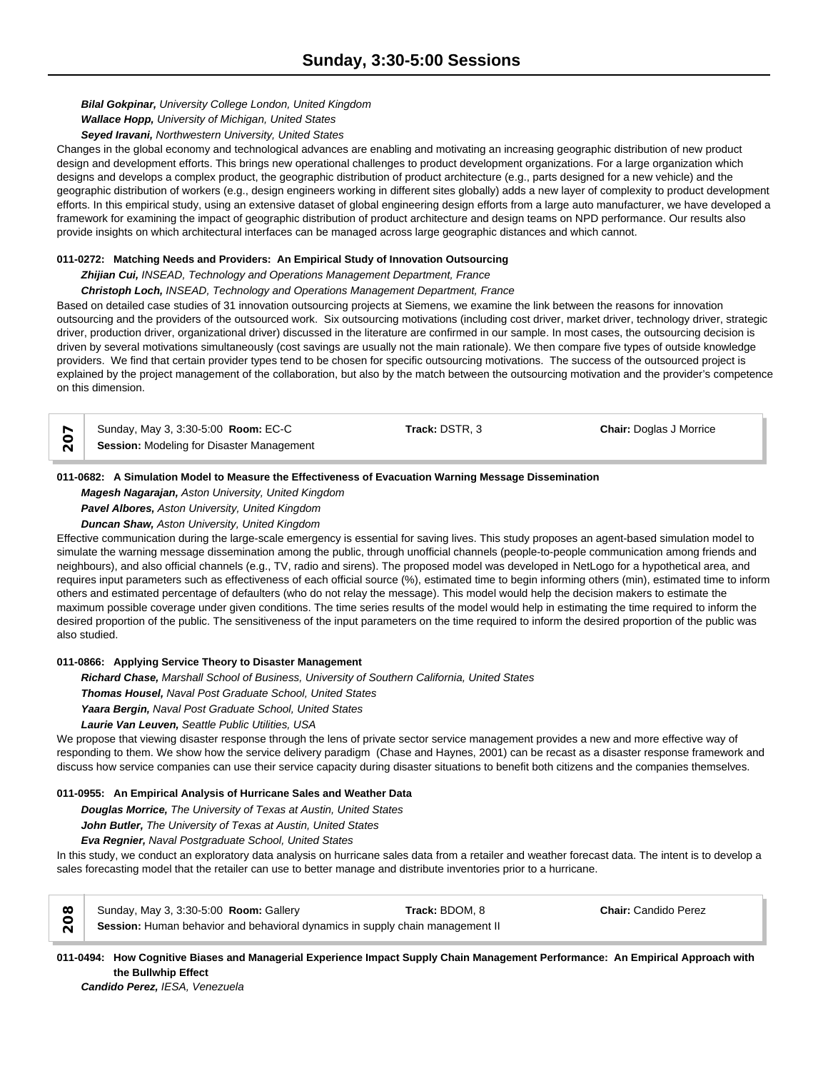*Bilal Gokpinar, University College London, United Kingdom*

*Wallace Hopp, University of Michigan, United States*

*Seyed Iravani, Northwestern University, United States*

Changes in the global economy and technological advances are enabling and motivating an increasing geographic distribution of new product design and development efforts. This brings new operational challenges to product development organizations. For a large organization which designs and develops a complex product, the geographic distribution of product architecture (e.g., parts designed for a new vehicle) and the geographic distribution of workers (e.g., design engineers working in different sites globally) adds a new layer of complexity to product development efforts. In this empirical study, using an extensive dataset of global engineering design efforts from a large auto manufacturer, we have developed a framework for examining the impact of geographic distribution of product architecture and design teams on NPD performance. Our results also provide insights on which architectural interfaces can be managed across large geographic distances and which cannot.

#### **011-0272: Matching Needs and Providers: An Empirical Study of Innovation Outsourcing**

*Zhijian Cui, INSEAD, Technology and Operations Management Department, France*

*Christoph Loch, INSEAD, Technology and Operations Management Department, France*

Based on detailed case studies of 31 innovation outsourcing projects at Siemens, we examine the link between the reasons for innovation outsourcing and the providers of the outsourced work. Six outsourcing motivations (including cost driver, market driver, technology driver, strategic driver, production driver, organizational driver) discussed in the literature are confirmed in our sample. In most cases, the outsourcing decision is driven by several motivations simultaneously (cost savings are usually not the main rationale). We then compare five types of outside knowledge providers. We find that certain provider types tend to be chosen for specific outsourcing motivations. The success of the outsourced project is explained by the project management of the collaboration, but also by the match between the outsourcing motivation and the provider's competence on this dimension.

Sunday, May 3, 3:30-5:00 **Room:** EC-C **Track:** DSTR, 3 **Chair:** Doglas J Morrice **Session:** Modeling for Disaster Management

#### **011-0682: A Simulation Model to Measure the Effectiveness of Evacuation Warning Message Dissemination**

*Magesh Nagarajan, Aston University, United Kingdom Pavel Albores, Aston University, United Kingdom*

*Duncan Shaw, Aston University, United Kingdom*

Effective communication during the large-scale emergency is essential for saving lives. This study proposes an agent-based simulation model to simulate the warning message dissemination among the public, through unofficial channels (people-to-people communication among friends and neighbours), and also official channels (e.g., TV, radio and sirens). The proposed model was developed in NetLogo for a hypothetical area, and requires input parameters such as effectiveness of each official source (%), estimated time to begin informing others (min), estimated time to inform others and estimated percentage of defaulters (who do not relay the message). This model would help the decision makers to estimate the maximum possible coverage under given conditions. The time series results of the model would help in estimating the time required to inform the desired proportion of the public. The sensitiveness of the input parameters on the time required to inform the desired proportion of the public was also studied.

## **011-0866: Applying Service Theory to Disaster Management**

*Richard Chase, Marshall School of Business, University of Southern California, United States*

*Thomas Housel, Naval Post Graduate School, United States*

*Yaara Bergin, Naval Post Graduate School, United States*

*Laurie Van Leuven, Seattle Public Utilities, USA*

We propose that viewing disaster response through the lens of private sector service management provides a new and more effective way of responding to them. We show how the service delivery paradigm (Chase and Haynes, 2001) can be recast as a disaster response framework and discuss how service companies can use their service capacity during disaster situations to benefit both citizens and the companies themselves.

## **011-0955: An Empirical Analysis of Hurricane Sales and Weather Data**

*Douglas Morrice, The University of Texas at Austin, United States*

*John Butler, The University of Texas at Austin, United States*

*Eva Regnier, Naval Postgraduate School, United States*

In this study, we conduct an exploratory data analysis on hurricane sales data from a retailer and weather forecast data. The intent is to develop a sales forecasting model that the retailer can use to better manage and distribute inventories prior to a hurricane.



**011-0494: How Cognitive Biases and Managerial Experience Impact Supply Chain Management Performance: An Empirical Approach with the Bullwhip Effect**

*Candido Perez, IESA, Venezuela*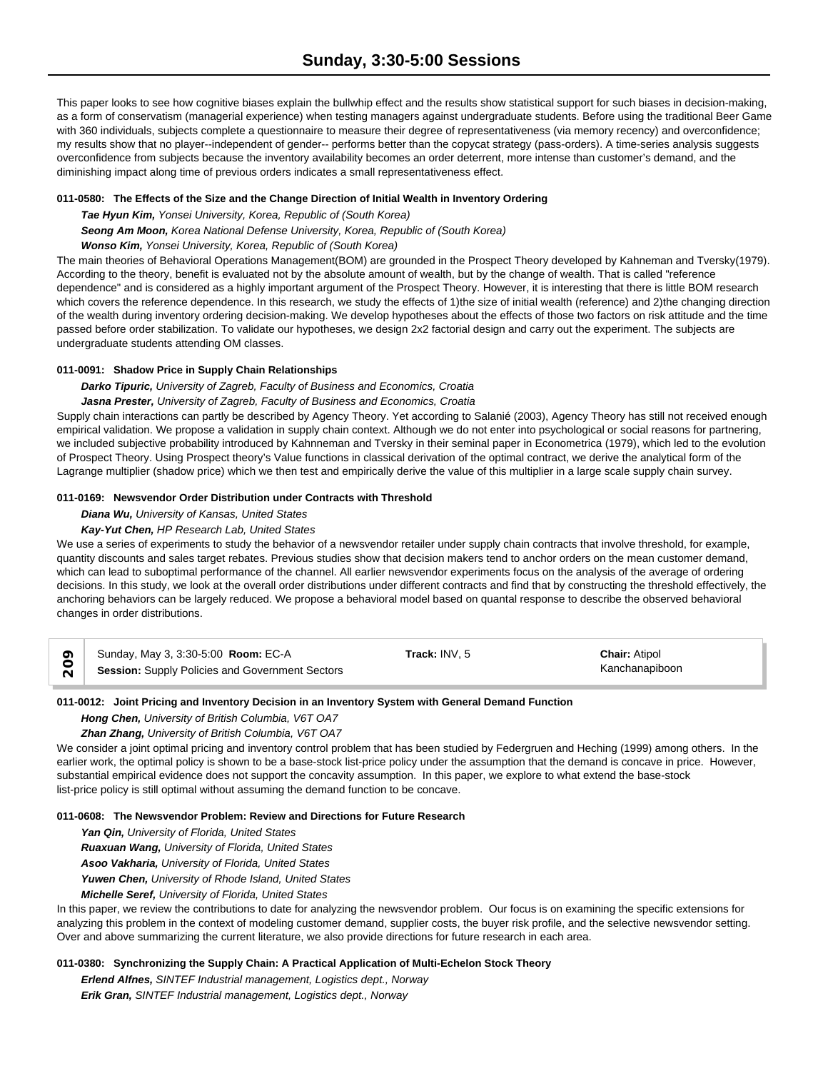This paper looks to see how cognitive biases explain the bullwhip effect and the results show statistical support for such biases in decision-making, as a form of conservatism (managerial experience) when testing managers against undergraduate students. Before using the traditional Beer Game with 360 individuals, subjects complete a questionnaire to measure their degree of representativeness (via memory recency) and overconfidence; my results show that no player--independent of gender-- performs better than the copycat strategy (pass-orders). A time-series analysis suggests overconfidence from subjects because the inventory availability becomes an order deterrent, more intense than customer's demand, and the diminishing impact along time of previous orders indicates a small representativeness effect.

#### **011-0580: The Effects of the Size and the Change Direction of Initial Wealth in Inventory Ordering**

*Tae Hyun Kim, Yonsei University, Korea, Republic of (South Korea)*

*Seong Am Moon, Korea National Defense University, Korea, Republic of (South Korea)*

## *Wonso Kim, Yonsei University, Korea, Republic of (South Korea)*

The main theories of Behavioral Operations Management(BOM) are grounded in the Prospect Theory developed by Kahneman and Tversky(1979). According to the theory, benefit is evaluated not by the absolute amount of wealth, but by the change of wealth. That is called "reference dependence" and is considered as a highly important argument of the Prospect Theory. However, it is interesting that there is little BOM research which covers the reference dependence. In this research, we study the effects of 1)the size of initial wealth (reference) and 2)the changing direction of the wealth during inventory ordering decision-making. We develop hypotheses about the effects of those two factors on risk attitude and the time passed before order stabilization. To validate our hypotheses, we design 2x2 factorial design and carry out the experiment. The subjects are undergraduate students attending OM classes.

## **011-0091: Shadow Price in Supply Chain Relationships**

## *Darko Tipuric, University of Zagreb, Faculty of Business and Economics, Croatia*

*Jasna Prester, University of Zagreb, Faculty of Business and Economics, Croatia*

Supply chain interactions can partly be described by Agency Theory. Yet according to Salanié (2003), Agency Theory has still not received enough empirical validation. We propose a validation in supply chain context. Although we do not enter into psychological or social reasons for partnering, we included subjective probability introduced by Kahnneman and Tversky in their seminal paper in Econometrica (1979), which led to the evolution of Prospect Theory. Using Prospect theory's Value functions in classical derivation of the optimal contract, we derive the analytical form of the Lagrange multiplier (shadow price) which we then test and empirically derive the value of this multiplier in a large scale supply chain survey.

## **011-0169: Newsvendor Order Distribution under Contracts with Threshold**

## *Diana Wu, University of Kansas, United States*

## *Kay-Yut Chen, HP Research Lab, United States*

We use a series of experiments to study the behavior of a newsvendor retailer under supply chain contracts that involve threshold, for example, quantity discounts and sales target rebates. Previous studies show that decision makers tend to anchor orders on the mean customer demand, which can lead to suboptimal performance of the channel. All earlier newsvendor experiments focus on the analysis of the average of ordering decisions. In this study, we look at the overall order distributions under different contracts and find that by constructing the threshold effectively, the anchoring behaviors can be largely reduced. We propose a behavioral model based on quantal response to describe the observed behavioral changes in order distributions.

|                   | Sunday, May 3, 3:30-5:00 Room: EC-A             | Track: INV. 5 | <b>Chair: Atipol</b> |
|-------------------|-------------------------------------------------|---------------|----------------------|
| $\overline{\sim}$ | Session: Supply Policies and Government Sectors |               | Kanchanapiboon       |

## **011-0012: Joint Pricing and Inventory Decision in an Inventory System with General Demand Function**

*Hong Chen, University of British Columbia, V6T OA7*

*Zhan Zhang, University of British Columbia, V6T OA7*

We consider a joint optimal pricing and inventory control problem that has been studied by Federgruen and Heching (1999) among others. In the earlier work, the optimal policy is shown to be a base-stock list-price policy under the assumption that the demand is concave in price. However, substantial empirical evidence does not support the concavity assumption. In this paper, we explore to what extend the base-stock list-price policy is still optimal without assuming the demand function to be concave.

## **011-0608: The Newsvendor Problem: Review and Directions for Future Research**

*Yan Qin, University of Florida, United States*

*Ruaxuan Wang, University of Florida, United States*

*Asoo Vakharia, University of Florida, United States*

*Yuwen Chen, University of Rhode Island, United States*

*Michelle Seref, University of Florida, United States*

In this paper, we review the contributions to date for analyzing the newsvendor problem. Our focus is on examining the specific extensions for analyzing this problem in the context of modeling customer demand, supplier costs, the buyer risk profile, and the selective newsvendor setting. Over and above summarizing the current literature, we also provide directions for future research in each area.

## **011-0380: Synchronizing the Supply Chain: A Practical Application of Multi-Echelon Stock Theory**

*Erlend Alfnes, SINTEF Industrial management, Logistics dept., Norway Erik Gran, SINTEF Industrial management, Logistics dept., Norway*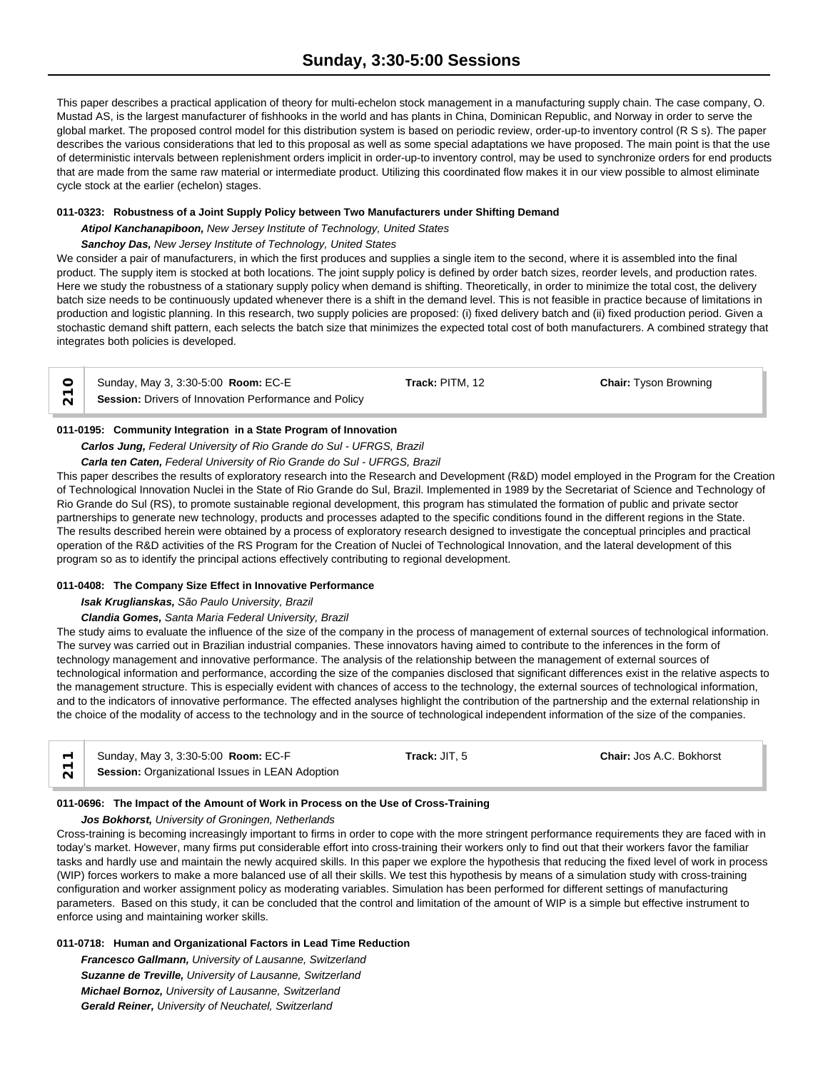This paper describes a practical application of theory for multi-echelon stock management in a manufacturing supply chain. The case company, O. Mustad AS, is the largest manufacturer of fishhooks in the world and has plants in China, Dominican Republic, and Norway in order to serve the global market. The proposed control model for this distribution system is based on periodic review, order-up-to inventory control (R S s). The paper describes the various considerations that led to this proposal as well as some special adaptations we have proposed. The main point is that the use of deterministic intervals between replenishment orders implicit in order-up-to inventory control, may be used to synchronize orders for end products that are made from the same raw material or intermediate product. Utilizing this coordinated flow makes it in our view possible to almost eliminate cycle stock at the earlier (echelon) stages.

#### **011-0323: Robustness of a Joint Supply Policy between Two Manufacturers under Shifting Demand**

*Atipol Kanchanapiboon, New Jersey Institute of Technology, United States*

#### *Sanchoy Das, New Jersey Institute of Technology, United States*

We consider a pair of manufacturers, in which the first produces and supplies a single item to the second, where it is assembled into the final product. The supply item is stocked at both locations. The joint supply policy is defined by order batch sizes, reorder levels, and production rates. Here we study the robustness of a stationary supply policy when demand is shifting. Theoretically, in order to minimize the total cost, the delivery batch size needs to be continuously updated whenever there is a shift in the demand level. This is not feasible in practice because of limitations in production and logistic planning. In this research, two supply policies are proposed: (i) fixed delivery batch and (ii) fixed production period. Given a stochastic demand shift pattern, each selects the batch size that minimizes the expected total cost of both manufacturers. A combined strategy that integrates both policies is developed.

| ○ Sunday, May 3, 3:30-5:00 <b>Room:</b> EC-E                      | <b>Track:</b> PITM. 12 | <b>Chair:</b> Tyson Browning |  |
|-------------------------------------------------------------------|------------------------|------------------------------|--|
| $\sqrt{\ }$ Session: Drivers of Innovation Performance and Policy |                        |                              |  |

#### **011-0195: Community Integration in a State Program of Innovation**

# *Carlos Jung, Federal University of Rio Grande do Sul - UFRGS, Brazil*

## *Carla ten Caten, Federal University of Rio Grande do Sul - UFRGS, Brazil*

This paper describes the results of exploratory research into the Research and Development (R&D) model employed in the Program for the Creation of Technological Innovation Nuclei in the State of Rio Grande do Sul, Brazil. Implemented in 1989 by the Secretariat of Science and Technology of Rio Grande do Sul (RS), to promote sustainable regional development, this program has stimulated the formation of public and private sector partnerships to generate new technology, products and processes adapted to the specific conditions found in the different regions in the State. The results described herein were obtained by a process of exploratory research designed to investigate the conceptual principles and practical operation of the R&D activities of the RS Program for the Creation of Nuclei of Technological Innovation, and the lateral development of this program so as to identify the principal actions effectively contributing to regional development.

## **011-0408: The Company Size Effect in Innovative Performance**

## *Isak Kruglianskas, São Paulo University, Brazil*

## *Clandia Gomes, Santa Maria Federal University, Brazil*

The study aims to evaluate the influence of the size of the company in the process of management of external sources of technological information. The survey was carried out in Brazilian industrial companies. These innovators having aimed to contribute to the inferences in the form of technology management and innovative performance. The analysis of the relationship between the management of external sources of technological information and performance, according the size of the companies disclosed that significant differences exist in the relative aspects to the management structure. This is especially evident with chances of access to the technology, the external sources of technological information, and to the indicators of innovative performance. The effected analyses highlight the contribution of the partnership and the external relationship in the choice of the modality of access to the technology and in the source of technological independent information of the size of the companies.

| Sunday, May 3, 3:30-5:00 Room: EC-F             | Track: JIT. 5 | <b>Chair: Jos A.C. Bokhorst</b> |
|-------------------------------------------------|---------------|---------------------------------|
| Session: Organizational Issues in LEAN Adoption |               |                                 |

## **011-0696: The Impact of the Amount of Work in Process on the Use of Cross-Training**

#### *Jos Bokhorst, University of Groningen, Netherlands*

Cross-training is becoming increasingly important to firms in order to cope with the more stringent performance requirements they are faced with in today's market. However, many firms put considerable effort into cross-training their workers only to find out that their workers favor the familiar tasks and hardly use and maintain the newly acquired skills. In this paper we explore the hypothesis that reducing the fixed level of work in process (WIP) forces workers to make a more balanced use of all their skills. We test this hypothesis by means of a simulation study with cross-training configuration and worker assignment policy as moderating variables. Simulation has been performed for different settings of manufacturing parameters. Based on this study, it can be concluded that the control and limitation of the amount of WIP is a simple but effective instrument to enforce using and maintaining worker skills.

## **011-0718: Human and Organizational Factors in Lead Time Reduction**

*Francesco Gallmann, University of Lausanne, Switzerland Suzanne de Treville, University of Lausanne, Switzerland Michael Bornoz, University of Lausanne, Switzerland Gerald Reiner, University of Neuchatel, Switzerland*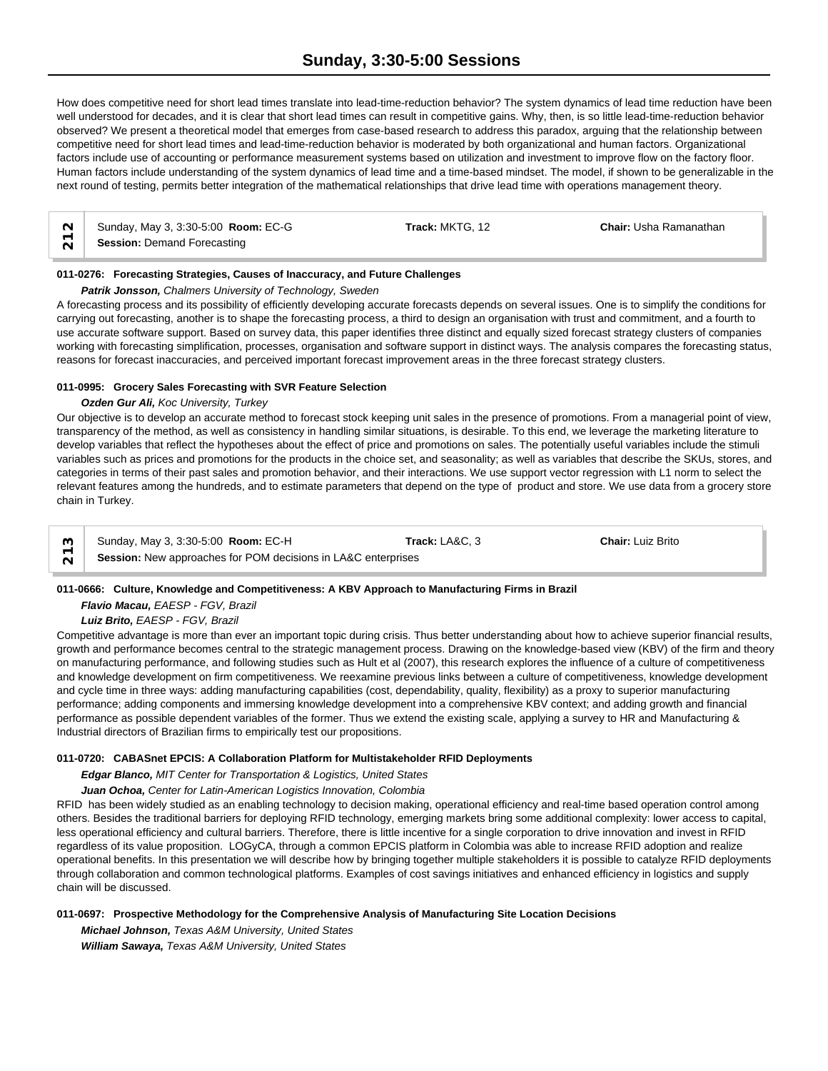How does competitive need for short lead times translate into lead-time-reduction behavior? The system dynamics of lead time reduction have been well understood for decades, and it is clear that short lead times can result in competitive gains. Why, then, is so little lead-time-reduction behavior observed? We present a theoretical model that emerges from case-based research to address this paradox, arguing that the relationship between competitive need for short lead times and lead-time-reduction behavior is moderated by both organizational and human factors. Organizational factors include use of accounting or performance measurement systems based on utilization and investment to improve flow on the factory floor. Human factors include understanding of the system dynamics of lead time and a time-based mindset. The model, if shown to be generalizable in the next round of testing, permits better integration of the mathematical relationships that drive lead time with operations management theory.

| $\sim$ | Sunday, May 3, 3:30-5:00 Room: EC-G | <b>Track:</b> MKTG. 12 | <b>Chair: Usha Ramanathan</b> |  |
|--------|-------------------------------------|------------------------|-------------------------------|--|
| $\sim$ | <b>Session: Demand Forecasting</b>  |                        |                               |  |

#### **011-0276: Forecasting Strategies, Causes of Inaccuracy, and Future Challenges**

*Patrik Jonsson, Chalmers University of Technology, Sweden*

A forecasting process and its possibility of efficiently developing accurate forecasts depends on several issues. One is to simplify the conditions for carrying out forecasting, another is to shape the forecasting process, a third to design an organisation with trust and commitment, and a fourth to use accurate software support. Based on survey data, this paper identifies three distinct and equally sized forecast strategy clusters of companies working with forecasting simplification, processes, organisation and software support in distinct ways. The analysis compares the forecasting status, reasons for forecast inaccuracies, and perceived important forecast improvement areas in the three forecast strategy clusters.

## **011-0995: Grocery Sales Forecasting with SVR Feature Selection**

#### *Ozden Gur Ali, Koc University, Turkey*

Our objective is to develop an accurate method to forecast stock keeping unit sales in the presence of promotions. From a managerial point of view, transparency of the method, as well as consistency in handling similar situations, is desirable. To this end, we leverage the marketing literature to develop variables that reflect the hypotheses about the effect of price and promotions on sales. The potentially useful variables include the stimuli variables such as prices and promotions for the products in the choice set, and seasonality; as well as variables that describe the SKUs, stores, and categories in terms of their past sales and promotion behavior, and their interactions. We use support vector regression with L1 norm to select the relevant features among the hundreds, and to estimate parameters that depend on the type of product and store. We use data from a grocery store chain in Turkey.

|        | Sunday, May 3, 3:30-5:00 Room: EC-H                           | Track: LA&C. 3 | <b>Chair: Luiz Brito</b> |  |
|--------|---------------------------------------------------------------|----------------|--------------------------|--|
| $\sim$ | Session: New approaches for POM decisions in LA&C enterprises |                |                          |  |

## **011-0666: Culture, Knowledge and Competitiveness: A KBV Approach to Manufacturing Firms in Brazil**

*Flavio Macau, EAESP - FGV, Brazil*

*Luiz Brito, EAESP - FGV, Brazil*

Competitive advantage is more than ever an important topic during crisis. Thus better understanding about how to achieve superior financial results, growth and performance becomes central to the strategic management process. Drawing on the knowledge-based view (KBV) of the firm and theory on manufacturing performance, and following studies such as Hult et al (2007), this research explores the influence of a culture of competitiveness and knowledge development on firm competitiveness. We reexamine previous links between a culture of competitiveness, knowledge development and cycle time in three ways: adding manufacturing capabilities (cost, dependability, quality, flexibility) as a proxy to superior manufacturing performance; adding components and immersing knowledge development into a comprehensive KBV context; and adding growth and financial performance as possible dependent variables of the former. Thus we extend the existing scale, applying a survey to HR and Manufacturing & Industrial directors of Brazilian firms to empirically test our propositions.

## **011-0720: CABASnet EPCIS: A Collaboration Platform for Multistakeholder RFID Deployments**

*Edgar Blanco, MIT Center for Transportation & Logistics, United States*

## *Juan Ochoa, Center for Latin-American Logistics Innovation, Colombia*

RFID has been widely studied as an enabling technology to decision making, operational efficiency and real-time based operation control among others. Besides the traditional barriers for deploying RFID technology, emerging markets bring some additional complexity: lower access to capital, less operational efficiency and cultural barriers. Therefore, there is little incentive for a single corporation to drive innovation and invest in RFID regardless of its value proposition. LOGyCA, through a common EPCIS platform in Colombia was able to increase RFID adoption and realize operational benefits. In this presentation we will describe how by bringing together multiple stakeholders it is possible to catalyze RFID deployments through collaboration and common technological platforms. Examples of cost savings initiatives and enhanced efficiency in logistics and supply chain will be discussed.

## **011-0697: Prospective Methodology for the Comprehensive Analysis of Manufacturing Site Location Decisions**

*Michael Johnson, Texas A&M University, United States William Sawaya, Texas A&M University, United States*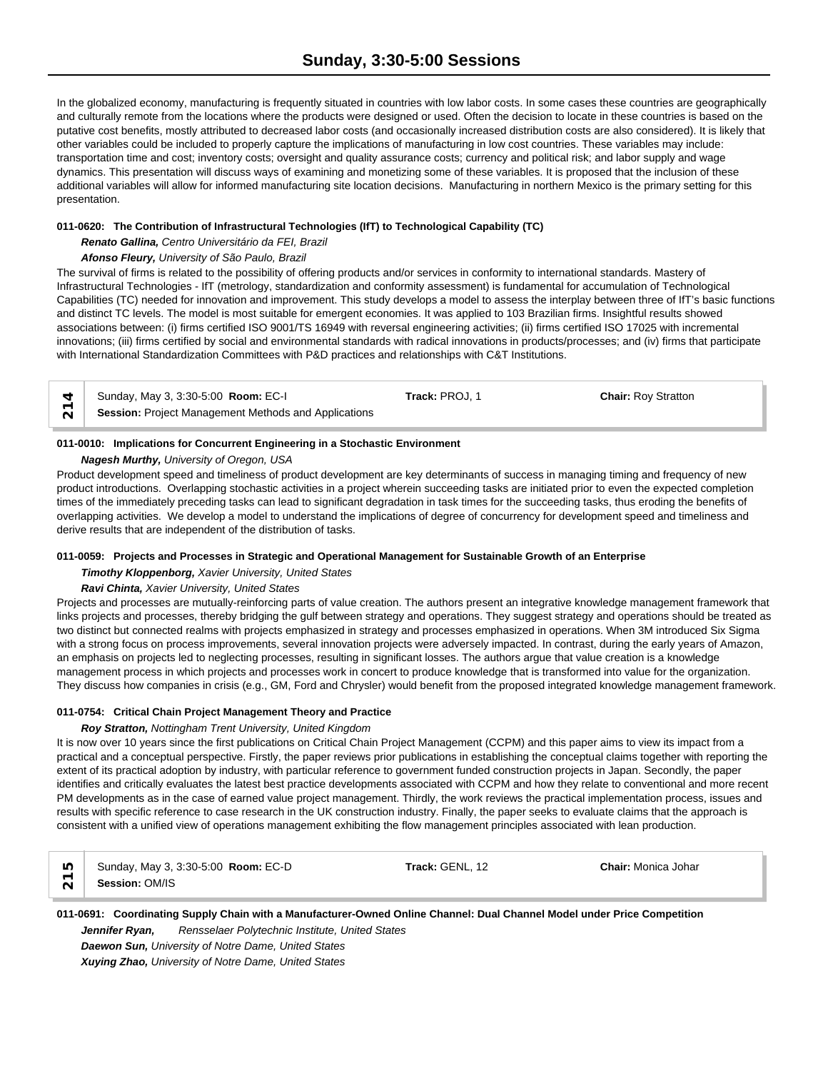In the globalized economy, manufacturing is frequently situated in countries with low labor costs. In some cases these countries are geographically and culturally remote from the locations where the products were designed or used. Often the decision to locate in these countries is based on the putative cost benefits, mostly attributed to decreased labor costs (and occasionally increased distribution costs are also considered). It is likely that other variables could be included to properly capture the implications of manufacturing in low cost countries. These variables may include: transportation time and cost; inventory costs; oversight and quality assurance costs; currency and political risk; and labor supply and wage dynamics. This presentation will discuss ways of examining and monetizing some of these variables. It is proposed that the inclusion of these additional variables will allow for informed manufacturing site location decisions. Manufacturing in northern Mexico is the primary setting for this presentation.

## **011-0620: The Contribution of Infrastructural Technologies (IfT) to Technological Capability (TC)**

*Renato Gallina, Centro Universitário da FEI, Brazil*

## *Afonso Fleury, University of São Paulo, Brazil*

The survival of firms is related to the possibility of offering products and/or services in conformity to international standards. Mastery of Infrastructural Technologies - IfT (metrology, standardization and conformity assessment) is fundamental for accumulation of Technological Capabilities (TC) needed for innovation and improvement. This study develops a model to assess the interplay between three of IfT's basic functions and distinct TC levels. The model is most suitable for emergent economies. It was applied to 103 Brazilian firms. Insightful results showed associations between: (i) firms certified ISO 9001/TS 16949 with reversal engineering activities; (ii) firms certified ISO 17025 with incremental innovations; (iii) firms certified by social and environmental standards with radical innovations in products/processes; and (iv) firms that participate with International Standardization Committees with P&D practices and relationships with C&T Institutions.

| $\forall$ Sunday, May 3, 3:30-5:00 <b>Room:</b> EC-I | Track: PROJ. 1 | <b>Chair: Rov Stratton</b> |
|------------------------------------------------------|----------------|----------------------------|
| Session: Project Management Methods and Applications |                |                            |

## **011-0010: Implications for Concurrent Engineering in a Stochastic Environment**

## *Nagesh Murthy, University of Oregon, USA*

Product development speed and timeliness of product development are key determinants of success in managing timing and frequency of new product introductions. Overlapping stochastic activities in a project wherein succeeding tasks are initiated prior to even the expected completion times of the immediately preceding tasks can lead to significant degradation in task times for the succeeding tasks, thus eroding the benefits of overlapping activities. We develop a model to understand the implications of degree of concurrency for development speed and timeliness and derive results that are independent of the distribution of tasks.

## **011-0059: Projects and Processes in Strategic and Operational Management for Sustainable Growth of an Enterprise**

## *Timothy Kloppenborg, Xavier University, United States*

## *Ravi Chinta, Xavier University, United States*

Projects and processes are mutually-reinforcing parts of value creation. The authors present an integrative knowledge management framework that links projects and processes, thereby bridging the gulf between strategy and operations. They suggest strategy and operations should be treated as two distinct but connected realms with projects emphasized in strategy and processes emphasized in operations. When 3M introduced Six Sigma with a strong focus on process improvements, several innovation projects were adversely impacted. In contrast, during the early years of Amazon, an emphasis on projects led to neglecting processes, resulting in significant losses. The authors argue that value creation is a knowledge management process in which projects and processes work in concert to produce knowledge that is transformed into value for the organization. They discuss how companies in crisis (e.g., GM, Ford and Chrysler) would benefit from the proposed integrated knowledge management framework.

## **011-0754: Critical Chain Project Management Theory and Practice**

## *Roy Stratton, Nottingham Trent University, United Kingdom*

It is now over 10 years since the first publications on Critical Chain Project Management (CCPM) and this paper aims to view its impact from a practical and a conceptual perspective. Firstly, the paper reviews prior publications in establishing the conceptual claims together with reporting the extent of its practical adoption by industry, with particular reference to government funded construction projects in Japan. Secondly, the paper identifies and critically evaluates the latest best practice developments associated with CCPM and how they relate to conventional and more recent PM developments as in the case of earned value project management. Thirdly, the work reviews the practical implementation process, issues and results with specific reference to case research in the UK construction industry. Finally, the paper seeks to evaluate claims that the approach is consistent with a unified view of operations management exhibiting the flow management principles associated with lean production.

**CO** Sunday, May 3, 3:30-5:00 **Room: EC-D <b>Track: GENL**, 12 **Chair:** Monica Johar **215**<br> **Session:** OM/IS 2015

**011-0691: Coordinating Supply Chain with a Manufacturer-Owned Online Channel: Dual Channel Model under Price Competition** *Jennifer Ryan, Rensselaer Polytechnic Institute, United States*

*Daewon Sun, University of Notre Dame, United States*

*Xuying Zhao, University of Notre Dame, United States*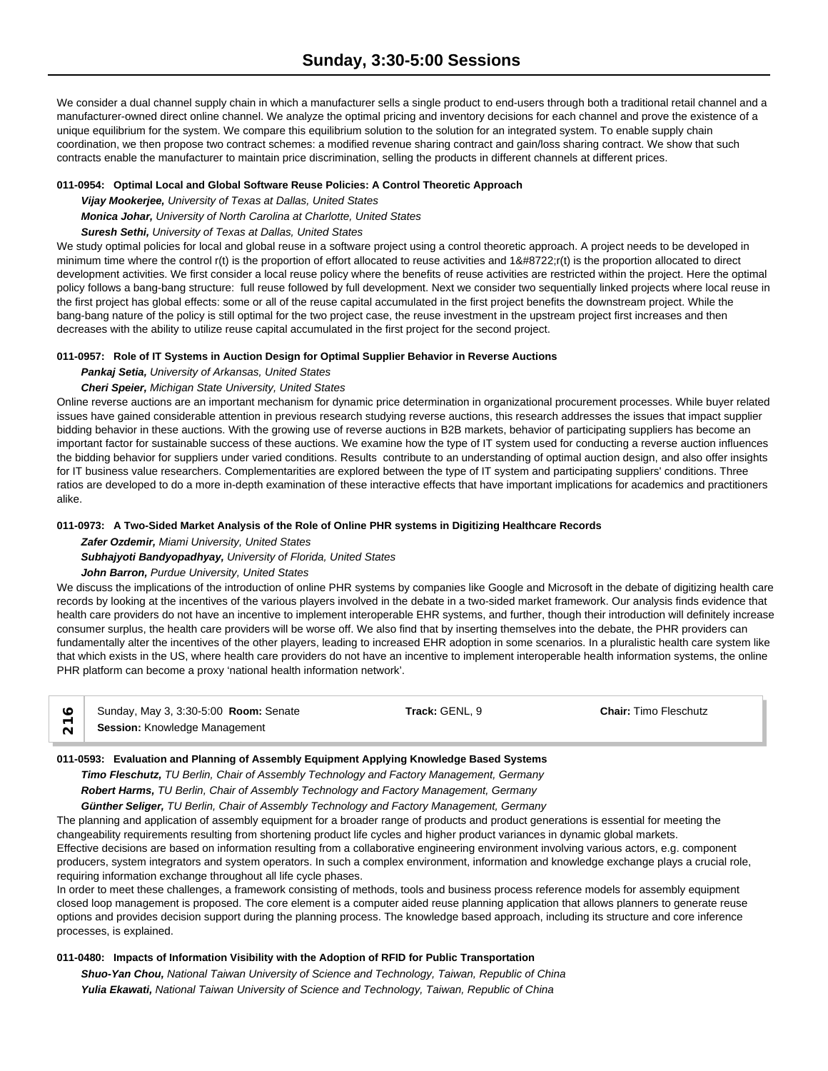We consider a dual channel supply chain in which a manufacturer sells a single product to end-users through both a traditional retail channel and a manufacturer-owned direct online channel. We analyze the optimal pricing and inventory decisions for each channel and prove the existence of a unique equilibrium for the system. We compare this equilibrium solution to the solution for an integrated system. To enable supply chain coordination, we then propose two contract schemes: a modified revenue sharing contract and gain/loss sharing contract. We show that such contracts enable the manufacturer to maintain price discrimination, selling the products in different channels at different prices.

## **011-0954: Optimal Local and Global Software Reuse Policies: A Control Theoretic Approach**

*Vijay Mookerjee, University of Texas at Dallas, United States*

*Monica Johar, University of North Carolina at Charlotte, United States*

## *Suresh Sethi, University of Texas at Dallas, United States*

We study optimal policies for local and global reuse in a software project using a control theoretic approach. A project needs to be developed in minimum time where the control r(t) is the proportion of effort allocated to reuse activities and 1−r(t) is the proportion allocated to direct development activities. We first consider a local reuse policy where the benefits of reuse activities are restricted within the project. Here the optimal policy follows a bang-bang structure: full reuse followed by full development. Next we consider two sequentially linked projects where local reuse in the first project has global effects: some or all of the reuse capital accumulated in the first project benefits the downstream project. While the bang-bang nature of the policy is still optimal for the two project case, the reuse investment in the upstream project first increases and then decreases with the ability to utilize reuse capital accumulated in the first project for the second project.

## **011-0957: Role of IT Systems in Auction Design for Optimal Supplier Behavior in Reverse Auctions**

## *Pankaj Setia, University of Arkansas, United States*

## *Cheri Speier, Michigan State University, United States*

Online reverse auctions are an important mechanism for dynamic price determination in organizational procurement processes. While buyer related issues have gained considerable attention in previous research studying reverse auctions, this research addresses the issues that impact supplier bidding behavior in these auctions. With the growing use of reverse auctions in B2B markets, behavior of participating suppliers has become an important factor for sustainable success of these auctions. We examine how the type of IT system used for conducting a reverse auction influences the bidding behavior for suppliers under varied conditions. Results contribute to an understanding of optimal auction design, and also offer insights for IT business value researchers. Complementarities are explored between the type of IT system and participating suppliers' conditions. Three ratios are developed to do a more in-depth examination of these interactive effects that have important implications for academics and practitioners alike.

## **011-0973: A Two-Sided Market Analysis of the Role of Online PHR systems in Digitizing Healthcare Records**

*Zafer Ozdemir, Miami University, United States*

## *Subhajyoti Bandyopadhyay, University of Florida, United States*

## *John Barron, Purdue University, United States*

We discuss the implications of the introduction of online PHR systems by companies like Google and Microsoft in the debate of digitizing health care records by looking at the incentives of the various players involved in the debate in a two-sided market framework. Our analysis finds evidence that health care providers do not have an incentive to implement interoperable EHR systems, and further, though their introduction will definitely increase consumer surplus, the health care providers will be worse off. We also find that by inserting themselves into the debate, the PHR providers can fundamentally alter the incentives of the other players, leading to increased EHR adoption in some scenarios. In a pluralistic health care system like that which exists in the US, where health care providers do not have an incentive to implement interoperable health information systems, the online PHR platform can become a proxy 'national health information network'.

| Sunday, May 3, 3:30-5:00 <b>Room:</b> Senate | Track: GENL. ఒ | <b>Chair: Timo Fleschutz</b> |  |
|----------------------------------------------|----------------|------------------------------|--|
| <b>Session: Knowledge Management</b>         |                |                              |  |

## **011-0593: Evaluation and Planning of Assembly Equipment Applying Knowledge Based Systems**

*Timo Fleschutz, TU Berlin, Chair of Assembly Technology and Factory Management, Germany Robert Harms, TU Berlin, Chair of Assembly Technology and Factory Management, Germany*

*Günther Seliger, TU Berlin, Chair of Assembly Technology and Factory Management, Germany*

The planning and application of assembly equipment for a broader range of products and product generations is essential for meeting the changeability requirements resulting from shortening product life cycles and higher product variances in dynamic global markets. Effective decisions are based on information resulting from a collaborative engineering environment involving various actors, e.g. component producers, system integrators and system operators. In such a complex environment, information and knowledge exchange plays a crucial role, requiring information exchange throughout all life cycle phases.

In order to meet these challenges, a framework consisting of methods, tools and business process reference models for assembly equipment closed loop management is proposed. The core element is a computer aided reuse planning application that allows planners to generate reuse options and provides decision support during the planning process. The knowledge based approach, including its structure and core inference processes, is explained.

## **011-0480: Impacts of Information Visibility with the Adoption of RFID for Public Transportation**

*Shuo-Yan Chou, National Taiwan University of Science and Technology, Taiwan, Republic of China Yulia Ekawati, National Taiwan University of Science and Technology, Taiwan, Republic of China*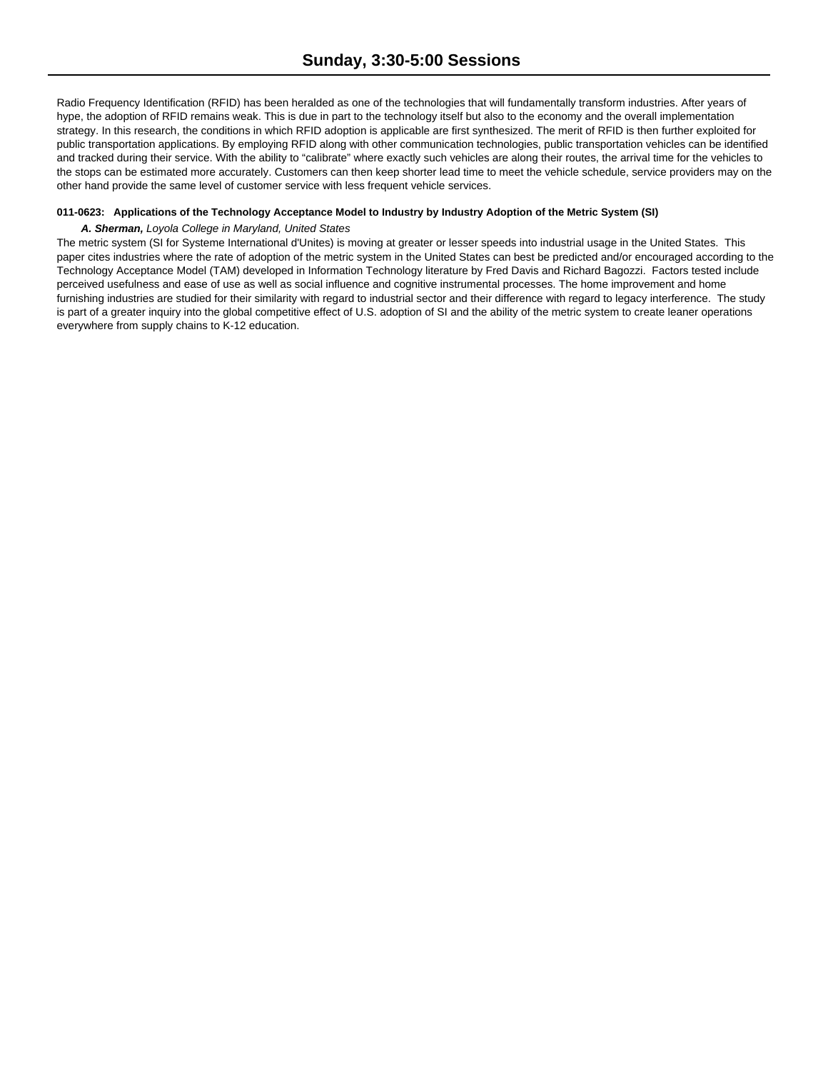Radio Frequency Identification (RFID) has been heralded as one of the technologies that will fundamentally transform industries. After years of hype, the adoption of RFID remains weak. This is due in part to the technology itself but also to the economy and the overall implementation strategy. In this research, the conditions in which RFID adoption is applicable are first synthesized. The merit of RFID is then further exploited for public transportation applications. By employing RFID along with other communication technologies, public transportation vehicles can be identified and tracked during their service. With the ability to "calibrate" where exactly such vehicles are along their routes, the arrival time for the vehicles to the stops can be estimated more accurately. Customers can then keep shorter lead time to meet the vehicle schedule, service providers may on the other hand provide the same level of customer service with less frequent vehicle services.

#### **011-0623: Applications of the Technology Acceptance Model to Industry by Industry Adoption of the Metric System (SI)**

#### *A. Sherman, Loyola College in Maryland, United States*

The metric system (SI for Systeme International d'Unites) is moving at greater or lesser speeds into industrial usage in the United States. This paper cites industries where the rate of adoption of the metric system in the United States can best be predicted and/or encouraged according to the Technology Acceptance Model (TAM) developed in Information Technology literature by Fred Davis and Richard Bagozzi. Factors tested include perceived usefulness and ease of use as well as social influence and cognitive instrumental processes. The home improvement and home furnishing industries are studied for their similarity with regard to industrial sector and their difference with regard to legacy interference. The study is part of a greater inquiry into the global competitive effect of U.S. adoption of SI and the ability of the metric system to create leaner operations everywhere from supply chains to K-12 education.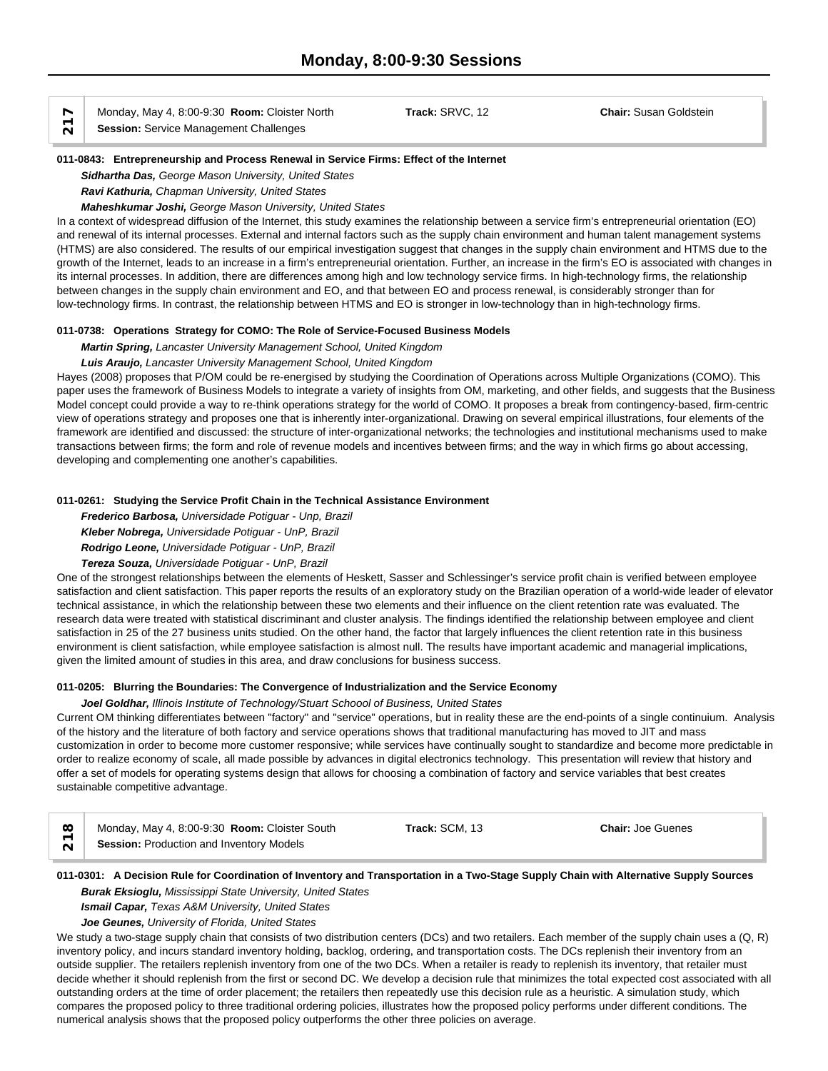$\overline{\wedge}$  **Session:** Service Management Challenges

Monday, May 4, 8:00-9:30 **Room:** Cloister North **Track:** SRVC, 12 **Chair:** Susan Goldstein

#### **011-0843: Entrepreneurship and Process Renewal in Service Firms: Effect of the Internet**

*Sidhartha Das, George Mason University, United States*

*Ravi Kathuria, Chapman University, United States*

## *Maheshkumar Joshi, George Mason University, United States*

In a context of widespread diffusion of the Internet, this study examines the relationship between a service firm's entrepreneurial orientation (EO) and renewal of its internal processes. External and internal factors such as the supply chain environment and human talent management systems (HTMS) are also considered. The results of our empirical investigation suggest that changes in the supply chain environment and HTMS due to the growth of the Internet, leads to an increase in a firm's entrepreneurial orientation. Further, an increase in the firm's EO is associated with changes in its internal processes. In addition, there are differences among high and low technology service firms. In high-technology firms, the relationship between changes in the supply chain environment and EO, and that between EO and process renewal, is considerably stronger than for low-technology firms. In contrast, the relationship between HTMS and EO is stronger in low-technology than in high-technology firms.

## **011-0738: Operations Strategy for COMO: The Role of Service-Focused Business Models**

*Martin Spring, Lancaster University Management School, United Kingdom*

## *Luis Araujo, Lancaster University Management School, United Kingdom*

Hayes (2008) proposes that P/OM could be re-energised by studying the Coordination of Operations across Multiple Organizations (COMO). This paper uses the framework of Business Models to integrate a variety of insights from OM, marketing, and other fields, and suggests that the Business Model concept could provide a way to re-think operations strategy for the world of COMO. It proposes a break from contingency-based, firm-centric view of operations strategy and proposes one that is inherently inter-organizational. Drawing on several empirical illustrations, four elements of the framework are identified and discussed: the structure of inter-organizational networks; the technologies and institutional mechanisms used to make transactions between firms; the form and role of revenue models and incentives between firms; and the way in which firms go about accessing, developing and complementing one another's capabilities.

#### **011-0261: Studying the Service Profit Chain in the Technical Assistance Environment**

*Frederico Barbosa, Universidade Potiguar - Unp, Brazil*

*Kleber Nobrega, Universidade Potiguar - UnP, Brazil*

*Rodrigo Leone, Universidade Potiguar - UnP, Brazil*

*Tereza Souza, Universidade Potiguar - UnP, Brazil*

One of the strongest relationships between the elements of Heskett, Sasser and Schlessinger's service profit chain is verified between employee satisfaction and client satisfaction. This paper reports the results of an exploratory study on the Brazilian operation of a world-wide leader of elevator technical assistance, in which the relationship between these two elements and their influence on the client retention rate was evaluated. The research data were treated with statistical discriminant and cluster analysis. The findings identified the relationship between employee and client satisfaction in 25 of the 27 business units studied. On the other hand, the factor that largely influences the client retention rate in this business environment is client satisfaction, while employee satisfaction is almost null. The results have important academic and managerial implications, given the limited amount of studies in this area, and draw conclusions for business success.

## **011-0205: Blurring the Boundaries: The Convergence of Industrialization and the Service Economy**

*Joel Goldhar, Illinois Institute of Technology/Stuart Schoool of Business, United States*

Current OM thinking differentiates between "factory" and "service" operations, but in reality these are the end-points of a single continuium. Analysis of the history and the literature of both factory and service operations shows that traditional manufacturing has moved to JIT and mass customization in order to become more customer responsive; while services have continually sought to standardize and become more predictable in order to realize economy of scale, all made possible by advances in digital electronics technology. This presentation will review that history and offer a set of models for operating systems design that allows for choosing a combination of factory and service variables that best creates sustainable competitive advantage.

|        | Monday, May 4, 8:00-9:30 Room: Cloister South   | Track: SCM, 13 | <b>Chair: Joe Guenes</b> |  |
|--------|-------------------------------------------------|----------------|--------------------------|--|
| $\sim$ | <b>Session: Production and Inventory Models</b> |                |                          |  |

## **011-0301: A Decision Rule for Coordination of Inventory and Transportation in a Two-Stage Supply Chain with Alternative Supply Sources** *Burak Eksioglu, Mississippi State University, United States*

*Ismail Capar, Texas A&M University, United States*

## *Joe Geunes, University of Florida, United States*

We study a two-stage supply chain that consists of two distribution centers (DCs) and two retailers. Each member of the supply chain uses a (Q, R) inventory policy, and incurs standard inventory holding, backlog, ordering, and transportation costs. The DCs replenish their inventory from an outside supplier. The retailers replenish inventory from one of the two DCs. When a retailer is ready to replenish its inventory, that retailer must decide whether it should replenish from the first or second DC. We develop a decision rule that minimizes the total expected cost associated with all outstanding orders at the time of order placement; the retailers then repeatedly use this decision rule as a heuristic. A simulation study, which compares the proposed policy to three traditional ordering policies, illustrates how the proposed policy performs under different conditions. The numerical analysis shows that the proposed policy outperforms the other three policies on average.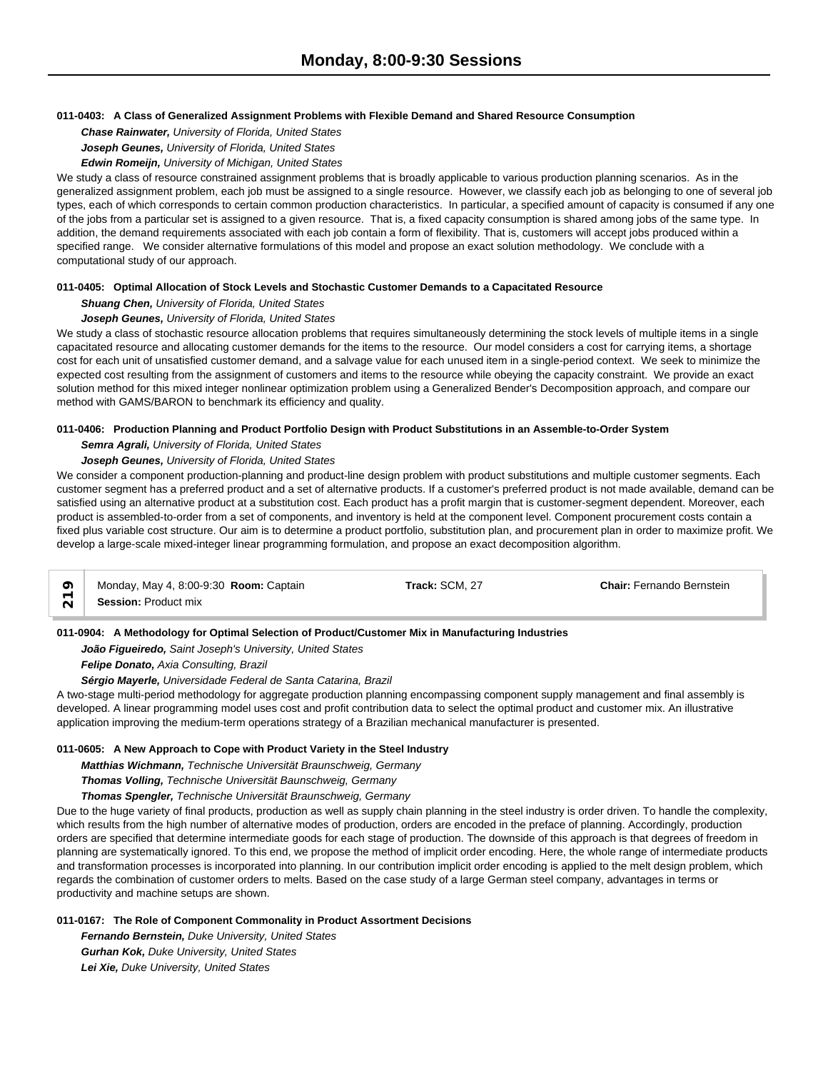## **011-0403: A Class of Generalized Assignment Problems with Flexible Demand and Shared Resource Consumption**

*Chase Rainwater, University of Florida, United States*

*Joseph Geunes, University of Florida, United States*

*Edwin Romeijn, University of Michigan, United States*

We study a class of resource constrained assignment problems that is broadly applicable to various production planning scenarios. As in the generalized assignment problem, each job must be assigned to a single resource. However, we classify each job as belonging to one of several job types, each of which corresponds to certain common production characteristics. In particular, a specified amount of capacity is consumed if any one of the jobs from a particular set is assigned to a given resource. That is, a fixed capacity consumption is shared among jobs of the same type. In addition, the demand requirements associated with each job contain a form of flexibility. That is, customers will accept jobs produced within a specified range. We consider alternative formulations of this model and propose an exact solution methodology. We conclude with a computational study of our approach.

## **011-0405: Optimal Allocation of Stock Levels and Stochastic Customer Demands to a Capacitated Resource**

*Shuang Chen, University of Florida, United States*

## *Joseph Geunes, University of Florida, United States*

We study a class of stochastic resource allocation problems that requires simultaneously determining the stock levels of multiple items in a single capacitated resource and allocating customer demands for the items to the resource. Our model considers a cost for carrying items, a shortage cost for each unit of unsatisfied customer demand, and a salvage value for each unused item in a single-period context. We seek to minimize the expected cost resulting from the assignment of customers and items to the resource while obeying the capacity constraint. We provide an exact solution method for this mixed integer nonlinear optimization problem using a Generalized Bender's Decomposition approach, and compare our method with GAMS/BARON to benchmark its efficiency and quality.

## **011-0406: Production Planning and Product Portfolio Design with Product Substitutions in an Assemble-to-Order System**

## *Semra Agrali, University of Florida, United States*

## *Joseph Geunes, University of Florida, United States*

We consider a component production-planning and product-line design problem with product substitutions and multiple customer segments. Each customer segment has a preferred product and a set of alternative products. If a customer's preferred product is not made available, demand can be satisfied using an alternative product at a substitution cost. Each product has a profit margin that is customer-segment dependent. Moreover, each product is assembled-to-order from a set of components, and inventory is held at the component level. Component procurement costs contain a fixed plus variable cost structure. Our aim is to determine a product portfolio, substitution plan, and procurement plan in order to maximize profit. We develop a large-scale mixed-integer linear programming formulation, and propose an exact decomposition algorithm.

| ⌒ | Monday, May 4, 8:00-9:30 <b>Room:</b> Captain | Frack: SCM, 27 | <b>Chair: Fernando Bernstein</b> |  |
|---|-----------------------------------------------|----------------|----------------------------------|--|
|   | <b>Session: Product mix</b>                   |                |                                  |  |

## **011-0904: A Methodology for Optimal Selection of Product/Customer Mix in Manufacturing Industries**

*João Figueiredo, Saint Joseph's University, United States*

*Felipe Donato, Axia Consulting, Brazil*

*Sérgio Mayerle, Universidade Federal de Santa Catarina, Brazil*

A two-stage multi-period methodology for aggregate production planning encompassing component supply management and final assembly is developed. A linear programming model uses cost and profit contribution data to select the optimal product and customer mix. An illustrative application improving the medium-term operations strategy of a Brazilian mechanical manufacturer is presented.

## **011-0605: A New Approach to Cope with Product Variety in the Steel Industry**

*Matthias Wichmann, Technische Universität Braunschweig, Germany*

*Thomas Volling, Technische Universität Baunschweig, Germany*

*Thomas Spengler, Technische Universität Braunschweig, Germany*

Due to the huge variety of final products, production as well as supply chain planning in the steel industry is order driven. To handle the complexity, which results from the high number of alternative modes of production, orders are encoded in the preface of planning. Accordingly, production orders are specified that determine intermediate goods for each stage of production. The downside of this approach is that degrees of freedom in planning are systematically ignored. To this end, we propose the method of implicit order encoding. Here, the whole range of intermediate products and transformation processes is incorporated into planning. In our contribution implicit order encoding is applied to the melt design problem, which regards the combination of customer orders to melts. Based on the case study of a large German steel company, advantages in terms or productivity and machine setups are shown.

**011-0167: The Role of Component Commonality in Product Assortment Decisions**

*Fernando Bernstein, Duke University, United States Gurhan Kok, Duke University, United States Lei Xie, Duke University, United States*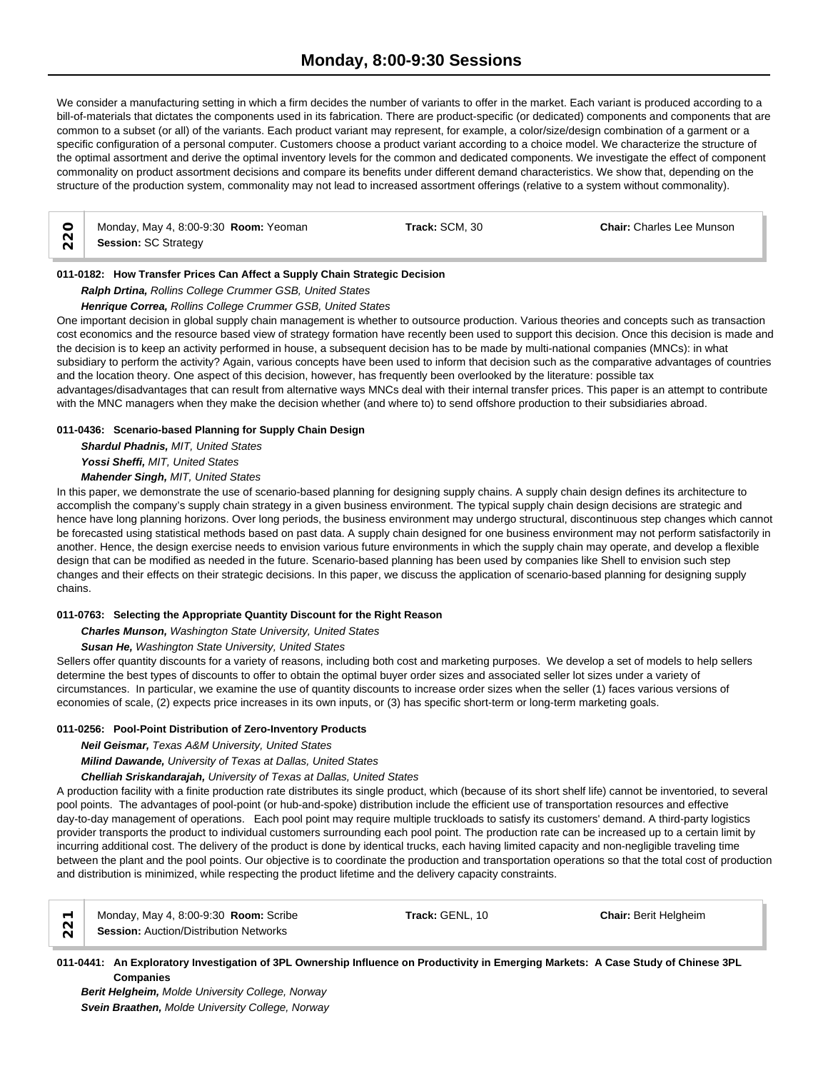We consider a manufacturing setting in which a firm decides the number of variants to offer in the market. Each variant is produced according to a bill-of-materials that dictates the components used in its fabrication. There are product-specific (or dedicated) components and components that are common to a subset (or all) of the variants. Each product variant may represent, for example, a color/size/design combination of a garment or a specific configuration of a personal computer. Customers choose a product variant according to a choice model. We characterize the structure of the optimal assortment and derive the optimal inventory levels for the common and dedicated components. We investigate the effect of component commonality on product assortment decisions and compare its benefits under different demand characteristics. We show that, depending on the structure of the production system, commonality may not lead to increased assortment offerings (relative to a system without commonality).

| Monday, May |  |
|-------------|--|

Monday, May 4, 8:00-9:30 **Room:** Yeoman **Track:** SCM, 30 **Chair:** Charles Lee Munson  $\begin{array}{c|c}\n\bigcirc \\
\bigcirc \\
\bigcirc \\
\bigcirc\n\end{array}$  **Session:** SC Strategy

**011-0182: How Transfer Prices Can Affect a Supply Chain Strategic Decision**

*Ralph Drtina, Rollins College Crummer GSB, United States*

*Henrique Correa, Rollins College Crummer GSB, United States*

One important decision in global supply chain management is whether to outsource production. Various theories and concepts such as transaction cost economics and the resource based view of strategy formation have recently been used to support this decision. Once this decision is made and the decision is to keep an activity performed in house, a subsequent decision has to be made by multi-national companies (MNCs): in what subsidiary to perform the activity? Again, various concepts have been used to inform that decision such as the comparative advantages of countries and the location theory. One aspect of this decision, however, has frequently been overlooked by the literature: possible tax advantages/disadvantages that can result from alternative ways MNCs deal with their internal transfer prices. This paper is an attempt to contribute with the MNC managers when they make the decision whether (and where to) to send offshore production to their subsidiaries abroad.

## **011-0436: Scenario-based Planning for Supply Chain Design**

*Shardul Phadnis, MIT, United States Yossi Sheffi, MIT, United States*

*Mahender Singh, MIT, United States*

In this paper, we demonstrate the use of scenario-based planning for designing supply chains. A supply chain design defines its architecture to accomplish the company's supply chain strategy in a given business environment. The typical supply chain design decisions are strategic and hence have long planning horizons. Over long periods, the business environment may undergo structural, discontinuous step changes which cannot be forecasted using statistical methods based on past data. A supply chain designed for one business environment may not perform satisfactorily in another. Hence, the design exercise needs to envision various future environments in which the supply chain may operate, and develop a flexible design that can be modified as needed in the future. Scenario-based planning has been used by companies like Shell to envision such step changes and their effects on their strategic decisions. In this paper, we discuss the application of scenario-based planning for designing supply chains.

## **011-0763: Selecting the Appropriate Quantity Discount for the Right Reason**

*Charles Munson, Washington State University, United States*

*Susan He, Washington State University, United States*

Sellers offer quantity discounts for a variety of reasons, including both cost and marketing purposes. We develop a set of models to help sellers determine the best types of discounts to offer to obtain the optimal buyer order sizes and associated seller lot sizes under a variety of circumstances. In particular, we examine the use of quantity discounts to increase order sizes when the seller (1) faces various versions of economies of scale, (2) expects price increases in its own inputs, or (3) has specific short-term or long-term marketing goals.

## **011-0256: Pool-Point Distribution of Zero-Inventory Products**

*Neil Geismar, Texas A&M University, United States*

*Milind Dawande, University of Texas at Dallas, United States*

*Chelliah Sriskandarajah, University of Texas at Dallas, United States*

A production facility with a finite production rate distributes its single product, which (because of its short shelf life) cannot be inventoried, to several pool points. The advantages of pool-point (or hub-and-spoke) distribution include the efficient use of transportation resources and effective day-to-day management of operations. Each pool point may require multiple truckloads to satisfy its customers' demand. A third-party logistics provider transports the product to individual customers surrounding each pool point. The production rate can be increased up to a certain limit by incurring additional cost. The delivery of the product is done by identical trucks, each having limited capacity and non-negligible traveling time between the plant and the pool points. Our objective is to coordinate the production and transportation operations so that the total cost of production and distribution is minimized, while respecting the product lifetime and the delivery capacity constraints.

|  | Monday, May 4, 8:00-9:30 Room: Scribe<br>Session: Auction/Distribution Networks | Track: GEN |
|--|---------------------------------------------------------------------------------|------------|
|  |                                                                                 |            |

*Berit Helgheim, Molde University College, Norway Svein Braathen, Molde University College, Norway*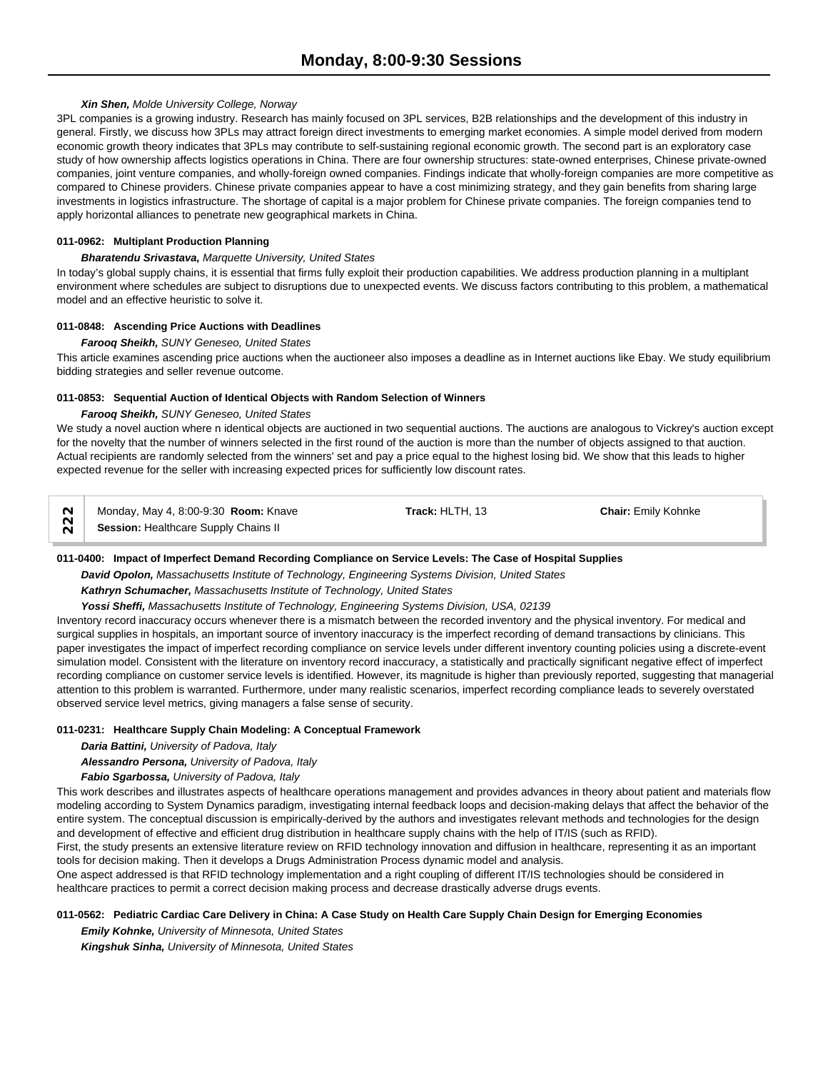# *Xin Shen, Molde University College, Norway*

3PL companies is a growing industry. Research has mainly focused on 3PL services, B2B relationships and the development of this industry in general. Firstly, we discuss how 3PLs may attract foreign direct investments to emerging market economies. A simple model derived from modern economic growth theory indicates that 3PLs may contribute to self-sustaining regional economic growth. The second part is an exploratory case study of how ownership affects logistics operations in China. There are four ownership structures: state-owned enterprises, Chinese private-owned companies, joint venture companies, and wholly-foreign owned companies. Findings indicate that wholly-foreign companies are more competitive as compared to Chinese providers. Chinese private companies appear to have a cost minimizing strategy, and they gain benefits from sharing large investments in logistics infrastructure. The shortage of capital is a major problem for Chinese private companies. The foreign companies tend to apply horizontal alliances to penetrate new geographical markets in China.

#### **011-0962: Multiplant Production Planning**

#### *Bharatendu Srivastava, Marquette University, United States*

In today's global supply chains, it is essential that firms fully exploit their production capabilities. We address production planning in a multiplant environment where schedules are subject to disruptions due to unexpected events. We discuss factors contributing to this problem, a mathematical model and an effective heuristic to solve it.

#### **011-0848: Ascending Price Auctions with Deadlines**

#### *Farooq Sheikh, SUNY Geneseo, United States*

This article examines ascending price auctions when the auctioneer also imposes a deadline as in Internet auctions like Ebay. We study equilibrium bidding strategies and seller revenue outcome.

#### **011-0853: Sequential Auction of Identical Objects with Random Selection of Winners**

#### *Farooq Sheikh, SUNY Geneseo, United States*

We study a novel auction where n identical objects are auctioned in two sequential auctions. The auctions are analogous to Vickrey's auction except for the novelty that the number of winners selected in the first round of the auction is more than the number of objects assigned to that auction. Actual recipients are randomly selected from the winners' set and pay a price equal to the highest losing bid. We show that this leads to higher expected revenue for the seller with increasing expected prices for sufficiently low discount rates.

|                | Monday, May 4, 8:00-9:30 Room: Knave | Track: HLTH, 13 | <b>Chair: Emily Kohnke</b> |  |
|----------------|--------------------------------------|-----------------|----------------------------|--|
| $\overline{N}$ | Session: Healthcare Supply Chains II |                 |                            |  |

# **011-0400: Impact of Imperfect Demand Recording Compliance on Service Levels: The Case of Hospital Supplies**

*David Opolon, Massachusetts Institute of Technology, Engineering Systems Division, United States*

*Kathryn Schumacher, Massachusetts Institute of Technology, United States*

#### *Yossi Sheffi, Massachusetts Institute of Technology, Engineering Systems Division, USA, 02139*

Inventory record inaccuracy occurs whenever there is a mismatch between the recorded inventory and the physical inventory. For medical and surgical supplies in hospitals, an important source of inventory inaccuracy is the imperfect recording of demand transactions by clinicians. This paper investigates the impact of imperfect recording compliance on service levels under different inventory counting policies using a discrete-event simulation model. Consistent with the literature on inventory record inaccuracy, a statistically and practically significant negative effect of imperfect recording compliance on customer service levels is identified. However, its magnitude is higher than previously reported, suggesting that managerial attention to this problem is warranted. Furthermore, under many realistic scenarios, imperfect recording compliance leads to severely overstated observed service level metrics, giving managers a false sense of security.

#### **011-0231: Healthcare Supply Chain Modeling: A Conceptual Framework**

*Daria Battini, University of Padova, Italy*

# *Alessandro Persona, University of Padova, Italy*

*Fabio Sgarbossa, University of Padova, Italy*

This work describes and illustrates aspects of healthcare operations management and provides advances in theory about patient and materials flow modeling according to System Dynamics paradigm, investigating internal feedback loops and decision-making delays that affect the behavior of the entire system. The conceptual discussion is empirically-derived by the authors and investigates relevant methods and technologies for the design and development of effective and efficient drug distribution in healthcare supply chains with the help of IT/IS (such as RFID).

First, the study presents an extensive literature review on RFID technology innovation and diffusion in healthcare, representing it as an important tools for decision making. Then it develops a Drugs Administration Process dynamic model and analysis.

One aspect addressed is that RFID technology implementation and a right coupling of different IT/IS technologies should be considered in healthcare practices to permit a correct decision making process and decrease drastically adverse drugs events.

#### **011-0562: Pediatric Cardiac Care Delivery in China: A Case Study on Health Care Supply Chain Design for Emerging Economies**

*Emily Kohnke, University of Minnesota, United States Kingshuk Sinha, University of Minnesota, United States*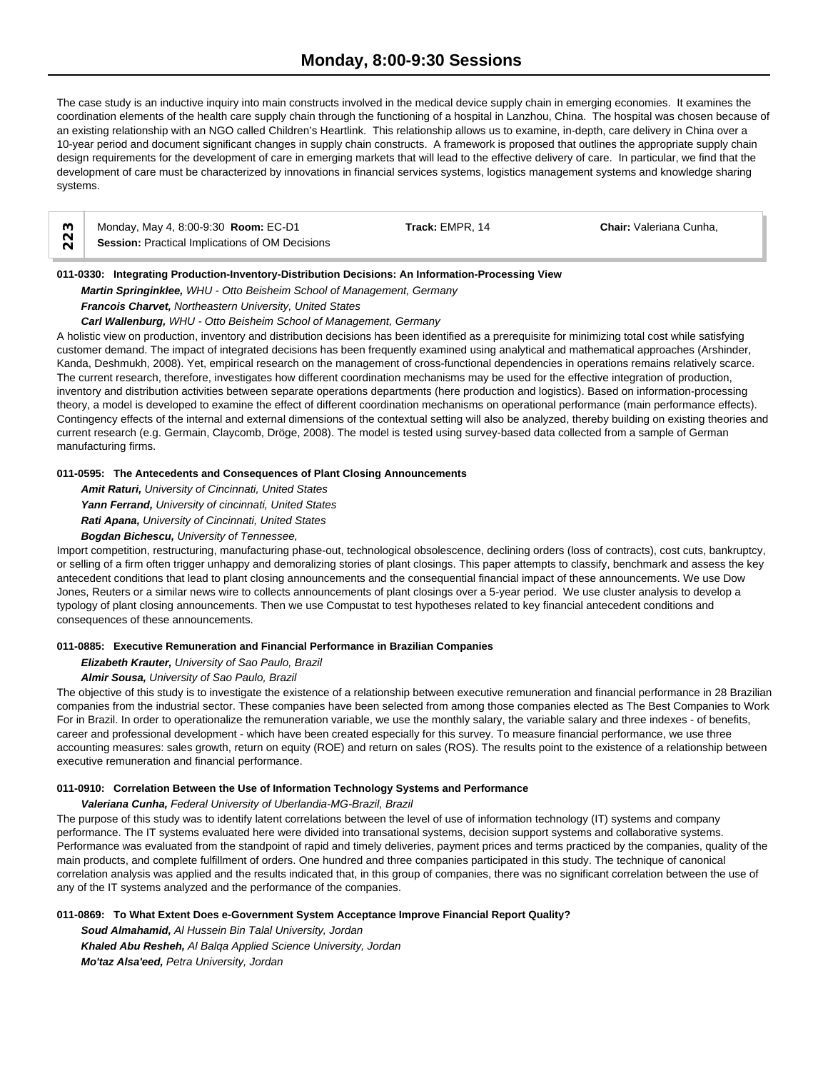The case study is an inductive inquiry into main constructs involved in the medical device supply chain in emerging economies. It examines the coordination elements of the health care supply chain through the functioning of a hospital in Lanzhou, China. The hospital was chosen because of an existing relationship with an NGO called Children's Heartlink. This relationship allows us to examine, in-depth, care delivery in China over a 10-year period and document significant changes in supply chain constructs. A framework is proposed that outlines the appropriate supply chain design requirements for the development of care in emerging markets that will lead to the effective delivery of care. In particular, we find that the development of care must be characterized by innovations in financial services systems, logistics management systems and knowledge sharing systems.

|        | Monday, May 4, 8:00-9:30 <b>Room:</b> EC-D1     | Track: EMPR, 14 | <b>Chair:</b> Valeriana Cunha. |  |
|--------|-------------------------------------------------|-----------------|--------------------------------|--|
| $\sim$ | Session: Practical Implications of OM Decisions |                 |                                |  |

#### **011-0330: Integrating Production-Inventory-Distribution Decisions: An Information-Processing View**

*Martin Springinklee, WHU - Otto Beisheim School of Management, Germany*

# *Francois Charvet, Northeastern University, United States*

*Carl Wallenburg, WHU - Otto Beisheim School of Management, Germany*

A holistic view on production, inventory and distribution decisions has been identified as a prerequisite for minimizing total cost while satisfying customer demand. The impact of integrated decisions has been frequently examined using analytical and mathematical approaches (Arshinder, Kanda, Deshmukh, 2008). Yet, empirical research on the management of cross-functional dependencies in operations remains relatively scarce. The current research, therefore, investigates how different coordination mechanisms may be used for the effective integration of production, inventory and distribution activities between separate operations departments (here production and logistics). Based on information-processing theory, a model is developed to examine the effect of different coordination mechanisms on operational performance (main performance effects). Contingency effects of the internal and external dimensions of the contextual setting will also be analyzed, thereby building on existing theories and current research (e.g. Germain, Claycomb, Dröge, 2008). The model is tested using survey-based data collected from a sample of German manufacturing firms.

# **011-0595: The Antecedents and Consequences of Plant Closing Announcements**

*Amit Raturi, University of Cincinnati, United States*

*Yann Ferrand, University of cincinnati, United States*

*Rati Apana, University of Cincinnati, United States*

*Bogdan Bichescu, University of Tennessee,* 

Import competition, restructuring, manufacturing phase-out, technological obsolescence, declining orders (loss of contracts), cost cuts, bankruptcy, or selling of a firm often trigger unhappy and demoralizing stories of plant closings. This paper attempts to classify, benchmark and assess the key antecedent conditions that lead to plant closing announcements and the consequential financial impact of these announcements. We use Dow Jones, Reuters or a similar news wire to collects announcements of plant closings over a 5-year period. We use cluster analysis to develop a typology of plant closing announcements. Then we use Compustat to test hypotheses related to key financial antecedent conditions and consequences of these announcements.

# **011-0885: Executive Remuneration and Financial Performance in Brazilian Companies**

*Elizabeth Krauter, University of Sao Paulo, Brazil*

# *Almir Sousa, University of Sao Paulo, Brazil*

The objective of this study is to investigate the existence of a relationship between executive remuneration and financial performance in 28 Brazilian companies from the industrial sector. These companies have been selected from among those companies elected as The Best Companies to Work For in Brazil. In order to operationalize the remuneration variable, we use the monthly salary, the variable salary and three indexes - of benefits, career and professional development - which have been created especially for this survey. To measure financial performance, we use three accounting measures: sales growth, return on equity (ROE) and return on sales (ROS). The results point to the existence of a relationship between executive remuneration and financial performance.

# **011-0910: Correlation Between the Use of Information Technology Systems and Performance**

# *Valeriana Cunha, Federal University of Uberlandia-MG-Brazil, Brazil*

The purpose of this study was to identify latent correlations between the level of use of information technology (IT) systems and company performance. The IT systems evaluated here were divided into transational systems, decision support systems and collaborative systems. Performance was evaluated from the standpoint of rapid and timely deliveries, payment prices and terms practiced by the companies, quality of the main products, and complete fulfillment of orders. One hundred and three companies participated in this study. The technique of canonical correlation analysis was applied and the results indicated that, in this group of companies, there was no significant correlation between the use of any of the IT systems analyzed and the performance of the companies.

# **011-0869: To What Extent Does e-Government System Acceptance Improve Financial Report Quality?**

*Soud Almahamid, Al Hussein Bin Talal University, Jordan Khaled Abu Resheh, Al Balqa Applied Science University, Jordan Mo'taz Alsa'eed, Petra University, Jordan*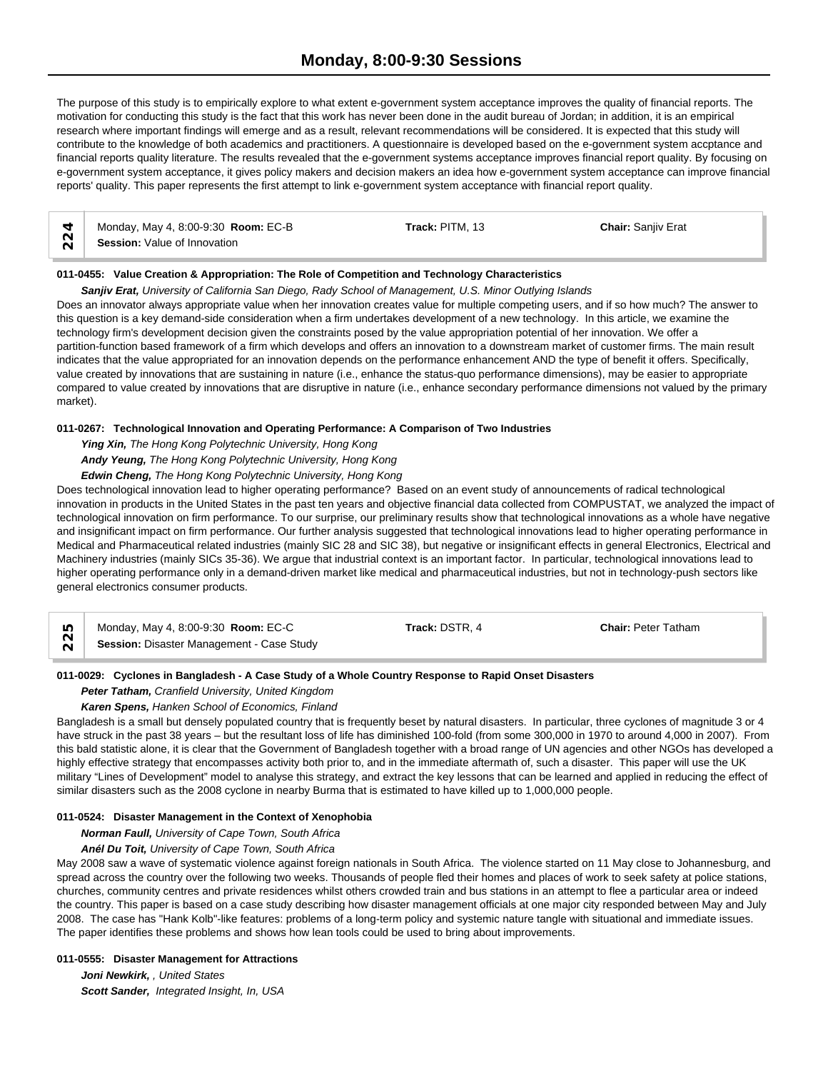# **Monday, 8:00-9:30 Sessions**

The purpose of this study is to empirically explore to what extent e-government system acceptance improves the quality of financial reports. The motivation for conducting this study is the fact that this work has never been done in the audit bureau of Jordan; in addition, it is an empirical research where important findings will emerge and as a result, relevant recommendations will be considered. It is expected that this study will contribute to the knowledge of both academics and practitioners. A questionnaire is developed based on the e-government system accptance and financial reports quality literature. The results revealed that the e-government systems acceptance improves financial report quality. By focusing on e-government system acceptance, it gives policy makers and decision makers an idea how e-government system acceptance can improve financial reports' quality. This paper represents the first attempt to link e-government system acceptance with financial report quality.

|        | Monday, May 4, 8:00-9:30 Room: EC-B | Track: PITM, 13 | <b>Chair: Sanjiv Erat</b> |
|--------|-------------------------------------|-----------------|---------------------------|
| $\sim$ | Session: Value of Innovation        |                 |                           |

#### **011-0455: Value Creation & Appropriation: The Role of Competition and Technology Characteristics**

*Sanjiv Erat, University of California San Diego, Rady School of Management, U.S. Minor Outlying Islands*

Does an innovator always appropriate value when her innovation creates value for multiple competing users, and if so how much? The answer to this question is a key demand-side consideration when a firm undertakes development of a new technology. In this article, we examine the technology firm's development decision given the constraints posed by the value appropriation potential of her innovation. We offer a partition-function based framework of a firm which develops and offers an innovation to a downstream market of customer firms. The main result indicates that the value appropriated for an innovation depends on the performance enhancement AND the type of benefit it offers. Specifically, value created by innovations that are sustaining in nature (i.e., enhance the status-quo performance dimensions), may be easier to appropriate compared to value created by innovations that are disruptive in nature (i.e., enhance secondary performance dimensions not valued by the primary market).

#### **011-0267: Technological Innovation and Operating Performance: A Comparison of Two Industries**

*Ying Xin, The Hong Kong Polytechnic University, Hong Kong*

*Andy Yeung, The Hong Kong Polytechnic University, Hong Kong*

*Edwin Cheng, The Hong Kong Polytechnic University, Hong Kong*

Does technological innovation lead to higher operating performance? Based on an event study of announcements of radical technological innovation in products in the United States in the past ten years and objective financial data collected from COMPUSTAT, we analyzed the impact of technological innovation on firm performance. To our surprise, our preliminary results show that technological innovations as a whole have negative and insignificant impact on firm performance. Our further analysis suggested that technological innovations lead to higher operating performance in Medical and Pharmaceutical related industries (mainly SIC 28 and SIC 38), but negative or insignificant effects in general Electronics, Electrical and Machinery industries (mainly SICs 35-36). We argue that industrial context is an important factor. In particular, technological innovations lead to higher operating performance only in a demand-driven market like medical and pharmaceutical industries, but not in technology-push sectors like general electronics consumer products.

Monday, May 4, 8:00-9:30 **Room:** EC-C **Track:** DSTR, 4 **Chair:** Peter Tatham **ID** Monday, May 4, 8:00-9:30 **Room: EC-C**<br> **Session:** Disaster Management - Case Study

# **011-0029: Cyclones in Bangladesh - A Case Study of a Whole Country Response to Rapid Onset Disasters**

# *Peter Tatham, Cranfield University, United Kingdom*

#### *Karen Spens, Hanken School of Economics, Finland*

Bangladesh is a small but densely populated country that is frequently beset by natural disasters. In particular, three cyclones of magnitude 3 or 4 have struck in the past 38 years – but the resultant loss of life has diminished 100-fold (from some 300,000 in 1970 to around 4,000 in 2007). From this bald statistic alone, it is clear that the Government of Bangladesh together with a broad range of UN agencies and other NGOs has developed a highly effective strategy that encompasses activity both prior to, and in the immediate aftermath of, such a disaster. This paper will use the UK military "Lines of Development" model to analyse this strategy, and extract the key lessons that can be learned and applied in reducing the effect of similar disasters such as the 2008 cyclone in nearby Burma that is estimated to have killed up to 1,000,000 people.

#### **011-0524: Disaster Management in the Context of Xenophobia**

*Norman Faull, University of Cape Town, South Africa*

*Anél Du Toit, University of Cape Town, South Africa*

May 2008 saw a wave of systematic violence against foreign nationals in South Africa. The violence started on 11 May close to Johannesburg, and spread across the country over the following two weeks. Thousands of people fled their homes and places of work to seek safety at police stations, churches, community centres and private residences whilst others crowded train and bus stations in an attempt to flee a particular area or indeed the country. This paper is based on a case study describing how disaster management officials at one major city responded between May and July 2008. The case has "Hank Kolb"-like features: problems of a long-term policy and systemic nature tangle with situational and immediate issues. The paper identifies these problems and shows how lean tools could be used to bring about improvements.

#### **011-0555: Disaster Management for Attractions**

*Joni Newkirk, , United States Scott Sander, Integrated Insight, In, USA*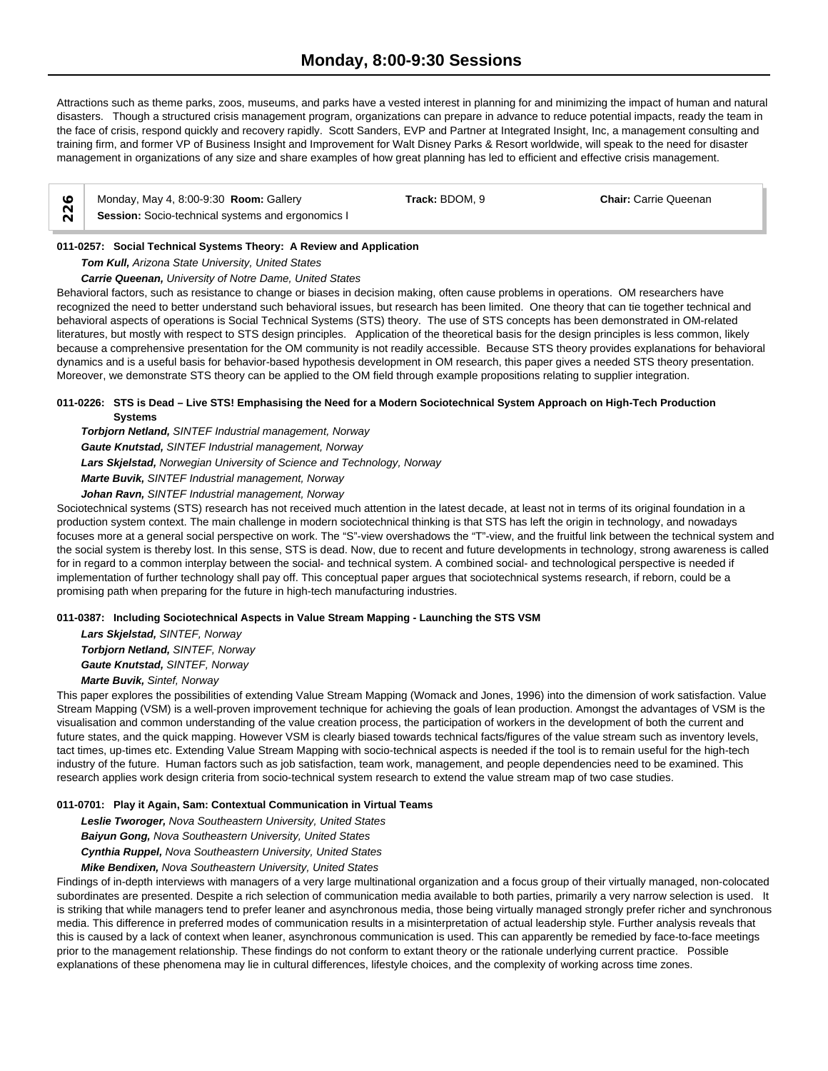Attractions such as theme parks, zoos, museums, and parks have a vested interest in planning for and minimizing the impact of human and natural disasters. Though a structured crisis management program, organizations can prepare in advance to reduce potential impacts, ready the team in the face of crisis, respond quickly and recovery rapidly. Scott Sanders, EVP and Partner at Integrated Insight, Inc, a management consulting and training firm, and former VP of Business Insight and Improvement for Walt Disney Parks & Resort worldwide, will speak to the need for disaster management in organizations of any size and share examples of how great planning has led to efficient and effective crisis management.

| Monday, May 4, 8:00-9:30 Room: Gallery            | Track: BDOM, 9 | <b>Chair: Carrie Queenan</b> |  |
|---------------------------------------------------|----------------|------------------------------|--|
| Session: Socio-technical systems and ergonomics I |                |                              |  |

# **011-0257: Social Technical Systems Theory: A Review and Application**

*Tom Kull, Arizona State University, United States*

#### *Carrie Queenan, University of Notre Dame, United States*

Behavioral factors, such as resistance to change or biases in decision making, often cause problems in operations. OM researchers have recognized the need to better understand such behavioral issues, but research has been limited. One theory that can tie together technical and behavioral aspects of operations is Social Technical Systems (STS) theory. The use of STS concepts has been demonstrated in OM-related literatures, but mostly with respect to STS design principles. Application of the theoretical basis for the design principles is less common, likely because a comprehensive presentation for the OM community is not readily accessible. Because STS theory provides explanations for behavioral dynamics and is a useful basis for behavior-based hypothesis development in OM research, this paper gives a needed STS theory presentation. Moreover, we demonstrate STS theory can be applied to the OM field through example propositions relating to supplier integration.

#### **011-0226: STS is Dead – Live STS! Emphasising the Need for a Modern Sociotechnical System Approach on High-Tech Production Systems**

*Torbjorn Netland, SINTEF Industrial management, Norway*

*Gaute Knutstad, SINTEF Industrial management, Norway*

*Lars Skjelstad, Norwegian University of Science and Technology, Norway*

*Marte Buvik, SINTEF Industrial management, Norway*

*Johan Ravn, SINTEF Industrial management, Norway*

Sociotechnical systems (STS) research has not received much attention in the latest decade, at least not in terms of its original foundation in a production system context. The main challenge in modern sociotechnical thinking is that STS has left the origin in technology, and nowadays focuses more at a general social perspective on work. The "S"-view overshadows the "T"-view, and the fruitful link between the technical system and the social system is thereby lost. In this sense, STS is dead. Now, due to recent and future developments in technology, strong awareness is called for in regard to a common interplay between the social- and technical system. A combined social- and technological perspective is needed if implementation of further technology shall pay off. This conceptual paper argues that sociotechnical systems research, if reborn, could be a promising path when preparing for the future in high-tech manufacturing industries.

# **011-0387: Including Sociotechnical Aspects in Value Stream Mapping - Launching the STS VSM**

*Lars Skjelstad, SINTEF, Norway Torbjorn Netland, SINTEF, Norway Gaute Knutstad, SINTEF, Norway Marte Buvik, Sintef, Norway*

This paper explores the possibilities of extending Value Stream Mapping (Womack and Jones, 1996) into the dimension of work satisfaction. Value Stream Mapping (VSM) is a well-proven improvement technique for achieving the goals of lean production. Amongst the advantages of VSM is the visualisation and common understanding of the value creation process, the participation of workers in the development of both the current and future states, and the quick mapping. However VSM is clearly biased towards technical facts/figures of the value stream such as inventory levels, tact times, up-times etc. Extending Value Stream Mapping with socio-technical aspects is needed if the tool is to remain useful for the high-tech industry of the future. Human factors such as job satisfaction, team work, management, and people dependencies need to be examined. This research applies work design criteria from socio-technical system research to extend the value stream map of two case studies.

# **011-0701: Play it Again, Sam: Contextual Communication in Virtual Teams**

*Leslie Tworoger, Nova Southeastern University, United States*

*Baiyun Gong, Nova Southeastern University, United States*

*Cynthia Ruppel, Nova Southeastern University, United States Mike Bendixen, Nova Southeastern University, United States*

Findings of in-depth interviews with managers of a very large multinational organization and a focus group of their virtually managed, non-colocated

subordinates are presented. Despite a rich selection of communication media available to both parties, primarily a very narrow selection is used. It is striking that while managers tend to prefer leaner and asynchronous media, those being virtually managed strongly prefer richer and synchronous media. This difference in preferred modes of communication results in a misinterpretation of actual leadership style. Further analysis reveals that this is caused by a lack of context when leaner, asynchronous communication is used. This can apparently be remedied by face-to-face meetings prior to the management relationship. These findings do not conform to extant theory or the rationale underlying current practice. Possible explanations of these phenomena may lie in cultural differences, lifestyle choices, and the complexity of working across time zones.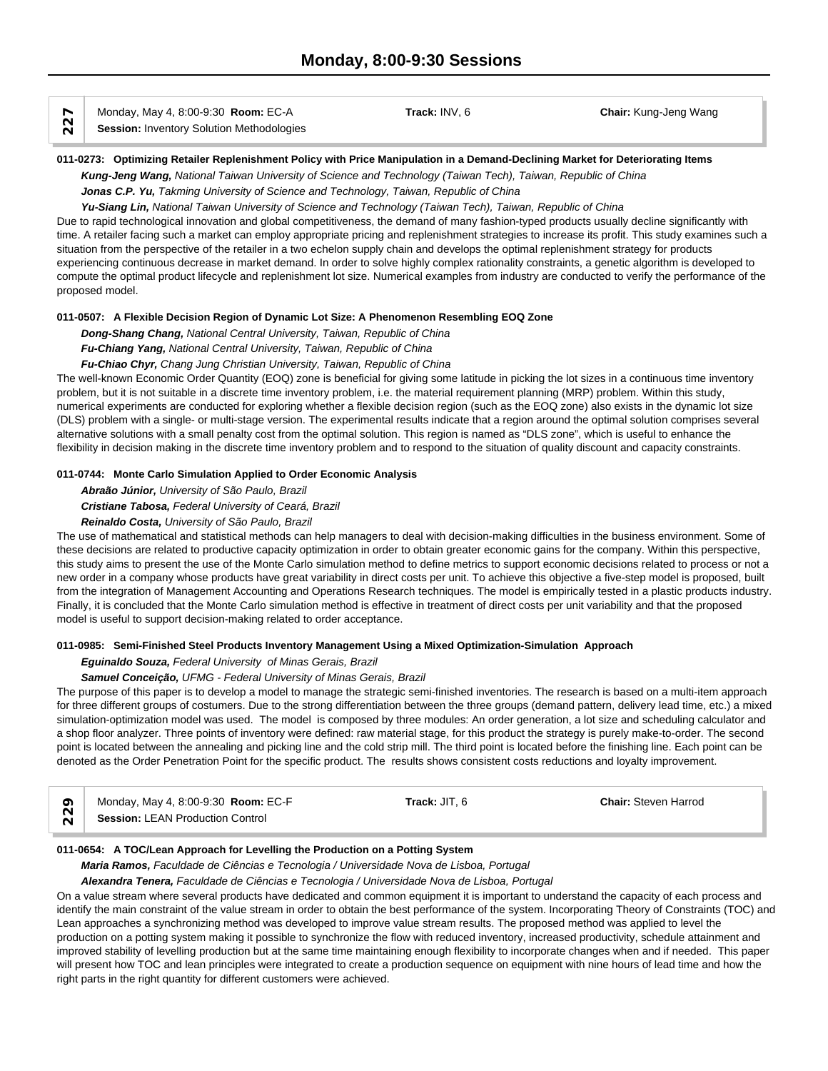| Monday, May 4, 8:00-9:30 <b>Room: EC-A</b> | Track: INV. 6 | <b>Chair:</b> Kung-Jeng Wang |  |
|--------------------------------------------|---------------|------------------------------|--|
| Session: Inventory Solution Methodologies  |               |                              |  |

#### **011-0273: Optimizing Retailer Replenishment Policy with Price Manipulation in a Demand-Declining Market for Deteriorating Items**

*Kung-Jeng Wang, National Taiwan University of Science and Technology (Taiwan Tech), Taiwan, Republic of China*

*Jonas C.P. Yu, Takming University of Science and Technology, Taiwan, Republic of China*

*Yu-Siang Lin, National Taiwan University of Science and Technology (Taiwan Tech), Taiwan, Republic of China*

Due to rapid technological innovation and global competitiveness, the demand of many fashion-typed products usually decline significantly with time. A retailer facing such a market can employ appropriate pricing and replenishment strategies to increase its profit. This study examines such a situation from the perspective of the retailer in a two echelon supply chain and develops the optimal replenishment strategy for products experiencing continuous decrease in market demand. In order to solve highly complex rationality constraints, a genetic algorithm is developed to compute the optimal product lifecycle and replenishment lot size. Numerical examples from industry are conducted to verify the performance of the proposed model.

#### **011-0507: A Flexible Decision Region of Dynamic Lot Size: A Phenomenon Resembling EOQ Zone**

*Dong-Shang Chang, National Central University, Taiwan, Republic of China Fu-Chiang Yang, National Central University, Taiwan, Republic of China*

# *Fu-Chiao Chyr, Chang Jung Christian University, Taiwan, Republic of China*

The well-known Economic Order Quantity (EOQ) zone is beneficial for giving some latitude in picking the lot sizes in a continuous time inventory problem, but it is not suitable in a discrete time inventory problem, i.e. the material requirement planning (MRP) problem. Within this study, numerical experiments are conducted for exploring whether a flexible decision region (such as the EOQ zone) also exists in the dynamic lot size (DLS) problem with a single- or multi-stage version. The experimental results indicate that a region around the optimal solution comprises several alternative solutions with a small penalty cost from the optimal solution. This region is named as "DLS zone", which is useful to enhance the flexibility in decision making in the discrete time inventory problem and to respond to the situation of quality discount and capacity constraints.

#### **011-0744: Monte Carlo Simulation Applied to Order Economic Analysis**

*Abraão Júnior, University of São Paulo, Brazil Cristiane Tabosa, Federal University of Ceará, Brazil Reinaldo Costa, University of São Paulo, Brazil*

The use of mathematical and statistical methods can help managers to deal with decision-making difficulties in the business environment. Some of these decisions are related to productive capacity optimization in order to obtain greater economic gains for the company. Within this perspective, this study aims to present the use of the Monte Carlo simulation method to define metrics to support economic decisions related to process or not a new order in a company whose products have great variability in direct costs per unit. To achieve this objective a five-step model is proposed, built from the integration of Management Accounting and Operations Research techniques. The model is empirically tested in a plastic products industry. Finally, it is concluded that the Monte Carlo simulation method is effective in treatment of direct costs per unit variability and that the proposed model is useful to support decision-making related to order acceptance.

#### **011-0985: Semi-Finished Steel Products Inventory Management Using a Mixed Optimization-Simulation Approach**

#### *Eguinaldo Souza, Federal University of Minas Gerais, Brazil*

#### *Samuel Conceição, UFMG - Federal University of Minas Gerais, Brazil*

The purpose of this paper is to develop a model to manage the strategic semi-finished inventories. The research is based on a multi-item approach for three different groups of costumers. Due to the strong differentiation between the three groups (demand pattern, delivery lead time, etc.) a mixed simulation-optimization model was used. The model is composed by three modules: An order generation, a lot size and scheduling calculator and a shop floor analyzer. Three points of inventory were defined: raw material stage, for this product the strategy is purely make-to-order. The second point is located between the annealing and picking line and the cold strip mill. The third point is located before the finishing line. Each point can be denoted as the Order Penetration Point for the specific product. The results shows consistent costs reductions and loyalty improvement.

| $\sim$ | Monday, May 4, 8:00-9:30 <b>Room:</b> EC-F | Track: JIT. | <b>Chair: Steven Harrod</b> |  |
|--------|--------------------------------------------|-------------|-----------------------------|--|
|        | <b>Session: LEAN Production Control</b>    |             |                             |  |

# **011-0654: A TOC/Lean Approach for Levelling the Production on a Potting System**

*Maria Ramos, Faculdade de Ciências e Tecnologia / Universidade Nova de Lisboa, Portugal*

*Alexandra Tenera, Faculdade de Ciências e Tecnologia / Universidade Nova de Lisboa, Portugal*

On a value stream where several products have dedicated and common equipment it is important to understand the capacity of each process and identify the main constraint of the value stream in order to obtain the best performance of the system. Incorporating Theory of Constraints (TOC) and Lean approaches a synchronizing method was developed to improve value stream results. The proposed method was applied to level the production on a potting system making it possible to synchronize the flow with reduced inventory, increased productivity, schedule attainment and improved stability of levelling production but at the same time maintaining enough flexibility to incorporate changes when and if needed. This paper will present how TOC and lean principles were integrated to create a production sequence on equipment with nine hours of lead time and how the right parts in the right quantity for different customers were achieved.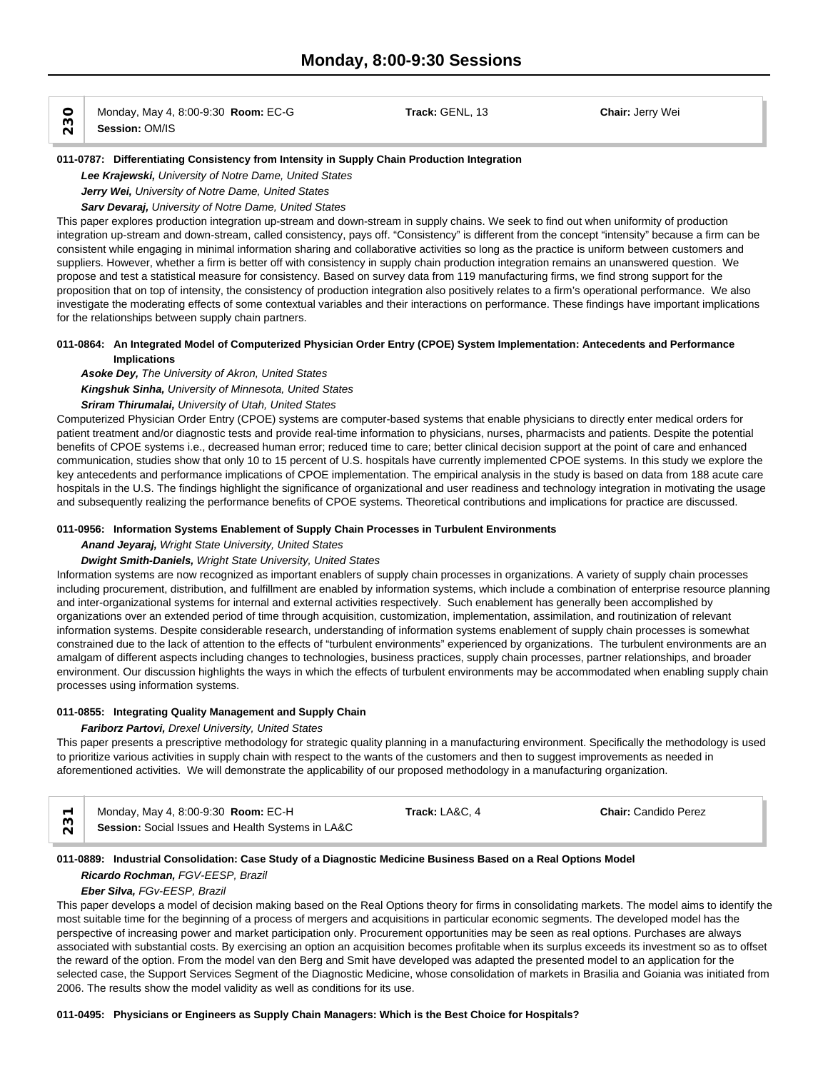$\begin{array}{c|c|c|c} \hline \text{O} & \text{Monday, May 4, 8:00-9:30 }\textbf{Room: EC-G} & \textbf{Track: GENL, 13} & \textbf{Chain: Jerry Wei} \ \hline \text{N} & \textbf{Session: OM/IS} & \textbf{Normal: } \hline \end{array}$ 

#### **011-0787: Differentiating Consistency from Intensity in Supply Chain Production Integration**

*Lee Krajewski, University of Notre Dame, United States*

*Jerry Wei, University of Notre Dame, United States*

# *Sarv Devaraj, University of Notre Dame, United States*

This paper explores production integration up-stream and down-stream in supply chains. We seek to find out when uniformity of production integration up-stream and down-stream, called consistency, pays off. "Consistency" is different from the concept "intensity" because a firm can be consistent while engaging in minimal information sharing and collaborative activities so long as the practice is uniform between customers and suppliers. However, whether a firm is better off with consistency in supply chain production integration remains an unanswered question. We propose and test a statistical measure for consistency. Based on survey data from 119 manufacturing firms, we find strong support for the proposition that on top of intensity, the consistency of production integration also positively relates to a firm's operational performance. We also investigate the moderating effects of some contextual variables and their interactions on performance. These findings have important implications for the relationships between supply chain partners.

#### **011-0864: An Integrated Model of Computerized Physician Order Entry (CPOE) System Implementation: Antecedents and Performance Implications**

*Asoke Dey, The University of Akron, United States*

*Kingshuk Sinha, University of Minnesota, United States*

*Sriram Thirumalai, University of Utah, United States*

Computerized Physician Order Entry (CPOE) systems are computer-based systems that enable physicians to directly enter medical orders for patient treatment and/or diagnostic tests and provide real-time information to physicians, nurses, pharmacists and patients. Despite the potential benefits of CPOE systems i.e., decreased human error; reduced time to care; better clinical decision support at the point of care and enhanced communication, studies show that only 10 to 15 percent of U.S. hospitals have currently implemented CPOE systems. In this study we explore the key antecedents and performance implications of CPOE implementation. The empirical analysis in the study is based on data from 188 acute care hospitals in the U.S. The findings highlight the significance of organizational and user readiness and technology integration in motivating the usage and subsequently realizing the performance benefits of CPOE systems. Theoretical contributions and implications for practice are discussed.

#### **011-0956: Information Systems Enablement of Supply Chain Processes in Turbulent Environments**

*Anand Jeyaraj, Wright State University, United States*

# *Dwight Smith-Daniels, Wright State University, United States*

Information systems are now recognized as important enablers of supply chain processes in organizations. A variety of supply chain processes including procurement, distribution, and fulfillment are enabled by information systems, which include a combination of enterprise resource planning and inter-organizational systems for internal and external activities respectively. Such enablement has generally been accomplished by organizations over an extended period of time through acquisition, customization, implementation, assimilation, and routinization of relevant information systems. Despite considerable research, understanding of information systems enablement of supply chain processes is somewhat constrained due to the lack of attention to the effects of "turbulent environments" experienced by organizations. The turbulent environments are an amalgam of different aspects including changes to technologies, business practices, supply chain processes, partner relationships, and broader environment. Our discussion highlights the ways in which the effects of turbulent environments may be accommodated when enabling supply chain processes using information systems.

#### **011-0855: Integrating Quality Management and Supply Chain**

# *Fariborz Partovi, Drexel University, United States*

This paper presents a prescriptive methodology for strategic quality planning in a manufacturing environment. Specifically the methodology is used to prioritize various activities in supply chain with respect to the wants of the customers and then to suggest improvements as needed in aforementioned activities. We will demonstrate the applicability of our proposed methodology in a manufacturing organization.

Monday, May 4, 8:00-9:30 **Room:** EC-H **Track:** LA&C, 4 **Chair:** Candido Perez **Session:** Social Issues and Health Systems in LA&C

# **011-0889: Industrial Consolidation: Case Study of a Diagnostic Medicine Business Based on a Real Options Model**

#### *Ricardo Rochman, FGV-EESP, Brazil*

# *Eber Silva, FGv-EESP, Brazil*

This paper develops a model of decision making based on the Real Options theory for firms in consolidating markets. The model aims to identify the most suitable time for the beginning of a process of mergers and acquisitions in particular economic segments. The developed model has the perspective of increasing power and market participation only. Procurement opportunities may be seen as real options. Purchases are always associated with substantial costs. By exercising an option an acquisition becomes profitable when its surplus exceeds its investment so as to offset the reward of the option. From the model van den Berg and Smit have developed was adapted the presented model to an application for the selected case, the Support Services Segment of the Diagnostic Medicine, whose consolidation of markets in Brasilia and Goiania was initiated from 2006. The results show the model validity as well as conditions for its use.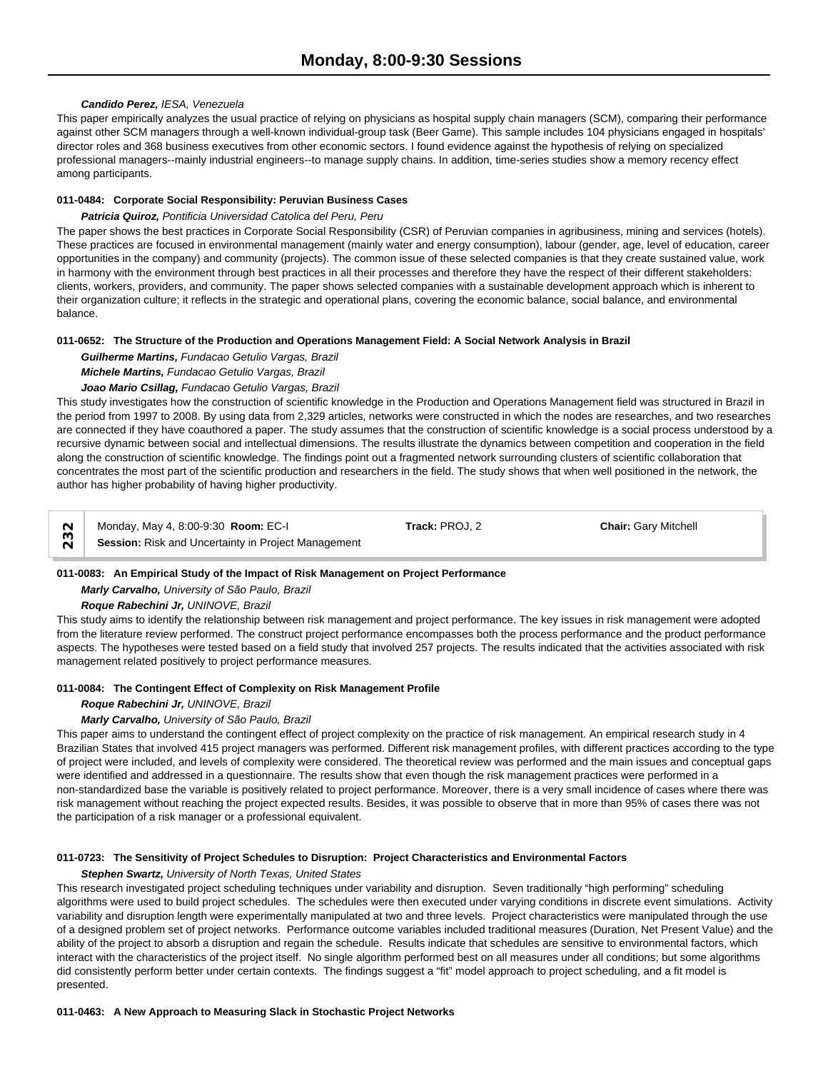#### *Candido Perez, IESA, Venezuela*

This paper empirically analyzes the usual practice of relying on physicians as hospital supply chain managers (SCM), comparing their performance against other SCM managers through a well-known individual-group task (Beer Game). This sample includes 104 physicians engaged in hospitals' director roles and 368 business executives from other economic sectors. I found evidence against the hypothesis of relying on specialized professional managers--mainly industrial engineers--to manage supply chains. In addition, time-series studies show a memory recency effect among participants.

#### **011-0484: Corporate Social Responsibility: Peruvian Business Cases**

#### *Patricia Quiroz, Pontificia Universidad Catolica del Peru, Peru*

The paper shows the best practices in Corporate Social Responsibility (CSR) of Peruvian companies in agribusiness, mining and services (hotels). These practices are focused in environmental management (mainly water and energy consumption), labour (gender, age, level of education, career opportunities in the company) and community (projects). The common issue of these selected companies is that they create sustained value, work in harmony with the environment through best practices in all their processes and therefore they have the respect of their different stakeholders: clients, workers, providers, and community. The paper shows selected companies with a sustainable development approach which is inherent to their organization culture; it reflects in the strategic and operational plans, covering the economic balance, social balance, and environmental balance.

#### **011-0652: The Structure of the Production and Operations Management Field: A Social Network Analysis in Brazil**

*Guilherme Martins, Fundacao Getulio Vargas, Brazil Michele Martins, Fundacao Getulio Vargas, Brazil Joao Mario Csillag, Fundacao Getulio Vargas, Brazil*

This study investigates how the construction of scientific knowledge in the Production and Operations Management field was structured in Brazil in the period from 1997 to 2008. By using data from 2,329 articles, networks were constructed in which the nodes are researches, and two researches are connected if they have coauthored a paper. The study assumes that the construction of scientific knowledge is a social process understood by a recursive dynamic between social and intellectual dimensions. The results illustrate the dynamics between competition and cooperation in the field along the construction of scientific knowledge. The findings point out a fragmented network surrounding clusters of scientific collaboration that concentrates the most part of the scientific production and researchers in the field. The study shows that when well positioned in the network, the author has higher probability of having higher productivity.

Monday, May 4, 8:00-9:30 **Room:** EC-I **Track:** PROJ, 2 **Chair:** Gary Mitchell **Solut Monday, May 4, 8:00-9:30 Room: EC-I**<br> **Session:** Risk and Uncertainty in Project Management

# **011-0083: An Empirical Study of the Impact of Risk Management on Project Performance**

*Marly Carvalho, University of São Paulo, Brazil*

# *Roque Rabechini Jr, UNINOVE, Brazil*

This study aims to identify the relationship between risk management and project performance. The key issues in risk management were adopted from the literature review performed. The construct project performance encompasses both the process performance and the product performance aspects. The hypotheses were tested based on a field study that involved 257 projects. The results indicated that the activities associated with risk management related positively to project performance measures.

# **011-0084: The Contingent Effect of Complexity on Risk Management Profile**

#### *Roque Rabechini Jr, UNINOVE, Brazil*

# *Marly Carvalho, University of São Paulo, Brazil*

This paper aims to understand the contingent effect of project complexity on the practice of risk management. An empirical research study in 4 Brazilian States that involved 415 project managers was performed. Different risk management profiles, with different practices according to the type of project were included, and levels of complexity were considered. The theoretical review was performed and the main issues and conceptual gaps were identified and addressed in a questionnaire. The results show that even though the risk management practices were performed in a non-standardized base the variable is positively related to project performance. Moreover, there is a very small incidence of cases where there was risk management without reaching the project expected results. Besides, it was possible to observe that in more than 95% of cases there was not the participation of a risk manager or a professional equivalent.

# **011-0723: The Sensitivity of Project Schedules to Disruption: Project Characteristics and Environmental Factors**

# *Stephen Swartz, University of North Texas, United States*

This research investigated project scheduling techniques under variability and disruption. Seven traditionally "high performing" scheduling algorithms were used to build project schedules. The schedules were then executed under varying conditions in discrete event simulations. Activity variability and disruption length were experimentally manipulated at two and three levels. Project characteristics were manipulated through the use of a designed problem set of project networks. Performance outcome variables included traditional measures (Duration, Net Present Value) and the ability of the project to absorb a disruption and regain the schedule. Results indicate that schedules are sensitive to environmental factors, which interact with the characteristics of the project itself. No single algorithm performed best on all measures under all conditions; but some algorithms did consistently perform better under certain contexts. The findings suggest a "fit" model approach to project scheduling, and a fit model is presented.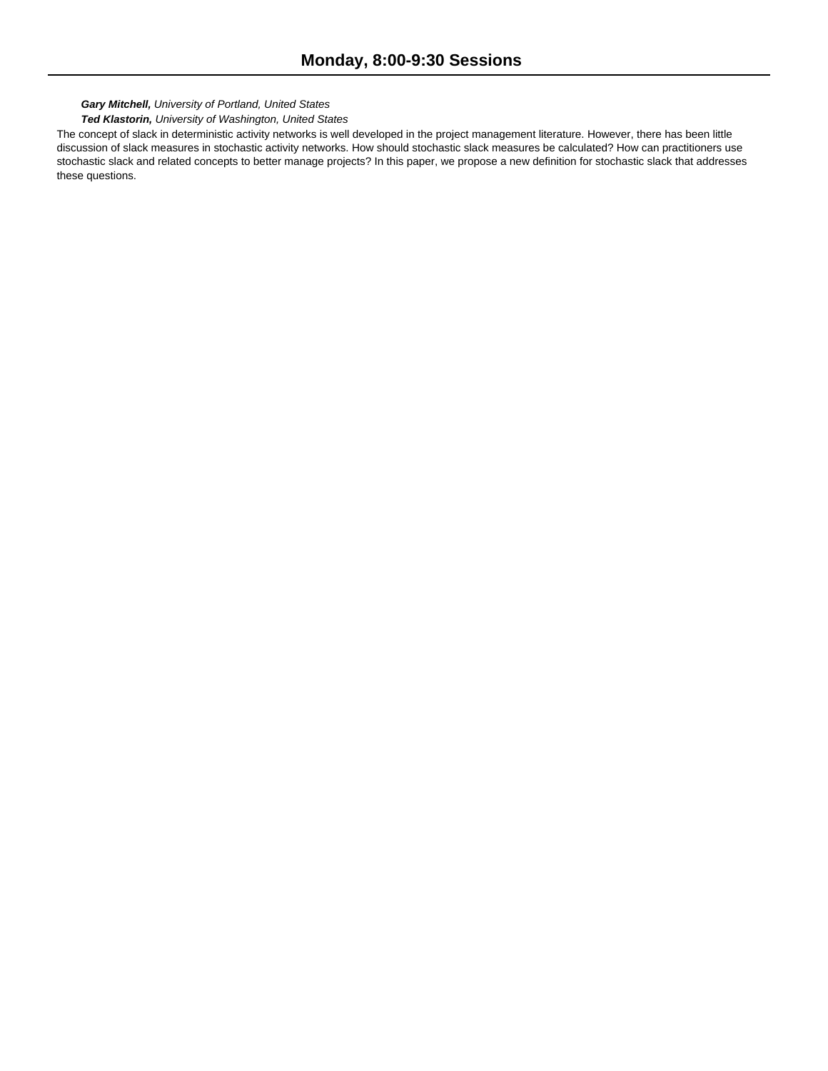# *Gary Mitchell, University of Portland, United States*

# *Ted Klastorin, University of Washington, United States*

The concept of slack in deterministic activity networks is well developed in the project management literature. However, there has been little discussion of slack measures in stochastic activity networks. How should stochastic slack measures be calculated? How can practitioners use stochastic slack and related concepts to better manage projects? In this paper, we propose a new definition for stochastic slack that addresses these questions.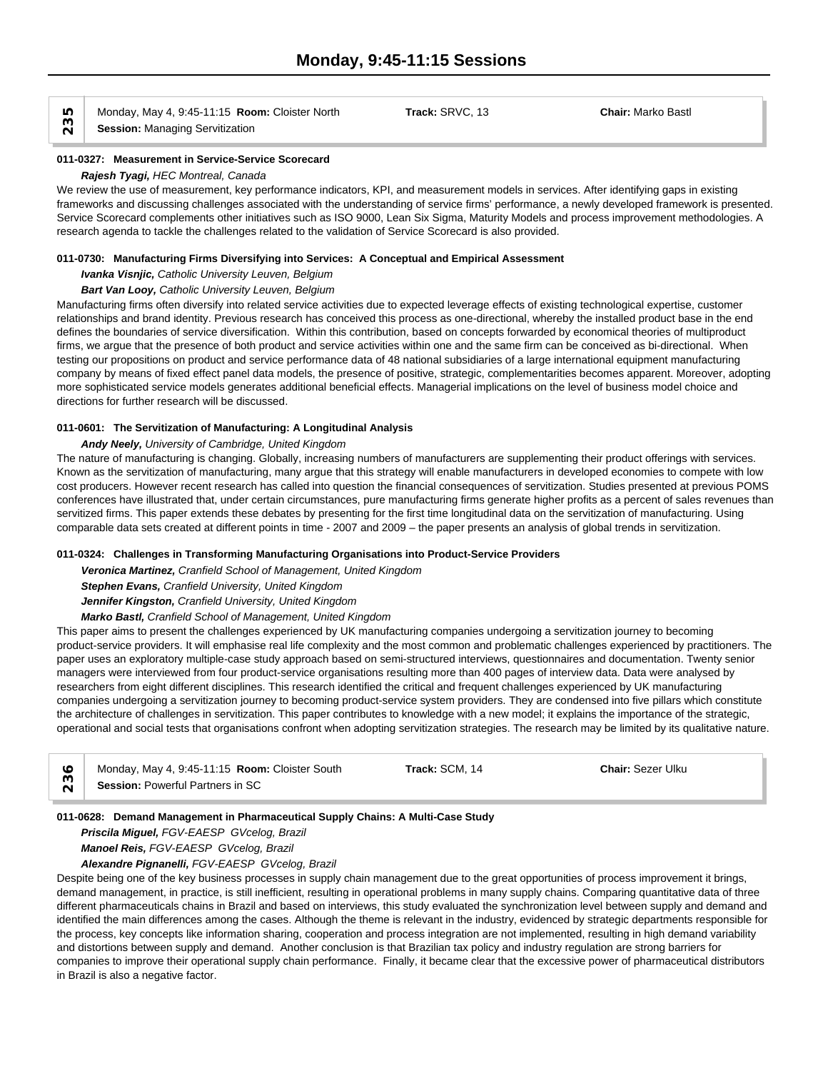Monday, May 4, 9:45-11:15 **Room:** Cloister North **Track:** SRVC, 13 **Chair:** Marko Bastl **IO** Monday, May 4, 9:45-11:15 **Roo**<br> **Session:** Managing Servitization

#### **011-0327: Measurement in Service-Service Scorecard** *Rajesh Tyagi, HEC Montreal, Canada*

We review the use of measurement, key performance indicators, KPI, and measurement models in services. After identifying gaps in existing frameworks and discussing challenges associated with the understanding of service firms' performance, a newly developed framework is presented. Service Scorecard complements other initiatives such as ISO 9000, Lean Six Sigma, Maturity Models and process improvement methodologies. A research agenda to tackle the challenges related to the validation of Service Scorecard is also provided.

#### **011-0730: Manufacturing Firms Diversifying into Services: A Conceptual and Empirical Assessment**

*Ivanka Visnjic, Catholic University Leuven, Belgium*

#### *Bart Van Looy, Catholic University Leuven, Belgium*

Manufacturing firms often diversify into related service activities due to expected leverage effects of existing technological expertise, customer relationships and brand identity. Previous research has conceived this process as one-directional, whereby the installed product base in the end defines the boundaries of service diversification. Within this contribution, based on concepts forwarded by economical theories of multiproduct firms, we argue that the presence of both product and service activities within one and the same firm can be conceived as bi-directional. When testing our propositions on product and service performance data of 48 national subsidiaries of a large international equipment manufacturing company by means of fixed effect panel data models, the presence of positive, strategic, complementarities becomes apparent. Moreover, adopting more sophisticated service models generates additional beneficial effects. Managerial implications on the level of business model choice and directions for further research will be discussed.

#### **011-0601: The Servitization of Manufacturing: A Longitudinal Analysis**

# *Andy Neely, University of Cambridge, United Kingdom*

The nature of manufacturing is changing. Globally, increasing numbers of manufacturers are supplementing their product offerings with services. Known as the servitization of manufacturing, many argue that this strategy will enable manufacturers in developed economies to compete with low cost producers. However recent research has called into question the financial consequences of servitization. Studies presented at previous POMS conferences have illustrated that, under certain circumstances, pure manufacturing firms generate higher profits as a percent of sales revenues than servitized firms. This paper extends these debates by presenting for the first time longitudinal data on the servitization of manufacturing. Using comparable data sets created at different points in time - 2007 and 2009 – the paper presents an analysis of global trends in servitization.

# **011-0324: Challenges in Transforming Manufacturing Organisations into Product-Service Providers**

*Veronica Martinez, Cranfield School of Management, United Kingdom*

*Stephen Evans, Cranfield University, United Kingdom*

*Jennifer Kingston, Cranfield University, United Kingdom*

*Marko Bastl, Cranfield School of Management, United Kingdom*

This paper aims to present the challenges experienced by UK manufacturing companies undergoing a servitization journey to becoming product-service providers. It will emphasise real life complexity and the most common and problematic challenges experienced by practitioners. The paper uses an exploratory multiple-case study approach based on semi-structured interviews, questionnaires and documentation. Twenty senior managers were interviewed from four product-service organisations resulting more than 400 pages of interview data. Data were analysed by researchers from eight different disciplines. This research identified the critical and frequent challenges experienced by UK manufacturing companies undergoing a servitization journey to becoming product-service system providers. They are condensed into five pillars which constitute the architecture of challenges in servitization. This paper contributes to knowledge with a new model; it explains the importance of the strategic, operational and social tests that organisations confront when adopting servitization strategies. The research may be limited by its qualitative nature.

|                | Monday, May 4, 9:45-11:15 Room: Cloister South | Track: SCM, 14 | <b>Chair: Sezer Ulku</b> |  |
|----------------|------------------------------------------------|----------------|--------------------------|--|
| $\overline{N}$ | Session: Powerful Partners in SC               |                |                          |  |

# **011-0628: Demand Management in Pharmaceutical Supply Chains: A Multi-Case Study**

*Priscila Miguel, FGV-EAESP GVcelog, Brazil*

*Manoel Reis, FGV-EAESP GVcelog, Brazil*

# *Alexandre Pignanelli, FGV-EAESP GVcelog, Brazil*

Despite being one of the key business processes in supply chain management due to the great opportunities of process improvement it brings, demand management, in practice, is still inefficient, resulting in operational problems in many supply chains. Comparing quantitative data of three different pharmaceuticals chains in Brazil and based on interviews, this study evaluated the synchronization level between supply and demand and identified the main differences among the cases. Although the theme is relevant in the industry, evidenced by strategic departments responsible for the process, key concepts like information sharing, cooperation and process integration are not implemented, resulting in high demand variability and distortions between supply and demand. Another conclusion is that Brazilian tax policy and industry regulation are strong barriers for companies to improve their operational supply chain performance. Finally, it became clear that the excessive power of pharmaceutical distributors in Brazil is also a negative factor.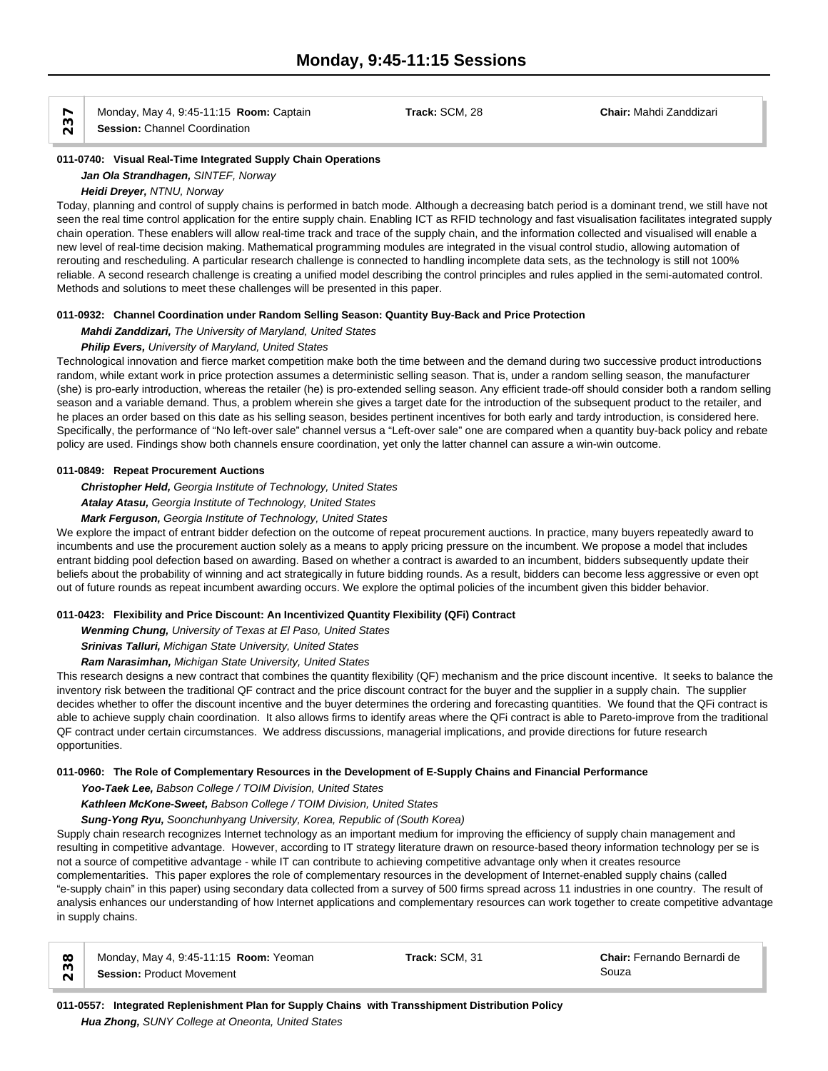Monday, May 4, 9:45-11:15 **Room:** Captain **Track:** SCM, 28 **Chair:** Mahdi Zanddizari **Session:** Channel Coordination

**011-0740: Visual Real-Time Integrated Supply Chain Operations**

# *Jan Ola Strandhagen, SINTEF, Norway*

*Heidi Dreyer, NTNU, Norway*

Today, planning and control of supply chains is performed in batch mode. Although a decreasing batch period is a dominant trend, we still have not seen the real time control application for the entire supply chain. Enabling ICT as RFID technology and fast visualisation facilitates integrated supply chain operation. These enablers will allow real-time track and trace of the supply chain, and the information collected and visualised will enable a new level of real-time decision making. Mathematical programming modules are integrated in the visual control studio, allowing automation of rerouting and rescheduling. A particular research challenge is connected to handling incomplete data sets, as the technology is still not 100% reliable. A second research challenge is creating a unified model describing the control principles and rules applied in the semi-automated control. Methods and solutions to meet these challenges will be presented in this paper.

# **011-0932: Channel Coordination under Random Selling Season: Quantity Buy-Back and Price Protection**

*Mahdi Zanddizari, The University of Maryland, United States*

# *Philip Evers, University of Maryland, United States*

Technological innovation and fierce market competition make both the time between and the demand during two successive product introductions random, while extant work in price protection assumes a deterministic selling season. That is, under a random selling season, the manufacturer (she) is pro-early introduction, whereas the retailer (he) is pro-extended selling season. Any efficient trade-off should consider both a random selling season and a variable demand. Thus, a problem wherein she gives a target date for the introduction of the subsequent product to the retailer, and he places an order based on this date as his selling season, besides pertinent incentives for both early and tardy introduction, is considered here. Specifically, the performance of "No left-over sale" channel versus a "Left-over sale" one are compared when a quantity buy-back policy and rebate policy are used. Findings show both channels ensure coordination, yet only the latter channel can assure a win-win outcome.

# **011-0849: Repeat Procurement Auctions**

*Christopher Held, Georgia Institute of Technology, United States Atalay Atasu, Georgia Institute of Technology, United States*

# *Mark Ferguson, Georgia Institute of Technology, United States*

We explore the impact of entrant bidder defection on the outcome of repeat procurement auctions. In practice, many buyers repeatedly award to incumbents and use the procurement auction solely as a means to apply pricing pressure on the incumbent. We propose a model that includes entrant bidding pool defection based on awarding. Based on whether a contract is awarded to an incumbent, bidders subsequently update their beliefs about the probability of winning and act strategically in future bidding rounds. As a result, bidders can become less aggressive or even opt out of future rounds as repeat incumbent awarding occurs. We explore the optimal policies of the incumbent given this bidder behavior.

# **011-0423: Flexibility and Price Discount: An Incentivized Quantity Flexibility (QFi) Contract**

*Wenming Chung, University of Texas at El Paso, United States*

*Srinivas Talluri, Michigan State University, United States*

# *Ram Narasimhan, Michigan State University, United States*

This research designs a new contract that combines the quantity flexibility (QF) mechanism and the price discount incentive. It seeks to balance the inventory risk between the traditional QF contract and the price discount contract for the buyer and the supplier in a supply chain. The supplier decides whether to offer the discount incentive and the buyer determines the ordering and forecasting quantities. We found that the QFi contract is able to achieve supply chain coordination. It also allows firms to identify areas where the QFi contract is able to Pareto-improve from the traditional QF contract under certain circumstances. We address discussions, managerial implications, and provide directions for future research opportunities.

# **011-0960: The Role of Complementary Resources in the Development of E-Supply Chains and Financial Performance**

*Yoo-Taek Lee, Babson College / TOIM Division, United States*

# *Kathleen McKone-Sweet, Babson College / TOIM Division, United States*

# *Sung-Yong Ryu, Soonchunhyang University, Korea, Republic of (South Korea)*

Supply chain research recognizes Internet technology as an important medium for improving the efficiency of supply chain management and resulting in competitive advantage. However, according to IT strategy literature drawn on resource-based theory information technology per se is not a source of competitive advantage - while IT can contribute to achieving competitive advantage only when it creates resource complementarities. This paper explores the role of complementary resources in the development of Internet-enabled supply chains (called "e-supply chain" in this paper) using secondary data collected from a survey of 500 firms spread across 11 industries in one country. The result of analysis enhances our understanding of how Internet applications and complementary resources can work together to create competitive advantage in supply chains.

W Monday, May 4, 9:45-11:15 **Room:** Yeoman **Billiam State: Some Souza** 231 **Chair:**<br> **Session:** Product Movement **Comment** Souza

Monday, May 4, 9:45-11:15 **Room:** Yeoman **Track:** SCM, 31 **Chair:** Fernando Bernardi de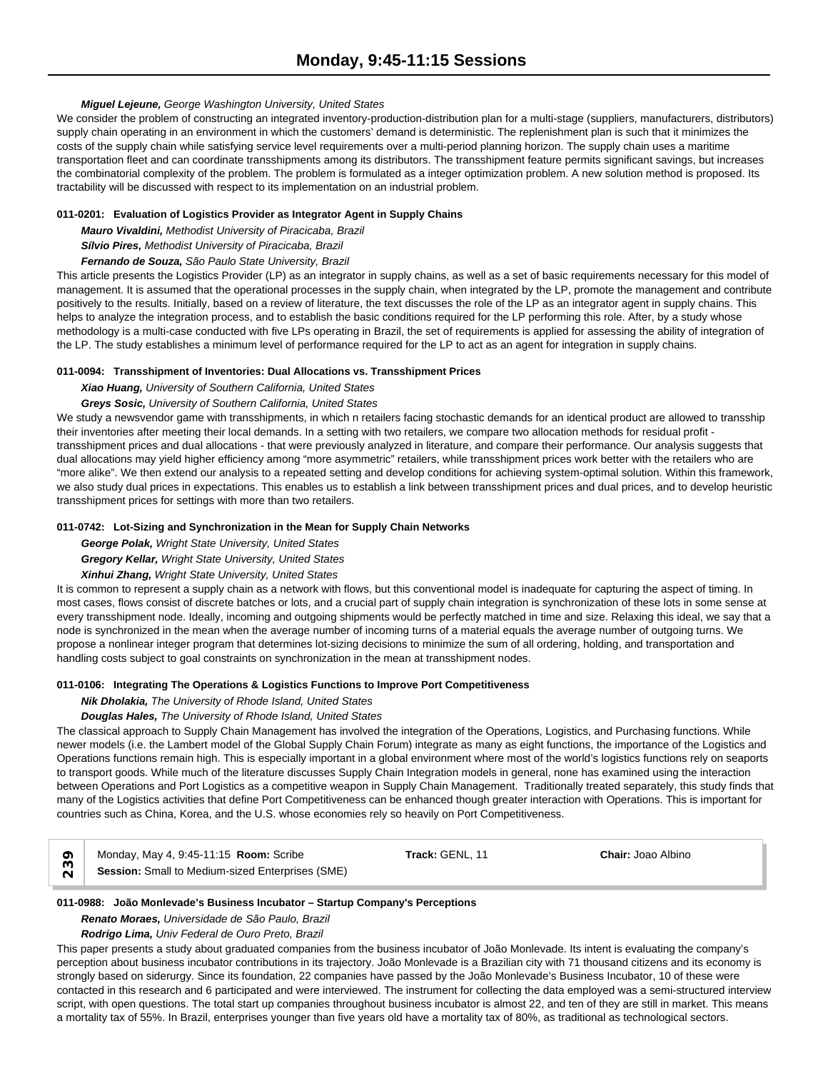# *Miguel Lejeune, George Washington University, United States*

We consider the problem of constructing an integrated inventory-production-distribution plan for a multi-stage (suppliers, manufacturers, distributors) supply chain operating in an environment in which the customers' demand is deterministic. The replenishment plan is such that it minimizes the costs of the supply chain while satisfying service level requirements over a multi-period planning horizon. The supply chain uses a maritime transportation fleet and can coordinate transshipments among its distributors. The transshipment feature permits significant savings, but increases the combinatorial complexity of the problem. The problem is formulated as a integer optimization problem. A new solution method is proposed. Its tractability will be discussed with respect to its implementation on an industrial problem.

# **011-0201: Evaluation of Logistics Provider as Integrator Agent in Supply Chains**

*Mauro Vivaldini, Methodist University of Piracicaba, Brazil Sílvio Pires, Methodist University of Piracicaba, Brazil*

# *Fernando de Souza, São Paulo State University, Brazil*

This article presents the Logistics Provider (LP) as an integrator in supply chains, as well as a set of basic requirements necessary for this model of management. It is assumed that the operational processes in the supply chain, when integrated by the LP, promote the management and contribute positively to the results. Initially, based on a review of literature, the text discusses the role of the LP as an integrator agent in supply chains. This helps to analyze the integration process, and to establish the basic conditions required for the LP performing this role. After, by a study whose methodology is a multi-case conducted with five LPs operating in Brazil, the set of requirements is applied for assessing the ability of integration of the LP. The study establishes a minimum level of performance required for the LP to act as an agent for integration in supply chains.

#### **011-0094: Transshipment of Inventories: Dual Allocations vs. Transshipment Prices**

*Xiao Huang, University of Southern California, United States*

# *Greys Sosic, University of Southern California, United States*

We study a newsvendor game with transshipments, in which n retailers facing stochastic demands for an identical product are allowed to transship their inventories after meeting their local demands. In a setting with two retailers, we compare two allocation methods for residual profit transshipment prices and dual allocations - that were previously analyzed in literature, and compare their performance. Our analysis suggests that dual allocations may yield higher efficiency among "more asymmetric" retailers, while transshipment prices work better with the retailers who are "more alike". We then extend our analysis to a repeated setting and develop conditions for achieving system-optimal solution. Within this framework, we also study dual prices in expectations. This enables us to establish a link between transshipment prices and dual prices, and to develop heuristic transshipment prices for settings with more than two retailers.

#### **011-0742: Lot-Sizing and Synchronization in the Mean for Supply Chain Networks**

*George Polak, Wright State University, United States*

*Gregory Kellar, Wright State University, United States*

*Xinhui Zhang, Wright State University, United States*

It is common to represent a supply chain as a network with flows, but this conventional model is inadequate for capturing the aspect of timing. In most cases, flows consist of discrete batches or lots, and a crucial part of supply chain integration is synchronization of these lots in some sense at every transshipment node. Ideally, incoming and outgoing shipments would be perfectly matched in time and size. Relaxing this ideal, we say that a node is synchronized in the mean when the average number of incoming turns of a material equals the average number of outgoing turns. We propose a nonlinear integer program that determines lot-sizing decisions to minimize the sum of all ordering, holding, and transportation and handling costs subject to goal constraints on synchronization in the mean at transshipment nodes.

# **011-0106: Integrating The Operations & Logistics Functions to Improve Port Competitiveness**

# *Nik Dholakia, The University of Rhode Island, United States*

# *Douglas Hales, The University of Rhode Island, United States*

The classical approach to Supply Chain Management has involved the integration of the Operations, Logistics, and Purchasing functions. While newer models (i.e. the Lambert model of the Global Supply Chain Forum) integrate as many as eight functions, the importance of the Logistics and Operations functions remain high. This is especially important in a global environment where most of the world's logistics functions rely on seaports to transport goods. While much of the literature discusses Supply Chain Integration models in general, none has examined using the interaction between Operations and Port Logistics as a competitive weapon in Supply Chain Management. Traditionally treated separately, this study finds that many of the Logistics activities that define Port Competitiveness can be enhanced though greater interaction with Operations. This is important for countries such as China, Korea, and the U.S. whose economies rely so heavily on Port Competitiveness.

| Monday, May 4, 9:45-11:15 <b>Room:</b> Scribe<br><b>Track:</b> GENL. 11<br><b>Chair:</b> Joao Albino<br>Session: Small to Medium-sized Enterprises (SME) |  |
|----------------------------------------------------------------------------------------------------------------------------------------------------------|--|
|----------------------------------------------------------------------------------------------------------------------------------------------------------|--|

# **011-0988: João Monlevade's Business Incubator – Startup Company's Perceptions**

*Renato Moraes, Universidade de São Paulo, Brazil*

*Rodrigo Lima, Univ Federal de Ouro Preto, Brazil*

This paper presents a study about graduated companies from the business incubator of João Monlevade. Its intent is evaluating the company's perception about business incubator contributions in its trajectory. João Monlevade is a Brazilian city with 71 thousand citizens and its economy is strongly based on siderurgy. Since its foundation, 22 companies have passed by the João Monlevade's Business Incubator, 10 of these were contacted in this research and 6 participated and were interviewed. The instrument for collecting the data employed was a semi-structured interview script, with open questions. The total start up companies throughout business incubator is almost 22, and ten of they are still in market. This means a mortality tax of 55%. In Brazil, enterprises younger than five years old have a mortality tax of 80%, as traditional as technological sectors.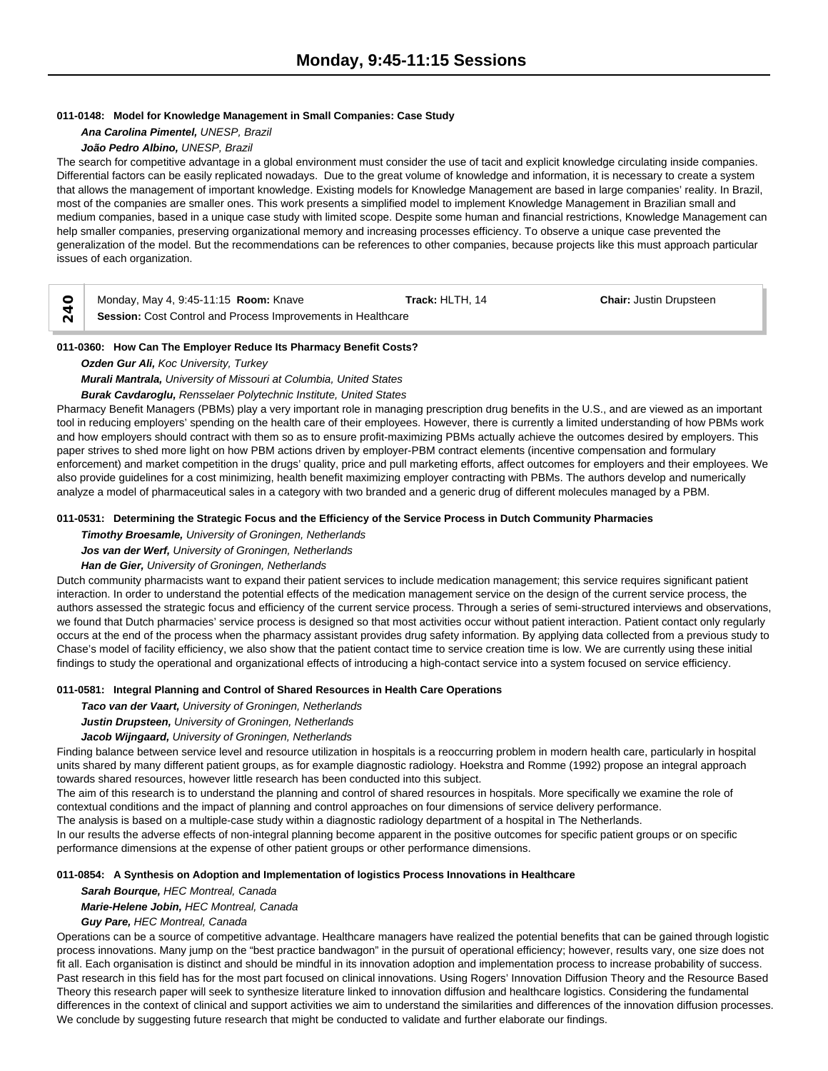#### **011-0148: Model for Knowledge Management in Small Companies: Case Study**

*Ana Carolina Pimentel, UNESP, Brazil*

# *João Pedro Albino, UNESP, Brazil*

The search for competitive advantage in a global environment must consider the use of tacit and explicit knowledge circulating inside companies. Differential factors can be easily replicated nowadays. Due to the great volume of knowledge and information, it is necessary to create a system that allows the management of important knowledge. Existing models for Knowledge Management are based in large companies' reality. In Brazil, most of the companies are smaller ones. This work presents a simplified model to implement Knowledge Management in Brazilian small and medium companies, based in a unique case study with limited scope. Despite some human and financial restrictions, Knowledge Management can help smaller companies, preserving organizational memory and increasing processes efficiency. To observe a unique case prevented the generalization of the model. But the recommendations can be references to other companies, because projects like this must approach particular issues of each organization.

| Monday, May 4, 9:45-11:15 <b>Room:</b> Knave                        | Track: HLTH, 14 | <b>Chair:</b> Justin Drupsteen |
|---------------------------------------------------------------------|-----------------|--------------------------------|
| <b>Session:</b> Cost Control and Process Improvements in Healthcare |                 |                                |

**011-0360: How Can The Employer Reduce Its Pharmacy Benefit Costs?**

*Ozden Gur Ali, Koc University, Turkey*

*Murali Mantrala, University of Missouri at Columbia, United States*

*Burak Cavdaroglu, Rensselaer Polytechnic Institute, United States*

Pharmacy Benefit Managers (PBMs) play a very important role in managing prescription drug benefits in the U.S., and are viewed as an important tool in reducing employers' spending on the health care of their employees. However, there is currently a limited understanding of how PBMs work and how employers should contract with them so as to ensure profit-maximizing PBMs actually achieve the outcomes desired by employers. This paper strives to shed more light on how PBM actions driven by employer-PBM contract elements (incentive compensation and formulary enforcement) and market competition in the drugs' quality, price and pull marketing efforts, affect outcomes for employers and their employees. We also provide guidelines for a cost minimizing, health benefit maximizing employer contracting with PBMs. The authors develop and numerically analyze a model of pharmaceutical sales in a category with two branded and a generic drug of different molecules managed by a PBM.

# **011-0531: Determining the Strategic Focus and the Efficiency of the Service Process in Dutch Community Pharmacies**

*Timothy Broesamle, University of Groningen, Netherlands*

*Jos van der Werf, University of Groningen, Netherlands*

# *Han de Gier, University of Groningen, Netherlands*

Dutch community pharmacists want to expand their patient services to include medication management; this service requires significant patient interaction. In order to understand the potential effects of the medication management service on the design of the current service process, the authors assessed the strategic focus and efficiency of the current service process. Through a series of semi-structured interviews and observations, we found that Dutch pharmacies' service process is designed so that most activities occur without patient interaction. Patient contact only regularly occurs at the end of the process when the pharmacy assistant provides drug safety information. By applying data collected from a previous study to Chase's model of facility efficiency, we also show that the patient contact time to service creation time is low. We are currently using these initial findings to study the operational and organizational effects of introducing a high-contact service into a system focused on service efficiency.

# **011-0581: Integral Planning and Control of Shared Resources in Health Care Operations**

*Taco van der Vaart, University of Groningen, Netherlands*

*Justin Drupsteen, University of Groningen, Netherlands*

*Jacob Wijngaard, University of Groningen, Netherlands*

Finding balance between service level and resource utilization in hospitals is a reoccurring problem in modern health care, particularly in hospital units shared by many different patient groups, as for example diagnostic radiology. Hoekstra and Romme (1992) propose an integral approach towards shared resources, however little research has been conducted into this subject.

The aim of this research is to understand the planning and control of shared resources in hospitals. More specifically we examine the role of contextual conditions and the impact of planning and control approaches on four dimensions of service delivery performance.

The analysis is based on a multiple-case study within a diagnostic radiology department of a hospital in The Netherlands.

In our results the adverse effects of non-integral planning become apparent in the positive outcomes for specific patient groups or on specific performance dimensions at the expense of other patient groups or other performance dimensions.

# **011-0854: A Synthesis on Adoption and Implementation of logistics Process Innovations in Healthcare**

*Sarah Bourque, HEC Montreal, Canada*

*Marie-Helene Jobin, HEC Montreal, Canada*

# *Guy Pare, HEC Montreal, Canada*

Operations can be a source of competitive advantage. Healthcare managers have realized the potential benefits that can be gained through logistic process innovations. Many jump on the "best practice bandwagon" in the pursuit of operational efficiency; however, results vary, one size does not fit all. Each organisation is distinct and should be mindful in its innovation adoption and implementation process to increase probability of success. Past research in this field has for the most part focused on clinical innovations. Using Rogers' Innovation Diffusion Theory and the Resource Based Theory this research paper will seek to synthesize literature linked to innovation diffusion and healthcare logistics. Considering the fundamental differences in the context of clinical and support activities we aim to understand the similarities and differences of the innovation diffusion processes. We conclude by suggesting future research that might be conducted to validate and further elaborate our findings.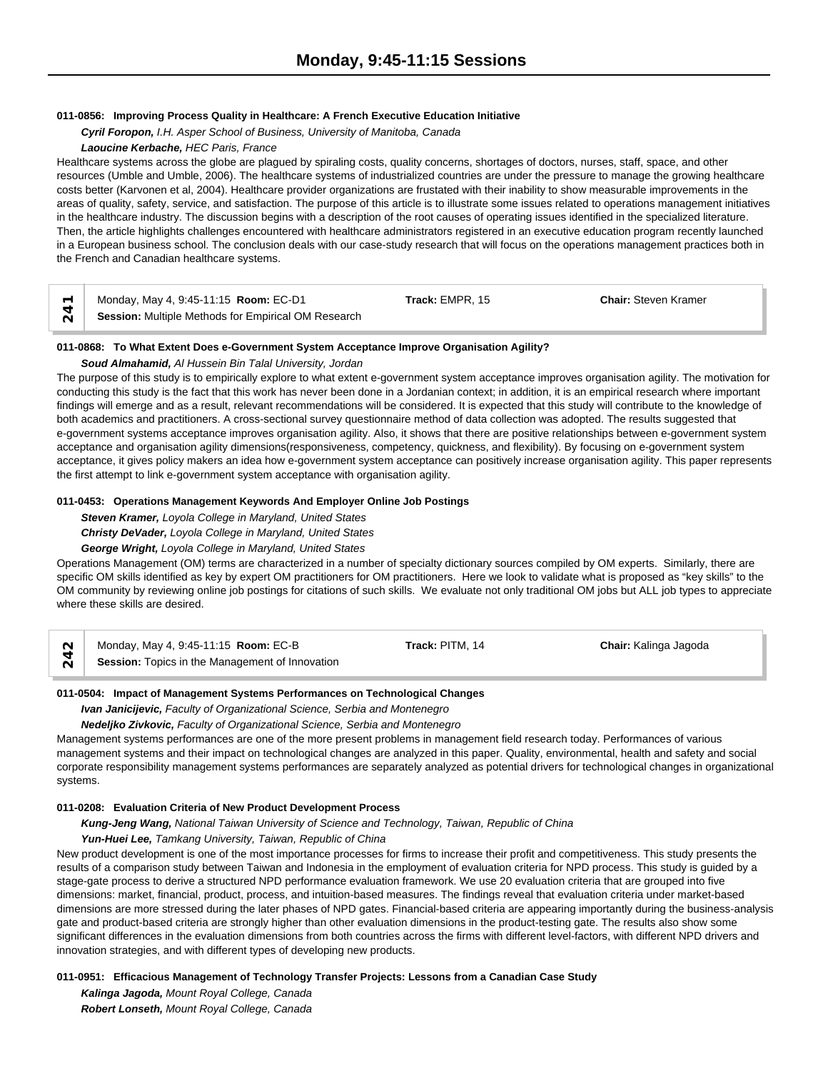# **011-0856: Improving Process Quality in Healthcare: A French Executive Education Initiative**

*Cyril Foropon, I.H. Asper School of Business, University of Manitoba, Canada Laoucine Kerbache, HEC Paris, France*

Healthcare systems across the globe are plagued by spiraling costs, quality concerns, shortages of doctors, nurses, staff, space, and other resources (Umble and Umble, 2006). The healthcare systems of industrialized countries are under the pressure to manage the growing healthcare costs better (Karvonen et al, 2004). Healthcare provider organizations are frustated with their inability to show measurable improvements in the areas of quality, safety, service, and satisfaction. The purpose of this article is to illustrate some issues related to operations management initiatives in the healthcare industry. The discussion begins with a description of the root causes of operating issues identified in the specialized literature. Then, the article highlights challenges encountered with healthcare administrators registered in an executive education program recently launched in a European business school. The conclusion deals with our case-study research that will focus on the operations management practices both in the French and Canadian healthcare systems.

| Monday, May 4, 9:45-11:15 <b>Room:</b> EC-D1        | <b>Track: EMPR. 15</b> | <b>Chair:</b> Steven Kramer |  |
|-----------------------------------------------------|------------------------|-----------------------------|--|
| Session: Multiple Methods for Empirical OM Research |                        |                             |  |

#### **011-0868: To What Extent Does e-Government System Acceptance Improve Organisation Agility?**

#### *Soud Almahamid, Al Hussein Bin Talal University, Jordan*

The purpose of this study is to empirically explore to what extent e-government system acceptance improves organisation agility. The motivation for conducting this study is the fact that this work has never been done in a Jordanian context; in addition, it is an empirical research where important findings will emerge and as a result, relevant recommendations will be considered. It is expected that this study will contribute to the knowledge of both academics and practitioners. A cross-sectional survey questionnaire method of data collection was adopted. The results suggested that e-government systems acceptance improves organisation agility. Also, it shows that there are positive relationships between e-government system acceptance and organisation agility dimensions(responsiveness, competency, quickness, and flexibility). By focusing on e-government system acceptance, it gives policy makers an idea how e-government system acceptance can positively increase organisation agility. This paper represents the first attempt to link e-government system acceptance with organisation agility.

#### **011-0453: Operations Management Keywords And Employer Online Job Postings**

*Steven Kramer, Loyola College in Maryland, United States*

#### *Christy DeVader, Loyola College in Maryland, United States*

#### *George Wright, Loyola College in Maryland, United States*

Operations Management (OM) terms are characterized in a number of specialty dictionary sources compiled by OM experts. Similarly, there are specific OM skills identified as key by expert OM practitioners for OM practitioners. Here we look to validate what is proposed as "key skills" to the OM community by reviewing online job postings for citations of such skills. We evaluate not only traditional OM jobs but ALL job types to appreciate where these skills are desired.

| $\sim$ | Monday, May 4, 9:45-11:15 <b>Room:</b> EC-B            | Track: PITM, 14 | Chair: Kalinga Jagoda |  |
|--------|--------------------------------------------------------|-----------------|-----------------------|--|
| $\sim$ | <b>Session:</b> Topics in the Management of Innovation |                 |                       |  |

#### **011-0504: Impact of Management Systems Performances on Technological Changes**

*Ivan Janicijevic, Faculty of Organizational Science, Serbia and Montenegro*

*Nedeljko Zivkovic, Faculty of Organizational Science, Serbia and Montenegro*

Management systems performances are one of the more present problems in management field research today. Performances of various management systems and their impact on technological changes are analyzed in this paper. Quality, environmental, health and safety and social corporate responsibility management systems performances are separately analyzed as potential drivers for technological changes in organizational systems.

#### **011-0208: Evaluation Criteria of New Product Development Process**

*Kung-Jeng Wang, National Taiwan University of Science and Technology, Taiwan, Republic of China*

*Yun-Huei Lee, Tamkang University, Taiwan, Republic of China*

New product development is one of the most importance processes for firms to increase their profit and competitiveness. This study presents the results of a comparison study between Taiwan and Indonesia in the employment of evaluation criteria for NPD process. This study is guided by a stage-gate process to derive a structured NPD performance evaluation framework. We use 20 evaluation criteria that are grouped into five dimensions: market, financial, product, process, and intuition-based measures. The findings reveal that evaluation criteria under market-based dimensions are more stressed during the later phases of NPD gates. Financial-based criteria are appearing importantly during the business-analysis gate and product-based criteria are strongly higher than other evaluation dimensions in the product-testing gate. The results also show some significant differences in the evaluation dimensions from both countries across the firms with different level-factors, with different NPD drivers and innovation strategies, and with different types of developing new products.

#### **011-0951: Efficacious Management of Technology Transfer Projects: Lessons from a Canadian Case Study**

*Kalinga Jagoda, Mount Royal College, Canada Robert Lonseth, Mount Royal College, Canada*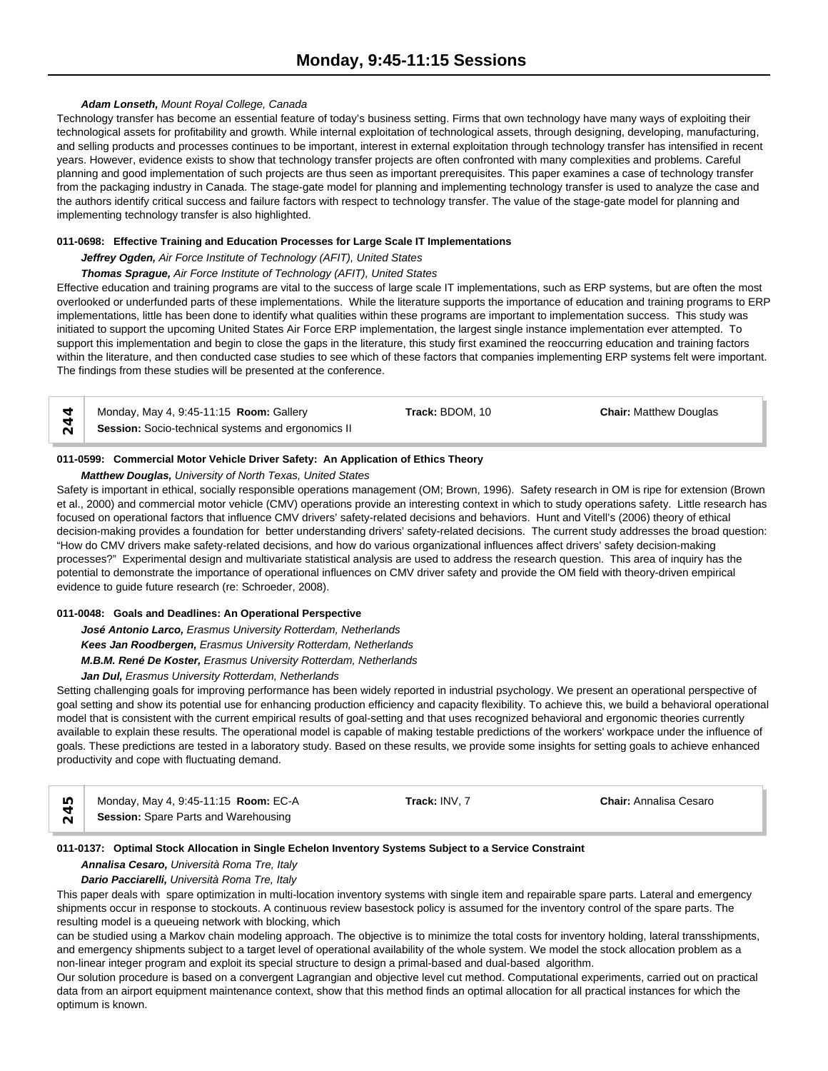# *Adam Lonseth, Mount Royal College, Canada*

Technology transfer has become an essential feature of today's business setting. Firms that own technology have many ways of exploiting their technological assets for profitability and growth. While internal exploitation of technological assets, through designing, developing, manufacturing, and selling products and processes continues to be important, interest in external exploitation through technology transfer has intensified in recent years. However, evidence exists to show that technology transfer projects are often confronted with many complexities and problems. Careful planning and good implementation of such projects are thus seen as important prerequisites. This paper examines a case of technology transfer from the packaging industry in Canada. The stage-gate model for planning and implementing technology transfer is used to analyze the case and the authors identify critical success and failure factors with respect to technology transfer. The value of the stage-gate model for planning and implementing technology transfer is also highlighted.

#### **011-0698: Effective Training and Education Processes for Large Scale IT Implementations**

*Jeffrey Ogden, Air Force Institute of Technology (AFIT), United States*

#### *Thomas Sprague, Air Force Institute of Technology (AFIT), United States*

Effective education and training programs are vital to the success of large scale IT implementations, such as ERP systems, but are often the most overlooked or underfunded parts of these implementations. While the literature supports the importance of education and training programs to ERP implementations, little has been done to identify what qualities within these programs are important to implementation success. This study was initiated to support the upcoming United States Air Force ERP implementation, the largest single instance implementation ever attempted. To support this implementation and begin to close the gaps in the literature, this study first examined the reoccurring education and training factors within the literature, and then conducted case studies to see which of these factors that companies implementing ERP systems felt were important. The findings from these studies will be presented at the conference.

| Monday, May 4, 9:45-11:15 <b>Room:</b> Gallery            | <b>Track: BDOM, 10</b> | <b>Chair: Matthew Douglas</b> |  |
|-----------------------------------------------------------|------------------------|-------------------------------|--|
| <b>Session:</b> Socio-technical systems and ergonomics II |                        |                               |  |

#### **011-0599: Commercial Motor Vehicle Driver Safety: An Application of Ethics Theory**

# *Matthew Douglas, University of North Texas, United States*

Safety is important in ethical, socially responsible operations management (OM; Brown, 1996). Safety research in OM is ripe for extension (Brown et al., 2000) and commercial motor vehicle (CMV) operations provide an interesting context in which to study operations safety. Little research has focused on operational factors that influence CMV drivers' safety-related decisions and behaviors. Hunt and Vitell's (2006) theory of ethical decision-making provides a foundation for better understanding drivers' safety-related decisions. The current study addresses the broad question: "How do CMV drivers make safety-related decisions, and how do various organizational influences affect drivers' safety decision-making processes?" Experimental design and multivariate statistical analysis are used to address the research question. This area of inquiry has the potential to demonstrate the importance of operational influences on CMV driver safety and provide the OM field with theory-driven empirical evidence to guide future research (re: Schroeder, 2008).

#### **011-0048: Goals and Deadlines: An Operational Perspective**

*José Antonio Larco, Erasmus University Rotterdam, Netherlands*

*Kees Jan Roodbergen, Erasmus University Rotterdam, Netherlands*

*M.B.M. René De Koster, Erasmus University Rotterdam, Netherlands*

# *Jan Dul, Erasmus University Rotterdam, Netherlands*

Setting challenging goals for improving performance has been widely reported in industrial psychology. We present an operational perspective of goal setting and show its potential use for enhancing production efficiency and capacity flexibility. To achieve this, we build a behavioral operational model that is consistent with the current empirical results of goal-setting and that uses recognized behavioral and ergonomic theories currently available to explain these results. The operational model is capable of making testable predictions of the workers' workpace under the influence of goals. These predictions are tested in a laboratory study. Based on these results, we provide some insights for setting goals to achieve enhanced productivity and cope with fluctuating demand.

| $\sim$ | Monday, May 4, 9:45-11:15 Room: EC-A | Track: INV. 7 | <b>Chair:</b> Annalisa Cesaro |  |
|--------|--------------------------------------|---------------|-------------------------------|--|
|        | Session: Spare Parts and Warehousing |               |                               |  |

#### **011-0137: Optimal Stock Allocation in Single Echelon Inventory Systems Subject to a Service Constraint**

#### *Annalisa Cesaro, Università Roma Tre, Italy*

#### *Dario Pacciarelli, Università Roma Tre, Italy*

This paper deals with spare optimization in multi-location inventory systems with single item and repairable spare parts. Lateral and emergency shipments occur in response to stockouts. A continuous review basestock policy is assumed for the inventory control of the spare parts. The resulting model is a queueing network with blocking, which

can be studied using a Markov chain modeling approach. The objective is to minimize the total costs for inventory holding, lateral transshipments, and emergency shipments subject to a target level of operational availability of the whole system. We model the stock allocation problem as a non-linear integer program and exploit its special structure to design a primal-based and dual-based algorithm.

Our solution procedure is based on a convergent Lagrangian and objective level cut method. Computational experiments, carried out on practical data from an airport equipment maintenance context, show that this method finds an optimal allocation for all practical instances for which the optimum is known.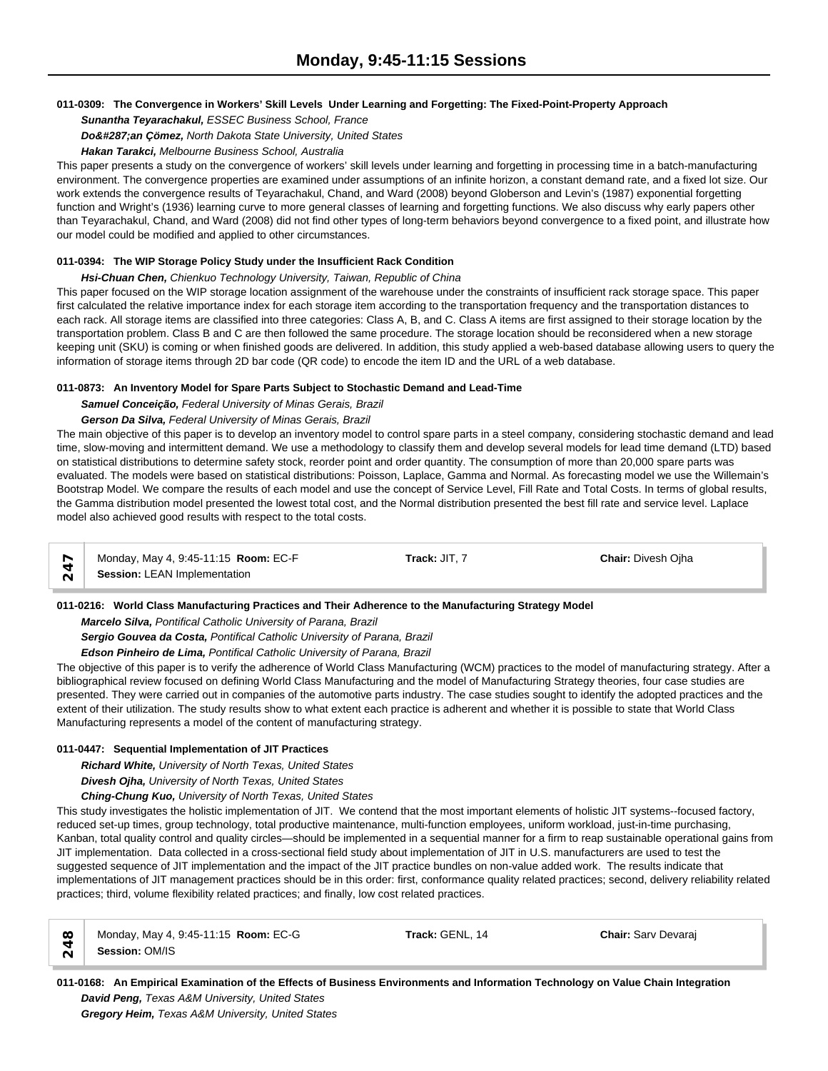# **011-0309: The Convergence in Workers' Skill Levels Under Learning and Forgetting: The Fixed-Point-Property Approach**

*Sunantha Teyarachakul, ESSEC Business School, France*

*Doğan Çömez, North Dakota State University, United States*

#### *Hakan Tarakci, Melbourne Business School, Australia*

This paper presents a study on the convergence of workers' skill levels under learning and forgetting in processing time in a batch-manufacturing environment. The convergence properties are examined under assumptions of an infinite horizon, a constant demand rate, and a fixed lot size. Our work extends the convergence results of Teyarachakul, Chand, and Ward (2008) beyond Globerson and Levin's (1987) exponential forgetting function and Wright's (1936) learning curve to more general classes of learning and forgetting functions. We also discuss why early papers other than Teyarachakul, Chand, and Ward (2008) did not find other types of long-term behaviors beyond convergence to a fixed point, and illustrate how our model could be modified and applied to other circumstances.

# **011-0394: The WIP Storage Policy Study under the Insufficient Rack Condition**

# *Hsi-Chuan Chen, Chienkuo Technology University, Taiwan, Republic of China*

This paper focused on the WIP storage location assignment of the warehouse under the constraints of insufficient rack storage space. This paper first calculated the relative importance index for each storage item according to the transportation frequency and the transportation distances to each rack. All storage items are classified into three categories: Class A, B, and C. Class A items are first assigned to their storage location by the transportation problem. Class B and C are then followed the same procedure. The storage location should be reconsidered when a new storage keeping unit (SKU) is coming or when finished goods are delivered. In addition, this study applied a web-based database allowing users to query the information of storage items through 2D bar code (QR code) to encode the item ID and the URL of a web database.

# **011-0873: An Inventory Model for Spare Parts Subject to Stochastic Demand and Lead-Time**

*Samuel Conceição, Federal University of Minas Gerais, Brazil*

# *Gerson Da Silva, Federal University of Minas Gerais, Brazil*

The main objective of this paper is to develop an inventory model to control spare parts in a steel company, considering stochastic demand and lead time, slow-moving and intermittent demand. We use a methodology to classify them and develop several models for lead time demand (LTD) based on statistical distributions to determine safety stock, reorder point and order quantity. The consumption of more than 20,000 spare parts was evaluated. The models were based on statistical distributions: Poisson, Laplace, Gamma and Normal. As forecasting model we use the Willemain's Bootstrap Model. We compare the results of each model and use the concept of Service Level, Fill Rate and Total Costs. In terms of global results, the Gamma distribution model presented the lowest total cost, and the Normal distribution presented the best fill rate and service level. Laplace model also achieved good results with respect to the total costs.

Monday, May 4, 9:45-11:15 **Room:** EC-F **Track:** JIT, 7 **Chair:** Divesh Ojha **Session:** LEAN Implementation

**011-0216: World Class Manufacturing Practices and Their Adherence to the Manufacturing Strategy Model**

*Marcelo Silva, Pontifical Catholic University of Parana, Brazil*

*Sergio Gouvea da Costa, Pontifical Catholic University of Parana, Brazil*

*Edson Pinheiro de Lima, Pontifical Catholic University of Parana, Brazil*

The objective of this paper is to verify the adherence of World Class Manufacturing (WCM) practices to the model of manufacturing strategy. After a bibliographical review focused on defining World Class Manufacturing and the model of Manufacturing Strategy theories, four case studies are presented. They were carried out in companies of the automotive parts industry. The case studies sought to identify the adopted practices and the extent of their utilization. The study results show to what extent each practice is adherent and whether it is possible to state that World Class Manufacturing represents a model of the content of manufacturing strategy.

# **011-0447: Sequential Implementation of JIT Practices**

*Richard White, University of North Texas, United States*

*Divesh Ojha, University of North Texas, United States*

*Ching-Chung Kuo, University of North Texas, United States*

This study investigates the holistic implementation of JIT. We contend that the most important elements of holistic JIT systems--focused factory, reduced set-up times, group technology, total productive maintenance, multi-function employees, uniform workload, just-in-time purchasing, Kanban, total quality control and quality circles—should be implemented in a sequential manner for a firm to reap sustainable operational gains from JIT implementation. Data collected in a cross-sectional field study about implementation of JIT in U.S. manufacturers are used to test the suggested sequence of JIT implementation and the impact of the JIT practice bundles on non-value added work. The results indicate that implementations of JIT management practices should be in this order: first, conformance quality related practices; second, delivery reliability related practices; third, volume flexibility related practices; and finally, low cost related practices.

| $\infty$      | Monday, May 4, 9:45-11:15 Room: EC-G | Track: GENL, 14 | <b>Chair: Sarv Devaraj</b> |
|---------------|--------------------------------------|-----------------|----------------------------|
| $\frac{5}{4}$ | Session: OM/IS                       |                 |                            |

**011-0168: An Empirical Examination of the Effects of Business Environments and Information Technology on Value Chain Integration** *David Peng, Texas A&M University, United States*

*Gregory Heim, Texas A&M University, United States*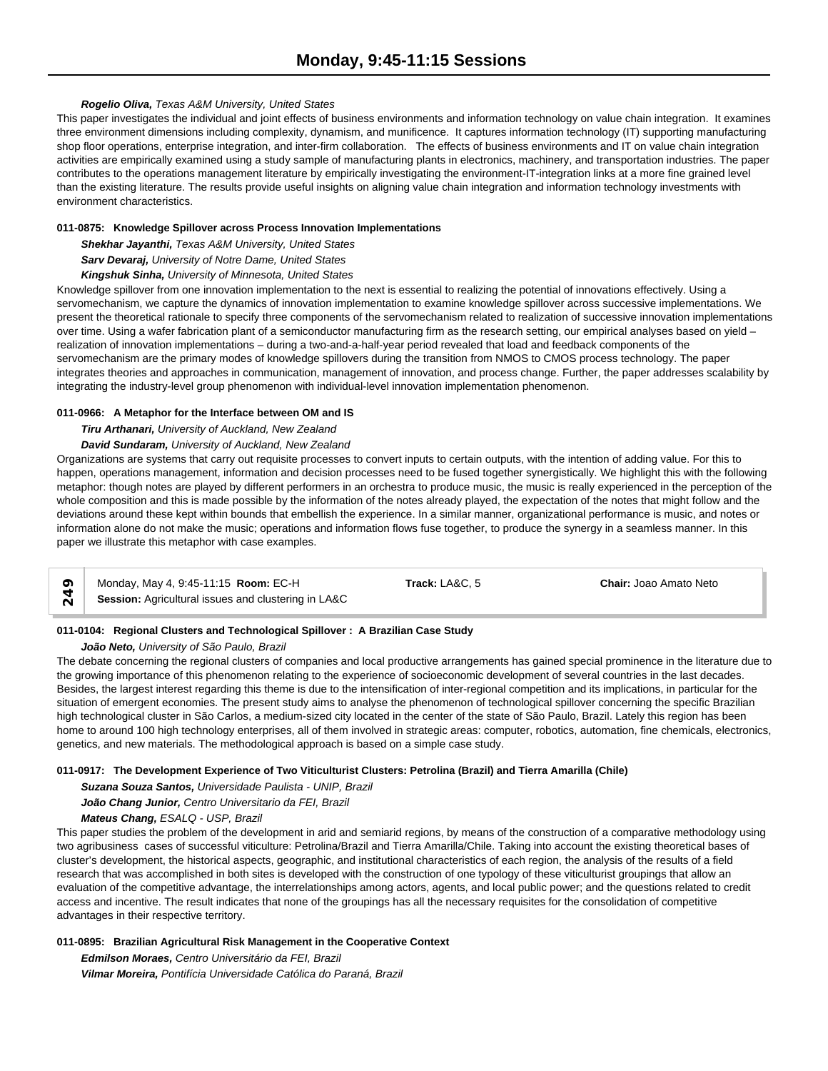# *Rogelio Oliva, Texas A&M University, United States*

This paper investigates the individual and joint effects of business environments and information technology on value chain integration. It examines three environment dimensions including complexity, dynamism, and munificence. It captures information technology (IT) supporting manufacturing shop floor operations, enterprise integration, and inter-firm collaboration. The effects of business environments and IT on value chain integration activities are empirically examined using a study sample of manufacturing plants in electronics, machinery, and transportation industries. The paper contributes to the operations management literature by empirically investigating the environment-IT-integration links at a more fine grained level than the existing literature. The results provide useful insights on aligning value chain integration and information technology investments with environment characteristics.

#### **011-0875: Knowledge Spillover across Process Innovation Implementations**

*Shekhar Jayanthi, Texas A&M University, United States*

*Sarv Devaraj, University of Notre Dame, United States*

#### *Kingshuk Sinha, University of Minnesota, United States*

Knowledge spillover from one innovation implementation to the next is essential to realizing the potential of innovations effectively. Using a servomechanism, we capture the dynamics of innovation implementation to examine knowledge spillover across successive implementations. We present the theoretical rationale to specify three components of the servomechanism related to realization of successive innovation implementations over time. Using a wafer fabrication plant of a semiconductor manufacturing firm as the research setting, our empirical analyses based on yield – realization of innovation implementations – during a two-and-a-half-year period revealed that load and feedback components of the servomechanism are the primary modes of knowledge spillovers during the transition from NMOS to CMOS process technology. The paper integrates theories and approaches in communication, management of innovation, and process change. Further, the paper addresses scalability by integrating the industry-level group phenomenon with individual-level innovation implementation phenomenon.

#### **011-0966: A Metaphor for the Interface between OM and IS**

*Tiru Arthanari, University of Auckland, New Zealand*

*David Sundaram, University of Auckland, New Zealand*

Organizations are systems that carry out requisite processes to convert inputs to certain outputs, with the intention of adding value. For this to happen, operations management, information and decision processes need to be fused together synergistically. We highlight this with the following metaphor: though notes are played by different performers in an orchestra to produce music, the music is really experienced in the perception of the whole composition and this is made possible by the information of the notes already played, the expectation of the notes that might follow and the deviations around these kept within bounds that embellish the experience. In a similar manner, organizational performance is music, and notes or information alone do not make the music; operations and information flows fuse together, to produce the synergy in a seamless manner. In this paper we illustrate this metaphor with case examples.

|  | Monday, May 4, 9:45-11:15 <b>Room: EC-H</b>         | Track: LA&C. 5 | <b>Chair:</b> Joao Amato Neto |  |
|--|-----------------------------------------------------|----------------|-------------------------------|--|
|  | Session: Agricultural issues and clustering in LA&C |                |                               |  |

# **011-0104: Regional Clusters and Technological Spillover : A Brazilian Case Study**

*João Neto, University of São Paulo, Brazil*

The debate concerning the regional clusters of companies and local productive arrangements has gained special prominence in the literature due to the growing importance of this phenomenon relating to the experience of socioeconomic development of several countries in the last decades. Besides, the largest interest regarding this theme is due to the intensification of inter-regional competition and its implications, in particular for the situation of emergent economies. The present study aims to analyse the phenomenon of technological spillover concerning the specific Brazilian high technological cluster in São Carlos, a medium-sized city located in the center of the state of São Paulo, Brazil. Lately this region has been home to around 100 high technology enterprises, all of them involved in strategic areas: computer, robotics, automation, fine chemicals, electronics, genetics, and new materials. The methodological approach is based on a simple case study.

# **011-0917: The Development Experience of Two Viticulturist Clusters: Petrolina (Brazil) and Tierra Amarilla (Chile)**

*Suzana Souza Santos, Universidade Paulista - UNIP, Brazil João Chang Junior, Centro Universitario da FEI, Brazil Mateus Chang, ESALQ - USP, Brazil*

This paper studies the problem of the development in arid and semiarid regions, by means of the construction of a comparative methodology using two agribusiness cases of successful viticulture: Petrolina/Brazil and Tierra Amarilla/Chile. Taking into account the existing theoretical bases of cluster's development, the historical aspects, geographic, and institutional characteristics of each region, the analysis of the results of a field research that was accomplished in both sites is developed with the construction of one typology of these viticulturist groupings that allow an evaluation of the competitive advantage, the interrelationships among actors, agents, and local public power; and the questions related to credit access and incentive. The result indicates that none of the groupings has all the necessary requisites for the consolidation of competitive advantages in their respective territory.

# **011-0895: Brazilian Agricultural Risk Management in the Cooperative Context**

*Edmilson Moraes, Centro Universitário da FEI, Brazil Vilmar Moreira, Pontifícia Universidade Católica do Paraná, Brazil*